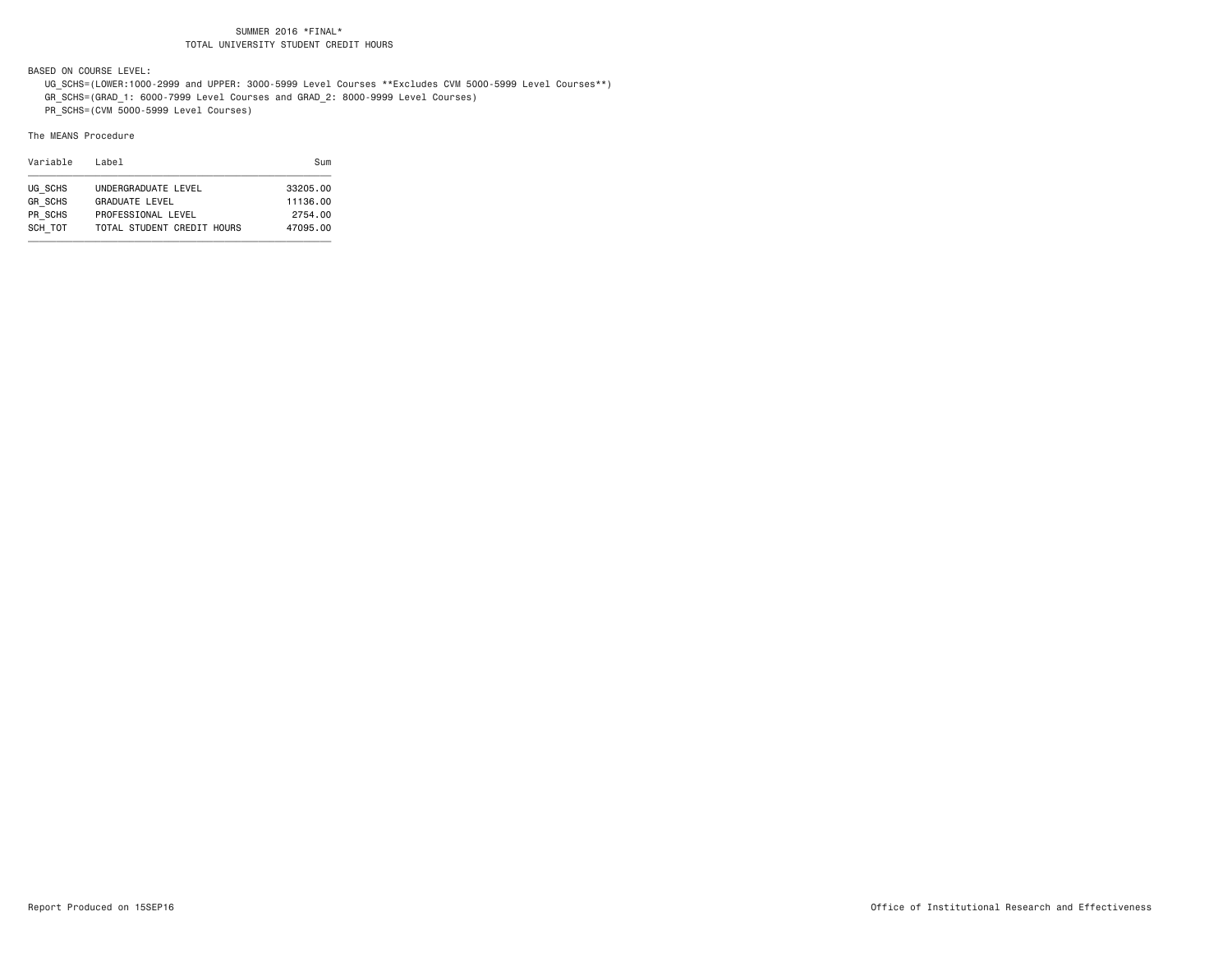BASED ON COURSE LEVEL:

- UG\_SCHS=(LOWER:1000-2999 and UPPER: 3000-5999 Level Courses \*\*Excludes CVM 5000-5999 Level Courses\*\*)
- GR\_SCHS=(GRAD\_1: 6000-7999 Level Courses and GRAD\_2: 8000-9999 Level Courses)

PR\_SCHS=(CVM 5000-5999 Level Courses)

#### The MEANS Procedure

| Variable       | Label                      | Sum      |
|----------------|----------------------------|----------|
| UG SCHS        | UNDERGRADUATE LEVEL        | 33205.00 |
| <b>GR SCHS</b> | <b>GRADUATE LEVEL</b>      | 11136.00 |
| PR SCHS        | PROFESSIONAL LEVEL         | 2754.00  |
| SCH TOT        | TOTAL STUDENT CREDIT HOURS | 47095.00 |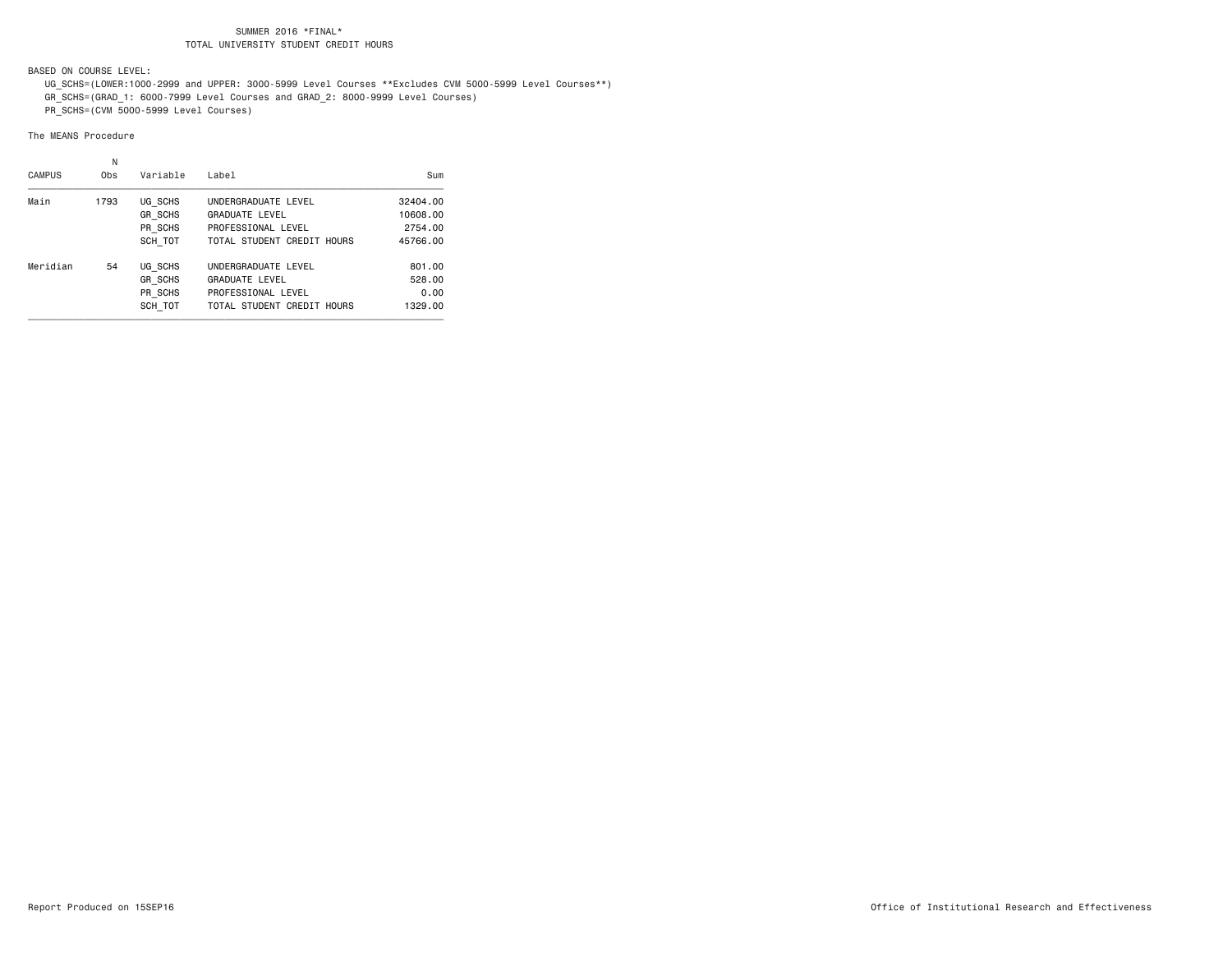BASED ON COURSE LEVEL:

- UG\_SCHS=(LOWER:1000-2999 and UPPER: 3000-5999 Level Courses \*\*Excludes CVM 5000-5999 Level Courses\*\*)
- GR\_SCHS=(GRAD\_1: 6000-7999 Level Courses and GRAD\_2: 8000-9999 Level Courses)
- PR\_SCHS=(CVM 5000-5999 Level Courses)

#### The MEANS Procedure

|               | N    |                |                            |          |
|---------------|------|----------------|----------------------------|----------|
| <b>CAMPUS</b> | 0bs  | Variable       | Label                      | Sum      |
| Main          | 1793 | UG SCHS        | UNDERGRADUATE LEVEL        | 32404.00 |
|               |      | <b>GR SCHS</b> | <b>GRADUATE LEVEL</b>      | 10608.00 |
|               |      | PR SCHS        | PROFESSIONAL LEVEL         | 2754.00  |
|               |      | SCH TOT        | TOTAL STUDENT CREDIT HOURS | 45766.00 |
| Meridian      | 54   | UG SCHS        | UNDERGRADUATE LEVEL        | 801.00   |
|               |      | <b>GR SCHS</b> | <b>GRADUATE LEVEL</b>      | 528.00   |
|               |      | PR SCHS        | PROFESSIONAL LEVEL         | 0.00     |
|               |      | SCH TOT        | TOTAL STUDENT CREDIT HOURS | 1329.00  |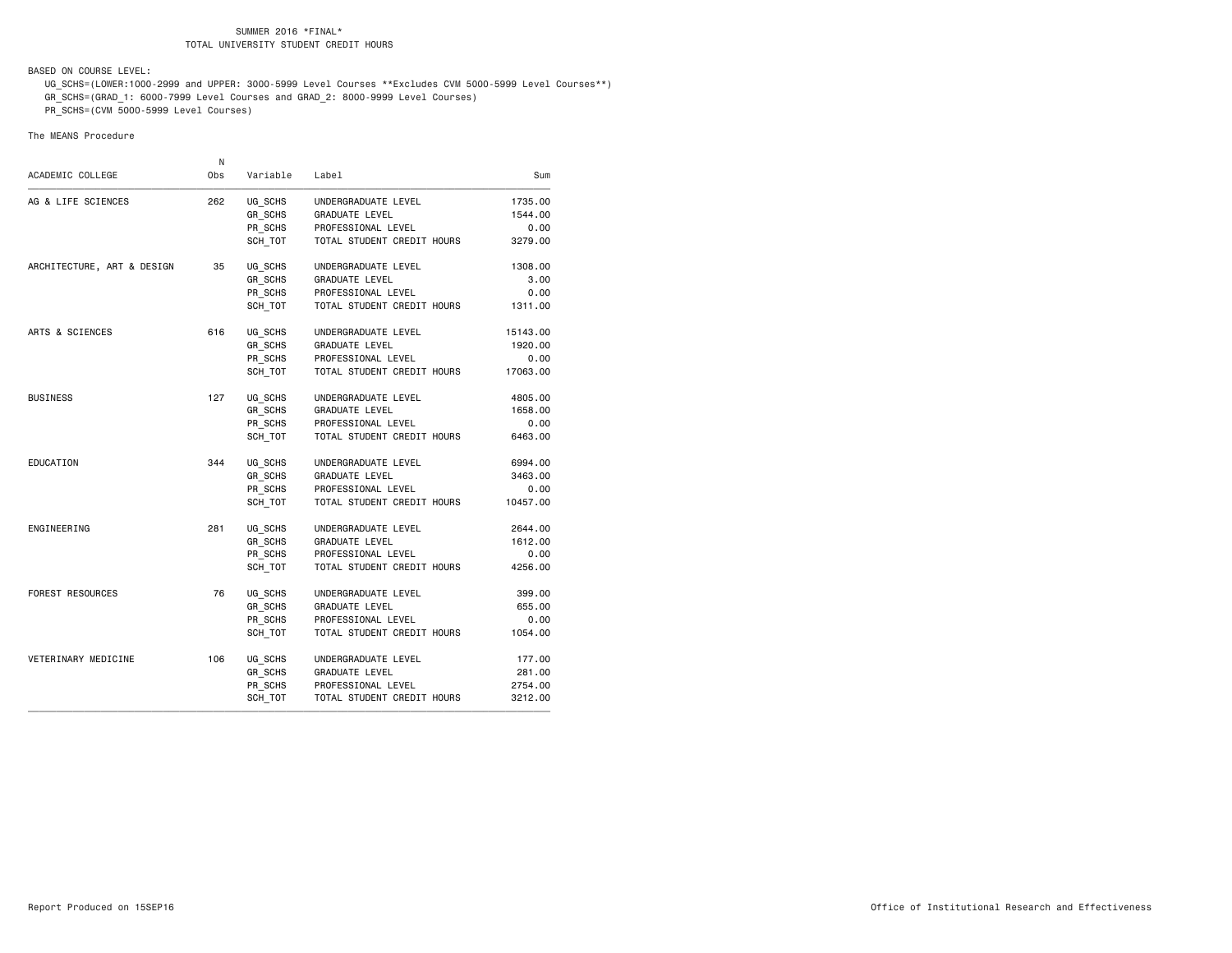BASED ON COURSE LEVEL:

- UG\_SCHS=(LOWER:1000-2999 and UPPER: 3000-5999 Level Courses \*\*Excludes CVM 5000-5999 Level Courses\*\*)
- GR\_SCHS=(GRAD\_1: 6000-7999 Level Courses and GRAD\_2: 8000-9999 Level Courses)

PR\_SCHS=(CVM 5000-5999 Level Courses)

#### The MEANS Procedure

| Sum      | Label                      | Variable       | N<br>Obs | ACADEMIC COLLEGE           |
|----------|----------------------------|----------------|----------|----------------------------|
| 1735.00  | UNDERGRADUATE LEVEL        | UG_SCHS        | 262      | AG & LIFE SCIENCES         |
| 1544.00  | <b>GRADUATE LEVEL</b>      | <b>GR SCHS</b> |          |                            |
| 0.00     | PROFESSIONAL LEVEL         | PR SCHS        |          |                            |
| 3279.00  | TOTAL STUDENT CREDIT HOURS | SCH TOT        |          |                            |
| 1308.00  | UNDERGRADUATE LEVEL        | UG SCHS        | 35       | ARCHITECTURE, ART & DESIGN |
| 3.00     | <b>GRADUATE LEVEL</b>      | GR SCHS        |          |                            |
| 0.00     | PROFESSIONAL LEVEL         | PR_SCHS        |          |                            |
| 1311.00  | TOTAL STUDENT CREDIT HOURS | SCH TOT        |          |                            |
| 15143.00 | UNDERGRADUATE LEVEL        | UG_SCHS        | 616      | ARTS & SCIENCES            |
| 1920.00  | GRADUATE LEVEL             | GR SCHS        |          |                            |
| 0.00     | PROFESSIONAL LEVEL         | PR SCHS        |          |                            |
| 17063.00 | TOTAL STUDENT CREDIT HOURS | SCH_TOT        |          |                            |
| 4805.00  | UNDERGRADUATE LEVEL        | UG_SCHS        | 127      | <b>BUSINESS</b>            |
| 1658,00  | GRADUATE LEVEL             | GR SCHS        |          |                            |
| 0.00     | PROFESSIONAL LEVEL         | PR SCHS        |          |                            |
| 6463.00  | TOTAL STUDENT CREDIT HOURS | SCH TOT        |          |                            |
| 6994.00  | UNDERGRADUATE LEVEL        | UG_SCHS        | 344      | EDUCATION                  |
| 3463.00  | <b>GRADUATE LEVEL</b>      | GR_SCHS        |          |                            |
| 0.00     | PROFESSIONAL LEVEL         | PR_SCHS        |          |                            |
| 10457.00 | TOTAL STUDENT CREDIT HOURS | SCH TOT        |          |                            |
| 2644.00  | UNDERGRADUATE LEVEL        | UG_SCHS        | 281      | ENGINEERING                |
| 1612.00  | <b>GRADUATE LEVEL</b>      | GR_SCHS        |          |                            |
| 0.00     | PROFESSIONAL LEVEL         | PR_SCHS        |          |                            |
| 4256.00  | TOTAL STUDENT CREDIT HOURS | SCH TOT        |          |                            |
| 399.00   | UNDERGRADUATE LEVEL        | UG SCHS        | 76       | FOREST RESOURCES           |
| 655.00   | GRADUATE LEVEL             | GR SCHS        |          |                            |
| 0.00     | PROFESSIONAL LEVEL         | PR_SCHS        |          |                            |
| 1054.00  | TOTAL STUDENT CREDIT HOURS | SCH TOT        |          |                            |
| 177.00   | UNDERGRADUATE LEVEL        | UG SCHS        | 106      | VETERINARY MEDICINE        |
| 281.00   | <b>GRADUATE LEVEL</b>      | GR SCHS        |          |                            |
| 2754.00  | PROFESSIONAL LEVEL         | PR SCHS        |          |                            |
| 3212.00  | TOTAL STUDENT CREDIT HOURS | SCH_TOT        |          |                            |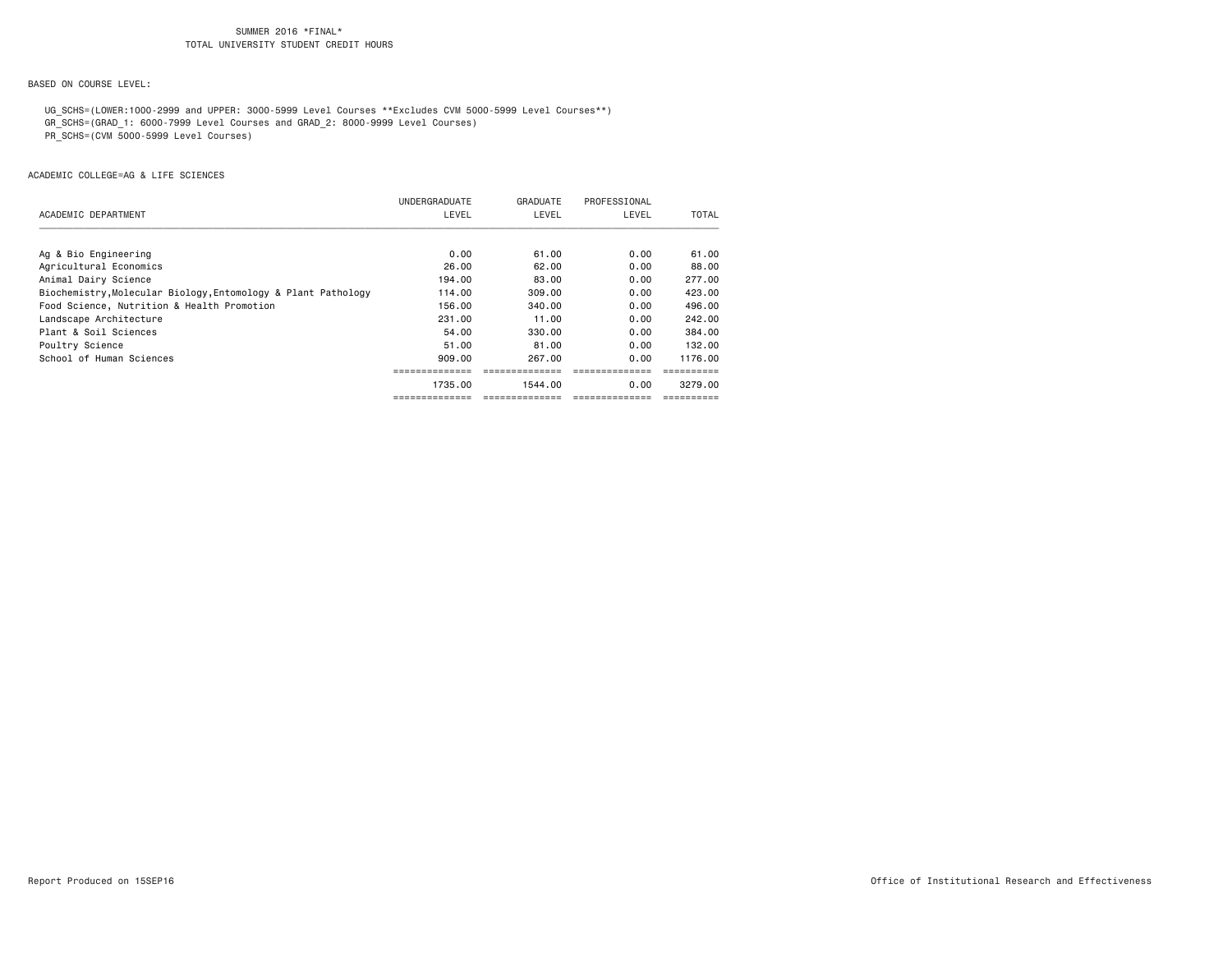# BASED ON COURSE LEVEL:

UG\_SCHS=(LOWER:1000-2999 and UPPER: 3000-5999 Level Courses \*\*Excludes CVM 5000-5999 Level Courses\*\*)

GR\_SCHS=(GRAD\_1: 6000-7999 Level Courses and GRAD\_2: 8000-9999 Level Courses)

PR\_SCHS=(CVM 5000-5999 Level Courses)

|                                                               | UNDERGRADUATE | GRADUATE | PROFESSIONAL |         |
|---------------------------------------------------------------|---------------|----------|--------------|---------|
| ACADEMIC DEPARTMENT                                           | LEVEL         | LEVEL    | LEVEL        | TOTAL   |
|                                                               |               |          |              |         |
| Ag & Bio Engineering                                          | 0.00          | 61.00    | 0.00         | 61.00   |
| Agricultural Economics                                        | 26.00         | 62.00    | 0.00         | 88.00   |
| Animal Dairy Science                                          | 194.00        | 83.00    | 0.00         | 277.00  |
| Biochemistry, Molecular Biology, Entomology & Plant Pathology | 114.00        | 309,00   | 0.00         | 423.00  |
| Food Science, Nutrition & Health Promotion                    | 156.00        | 340,00   | 0.00         | 496,00  |
| Landscape Architecture                                        | 231,00        | 11.00    | 0.00         | 242.00  |
| Plant & Soil Sciences                                         | 54.00         | 330,00   | 0.00         | 384,00  |
| Poultry Science                                               | 51.00         | 81.00    | 0.00         | 132.00  |
| School of Human Sciences                                      | 909,00        | 267.00   | 0.00         | 1176.00 |
|                                                               |               |          |              |         |
|                                                               | 1735.00       | 1544.00  | 0.00         | 3279.00 |
|                                                               |               |          |              |         |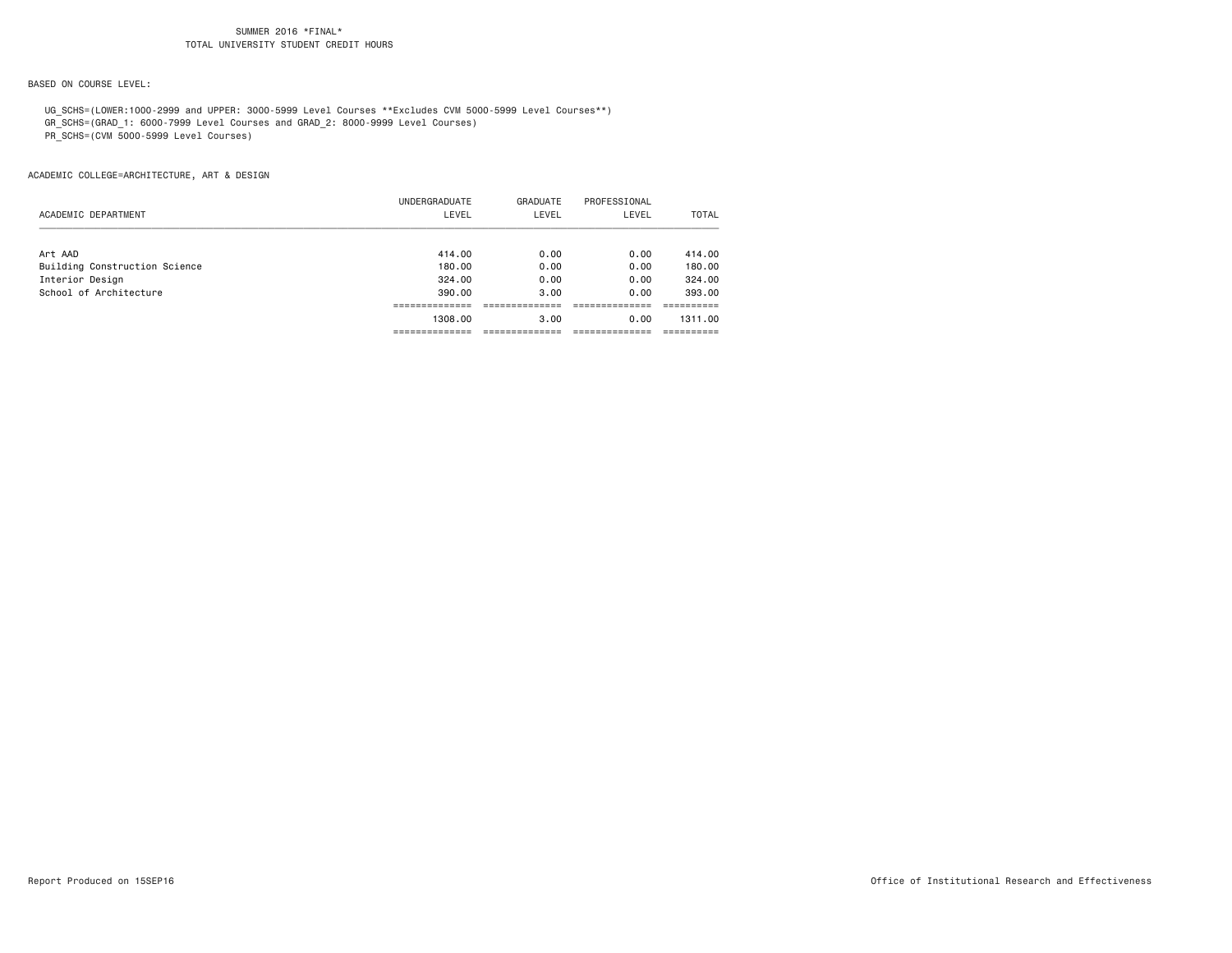# BASED ON COURSE LEVEL:

UG\_SCHS=(LOWER:1000-2999 and UPPER: 3000-5999 Level Courses \*\*Excludes CVM 5000-5999 Level Courses\*\*)

GR\_SCHS=(GRAD\_1: 6000-7999 Level Courses and GRAD\_2: 8000-9999 Level Courses)

PR\_SCHS=(CVM 5000-5999 Level Courses)

|                               | UNDERGRADUATE | GRADUATE | PROFESSIONAL |              |
|-------------------------------|---------------|----------|--------------|--------------|
| ACADEMIC DEPARTMENT           | LEVEL         | LEVEL    | LEVEL        | <b>TOTAL</b> |
| Art AAD                       | 414.00        | 0.00     | 0.00         | 414.00       |
| Building Construction Science | 180.00        | 0.00     | 0.00         | 180.00       |
| Interior Design               | 324,00        | 0.00     | 0.00         | 324,00       |
| School of Architecture        | 390.00        | 3.00     | 0.00         | 393,00       |
|                               |               |          |              |              |
|                               | 1308,00       | 3.00     | 0.00         | 1311.00      |
|                               |               |          |              |              |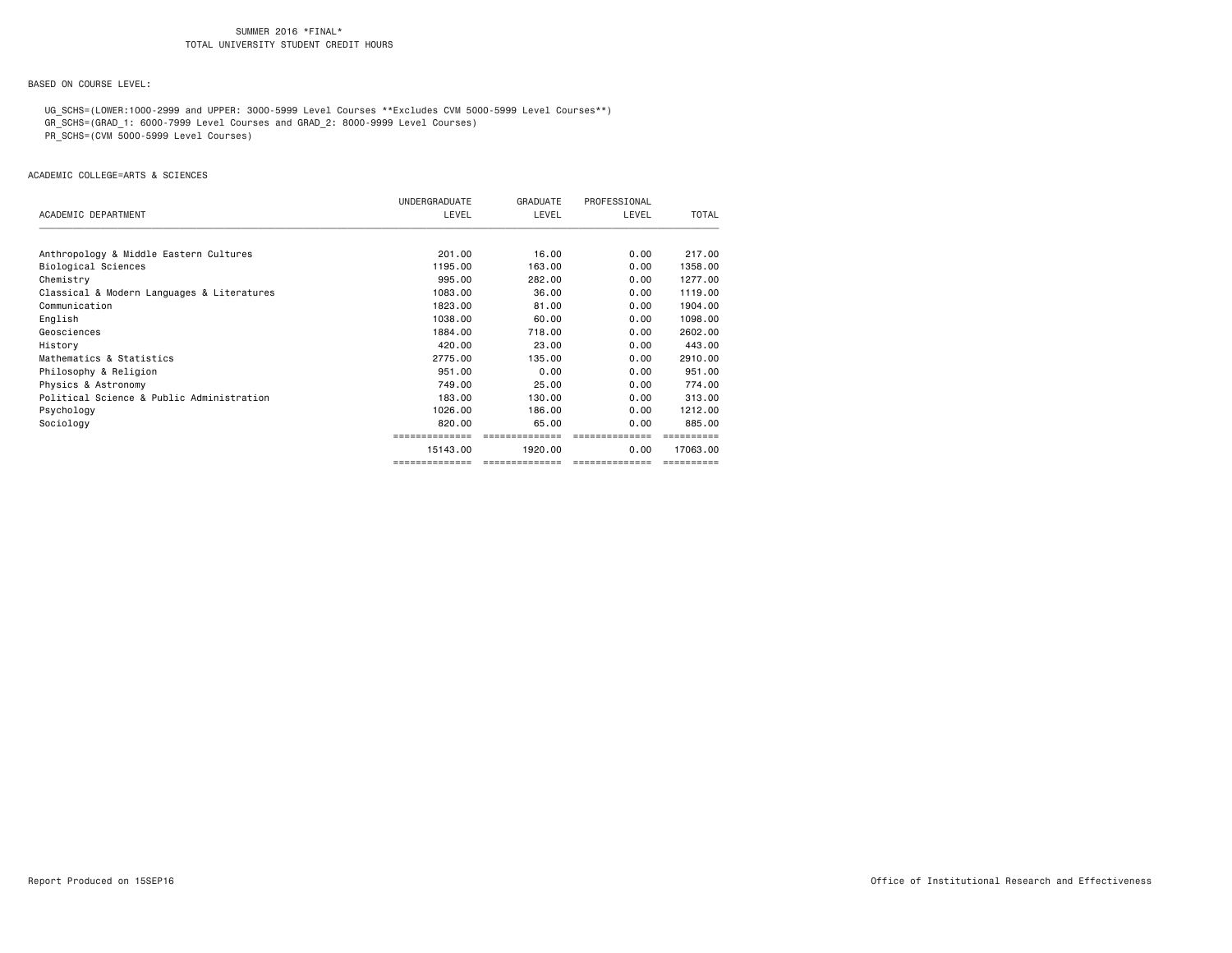# BASED ON COURSE LEVEL:

UG\_SCHS=(LOWER:1000-2999 and UPPER: 3000-5999 Level Courses \*\*Excludes CVM 5000-5999 Level Courses\*\*)

GR\_SCHS=(GRAD\_1: 6000-7999 Level Courses and GRAD\_2: 8000-9999 Level Courses)

PR\_SCHS=(CVM 5000-5999 Level Courses)

|                                            | UNDERGRADUATE  | GRADUATE       | PROFESSIONAL   |          |
|--------------------------------------------|----------------|----------------|----------------|----------|
| ACADEMIC DEPARTMENT                        | LEVEL          | LEVEL          | LEVEL          | TOTAL    |
| Anthropology & Middle Eastern Cultures     | 201.00         | 16.00          | 0.00           | 217,00   |
| Biological Sciences                        | 1195.00        | 163,00         | 0.00           | 1358.00  |
| Chemistry                                  | 995,00         | 282.00         | 0.00           | 1277.00  |
| Classical & Modern Languages & Literatures | 1083.00        | 36.00          | 0.00           | 1119.00  |
| Communication                              | 1823.00        | 81.00          | 0.00           | 1904.00  |
| English                                    | 1038,00        | 60.00          | 0.00           | 1098.00  |
| Geosciences                                | 1884.00        | 718,00         | 0.00           | 2602.00  |
| History                                    | 420,00         | 23,00          | 0.00           | 443.00   |
| Mathematics & Statistics                   | 2775.00        | 135,00         | 0.00           | 2910.00  |
| Philosophy & Religion                      | 951,00         | 0.00           | 0.00           | 951.00   |
| Physics & Astronomy                        | 749.00         | 25,00          | 0.00           | 774.00   |
| Political Science & Public Administration  | 183,00         | 130,00         | 0.00           | 313,00   |
| Psychology                                 | 1026,00        | 186,00         | 0.00           | 1212.00  |
| Sociology                                  | 820,00         | 65.00          | 0.00           | 885,00   |
|                                            |                |                |                |          |
|                                            | 15143.00       | 1920.00        | 0.00           | 17063.00 |
|                                            | ============== | ============== | -------------- |          |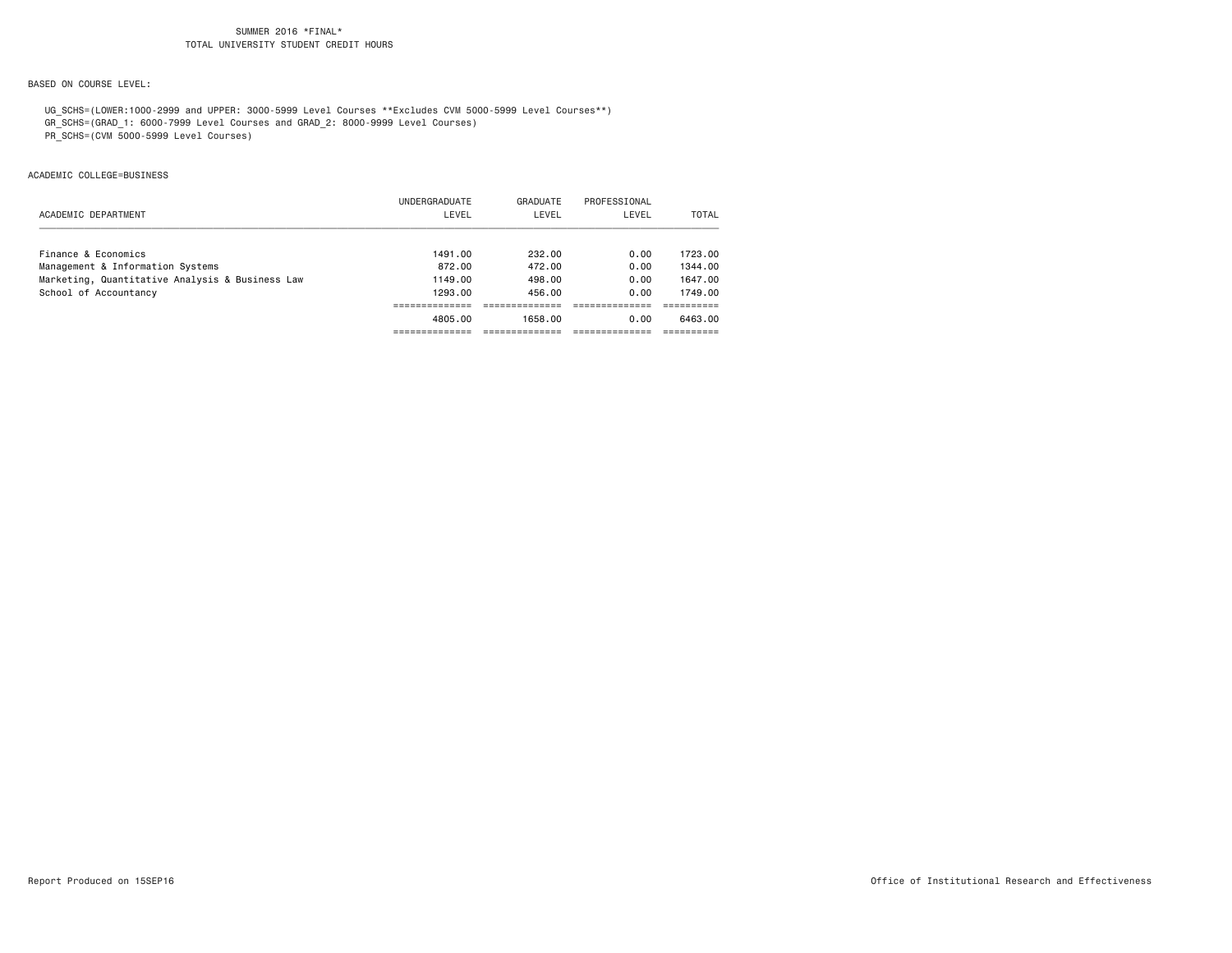# BASED ON COURSE LEVEL:

UG\_SCHS=(LOWER:1000-2999 and UPPER: 3000-5999 Level Courses \*\*Excludes CVM 5000-5999 Level Courses\*\*)

GR\_SCHS=(GRAD\_1: 6000-7999 Level Courses and GRAD\_2: 8000-9999 Level Courses)

PR\_SCHS=(CVM 5000-5999 Level Courses)

## ACADEMIC COLLEGE=BUSINESS

|                                                 | UNDERGRADUATE | GRADUATE | PROFESSIONAL |         |
|-------------------------------------------------|---------------|----------|--------------|---------|
| ACADEMIC DEPARTMENT                             | LEVEL         | LEVEL    | LEVEL        | TOTAL   |
|                                                 |               |          |              |         |
| Finance & Economics                             | 1491.00       | 232.00   | 0.00         | 1723.00 |
| Management & Information Systems                | 872.00        | 472.00   | 0.00         | 1344.00 |
| Marketing, Quantitative Analysis & Business Law | 1149.00       | 498.00   | 0.00         | 1647.00 |
| School of Accountancy                           | 1293.00       | 456.00   | 0.00         | 1749.00 |
|                                                 |               |          |              |         |
|                                                 | 4805.00       | 1658.00  | 0.00         | 6463.00 |
|                                                 |               |          |              |         |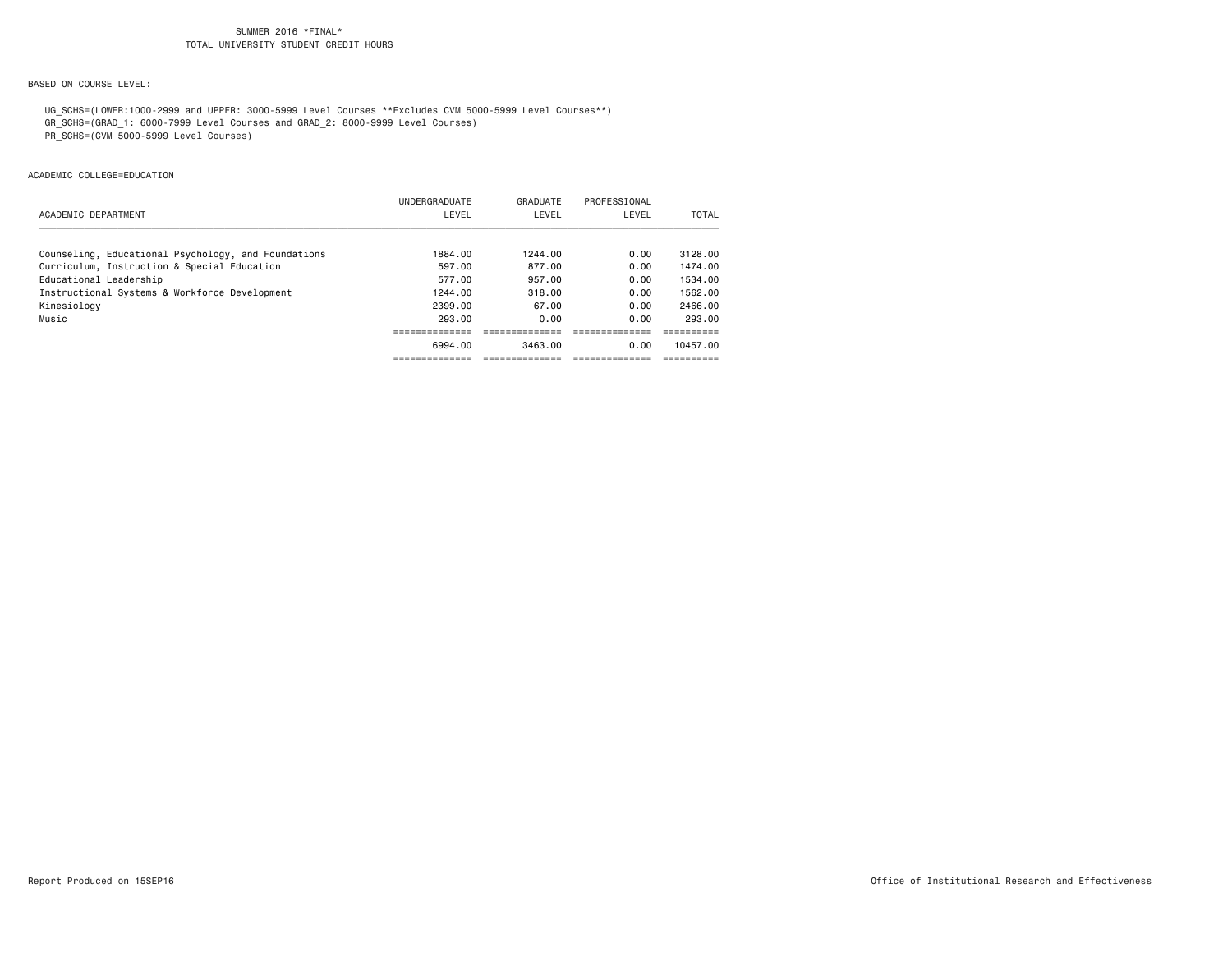# BASED ON COURSE LEVEL:

UG\_SCHS=(LOWER:1000-2999 and UPPER: 3000-5999 Level Courses \*\*Excludes CVM 5000-5999 Level Courses\*\*)

GR\_SCHS=(GRAD\_1: 6000-7999 Level Courses and GRAD\_2: 8000-9999 Level Courses)

PR\_SCHS=(CVM 5000-5999 Level Courses)

## ACADEMIC COLLEGE=EDUCATION

|                                                     | UNDERGRADUATE | GRADUATE | PROFESSIONAL |          |
|-----------------------------------------------------|---------------|----------|--------------|----------|
| ACADEMIC DEPARTMENT                                 | LEVEL         | LEVEL    | LEVEL        | TOTAL    |
|                                                     |               |          |              |          |
| Counseling, Educational Psychology, and Foundations | 1884.00       | 1244.00  | 0.00         | 3128.00  |
| Curriculum, Instruction & Special Education         | 597.00        | 877.00   | 0.00         | 1474.00  |
| Educational Leadership                              | 577.00        | 957.00   | 0.00         | 1534.00  |
| Instructional Systems & Workforce Development       | 1244.00       | 318.00   | 0.00         | 1562.00  |
| Kinesiology                                         | 2399.00       | 67.00    | 0.00         | 2466.00  |
| Music                                               | 293.00        | 0.00     | 0.00         | 293.00   |
|                                                     |               |          |              |          |
|                                                     | 6994.00       | 3463.00  | 0.00         | 10457.00 |
|                                                     |               |          |              |          |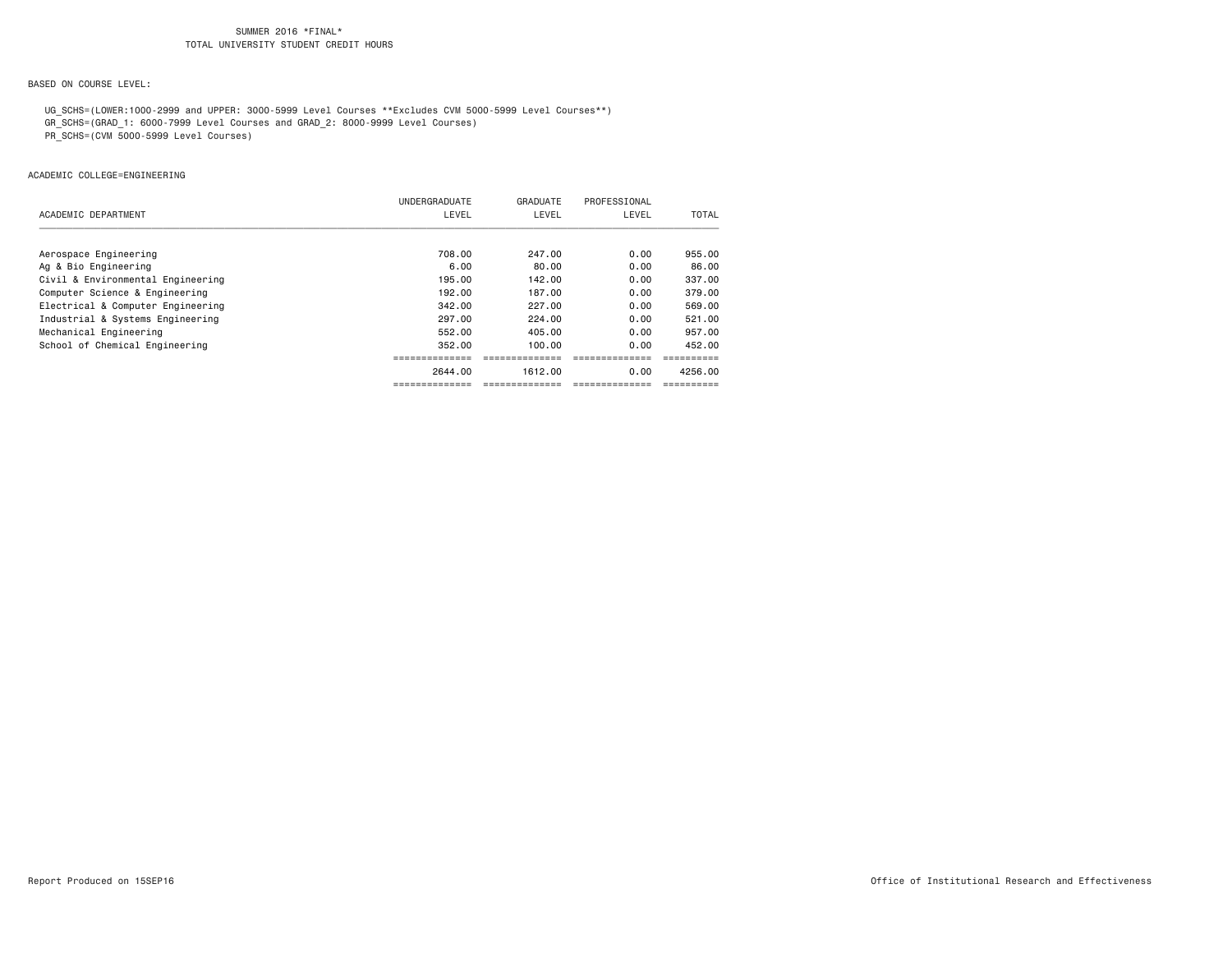# BASED ON COURSE LEVEL:

UG\_SCHS=(LOWER:1000-2999 and UPPER: 3000-5999 Level Courses \*\*Excludes CVM 5000-5999 Level Courses\*\*)

- GR\_SCHS=(GRAD\_1: 6000-7999 Level Courses and GRAD\_2: 8000-9999 Level Courses)
- PR\_SCHS=(CVM 5000-5999 Level Courses)

## ACADEMIC COLLEGE=ENGINEERING

|                                   | UNDERGRADUATE | GRADUATE | PROFESSIONAL |              |
|-----------------------------------|---------------|----------|--------------|--------------|
| ACADEMIC DEPARTMENT               | LEVEL         | LEVEL    | LEVEL        | <b>TOTAL</b> |
|                                   |               |          |              |              |
| Aerospace Engineering             | 708.00        | 247.00   | 0.00         | 955.00       |
| Ag & Bio Engineering              | 6.00          | 80.00    | 0.00         | 86.00        |
| Civil & Environmental Engineering | 195.00        | 142.00   | 0.00         | 337.00       |
| Computer Science & Engineering    | 192.00        | 187.00   | 0.00         | 379.00       |
| Electrical & Computer Engineering | 342.00        | 227.00   | 0.00         | 569,00       |
| Industrial & Systems Engineering  | 297.00        | 224.00   | 0.00         | 521.00       |
| Mechanical Engineering            | 552.00        | 405.00   | 0.00         | 957.00       |
| School of Chemical Engineering    | 352.00        | 100.00   | 0.00         | 452.00       |
|                                   |               |          |              |              |
|                                   | 2644.00       | 1612.00  | 0.00         | 4256.00      |
|                                   |               |          |              |              |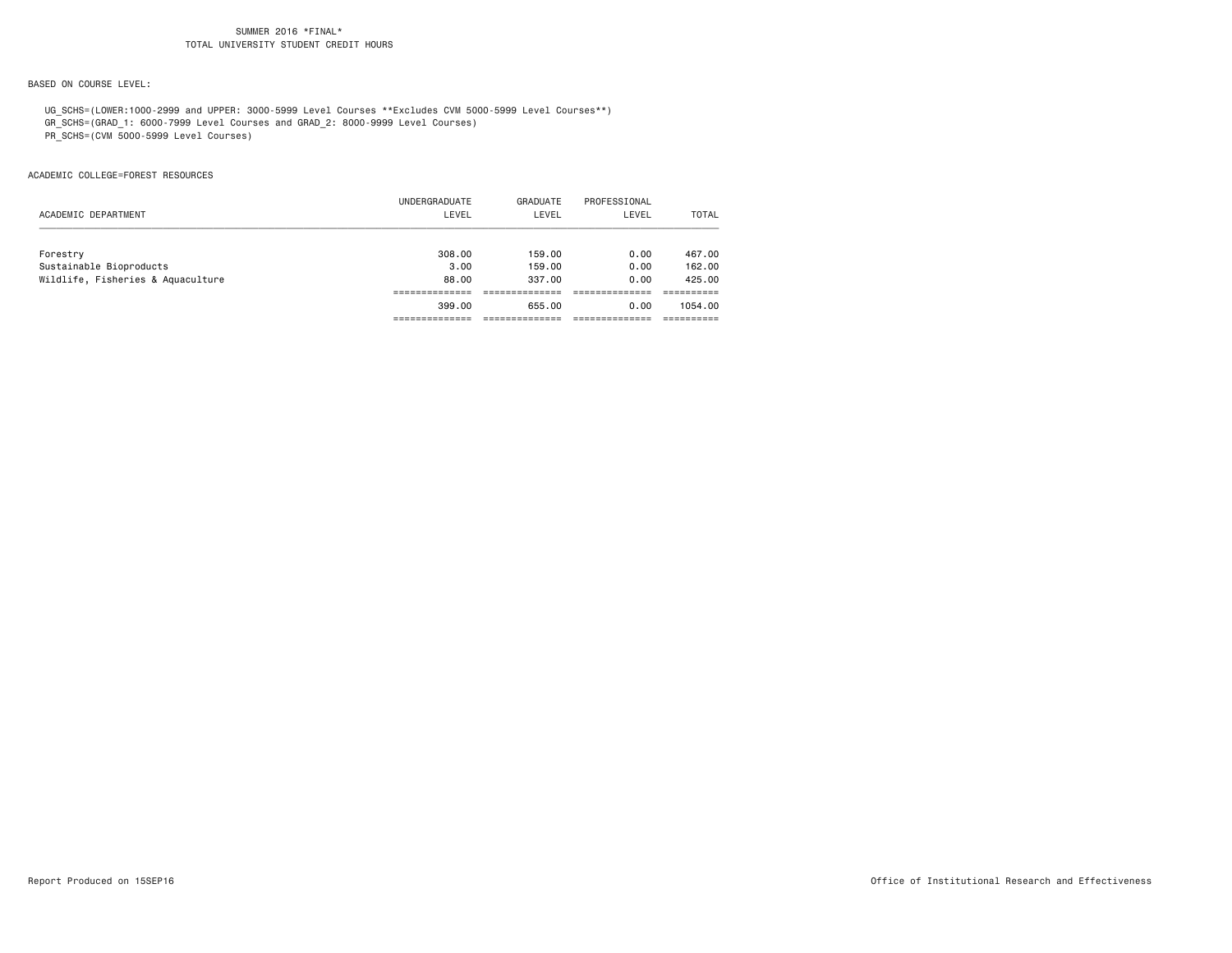# BASED ON COURSE LEVEL:

UG\_SCHS=(LOWER:1000-2999 and UPPER: 3000-5999 Level Courses \*\*Excludes CVM 5000-5999 Level Courses\*\*)

GR\_SCHS=(GRAD\_1: 6000-7999 Level Courses and GRAD\_2: 8000-9999 Level Courses)

PR\_SCHS=(CVM 5000-5999 Level Courses)

## ACADEMIC COLLEGE=FOREST RESOURCES

|                                   | UNDERGRADUATE | GRADUATE | PROFESSIONAL |              |
|-----------------------------------|---------------|----------|--------------|--------------|
| ACADEMIC DEPARTMENT               | LEVEL         | LEVEL    | LEVEL        | <b>TOTAL</b> |
|                                   |               |          |              |              |
| Forestry                          | 308,00        | 159,00   | 0.00         | 467.00       |
| Sustainable Bioproducts           | 3.00          | 159,00   | 0.00         | 162.00       |
| Wildlife, Fisheries & Aquaculture | 88.00         | 337,00   | 0.00         | 425,00       |
|                                   |               |          |              |              |
|                                   | 399.00        | 655.00   | 0.00         | 1054.00      |
|                                   |               |          |              |              |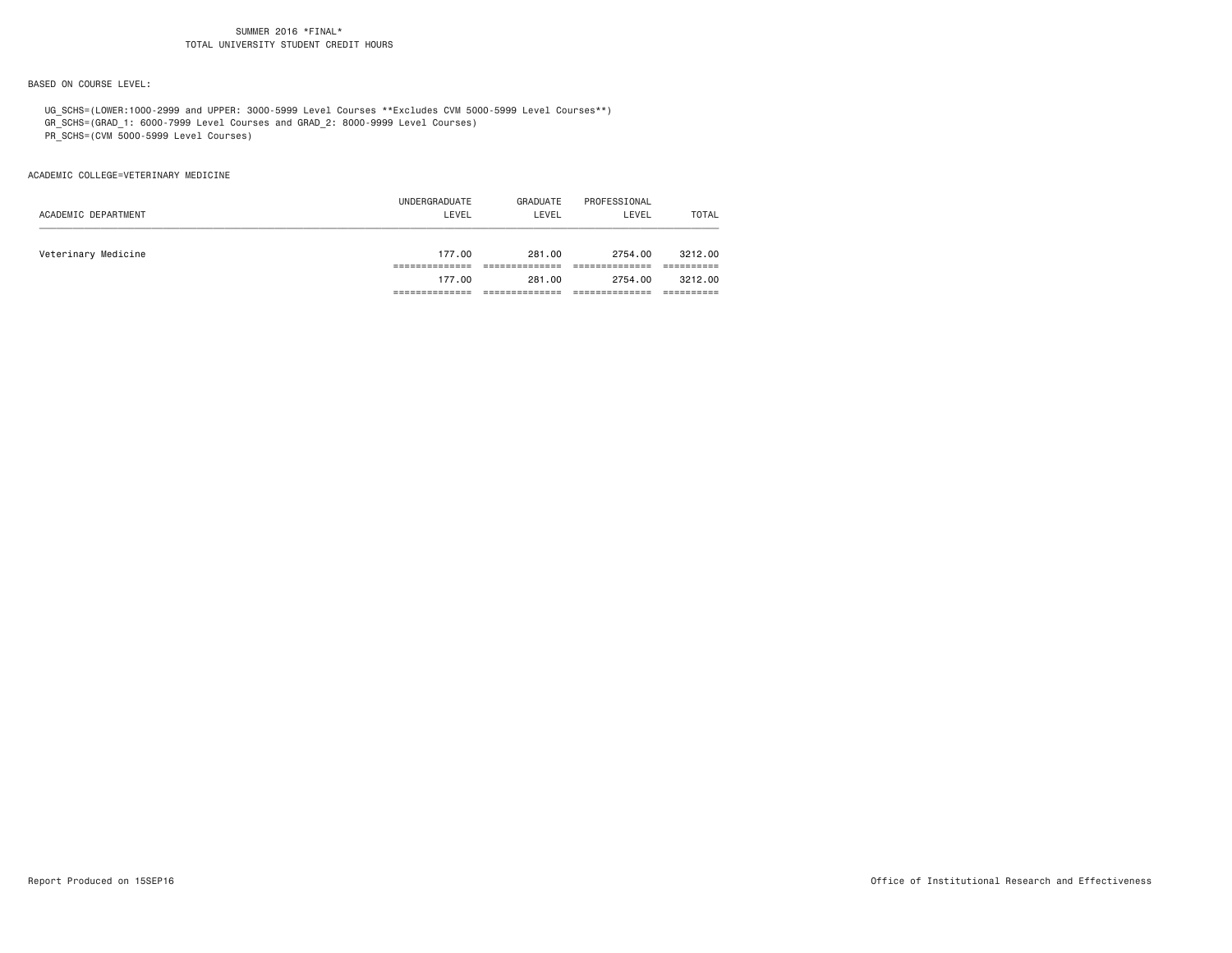# BASED ON COURSE LEVEL:

UG\_SCHS=(LOWER:1000-2999 and UPPER: 3000-5999 Level Courses \*\*Excludes CVM 5000-5999 Level Courses\*\*)

GR\_SCHS=(GRAD\_1: 6000-7999 Level Courses and GRAD\_2: 8000-9999 Level Courses)

PR\_SCHS=(CVM 5000-5999 Level Courses)

## ACADEMIC COLLEGE=VETERINARY MEDICINE

|                     | UNDERGRADUATE | GRADUATE | PROFESSIONAL |              |
|---------------------|---------------|----------|--------------|--------------|
| ACADEMIC DEPARTMENT | LEVEL         | LEVEL    | LEVEL        | <b>TOTAL</b> |
|                     |               |          |              |              |
| Veterinary Medicine | 177.00        | 281.00   | 2754.00      | 3212.00      |
|                     |               |          |              |              |
|                     | 177.00        | 281.00   | 2754.00      | 3212.00      |
|                     |               |          |              |              |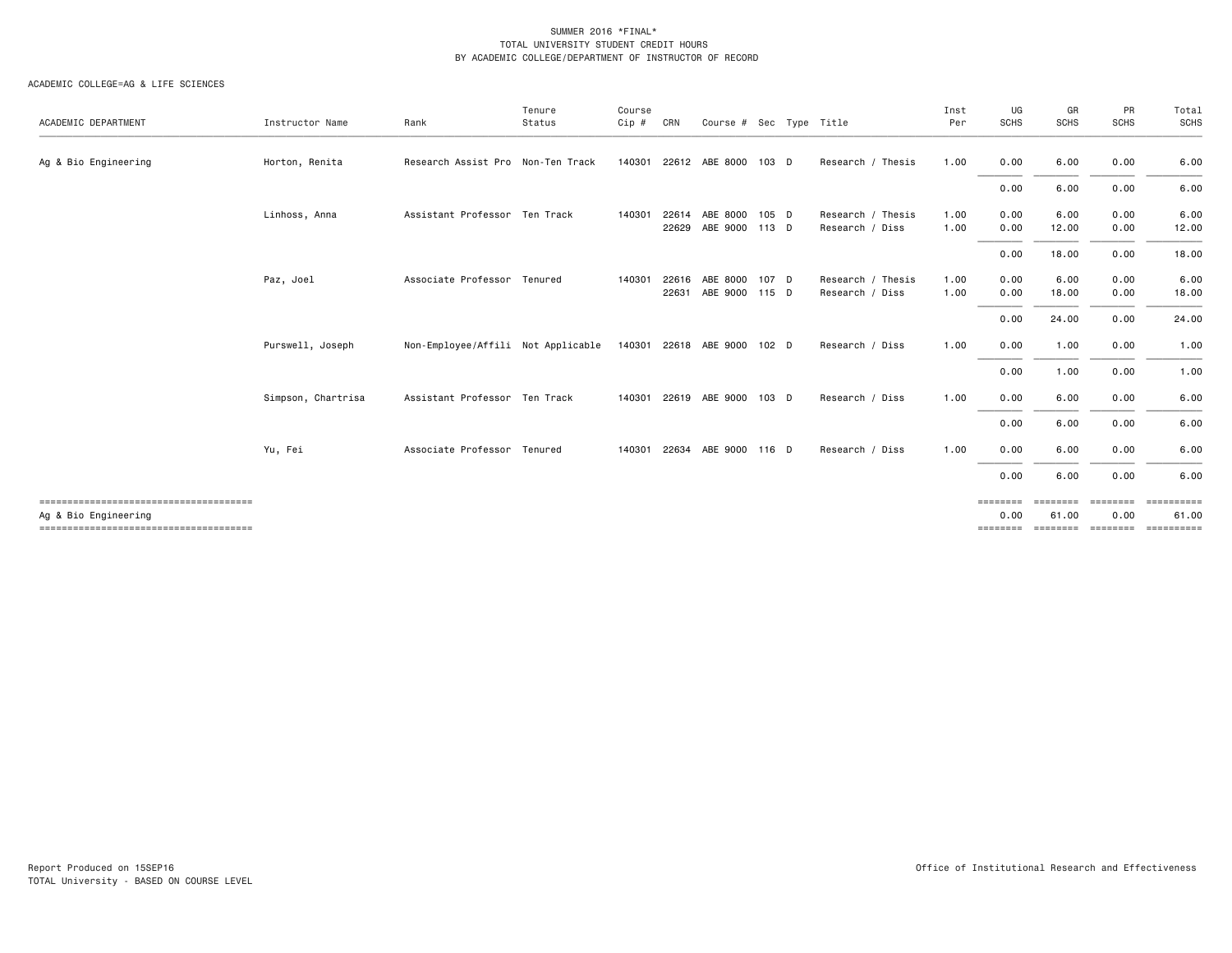| ACADEMIC DEPARTMENT  | Instructor Name    | Rank                               | Tenure<br>Status | Course<br>Cip # | CRN   | Course # Sec Type Title          |         |                                      | Inst<br>Per  | UG<br><b>SCHS</b>            | GR<br>SCHS                          | PR<br>SCHS                   | Total<br>SCHS                            |
|----------------------|--------------------|------------------------------------|------------------|-----------------|-------|----------------------------------|---------|--------------------------------------|--------------|------------------------------|-------------------------------------|------------------------------|------------------------------------------|
| Ag & Bio Engineering | Horton, Renita     | Research Assist Pro Non-Ten Track  |                  |                 |       | 140301 22612 ABE 8000            | 103 D   | Research / Thesis                    | 1.00         | 0.00                         | 6.00                                | 0.00                         | 6.00                                     |
|                      |                    |                                    |                  |                 |       |                                  |         |                                      |              | 0.00                         | 6.00                                | 0.00                         | 6.00                                     |
|                      | Linhoss, Anna      | Assistant Professor Ten Track      |                  | 140301          | 22629 | 22614 ABE 8000<br>ABE 9000 113 D | $105$ D | Research / Thesis<br>Research / Diss | 1.00<br>1.00 | 0.00<br>0.00                 | 6.00<br>12.00                       | 0.00<br>0.00                 | 6.00<br>12.00                            |
|                      |                    |                                    |                  |                 |       |                                  |         |                                      |              | 0.00                         | 18.00                               | 0.00                         | 18.00                                    |
|                      | Paz, Joel          | Associate Professor Tenured        |                  | 140301          | 22616 | ABE 8000<br>22631 ABE 9000 115 D | 107 D   | Research / Thesis<br>Research / Diss | 1.00<br>1.00 | 0.00<br>0.00                 | 6.00<br>18.00                       | 0.00<br>0.00                 | 6.00<br>18.00                            |
|                      |                    |                                    |                  |                 |       |                                  |         |                                      |              | 0.00                         | 24.00                               | 0.00                         | 24.00                                    |
|                      | Purswell, Joseph   | Non-Employee/Affili Not Applicable |                  |                 |       | 140301 22618 ABE 9000 102 D      |         | Research / Diss                      | 1.00         | 0.00                         | 1.00                                | 0.00                         | 1.00                                     |
|                      |                    |                                    |                  |                 |       |                                  |         |                                      |              | 0.00                         | 1.00                                | 0.00                         | 1.00                                     |
|                      | Simpson, Chartrisa | Assistant Professor Ten Track      |                  |                 |       | 140301 22619 ABE 9000            | $103$ D | Research / Diss                      | 1.00         | 0.00                         | 6.00                                | 0.00                         | 6.00                                     |
|                      |                    |                                    |                  |                 |       |                                  |         |                                      |              | 0.00                         | 6.00                                | 0.00                         | 6.00                                     |
|                      | Yu, Fei            | Associate Professor Tenured        |                  | 140301          |       | 22634 ABE 9000                   | 116 D   | Research / Diss                      | 1.00         | 0.00                         | 6.00                                | 0.00                         | 6.00                                     |
|                      |                    |                                    |                  |                 |       |                                  |         |                                      |              | 0.00                         | 6.00                                | 0.00                         | 6.00                                     |
| Ag & Bio Engineering |                    |                                    |                  |                 |       |                                  |         |                                      |              | ========<br>0.00<br>======== | <b>EBBEREE</b><br>61.00<br>======== | ========<br>0.00<br>======== | <b>Concoccode</b><br>61.00<br>========== |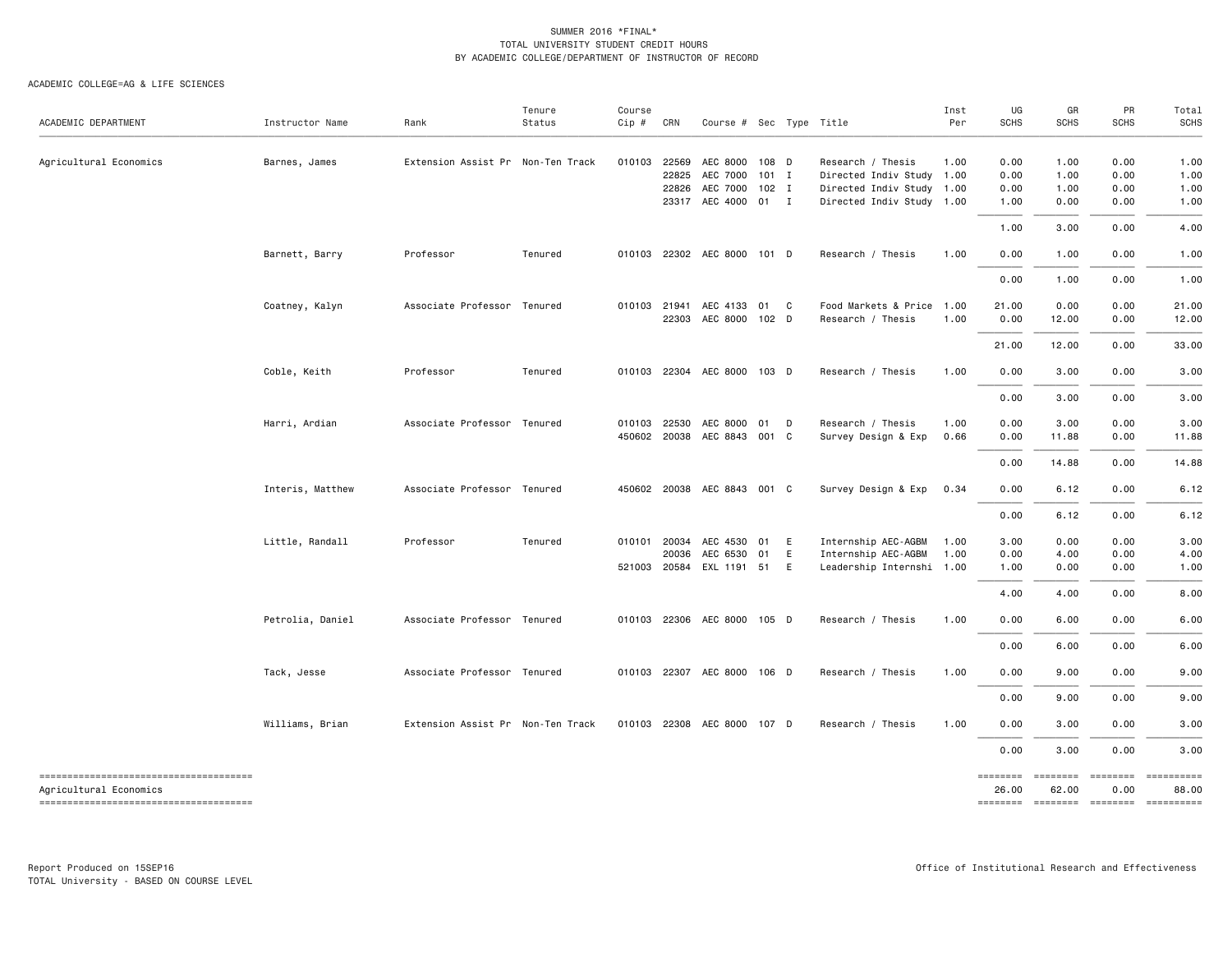| ACADEMIC DEPARTMENT                    | Instructor Name  | Rank                              | Tenure<br>Status | Course<br>Cip # | CRN   | Course # Sec Type Title     |       |   |                           | Inst<br>Per | UG<br><b>SCHS</b> | GR<br><b>SCHS</b> | PR<br><b>SCHS</b> | Total<br><b>SCHS</b>                |
|----------------------------------------|------------------|-----------------------------------|------------------|-----------------|-------|-----------------------------|-------|---|---------------------------|-------------|-------------------|-------------------|-------------------|-------------------------------------|
|                                        |                  |                                   |                  |                 |       |                             |       |   |                           |             |                   |                   |                   |                                     |
| Agricultural Economics                 | Barnes, James    | Extension Assist Pr Non-Ten Track |                  | 010103          | 22569 | AEC 8000 108 D              |       |   | Research / Thesis         | 1.00        | 0.00              | 1.00              | 0.00              | 1.00                                |
|                                        |                  |                                   |                  |                 | 22825 | AEC 7000                    | 101 I |   | Directed Indiv Study 1.00 |             | 0.00              | 1.00              | 0.00              | 1.00                                |
|                                        |                  |                                   |                  |                 |       | 22826 AEC 7000 102 I        |       |   | Directed Indiv Study 1.00 |             | 0.00              | 1.00              | 0.00              | 1.00                                |
|                                        |                  |                                   |                  |                 |       | 23317 AEC 4000 01 I         |       |   | Directed Indiv Study 1.00 |             | 1.00              | 0.00              | 0.00              | 1.00                                |
|                                        |                  |                                   |                  |                 |       |                             |       |   |                           |             | 1.00              | 3.00              | 0.00              | 4.00                                |
|                                        | Barnett, Barry   | Professor                         | Tenured          |                 |       | 010103 22302 AEC 8000 101 D |       |   | Research / Thesis         | 1.00        | 0.00              | 1.00              | 0.00              | 1.00                                |
|                                        |                  |                                   |                  |                 |       |                             |       |   |                           |             | 0.00              | 1.00              | 0.00              | 1.00                                |
|                                        | Coatney, Kalyn   | Associate Professor Tenured       |                  | 010103 21941    |       | AEC 4133 01 C               |       |   | Food Markets & Price 1.00 |             | 21.00             | 0.00              | 0.00              | 21.00                               |
|                                        |                  |                                   |                  |                 | 22303 | AEC 8000                    | 102 D |   | Research / Thesis         | 1.00        | 0.00              | 12.00             | 0.00              | 12.00                               |
|                                        |                  |                                   |                  |                 |       |                             |       |   |                           |             | 21.00             | 12.00             | 0.00              | 33.00                               |
|                                        | Coble, Keith     | Professor                         | Tenured          | 010103          |       | 22304 AEC 8000 103 D        |       |   | Research / Thesis         | 1.00        | 0.00              | 3.00              | 0.00              | 3.00                                |
|                                        |                  |                                   |                  |                 |       |                             |       |   |                           |             | 0.00              | 3.00              | 0.00              | 3.00                                |
|                                        | Harri, Ardian    | Associate Professor Tenured       |                  | 010103          | 22530 | AEC 8000                    | 01    | D | Research / Thesis         | 1.00        | 0.00              | 3.00              | 0.00              | 3.00                                |
|                                        |                  |                                   |                  | 450602          |       | 20038 AEC 8843 001 C        |       |   | Survey Design & Exp       | 0.66        | 0.00              | 11.88             | 0.00              | 11.88                               |
|                                        |                  |                                   |                  |                 |       |                             |       |   |                           |             | 0.00              | 14.88             | 0.00              | 14.88                               |
|                                        | Interis, Matthew | Associate Professor Tenured       |                  |                 |       | 450602 20038 AEC 8843 001 C |       |   | Survey Design & Exp       | 0.34        | 0.00              | 6.12              | 0.00              | 6.12                                |
|                                        |                  |                                   |                  |                 |       |                             |       |   |                           |             | 0.00              | 6.12              | 0.00              | 6.12                                |
|                                        | Little, Randall  | Professor                         | Tenured          | 010101          | 20034 | AEC 4530                    | 01    | E | Internship AEC-AGBM       | 1.00        | 3.00              | 0.00              | 0.00              | 3.00                                |
|                                        |                  |                                   |                  |                 | 20036 | AEC 6530 01                 |       | E | Internship AEC-AGBM       | 1.00        | 0.00              | 4.00              | 0.00              | 4.00                                |
|                                        |                  |                                   |                  |                 |       | 521003 20584 EXL 1191 51 E  |       |   | Leadership Internshi 1.00 |             | 1.00              | 0.00              | 0.00              | 1.00                                |
|                                        |                  |                                   |                  |                 |       |                             |       |   |                           |             | 4.00              | 4.00              | 0.00              | 8.00                                |
|                                        | Petrolia, Daniel | Associate Professor Tenured       |                  | 010103          |       | 22306 AEC 8000 105 D        |       |   | Research / Thesis         | 1.00        | 0.00              | 6.00              | 0.00              | 6.00                                |
|                                        |                  |                                   |                  |                 |       |                             |       |   |                           |             | 0.00              | 6.00              | 0.00              | 6.00                                |
|                                        | Tack, Jesse      | Associate Professor Tenured       |                  | 010103          |       | 22307 AEC 8000 106 D        |       |   | Research / Thesis         | 1.00        | 0.00              | 9.00              | 0.00              | 9.00                                |
|                                        |                  |                                   |                  |                 |       |                             |       |   |                           |             | 0.00              | 9.00              | 0.00              | 9.00                                |
|                                        | Williams, Brian  | Extension Assist Pr Non-Ten Track |                  | 010103          |       | 22308 AEC 8000 107 D        |       |   | Research / Thesis         | 1.00        | 0.00              | 3.00              | 0.00              | 3.00                                |
|                                        |                  |                                   |                  |                 |       |                             |       |   |                           |             | 0.00              | 3.00              | 0.00              | 3.00                                |
| -------------------------------------  |                  |                                   |                  |                 |       |                             |       |   |                           |             | <b>EEEEEEE</b>    | ========          | <b>EEEEEEE</b>    | ==========                          |
| Agricultural Economics                 |                  |                                   |                  |                 |       |                             |       |   |                           |             | 26.00             | 62.00             | 0.00              | 88.00                               |
| -------------------------------------- |                  |                                   |                  |                 |       |                             |       |   |                           |             |                   |                   |                   | -------- ------- -------- --------- |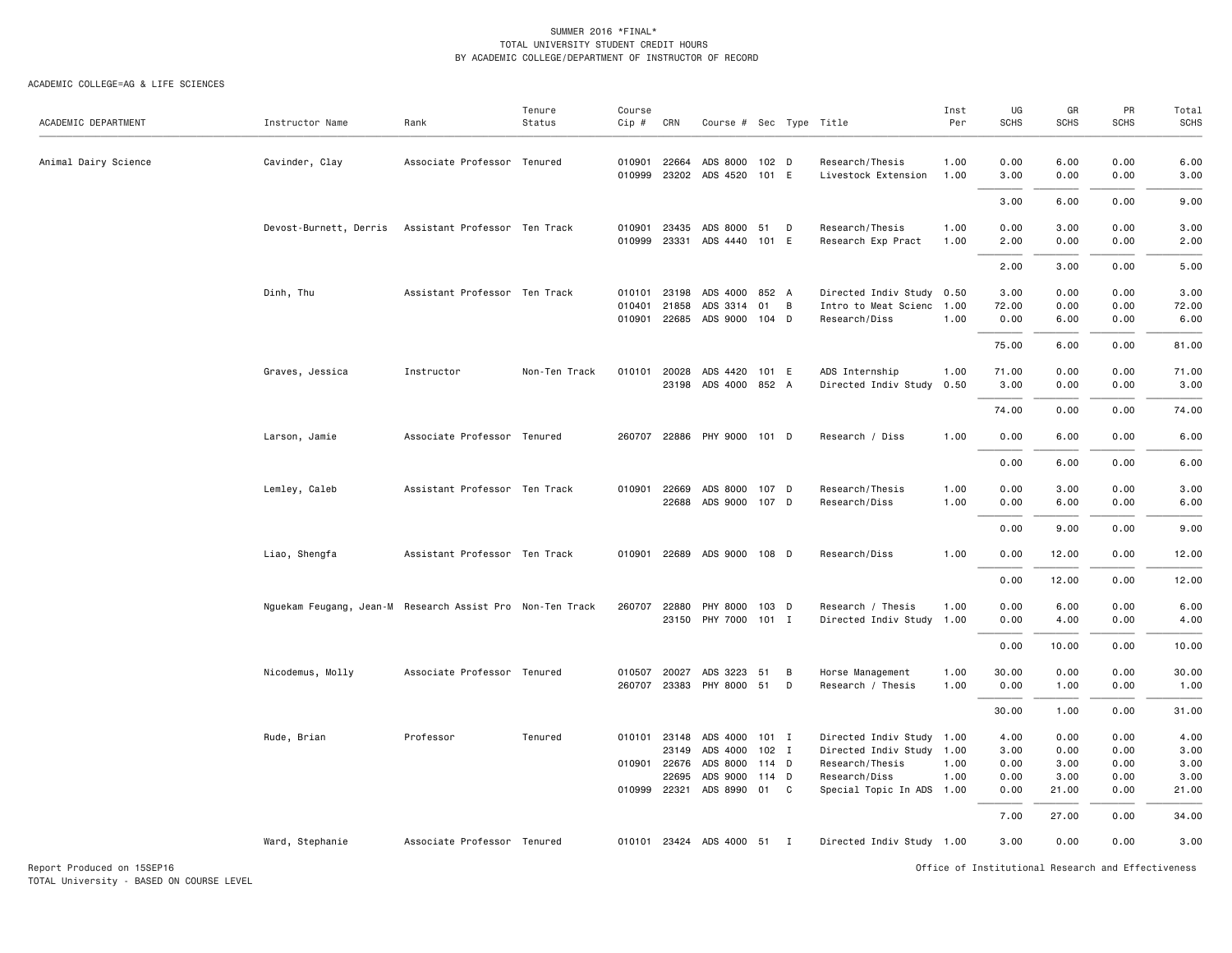#### ACADEMIC COLLEGE=AG & LIFE SCIENCES

| ACADEMIC DEPARTMENT  | Instructor Name                                           | Rank                          | Tenure<br>Status | Course<br>Cip #            | CRN                                                     | Course # Sec Type Title                                     |                                    |        |                                                                                                                         | Inst<br>Per  | UG<br><b>SCHS</b>                    | GR<br><b>SCHS</b>                     | PR<br><b>SCHS</b>                    | Total<br>SCHS                         |
|----------------------|-----------------------------------------------------------|-------------------------------|------------------|----------------------------|---------------------------------------------------------|-------------------------------------------------------------|------------------------------------|--------|-------------------------------------------------------------------------------------------------------------------------|--------------|--------------------------------------|---------------------------------------|--------------------------------------|---------------------------------------|
| Animal Dairy Science | Cavinder, Clay                                            | Associate Professor Tenured   |                  | 010999                     | 010901 22664<br>23202                                   | ADS 8000 102 D<br>ADS 4520                                  | 101 E                              |        | Research/Thesis<br>Livestock Extension                                                                                  | 1.00<br>1.00 | 0.00<br>3.00                         | 6.00<br>0.00                          | 0.00<br>0.00                         | 6.00<br>3.00                          |
|                      |                                                           |                               |                  |                            |                                                         |                                                             |                                    |        |                                                                                                                         |              | 3.00                                 | 6.00                                  | 0.00                                 | 9.00                                  |
|                      | Devost-Burnett, Derris Assistant Professor Ten Track      |                               |                  | 010901<br>010999           | 23435<br>23331                                          | ADS 8000 51<br>ADS 4440                                     | 101 E                              | D      | Research/Thesis<br>Research Exp Pract                                                                                   | 1.00<br>1.00 | 0.00<br>2.00                         | 3.00<br>0.00                          | 0.00<br>0.00                         | 3.00<br>2.00                          |
|                      |                                                           |                               |                  |                            |                                                         |                                                             |                                    |        |                                                                                                                         |              | 2.00                                 | 3.00                                  | 0.00                                 | 5.00                                  |
|                      | Dinh, Thu                                                 | Assistant Professor Ten Track |                  | 010101<br>010401<br>010901 | 23198<br>21858<br>22685                                 | ADS 4000<br>ADS 3314<br>ADS 9000 104 D                      | 852 A<br>01                        | B      | Directed Indiv Study 0.50<br>Intro to Meat Scienc 1.00<br>Research/Diss                                                 | 1.00         | 3.00<br>72.00<br>0.00                | 0.00<br>0.00<br>6.00                  | 0.00<br>0.00<br>0.00                 | 3.00<br>72.00<br>6.00                 |
|                      |                                                           |                               |                  |                            |                                                         |                                                             |                                    |        |                                                                                                                         |              | 75.00                                | 6.00                                  | 0.00                                 | 81.00                                 |
|                      | Graves, Jessica                                           | Instructor                    | Non-Ten Track    | 010101                     | 20028<br>23198                                          | ADS 4420 101 E<br>ADS 4000 852 A                            |                                    |        | ADS Internship<br>Directed Indiv Study 0.50                                                                             | 1.00         | 71.00<br>3.00                        | 0.00<br>0.00                          | 0.00<br>0.00                         | 71.00<br>3.00                         |
|                      | Larson, Jamie                                             | Associate Professor Tenured   |                  | 260707                     |                                                         | 22886 PHY 9000 101 D                                        |                                    |        | Research / Diss                                                                                                         | 1.00         | 74.00<br>0.00                        | 0.00<br>6.00                          | 0.00<br>0.00                         | 74.00<br>6.00                         |
|                      |                                                           |                               |                  |                            |                                                         |                                                             |                                    |        |                                                                                                                         |              | 0.00                                 | 6.00                                  | 0.00                                 | 6.00                                  |
|                      | Lemley, Caleb                                             | Assistant Professor Ten Track |                  | 010901                     | 22669<br>22688                                          | ADS 8000<br>ADS 9000 107 D                                  | 107 D                              |        | Research/Thesis<br>Research/Diss                                                                                        | 1.00<br>1.00 | 0.00<br>0.00                         | 3.00<br>6.00                          | 0.00<br>0.00                         | 3.00<br>6.00                          |
|                      |                                                           |                               |                  |                            |                                                         |                                                             |                                    |        |                                                                                                                         |              | 0.00                                 | 9.00                                  | 0.00                                 | 9.00                                  |
|                      | Liao, Shengfa                                             | Assistant Professor Ten Track |                  | 010901                     | 22689                                                   | ADS 9000 108 D                                              |                                    |        | Research/Diss                                                                                                           | 1.00         | 0.00                                 | 12.00                                 | 0.00                                 | 12.00                                 |
|                      |                                                           |                               |                  |                            |                                                         |                                                             |                                    |        |                                                                                                                         |              | 0.00                                 | 12.00                                 | 0.00                                 | 12.00                                 |
|                      | Nguekam Feugang, Jean-M Research Assist Pro Non-Ten Track |                               |                  | 260707                     | 22880                                                   | PHY 8000<br>23150 PHY 7000 101 I                            | 103 D                              |        | Research / Thesis<br>Directed Indiv Study 1.00                                                                          | 1.00         | 0.00<br>0.00                         | 6.00<br>4.00                          | 0.00<br>0.00                         | 6.00<br>4.00                          |
|                      |                                                           |                               |                  |                            |                                                         |                                                             |                                    |        |                                                                                                                         |              | 0.00                                 | 10.00                                 | 0.00                                 | 10.00                                 |
|                      | Nicodemus, Molly                                          | Associate Professor Tenured   |                  | 010507<br>260707           | 20027<br>23383                                          | ADS 3223<br>PHY 8000 51                                     | 51                                 | B<br>D | Horse Management<br>Research / Thesis                                                                                   | 1.00<br>1.00 | 30.00<br>0.00                        | 0.00<br>1.00                          | 0.00<br>0.00                         | 30.00<br>1.00                         |
|                      |                                                           |                               |                  |                            |                                                         |                                                             |                                    |        |                                                                                                                         |              | 30.00                                | 1.00                                  | 0.00                                 | 31.00                                 |
|                      | Rude, Brian                                               | Professor                     | Tenured          | 010101                     | 23148<br>23149<br>010901 22676<br>22695<br>010999 22321 | ADS 4000<br>ADS 4000<br>ADS 8000<br>ADS 9000<br>ADS 8990 01 | $101$ I<br>102 I<br>114 D<br>114 D | C.     | Directed Indiv Study 1.00<br>Directed Indiv Study 1.00<br>Research/Thesis<br>Research/Diss<br>Special Topic In ADS 1.00 | 1.00<br>1.00 | 4.00<br>3.00<br>0.00<br>0.00<br>0.00 | 0.00<br>0.00<br>3.00<br>3.00<br>21.00 | 0.00<br>0.00<br>0.00<br>0.00<br>0.00 | 4.00<br>3.00<br>3.00<br>3.00<br>21.00 |
|                      |                                                           |                               |                  |                            |                                                         |                                                             |                                    |        |                                                                                                                         |              | 7.00                                 | 27.00                                 | 0.00                                 | 34.00                                 |
|                      | Ward, Stephanie                                           | Associate Professor Tenured   |                  |                            |                                                         | 010101 23424 ADS 4000 51 I                                  |                                    |        | Directed Indiv Study 1.00                                                                                               |              | 3.00                                 | 0.00                                  | 0.00                                 | 3.00                                  |

Report Produced on 15SEP16 Office of Institutional Research and Effectiveness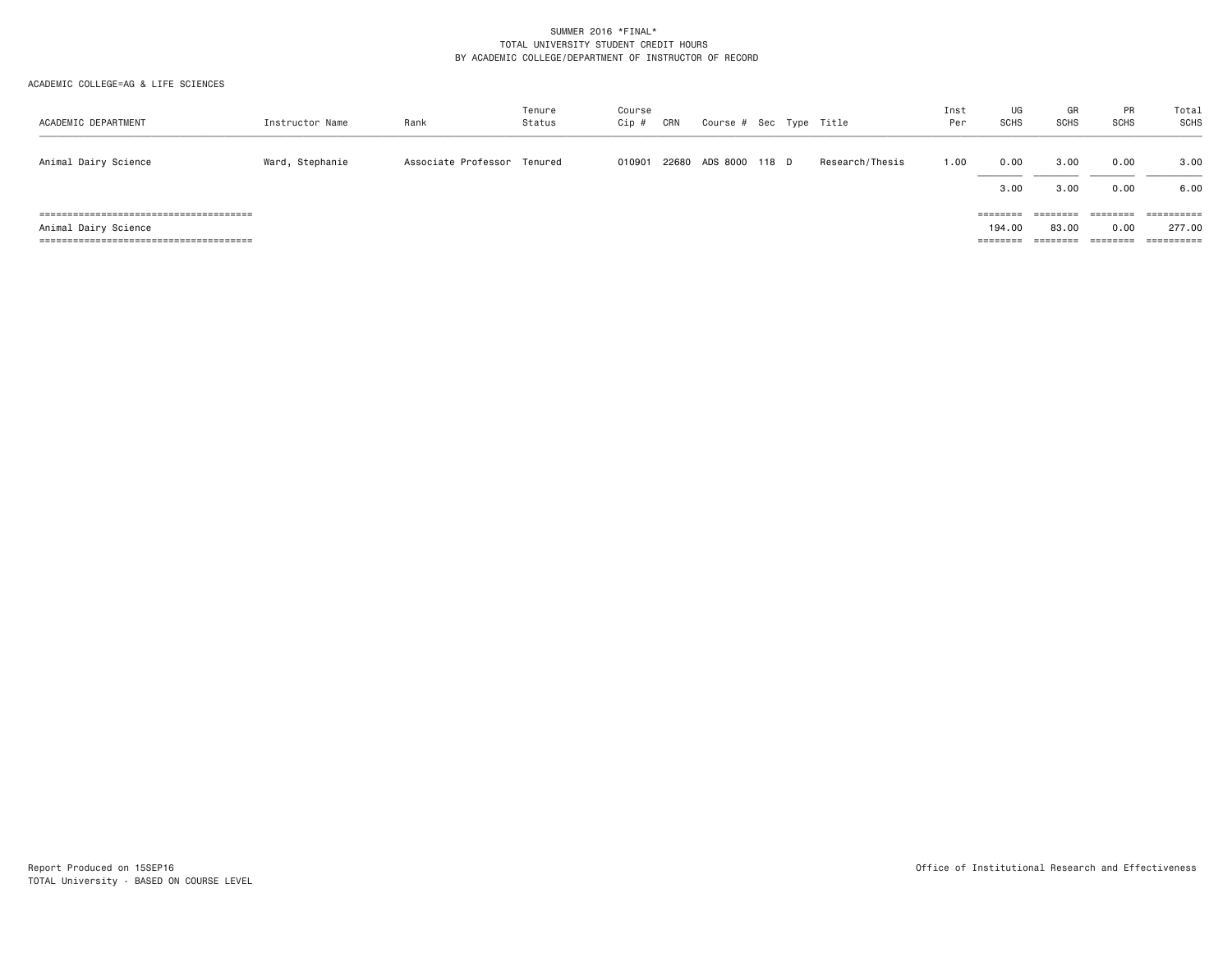| ACADEMIC DEPARTMENT  | Instructor Name | Rank                        | Tenure<br>Status | Course<br>$Cip$ # | CRN | Course # Sec Type Title |  |                 | Inst<br>Per | UG<br><b>SCHS</b>                       | GR<br><b>SCHS</b>             | PR<br><b>SCHS</b>            | Total<br>SCHS        |
|----------------------|-----------------|-----------------------------|------------------|-------------------|-----|-------------------------|--|-----------------|-------------|-----------------------------------------|-------------------------------|------------------------------|----------------------|
| Animal Dairy Science | Ward, Stephanie | Associate Professor Tenured |                  | 010901            |     | 22680 ADS 8000 118 D    |  | Research/Thesis | 1.00        | 0.00<br>3.00                            | 3,00<br>3,00                  | 0.00<br>0.00                 | 3.00<br>6.00         |
| Animal Dairy Science |                 |                             |                  |                   |     |                         |  |                 |             | ========<br>194,00<br>$=$ = = = = = = = | ========<br>83.00<br>======== | --------<br>0.00<br>======== | 277.00<br>========== |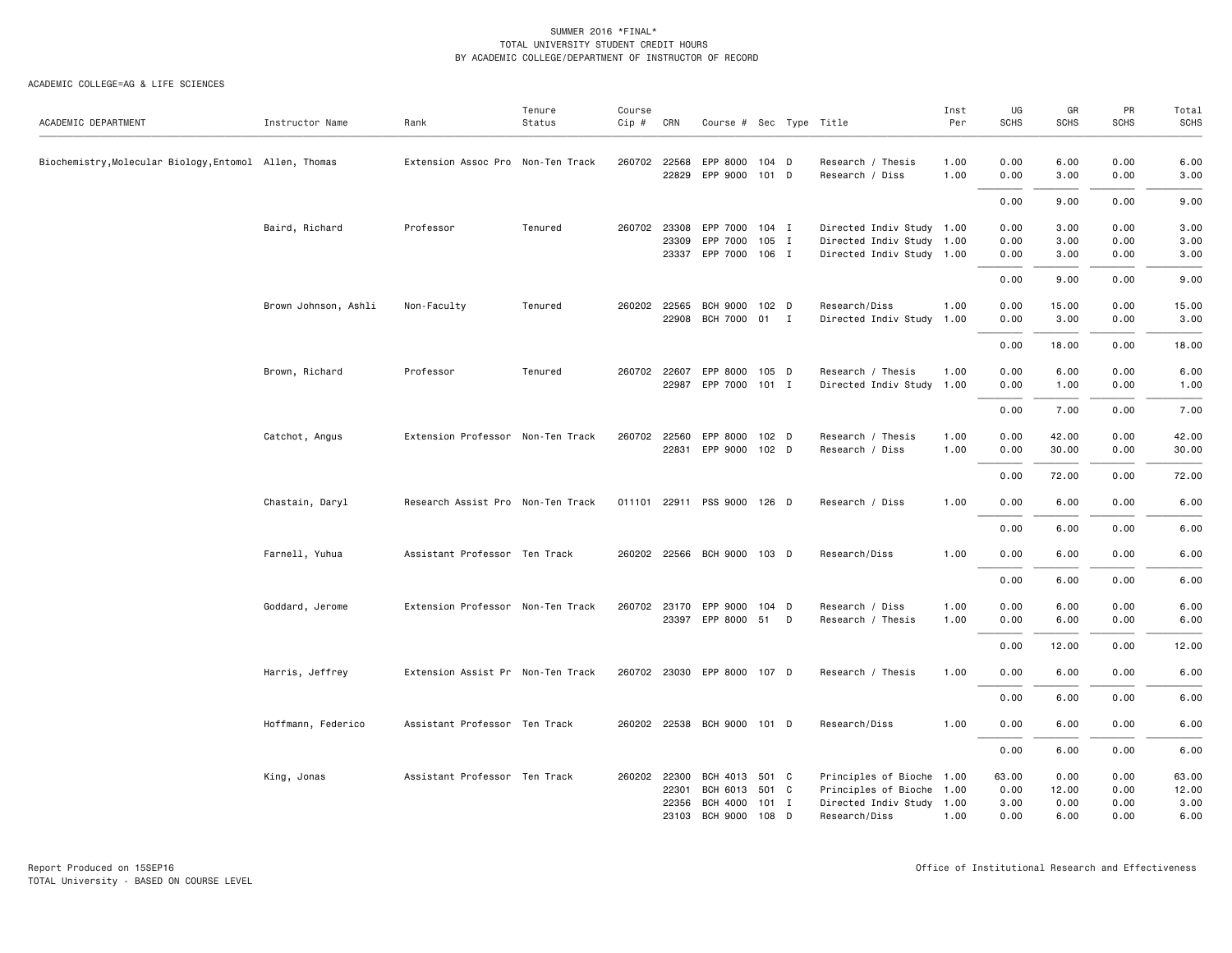| ACADEMIC DEPARTMENT                                    | Instructor Name      | Rank                              | Tenure<br>Status | Course<br>$Cip$ # | CRN          | Course # Sec Type Title     |         |   |                           | Inst<br>Per | UG<br><b>SCHS</b> | GR<br><b>SCHS</b> | PR<br><b>SCHS</b> | Total<br><b>SCHS</b> |
|--------------------------------------------------------|----------------------|-----------------------------------|------------------|-------------------|--------------|-----------------------------|---------|---|---------------------------|-------------|-------------------|-------------------|-------------------|----------------------|
|                                                        |                      |                                   |                  |                   |              |                             |         |   |                           |             |                   |                   |                   |                      |
| Biochemistry, Molecular Biology, Entomol Allen, Thomas |                      | Extension Assoc Pro Non-Ten Track |                  |                   | 260702 22568 | EPP 8000                    | $104$ D |   | Research / Thesis         | 1.00        | 0.00              | 6.00              | 0.00              | 6.00                 |
|                                                        |                      |                                   |                  |                   | 22829        | EPP 9000                    | $101$ D |   | Research / Diss           | 1.00        | 0.00              | 3.00              | 0.00              | 3.00                 |
|                                                        |                      |                                   |                  |                   |              |                             |         |   |                           |             | 0.00              | 9.00              | 0.00              | 9.00                 |
|                                                        | Baird, Richard       | Professor                         | Tenured          |                   |              | 260702 23308 EPP 7000 104 I |         |   | Directed Indiv Study 1.00 |             | 0.00              | 3.00              | 0.00              | 3.00                 |
|                                                        |                      |                                   |                  |                   | 23309        | EPP 7000                    | 105 I   |   | Directed Indiv Study 1.00 |             | 0.00              | 3.00              | 0.00              | 3.00                 |
|                                                        |                      |                                   |                  |                   | 23337        | EPP 7000 106 I              |         |   | Directed Indiv Study 1.00 |             | 0.00              | 3.00              | 0.00              | 3.00                 |
|                                                        |                      |                                   |                  |                   |              |                             |         |   |                           |             | 0.00              | 9.00              | 0.00              | 9.00                 |
|                                                        | Brown Johnson, Ashli | Non-Faculty                       | Tenured          |                   | 260202 22565 | BCH 9000 102 D              |         |   | Research/Diss             | 1.00        | 0.00              | 15.00             | 0.00              | 15.00                |
|                                                        |                      |                                   |                  |                   |              | 22908 BCH 7000 01 I         |         |   | Directed Indiv Study 1.00 |             | 0.00              | 3.00              | 0.00              | 3.00                 |
|                                                        |                      |                                   |                  |                   |              |                             |         |   |                           |             | 0.00              | 18.00             | 0.00              | 18.00                |
|                                                        | Brown, Richard       | Professor                         | Tenured          |                   |              | 260702 22607 EPP 8000 105 D |         |   | Research / Thesis         | 1.00        | 0.00              | 6.00              | 0.00              | 6.00                 |
|                                                        |                      |                                   |                  |                   |              | 22987 EPP 7000 101 I        |         |   | Directed Indiv Study 1.00 |             | 0.00              | 1.00              | 0.00              | 1.00                 |
|                                                        |                      |                                   |                  |                   |              |                             |         |   |                           |             | 0.00              | 7.00              | 0.00              | 7.00                 |
|                                                        | Catchot, Angus       | Extension Professor Non-Ten Track |                  |                   | 260702 22560 | EPP 8000 102 D              |         |   | Research / Thesis         | 1.00        | 0.00              | 42.00             | 0.00              | 42.00                |
|                                                        |                      |                                   |                  |                   |              | 22831 EPP 9000 102 D        |         |   | Research / Diss           | 1.00        | 0.00              | 30.00             | 0.00              | 30.00                |
|                                                        |                      |                                   |                  |                   |              |                             |         |   |                           |             | 0.00              | 72.00             | 0.00              | 72.00                |
|                                                        | Chastain, Daryl      | Research Assist Pro Non-Ten Track |                  |                   |              | 011101 22911 PSS 9000 126 D |         |   | Research / Diss           | 1.00        | 0.00              | 6.00              | 0.00              | 6.00                 |
|                                                        |                      |                                   |                  |                   |              |                             |         |   |                           |             | 0.00              | 6.00              | 0.00              | 6.00                 |
|                                                        | Farnell, Yuhua       | Assistant Professor Ten Track     |                  |                   |              | 260202 22566 BCH 9000 103 D |         |   | Research/Diss             | 1.00        | 0.00              | 6.00              | 0.00              | 6.00                 |
|                                                        |                      |                                   |                  |                   |              |                             |         |   |                           |             | 0.00              | 6.00              | 0.00              | 6.00                 |
|                                                        | Goddard, Jerome      | Extension Professor Non-Ten Track |                  |                   |              | 260702 23170 EPP 9000       | $104$ D |   | Research / Diss           | 1.00        | 0.00              | 6.00              | 0.00              | 6.00                 |
|                                                        |                      |                                   |                  |                   |              | 23397 EPP 8000 51           |         | D | Research / Thesis         | 1.00        | 0.00              | 6.00              | 0.00              | 6.00                 |
|                                                        |                      |                                   |                  |                   |              |                             |         |   |                           |             | 0.00              | 12.00             | 0.00              | 12.00                |
|                                                        | Harris, Jeffrey      | Extension Assist Pr Non-Ten Track |                  |                   |              | 260702 23030 EPP 8000 107 D |         |   | Research / Thesis         | 1.00        | 0.00              | 6.00              | 0.00              | 6.00                 |
|                                                        |                      |                                   |                  |                   |              |                             |         |   |                           |             | 0.00              | 6.00              | 0.00              | 6.00                 |
|                                                        | Hoffmann, Federico   | Assistant Professor Ten Track     |                  |                   |              | 260202 22538 BCH 9000 101 D |         |   | Research/Diss             | 1.00        | 0.00              | 6.00              | 0.00              | 6.00                 |
|                                                        |                      |                                   |                  |                   |              |                             |         |   |                           |             | 0.00              | 6.00              | 0.00              | 6.00                 |
|                                                        | King, Jonas          | Assistant Professor Ten Track     |                  |                   | 260202 22300 | BCH 4013                    | 501 C   |   | Principles of Bioche 1.00 |             | 63.00             | 0.00              | 0.00              | 63.00                |
|                                                        |                      |                                   |                  |                   | 22301        | BCH 6013 501 C              |         |   | Principles of Bioche 1.00 |             | 0.00              | 12.00             | 0.00              | 12.00                |
|                                                        |                      |                                   |                  |                   | 22356        | <b>BCH 4000</b>             | 101 I   |   | Directed Indiv Study 1.00 |             | 3.00              | 0.00              | 0.00              | 3.00                 |
|                                                        |                      |                                   |                  |                   |              | 23103 BCH 9000              | 108 D   |   | Research/Diss             | 1.00        | 0.00              | 6.00              | 0.00              | 6.00                 |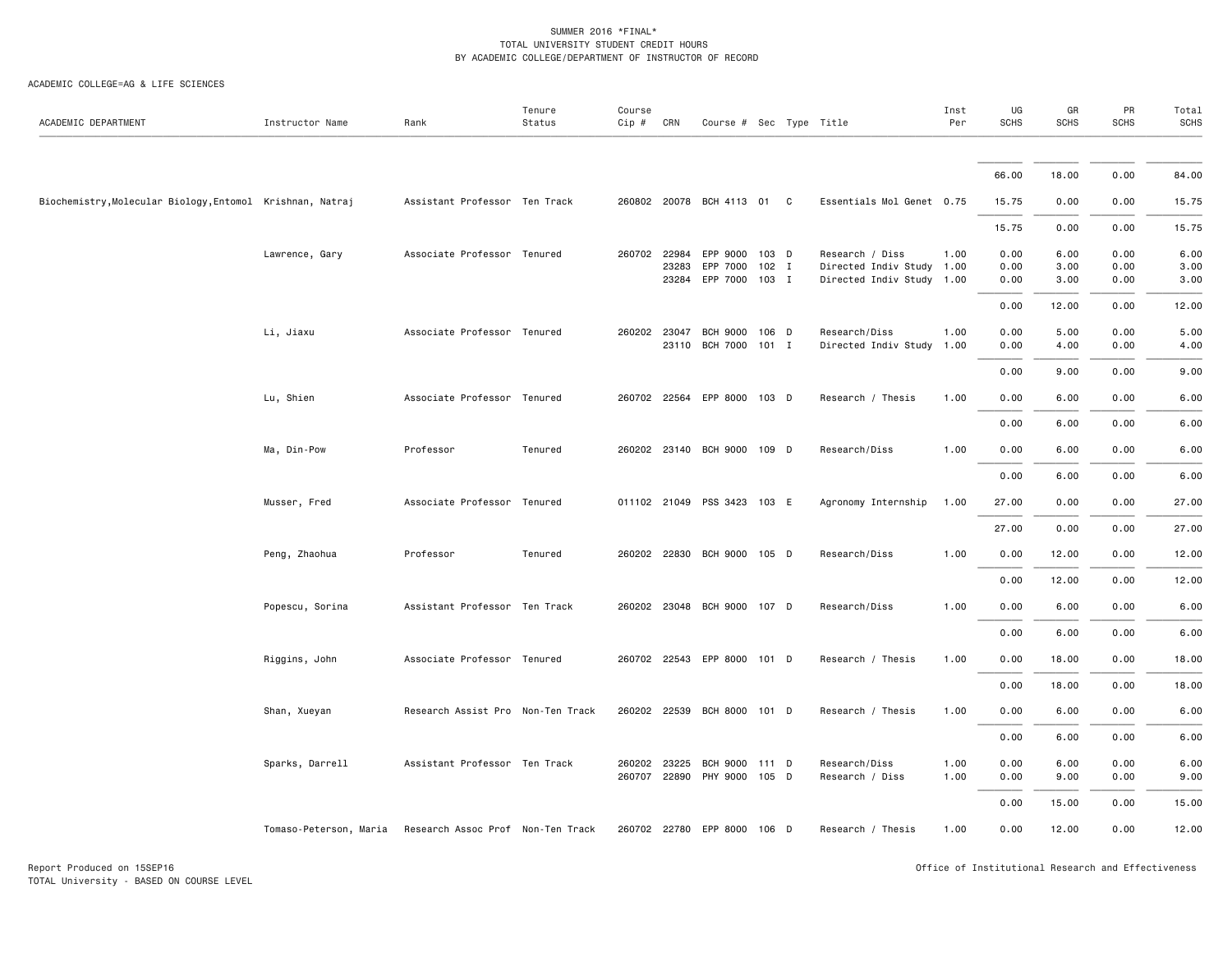| ACADEMIC DEPARTMENT                                       | Instructor Name        | Rank                              | Tenure<br>Status | Course<br>$Cip \#$ | CRN   | Course # Sec Type Title          |         |                                                        | Inst<br>Per | UG<br><b>SCHS</b> | GR<br><b>SCHS</b> | PR<br><b>SCHS</b> | Total<br>SCHS |
|-----------------------------------------------------------|------------------------|-----------------------------------|------------------|--------------------|-------|----------------------------------|---------|--------------------------------------------------------|-------------|-------------------|-------------------|-------------------|---------------|
|                                                           |                        |                                   |                  |                    |       |                                  |         |                                                        |             |                   |                   |                   |               |
|                                                           |                        |                                   |                  |                    |       |                                  |         |                                                        |             | 66.00             | 18.00             | 0.00              | 84.00         |
| Biochemistry, Molecular Biology, Entomol Krishnan, Natraj |                        | Assistant Professor Ten Track     |                  |                    |       | 260802 20078 BCH 4113 01 C       |         | Essentials Mol Genet 0.75                              |             | 15.75             | 0.00              | 0.00              | 15.75         |
|                                                           |                        |                                   |                  |                    |       |                                  |         |                                                        |             | 15.75             | 0.00              | 0.00              | 15.75         |
|                                                           | Lawrence, Gary         | Associate Professor Tenured       |                  | 260702 22984       |       | EPP 9000 103 D                   |         | Research / Diss                                        | 1.00        | 0.00              | 6.00              | 0.00              | 6.00          |
|                                                           |                        |                                   |                  |                    | 23283 | EPP 7000<br>23284 EPP 7000 103 I | $102$ I | Directed Indiv Study 1.00<br>Directed Indiv Study 1.00 |             | 0.00<br>0.00      | 3.00<br>3.00      | 0.00<br>0.00      | 3.00<br>3.00  |
|                                                           |                        |                                   |                  |                    |       |                                  |         |                                                        |             | 0.00              | 12.00             | 0.00              | 12.00         |
|                                                           | Li, Jiaxu              | Associate Professor Tenured       |                  | 260202 23047       |       | BCH 9000 106 D                   |         | Research/Diss                                          | 1.00        | 0.00              | 5.00              | 0.00              | 5.00          |
|                                                           |                        |                                   |                  |                    |       | 23110 BCH 7000 101 I             |         | Directed Indiv Study 1.00                              |             | 0.00              | 4.00              | 0.00              | 4.00          |
|                                                           |                        |                                   |                  |                    |       |                                  |         |                                                        |             | 0.00              | 9.00              | 0.00              | 9.00          |
|                                                           | Lu, Shien              | Associate Professor Tenured       |                  |                    |       | 260702 22564 EPP 8000 103 D      |         | Research / Thesis                                      | 1.00        | 0.00              | 6.00              | 0.00              | 6.00          |
|                                                           |                        |                                   |                  |                    |       |                                  |         |                                                        |             | 0.00              | 6.00              | 0.00              | 6.00          |
|                                                           | Ma, Din-Pow            | Professor                         | Tenured          |                    |       | 260202 23140 BCH 9000 109 D      |         | Research/Diss                                          | 1.00        | 0.00              | 6.00              | 0.00              | 6.00          |
|                                                           |                        |                                   |                  |                    |       |                                  |         |                                                        |             | 0.00              | 6.00              | 0.00              | 6.00          |
|                                                           | Musser, Fred           | Associate Professor Tenured       |                  |                    |       | 011102 21049 PSS 3423 103 E      |         | Agronomy Internship                                    | 1.00        | 27.00             | 0.00              | 0.00              | 27.00         |
|                                                           |                        |                                   |                  |                    |       |                                  |         |                                                        |             | 27.00             | 0.00              | 0.00              | 27.00         |
|                                                           | Peng, Zhaohua          | Professor                         | Tenured          |                    |       | 260202 22830 BCH 9000 105 D      |         | Research/Diss                                          | 1.00        | 0.00              | 12.00             | 0.00              | 12.00         |
|                                                           |                        |                                   |                  |                    |       |                                  |         |                                                        |             | 0.00              | 12.00             | 0.00              | 12.00         |
|                                                           | Popescu, Sorina        | Assistant Professor Ten Track     |                  |                    |       | 260202 23048 BCH 9000 107 D      |         | Research/Diss                                          | 1.00        | 0.00              | 6.00              | 0.00              | 6.00          |
|                                                           |                        |                                   |                  |                    |       |                                  |         |                                                        |             | 0.00              | 6.00              | 0.00              | 6.00          |
|                                                           | Riggins, John          | Associate Professor Tenured       |                  |                    |       | 260702 22543 EPP 8000 101 D      |         | Research / Thesis                                      | 1.00        | 0.00              | 18.00             | 0.00              | 18.00         |
|                                                           |                        |                                   |                  |                    |       |                                  |         |                                                        |             | 0.00              | 18.00             | 0.00              | 18.00         |
|                                                           | Shan, Xueyan           | Research Assist Pro Non-Ten Track |                  |                    |       | 260202 22539 BCH 8000 101 D      |         | Research / Thesis                                      | 1.00        | 0.00              | 6.00              | 0.00              | 6.00          |
|                                                           |                        |                                   |                  |                    |       |                                  |         |                                                        |             | 0.00              | 6.00              | 0.00              | 6.00          |
|                                                           | Sparks, Darrell        | Assistant Professor Ten Track     |                  | 260202 23225       |       | BCH 9000 111 D                   |         | Research/Diss                                          | 1.00        | 0.00              | 6.00              | 0.00              | 6.00          |
|                                                           |                        |                                   |                  |                    |       | 260707 22890 PHY 9000 105 D      |         | Research / Diss                                        | 1.00        | 0.00              | 9.00              | 0.00              | 9.00          |
|                                                           |                        |                                   |                  |                    |       |                                  |         |                                                        |             | 0.00              | 15.00             | 0.00              | 15.00         |
|                                                           | Tomaso-Peterson, Maria | Research Assoc Prof Non-Ten Track |                  |                    |       | 260702 22780 EPP 8000 106 D      |         | Research / Thesis                                      | 1.00        | 0.00              | 12.00             | 0.00              | 12.00         |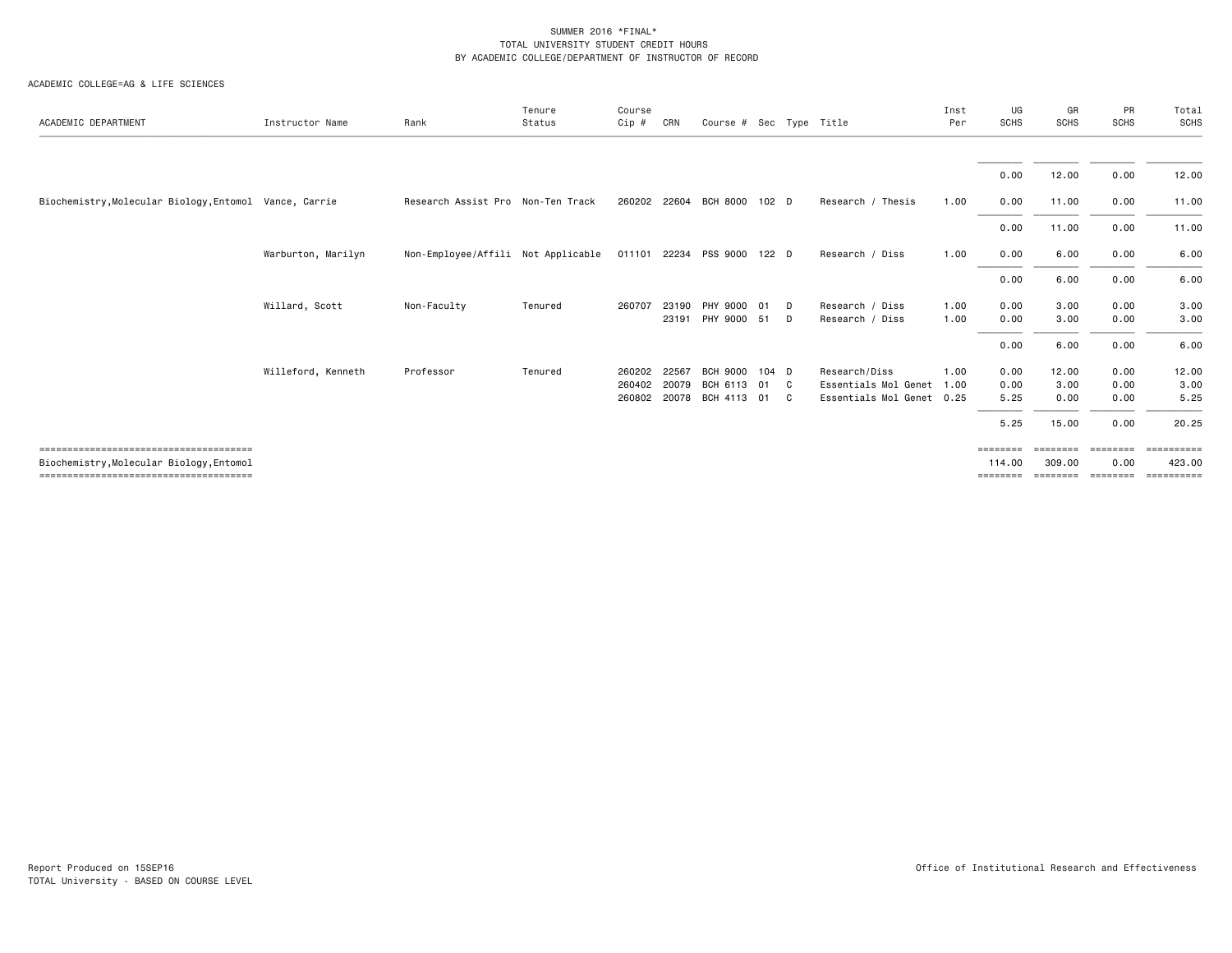| ACADEMIC DEPARTMENT                      | Instructor Name    | Rank                               | Tenure<br>Status | Course<br>Cip # | CRN   | Course # Sec Type Title     |                  |              |                           | Inst<br>Per | UG<br><b>SCHS</b> | GR<br><b>SCHS</b> | PR<br><b>SCHS</b> | Total<br>SCHS    |
|------------------------------------------|--------------------|------------------------------------|------------------|-----------------|-------|-----------------------------|------------------|--------------|---------------------------|-------------|-------------------|-------------------|-------------------|------------------|
|                                          |                    |                                    |                  |                 |       |                             |                  |              |                           |             | 0.00              | 12.00             | 0.00              | 12.00            |
| Biochemistry, Molecular Biology, Entomol | Vance, Carrie      | Research Assist Pro Non-Ten Track  |                  |                 |       | 260202 22604 BCH 8000       | 102 <sub>D</sub> |              | Research / Thesis         | 1.00        | 0.00              | 11.00             | 0.00              | 11.00            |
|                                          |                    |                                    |                  |                 |       |                             |                  |              |                           |             | 0.00              | 11.00             | 0.00              | 11.00            |
|                                          | Warburton, Marilyn | Non-Employee/Affili Not Applicable |                  |                 |       | 011101 22234 PSS 9000 122 D |                  |              | Research / Diss           | 1.00        | 0.00              | 6.00              | 0.00              | 6.00             |
|                                          |                    |                                    |                  |                 |       |                             |                  |              |                           |             | 0.00              | 6.00              | 0.00              | 6.00             |
|                                          | Willard, Scott     | Non-Faculty                        | Tenured          | 260707          | 23190 | PHY 9000                    | 01               | D            | Research / Diss           | 1.00        | 0.00              | 3.00              | 0.00              | 3.00             |
|                                          |                    |                                    |                  |                 | 23191 | PHY 9000                    | 51               | D            | Research / Diss           | 1.00        | 0.00              | 3.00              | 0.00              | 3.00             |
|                                          |                    |                                    |                  |                 |       |                             |                  |              |                           |             | 0.00              | 6.00              | 0.00              | 6.00             |
|                                          | Willeford, Kenneth | Professor                          | Tenured          | 260202          | 22567 | <b>BCH 9000</b>             | $104$ D          |              | Research/Diss             | 1.00        | 0.00              | 12.00             | 0.00              | 12.00            |
|                                          |                    |                                    |                  | 260402          | 20079 | BCH 6113                    | 01               | $\mathbf{C}$ | Essentials Mol Genet      | 1.00        | 0.00              | 3.00              | 0.00              | 3.00             |
|                                          |                    |                                    |                  | 260802          |       | 20078 BCH 4113              | 01               | <b>C</b>     | Essentials Mol Genet 0.25 |             | 5.25              | 0.00              | 0.00              | 5.25             |
|                                          |                    |                                    |                  |                 |       |                             |                  |              |                           |             | 5.25              | 15.00             | 0.00              | 20.25            |
|                                          |                    |                                    |                  |                 |       |                             |                  |              |                           |             | ========          | --------          | <b>EBBEBBBB</b>   | <b>ESSESSESS</b> |
| Biochemistry, Molecular Biology, Entomol |                    |                                    |                  |                 |       |                             |                  |              |                           |             | 114,00            | 309,00            | 0.00              | 423.00           |
|                                          |                    |                                    |                  |                 |       |                             |                  |              |                           |             | ========          |                   | ========          | ==========       |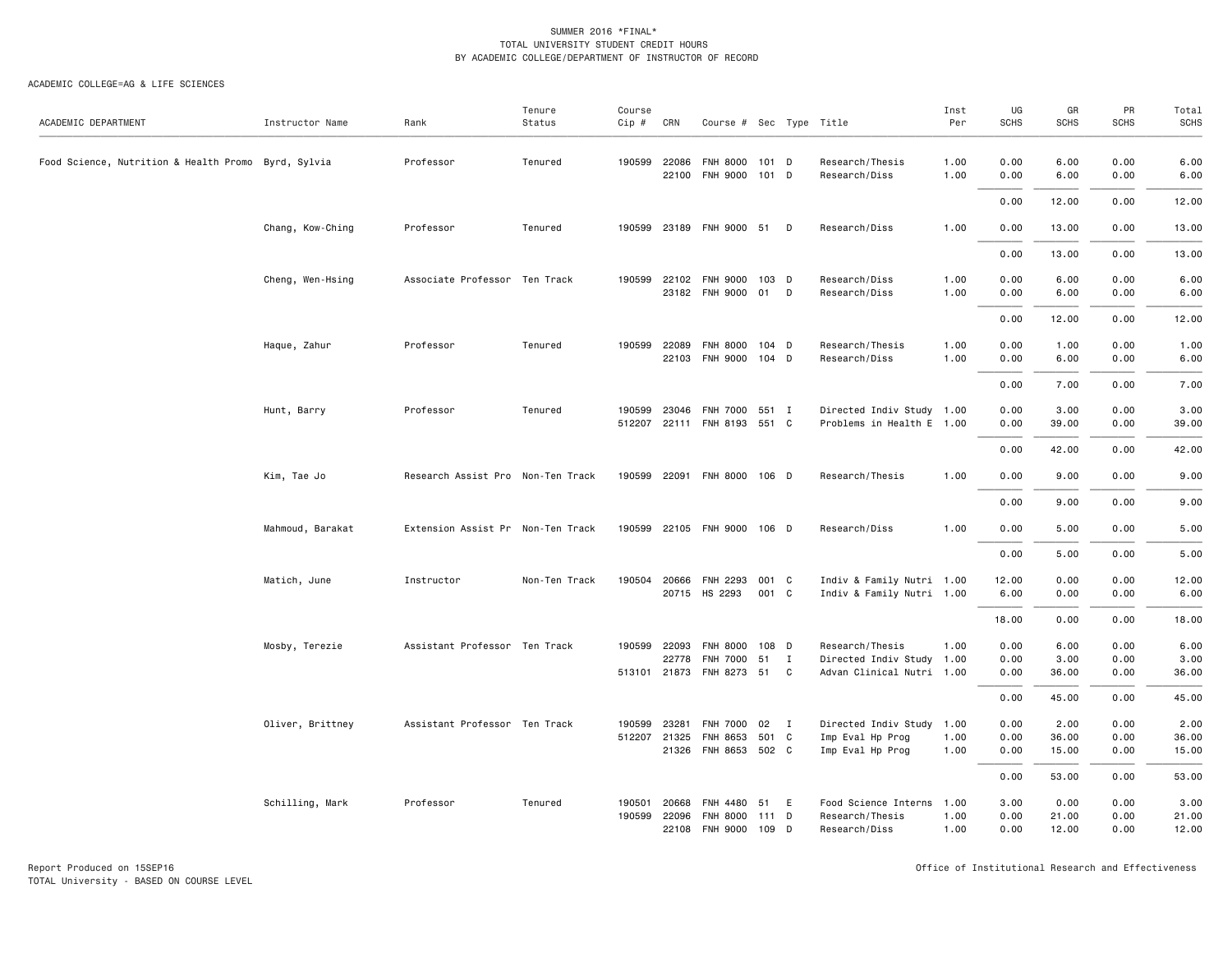| ACADEMIC DEPARTMENT                                 | Instructor Name  | Rank                              | Tenure<br>Status | Course<br>Cip #  | CRN                   | Course # Sec Type Title                                          |                    |        |                                                                           | Inst<br>Per  | UG<br><b>SCHS</b>    | GR<br><b>SCHS</b>      | PR<br>SCHS           | Total<br><b>SCHS</b>   |
|-----------------------------------------------------|------------------|-----------------------------------|------------------|------------------|-----------------------|------------------------------------------------------------------|--------------------|--------|---------------------------------------------------------------------------|--------------|----------------------|------------------------|----------------------|------------------------|
| Food Science, Nutrition & Health Promo Byrd, Sylvia |                  | Professor                         | Tenured          |                  | 190599 22086<br>22100 | <b>FNH 8000</b><br><b>FNH 9000</b>                               | $101$ D<br>101 D   |        | Research/Thesis<br>Research/Diss                                          | 1.00<br>1.00 | 0.00<br>0.00         | 6.00<br>6.00           | 0.00<br>0.00         | 6.00<br>6.00           |
|                                                     |                  |                                   |                  |                  |                       |                                                                  |                    |        |                                                                           |              | 0.00                 | 12.00                  | 0.00                 | 12.00                  |
|                                                     | Chang, Kow-Ching | Professor                         | Tenured          |                  |                       | 190599 23189 FNH 9000 51                                         |                    | D      | Research/Diss                                                             | 1.00         | 0.00                 | 13.00                  | 0.00                 | 13.00                  |
|                                                     |                  |                                   |                  |                  |                       |                                                                  |                    |        |                                                                           |              | 0.00                 | 13.00                  | 0.00                 | 13.00                  |
|                                                     | Cheng, Wen-Hsing | Associate Professor Ten Track     |                  |                  | 190599 22102          | FNH 9000<br>23182 FNH 9000                                       | $103$ D<br>01      | D      | Research/Diss<br>Research/Diss                                            | 1.00<br>1.00 | 0.00<br>0.00         | 6.00<br>6.00           | 0.00<br>0.00         | 6.00<br>6.00           |
|                                                     |                  |                                   |                  |                  |                       |                                                                  |                    |        |                                                                           |              | 0.00                 | 12.00                  | 0.00                 | 12.00                  |
|                                                     | Haque, Zahur     | Professor                         | Tenured          | 190599           | 22089                 | <b>FNH 8000</b><br>22103 FNH 9000 104 D                          | $104$ D            |        | Research/Thesis<br>Research/Diss                                          | 1.00<br>1.00 | 0.00<br>0.00         | 1.00<br>6.00           | 0.00<br>0.00         | 1.00<br>6.00           |
|                                                     |                  |                                   |                  |                  |                       |                                                                  |                    |        |                                                                           |              | 0.00                 | 7.00                   | 0.00                 | 7.00                   |
|                                                     | Hunt, Barry      | Professor                         | Tenured          | 190599           |                       | 23046 FNH 7000 551 I<br>512207 22111 FNH 8193                    | 551 C              |        | Directed Indiv Study 1.00<br>Problems in Health E 1.00                    |              | 0.00<br>0.00         | 3.00<br>39.00          | 0.00<br>0.00         | 3.00<br>39.00          |
|                                                     |                  |                                   |                  |                  |                       |                                                                  |                    |        |                                                                           |              | 0.00                 | 42.00                  | 0.00                 | 42.00                  |
|                                                     | Kim, Tae Jo      | Research Assist Pro Non-Ten Track |                  |                  |                       | 190599 22091 FNH 8000 106 D                                      |                    |        | Research/Thesis                                                           | 1.00         | 0.00                 | 9.00                   | 0.00                 | 9.00                   |
|                                                     |                  |                                   |                  |                  |                       |                                                                  |                    |        |                                                                           |              | 0.00                 | 9.00                   | 0.00                 | 9.00                   |
|                                                     | Mahmoud, Barakat | Extension Assist Pr Non-Ten Track |                  |                  |                       | 190599 22105 FNH 9000 106 D                                      |                    |        | Research/Diss                                                             | 1.00         | 0.00                 | 5.00                   | 0.00                 | 5.00                   |
|                                                     |                  |                                   |                  |                  |                       |                                                                  |                    |        |                                                                           |              | 0.00                 | 5.00                   | 0.00                 | 5.00                   |
|                                                     | Matich, June     | Instructor                        | Non-Ten Track    |                  | 190504 20666          | FNH 2293<br>20715 HS 2293                                        | 001 C<br>001 C     |        | Indiv & Family Nutri 1.00<br>Indiv & Family Nutri 1.00                    |              | 12.00<br>6.00        | 0.00<br>0.00           | 0.00<br>0.00         | 12.00<br>6.00          |
|                                                     |                  |                                   |                  |                  |                       |                                                                  |                    |        |                                                                           |              | 18.00                | 0.00                   | 0.00                 | 18.00                  |
|                                                     | Mosby, Terezie   | Assistant Professor Ten Track     |                  |                  | 190599 22093<br>22778 | <b>FNH 8000</b><br><b>FNH 7000</b><br>513101 21873 FNH 8273 51 C | 108 D<br>51        | I      | Research/Thesis<br>Directed Indiv Study 1.00<br>Advan Clinical Nutri 1.00 | 1.00         | 0.00<br>0.00<br>0.00 | 6.00<br>3.00<br>36.00  | 0.00<br>0.00<br>0.00 | 6.00<br>3.00<br>36.00  |
|                                                     |                  |                                   |                  |                  |                       |                                                                  |                    |        |                                                                           |              | 0.00                 | 45.00                  | 0.00                 | 45.00                  |
|                                                     | Oliver, Brittney | Assistant Professor Ten Track     |                  | 190599           | 23281<br>512207 21325 | FNH 7000 02 I<br>FNH 8653<br>21326 FNH 8653 502 C                | 501 C              |        | Directed Indiv Study 1.00<br>Imp Eval Hp Prog<br>Imp Eval Hp Prog         | 1.00<br>1.00 | 0.00<br>0.00<br>0.00 | 2.00<br>36.00<br>15.00 | 0.00<br>0.00<br>0.00 | 2.00<br>36.00<br>15.00 |
|                                                     |                  |                                   |                  |                  |                       |                                                                  |                    |        |                                                                           |              | 0.00                 | 53.00                  | 0.00                 | 53.00                  |
|                                                     | Schilling, Mark  | Professor                         | Tenured          | 190501<br>190599 | 20668<br>22096        | FNH 4480<br><b>FNH 8000</b><br>22108 FNH 9000                    | 51<br>111<br>109 D | E<br>D | Food Science Interns 1.00<br>Research/Thesis<br>Research/Diss             | 1.00<br>1.00 | 3.00<br>0.00<br>0.00 | 0.00<br>21.00<br>12.00 | 0.00<br>0.00<br>0.00 | 3.00<br>21.00<br>12.00 |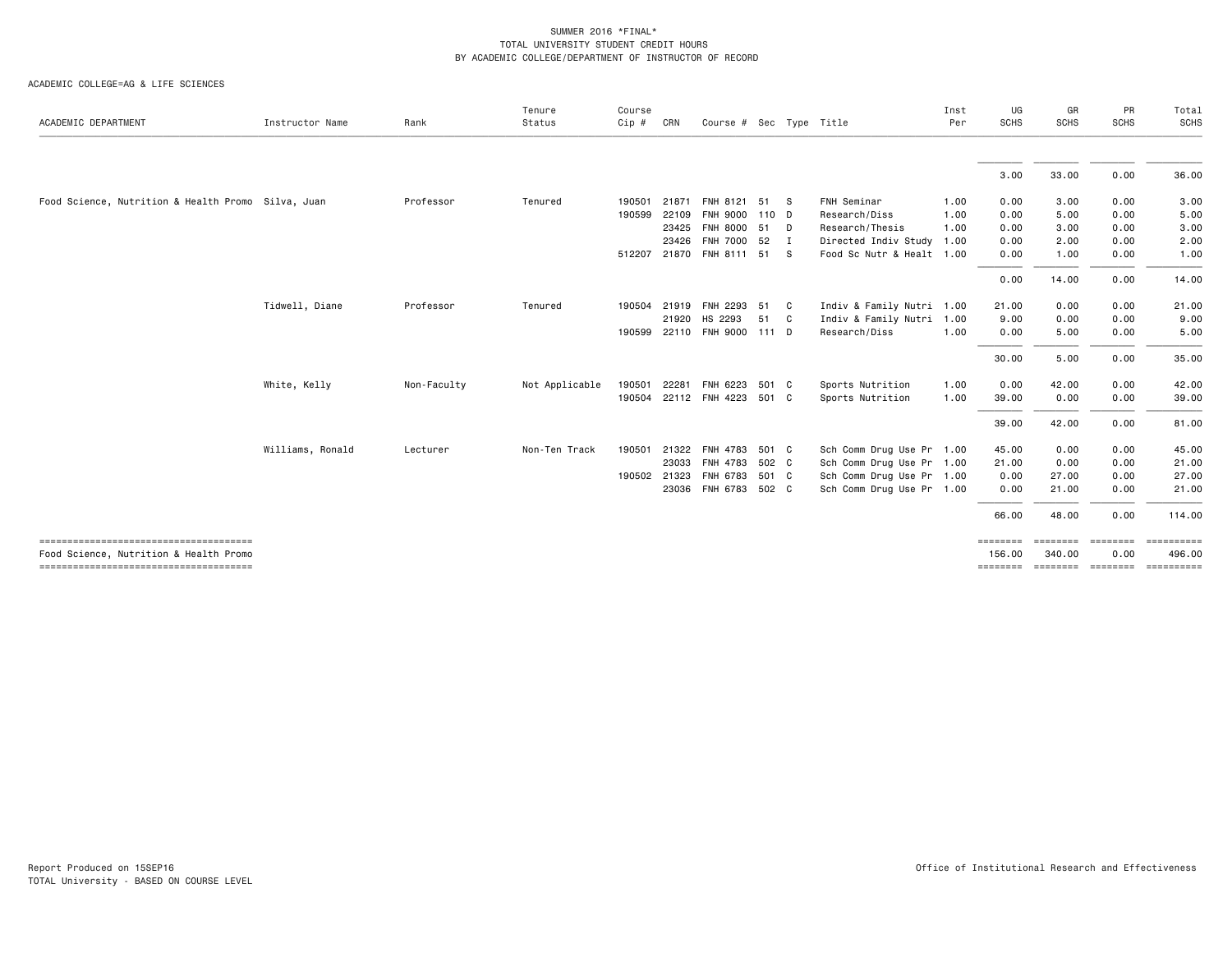|                                                    |                  |             | Tenure         | Course  |       |                             |       |              |                           | Inst | UG                 | GR                         | PR          | Total                |
|----------------------------------------------------|------------------|-------------|----------------|---------|-------|-----------------------------|-------|--------------|---------------------------|------|--------------------|----------------------------|-------------|----------------------|
| ACADEMIC DEPARTMENT                                | Instructor Name  | Rank        | Status         | $Cip$ # | CRN   | Course # Sec Type Title     |       |              |                           | Per  | <b>SCHS</b>        | <b>SCHS</b>                | <b>SCHS</b> | <b>SCHS</b>          |
|                                                    |                  |             |                |         |       |                             |       |              |                           |      | 3.00               | 33.00                      | 0.00        | 36.00                |
|                                                    |                  |             |                |         |       |                             |       |              |                           |      |                    |                            |             |                      |
| Food Science, Nutrition & Health Promo Silva, Juan |                  | Professor   | Tenured        | 190501  | 21871 | FNH 8121 51 S               |       |              | FNH Seminar               | 1.00 | 0.00               | 3.00                       | 0.00        | 3.00                 |
|                                                    |                  |             |                | 190599  | 22109 | FNH 9000 110 D              |       |              | Research/Diss             | 1.00 | 0.00               | 5.00                       | 0.00        | 5.00                 |
|                                                    |                  |             |                |         | 23425 | FNH 8000 51 D               |       |              | Research/Thesis           | 1.00 | 0.00               | 3.00                       | 0.00        | 3.00                 |
|                                                    |                  |             |                |         | 23426 | FNH 7000 52                 |       | $\mathbf{I}$ | Directed Indiv Study 1.00 |      | 0.00               | 2.00                       | 0.00        | 2.00                 |
|                                                    |                  |             |                |         |       | 512207 21870 FNH 8111 51 S  |       |              | Food Sc Nutr & Healt 1.00 |      | 0.00               | 1.00                       | 0.00        | 1.00                 |
|                                                    |                  |             |                |         |       |                             |       |              |                           |      | 0.00               | 14.00                      | 0.00        | 14.00                |
|                                                    | Tidwell, Diane   | Professor   | Tenured        | 190504  |       | 21919 FNH 2293 51           |       | $\mathbf{C}$ | Indiv & Family Nutri 1.00 |      | 21.00              | 0.00                       | 0.00        | 21.00                |
|                                                    |                  |             |                |         | 21920 | HS 2293                     | 51    | C            | Indiv & Family Nutri 1.00 |      | 9.00               | 0.00                       | 0.00        | 9.00                 |
|                                                    |                  |             |                | 190599  |       | 22110 FNH 9000 111 D        |       |              | Research/Diss             | 1.00 | 0.00               | 5.00                       | 0.00        | 5.00                 |
|                                                    |                  |             |                |         |       |                             |       |              |                           |      | 30.00              | 5.00                       | 0.00        | 35.00                |
|                                                    | White, Kelly     | Non-Faculty | Not Applicable | 190501  | 22281 | FNH 6223                    | 501 C |              | Sports Nutrition          | 1.00 | 0.00               | 42.00                      | 0.00        | 42.00                |
|                                                    |                  |             |                |         |       | 190504 22112 FNH 4223 501 C |       |              | Sports Nutrition          | 1.00 | 39.00              | 0.00                       | 0.00        | 39.00                |
|                                                    |                  |             |                |         |       |                             |       |              |                           |      | 39.00              | 42.00                      | 0.00        | 81.00                |
|                                                    | Williams, Ronald | Lecturer    | Non-Ten Track  | 190501  | 21322 | FNH 4783                    | 501 C |              | Sch Comm Drug Use Pr 1.00 |      | 45.00              | 0.00                       | 0.00        | 45.00                |
|                                                    |                  |             |                |         | 23033 | FNH 4783                    | 502 C |              | Sch Comm Drug Use Pr 1.00 |      | 21.00              | 0.00                       | 0.00        | 21.00                |
|                                                    |                  |             |                | 190502  | 21323 | FNH 6783                    | 501 C |              | Sch Comm Drug Use Pr 1.00 |      | 0.00               | 27.00                      | 0.00        | 27.00                |
|                                                    |                  |             |                |         |       | 23036 FNH 6783 502 C        |       |              | Sch Comm Drug Use Pr 1.00 |      | 0.00               | 21.00                      | 0.00        | 21.00                |
|                                                    |                  |             |                |         |       |                             |       |              |                           |      | 66.00              | 48.00                      | 0.00        | 114.00               |
| Food Science, Nutrition & Health Promo             |                  |             |                |         |       |                             |       |              |                           |      | seeseese<br>156.00 | ======== =======<br>340.00 | 0.00        | ==========<br>496,00 |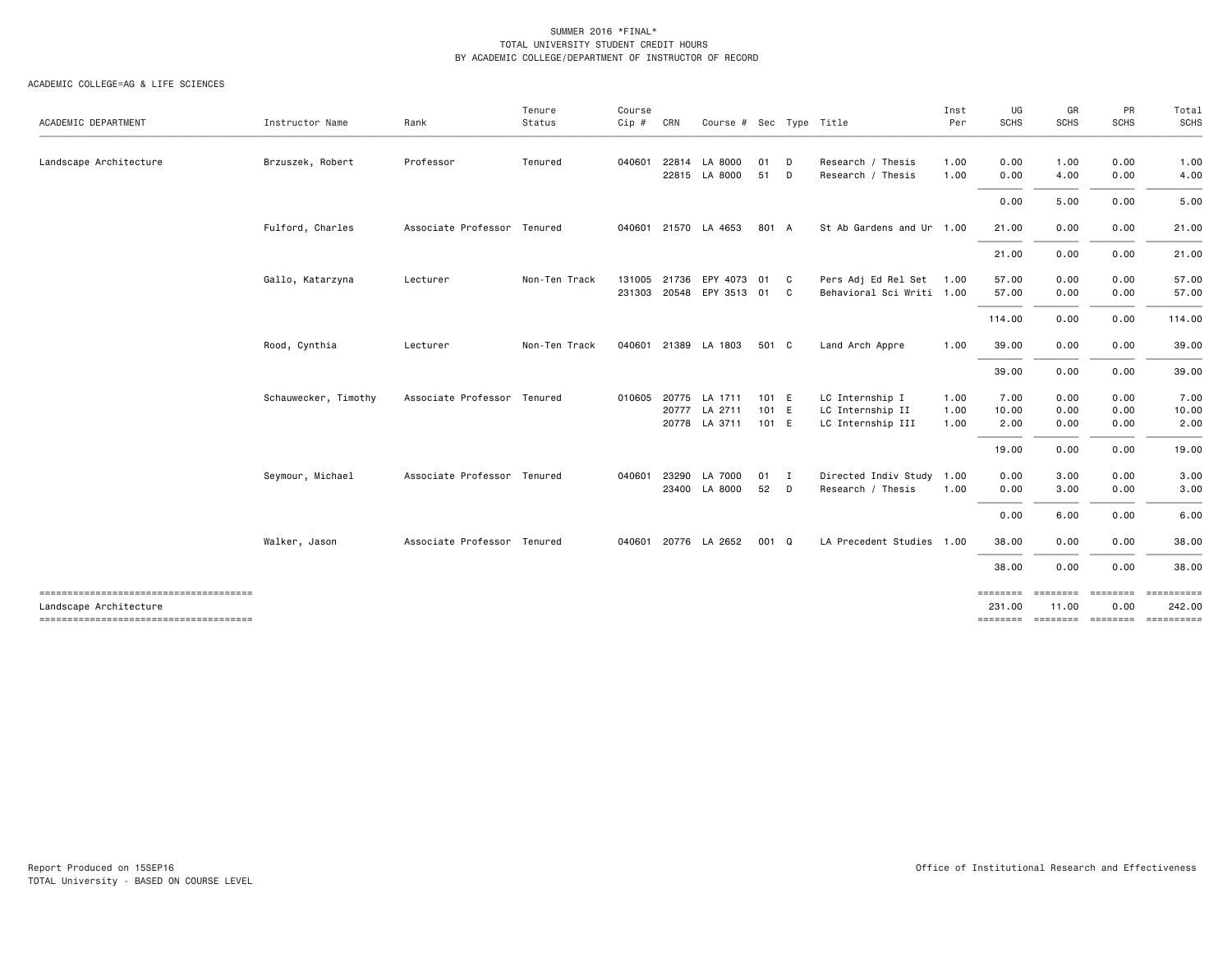| ACADEMIC DEPARTMENT                   | Instructor Name      | Rank                        | Tenure<br>Status | Course<br>Cip # | CRN   | Course # Sec Type Title    |       |              |                           | Inst<br>Per | UG<br><b>SCHS</b>  | GR<br><b>SCHS</b>        | PR<br><b>SCHS</b> | Total<br>SCHS                       |
|---------------------------------------|----------------------|-----------------------------|------------------|-----------------|-------|----------------------------|-------|--------------|---------------------------|-------------|--------------------|--------------------------|-------------------|-------------------------------------|
|                                       |                      |                             |                  |                 |       |                            |       |              |                           |             |                    |                          |                   |                                     |
| Landscape Architecture                | Brzuszek, Robert     | Professor                   | Tenured          | 040601          | 22814 | LA 8000                    | 01    | D            | Research / Thesis         | 1.00        | 0.00               | 1.00                     | 0.00              | 1.00                                |
|                                       |                      |                             |                  |                 |       | 22815 LA 8000              | 51    | D            | Research / Thesis         | 1.00        | 0.00               | 4.00                     | 0.00              | 4.00                                |
|                                       |                      |                             |                  |                 |       |                            |       |              |                           |             | 0.00               | 5.00                     | 0.00              | 5.00                                |
|                                       | Fulford, Charles     | Associate Professor Tenured |                  |                 |       | 040601 21570 LA 4653       | 801 A |              | St Ab Gardens and Ur 1.00 |             | 21.00              | 0.00                     | 0.00              | 21.00                               |
|                                       |                      |                             |                  |                 |       |                            |       |              |                           |             | 21.00              | 0.00                     | 0.00              | 21.00                               |
|                                       | Gallo, Katarzyna     | Lecturer                    | Non-Ten Track    |                 |       | 131005 21736 EPY 4073      | 01 C  |              | Pers Adj Ed Rel Set 1.00  |             | 57.00              | 0.00                     | 0.00              | 57.00                               |
|                                       |                      |                             |                  |                 |       | 231303 20548 EPY 3513 01 C |       |              | Behavioral Sci Writi 1.00 |             | 57.00              | 0.00                     | 0.00              | 57.00                               |
|                                       |                      |                             |                  |                 |       |                            |       |              |                           |             | 114.00             | 0.00                     | 0.00              | 114.00                              |
|                                       | Rood, Cynthia        | Lecturer                    | Non-Ten Track    |                 |       | 040601 21389 LA 1803       | 501 C |              | Land Arch Appre           | 1.00        | 39.00              | 0.00                     | 0.00              | 39.00                               |
|                                       |                      |                             |                  |                 |       |                            |       |              |                           |             | 39.00              | 0.00                     | 0.00              | 39.00                               |
|                                       | Schauwecker, Timothy | Associate Professor Tenured |                  | 010605          |       | 20775 LA 1711              | 101 E |              | LC Internship I           | 1.00        | 7.00               | 0.00                     | 0.00              | 7.00                                |
|                                       |                      |                             |                  |                 | 20777 | LA 2711                    | 101 E |              | LC Internship II          | 1.00        | 10.00              | 0.00                     | 0.00              | 10.00                               |
|                                       |                      |                             |                  |                 |       | 20778 LA 3711              | 101 E |              | LC Internship III         | 1.00        | 2.00               | 0.00                     | 0.00              | 2.00                                |
|                                       |                      |                             |                  |                 |       |                            |       |              |                           |             | 19.00              | 0.00                     | 0.00              | 19.00                               |
|                                       | Seymour, Michael     | Associate Professor Tenured |                  | 040601          | 23290 | LA 7000                    | 01    | $\mathbf{I}$ | Directed Indiv Study 1.00 |             | 0.00               | 3.00                     | 0.00              | 3.00                                |
|                                       |                      |                             |                  |                 |       | 23400 LA 8000              | 52    | D            | Research / Thesis         | 1.00        | 0.00               | 3.00                     | 0.00              | 3.00                                |
|                                       |                      |                             |                  |                 |       |                            |       |              |                           |             | 0.00               | 6.00                     | 0.00              | 6.00                                |
|                                       | Walker, Jason        | Associate Professor Tenured |                  |                 |       | 040601 20776 LA 2652       | 001 Q |              | LA Precedent Studies 1.00 |             | 38.00              | 0.00                     | 0.00              | 38.00                               |
|                                       |                      |                             |                  |                 |       |                            |       |              |                           |             | 38.00              | 0.00                     | 0.00              | 38.00                               |
| Landscape Architecture                |                      |                             |                  |                 |       |                            |       |              |                           |             | ========<br>231.00 | <b>ESSESSES</b><br>11.00 | ========<br>0.00  | ==========<br>242.00                |
| ------------------------------------- |                      |                             |                  |                 |       |                            |       |              |                           |             |                    |                          |                   | -------- ------- -------- --------- |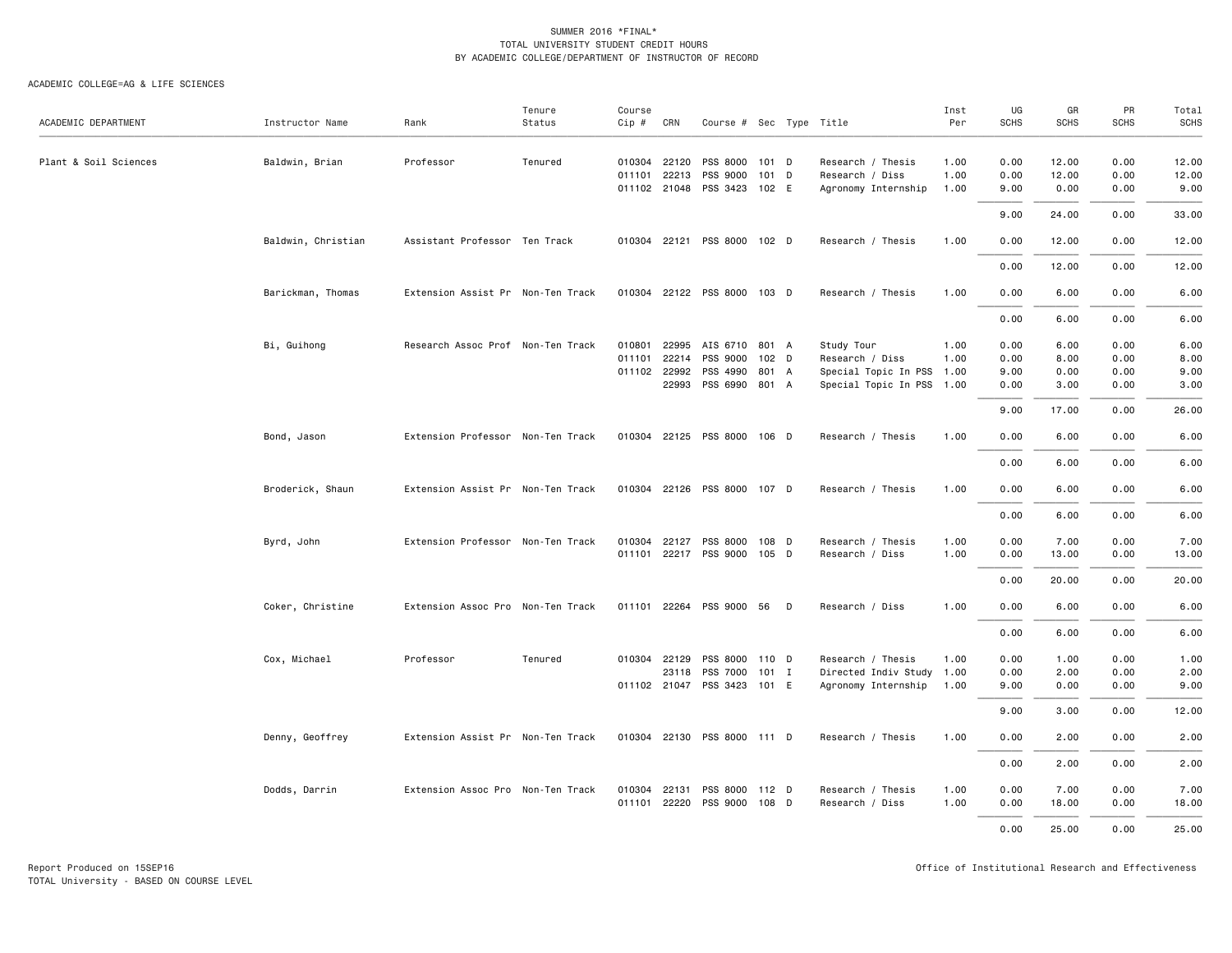| ACADEMIC DEPARTMENT   | Instructor Name    | Rank                              | Tenure<br>Status | Course<br>$Cip \#$ | CRN          | Course # Sec Type Title     |                  |                           | Inst<br>Per | UG<br><b>SCHS</b> | GR<br><b>SCHS</b> | PR<br><b>SCHS</b> | Total<br><b>SCHS</b> |
|-----------------------|--------------------|-----------------------------------|------------------|--------------------|--------------|-----------------------------|------------------|---------------------------|-------------|-------------------|-------------------|-------------------|----------------------|
|                       |                    |                                   |                  |                    |              |                             |                  |                           |             |                   |                   |                   |                      |
| Plant & Soil Sciences | Baldwin, Brian     | Professor                         | Tenured          |                    | 010304 22120 | PSS 8000                    | 101 D            | Research / Thesis         | 1.00        | 0.00              | 12.00             | 0.00              | 12.00                |
|                       |                    |                                   |                  |                    |              | 011101 22213 PSS 9000       | $101$ D          | Research / Diss           | 1.00        | 0.00              | 12.00             | 0.00              | 12.00                |
|                       |                    |                                   |                  |                    |              | 011102 21048 PSS 3423 102 E |                  | Agronomy Internship       | 1.00        | 9.00              | 0.00              | 0.00              | 9.00                 |
|                       |                    |                                   |                  |                    |              |                             |                  |                           |             | 9.00              | 24.00             | 0.00              | 33.00                |
|                       | Baldwin, Christian | Assistant Professor Ten Track     |                  |                    |              | 010304 22121 PSS 8000 102 D |                  | Research / Thesis         | 1.00        | 0.00              | 12.00             | 0.00              | 12.00                |
|                       |                    |                                   |                  |                    |              |                             |                  |                           |             | 0.00              | 12.00             | 0.00              | 12.00                |
|                       | Barickman, Thomas  | Extension Assist Pr Non-Ten Track |                  |                    |              | 010304 22122 PSS 8000 103 D |                  | Research / Thesis         | 1.00        | 0.00              | 6.00              | 0.00              | 6.00                 |
|                       |                    |                                   |                  |                    |              |                             |                  |                           |             | 0.00              | 6.00              | 0.00              | 6.00                 |
|                       | Bi, Guihong        | Research Assoc Prof Non-Ten Track |                  |                    |              | 010801 22995 AIS 6710       | 801 A            | Study Tour                | 1.00        | 0.00              | 6.00              | 0.00              | 6.00                 |
|                       |                    |                                   |                  |                    | 011101 22214 | PSS 9000                    | 102 <sub>D</sub> | Research / Diss           | 1.00        | 0.00              | 8.00              | 0.00              | 8.00                 |
|                       |                    |                                   |                  |                    | 011102 22992 | PSS 4990                    | 801 A            | Special Topic In PSS 1.00 |             | 9.00              | 0.00              | 0.00              | 9.00                 |
|                       |                    |                                   |                  |                    |              | 22993 PSS 6990 801 A        |                  | Special Topic In PSS 1.00 |             | 0.00              | 3.00              | 0.00              | 3.00                 |
|                       |                    |                                   |                  |                    |              |                             |                  |                           |             | 9.00              | 17.00             | 0.00              | 26.00                |
|                       | Bond, Jason        | Extension Professor Non-Ten Track |                  |                    |              | 010304 22125 PSS 8000 106 D |                  | Research / Thesis         | 1.00        | 0.00              | 6.00              | 0.00              | 6.00                 |
|                       |                    |                                   |                  |                    |              |                             |                  |                           |             | 0.00              | 6.00              | 0.00              | 6.00                 |
|                       | Broderick, Shaun   | Extension Assist Pr Non-Ten Track |                  |                    |              | 010304 22126 PSS 8000 107 D |                  | Research / Thesis         | 1.00        | 0.00              | 6.00              | 0.00              | 6.00                 |
|                       |                    |                                   |                  |                    |              |                             |                  |                           |             | 0.00              | 6.00              | 0.00              | 6.00                 |
|                       | Byrd, John         | Extension Professor Non-Ten Track |                  |                    |              | 010304 22127 PSS 8000 108 D |                  | Research / Thesis         | 1.00        | 0.00              | 7.00              | 0.00              | 7.00                 |
|                       |                    |                                   |                  |                    |              | 011101 22217 PSS 9000 105 D |                  | Research / Diss           | 1.00        | 0.00              | 13.00             | 0.00              | 13.00                |
|                       |                    |                                   |                  |                    |              |                             |                  |                           |             | 0.00              | 20.00             | 0.00              | 20.00                |
|                       |                    |                                   |                  |                    |              |                             |                  |                           |             |                   |                   |                   |                      |
|                       | Coker, Christine   | Extension Assoc Pro Non-Ten Track |                  |                    |              | 011101 22264 PSS 9000 56 D  |                  | Research / Diss           | 1.00        | 0.00              | 6.00              | 0.00              | 6.00                 |
|                       |                    |                                   |                  |                    |              |                             |                  |                           |             | 0.00              | 6.00              | 0.00              | 6.00                 |
|                       | Cox, Michael       | Professor                         | Tenured          |                    |              | 010304 22129 PSS 8000 110 D |                  | Research / Thesis         | 1.00        | 0.00              | 1.00              | 0.00              | 1.00                 |
|                       |                    |                                   |                  |                    | 23118        | PSS 7000                    | $101$ I          | Directed Indiv Study 1.00 |             | 0.00              | 2.00              | 0.00              | 2.00                 |
|                       |                    |                                   |                  |                    |              | 011102 21047 PSS 3423 101 E |                  | Agronomy Internship       | 1.00        | 9.00              | 0.00              | 0.00              | 9.00                 |
|                       |                    |                                   |                  |                    |              |                             |                  |                           |             | 9.00              | 3.00              | 0.00              | 12.00                |
|                       | Denny, Geoffrey    | Extension Assist Pr Non-Ten Track |                  |                    |              | 010304 22130 PSS 8000 111 D |                  | Research / Thesis         | 1.00        | 0.00              | 2.00              | 0.00              | 2.00                 |
|                       |                    |                                   |                  |                    |              |                             |                  |                           |             | 0.00              | 2.00              | 0.00              | 2.00                 |
|                       | Dodds, Darrin      | Extension Assoc Pro Non-Ten Track |                  |                    |              | 010304 22131 PSS 8000 112 D |                  | Research / Thesis         | 1.00        | 0.00              | 7.00              | 0.00              | 7.00                 |
|                       |                    |                                   |                  |                    |              | 011101 22220 PSS 9000 108 D |                  | Research / Diss           | 1.00        | 0.00              | 18.00             | 0.00              | 18.00                |
|                       |                    |                                   |                  |                    |              |                             |                  |                           |             | 0.00              | 25.00             | 0.00              | 25.00                |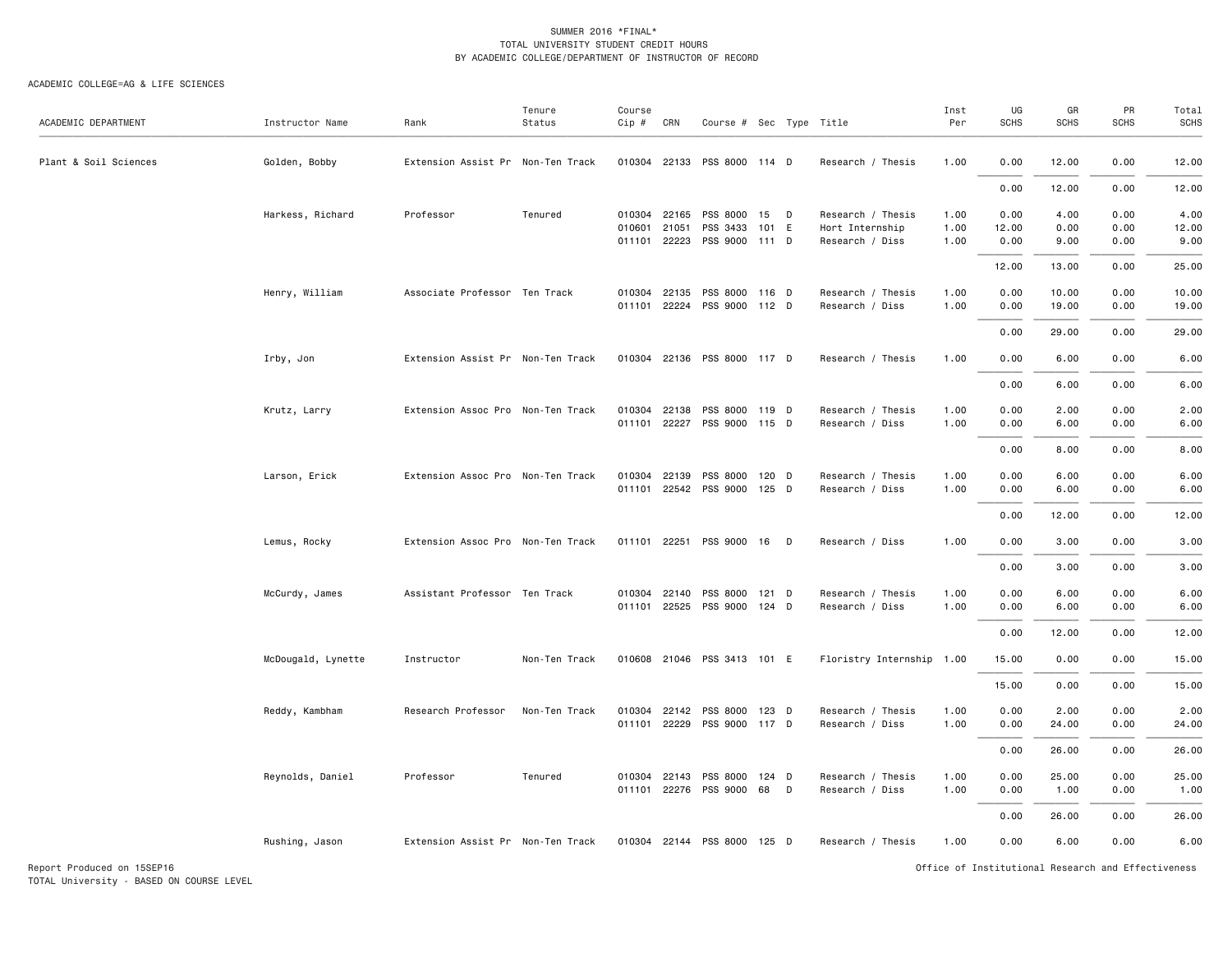| ACADEMIC DEPARTMENT   | Instructor Name    | Rank                              | Tenure<br>Status | Course<br>Cip # | CRN                   | Course # Sec Type Title                       |       |   |                                      | Inst<br>Per  | UG<br><b>SCHS</b> | GR<br><b>SCHS</b> | PR<br><b>SCHS</b> | Total<br>SCHS |
|-----------------------|--------------------|-----------------------------------|------------------|-----------------|-----------------------|-----------------------------------------------|-------|---|--------------------------------------|--------------|-------------------|-------------------|-------------------|---------------|
| Plant & Soil Sciences | Golden, Bobby      | Extension Assist Pr Non-Ten Track |                  |                 |                       | 010304 22133 PSS 8000 114 D                   |       |   | Research / Thesis                    | 1.00         | 0.00              | 12.00             | 0.00              | 12.00         |
|                       |                    |                                   |                  |                 |                       |                                               |       |   |                                      |              | 0.00              | 12.00             | 0.00              | 12.00         |
|                       | Harkess, Richard   | Professor                         | Tenured          |                 | 010304 22165          | PSS 8000 15 D                                 |       |   | Research / Thesis                    | 1.00         | 0.00              | 4.00              | 0.00              | 4.00          |
|                       |                    |                                   |                  | 010601          | 21051<br>011101 22223 | PSS 3433<br>PSS 9000 111 D                    | 101 E |   | Hort Internship<br>Research / Diss   | 1.00<br>1.00 | 12.00<br>0.00     | 0.00<br>9.00      | 0.00<br>0.00      | 12.00<br>9.00 |
|                       |                    |                                   |                  |                 |                       |                                               |       |   |                                      |              | 12.00             | 13.00             | 0.00              | 25.00         |
|                       | Henry, William     | Associate Professor Ten Track     |                  |                 | 010304 22135          | PSS 8000 116 D                                |       |   | Research / Thesis                    | 1.00         | 0.00              | 10.00             | 0.00              | 10.00         |
|                       |                    |                                   |                  |                 |                       | 011101 22224 PSS 9000 112 D                   |       |   | Research / Diss                      | 1.00         | 0.00              | 19.00             | 0.00              | 19.00         |
|                       |                    |                                   |                  |                 |                       |                                               |       |   |                                      |              | 0.00              | 29.00             | 0.00              | 29.00         |
|                       | Irby, Jon          | Extension Assist Pr Non-Ten Track |                  |                 |                       | 010304 22136 PSS 8000 117 D                   |       |   | Research / Thesis                    | 1.00         | 0.00              | 6.00              | 0.00              | 6.00          |
|                       |                    |                                   |                  |                 |                       |                                               |       |   |                                      |              | 0.00              | 6.00              | 0.00              | 6.00          |
|                       | Krutz, Larry       | Extension Assoc Pro Non-Ten Track |                  | 010304          | 22138                 | PSS 8000 119 D                                |       |   | Research / Thesis                    | 1.00         | 0.00              | 2.00              | 0.00              | 2.00          |
|                       |                    |                                   |                  |                 |                       | 011101 22227 PSS 9000 115 D                   |       |   | Research / Diss                      | 1.00         | 0.00              | 6.00              | 0.00              | 6.00          |
|                       |                    |                                   |                  |                 |                       |                                               |       |   |                                      |              | 0.00              | 8.00              | 0.00              | 8.00          |
|                       | Larson, Erick      | Extension Assoc Pro Non-Ten Track |                  | 010304          | 22139                 | PSS 8000 120 D<br>011101 22542 PSS 9000 125 D |       |   | Research / Thesis<br>Research / Diss | 1.00<br>1.00 | 0.00<br>0.00      | 6.00<br>6.00      | 0.00<br>0.00      | 6.00<br>6.00  |
|                       |                    |                                   |                  |                 |                       |                                               |       |   |                                      |              |                   |                   |                   |               |
|                       |                    |                                   |                  |                 |                       |                                               |       |   |                                      |              | 0.00              | 12.00             | 0.00              | 12.00         |
|                       | Lemus, Rocky       | Extension Assoc Pro Non-Ten Track |                  |                 |                       | 011101 22251 PSS 9000 16 D                    |       |   | Research / Diss                      | 1.00         | 0.00              | 3.00              | 0.00              | 3.00          |
|                       |                    |                                   |                  |                 |                       |                                               |       |   |                                      |              | 0.00              | 3.00              | 0.00              | 3.00          |
|                       | McCurdy, James     | Assistant Professor Ten Track     |                  | 010304          | 22140                 | PSS 8000 121 D                                |       |   | Research / Thesis                    | 1.00         | 0.00              | 6.00              | 0.00              | 6.00          |
|                       |                    |                                   |                  |                 |                       | 011101 22525 PSS 9000 124 D                   |       |   | Research / Diss                      | 1.00         | 0.00              | 6.00              | 0.00              | 6.00          |
|                       |                    |                                   |                  |                 |                       |                                               |       |   |                                      |              | 0.00              | 12.00             | 0.00              | 12.00         |
|                       | McDougald, Lynette | Instructor                        | Non-Ten Track    |                 |                       | 010608 21046 PSS 3413 101 E                   |       |   | Floristry Internship 1.00            |              | 15.00             | 0.00              | 0.00              | 15.00         |
|                       |                    |                                   |                  |                 |                       |                                               |       |   |                                      |              | 15.00             | 0.00              | 0.00              | 15.00         |
|                       | Reddy, Kambham     | Research Professor                | Non-Ten Track    | 010304          | 22142                 | PSS 8000                                      | 123 D |   | Research / Thesis                    | 1.00         | 0.00              | 2.00              | 0.00              | 2.00          |
|                       |                    |                                   |                  |                 |                       | 011101 22229 PSS 9000 117 D                   |       |   | Research / Diss                      | 1.00         | 0.00              | 24.00             | 0.00              | 24.00         |
|                       |                    |                                   |                  |                 |                       |                                               |       |   |                                      |              | 0.00              | 26.00             | 0.00              | 26.00         |
|                       | Reynolds, Daniel   | Professor                         | Tenured          | 010304          | 22143                 | PSS 8000 124 D<br>011101 22276 PSS 9000       | 68    | D | Research / Thesis<br>Research / Diss | 1.00<br>1.00 | 0.00<br>0.00      | 25.00<br>1.00     | 0.00<br>0.00      | 25.00<br>1.00 |
|                       |                    |                                   |                  |                 |                       |                                               |       |   |                                      |              | 0.00              | 26.00             | 0.00              | 26.00         |
|                       | Rushing, Jason     | Extension Assist Pr Non-Ten Track |                  |                 |                       | 010304 22144 PSS 8000 125 D                   |       |   | Research / Thesis                    | 1.00         | 0.00              | 6.00              | 0.00              | 6.00          |
|                       |                    |                                   |                  |                 |                       |                                               |       |   |                                      |              |                   |                   |                   |               |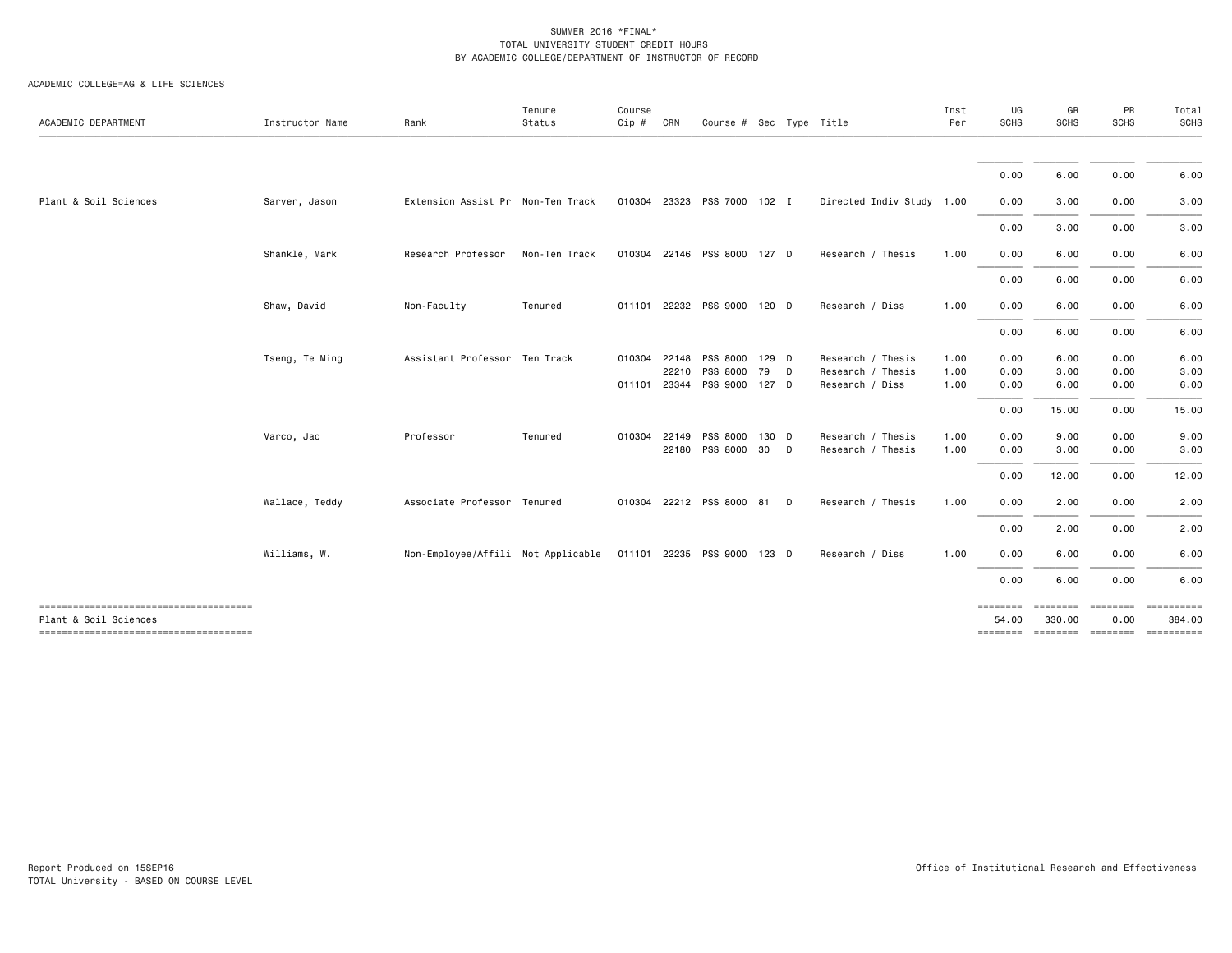| ACADEMIC DEPARTMENT                                            | Instructor Name | Rank                               | Tenure<br>Status | Course<br>$Cip$ # | CRN   |                             | Course # Sec Type Title |                           | Inst<br>Per | UG<br><b>SCHS</b> | GR<br><b>SCHS</b> | PR<br><b>SCHS</b> | Total<br><b>SCHS</b>                          |
|----------------------------------------------------------------|-----------------|------------------------------------|------------------|-------------------|-------|-----------------------------|-------------------------|---------------------------|-------------|-------------------|-------------------|-------------------|-----------------------------------------------|
|                                                                |                 |                                    |                  |                   |       |                             |                         |                           |             |                   |                   |                   |                                               |
|                                                                |                 |                                    |                  |                   |       |                             |                         |                           |             | 0.00              | 6.00              | 0.00              | 6.00                                          |
| Plant & Soil Sciences                                          | Sarver, Jason   | Extension Assist Pr Non-Ten Track  |                  |                   |       | 010304 23323 PSS 7000 102 I |                         | Directed Indiv Study 1.00 |             | 0.00              | 3.00              | 0.00              | 3.00                                          |
|                                                                |                 |                                    |                  |                   |       |                             |                         |                           |             | 0.00              | 3.00              | 0.00              | 3.00                                          |
|                                                                | Shankle, Mark   | Research Professor                 | Non-Ten Track    | 010304            |       | 22146 PSS 8000 127 D        |                         | Research / Thesis         | 1.00        | 0.00              | 6.00              | 0.00              | 6.00                                          |
|                                                                |                 |                                    |                  |                   |       |                             |                         |                           |             | 0.00              | 6.00              | 0.00              | 6.00                                          |
|                                                                | Shaw, David     | Non-Faculty                        | Tenured          | 011101            |       | 22232 PSS 9000 120 D        |                         | Research / Diss           | 1.00        | 0.00              | 6.00              | 0.00              | 6.00                                          |
|                                                                |                 |                                    |                  |                   |       |                             |                         |                           |             | 0.00              | 6.00              | 0.00              | 6.00                                          |
|                                                                | Tseng, Te Ming  | Assistant Professor Ten Track      |                  | 010304            | 22148 | PSS 8000 129 D              |                         | Research / Thesis         | 1.00        | 0.00              | 6.00              | 0.00              | 6.00                                          |
|                                                                |                 |                                    |                  |                   | 22210 | PSS 8000                    | 79<br>D                 | Research / Thesis         | 1.00        | 0.00              | 3.00              | 0.00              | 3.00                                          |
|                                                                |                 |                                    |                  | 011101            |       | 23344 PSS 9000 127 D        |                         | Research / Diss           | 1.00        | 0.00              | 6.00              | 0.00              | 6.00                                          |
|                                                                |                 |                                    |                  |                   |       |                             |                         |                           |             | 0.00              | 15.00             | 0.00              | 15.00                                         |
|                                                                | Varco, Jac      | Professor                          | Tenured          | 010304            | 22149 | PSS 8000                    | 130 D                   | Research / Thesis         | 1.00        | 0.00              | 9.00              | 0.00              | 9.00                                          |
|                                                                |                 |                                    |                  |                   |       | 22180 PSS 8000 30           | $\Box$                  | Research / Thesis         | 1.00        | 0.00              | 3.00              | 0.00              | 3.00                                          |
|                                                                |                 |                                    |                  |                   |       |                             |                         |                           |             | 0.00              | 12.00             | 0.00              | 12.00                                         |
|                                                                | Wallace, Teddy  | Associate Professor Tenured        |                  | 010304            |       | 22212 PSS 8000 81           | D                       | Research / Thesis         | 1.00        | 0.00              | 2.00              | 0.00              | 2.00                                          |
|                                                                |                 |                                    |                  |                   |       |                             |                         |                           |             | 0.00              | 2.00              | 0.00              | 2.00                                          |
|                                                                | Williams, W.    | Non-Employee/Affili Not Applicable |                  |                   |       | 011101 22235 PSS 9000 123 D |                         | Research / Diss           | 1.00        | 0.00              | 6.00              | 0.00              | 6.00                                          |
|                                                                |                 |                                    |                  |                   |       |                             |                         |                           |             | 0.00              | 6.00              | 0.00              | 6.00                                          |
| --------------------------------------                         |                 |                                    |                  |                   |       |                             |                         |                           |             |                   | ========          |                   |                                               |
| Plant & Soil Sciences<br>------------------------------------- |                 |                                    |                  |                   |       |                             |                         |                           |             | 54.00             | 330.00            | 0.00              | 384.00<br>-------- ------- -------- --------- |
|                                                                |                 |                                    |                  |                   |       |                             |                         |                           |             |                   |                   |                   |                                               |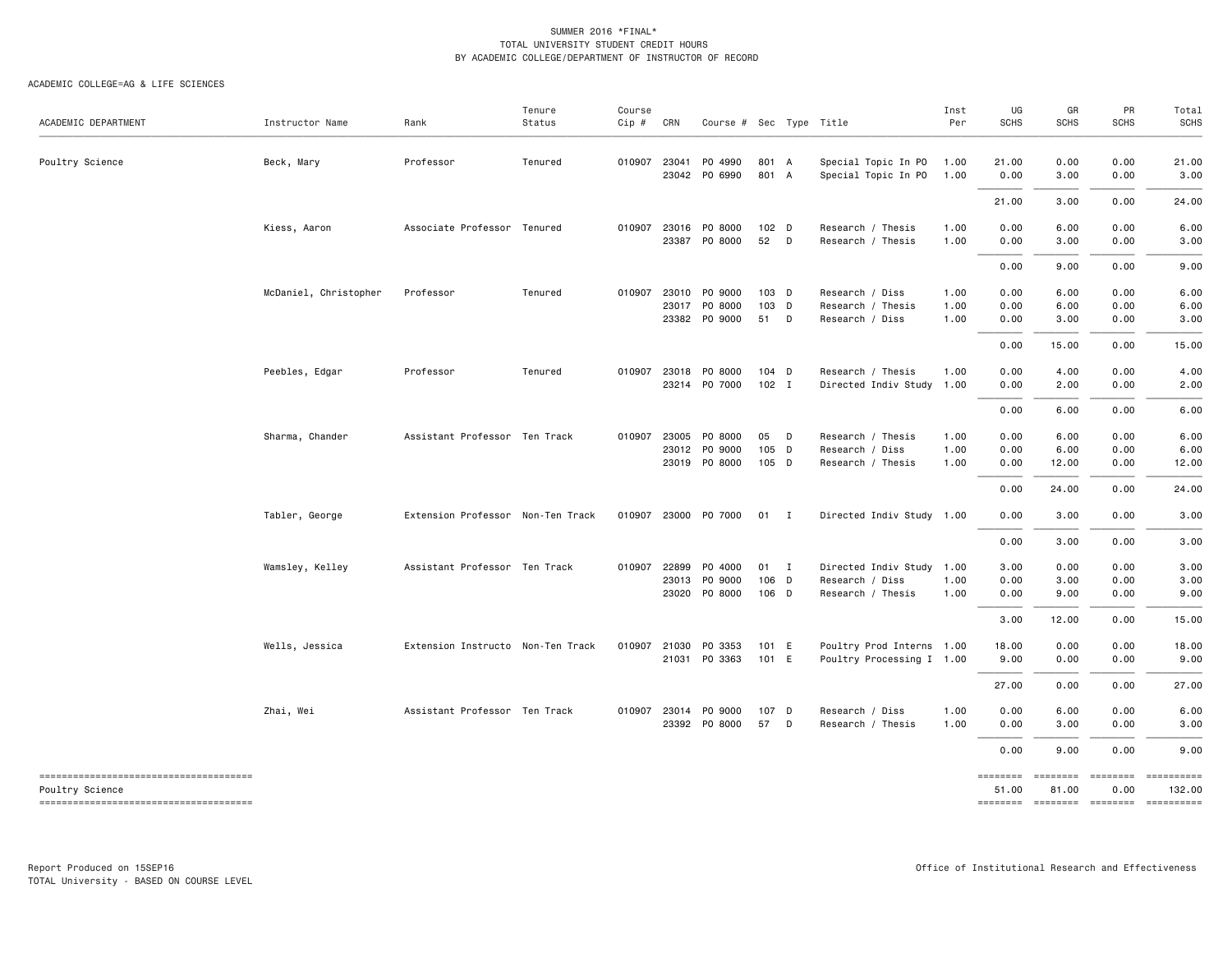| ACADEMIC DEPARTMENT                                       | Instructor Name       | Rank                              | Tenure<br>Status | Course<br>Cip # | CRN            | Course # Sec Type Title                   |                        |        |                                                         | Inst<br>Per          | UG<br><b>SCHS</b>    | GR<br><b>SCHS</b>     | PR<br><b>SCHS</b>    | Total<br>SCHS                                               |
|-----------------------------------------------------------|-----------------------|-----------------------------------|------------------|-----------------|----------------|-------------------------------------------|------------------------|--------|---------------------------------------------------------|----------------------|----------------------|-----------------------|----------------------|-------------------------------------------------------------|
| Poultry Science                                           | Beck, Mary            | Professor                         | Tenured          | 010907          | 23041          | PO 4990<br>23042 PO 6990                  | 801 A<br>801           | A      | Special Topic In PO<br>Special Topic In PO              | 1.00<br>1.00         | 21.00<br>0.00        | 0.00<br>3.00          | 0.00<br>0.00         | 21.00<br>3.00                                               |
|                                                           |                       |                                   |                  |                 |                |                                           |                        |        |                                                         |                      | 21.00                | 3.00                  | 0.00                 | 24.00                                                       |
|                                                           | Kiess, Aaron          | Associate Professor Tenured       |                  | 010907          | 23016          | PO 8000<br>23387 PO 8000                  | 102 D<br>52            | D      | Research / Thesis<br>Research / Thesis                  | 1.00<br>1.00         | 0.00<br>0.00         | 6.00<br>3.00          | 0.00<br>0.00         | 6.00<br>3.00                                                |
|                                                           |                       |                                   |                  |                 |                |                                           |                        |        |                                                         |                      | 0.00                 | 9.00                  | 0.00                 | 9.00                                                        |
|                                                           | McDaniel, Christopher | Professor                         | Tenured          | 010907          | 23010          | PO 9000<br>23017 PO 8000<br>23382 PO 9000 | $103$ D<br>103 D<br>51 | D      | Research / Diss<br>Research / Thesis<br>Research / Diss | 1.00<br>1.00<br>1.00 | 0.00<br>0.00<br>0.00 | 6.00<br>6.00<br>3.00  | 0.00<br>0.00<br>0.00 | 6.00<br>6.00<br>3.00                                        |
|                                                           |                       |                                   |                  |                 |                |                                           |                        |        |                                                         |                      | 0.00                 | 15.00                 | 0.00                 | 15.00                                                       |
|                                                           | Peebles, Edgar        | Professor                         | Tenured          | 010907          | 23018          | PO 8000<br>23214 PO 7000                  | $104$ D<br>$102$ I     |        | Research / Thesis<br>Directed Indiv Study 1.00          | 1.00                 | 0.00<br>0.00         | 4.00<br>2.00          | 0.00<br>0.00         | 4.00<br>2.00                                                |
|                                                           |                       |                                   |                  |                 |                |                                           |                        |        |                                                         |                      | 0.00                 | 6.00                  | 0.00                 | 6.00                                                        |
|                                                           | Sharma, Chander       | Assistant Professor Ten Track     |                  |                 | 010907 23005   | PO 8000<br>23012 PO 9000<br>23019 PO 8000 | 05<br>105 D<br>105 D   | $\Box$ | Research / Thesis<br>Research / Diss                    | 1.00<br>1.00<br>1.00 | 0.00<br>0.00<br>0.00 | 6.00<br>6.00<br>12.00 | 0.00<br>0.00<br>0.00 | 6.00<br>6.00<br>12.00                                       |
|                                                           |                       |                                   |                  |                 |                |                                           |                        |        | Research / Thesis                                       |                      | 0.00                 | 24.00                 | 0.00                 | 24.00                                                       |
|                                                           | Tabler, George        | Extension Professor Non-Ten Track |                  |                 |                | 010907 23000 P0 7000                      | $01$ I                 |        | Directed Indiv Study 1.00                               |                      | 0.00                 | 3.00                  | 0.00                 | 3.00                                                        |
|                                                           |                       |                                   |                  |                 |                |                                           |                        |        |                                                         |                      | 0.00                 | 3.00                  | 0.00                 | 3.00                                                        |
|                                                           | Wamsley, Kelley       | Assistant Professor Ten Track     |                  | 010907          | 22899<br>23013 | PO 4000<br>PO 9000                        | $01 \quad I$<br>106 D  |        | Directed Indiv Study 1.00<br>Research / Diss            | 1.00                 | 3.00<br>0.00         | 0.00<br>3.00          | 0.00<br>0.00         | 3.00<br>3.00                                                |
|                                                           |                       |                                   |                  |                 | 23020          | PO 8000                                   | 106 D                  |        | Research / Thesis                                       | 1.00                 | 0.00                 | 9.00                  | 0.00                 | 9.00                                                        |
|                                                           |                       |                                   |                  |                 |                |                                           |                        |        |                                                         |                      | 3.00                 | 12.00                 | 0.00                 | 15.00                                                       |
|                                                           | Wells, Jessica        | Extension Instructo Non-Ten Track |                  |                 | 010907 21030   | PO 3353<br>21031 PO 3363                  | 101 E<br>101 E         |        | Poultry Prod Interns 1.00<br>Poultry Processing I 1.00  |                      | 18.00<br>9.00        | 0.00<br>0.00          | 0.00<br>0.00         | 18.00<br>9.00                                               |
|                                                           |                       |                                   |                  |                 |                |                                           |                        |        |                                                         |                      | 27.00                | 0.00                  | 0.00                 | 27.00                                                       |
|                                                           | Zhai, Wei             | Assistant Professor Ten Track     |                  | 010907          | 23014          | PO 9000<br>23392 PO 8000                  | 107 D<br>57            | D      | Research / Diss<br>Research / Thesis                    | 1.00<br>1.00         | 0.00<br>0.00         | 6.00<br>3.00          | 0.00<br>0.00         | 6.00<br>3.00                                                |
|                                                           |                       |                                   |                  |                 |                |                                           |                        |        |                                                         |                      | 0.00                 | 9.00                  | 0.00                 | 9.00                                                        |
| --------------------------------------<br>Poultry Science |                       |                                   |                  |                 |                |                                           |                        |        |                                                         |                      | ========<br>51.00    | ========<br>81.00     | ========<br>0.00     | ==========<br>132.00<br>-------- ------- -------- --------- |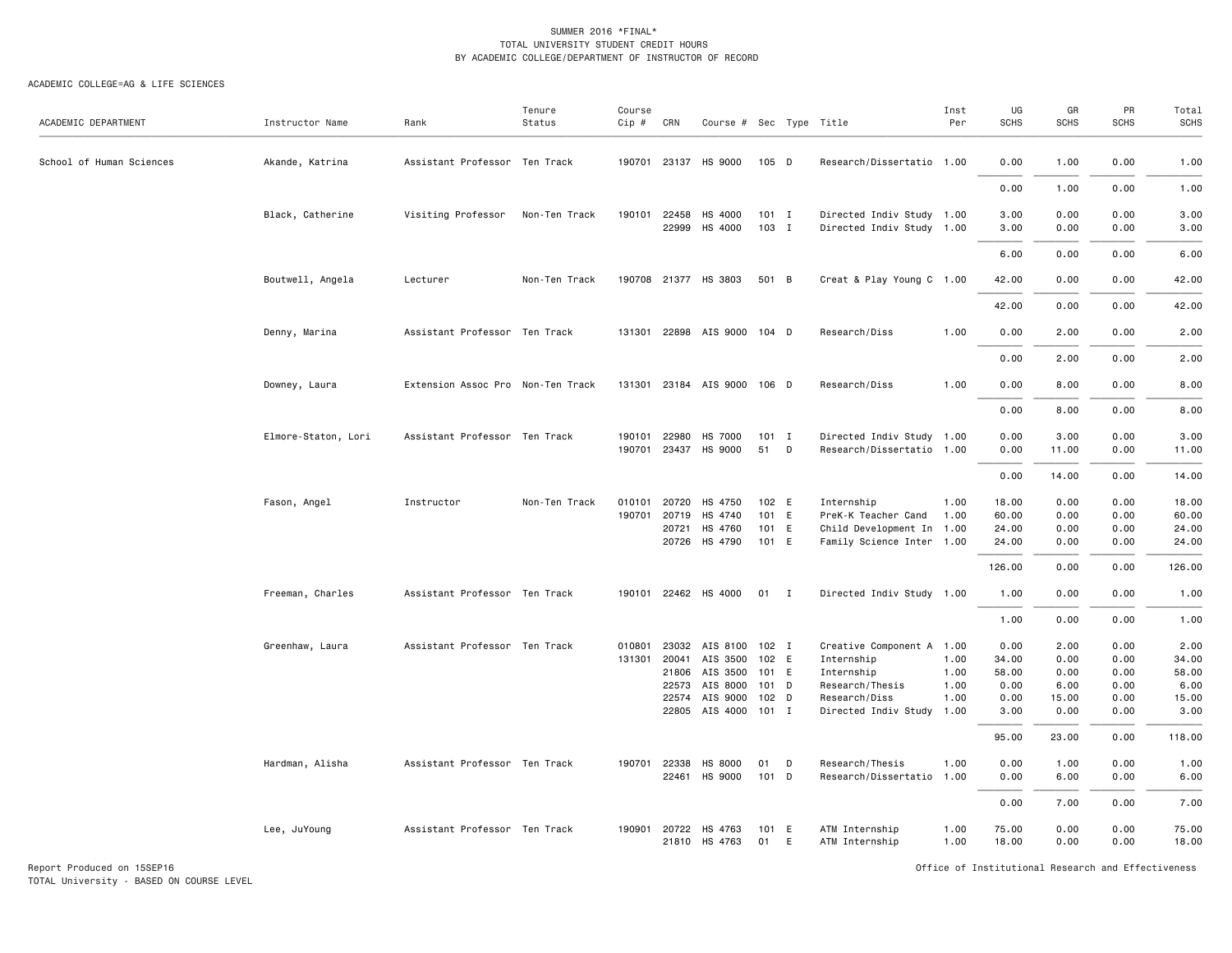#### ACADEMIC COLLEGE=AG & LIFE SCIENCES

| ACADEMIC DEPARTMENT      | Instructor Name     | Rank                              | Tenure<br>Status | Course<br>Cip # | CRN                                            | Course # Sec Type Title                                                                             |                                    |   |                                                                                                                        | Inst<br>Per                  | UG<br><b>SCHS</b>                                       | GR<br><b>SCHS</b>                                      | PR<br><b>SCHS</b>                                    | Total<br><b>SCHS</b>                                      |
|--------------------------|---------------------|-----------------------------------|------------------|-----------------|------------------------------------------------|-----------------------------------------------------------------------------------------------------|------------------------------------|---|------------------------------------------------------------------------------------------------------------------------|------------------------------|---------------------------------------------------------|--------------------------------------------------------|------------------------------------------------------|-----------------------------------------------------------|
| School of Human Sciences | Akande, Katrina     | Assistant Professor Ten Track     |                  |                 |                                                | 190701 23137 HS 9000                                                                                | 105 D                              |   | Research/Dissertatio 1.00                                                                                              |                              | 0.00                                                    | 1.00                                                   | 0.00                                                 | 1.00                                                      |
|                          |                     |                                   |                  |                 |                                                |                                                                                                     |                                    |   |                                                                                                                        |                              | 0.00                                                    | 1.00                                                   | 0.00                                                 | 1.00                                                      |
|                          | Black, Catherine    | Visiting Professor                | Non-Ten Track    |                 | 190101 22458<br>22999                          | HS 4000<br>HS 4000                                                                                  | $101$ I<br>103 I                   |   | Directed Indiv Study 1.00<br>Directed Indiv Study 1.00                                                                 |                              | 3.00<br>3.00                                            | 0.00<br>0.00                                           | 0.00<br>0.00                                         | 3.00<br>3.00                                              |
|                          |                     |                                   |                  |                 |                                                |                                                                                                     |                                    |   |                                                                                                                        |                              | 6.00                                                    | 0.00                                                   | 0.00                                                 | 6.00                                                      |
|                          | Boutwell, Angela    | Lecturer                          | Non-Ten Track    |                 |                                                | 190708 21377 HS 3803                                                                                | 501 B                              |   | Creat & Play Young C 1.00                                                                                              |                              | 42.00                                                   | 0.00                                                   | 0.00                                                 | 42.00                                                     |
|                          |                     |                                   |                  |                 |                                                |                                                                                                     |                                    |   |                                                                                                                        |                              | 42.00                                                   | 0.00                                                   | 0.00                                                 | 42.00                                                     |
|                          | Denny, Marina       | Assistant Professor Ten Track     |                  |                 |                                                | 131301 22898 AIS 9000 104 D                                                                         |                                    |   | Research/Diss                                                                                                          | 1.00                         | 0.00                                                    | 2.00                                                   | 0.00                                                 | 2.00                                                      |
|                          |                     |                                   |                  |                 |                                                |                                                                                                     |                                    |   |                                                                                                                        |                              | 0.00                                                    | 2.00                                                   | 0.00                                                 | 2.00                                                      |
|                          | Downey, Laura       | Extension Assoc Pro Non-Ten Track |                  |                 |                                                | 131301 23184 AIS 9000 106 D                                                                         |                                    |   | Research/Diss                                                                                                          | 1.00                         | 0.00                                                    | 8.00                                                   | 0.00                                                 | 8.00                                                      |
|                          |                     |                                   |                  |                 |                                                |                                                                                                     |                                    |   |                                                                                                                        |                              | 0.00                                                    | 8.00                                                   | 0.00                                                 | 8.00                                                      |
|                          | Elmore-Staton, Lori | Assistant Professor Ten Track     |                  |                 | 190101 22980                                   | HS 7000<br>190701 23437 HS 9000                                                                     | $101$ I<br>51                      | D | Directed Indiv Study 1.00<br>Research/Dissertatio 1.00                                                                 |                              | 0.00<br>0.00                                            | 3.00<br>11.00                                          | 0.00<br>0.00                                         | 3.00<br>11.00                                             |
|                          |                     |                                   |                  |                 |                                                |                                                                                                     |                                    |   |                                                                                                                        |                              | 0.00                                                    | 14.00                                                  | 0.00                                                 | 14.00                                                     |
|                          | Fason, Angel        | Instructor                        | Non-Ten Track    |                 | 010101 20720<br>190701 20719<br>20721<br>20726 | HS 4750<br>HS 4740<br>HS 4760<br>HS 4790                                                            | 102 E<br>101 E<br>101 E<br>101 E   |   | Internship<br>PreK-K Teacher Cand 1.00<br>Child Development In 1.00<br>Family Science Inter 1.00                       | 1.00                         | 18.00<br>60.00<br>24.00<br>24.00<br>126.00              | 0.00<br>0.00<br>0.00<br>0.00<br>0.00                   | 0.00<br>0.00<br>0.00<br>0.00<br>0.00                 | 18.00<br>60.00<br>24.00<br>24.00<br>126.00                |
|                          | Freeman, Charles    | Assistant Professor Ten Track     |                  |                 |                                                | 190101 22462 HS 4000                                                                                | $01$ I                             |   | Directed Indiv Study 1.00                                                                                              |                              | 1.00                                                    | 0.00                                                   | 0.00                                                 | 1.00                                                      |
|                          |                     |                                   |                  |                 |                                                |                                                                                                     |                                    |   |                                                                                                                        |                              | 1.00                                                    | 0.00                                                   | 0.00                                                 | 1.00                                                      |
|                          | Greenhaw, Laura     | Assistant Professor Ten Track     |                  |                 | 131301 20041<br>21806<br>22573<br>22574        | 010801 23032 AIS 8100 102 I<br>AIS 3500<br>AIS 3500<br>AIS 8000<br>AIS 9000<br>22805 AIS 4000 101 I | 102 E<br>101 E<br>$101$ D<br>102 D |   | Creative Component A 1.00<br>Internship<br>Internship<br>Research/Thesis<br>Research/Diss<br>Directed Indiv Study 1.00 | 1.00<br>1.00<br>1.00<br>1.00 | 0.00<br>34.00<br>58.00<br>0.00<br>0.00<br>3.00<br>95.00 | 2.00<br>0.00<br>0.00<br>6.00<br>15.00<br>0.00<br>23.00 | 0.00<br>0.00<br>0.00<br>0.00<br>0.00<br>0.00<br>0.00 | 2.00<br>34.00<br>58.00<br>6.00<br>15.00<br>3.00<br>118.00 |
|                          | Hardman, Alisha     | Assistant Professor Ten Track     |                  |                 | 190701 22338<br>22461                          | HS 8000<br>HS 9000                                                                                  | 01<br>101 D                        | D | Research/Thesis<br>Research/Dissertatio 1.00                                                                           | 1.00                         | 0.00<br>0.00                                            | 1.00<br>6.00                                           | 0.00<br>0.00                                         | 1.00<br>6.00                                              |
|                          |                     |                                   |                  |                 |                                                |                                                                                                     |                                    |   |                                                                                                                        |                              | 0.00                                                    | 7.00                                                   | 0.00                                                 | 7.00                                                      |
|                          | Lee, JuYoung        | Assistant Professor Ten Track     |                  |                 |                                                | 190901 20722 HS 4763<br>21810 HS 4763                                                               | 101 E<br>01                        | E | ATM Internship<br>ATM Internship                                                                                       | 1.00<br>1.00                 | 75.00<br>18.00                                          | 0.00<br>0.00                                           | 0.00<br>0.00                                         | 75.00<br>18.00                                            |

Report Produced on 15SEP16 **Of Exercise 2.0 And Accord 2.0 And Accord 2.0** Office of Institutional Research and Effectiveness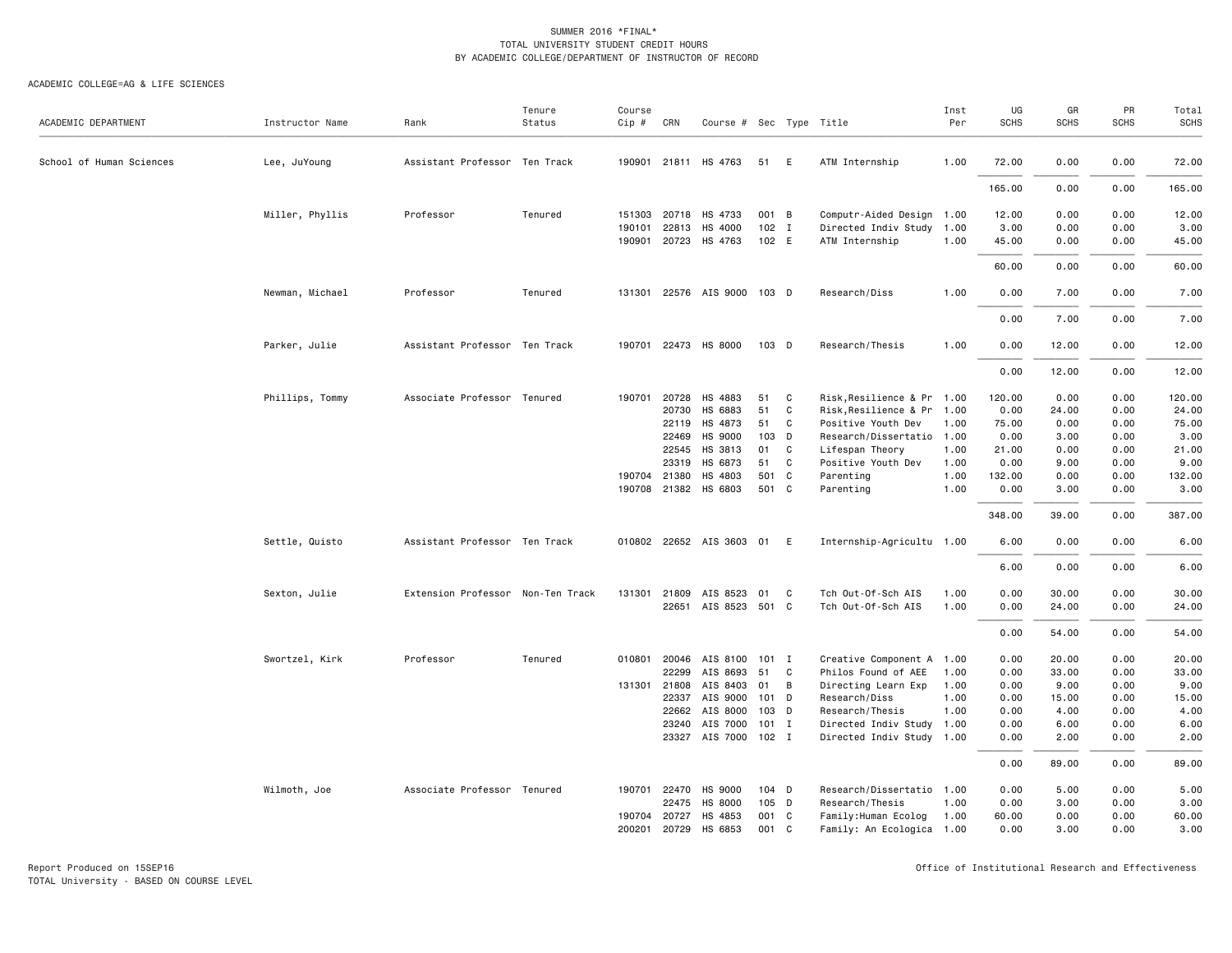| ACADEMIC DEPARTMENT      | Instructor Name | Rank                              | Tenure<br>Status | Course<br>Cip #  | CRN                   | Course # Sec Type Title     |              |              |                                                   | Inst<br>Per  | UG<br><b>SCHS</b> | GR<br>SCHS   | PR<br><b>SCHS</b> | Total<br><b>SCHS</b> |
|--------------------------|-----------------|-----------------------------------|------------------|------------------|-----------------------|-----------------------------|--------------|--------------|---------------------------------------------------|--------------|-------------------|--------------|-------------------|----------------------|
|                          |                 |                                   |                  |                  |                       |                             |              |              |                                                   |              |                   |              |                   |                      |
| School of Human Sciences | Lee, JuYoung    | Assistant Professor Ten Track     |                  |                  |                       | 190901 21811 HS 4763        | 51           | E            | ATM Internship                                    | 1.00         | 72.00             | 0.00         | 0.00              | 72.00                |
|                          |                 |                                   |                  |                  |                       |                             |              |              |                                                   |              | 165.00            | 0.00         | 0.00              | 165.00               |
|                          | Miller, Phyllis | Professor                         | Tenured          |                  | 151303 20718<br>22813 | HS 4733<br>HS 4000          | 001 B<br>102 |              | Computr-Aided Design 1.00<br>Directed Indiv Study |              | 12.00             | 0.00         | 0.00<br>0.00      | 12.00<br>3.00        |
|                          |                 |                                   |                  | 190101<br>190901 |                       | 20723 HS 4763               | 102 E        | I            | ATM Internship                                    | 1.00<br>1.00 | 3.00<br>45.00     | 0.00<br>0.00 | 0.00              | 45.00                |
|                          |                 |                                   |                  |                  |                       |                             |              |              |                                                   |              | 60.00             | 0.00         | 0.00              | 60.00                |
|                          | Newman, Michael | Professor                         | Tenured          |                  |                       | 131301 22576 AIS 9000 103 D |              |              | Research/Diss                                     | 1.00         | 0.00              | 7.00         | 0.00              | 7.00                 |
|                          |                 |                                   |                  |                  |                       |                             |              |              |                                                   |              | 0.00              | 7.00         | 0.00              | 7.00                 |
|                          | Parker, Julie   | Assistant Professor Ten Track     |                  | 190701           |                       | 22473 HS 8000               | 103 D        |              | Research/Thesis                                   | 1.00         | 0.00              | 12.00        | 0.00              | 12.00                |
|                          |                 |                                   |                  |                  |                       |                             |              |              |                                                   |              | 0.00              | 12.00        | 0.00              | 12.00                |
|                          | Phillips, Tommy | Associate Professor Tenured       |                  | 190701           | 20728                 | HS 4883                     | 51           | C            | Risk, Resilience & Pr 1.00                        |              | 120.00            | 0.00         | 0.00              | 120.00               |
|                          |                 |                                   |                  |                  | 20730                 | HS 6883                     | 51           | $\mathtt{C}$ | Risk, Resilience & Pr 1.00                        |              | 0.00              | 24.00        | 0.00              | 24.00                |
|                          |                 |                                   |                  |                  | 22119                 | HS 4873                     | 51           | C            | Positive Youth Dev                                | 1.00         | 75.00             | 0.00         | 0.00              | 75.00                |
|                          |                 |                                   |                  |                  | 22469                 | HS 9000                     | 103 D        |              | Research/Dissertatio 1.00                         |              | 0.00              | 3.00         | 0.00              | 3.00                 |
|                          |                 |                                   |                  |                  | 22545                 | HS 3813                     | 01           | C            | Lifespan Theory                                   | 1.00         | 21.00             | 0.00         | 0.00              | 21.00                |
|                          |                 |                                   |                  |                  | 23319                 | HS 6873                     | 51           | C            | Positive Youth Dev                                | 1.00         | 0.00              | 9.00         | 0.00              | 9.00                 |
|                          |                 |                                   |                  |                  | 190704 21380          | HS 4803                     | 501 C        |              | Parenting                                         | 1.00         | 132.00            | 0.00         | 0.00              | 132.00               |
|                          |                 |                                   |                  |                  |                       | 190708 21382 HS 6803        | 501 C        |              | Parenting                                         | 1.00         | 0.00              | 3.00         | 0.00              | 3.00                 |
|                          |                 |                                   |                  |                  |                       |                             |              |              |                                                   |              | 348.00            | 39.00        | 0.00              | 387.00               |
|                          | Settle, Quisto  | Assistant Professor Ten Track     |                  | 010802           |                       | 22652 AIS 3603 01 E         |              |              | Internship-Agricultu 1.00                         |              | 6.00              | 0.00         | 0.00              | 6.00                 |
|                          |                 |                                   |                  |                  |                       |                             |              |              |                                                   |              | 6.00              | 0.00         | 0.00              | 6.00                 |
|                          | Sexton, Julie   | Extension Professor Non-Ten Track |                  | 131301           | 21809                 | AIS 8523                    | 01           | C            | Tch Out-Of-Sch AIS                                | 1.00         | 0.00              | 30.00        | 0.00              | 30.00                |
|                          |                 |                                   |                  |                  | 22651                 | AIS 8523 501 C              |              |              | Tch Out-Of-Sch AIS                                | 1.00         | 0.00              | 24.00        | 0.00              | 24.00                |
|                          |                 |                                   |                  |                  |                       |                             |              |              |                                                   |              | 0.00              | 54.00        | 0.00              | 54.00                |
|                          | Swortzel, Kirk  | Professor                         | Tenured          | 010801           | 20046                 | AIS 8100                    | 101 I        |              | Creative Component A 1.00                         |              | 0.00              | 20.00        | 0.00              | 20.00                |
|                          |                 |                                   |                  |                  | 22299                 | AIS 8693                    | 51           | C            | Philos Found of AEE                               | 1.00         | 0.00              | 33,00        | 0.00              | 33.00                |
|                          |                 |                                   |                  |                  | 131301 21808          | AIS 8403                    | 01           | B            | Directing Learn Exp                               | 1.00         | 0.00              | 9.00         | 0.00              | 9.00                 |
|                          |                 |                                   |                  |                  | 22337                 | AIS 9000                    | 101          | D            | Research/Diss                                     | 1.00         | 0.00              | 15.00        | 0.00              | 15.00                |
|                          |                 |                                   |                  |                  | 22662                 | AIS 8000                    | 103 D        |              | Research/Thesis                                   | 1.00         | 0.00              | 4.00         | 0.00              | 4.00                 |
|                          |                 |                                   |                  |                  | 23240                 | AIS 7000                    | $101$ I      |              | Directed Indiv Study 1.00                         |              | 0.00              | 6.00         | 0.00              | 6.00                 |
|                          |                 |                                   |                  |                  |                       | 23327 AIS 7000 102 I        |              |              | Directed Indiv Study 1.00                         |              | 0.00              | 2.00         | 0.00              | 2.00                 |
|                          |                 |                                   |                  |                  |                       |                             |              |              |                                                   |              | 0.00              | 89.00        | 0.00              | 89.00                |
|                          | Wilmoth, Joe    | Associate Professor Tenured       |                  | 190701           | 22470                 | HS 9000                     | $104$ D      |              | Research/Dissertatio 1.00                         |              | 0.00              | 5.00         | 0.00              | 5.00                 |
|                          |                 |                                   |                  |                  | 22475                 | HS 8000                     | 105 D        |              | Research/Thesis                                   | 1.00         | 0.00              | 3.00         | 0.00              | 3.00                 |
|                          |                 |                                   |                  | 190704           | 20727                 | HS 4853                     | 001          | C            | Family:Human Ecolog                               | 1.00         | 60.00             | 0.00         | 0.00              | 60.00                |
|                          |                 |                                   |                  | 200201           | 20729                 | HS 6853                     | 001 C        |              | Family: An Ecologica 1.00                         |              | 0.00              | 3.00         | 0.00              | 3.00                 |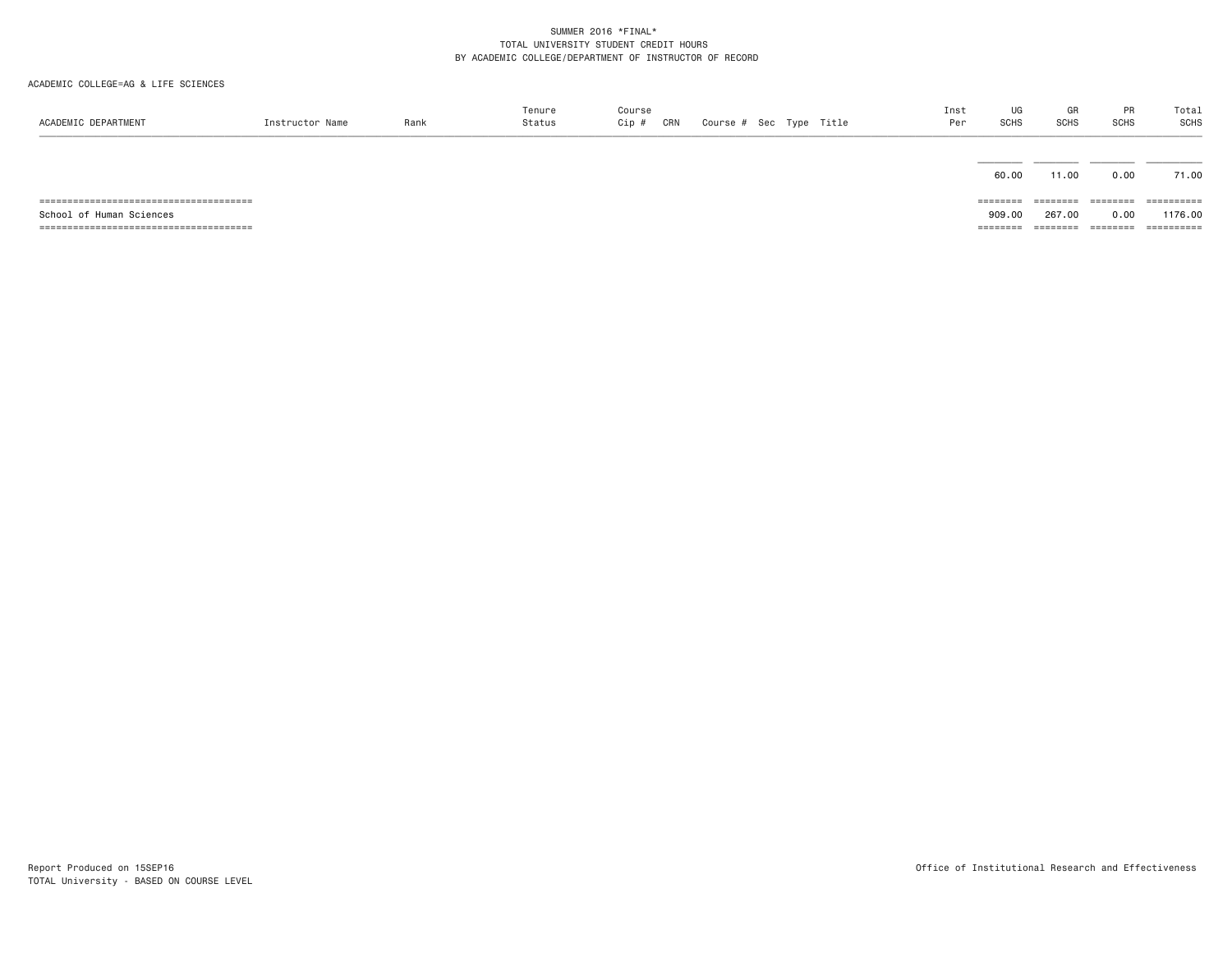| ACADEMIC DEPARTMENT      | Instructor Name | Rank | Tenure<br>Status | Course<br>CRN<br>Cip # |  | Course # Sec Type Title | Inst<br>Per | UG<br>SCHS | GR<br><b>SCHS</b> | PR<br><b>SCHS</b> | Total<br><b>SCHS</b> |
|--------------------------|-----------------|------|------------------|------------------------|--|-------------------------|-------------|------------|-------------------|-------------------|----------------------|
|                          |                 |      |                  |                        |  |                         |             | 60.00      | 11.00             | 0.00              | 71.00                |
|                          |                 |      |                  |                        |  |                         |             | ========   | ========          | ========          | ==========           |
| School of Human Sciences |                 |      |                  |                        |  |                         |             | 909.00     | 267.00            | 0.00              | 1176.00              |
|                          |                 |      |                  |                        |  |                         |             | ========   | ========          | ========          | ==========           |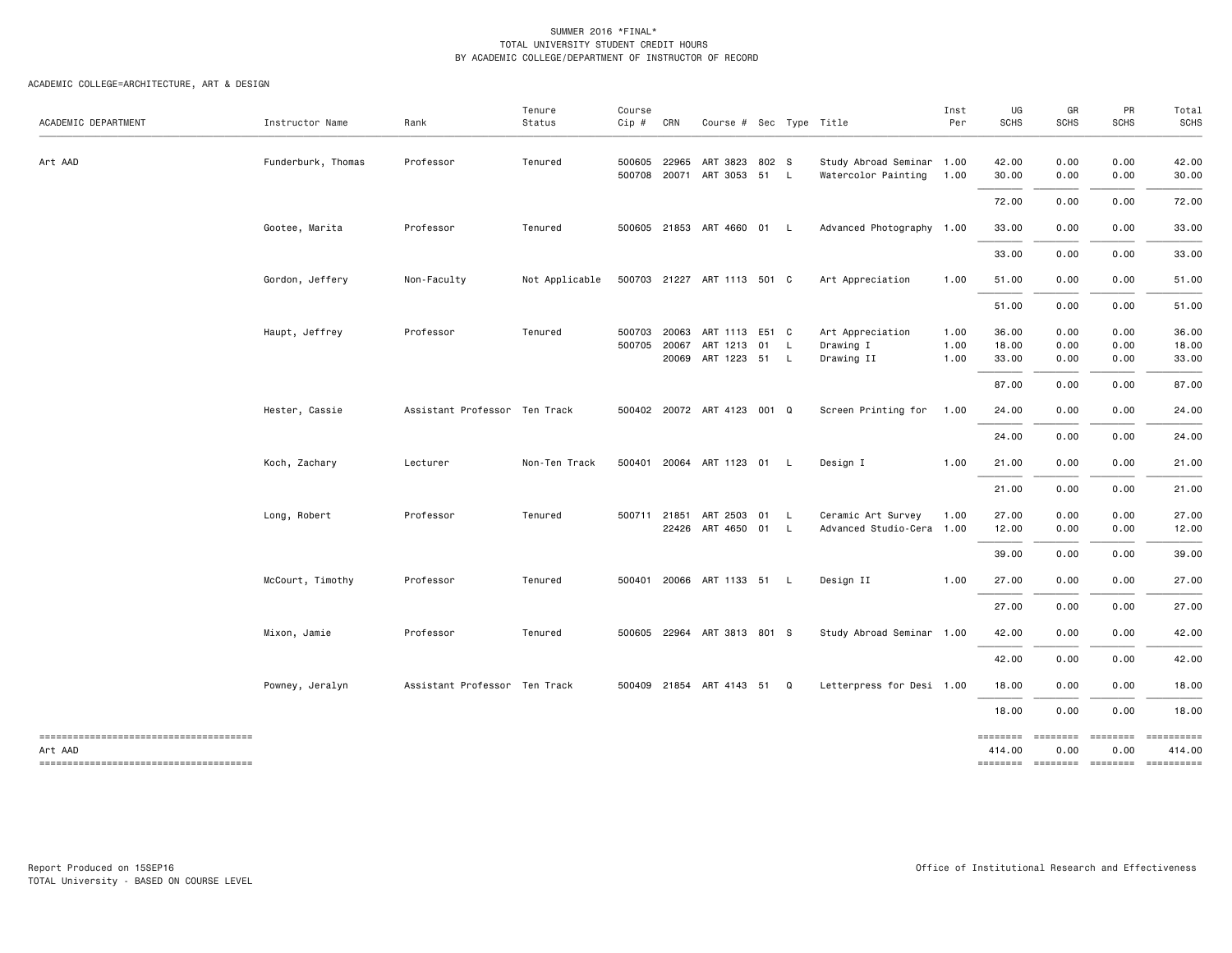| ACADEMIC DEPARTMENT                                                                        | Instructor Name    | Rank                          | Tenure<br>Status | Course<br>Cip #  | CRN            | Course # Sec Type Title                         |    |                          |                                                  | Inst<br>Per          | UG<br>SCHS              | GR<br><b>SCHS</b>    | PR<br><b>SCHS</b>                                           | Total<br>SCHS                                                                                                                                                                                                                                                                                                                                                                                                                                 |
|--------------------------------------------------------------------------------------------|--------------------|-------------------------------|------------------|------------------|----------------|-------------------------------------------------|----|--------------------------|--------------------------------------------------|----------------------|-------------------------|----------------------|-------------------------------------------------------------|-----------------------------------------------------------------------------------------------------------------------------------------------------------------------------------------------------------------------------------------------------------------------------------------------------------------------------------------------------------------------------------------------------------------------------------------------|
| Art AAD                                                                                    | Funderburk, Thomas | Professor                     | Tenured          | 500605<br>500708 | 22965          | ART 3823 802 S<br>20071 ART 3053 51 L           |    |                          | Study Abroad Seminar 1.00<br>Watercolor Painting | 1.00                 | 42.00<br>30.00          | 0.00<br>0.00         | 0.00<br>0.00                                                | 42.00<br>30.00                                                                                                                                                                                                                                                                                                                                                                                                                                |
|                                                                                            |                    |                               |                  |                  |                |                                                 |    |                          |                                                  |                      | 72.00                   | 0.00                 | 0.00                                                        | 72.00                                                                                                                                                                                                                                                                                                                                                                                                                                         |
|                                                                                            | Gootee, Marita     | Professor                     | Tenured          |                  |                | 500605 21853 ART 4660 01 L                      |    |                          | Advanced Photography 1.00                        |                      | 33.00                   | 0.00                 | 0.00                                                        | 33.00                                                                                                                                                                                                                                                                                                                                                                                                                                         |
|                                                                                            |                    |                               |                  |                  |                |                                                 |    |                          |                                                  |                      | 33.00                   | 0.00                 | 0.00                                                        | 33.00                                                                                                                                                                                                                                                                                                                                                                                                                                         |
|                                                                                            | Gordon, Jeffery    | Non-Faculty                   | Not Applicable   |                  |                | 500703 21227 ART 1113 501 C                     |    |                          | Art Appreciation                                 | 1.00                 | 51.00                   | 0.00                 | 0.00                                                        | 51.00                                                                                                                                                                                                                                                                                                                                                                                                                                         |
|                                                                                            |                    |                               |                  |                  |                |                                                 |    |                          |                                                  |                      | 51.00                   | 0.00                 | 0.00                                                        | 51.00                                                                                                                                                                                                                                                                                                                                                                                                                                         |
|                                                                                            | Haupt, Jeffrey     | Professor                     | Tenured          | 500703<br>500705 | 20063<br>20067 | ART 1113 E51 C<br>ART 1213<br>20069 ART 1223 51 | 01 | L.<br><b>L</b>           | Art Appreciation<br>Drawing I<br>Drawing II      | 1.00<br>1.00<br>1.00 | 36.00<br>18.00<br>33.00 | 0.00<br>0.00<br>0.00 | 0.00<br>0.00<br>0.00                                        | 36.00<br>18.00<br>33.00                                                                                                                                                                                                                                                                                                                                                                                                                       |
|                                                                                            |                    |                               |                  |                  |                |                                                 |    |                          |                                                  |                      | 87.00                   | 0.00                 | 0.00                                                        | 87.00                                                                                                                                                                                                                                                                                                                                                                                                                                         |
|                                                                                            | Hester, Cassie     | Assistant Professor Ten Track |                  |                  |                | 500402 20072 ART 4123 001 Q                     |    |                          | Screen Printing for                              | 1.00                 | 24.00                   | 0.00                 | 0.00                                                        | 24.00                                                                                                                                                                                                                                                                                                                                                                                                                                         |
|                                                                                            |                    |                               |                  |                  |                |                                                 |    |                          |                                                  |                      | 24.00                   | 0.00                 | 0.00                                                        | 24.00                                                                                                                                                                                                                                                                                                                                                                                                                                         |
|                                                                                            | Koch, Zachary      | Lecturer                      | Non-Ten Track    |                  |                | 500401 20064 ART 1123 01 L                      |    |                          | Design I                                         | 1.00                 | 21.00                   | 0.00                 | 0.00                                                        | 21.00                                                                                                                                                                                                                                                                                                                                                                                                                                         |
|                                                                                            |                    |                               |                  |                  |                |                                                 |    |                          |                                                  |                      | 21.00                   | 0.00                 | 0.00                                                        | 21.00                                                                                                                                                                                                                                                                                                                                                                                                                                         |
|                                                                                            | Long, Robert       | Professor                     | Tenured          | 500711 21851     |                | ART 2503 01<br>22426 ART 4650 01                |    | <b>L</b><br>$\mathsf{L}$ | Ceramic Art Survey<br>Advanced Studio-Cera 1.00  | 1.00                 | 27.00<br>12.00          | 0.00<br>0.00         | 0.00<br>0.00                                                | 27.00<br>12.00                                                                                                                                                                                                                                                                                                                                                                                                                                |
|                                                                                            |                    |                               |                  |                  |                |                                                 |    |                          |                                                  |                      | 39.00                   | 0.00                 | 0.00                                                        | 39.00                                                                                                                                                                                                                                                                                                                                                                                                                                         |
|                                                                                            | McCourt, Timothy   | Professor                     | Tenured          |                  |                | 500401 20066 ART 1133 51 L                      |    |                          | Design II                                        | 1.00                 | 27.00                   | 0.00                 | 0.00                                                        | 27.00                                                                                                                                                                                                                                                                                                                                                                                                                                         |
|                                                                                            |                    |                               |                  |                  |                |                                                 |    |                          |                                                  |                      | 27.00                   | 0.00                 | 0.00                                                        | 27.00                                                                                                                                                                                                                                                                                                                                                                                                                                         |
|                                                                                            | Mixon, Jamie       | Professor                     | Tenured          |                  |                | 500605 22964 ART 3813 801 S                     |    |                          | Study Abroad Seminar 1.00                        |                      | 42.00                   | 0.00                 | 0.00                                                        | 42.00                                                                                                                                                                                                                                                                                                                                                                                                                                         |
|                                                                                            |                    |                               |                  |                  |                |                                                 |    |                          |                                                  |                      | 42.00                   | 0.00                 | 0.00                                                        | 42.00                                                                                                                                                                                                                                                                                                                                                                                                                                         |
|                                                                                            | Powney, Jeralyn    | Assistant Professor Ten Track |                  |                  |                | 500409 21854 ART 4143 51 Q                      |    |                          | Letterpress for Desi 1.00                        |                      | 18.00                   | 0.00                 | 0.00                                                        | 18.00                                                                                                                                                                                                                                                                                                                                                                                                                                         |
|                                                                                            |                    |                               |                  |                  |                |                                                 |    |                          |                                                  |                      | 18.00                   | 0.00                 | 0.00                                                        | 18.00                                                                                                                                                                                                                                                                                                                                                                                                                                         |
| -------------------------------------<br>Art AAD<br>-------------------------------------- |                    |                               |                  |                  |                |                                                 |    |                          |                                                  |                      | ========<br>414.00      | $=$ ========<br>0.00 | $=$ ========<br>0.00<br>-------- ------- -------- --------- | $\begin{minipage}{0.9\linewidth} \hspace*{-0.2cm} \textbf{1} & \textbf{2} & \textbf{3} & \textbf{5} & \textbf{6} & \textbf{7} & \textbf{8} \\ \textbf{1} & \textbf{2} & \textbf{3} & \textbf{5} & \textbf{6} & \textbf{7} & \textbf{8} & \textbf{8} \\ \textbf{3} & \textbf{4} & \textbf{5} & \textbf{5} & \textbf{6} & \textbf{7} & \textbf{8} & \textbf{8} \\ \textbf{5} & \textbf{5} & \textbf{6} & \textbf{7} & \textbf{8} & \$<br>414.00 |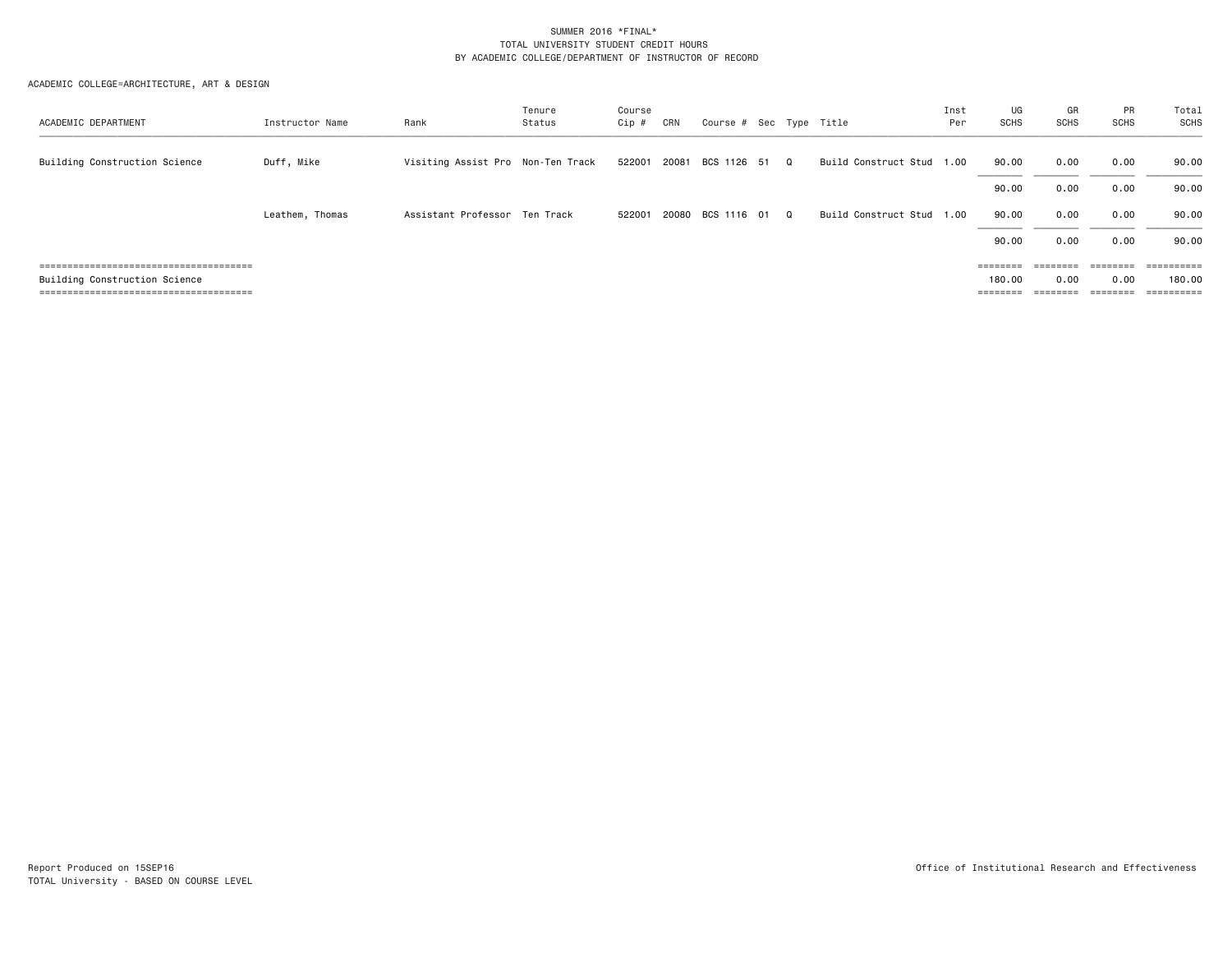| ACADEMIC DEPARTMENT           | Instructor Name | Rank                              | Tenure<br>Status | Course<br>Cip # | CRN   | Course # Sec Type Title    |          |                           | Inst<br>Per | UG<br>SCHS        | GR<br><b>SCHS</b>                                                       | PR<br>SCHS | Total<br><b>SCHS</b>    |
|-------------------------------|-----------------|-----------------------------------|------------------|-----------------|-------|----------------------------|----------|---------------------------|-------------|-------------------|-------------------------------------------------------------------------|------------|-------------------------|
| Building Construction Science | Duff, Mike      | Visiting Assist Pro Non-Ten Track |                  |                 |       | 522001 20081 BCS 1126 51 Q |          | Build Construct Stud      | 1.00        | 90.00             | 0.00                                                                    | 0.00       | 90.00                   |
|                               |                 |                                   |                  |                 |       |                            |          |                           |             | 90.00             | 0.00                                                                    | 0.00       | 90.00                   |
|                               | Leathem, Thomas | Assistant Professor Ten Track     |                  | 522001          | 20080 | BCS 1116 01                | $\Omega$ | Build Construct Stud 1.00 |             | 90.00             | 0.00                                                                    | 0.00       | 90.00                   |
|                               |                 |                                   |                  |                 |       |                            |          |                           |             | 90.00             | 0.00                                                                    | 0.00       | 90.00                   |
|                               |                 |                                   |                  |                 |       |                            |          |                           |             | $=$ = = = = = = = | $\qquad \qquad \equiv \equiv \equiv \equiv \equiv \equiv \equiv \equiv$ | ========   | $=$ = = = = = = = = $=$ |
| Building Construction Science |                 |                                   |                  |                 |       |                            |          |                           |             | 180.00            | 0.00                                                                    | 0.00       | 180.00                  |
|                               |                 |                                   |                  |                 |       |                            |          |                           |             | $=$ = = = = = = = | ========                                                                | ========   | ==========              |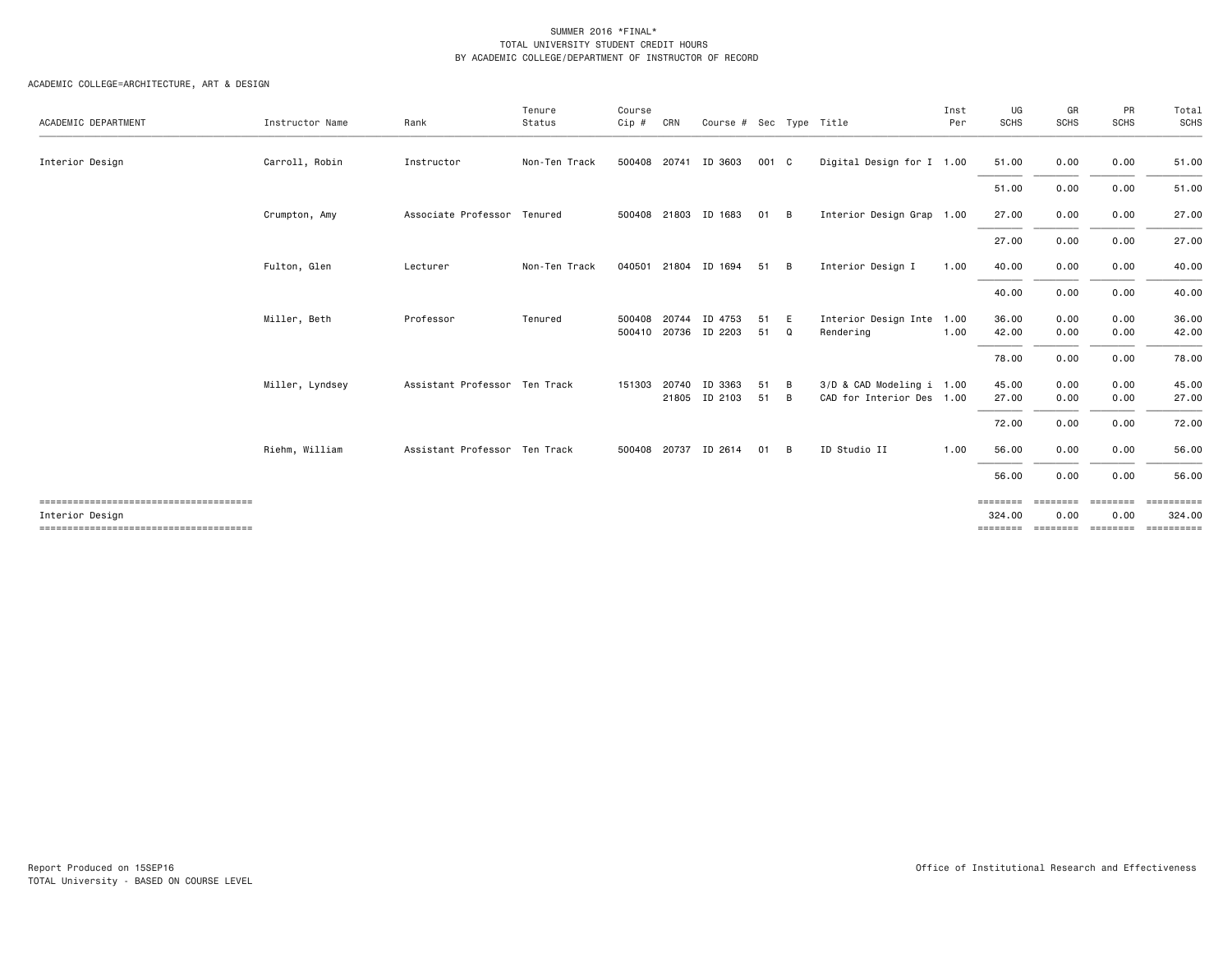| ACADEMIC DEPARTMENT | Instructor Name | Rank                          | Tenure<br>Status | Course<br>Cip #  | CRN   | Course # Sec Type Title  |          |        |                                                        | Inst<br>Per | UG<br>SCHS                     | GR<br><b>SCHS</b>            | PR<br><b>SCHS</b>                  | Total<br>SCHS                    |
|---------------------|-----------------|-------------------------------|------------------|------------------|-------|--------------------------|----------|--------|--------------------------------------------------------|-------------|--------------------------------|------------------------------|------------------------------------|----------------------------------|
| Interior Design     | Carroll, Robin  | Instructor                    | Non-Ten Track    |                  |       | 500408 20741 ID 3603     | 001 C    |        | Digital Design for I 1.00                              |             | 51.00                          | 0.00                         | 0.00                               | 51.00                            |
|                     |                 |                               |                  |                  |       |                          |          |        |                                                        |             | 51.00                          | 0.00                         | 0.00                               | 51.00                            |
|                     | Crumpton, Amy   | Associate Professor Tenured   |                  |                  |       | 500408 21803 ID 1683     | 01       | B      | Interior Design Grap 1.00                              |             | 27.00                          | 0.00                         | 0.00                               | 27.00                            |
|                     |                 |                               |                  |                  |       |                          |          |        |                                                        |             | 27.00                          | 0.00                         | 0.00                               | 27.00                            |
|                     | Fulton, Glen    | Lecturer                      | Non-Ten Track    |                  |       | 040501 21804 ID 1694     | 51       | B      | Interior Design I                                      | 1.00        | 40.00                          | 0.00                         | 0.00                               | 40.00                            |
|                     |                 |                               |                  |                  |       |                          |          |        |                                                        |             | 40.00                          | 0.00                         | 0.00                               | 40.00                            |
|                     | Miller, Beth    | Professor                     | Tenured          | 500408<br>500410 | 20744 | ID 4753<br>20736 ID 2203 | 51<br>51 | E<br>Q | Interior Design Inte 1.00<br>Rendering                 | 1.00        | 36.00<br>42.00                 | 0.00<br>0.00                 | 0.00<br>0.00                       | 36.00<br>42.00                   |
|                     |                 |                               |                  |                  |       |                          |          |        |                                                        |             | 78.00                          | 0.00                         | 0.00                               | 78.00                            |
|                     | Miller, Lyndsey | Assistant Professor Ten Track |                  | 151303           | 20740 | ID 3363<br>21805 ID 2103 | 51<br>51 | B<br>B | 3/D & CAD Modeling i 1.00<br>CAD for Interior Des 1.00 |             | 45.00<br>27.00                 | 0.00<br>0.00                 | 0.00<br>0.00                       | 45.00<br>27.00                   |
|                     |                 |                               |                  |                  |       |                          |          |        |                                                        |             | 72.00                          | 0.00                         | 0.00                               | 72.00                            |
|                     | Riehm, William  | Assistant Professor Ten Track |                  | 500408           | 20737 | ID 2614                  | 01       | B      | ID Studio II                                           | 1.00        | 56.00                          | 0.00                         | 0.00                               | 56.00                            |
|                     |                 |                               |                  |                  |       |                          |          |        |                                                        |             | 56.00                          | 0.00                         | 0.00                               | 56.00                            |
| Interior Design     |                 |                               |                  |                  |       |                          |          |        |                                                        |             | ========<br>324.00<br>======== | ========<br>0.00<br>======== | ========<br>0.00<br><b>EEEEEEE</b> | ==========<br>324.00<br>EEEEEEEE |
|                     |                 |                               |                  |                  |       |                          |          |        |                                                        |             |                                |                              |                                    |                                  |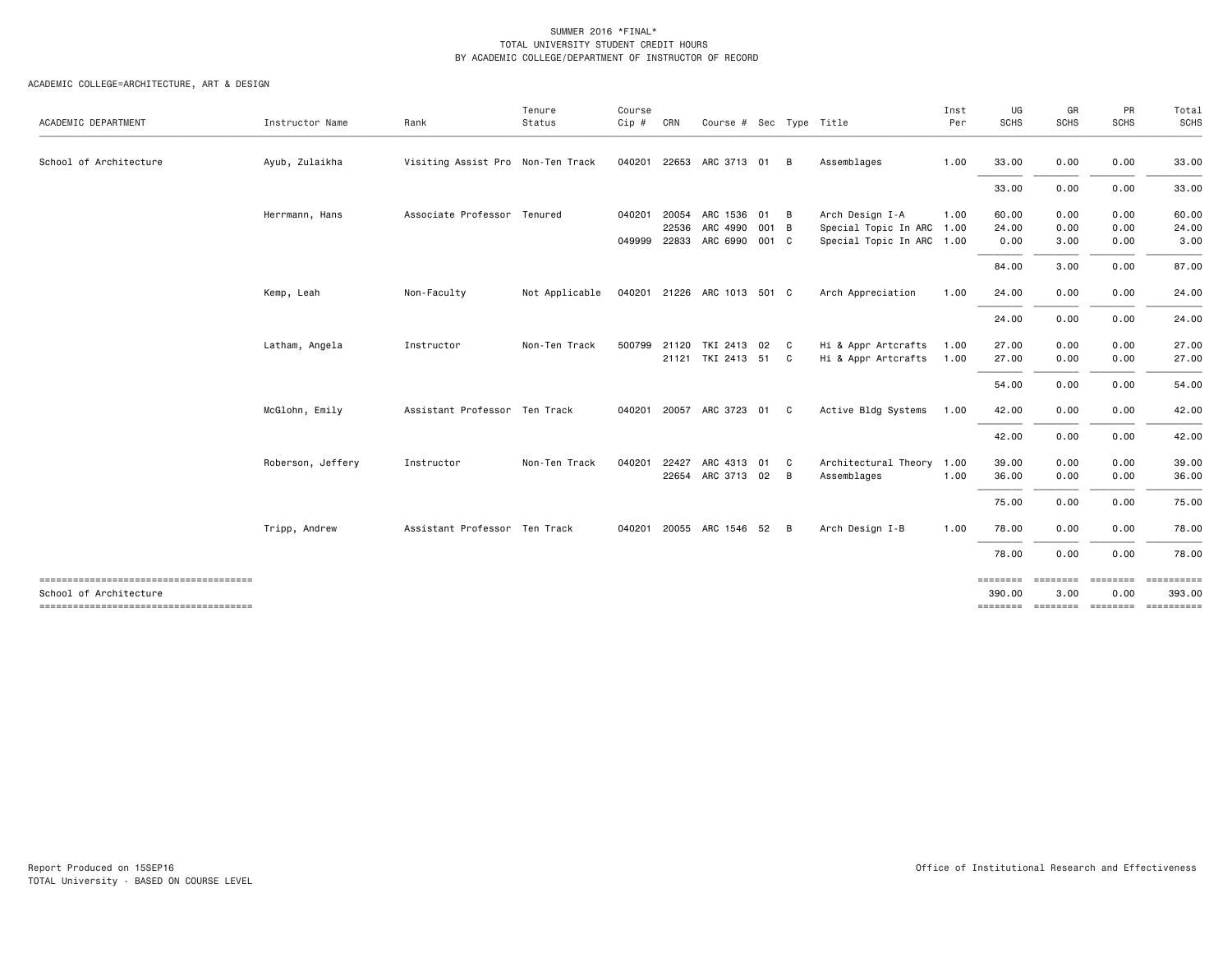| ACADEMIC DEPARTMENT                                             | Instructor Name   | Rank                              | Tenure<br>Status | Course<br>Cip # | CRN   | Course # Sec Type Title     |    |   |                           | Inst<br>Per | UG<br>SCHS         | GR<br><b>SCHS</b> | PR<br><b>SCHS</b> | Total<br>SCHS |
|-----------------------------------------------------------------|-------------------|-----------------------------------|------------------|-----------------|-------|-----------------------------|----|---|---------------------------|-------------|--------------------|-------------------|-------------------|---------------|
| School of Architecture                                          | Ayub, Zulaikha    | Visiting Assist Pro Non-Ten Track |                  | 040201          | 22653 | ARC 3713 01                 |    | B | Assemblages               | 1.00        | 33.00              | 0.00              | 0.00              | 33.00         |
|                                                                 |                   |                                   |                  |                 |       |                             |    |   |                           |             | 33.00              | 0.00              | 0.00              | 33.00         |
|                                                                 | Herrmann, Hans    | Associate Professor Tenured       |                  | 040201          | 20054 | ARC 1536 01 B               |    |   | Arch Design I-A           | 1.00        | 60.00              | 0.00              | 0.00              | 60.00         |
|                                                                 |                   |                                   |                  |                 | 22536 | ARC 4990 001 B              |    |   | Special Topic In ARC 1.00 |             | 24.00              | 0.00              | 0.00              | 24.00         |
|                                                                 |                   |                                   |                  | 049999          | 22833 | ARC 6990 001 C              |    |   | Special Topic In ARC 1.00 |             | 0.00               | 3.00              | 0.00              | 3.00          |
|                                                                 |                   |                                   |                  |                 |       |                             |    |   |                           |             | 84.00              | 3.00              | 0.00              | 87.00         |
|                                                                 | Kemp, Leah        | Non-Faculty                       | Not Applicable   |                 |       | 040201 21226 ARC 1013 501 C |    |   | Arch Appreciation         | 1.00        | 24.00              | 0.00              | 0.00              | 24.00         |
|                                                                 |                   |                                   |                  |                 |       |                             |    |   |                           |             | 24.00              | 0.00              | 0.00              | 24.00         |
|                                                                 | Latham, Angela    | Instructor                        | Non-Ten Track    |                 |       | 500799 21120 TKI 2413 02 C  |    |   | Hi & Appr Artcrafts       | 1.00        | 27.00              | 0.00              | 0.00              | 27.00         |
|                                                                 |                   |                                   |                  |                 |       | 21121 TKI 2413 51 C         |    |   | Hi & Appr Artcrafts       | 1.00        | 27.00              | 0.00              | 0.00              | 27.00         |
|                                                                 |                   |                                   |                  |                 |       |                             |    |   |                           |             | 54.00              | 0.00              | 0.00              | 54.00         |
|                                                                 | McGlohn, Emily    | Assistant Professor Ten Track     |                  | 040201          |       | 20057 ARC 3723 01 C         |    |   | Active Bldg Systems       | 1.00        | 42.00              | 0.00              | 0.00              | 42.00         |
|                                                                 |                   |                                   |                  |                 |       |                             |    |   |                           |             | 42.00              | 0.00              | 0.00              | 42.00         |
|                                                                 | Roberson, Jeffery | Instructor                        | Non-Ten Track    | 040201          | 22427 | ARC 4313                    | 01 | C | Architectural Theory      | 1.00        | 39.00              | 0.00              | 0.00              | 39.00         |
|                                                                 |                   |                                   |                  |                 |       | 22654 ARC 3713 02           |    | B | Assemblages               | 1.00        | 36.00              | 0.00              | 0.00              | 36.00         |
|                                                                 |                   |                                   |                  |                 |       |                             |    |   |                           |             | 75.00              | 0.00              | 0.00              | 75.00         |
|                                                                 | Tripp, Andrew     | Assistant Professor Ten Track     |                  |                 |       | 040201 20055 ARC 1546 52    |    | B | Arch Design I-B           | 1.00        | 78.00              | 0.00              | 0.00              | 78.00         |
|                                                                 |                   |                                   |                  |                 |       |                             |    |   |                           |             | 78.00              | 0.00              | 0.00              | 78.00         |
| -------------------------------------<br>School of Architecture |                   |                                   |                  |                 |       |                             |    |   |                           |             | ========<br>390,00 | ========<br>3.00  | ========<br>0.00  | 393.00        |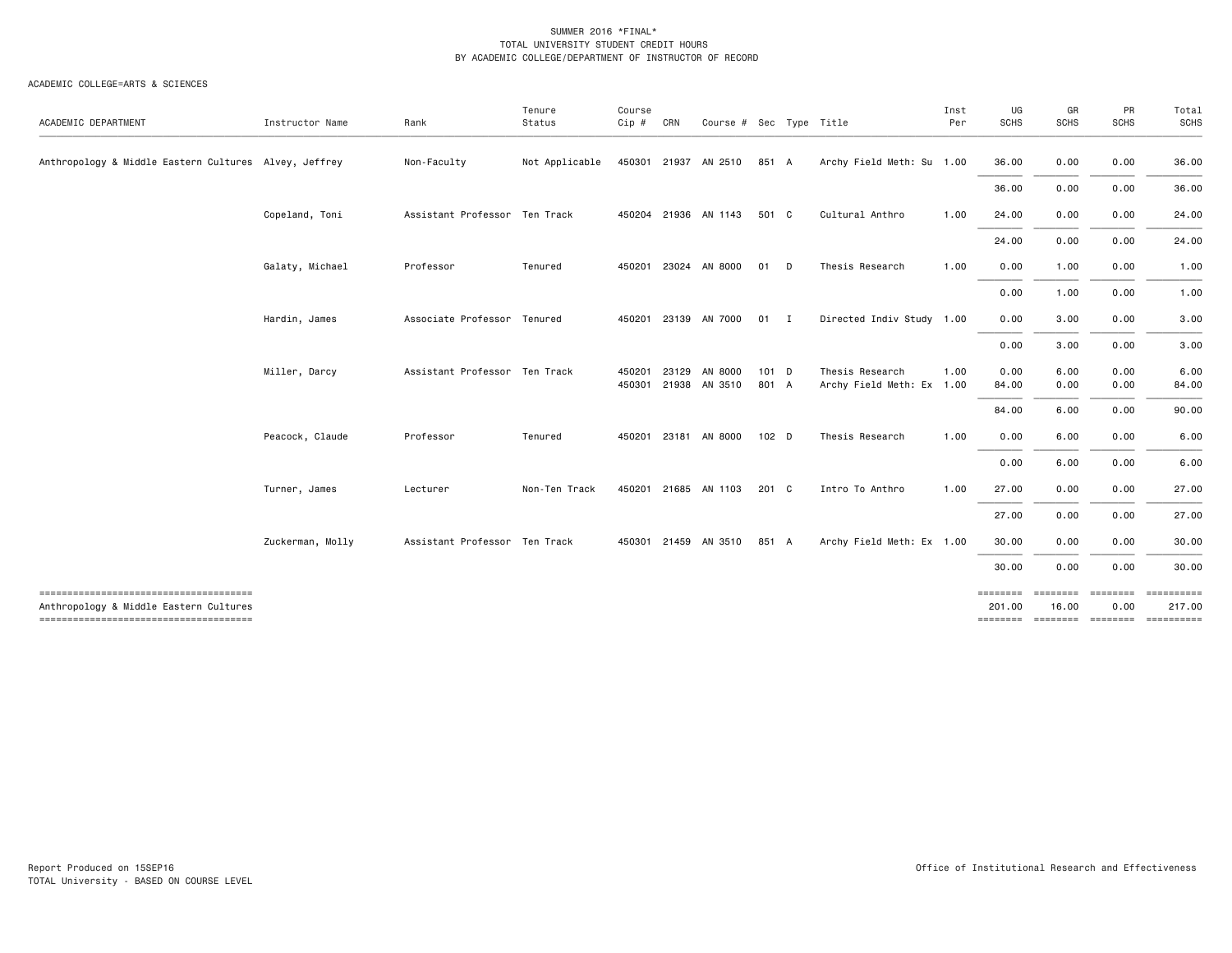| ACADEMIC DEPARTMENT                                                             | Instructor Name  | Rank                          | Tenure<br>Status | Course<br>Cip #  | CRN   | Course # Sec Type Title  |                  |             |                                              | Inst<br>Per | UG<br><b>SCHS</b>                               | GR<br>SCHS        | PR<br><b>SCHS</b> | Total<br>SCHS                      |
|---------------------------------------------------------------------------------|------------------|-------------------------------|------------------|------------------|-------|--------------------------|------------------|-------------|----------------------------------------------|-------------|-------------------------------------------------|-------------------|-------------------|------------------------------------|
| Anthropology & Middle Eastern Cultures Alvey, Jeffrey                           |                  | Non-Faculty                   | Not Applicable   | 450301           |       | 21937 AN 2510            | 851 A            |             | Archy Field Meth: Su 1.00                    |             | 36.00                                           | 0.00              | 0.00              | 36.00                              |
|                                                                                 |                  |                               |                  |                  |       |                          |                  |             |                                              |             | 36.00                                           | 0.00              | 0.00              | 36.00                              |
|                                                                                 | Copeland, Toni   | Assistant Professor Ten Track |                  |                  |       | 450204 21936 AN 1143     | 501 C            |             | Cultural Anthro                              | 1.00        | 24.00                                           | 0.00              | 0.00              | 24.00                              |
|                                                                                 |                  |                               |                  |                  |       |                          |                  |             |                                              |             | 24.00                                           | 0.00              | 0.00              | 24.00                              |
|                                                                                 | Galaty, Michael  | Professor                     | Tenured          | 450201           |       | 23024 AN 8000            | 01               | D           | Thesis Research                              | 1.00        | 0.00                                            | 1.00              | 0.00              | 1.00                               |
|                                                                                 |                  |                               |                  |                  |       |                          |                  |             |                                              |             | 0.00                                            | 1.00              | 0.00              | 1.00                               |
|                                                                                 | Hardin, James    | Associate Professor Tenured   |                  | 450201           |       | 23139 AN 7000            | 01               | $\mathbf I$ | Directed Indiv Study 1.00                    |             | 0.00                                            | 3.00              | 0.00              | 3.00                               |
|                                                                                 |                  |                               |                  |                  |       |                          |                  |             |                                              |             | 0.00                                            | 3.00              | 0.00              | 3.00                               |
|                                                                                 | Miller, Darcy    | Assistant Professor Ten Track |                  | 450201<br>450301 | 23129 | AN 8000<br>21938 AN 3510 | $101$ D<br>801 A |             | Thesis Research<br>Archy Field Meth: Ex 1.00 | 1.00        | 0.00<br>84.00                                   | 6.00<br>0.00      | 0.00<br>0.00      | 6.00<br>84.00                      |
|                                                                                 |                  |                               |                  |                  |       |                          |                  |             |                                              |             | 84.00                                           | 6.00              | 0.00              | 90.00                              |
|                                                                                 | Peacock, Claude  | Professor                     | Tenured          | 450201           |       | 23181 AN 8000            | 102 D            |             | Thesis Research                              | 1.00        | 0.00                                            | 6.00              | 0.00              | 6.00                               |
|                                                                                 |                  |                               |                  |                  |       |                          |                  |             |                                              |             | 0.00                                            | 6.00              | 0.00              | 6.00                               |
|                                                                                 | Turner, James    | Lecturer                      | Non-Ten Track    | 450201           |       | 21685 AN 1103            | 201 C            |             | Intro To Anthro                              | 1.00        | 27.00                                           | 0.00              | 0.00              | 27.00                              |
|                                                                                 |                  |                               |                  |                  |       |                          |                  |             |                                              |             | 27.00                                           | 0.00              | 0.00              | 27.00                              |
|                                                                                 | Zuckerman, Molly | Assistant Professor Ten Track |                  |                  |       | 450301 21459 AN 3510     | 851 A            |             | Archy Field Meth: Ex 1.00                    |             | 30.00                                           | 0.00              | 0.00              | 30.00                              |
|                                                                                 |                  |                               |                  |                  |       |                          |                  |             |                                              |             | 30.00                                           | 0.00              | 0.00              | 30.00                              |
| Anthropology & Middle Eastern Cultures<br>------------------------------------- |                  |                               |                  |                  |       |                          |                  |             |                                              |             | ========<br>201.00<br>-------- -------- ------- | ========<br>16.00 | ========<br>0.00  | ==========<br>217.00<br>========== |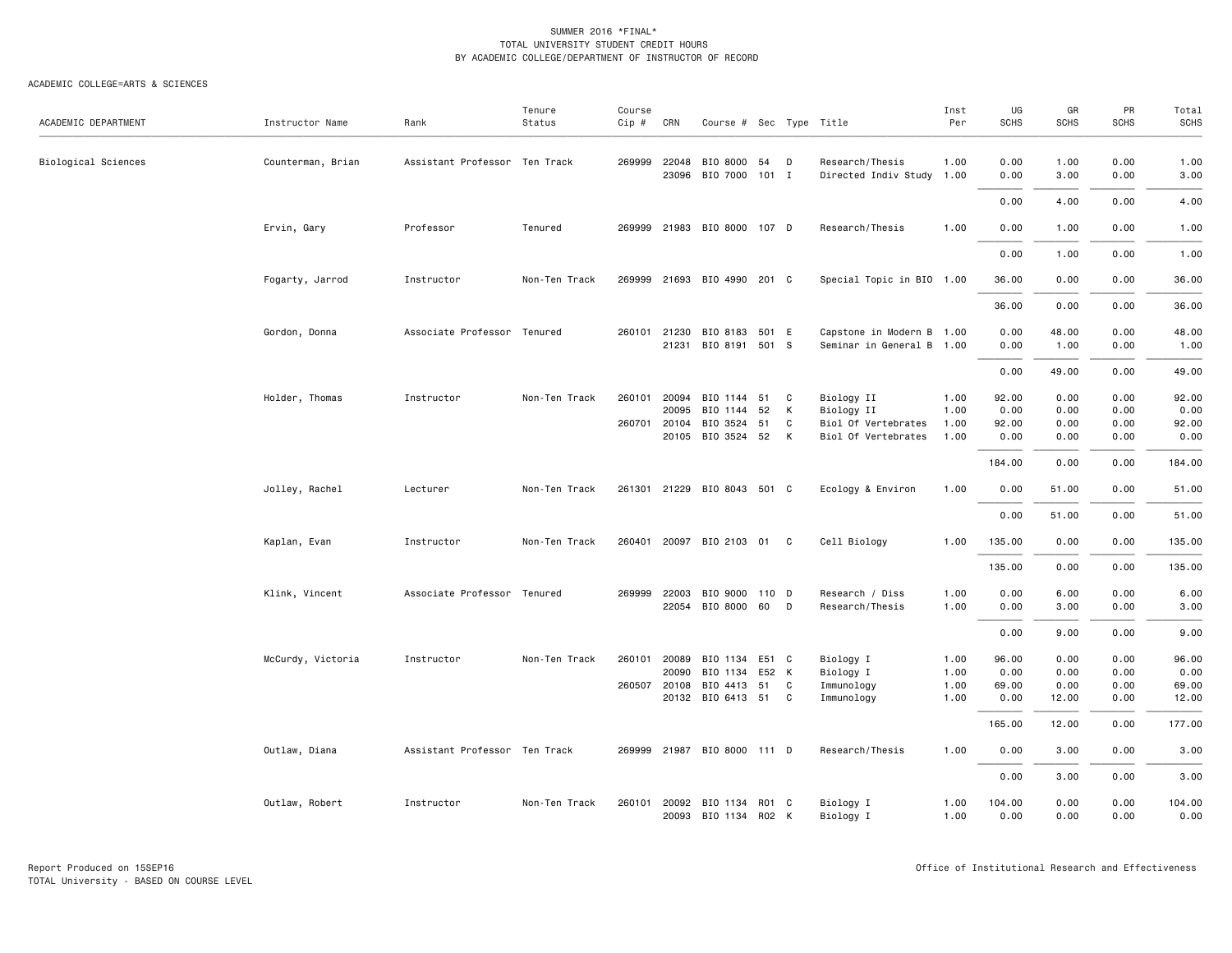| ACADEMIC DEPARTMENT | Instructor Name   | Rank                          | Tenure<br>Status | Course<br>Cip # | CRN                   | Course # Sec Type Title     |       |   |                                              | Inst<br>Per  | UG<br><b>SCHS</b> | GR<br><b>SCHS</b> | PR<br>SCHS   | Total<br><b>SCHS</b> |
|---------------------|-------------------|-------------------------------|------------------|-----------------|-----------------------|-----------------------------|-------|---|----------------------------------------------|--------------|-------------------|-------------------|--------------|----------------------|
| Biological Sciences | Counterman, Brian | Assistant Professor Ten Track |                  |                 | 269999 22048<br>23096 | BIO 8000<br>BIO 7000 101 I  | 54    | D | Research/Thesis<br>Directed Indiv Study 1.00 | 1.00         | 0.00<br>0.00      | 1.00<br>3.00      | 0.00<br>0.00 | 1.00<br>3.00         |
|                     |                   |                               |                  |                 |                       |                             |       |   |                                              |              | 0.00              | 4.00              | 0.00         | 4.00                 |
|                     | Ervin, Gary       | Professor                     | Tenured          | 269999          |                       | 21983 BIO 8000 107 D        |       |   | Research/Thesis                              | 1.00         | 0.00              | 1.00              | 0.00         | 1.00                 |
|                     |                   |                               |                  |                 |                       |                             |       |   |                                              |              | 0.00              | 1.00              | 0.00         | 1.00                 |
|                     | Fogarty, Jarrod   | Instructor                    | Non-Ten Track    |                 |                       | 269999 21693 BIO 4990 201 C |       |   | Special Topic in BIO 1.00                    |              | 36.00             | 0.00              | 0.00         | 36.00                |
|                     |                   |                               |                  |                 |                       |                             |       |   |                                              |              | 36.00             | 0.00              | 0.00         | 36.00                |
|                     | Gordon, Donna     | Associate Professor Tenured   |                  | 260101          | 21230                 | BIO 8183 501 E              |       |   | Capstone in Modern B 1.00                    |              | 0.00              | 48.00             | 0.00         | 48.00                |
|                     |                   |                               |                  |                 | 21231                 | BIO 8191 501 S              |       |   | Seminar in General B 1.00                    |              | 0.00              | 1.00              | 0.00         | 1.00                 |
|                     |                   |                               |                  |                 |                       |                             |       |   |                                              |              | 0.00              | 49.00             | 0.00         | 49.00                |
|                     | Holder, Thomas    | Instructor                    | Non-Ten Track    | 260101          | 20094                 | BIO 1144 51                 |       | C | Biology II                                   | 1.00         | 92.00             | 0.00              | 0.00         | 92.00                |
|                     |                   |                               |                  |                 | 20095                 | BIO 1144                    | 52    | К | Biology II                                   | 1.00         | 0.00              | 0.00              | 0.00         | 0.00                 |
|                     |                   |                               |                  |                 | 260701 20104          | BIO 3524                    | 51    | C | Biol Of Vertebrates                          | 1.00         | 92.00             | 0.00              | 0.00         | 92.00                |
|                     |                   |                               |                  |                 | 20105                 | BIO 3524 52                 |       | К | Biol Of Vertebrates                          | 1.00         | 0.00              | 0.00              | 0.00         | 0.00                 |
|                     |                   |                               |                  |                 |                       |                             |       |   |                                              |              | 184.00            | 0.00              | 0.00         | 184.00               |
|                     | Jolley, Rachel    | Lecturer                      | Non-Ten Track    |                 |                       | 261301 21229 BIO 8043 501 C |       |   | Ecology & Environ                            | 1.00         | 0.00              | 51.00             | 0.00         | 51.00                |
|                     |                   |                               |                  |                 |                       |                             |       |   |                                              |              | 0.00              | 51.00             | 0.00         | 51.00                |
|                     | Kaplan, Evan      | Instructor                    | Non-Ten Track    |                 |                       | 260401 20097 BIO 2103 01 C  |       |   | Cell Biology                                 | 1.00         | 135.00            | 0.00              | 0.00         | 135.00               |
|                     |                   |                               |                  |                 |                       |                             |       |   |                                              |              | 135.00            | 0.00              | 0.00         | 135.00               |
|                     | Klink, Vincent    | Associate Professor Tenured   |                  | 269999          | 22003                 | BIO 9000 110 D              |       |   | Research / Diss                              | 1.00         | 0.00              | 6.00              | 0.00         | 6.00                 |
|                     |                   |                               |                  |                 | 22054                 | BIO 8000                    | 60    | D | Research/Thesis                              | 1.00         | 0.00              | 3.00              | 0.00         | 3.00                 |
|                     |                   |                               |                  |                 |                       |                             |       |   |                                              |              | 0.00              | 9.00              | 0.00         | 9.00                 |
|                     | McCurdy, Victoria | Instructor                    | Non-Ten Track    |                 | 260101 20089          | BIO 1134 E51 C              |       |   | Biology I                                    | 1.00         | 96.00             | 0.00              | 0.00         | 96.00                |
|                     |                   |                               |                  |                 | 20090                 | BIO 1134                    | E52 K |   | Biology I                                    | 1.00         | 0.00              | 0.00              | 0.00         | 0.00                 |
|                     |                   |                               |                  |                 | 260507 20108          | BIO 4413 51                 |       | C | Immunology                                   | 1.00         | 69.00             | 0.00              | 0.00         | 69.00                |
|                     |                   |                               |                  |                 |                       | 20132 BIO 6413 51           |       | C | Immunology                                   | 1.00         | 0.00              | 12.00             | 0.00         | 12.00                |
|                     |                   |                               |                  |                 |                       |                             |       |   |                                              |              | 165.00            | 12.00             | 0.00         | 177.00               |
|                     | Outlaw, Diana     | Assistant Professor Ten Track |                  |                 |                       | 269999 21987 BIO 8000 111 D |       |   | Research/Thesis                              | 1.00         | 0.00              | 3.00              | 0.00         | 3.00                 |
|                     |                   |                               |                  |                 |                       |                             |       |   |                                              |              | 0.00              | 3.00              | 0.00         | 3.00                 |
|                     | Outlaw, Robert    | Instructor                    | Non-Ten Track    | 260101          | 20092<br>20093        | BIO 1134<br>BIO 1134 RO2 K  | R01 C |   | Biology I<br>Biology I                       | 1.00<br>1.00 | 104.00<br>0.00    | 0.00<br>0.00      | 0.00<br>0.00 | 104.00<br>0.00       |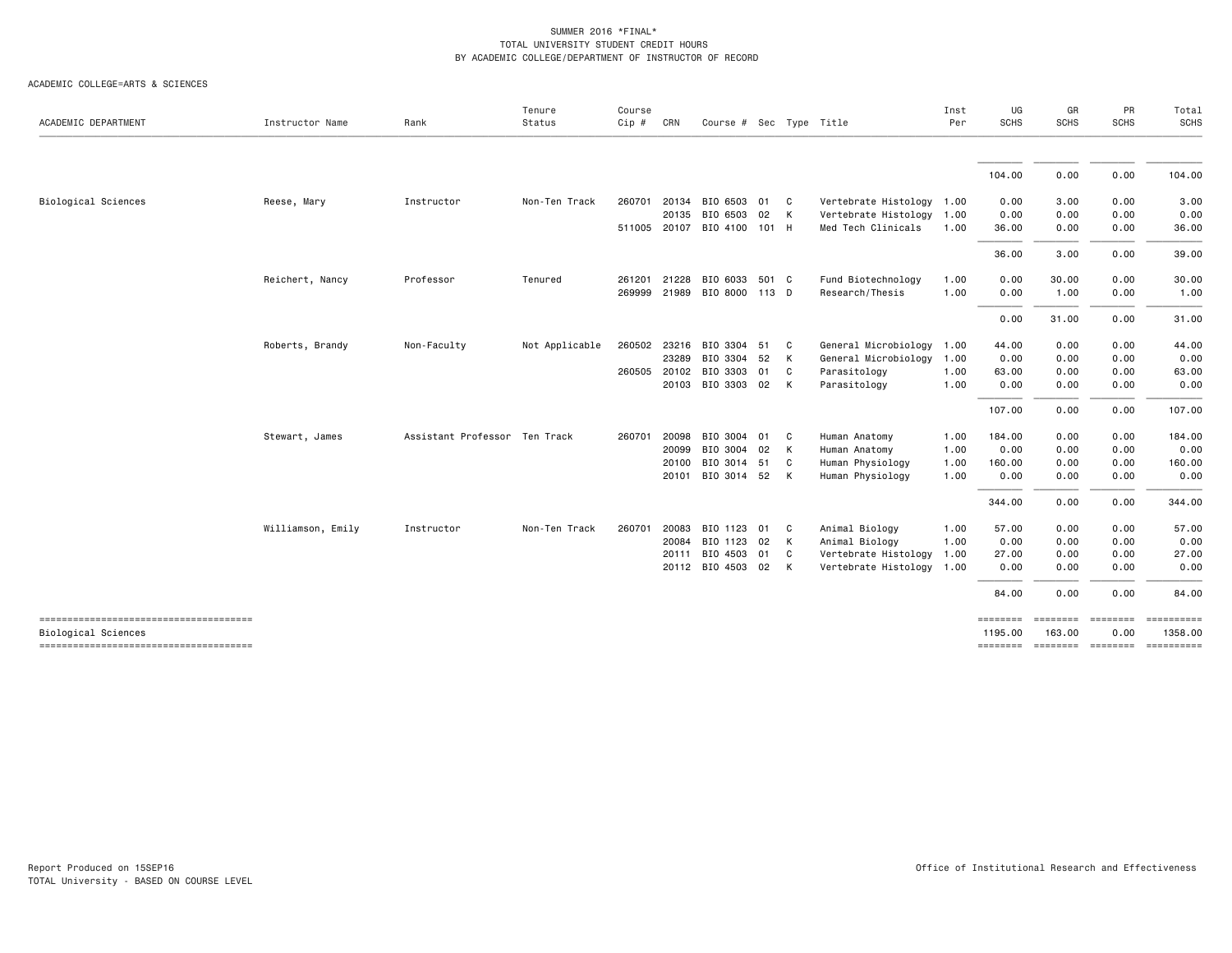| ACADEMIC DEPARTMENT                   | Instructor Name   | Rank                          | Tenure<br>Status | Course<br>Cip # | CRN   | Course # Sec Type Title     |      |              |                           | Inst<br>Per | UG<br>SCHS | GR<br><b>SCHS</b> | PR<br><b>SCHS</b> | Total<br><b>SCHS</b>       |
|---------------------------------------|-------------------|-------------------------------|------------------|-----------------|-------|-----------------------------|------|--------------|---------------------------|-------------|------------|-------------------|-------------------|----------------------------|
|                                       |                   |                               |                  |                 |       |                             |      |              |                           |             |            |                   |                   |                            |
|                                       |                   |                               |                  |                 |       |                             |      |              |                           |             | 104.00     | 0.00              | 0.00              | 104.00                     |
| Biological Sciences                   | Reese, Mary       | Instructor                    | Non-Ten Track    | 260701          | 20134 | BIO 6503 01 C               |      |              | Vertebrate Histology 1.00 |             | 0.00       | 3.00              | 0.00              | 3.00                       |
|                                       |                   |                               |                  |                 | 20135 | BIO 6503                    | 02 K |              | Vertebrate Histology      | 1.00        | 0.00       | 0.00              | 0.00              | 0.00                       |
|                                       |                   |                               |                  |                 |       | 511005 20107 BIO 4100 101 H |      |              | Med Tech Clinicals        | 1.00        | 36.00      | 0.00              | 0.00              | 36.00                      |
|                                       |                   |                               |                  |                 |       |                             |      |              |                           |             | 36.00      | 3.00              | 0.00              | 39.00                      |
|                                       | Reichert, Nancy   | Professor                     | Tenured          | 261201          | 21228 | BIO 6033 501 C              |      |              | Fund Biotechnology        | 1.00        | 0.00       | 30.00             | 0.00              | 30.00                      |
|                                       |                   |                               |                  | 269999 21989    |       | BIO 8000 113 D              |      |              | Research/Thesis           | 1.00        | 0.00       | 1.00              | 0.00              | 1.00                       |
|                                       |                   |                               |                  |                 |       |                             |      |              |                           |             | 0.00       | 31.00             | 0.00              | 31.00                      |
|                                       | Roberts, Brandy   | Non-Faculty                   | Not Applicable   | 260502          | 23216 | BIO 3304                    | 51   | $\mathbf{C}$ | General Microbiology      | 1.00        | 44.00      | 0.00              | 0.00              | 44.00                      |
|                                       |                   |                               |                  |                 | 23289 | BIO 3304                    | 52   | K            | General Microbiology      | 1.00        | 0.00       | 0.00              | 0.00              | 0.00                       |
|                                       |                   |                               |                  | 260505          | 20102 | BIO 3303                    | 01   | C.           | Parasitology              | 1.00        | 63.00      | 0.00              | 0.00              | 63.00                      |
|                                       |                   |                               |                  |                 |       | 20103 BIO 3303 02 K         |      |              | Parasitology              | 1.00        | 0.00       | 0.00              | 0.00              | 0.00                       |
|                                       |                   |                               |                  |                 |       |                             |      |              |                           |             | 107.00     | 0.00              | 0.00              | 107.00                     |
|                                       | Stewart, James    | Assistant Professor Ten Track |                  | 260701          | 20098 | BIO 3004 01                 |      | C.           | Human Anatomy             | 1.00        | 184.00     | 0.00              | 0.00              | 184.00                     |
|                                       |                   |                               |                  |                 | 20099 | BIO 3004                    | 02   | <b>K</b>     | Human Anatomy             | 1.00        | 0.00       | 0.00              | 0.00              | 0.00                       |
|                                       |                   |                               |                  |                 | 20100 | BIO 3014                    | 51   | C.           | Human Physiology          | 1.00        | 160.00     | 0.00              | 0.00              | 160.00                     |
|                                       |                   |                               |                  |                 |       | 20101 BIO 3014 52 K         |      |              | Human Physiology          | 1.00        | 0.00       | 0.00              | 0.00              | 0.00                       |
|                                       |                   |                               |                  |                 |       |                             |      |              |                           |             | 344.00     | 0.00              | 0.00              | 344.00                     |
|                                       | Williamson, Emily | Instructor                    | Non-Ten Track    | 260701          | 20083 | BIO 1123                    | 01 C |              | Animal Biology            | 1.00        | 57.00      | 0.00              | 0.00              | 57.00                      |
|                                       |                   |                               |                  |                 | 20084 | BIO 1123                    | 02   | $\mathsf{K}$ | Animal Biology            | 1.00        | 0.00       | 0.00              | 0.00              | 0.00                       |
|                                       |                   |                               |                  |                 | 20111 | BIO 4503                    | 01 C |              | Vertebrate Histology      | 1.00        | 27.00      | 0.00              | 0.00              | 27.00                      |
|                                       |                   |                               |                  |                 |       | 20112 BIO 4503 02 K         |      |              | Vertebrate Histology      | 1.00        | 0.00       | 0.00              | 0.00              | 0.00                       |
|                                       |                   |                               |                  |                 |       |                             |      |              |                           |             | 84.00      | 0.00              | 0.00              | 84.00                      |
| ------------------------------------- |                   |                               |                  |                 |       |                             |      |              |                           |             | ========   | <b>ESSESSES</b>   | <b>ESSESSES</b>   |                            |
| Biological Sciences                   |                   |                               |                  |                 |       |                             |      |              |                           |             | 1195.00    | 163.00            | 0.00              | 1358.00                    |
| ------------------------------------- |                   |                               |                  |                 |       |                             |      |              |                           |             | ========   |                   |                   | -------- ------- --------- |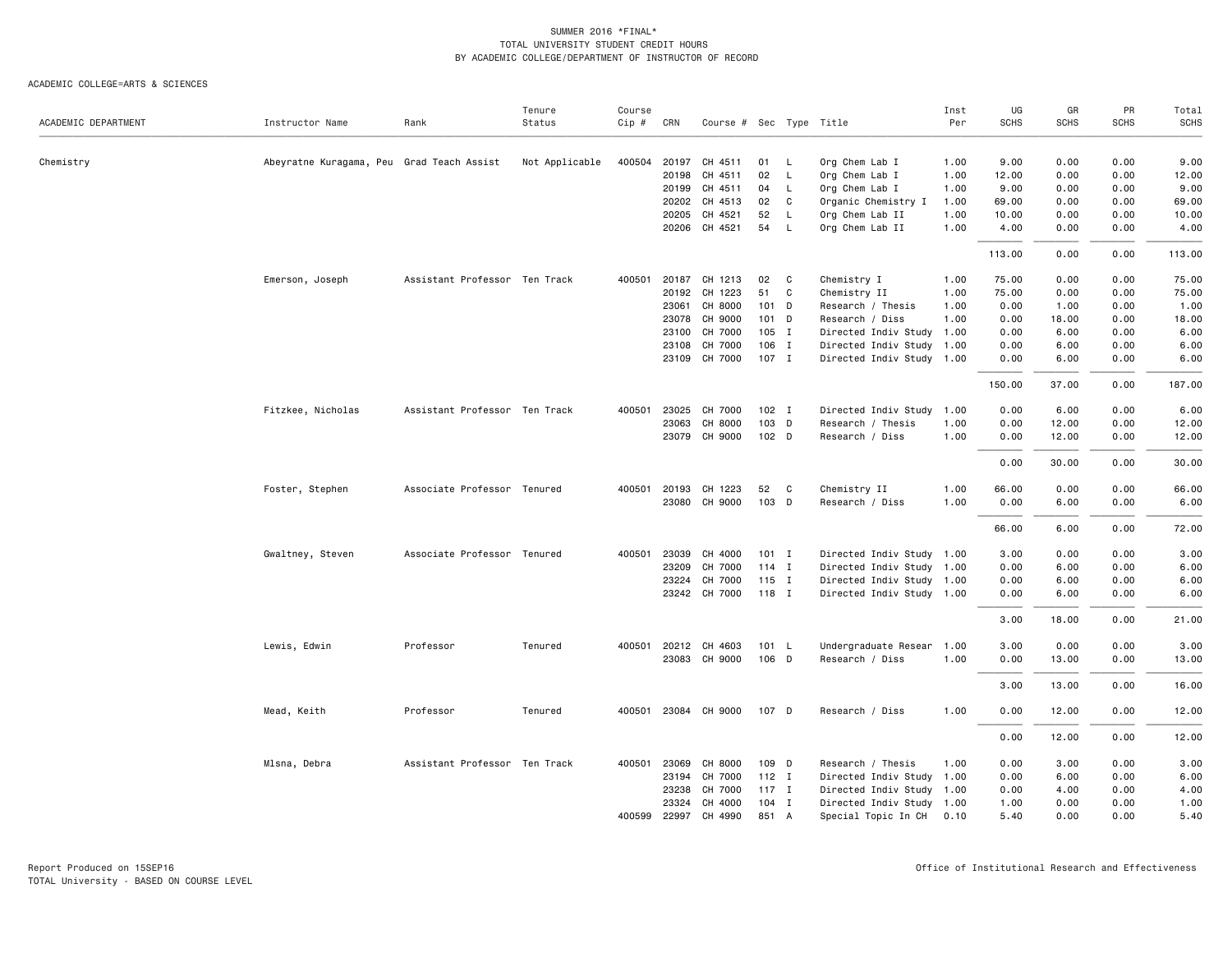|                     |                                           |                               | Tenure         | Course |              |                         |                  |              |                           | Inst | UG          | GR          | PR          | Total  |
|---------------------|-------------------------------------------|-------------------------------|----------------|--------|--------------|-------------------------|------------------|--------------|---------------------------|------|-------------|-------------|-------------|--------|
| ACADEMIC DEPARTMENT | Instructor Name                           | Rank                          | Status         | Cip #  | CRN          | Course # Sec Type Title |                  |              |                           | Per  | <b>SCHS</b> | <b>SCHS</b> | <b>SCHS</b> | SCHS   |
| Chemistry           | Abeyratne Kuragama, Peu Grad Teach Assist |                               | Not Applicable |        | 400504 20197 | CH 4511                 | 01               | L            | Org Chem Lab I            | 1.00 | 9.00        | 0.00        | 0.00        | 9.00   |
|                     |                                           |                               |                |        | 20198        | CH 4511                 | 02               | $\mathsf{L}$ | Org Chem Lab I            | 1.00 | 12.00       | 0.00        | 0.00        | 12.00  |
|                     |                                           |                               |                |        | 20199        | CH 4511                 | 04               | L            | Org Chem Lab I            | 1.00 | 9.00        | 0.00        | 0.00        | 9.00   |
|                     |                                           |                               |                |        | 20202        | CH 4513                 | 02               | C            | Organic Chemistry I       | 1.00 | 69.00       | 0.00        | 0.00        | 69.00  |
|                     |                                           |                               |                |        | 20205        | CH 4521                 | 52               | $\mathsf L$  | Org Chem Lab II           | 1.00 | 10.00       | 0.00        | 0.00        | 10.00  |
|                     |                                           |                               |                |        |              | 20206 CH 4521           | 54               | $\mathsf{L}$ | Org Chem Lab II           | 1.00 | 4.00        | 0.00        | 0.00        | 4.00   |
|                     |                                           |                               |                |        |              |                         |                  |              |                           |      | 113.00      | 0.00        | 0.00        | 113.00 |
|                     | Emerson, Joseph                           | Assistant Professor Ten Track |                |        |              | 400501 20187 CH 1213    | 02               | C            | Chemistry I               | 1.00 | 75.00       | 0.00        | 0.00        | 75.00  |
|                     |                                           |                               |                |        | 20192        | CH 1223                 | 51               | C            | Chemistry II              | 1.00 | 75.00       | 0.00        | 0.00        | 75.00  |
|                     |                                           |                               |                |        |              | 23061 CH 8000           | 101 D            |              | Research / Thesis         | 1.00 | 0.00        | 1.00        | 0.00        | 1.00   |
|                     |                                           |                               |                |        | 23078        | CH 9000                 | $101$ D          |              | Research / Diss           | 1.00 | 0.00        | 18.00       | 0.00        | 18.00  |
|                     |                                           |                               |                |        | 23100        | CH 7000                 | $105$ I          |              | Directed Indiv Study 1.00 |      | 0.00        | 6.00        | 0.00        | 6.00   |
|                     |                                           |                               |                |        | 23108        | CH 7000                 | 106 I            |              | Directed Indiv Study 1.00 |      | 0.00        | 6.00        | 0.00        | 6.00   |
|                     |                                           |                               |                |        |              | 23109 CH 7000           | 107 I            |              | Directed Indiv Study 1.00 |      | 0.00        | 6.00        | 0.00        | 6.00   |
|                     |                                           |                               |                |        |              |                         |                  |              |                           |      | 150.00      | 37.00       | 0.00        | 187.00 |
|                     | Fitzkee, Nicholas                         | Assistant Professor Ten Track |                |        | 400501 23025 | CH 7000                 | $102$ I          |              | Directed Indiv Study 1.00 |      | 0.00        | 6.00        | 0.00        | 6.00   |
|                     |                                           |                               |                |        | 23063        | CH 8000                 | 103 D            |              | Research / Thesis         | 1.00 | 0.00        | 12.00       | 0.00        | 12.00  |
|                     |                                           |                               |                |        |              | 23079 CH 9000           | 102 <sub>D</sub> |              | Research / Diss           | 1.00 | 0.00        | 12.00       | 0.00        | 12.00  |
|                     |                                           |                               |                |        |              |                         |                  |              |                           |      |             |             |             |        |
|                     |                                           |                               |                |        |              |                         |                  |              |                           |      | 0.00        | 30.00       | 0.00        | 30.00  |
|                     | Foster, Stephen                           | Associate Professor Tenured   |                |        | 400501 20193 | CH 1223                 | 52               | C            | Chemistry II              | 1.00 | 66.00       | 0.00        | 0.00        | 66.00  |
|                     |                                           |                               |                |        |              | 23080 CH 9000           | 103 D            |              | Research / Diss           | 1.00 | 0.00        | 6.00        | 0.00        | 6.00   |
|                     |                                           |                               |                |        |              |                         |                  |              |                           |      | 66.00       | 6.00        | 0.00        | 72.00  |
|                     | Gwaltney, Steven                          | Associate Professor Tenured   |                | 400501 | 23039        | CH 4000                 | $101$ I          |              | Directed Indiv Study 1.00 |      | 3.00        | 0.00        | 0.00        | 3.00   |
|                     |                                           |                               |                |        | 23209        | CH 7000                 | $114$ I          |              | Directed Indiv Study 1.00 |      | 0.00        | 6.00        | 0.00        | 6.00   |
|                     |                                           |                               |                |        | 23224        | CH 7000                 | $115$ I          |              | Directed Indiv Study 1.00 |      | 0.00        | 6.00        | 0.00        | 6.00   |
|                     |                                           |                               |                |        |              | 23242 CH 7000           | 118 I            |              | Directed Indiv Study 1.00 |      | 0.00        | 6.00        | 0.00        | 6.00   |
|                     |                                           |                               |                |        |              |                         |                  |              |                           |      | 3.00        | 18.00       | 0.00        | 21.00  |
|                     | Lewis, Edwin                              | Professor                     | Tenured        |        | 400501 20212 | CH 4603                 | 101 L            |              | Undergraduate Resear 1.00 |      | 3.00        | 0.00        | 0.00        | 3.00   |
|                     |                                           |                               |                |        |              | 23083 CH 9000           | 106 D            |              | Research / Diss           | 1.00 | 0.00        | 13.00       | 0.00        | 13.00  |
|                     |                                           |                               |                |        |              |                         |                  |              |                           |      |             |             |             |        |
|                     |                                           |                               |                |        |              |                         |                  |              |                           |      | 3.00        | 13.00       | 0.00        | 16.00  |
|                     | Mead, Keith                               | Professor                     | Tenured        |        |              | 400501 23084 CH 9000    | 107 D            |              | Research / Diss           | 1.00 | 0.00        | 12.00       | 0.00        | 12.00  |
|                     |                                           |                               |                |        |              |                         |                  |              |                           |      | 0.00        | 12.00       | 0.00        | 12.00  |
|                     | Mlsna, Debra                              | Assistant Professor Ten Track |                |        | 400501 23069 | CH 8000                 | 109 D            |              | Research / Thesis         | 1.00 | 0.00        | 3.00        | 0.00        | 3.00   |
|                     |                                           |                               |                |        | 23194        | CH 7000                 | $112$ I          |              | Directed Indiv Study 1.00 |      | 0.00        | 6.00        | 0.00        | 6.00   |
|                     |                                           |                               |                |        | 23238        | CH 7000                 | $117$ I          |              | Directed Indiv Study 1.00 |      | 0.00        | 4.00        | 0.00        | 4.00   |
|                     |                                           |                               |                |        | 23324        | CH 4000                 | $104$ I          |              | Directed Indiv Study 1.00 |      | 1.00        | 0.00        | 0.00        | 1.00   |
|                     |                                           |                               |                |        | 400599 22997 | CH 4990                 | 851 A            |              | Special Topic In CH       | 0.10 | 5.40        | 0.00        | 0.00        | 5.40   |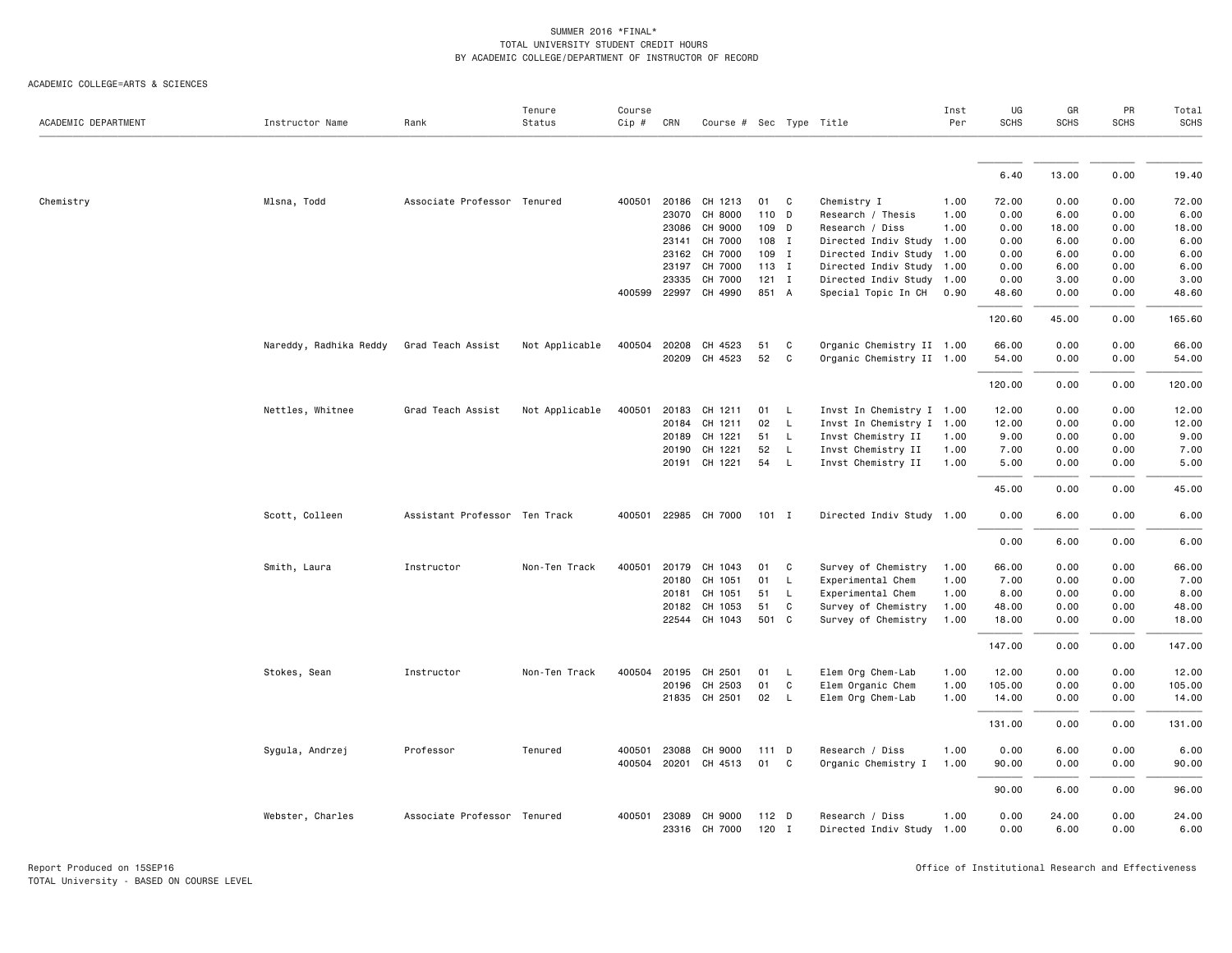| ACADEMIC DEPARTMENT | Instructor Name        | Rank                          | Tenure<br>Status | Course<br>$Cip$ # | CRN   | Course # Sec Type Title  |                |              |                                              | Inst<br>Per | UG<br>SCHS   | GR<br><b>SCHS</b> | PR<br><b>SCHS</b> | Total<br><b>SCHS</b> |
|---------------------|------------------------|-------------------------------|------------------|-------------------|-------|--------------------------|----------------|--------------|----------------------------------------------|-------------|--------------|-------------------|-------------------|----------------------|
|                     |                        |                               |                  |                   |       |                          |                |              |                                              |             |              |                   |                   |                      |
|                     |                        |                               |                  |                   |       |                          |                |              |                                              |             | 6.40         | 13.00             | 0.00              | 19.40                |
| Chemistry           | Mlsna, Todd            | Associate Professor Tenured   |                  |                   |       | 400501 20186 CH 1213     | 01             | C            | Chemistry I                                  | 1.00        | 72.00        | 0.00              | 0.00              | 72.00                |
|                     |                        |                               |                  |                   |       | 23070 CH 8000            | 110 D          |              | Research / Thesis                            | 1.00        | 0.00         | 6.00              | 0.00              | 6.00                 |
|                     |                        |                               |                  |                   | 23086 | CH 9000                  | 109 D          |              | Research / Diss                              | 1.00        | 0.00         | 18.00             | 0.00              | 18.00                |
|                     |                        |                               |                  |                   |       | 23141 CH 7000            | 108 I          |              | Directed Indiv Study 1.00                    |             | 0.00         | 6.00              | 0.00              | 6.00                 |
|                     |                        |                               |                  |                   |       | 23162 CH 7000            | 109 I          |              | Directed Indiv Study 1.00                    |             | 0.00         | 6.00              | 0.00              | 6.00                 |
|                     |                        |                               |                  |                   | 23197 | CH 7000                  | 113 I          |              | Directed Indiv Study                         | 1.00        | 0.00         | 6.00              | 0.00              | 6.00                 |
|                     |                        |                               |                  |                   | 23335 | CH 7000                  | $121$ I        |              | Directed Indiv Study 1.00                    |             | 0.00         | 3.00              | 0.00              | 3.00                 |
|                     |                        |                               |                  |                   |       | 400599 22997 CH 4990     | 851 A          |              | Special Topic In CH                          | 0.90        | 48.60        | 0.00              | 0.00              | 48.60                |
|                     |                        |                               |                  |                   |       |                          |                |              |                                              |             | 120.60       | 45.00             | 0.00              | 165.60               |
|                     | Nareddy, Radhika Reddy | Grad Teach Assist             | Not Applicable   | 400504            |       | 20208 CH 4523            | 51             | C            | Organic Chemistry II 1.00                    |             | 66.00        | 0.00              | 0.00              | 66.00                |
|                     |                        |                               |                  |                   |       | 20209 CH 4523            | 52             | C            | Organic Chemistry II 1.00                    |             | 54.00        | 0.00              | 0.00              | 54.00                |
|                     |                        |                               |                  |                   |       |                          |                |              |                                              |             | 120.00       | 0.00              | 0.00              | 120.00               |
|                     | Nettles, Whitnee       | Grad Teach Assist             | Not Applicable   | 400501            |       | 20183 CH 1211            | 01             | L.           | Invst In Chemistry I 1.00                    |             | 12.00        | 0.00              | 0.00              | 12.00                |
|                     |                        |                               |                  |                   | 20184 | CH 1211                  | 02             | $\mathsf{L}$ | Invst In Chemistry I 1.00                    |             | 12.00        | 0.00              | 0.00              | 12.00                |
|                     |                        |                               |                  |                   |       | 20189 CH 1221            | 51             | $\mathsf{L}$ | Invst Chemistry II                           | 1.00        | 9.00         | 0.00              | 0.00              | 9.00                 |
|                     |                        |                               |                  |                   |       | 20190 CH 1221            | 52             | L.           | Invst Chemistry II                           | 1.00        | 7.00         | 0.00              | 0.00              | 7.00                 |
|                     |                        |                               |                  |                   |       | 20191 CH 1221            | 54             | L            | Invst Chemistry II                           | 1.00        | 5.00         | 0.00              | 0.00              | 5.00                 |
|                     |                        |                               |                  |                   |       |                          |                |              |                                              |             | 45.00        | 0.00              | 0.00              | 45.00                |
|                     | Scott, Colleen         | Assistant Professor Ten Track |                  |                   |       | 400501 22985 CH 7000     | $101$ I        |              | Directed Indiv Study 1.00                    |             | 0.00         | 6.00              | 0.00              | 6.00                 |
|                     |                        |                               |                  |                   |       |                          |                |              |                                              |             | 0.00         | 6.00              | 0.00              | 6.00                 |
|                     | Smith, Laura           | Instructor                    | Non-Ten Track    | 400501            |       | 20179 CH 1043            | 01             | C            | Survey of Chemistry                          | 1.00        | 66.00        | 0.00              | 0.00              | 66.00                |
|                     |                        |                               |                  |                   | 20180 | CH 1051                  | 01             | L.           | Experimental Chem                            | 1.00        | 7.00         | 0.00              | 0.00              | 7.00                 |
|                     |                        |                               |                  |                   | 20181 | CH 1051                  | 51             | L.           | Experimental Chem                            | 1.00        | 8.00         | 0.00              | 0.00              | 8.00                 |
|                     |                        |                               |                  |                   |       | 20182 CH 1053            | 51             | C            | Survey of Chemistry                          | 1.00        | 48.00        | 0.00              | 0.00              | 48.00                |
|                     |                        |                               |                  |                   |       | 22544 CH 1043            | 501 C          |              | Survey of Chemistry                          | 1.00        | 18.00        | 0.00              | 0.00              | 18.00                |
|                     |                        |                               |                  |                   |       |                          |                |              |                                              |             | 147.00       | 0.00              | 0.00              | 147.00               |
|                     | Stokes, Sean           | Instructor                    | Non-Ten Track    | 400504            | 20195 | CH 2501                  | 01             | L            | Elem Org Chem-Lab                            | 1.00        | 12.00        | 0.00              | 0.00              | 12.00                |
|                     |                        |                               |                  |                   |       | 20196 CH 2503            | 01             | C            | Elem Organic Chem                            | 1.00        | 105.00       | 0.00              | 0.00              | 105.00               |
|                     |                        |                               |                  |                   |       | 21835 CH 2501            | 02             | $\mathsf{L}$ | Elem Org Chem-Lab                            | 1.00        | 14.00        | 0.00              | 0.00              | 14.00                |
|                     |                        |                               |                  |                   |       |                          |                |              |                                              |             | 131.00       | 0.00              | 0.00              | 131.00               |
|                     | Sygula, Andrzej        | Professor                     | Tenured          | 400501            | 23088 | CH 9000                  | 111D           |              | Research / Diss                              | 1.00        | 0.00         | 6.00              | 0.00              | 6.00                 |
|                     |                        |                               |                  | 400504            |       | 20201 CH 4513            | 01             | $\mathbf{C}$ | Organic Chemistry I                          | 1.00        | 90.00        | 0.00              | 0.00              | 90.00                |
|                     |                        |                               |                  |                   |       |                          |                |              |                                              |             | 90.00        | 6.00              | 0.00              | 96.00                |
|                     | Webster, Charles       | Associate Professor Tenured   |                  | 400501            | 23089 | CH 9000<br>23316 CH 7000 | 112 D<br>120 I |              | Research / Diss<br>Directed Indiv Study 1.00 | 1.00        | 0.00<br>0.00 | 24.00<br>6.00     | 0.00<br>0.00      | 24.00<br>6.00        |
|                     |                        |                               |                  |                   |       |                          |                |              |                                              |             |              |                   |                   |                      |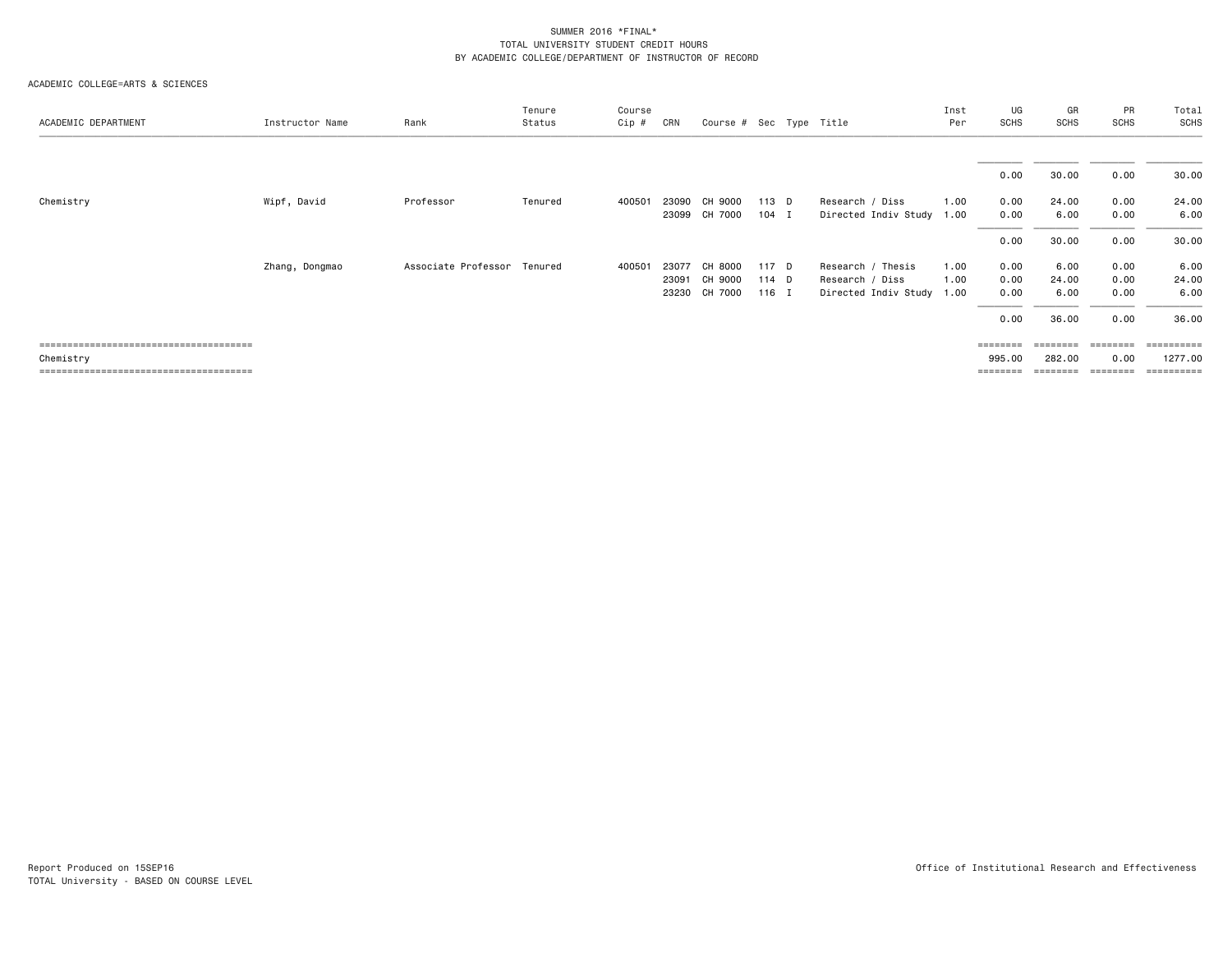| ACADEMIC DEPARTMENT | Instructor Name | Rank                        | Tenure<br>Status | Course<br>Cip # | CRN                     | Course # Sec Type Title       |                           |                                                                   | Inst<br>Per  | UG<br>SCHS                             | GR<br><b>SCHS</b>                       | PR<br><b>SCHS</b>                    | Total<br><b>SCHS</b>                         |
|---------------------|-----------------|-----------------------------|------------------|-----------------|-------------------------|-------------------------------|---------------------------|-------------------------------------------------------------------|--------------|----------------------------------------|-----------------------------------------|--------------------------------------|----------------------------------------------|
|                     |                 |                             |                  |                 |                         |                               |                           |                                                                   |              | 0.00                                   | 30.00                                   | 0.00                                 | 30.00                                        |
| Chemistry           | Wipf, David     | Professor                   | Tenured          | 400501          | 23099                   | 23090 CH 9000<br>CH 7000      | 113 D<br>104 I            | Research / Diss<br>Directed Indiv Study 1.00                      | 1.00         | 0.00<br>0.00                           | 24.00<br>6.00                           | 0.00<br>0.00                         | 24.00<br>6.00                                |
|                     |                 |                             |                  |                 |                         |                               |                           |                                                                   |              | 0.00                                   | 30.00                                   | 0.00                                 | 30.00                                        |
|                     | Zhang, Dongmao  | Associate Professor Tenured |                  | 400501          | 23077<br>23091<br>23230 | CH 8000<br>CH 9000<br>CH 7000 | 117 D<br>$114$ D<br>116 I | Research / Thesis<br>Research / Diss<br>Directed Indiv Study 1.00 | 1.00<br>1.00 | 0.00<br>0.00<br>0.00                   | 6.00<br>24.00<br>6.00                   | 0.00<br>0.00<br>0.00                 | 6.00<br>24.00<br>6.00                        |
| Chemistry           |                 |                             |                  |                 |                         |                               |                           |                                                                   |              | 0.00<br>========<br>995.00<br>======== | 36.00<br>========<br>282.00<br>======== | 0.00<br>========<br>0.00<br>======== | 36.00<br>==========<br>1277.00<br>========== |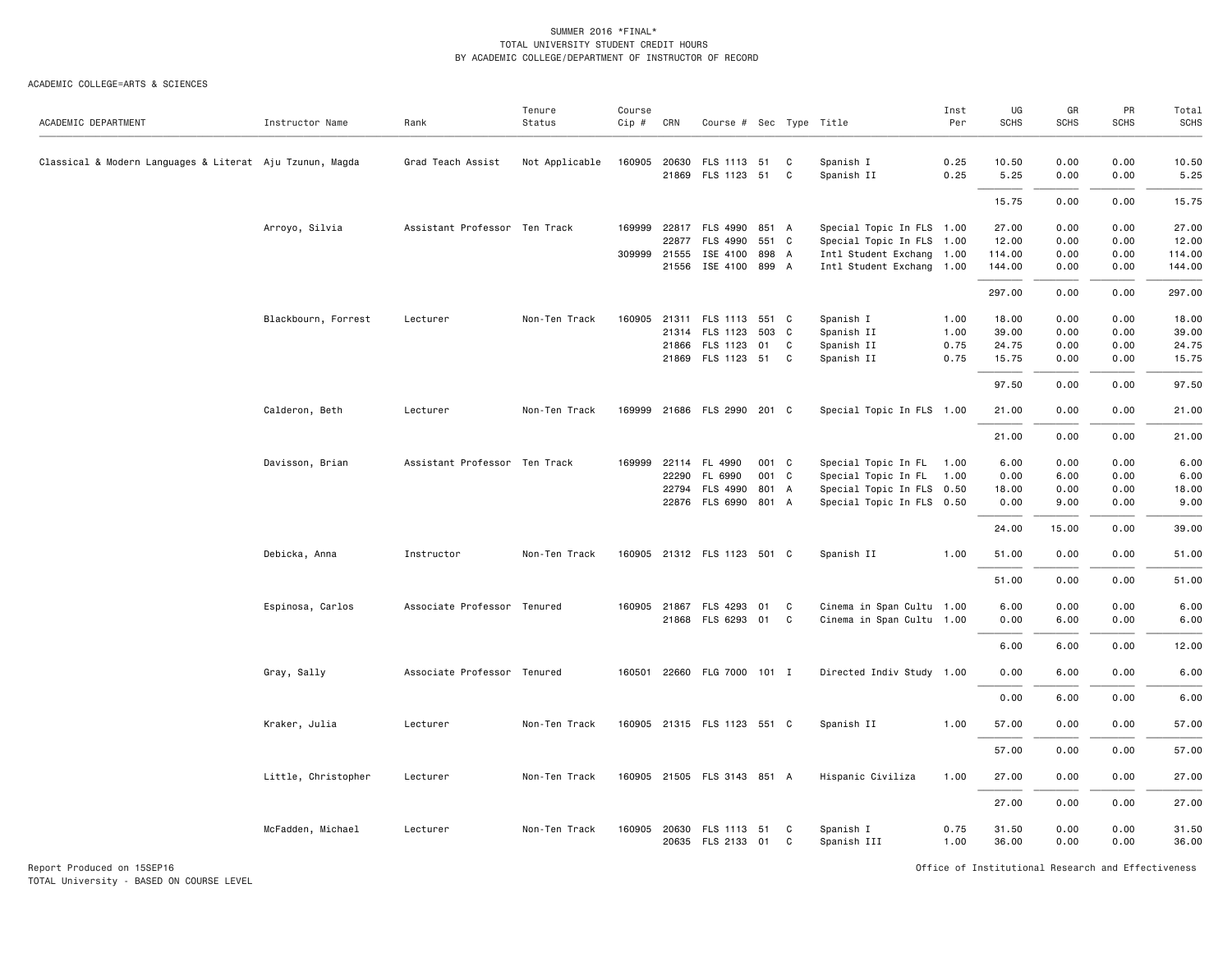#### ACADEMIC COLLEGE=ARTS & SCIENCES

|                                                          |                     |                               | Tenure         | Course |       |                             |       |   |                           | Inst | UG          | GR          | PR          | Total       |
|----------------------------------------------------------|---------------------|-------------------------------|----------------|--------|-------|-----------------------------|-------|---|---------------------------|------|-------------|-------------|-------------|-------------|
| ACADEMIC DEPARTMENT                                      | Instructor Name     | Rank                          | Status         | Cip #  | CRN   | Course # Sec Type Title     |       |   |                           | Per  | <b>SCHS</b> | <b>SCHS</b> | <b>SCHS</b> | <b>SCHS</b> |
| Classical & Modern Languages & Literat Aju Tzunun, Magda |                     | Grad Teach Assist             | Not Applicable | 160905 | 20630 | FLS 1113 51                 |       | C | Spanish I                 | 0.25 | 10.50       | 0.00        | 0.00        | 10.50       |
|                                                          |                     |                               |                |        | 21869 | FLS 1123 51                 |       | C | Spanish II                | 0.25 | 5.25        | 0.00        | 0.00        | 5.25        |
|                                                          |                     |                               |                |        |       |                             |       |   |                           |      | 15.75       | 0.00        | 0.00        | 15.75       |
|                                                          | Arroyo, Silvia      | Assistant Professor Ten Track |                | 169999 |       | 22817 FLS 4990 851 A        |       |   | Special Topic In FLS 1.00 |      | 27.00       | 0.00        | 0.00        | 27.00       |
|                                                          |                     |                               |                |        | 22877 | FLS 4990                    | 551 C |   | Special Topic In FLS 1.00 |      | 12.00       | 0.00        | 0.00        | 12.00       |
|                                                          |                     |                               |                | 309999 | 21555 | ISE 4100                    | 898 A |   | Intl Student Exchang 1.00 |      | 114.00      | 0.00        | 0.00        | 114.00      |
|                                                          |                     |                               |                |        | 21556 | ISE 4100 899 A              |       |   | Intl Student Exchang 1.00 |      | 144.00      | 0.00        | 0.00        | 144.00      |
|                                                          |                     |                               |                |        |       |                             |       |   |                           |      | 297.00      | 0.00        | 0.00        | 297.00      |
|                                                          | Blackbourn, Forrest | Lecturer                      | Non-Ten Track  | 160905 |       | 21311 FLS 1113 551 C        |       |   | Spanish I                 | 1.00 | 18.00       | 0.00        | 0.00        | 18.00       |
|                                                          |                     |                               |                |        | 21314 | FLS 1123                    | 503 C |   | Spanish II                | 1.00 | 39.00       | 0.00        | 0.00        | 39.00       |
|                                                          |                     |                               |                |        |       | 21866 FLS 1123              | 01    | C | Spanish II                | 0.75 | 24.75       | 0.00        | 0.00        | 24.75       |
|                                                          |                     |                               |                |        |       | 21869 FLS 1123 51           |       | C | Spanish II                | 0.75 | 15.75       | 0.00        | 0.00        | 15.75       |
|                                                          |                     |                               |                |        |       |                             |       |   |                           |      | 97.50       | 0.00        | 0.00        | 97.50       |
|                                                          | Calderon, Beth      | Lecturer                      | Non-Ten Track  | 169999 |       | 21686 FLS 2990 201 C        |       |   | Special Topic In FLS 1.00 |      | 21.00       | 0.00        | 0.00        | 21.00       |
|                                                          |                     |                               |                |        |       |                             |       |   |                           |      | 21.00       | 0.00        | 0.00        | 21.00       |
|                                                          | Davisson, Brian     | Assistant Professor Ten Track |                | 169999 |       | 22114 FL 4990               | 001 C |   | Special Topic In FL 1.00  |      | 6.00        | 0.00        | 0.00        | 6.00        |
|                                                          |                     |                               |                |        | 22290 | FL 6990                     | 001 C |   | Special Topic In FL 1.00  |      | 0.00        | 6.00        | 0.00        | 6.00        |
|                                                          |                     |                               |                |        | 22794 | FLS 4990                    | 801 A |   | Special Topic In FLS 0.50 |      | 18.00       | 0.00        | 0.00        | 18.00       |
|                                                          |                     |                               |                |        |       | 22876 FLS 6990 801 A        |       |   | Special Topic In FLS 0.50 |      | 0.00        | 9.00        | 0.00        | 9.00        |
|                                                          |                     |                               |                |        |       |                             |       |   |                           |      | 24.00       | 15.00       | 0.00        | 39.00       |
|                                                          | Debicka, Anna       | Instructor                    | Non-Ten Track  |        |       | 160905 21312 FLS 1123 501 C |       |   | Spanish II                | 1.00 | 51.00       | 0.00        | 0.00        | 51.00       |
|                                                          |                     |                               |                |        |       |                             |       |   |                           |      | 51.00       | 0.00        | 0.00        | 51.00       |
|                                                          | Espinosa, Carlos    | Associate Professor Tenured   |                |        |       | 160905 21867 FLS 4293 01 C  |       |   | Cinema in Span Cultu 1.00 |      | 6.00        | 0.00        | 0.00        | 6.00        |
|                                                          |                     |                               |                |        |       | 21868 FLS 6293 01           |       | C | Cinema in Span Cultu 1.00 |      | 0.00        | 6.00        | 0.00        | 6.00        |
|                                                          |                     |                               |                |        |       |                             |       |   |                           |      | 6.00        | 6.00        | 0.00        | 12.00       |
|                                                          | Gray, Sally         | Associate Professor Tenured   |                |        |       | 160501 22660 FLG 7000 101 I |       |   | Directed Indiv Study 1.00 |      | 0.00        | 6.00        | 0.00        | 6.00        |
|                                                          |                     |                               |                |        |       |                             |       |   |                           |      | 0.00        | 6.00        | 0.00        | 6.00        |
|                                                          | Kraker, Julia       | Lecturer                      | Non-Ten Track  |        |       | 160905 21315 FLS 1123 551 C |       |   | Spanish II                | 1.00 | 57.00       | 0.00        | 0.00        | 57.00       |
|                                                          |                     |                               |                |        |       |                             |       |   |                           |      | 57.00       | 0.00        | 0.00        | 57.00       |
|                                                          |                     |                               |                |        |       |                             |       |   |                           |      |             |             |             |             |
|                                                          | Little, Christopher | Lecturer                      | Non-Ten Track  |        |       | 160905 21505 FLS 3143 851 A |       |   | Hispanic Civiliza         | 1.00 | 27.00       | 0.00        | 0.00        | 27.00       |
|                                                          |                     |                               |                |        |       |                             |       |   |                           |      | 27.00       | 0.00        | 0.00        | 27.00       |
|                                                          | McFadden, Michael   | Lecturer                      | Non-Ten Track  | 160905 |       | 20630 FLS 1113 51           |       | C | Spanish I                 | 0.75 | 31.50       | 0.00        | 0.00        | 31.50       |
|                                                          |                     |                               |                |        |       | 20635 FLS 2133 01           |       | C | Spanish III               | 1.00 | 36.00       | 0.00        | 0.00        | 36.00       |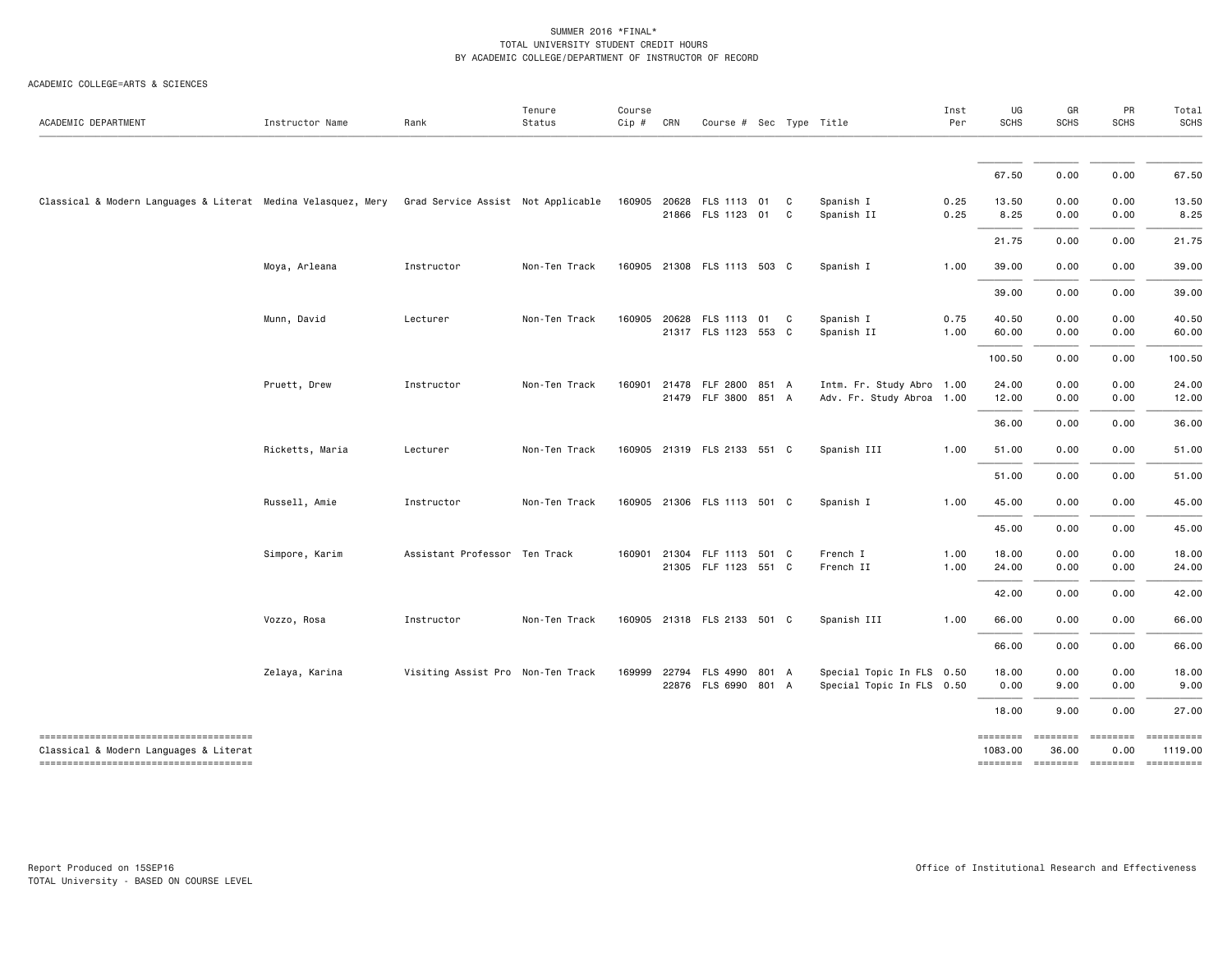| ACADEMIC DEPARTMENT                                                                                                       | Instructor Name | Rank                               | Tenure<br>Status | Course<br>Cip # | CRN   | Course # Sec Type Title                      |       |    |                                                        | Inst<br>Per  | UG<br>SCHS                                                         | GR<br><b>SCHS</b>        | PR<br><b>SCHS</b>                                                                                                                                                                                                                                                                                                                                                                                                                                                                                                                 | Total<br><b>SCHS</b>  |
|---------------------------------------------------------------------------------------------------------------------------|-----------------|------------------------------------|------------------|-----------------|-------|----------------------------------------------|-------|----|--------------------------------------------------------|--------------|--------------------------------------------------------------------|--------------------------|-----------------------------------------------------------------------------------------------------------------------------------------------------------------------------------------------------------------------------------------------------------------------------------------------------------------------------------------------------------------------------------------------------------------------------------------------------------------------------------------------------------------------------------|-----------------------|
|                                                                                                                           |                 |                                    |                  |                 |       |                                              |       |    |                                                        |              |                                                                    |                          |                                                                                                                                                                                                                                                                                                                                                                                                                                                                                                                                   |                       |
|                                                                                                                           |                 |                                    |                  |                 |       |                                              |       |    |                                                        |              | 67.50                                                              | 0.00                     | 0.00                                                                                                                                                                                                                                                                                                                                                                                                                                                                                                                              | 67.50                 |
| Classical & Modern Languages & Literat Medina Velasquez, Mery                                                             |                 | Grad Service Assist Not Applicable |                  | 160905 20628    |       | FLS 1113 01 C<br>21866 FLS 1123 01           |       | C. | Spanish I<br>Spanish II                                | 0.25<br>0.25 | 13.50<br>8.25                                                      | 0.00<br>0.00             | 0.00<br>0.00                                                                                                                                                                                                                                                                                                                                                                                                                                                                                                                      | 13.50<br>8.25         |
|                                                                                                                           |                 |                                    |                  |                 |       |                                              |       |    |                                                        |              | 21.75                                                              | 0.00                     | 0.00                                                                                                                                                                                                                                                                                                                                                                                                                                                                                                                              | 21.75                 |
|                                                                                                                           | Moya, Arleana   | Instructor                         | Non-Ten Track    | 160905          |       | 21308 FLS 1113 503 C                         |       |    | Spanish I                                              | 1.00         | 39.00                                                              | 0.00                     | 0.00                                                                                                                                                                                                                                                                                                                                                                                                                                                                                                                              | 39.00                 |
|                                                                                                                           |                 |                                    |                  |                 |       |                                              |       |    |                                                        |              | 39.00                                                              | 0.00                     | 0.00                                                                                                                                                                                                                                                                                                                                                                                                                                                                                                                              | 39.00                 |
|                                                                                                                           | Munn, David     | Lecturer                           | Non-Ten Track    | 160905          | 20628 | FLS 1113 01 C<br>21317 FLS 1123 553 C        |       |    | Spanish I<br>Spanish II                                | 0.75<br>1.00 | 40.50<br>60.00                                                     | 0.00<br>0.00             | 0.00<br>0.00                                                                                                                                                                                                                                                                                                                                                                                                                                                                                                                      | 40.50<br>60.00        |
|                                                                                                                           |                 |                                    |                  |                 |       |                                              |       |    |                                                        |              | 100.50                                                             | 0.00                     | 0.00                                                                                                                                                                                                                                                                                                                                                                                                                                                                                                                              | 100.50                |
|                                                                                                                           | Pruett, Drew    | Instructor                         | Non-Ten Track    | 160901          | 21478 | FLF 2800 851 A<br>21479 FLF 3800 851 A       |       |    | Intm. Fr. Study Abro 1.00<br>Adv. Fr. Study Abroa 1.00 |              | 24.00<br>12.00                                                     | 0.00<br>0.00             | 0.00<br>0.00                                                                                                                                                                                                                                                                                                                                                                                                                                                                                                                      | 24.00<br>12.00        |
|                                                                                                                           |                 |                                    |                  |                 |       |                                              |       |    |                                                        |              | 36.00                                                              | 0.00                     | 0.00                                                                                                                                                                                                                                                                                                                                                                                                                                                                                                                              | 36.00                 |
|                                                                                                                           | Ricketts, Maria | Lecturer                           | Non-Ten Track    |                 |       | 160905 21319 FLS 2133 551 C                  |       |    | Spanish III                                            | 1.00         | 51.00                                                              | 0.00                     | 0.00                                                                                                                                                                                                                                                                                                                                                                                                                                                                                                                              | 51.00                 |
|                                                                                                                           |                 |                                    |                  |                 |       |                                              |       |    |                                                        |              | 51.00                                                              | 0.00                     | 0.00                                                                                                                                                                                                                                                                                                                                                                                                                                                                                                                              | 51.00                 |
|                                                                                                                           | Russell, Amie   | Instructor                         | Non-Ten Track    |                 |       | 160905 21306 FLS 1113 501 C                  |       |    | Spanish I                                              | 1.00         | 45.00                                                              | 0.00                     | 0.00                                                                                                                                                                                                                                                                                                                                                                                                                                                                                                                              | 45.00                 |
|                                                                                                                           |                 |                                    |                  |                 |       |                                              |       |    |                                                        |              | 45.00                                                              | 0.00                     | 0.00                                                                                                                                                                                                                                                                                                                                                                                                                                                                                                                              | 45.00                 |
|                                                                                                                           | Simpore, Karim  | Assistant Professor Ten Track      |                  | 160901          |       | 21304 FLF 1113 501 C<br>21305 FLF 1123 551 C |       |    | French I<br>French II                                  | 1.00<br>1.00 | 18.00<br>24.00                                                     | 0.00<br>0.00             | 0.00<br>0.00                                                                                                                                                                                                                                                                                                                                                                                                                                                                                                                      | 18.00<br>24.00        |
|                                                                                                                           |                 |                                    |                  |                 |       |                                              |       |    |                                                        |              | 42.00                                                              | 0.00                     | 0.00                                                                                                                                                                                                                                                                                                                                                                                                                                                                                                                              | 42.00                 |
|                                                                                                                           | Vozzo, Rosa     | Instructor                         | Non-Ten Track    |                 |       | 160905 21318 FLS 2133 501 C                  |       |    | Spanish III                                            | 1.00         | 66.00                                                              | 0.00                     | 0.00                                                                                                                                                                                                                                                                                                                                                                                                                                                                                                                              | 66.00                 |
|                                                                                                                           |                 |                                    |                  |                 |       |                                              |       |    |                                                        |              | 66.00                                                              | 0.00                     | 0.00                                                                                                                                                                                                                                                                                                                                                                                                                                                                                                                              | 66.00                 |
|                                                                                                                           | Zelaya, Karina  | Visiting Assist Pro Non-Ten Track  |                  | 169999          | 22794 | FLS 4990<br>22876 FLS 6990 801 A             | 801 A |    | Special Topic In FLS 0.50<br>Special Topic In FLS 0.50 |              | 18.00<br>0.00                                                      | 0.00<br>9.00             | 0.00<br>0.00                                                                                                                                                                                                                                                                                                                                                                                                                                                                                                                      | 18.00<br>9.00         |
|                                                                                                                           |                 |                                    |                  |                 |       |                                              |       |    |                                                        |              | 18.00                                                              | 9.00                     | 0.00                                                                                                                                                                                                                                                                                                                                                                                                                                                                                                                              | 27.00                 |
| --------------------------------------<br>Classical & Modern Languages & Literat<br>------------------------------------- |                 |                                    |                  |                 |       |                                              |       |    |                                                        |              | <b>ESSESSEE</b><br>1083.00<br>======== ======== ======== ========= | <b>EBBEBBBB</b><br>36.00 | $\begin{array}{c} \multicolumn{3}{c} {\small \texttt{m}} = \multicolumn{3}{c} {\small \texttt{m}} = \multicolumn{3}{c} {\small \texttt{m}} = \multicolumn{3}{c} {\small \texttt{m}} = \multicolumn{3}{c} {\small \texttt{m}} = \multicolumn{3}{c} {\small \texttt{m}} = \multicolumn{3}{c} {\small \texttt{m}} = \multicolumn{3}{c} {\small \texttt{m}} = \multicolumn{3}{c} {\small \texttt{m}} = \multicolumn{3}{c} {\small \texttt{m}} = \multicolumn{3}{c} {\small \texttt{m}} = \multicolumn{3}{c} {\small \texttt{$<br>0.00 | ==========<br>1119.00 |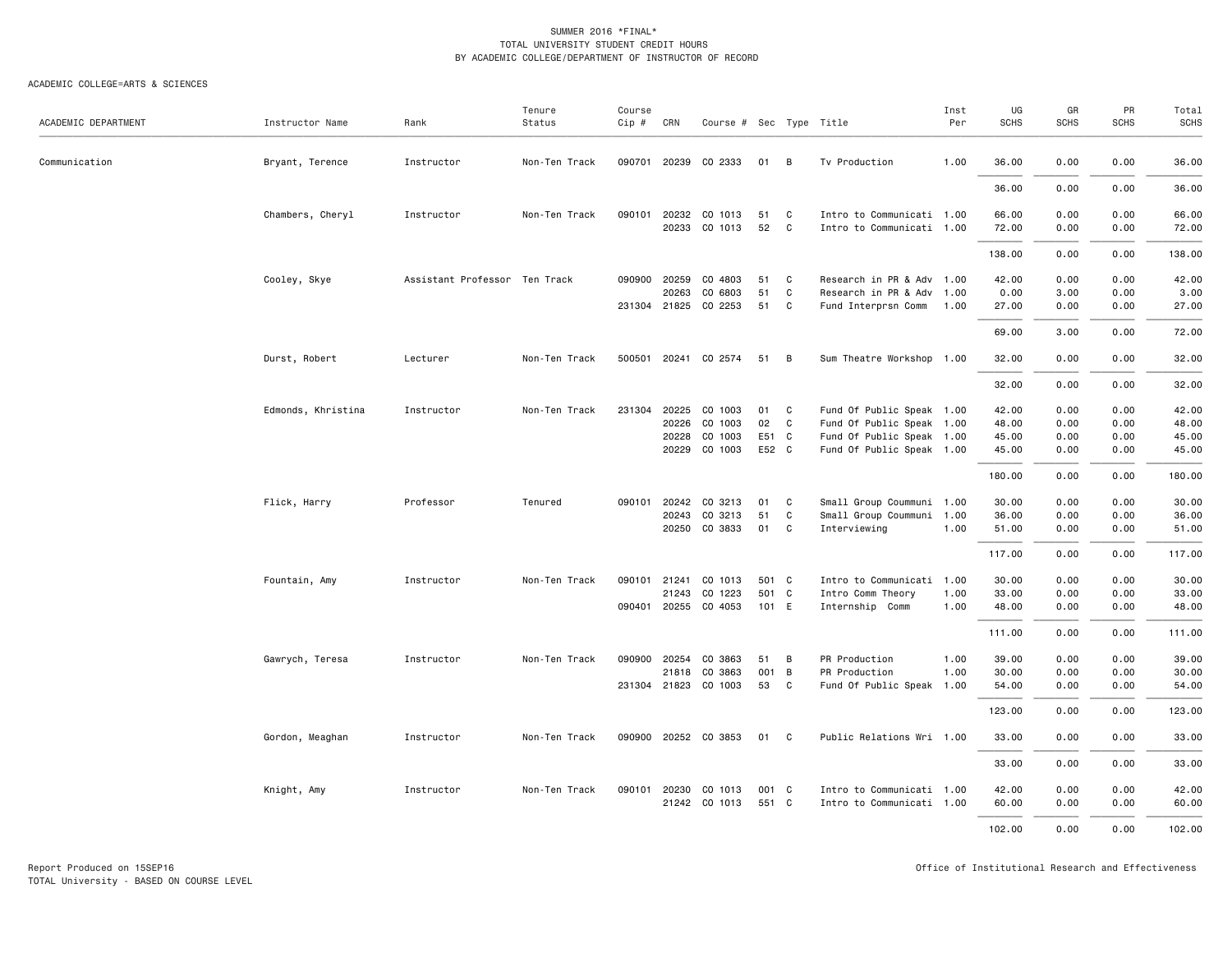#### ACADEMIC COLLEGE=ARTS & SCIENCES

| ACADEMIC DEPARTMENT | Instructor Name    | Rank                          | Tenure<br>Status | Course<br>Cip # | CRN                   | Course # Sec Type Title |          |                  |                                                        | Inst<br>Per | UG<br><b>SCHS</b> | GR<br><b>SCHS</b> | PR<br><b>SCHS</b> | Total<br><b>SCHS</b> |
|---------------------|--------------------|-------------------------------|------------------|-----------------|-----------------------|-------------------------|----------|------------------|--------------------------------------------------------|-------------|-------------------|-------------------|-------------------|----------------------|
|                     |                    |                               |                  |                 |                       |                         |          |                  |                                                        |             |                   |                   |                   |                      |
| Communication       | Bryant, Terence    | Instructor                    | Non-Ten Track    |                 | 090701 20239          | CO 2333                 | 01       | B                | Tv Production                                          | 1.00        | 36.00             | 0.00              | 0.00              | 36.00                |
|                     |                    |                               |                  |                 |                       |                         |          |                  |                                                        |             | 36.00             | 0.00              | 0.00              | 36.00                |
|                     | Chambers, Cheryl   | Instructor                    | Non-Ten Track    |                 | 090101 20232<br>20233 | CO 1013                 | 51<br>52 | C<br>C           | Intro to Communicati 1.00                              |             | 66.00             | 0.00              | 0.00<br>0.00      | 66.00                |
|                     |                    |                               |                  |                 |                       | CO 1013                 |          |                  | Intro to Communicati 1.00                              |             | 72.00             | 0.00              |                   | 72.00                |
|                     |                    |                               |                  |                 |                       |                         |          |                  |                                                        |             | 138.00            | 0.00              | 0.00              | 138.00               |
|                     | Cooley, Skye       | Assistant Professor Ten Track |                  |                 | 090900 20259<br>20263 | CO 4803<br>CO 6803      | 51<br>51 | C<br>$\mathbf C$ | Research in PR & Adv 1.00<br>Research in PR & Adv 1.00 |             | 42.00<br>0.00     | 0.00<br>3.00      | 0.00<br>0.00      | 42.00<br>3.00        |
|                     |                    |                               |                  |                 |                       | 231304 21825 CO 2253    | 51       | C                | Fund Interprsn Comm 1.00                               |             | 27.00             | 0.00              | 0.00              | 27.00                |
|                     |                    |                               |                  |                 |                       |                         |          |                  |                                                        |             | 69.00             | 3.00              | 0.00              | 72.00                |
|                     | Durst, Robert      | Lecturer                      | Non-Ten Track    |                 |                       | 500501 20241 CO 2574    | 51       | $\overline{B}$   | Sum Theatre Workshop 1.00                              |             | 32.00             | 0.00              | 0.00              | 32.00                |
|                     |                    |                               |                  |                 |                       |                         |          |                  |                                                        |             | 32.00             | 0.00              | 0.00              | 32.00                |
|                     | Edmonds, Khristina | Instructor                    | Non-Ten Track    | 231304          | 20225                 | CO 1003                 | 01       | C.               | Fund Of Public Speak 1.00                              |             | 42.00             | 0.00              | 0.00              | 42.00                |
|                     |                    |                               |                  |                 | 20226                 | CO 1003                 | 02       | C                | Fund Of Public Speak 1.00                              |             | 48.00             | 0.00              | 0.00              | 48.00                |
|                     |                    |                               |                  |                 | 20228                 | CO 1003                 | E51 C    |                  | Fund Of Public Speak 1.00                              |             | 45.00             | 0.00              | 0.00              | 45.00                |
|                     |                    |                               |                  |                 | 20229                 | CO 1003                 | E52 C    |                  | Fund Of Public Speak 1.00                              |             | 45.00             | 0.00              | 0.00              | 45.00                |
|                     |                    |                               |                  |                 |                       |                         |          |                  |                                                        |             | 180.00            | 0.00              | 0.00              | 180.00               |
|                     | Flick, Harry       | Professor                     | Tenured          | 090101          | 20242                 | CO 3213                 | 01       | C                | Small Group Coummuni 1.00                              |             | 30.00             | 0.00              | 0.00              | 30.00                |
|                     |                    |                               |                  |                 | 20243                 | CO 3213                 | 51       | C                | Small Group Coummuni 1.00                              |             | 36.00             | 0.00              | 0.00              | 36.00                |
|                     |                    |                               |                  |                 | 20250                 | CO 3833                 | 01       | C                | Interviewing                                           | 1.00        | 51.00             | 0.00              | 0.00              | 51.00                |
|                     |                    |                               |                  |                 |                       |                         |          |                  |                                                        |             | 117.00            | 0.00              | 0.00              | 117.00               |
|                     | Fountain, Amy      | Instructor                    | Non-Ten Track    | 090101          | 21241                 | CO 1013                 | 501 C    |                  | Intro to Communicati 1.00                              |             | 30.00             | 0.00              | 0.00              | 30.00                |
|                     |                    |                               |                  |                 | 21243                 | CO 1223                 | 501 C    |                  | Intro Comm Theory                                      | 1.00        | 33.00             | 0.00              | 0.00              | 33.00                |
|                     |                    |                               |                  |                 | 090401 20255          | CO 4053                 | 101 E    |                  | Internship Comm                                        | 1.00        | 48.00             | 0.00              | 0.00              | 48.00                |
|                     |                    |                               |                  |                 |                       |                         |          |                  |                                                        |             | 111.00            | 0.00              | 0.00              | 111.00               |
|                     | Gawrych, Teresa    | Instructor                    | Non-Ten Track    | 090900          | 20254                 | CO 3863                 | 51       | B                | PR Production                                          | 1.00        | 39.00             | 0.00              | 0.00              | 39.00                |
|                     |                    |                               |                  |                 | 21818                 | CO 3863                 | 001 B    |                  | PR Production                                          | 1.00        | 30.00             | 0.00              | 0.00              | 30.00                |
|                     |                    |                               |                  |                 | 231304 21823          | CO 1003                 | 53       | C                | Fund Of Public Speak 1.00                              |             | 54.00             | 0.00              | 0.00              | 54.00                |
|                     |                    |                               |                  |                 |                       |                         |          |                  |                                                        |             | 123.00            | 0.00              | 0.00              | 123.00               |
|                     | Gordon, Meaghan    | Instructor                    | Non-Ten Track    |                 |                       | 090900 20252 CO 3853    | 01 C     |                  | Public Relations Wri 1.00                              |             | 33.00             | 0.00              | 0.00              | 33.00                |
|                     |                    |                               |                  |                 |                       |                         |          |                  |                                                        |             | 33.00             | 0.00              | 0.00              | 33.00                |
|                     | Knight, Amy        | Instructor                    | Non-Ten Track    |                 | 090101 20230          | CO 1013                 | 001 C    |                  | Intro to Communicati 1.00                              |             | 42.00             | 0.00              | 0.00              | 42.00                |
|                     |                    |                               |                  |                 |                       | 21242 CO 1013           | 551 C    |                  | Intro to Communicati 1.00                              |             | 60.00             | 0.00              | 0.00              | 60.00                |
|                     |                    |                               |                  |                 |                       |                         |          |                  |                                                        |             |                   |                   |                   |                      |
|                     |                    |                               |                  |                 |                       |                         |          |                  |                                                        |             | 102.00            | 0.00              | 0.00              | 102.00               |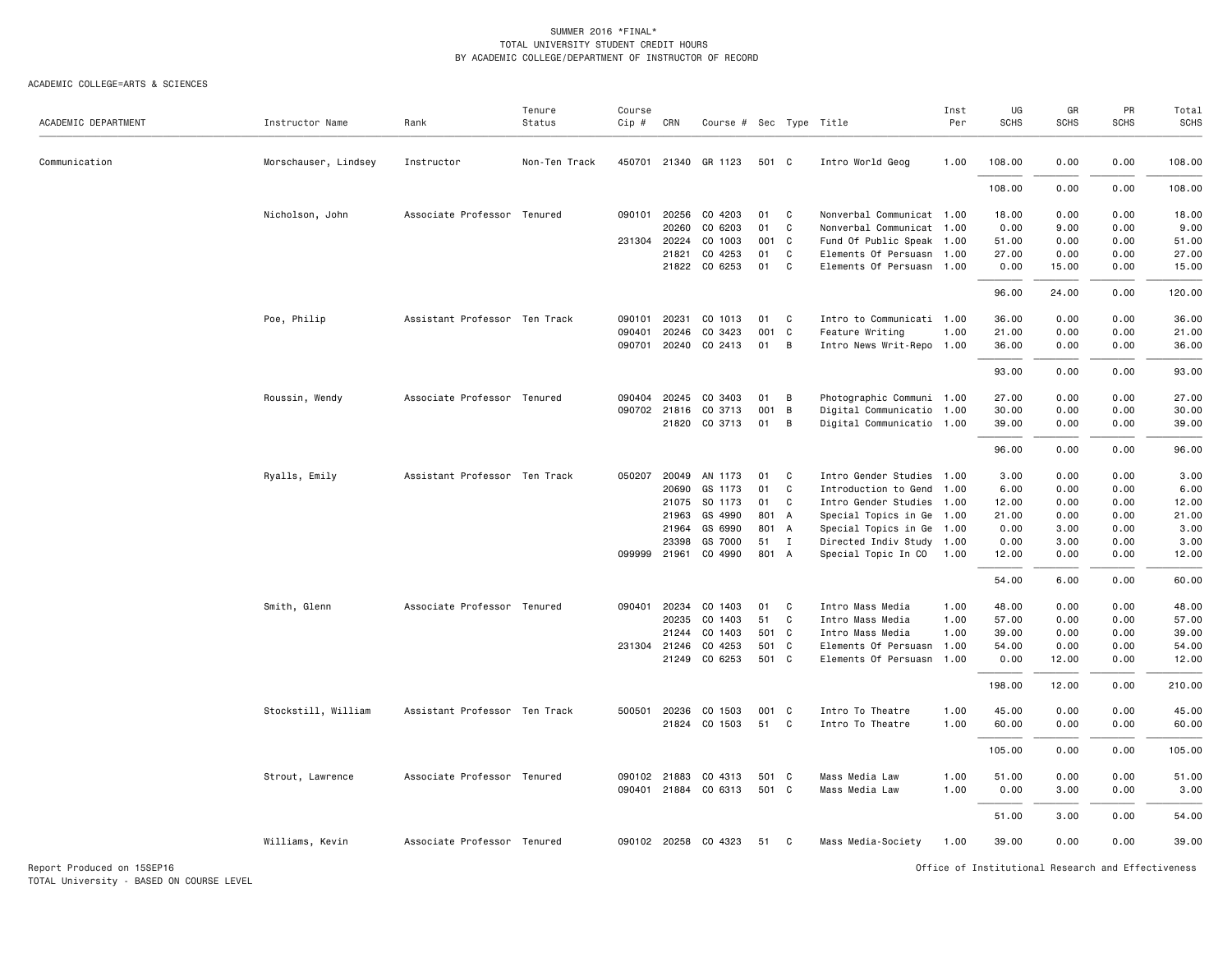#### ACADEMIC COLLEGE=ARTS & SCIENCES

| ACADEMIC DEPARTMENT | Instructor Name      | Rank                          | Tenure<br>Status | Course<br>$Cip$ # | CRN          | Course # Sec Type Title |       |              |                           | Inst<br>Per | UG<br><b>SCHS</b> | GR<br><b>SCHS</b> | PR<br><b>SCHS</b> | Total<br><b>SCHS</b> |
|---------------------|----------------------|-------------------------------|------------------|-------------------|--------------|-------------------------|-------|--------------|---------------------------|-------------|-------------------|-------------------|-------------------|----------------------|
|                     |                      |                               |                  |                   |              |                         |       |              |                           |             |                   |                   |                   |                      |
| Communication       | Morschauser, Lindsey | Instructor                    | Non-Ten Track    |                   |              | 450701 21340 GR 1123    | 501 C |              | Intro World Geog          | 1.00        | 108,00            | 0.00              | 0.00              | 108.00               |
|                     |                      |                               |                  |                   |              |                         |       |              |                           |             | 108.00            | 0.00              | 0.00              | 108.00               |
|                     | Nicholson, John      | Associate Professor Tenured   |                  | 090101            | 20256        | CO 4203                 | 01    | C            | Nonverbal Communicat 1.00 |             | 18.00             | 0.00              | 0.00              | 18.00                |
|                     |                      |                               |                  |                   | 20260        | CO 6203                 | 01    | C            | Nonverbal Communicat 1.00 |             | 0.00              | 9.00              | 0.00              | 9.00                 |
|                     |                      |                               |                  | 231304 20224      |              | CO 1003                 | 001   | $\mathbf{C}$ | Fund Of Public Speak 1.00 |             | 51.00             | 0.00              | 0.00              | 51.00                |
|                     |                      |                               |                  |                   | 21821        | CO 4253                 | 01    | C            | Elements Of Persuasn 1.00 |             | 27.00             | 0.00              | 0.00              | 27.00                |
|                     |                      |                               |                  |                   |              | 21822 CO 6253           | 01    | C            | Elements Of Persuasn 1.00 |             | 0.00              | 15.00             | 0.00              | 15.00                |
|                     |                      |                               |                  |                   |              |                         |       |              |                           |             | 96.00             | 24.00             | 0.00              | 120.00               |
|                     | Poe, Philip          | Assistant Professor Ten Track |                  | 090101            | 20231        | CO 1013                 | 01    | C            | Intro to Communicati 1.00 |             | 36.00             | 0.00              | 0.00              | 36.00                |
|                     |                      |                               |                  | 090401            | 20246        | CO 3423                 | 001   | C            | Feature Writing           | 1.00        | 21.00             | 0.00              | 0.00              | 21.00                |
|                     |                      |                               |                  | 090701            |              | 20240 CO 2413           | 01    | B            | Intro News Writ-Repo 1.00 |             | 36.00             | 0.00              | 0.00              | 36.00                |
|                     |                      |                               |                  |                   |              |                         |       |              |                           |             | 93.00             | 0.00              | 0.00              | 93.00                |
|                     | Roussin, Wendy       | Associate Professor Tenured   |                  |                   | 090404 20245 | CO 3403                 | 01    | В            | Photographic Communi 1.00 |             | 27.00             | 0.00              | 0.00              | 27.00                |
|                     |                      |                               |                  |                   | 090702 21816 | CO 3713                 | 001   | B            | Digital Communicatio 1.00 |             | 30.00             | 0.00              | 0.00              | 30.00                |
|                     |                      |                               |                  |                   |              | 21820 CO 3713           | 01    | В            | Digital Communicatio 1.00 |             | 39.00             | 0.00              | 0.00              | 39.00                |
|                     |                      |                               |                  |                   |              |                         |       |              |                           |             | 96.00             | 0.00              | 0.00              | 96.00                |
|                     | Ryalls, Emily        | Assistant Professor Ten Track |                  | 050207            | 20049        | AN 1173                 | 01    | C            | Intro Gender Studies 1.00 |             | 3.00              | 0.00              | 0.00              | 3.00                 |
|                     |                      |                               |                  |                   | 20690        | GS 1173                 | 01    | C            | Introduction to Gend      | 1.00        | 6.00              | 0.00              | 0.00              | 6.00                 |
|                     |                      |                               |                  |                   | 21075        | SO 1173                 | 01    | C            | Intro Gender Studies 1.00 |             | 12.00             | 0.00              | 0.00              | 12.00                |
|                     |                      |                               |                  |                   | 21963        | GS 4990                 | 801 A |              | Special Topics in Ge      | 1.00        | 21.00             | 0.00              | 0.00              | 21.00                |
|                     |                      |                               |                  |                   | 21964        | GS 6990                 | 801 A |              | Special Topics in Ge 1.00 |             | 0.00              | 3.00              | 0.00              | 3.00                 |
|                     |                      |                               |                  |                   | 23398        | GS 7000                 | 51 I  |              | Directed Indiv Study 1.00 |             | 0.00              | 3.00              | 0.00              | 3.00                 |
|                     |                      |                               |                  | 099999 21961      |              | CO 4990                 | 801 A |              | Special Topic In CO       | 1.00        | 12.00             | 0.00              | 0.00              | 12.00                |
|                     |                      |                               |                  |                   |              |                         |       |              |                           |             | 54.00             | 6.00              | 0.00              | 60.00                |
|                     | Smith, Glenn         | Associate Professor Tenured   |                  | 090401            | 20234        | CO 1403                 | 01    | C            | Intro Mass Media          | 1.00        | 48.00             | 0.00              | 0.00              | 48.00                |
|                     |                      |                               |                  |                   | 20235        | CO 1403                 | 51    | C            | Intro Mass Media          | 1.00        | 57.00             | 0.00              | 0.00              | 57.00                |
|                     |                      |                               |                  |                   | 21244        | CO 1403                 | 501 C |              | Intro Mass Media          | 1.00        | 39.00             | 0.00              | 0.00              | 39.00                |
|                     |                      |                               |                  |                   | 231304 21246 | CO 4253                 | 501   | $\mathbf{C}$ | Elements Of Persuasn 1.00 |             | 54.00             | 0.00              | 0.00              | 54.00                |
|                     |                      |                               |                  |                   |              | 21249 CO 6253           | 501 C |              | Elements Of Persuasn      | 1.00        | 0.00              | 12.00             | 0.00              | 12.00                |
|                     |                      |                               |                  |                   |              |                         |       |              |                           |             | 198.00            | 12.00             | 0.00              | 210.00               |
|                     | Stockstill, William  | Assistant Professor Ten Track |                  | 500501            | 20236        | CO 1503                 | 001   | - C          | Intro To Theatre          | 1.00        | 45.00             | 0.00              | 0.00              | 45.00                |
|                     |                      |                               |                  |                   |              | 21824 CO 1503           | 51    | C            | Intro To Theatre          | 1.00        | 60.00             | 0.00              | 0.00              | 60.00                |
|                     |                      |                               |                  |                   |              |                         |       |              |                           |             | 105.00            | 0.00              | 0.00              | 105.00               |
|                     | Strout, Lawrence     | Associate Professor Tenured   |                  |                   | 090102 21883 | CO 4313                 | 501 C |              | Mass Media Law            | 1.00        | 51.00             | 0.00              | 0.00              | 51.00                |
|                     |                      |                               |                  | 090401            |              | 21884 CO 6313           | 501   | C            | Mass Media Law            | 1.00        | 0.00              | 3.00              | 0.00              | 3.00                 |
|                     |                      |                               |                  |                   |              |                         |       |              |                           |             | 51.00             | 3.00              | 0.00              | 54.00                |
|                     | Williams, Kevin      | Associate Professor Tenured   |                  |                   |              | 090102 20258 CO 4323    | 51 C  |              | Mass Media-Society        | 1.00        | 39.00             | 0.00              | 0.00              | 39.00                |
|                     |                      |                               |                  |                   |              |                         |       |              |                           |             |                   |                   |                   |                      |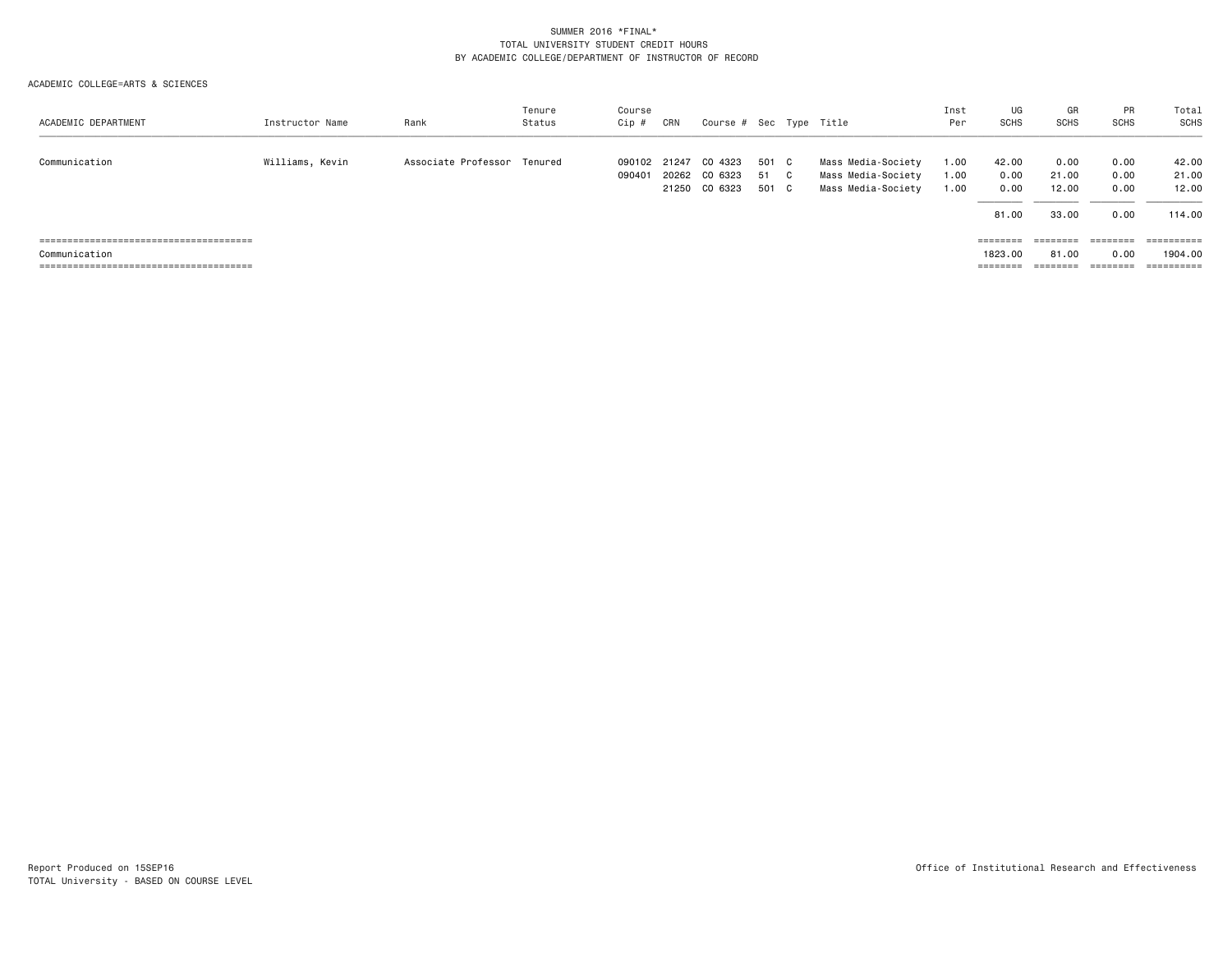| ACADEMIC DEPARTMENT | Instructor Name | Rank                        | Tenure<br>Status | Course<br>Cip #  | CRN            | Course # Sec Type Title             |                        |    |                                                                | Inst<br>Per          | UG<br><b>SCHS</b>                        | GR<br><b>SCHS</b>                                                                            | <b>PR</b><br>SCHS            | Total<br>SCHS           |
|---------------------|-----------------|-----------------------------|------------------|------------------|----------------|-------------------------------------|------------------------|----|----------------------------------------------------------------|----------------------|------------------------------------------|----------------------------------------------------------------------------------------------|------------------------------|-------------------------|
| Communication       | Williams, Kevin | Associate Professor Tenured |                  | 090102<br>090401 | 21247<br>20262 | CO 4323<br>CO 6323<br>21250 CO 6323 | 501 C<br>- 51<br>501 C | C. | Mass Media-Society<br>Mass Media-Society<br>Mass Media-Society | 1.00<br>1.00<br>1.00 | 42.00<br>0.00<br>0.00                    | 0.00<br>21.00<br>12.00                                                                       | 0.00<br>0.00<br>0.00         | 42.00<br>21.00<br>12.00 |
|                     |                 |                             |                  |                  |                |                                     |                        |    |                                                                |                      | 81.00                                    | 33.00                                                                                        | 0.00                         | 114.00                  |
| Communication       |                 |                             |                  |                  |                |                                     |                        |    |                                                                |                      | $=$ = = = = = = =<br>1823.00<br>======== | $\qquad \qquad \equiv \equiv \equiv \equiv \equiv \equiv \equiv \equiv$<br>81.00<br>======== | ========<br>0.00<br>======== | 1904.00<br>==========   |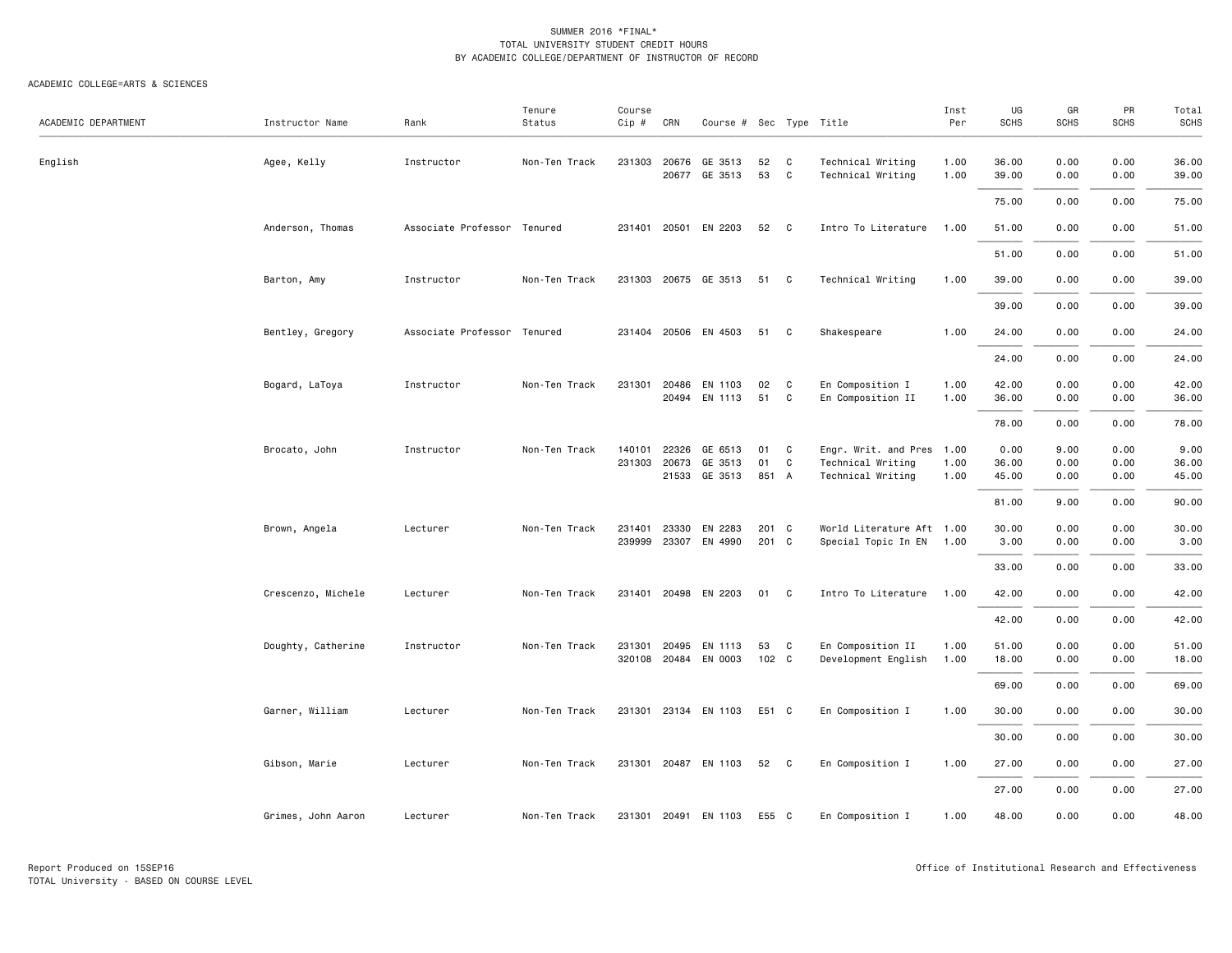| ACADEMIC DEPARTMENT | Instructor Name    | Rank                        | Tenure<br>Status | Course<br>Cip # | CRN            | Course # Sec Type Title  |          |              |                                        | Inst<br>Per  | UG<br><b>SCHS</b> | GR<br><b>SCHS</b> | PR<br><b>SCHS</b> | Total<br><b>SCHS</b> |
|---------------------|--------------------|-----------------------------|------------------|-----------------|----------------|--------------------------|----------|--------------|----------------------------------------|--------------|-------------------|-------------------|-------------------|----------------------|
|                     |                    |                             |                  |                 |                |                          |          |              |                                        |              |                   |                   |                   |                      |
| English             | Agee, Kelly        | Instructor                  | Non-Ten Track    | 231303          | 20676<br>20677 | GE 3513<br>GE 3513       | 52<br>53 | C<br>C       | Technical Writing<br>Technical Writing | 1.00<br>1.00 | 36.00<br>39.00    | 0.00<br>0.00      | 0.00<br>0.00      | 36.00<br>39.00       |
|                     |                    |                             |                  |                 |                |                          |          |              |                                        |              | 75.00             | 0.00              | 0.00              | 75.00                |
|                     | Anderson, Thomas   | Associate Professor Tenured |                  | 231401          | 20501          | EN 2203                  | 52 C     |              | Intro To Literature                    | 1.00         | 51.00             | 0.00              | 0.00              | 51.00                |
|                     |                    |                             |                  |                 |                |                          |          |              |                                        |              | 51.00             | 0.00              | 0.00              | 51.00                |
|                     | Barton, Amy        | Instructor                  | Non-Ten Track    |                 |                | 231303 20675 GE 3513     | 51 C     |              | Technical Writing                      | 1.00         | 39.00             | 0.00              | 0.00              | 39.00                |
|                     |                    |                             |                  |                 |                |                          |          |              |                                        |              | 39.00             | 0.00              | 0.00              | 39.00                |
|                     | Bentley, Gregory   | Associate Professor Tenured |                  |                 |                | 231404 20506 EN 4503     | 51 C     |              | Shakespeare                            | 1.00         | 24.00             | 0.00              | 0.00              | 24.00                |
|                     |                    |                             |                  |                 |                |                          |          |              |                                        |              | 24.00             | 0.00              | 0.00              | 24.00                |
|                     | Bogard, LaToya     | Instructor                  | Non-Ten Track    | 231301          | 20486          | EN 1103<br>20494 EN 1113 | 02<br>51 | C<br>C       | En Composition I<br>En Composition II  | 1.00<br>1.00 | 42.00<br>36.00    | 0.00<br>0.00      | 0.00<br>0.00      | 42.00<br>36.00       |
|                     |                    |                             |                  |                 |                |                          |          |              |                                        |              | 78.00             | 0.00              | 0.00              | 78.00                |
|                     | Brocato, John      | Instructor                  | Non-Ten Track    | 140101          | 22326          | GE 6513                  | 01       | C            | Engr. Writ. and Pres 1.00              |              | 0.00              | 9.00              | 0.00              | 9.00                 |
|                     |                    |                             |                  | 231303          | 20673          | GE 3513                  | 01       | C            | Technical Writing                      | 1.00         | 36.00             | 0.00              | 0.00              | 36.00                |
|                     |                    |                             |                  |                 |                | 21533 GE 3513            | 851 A    |              | Technical Writing                      | 1.00         | 45.00             | 0.00              | 0.00              | 45.00                |
|                     |                    |                             |                  |                 |                |                          |          |              |                                        |              | 81.00             | 9.00              | 0.00              | 90.00                |
|                     | Brown, Angela      | Lecturer                    | Non-Ten Track    | 231401          | 23330          | EN 2283                  | 201 C    |              | World Literature Aft 1.00              |              | 30.00             | 0.00              | 0.00              | 30.00                |
|                     |                    |                             |                  | 239999          | 23307          | EN 4990                  | 201 C    |              | Special Topic In EN 1.00               |              | 3.00              | 0.00              | 0.00              | 3.00                 |
|                     |                    |                             |                  |                 |                |                          |          |              |                                        |              | 33.00             | 0.00              | 0.00              | 33.00                |
|                     | Crescenzo, Michele | Lecturer                    | Non-Ten Track    | 231401          |                | 20498 EN 2203            | 01 C     |              | Intro To Literature                    | 1.00         | 42.00             | 0.00              | 0.00              | 42.00                |
|                     |                    |                             |                  |                 |                |                          |          |              |                                        |              | 42.00             | 0.00              | 0.00              | 42.00                |
|                     | Doughty, Catherine | Instructor                  | Non-Ten Track    | 231301          | 20495          | EN 1113                  | 53       | C            | En Composition II                      | 1.00         | 51.00             | 0.00              | 0.00              | 51.00                |
|                     |                    |                             |                  |                 |                | 320108 20484 EN 0003     | 102 C    |              | Development English                    | 1.00         | 18.00             | 0.00              | 0.00              | 18.00                |
|                     |                    |                             |                  |                 |                |                          |          |              |                                        |              | 69.00             | 0.00              | 0.00              | 69.00                |
|                     | Garner, William    | Lecturer                    | Non-Ten Track    | 231301          |                | 23134 EN 1103            | E51 C    |              | En Composition I                       | 1.00         | 30.00             | 0.00              | 0.00              | 30.00                |
|                     |                    |                             |                  |                 |                |                          |          |              |                                        |              | 30.00             | 0.00              | 0.00              | 30.00                |
|                     | Gibson, Marie      | Lecturer                    | Non-Ten Track    |                 |                | 231301 20487 EN 1103     | 52       | $\mathbf{C}$ | En Composition I                       | 1.00         | 27.00             | 0.00              | 0.00              | 27.00                |
|                     |                    |                             |                  |                 |                |                          |          |              |                                        |              | 27.00             | 0.00              | 0.00              | 27.00                |
|                     | Grimes, John Aaron | Lecturer                    | Non-Ten Track    | 231301          |                | 20491 EN 1103            | E55 C    |              | En Composition I                       | 1.00         | 48.00             | 0.00              | 0.00              | 48.00                |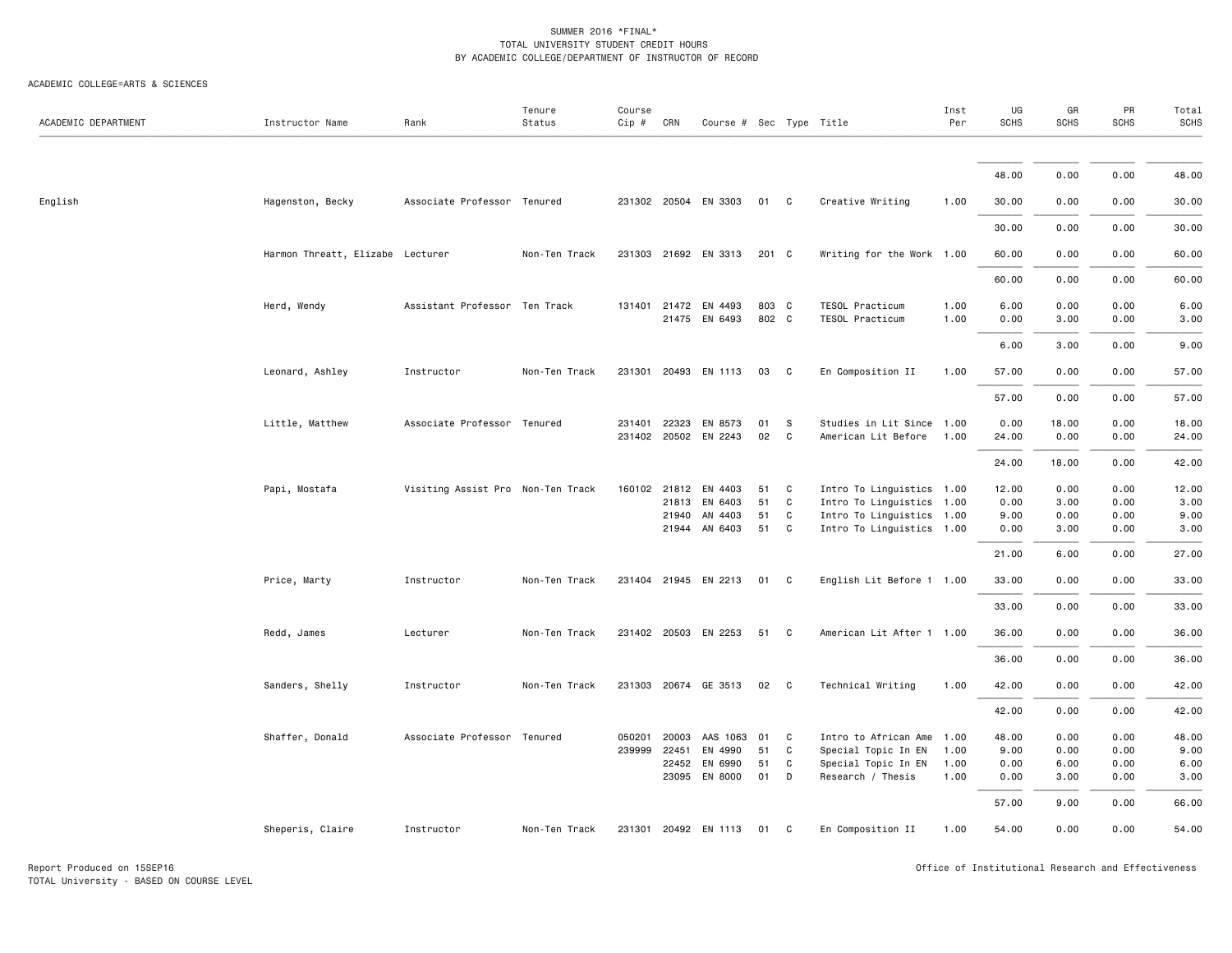| ACADEMIC DEPARTMENT | Instructor Name                  | Rank                              | Tenure<br>Status | Course<br>Cip # | CRN   | Course # Sec Type Title               |                |                   |                                                        | Inst<br>Per  | UG<br><b>SCHS</b> | GR<br><b>SCHS</b> | PR<br><b>SCHS</b> | Total<br><b>SCHS</b> |
|---------------------|----------------------------------|-----------------------------------|------------------|-----------------|-------|---------------------------------------|----------------|-------------------|--------------------------------------------------------|--------------|-------------------|-------------------|-------------------|----------------------|
|                     |                                  |                                   |                  |                 |       |                                       |                |                   |                                                        |              |                   |                   |                   |                      |
|                     |                                  |                                   |                  |                 |       |                                       |                |                   |                                                        |              | 48.00             | 0.00              | 0.00              | 48.00                |
| English             | Hagenston, Becky                 | Associate Professor Tenured       |                  |                 |       | 231302 20504 EN 3303                  | 01 C           |                   | Creative Writing                                       | 1.00         | 30.00             | 0.00              | 0.00              | 30.00                |
|                     |                                  |                                   |                  |                 |       |                                       |                |                   |                                                        |              | 30.00             | 0.00              | 0.00              | 30.00                |
|                     | Harmon Threatt, Elizabe Lecturer |                                   | Non-Ten Track    |                 |       | 231303 21692 EN 3313                  | 201 C          |                   | Writing for the Work 1.00                              |              | 60.00             | 0.00              | 0.00              | 60.00                |
|                     |                                  |                                   |                  |                 |       |                                       |                |                   |                                                        |              | 60.00             | 0.00              | 0.00              | 60.00                |
|                     | Herd, Wendy                      | Assistant Professor Ten Track     |                  |                 |       | 131401 21472 EN 4493<br>21475 EN 6493 | 803 C<br>802 C |                   | TESOL Practicum<br>TESOL Practicum                     | 1.00<br>1.00 | 6.00<br>0.00      | 0.00              | 0.00<br>0.00      | 6.00                 |
|                     |                                  |                                   |                  |                 |       |                                       |                |                   |                                                        |              |                   | 3.00              |                   | 3.00                 |
|                     |                                  |                                   | Non-Ten Track    |                 |       | 231301 20493 EN 1113                  | 03             | $\mathbf{C}$      |                                                        |              | 6.00              | 3.00              | 0.00              | 9.00                 |
|                     | Leonard, Ashley                  | Instructor                        |                  |                 |       |                                       |                |                   | En Composition II                                      | 1.00         | 57.00             | 0.00              | 0.00              | 57.00                |
|                     |                                  |                                   |                  |                 |       |                                       |                |                   |                                                        |              | 57.00             | 0.00              | 0.00              | 57.00                |
|                     | Little, Matthew                  | Associate Professor Tenured       |                  | 231401          | 22323 | EN 8573<br>231402 20502 EN 2243       | 01<br>02       | <b>S</b><br>C     | Studies in Lit Since 1.00<br>American Lit Before       | 1.00         | 0.00<br>24.00     | 18.00<br>0.00     | 0.00<br>0.00      | 18.00<br>24.00       |
|                     |                                  |                                   |                  |                 |       |                                       |                |                   |                                                        |              |                   |                   |                   |                      |
|                     |                                  |                                   |                  |                 |       |                                       |                |                   |                                                        |              | 24.00             | 18.00             | 0.00              | 42.00                |
|                     | Papi, Mostafa                    | Visiting Assist Pro Non-Ten Track |                  |                 |       | 160102 21812 EN 4403                  | 51             | C                 | Intro To Linguistics 1.00                              |              | 12.00             | 0.00              | 0.00              | 12.00                |
|                     |                                  |                                   |                  |                 | 21813 | EN 6403                               | 51             | C                 | Intro To Linguistics 1.00                              |              | 0.00              | 3.00              | 0.00              | 3.00                 |
|                     |                                  |                                   |                  |                 | 21940 | AN 4403<br>21944 AN 6403              | 51<br>51       | C<br>$\mathbf{C}$ | Intro To Linguistics 1.00<br>Intro To Linguistics 1.00 |              | 9.00<br>0.00      | 0.00<br>3.00      | 0.00<br>0.00      | 9.00<br>3.00         |
|                     |                                  |                                   |                  |                 |       |                                       |                |                   |                                                        |              | 21.00             | 6.00              | 0.00              | 27.00                |
|                     | Price, Marty                     | Instructor                        | Non-Ten Track    |                 |       | 231404 21945 EN 2213                  | 01             | $\mathbf{C}$      | English Lit Before 1 1.00                              |              | 33.00             | 0.00              | 0.00              | 33.00                |
|                     |                                  |                                   |                  |                 |       |                                       |                |                   |                                                        |              | 33.00             | 0.00              | 0.00              | 33.00                |
|                     | Redd, James                      | Lecturer                          | Non-Ten Track    |                 |       | 231402 20503 EN 2253                  | 51 C           |                   | American Lit After 1 1.00                              |              | 36.00             | 0.00              | 0.00              | 36.00                |
|                     |                                  |                                   |                  |                 |       |                                       |                |                   |                                                        |              | 36.00             | 0.00              | 0.00              | 36.00                |
|                     | Sanders, Shelly                  | Instructor                        | Non-Ten Track    | 231303          |       | 20674 GE 3513                         | 02 C           |                   | Technical Writing                                      | 1.00         | 42.00             | 0.00              | 0.00              | 42.00                |
|                     |                                  |                                   |                  |                 |       |                                       |                |                   |                                                        |              | 42.00             | 0.00              | 0.00              | 42.00                |
|                     | Shaffer, Donald                  | Associate Professor Tenured       |                  | 050201          | 20003 | AAS 1063                              | 01             | C                 | Intro to African Ame 1.00                              |              | 48.00             | 0.00              | 0.00              | 48.00                |
|                     |                                  |                                   |                  | 239999 22451    |       | EN 4990                               | 51             | C                 | Special Topic In EN                                    | 1.00         | 9.00              | 0.00              | 0.00              | 9.00                 |
|                     |                                  |                                   |                  |                 | 22452 | EN 6990                               | 51             | C                 | Special Topic In EN                                    | 1.00         | 0.00              | 6.00              | 0.00              | 6.00                 |
|                     |                                  |                                   |                  |                 | 23095 | EN 8000                               | 01             | D                 | Research / Thesis                                      | 1.00         | 0.00              | 3.00              | 0.00              | 3.00                 |
|                     |                                  |                                   |                  |                 |       |                                       |                |                   |                                                        |              | 57.00             | 9.00              | 0.00              | 66.00                |
|                     | Sheperis, Claire                 | Instructor                        | Non-Ten Track    |                 |       | 231301 20492 EN 1113                  | 01 C           |                   | En Composition II                                      | 1.00         | 54.00             | 0.00              | 0.00              | 54.00                |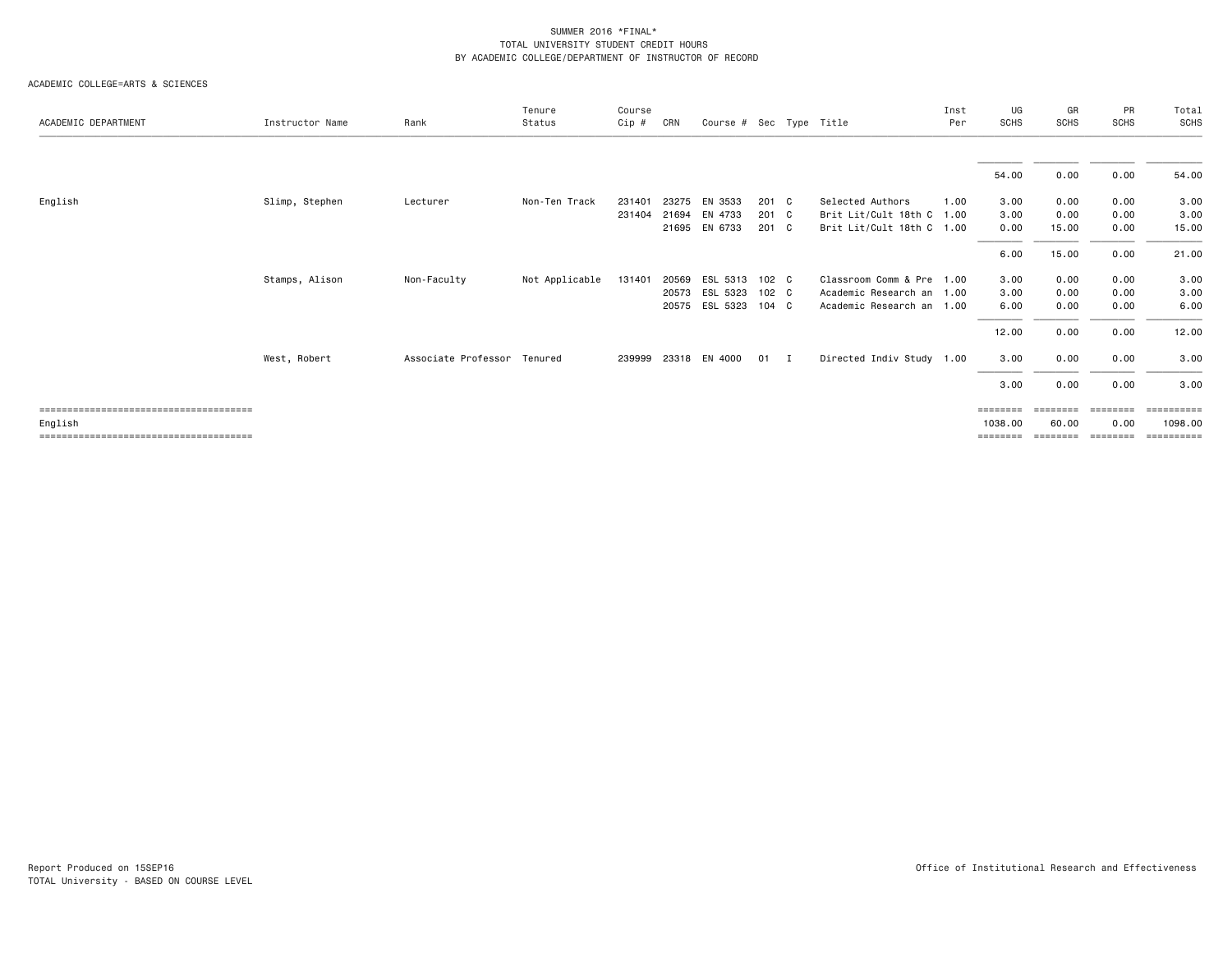| ACADEMIC DEPARTMENT | Instructor Name | Rank                        | Tenure<br>Status | Course<br>Cip # | CRN   | Course # Sec Type Title |               |                           | Inst<br>Per | UG<br>SCHS        | GR<br><b>SCHS</b> | PR<br><b>SCHS</b> | Total<br>SCHS |
|---------------------|-----------------|-----------------------------|------------------|-----------------|-------|-------------------------|---------------|---------------------------|-------------|-------------------|-------------------|-------------------|---------------|
|                     |                 |                             |                  |                 |       |                         |               |                           |             |                   |                   |                   |               |
|                     |                 |                             |                  |                 |       |                         |               |                           |             | 54.00             | 0.00              | 0.00              | 54.00         |
| English             | Slimp, Stephen  | Lecturer                    | Non-Ten Track    | 231401          | 23275 | EN 3533                 | 201 C         | Selected Authors          | 1.00        | 3.00              | 0.00              | 0.00              | 3.00          |
|                     |                 |                             |                  | 231404          | 21694 | EN 4733                 | 201 C         | Brit Lit/Cult 18th C 1.00 |             | 3.00              | 0.00              | 0.00              | 3.00          |
|                     |                 |                             |                  |                 | 21695 | EN 6733                 | 201 C         | Brit Lit/Cult 18th C 1.00 |             | 0.00              | 15.00             | 0.00              | 15.00         |
|                     |                 |                             |                  |                 |       |                         |               |                           |             | 6.00              | 15.00             | 0.00              | 21.00         |
|                     | Stamps, Alison  | Non-Faculty                 | Not Applicable   | 131401          | 20569 | ESL 5313                | 102 C         | Classroom Comm & Pre 1.00 |             | 3.00              | 0.00              | 0.00              | 3.00          |
|                     |                 |                             |                  |                 | 20573 | ESL 5323                | 102 C         | Academic Research an 1.00 |             | 3.00              | 0.00              | 0.00              | 3.00          |
|                     |                 |                             |                  |                 | 20575 | ESL 5323                | $104 \quad C$ | Academic Research an 1.00 |             | 6.00              | 0.00              | 0.00              | 6.00          |
|                     |                 |                             |                  |                 |       |                         |               |                           |             | 12.00             | 0.00              | 0.00              | 12.00         |
|                     | West, Robert    | Associate Professor Tenured |                  |                 |       | 239999 23318 EN 4000    | 01 I          | Directed Indiv Study 1.00 |             | 3.00              | 0.00              | 0.00              | 3.00          |
|                     |                 |                             |                  |                 |       |                         |               |                           |             | 3.00              | 0.00              | 0.00              | 3.00          |
|                     |                 |                             |                  |                 |       |                         |               |                           |             | $=$ = = = = = = = |                   | ========          | ==========    |
| English             |                 |                             |                  |                 |       |                         |               |                           |             | 1038,00           | 60.00             | 0.00              | 1098,00       |
|                     |                 |                             |                  |                 |       |                         |               |                           |             | ========          | ========          | ========          | ==========    |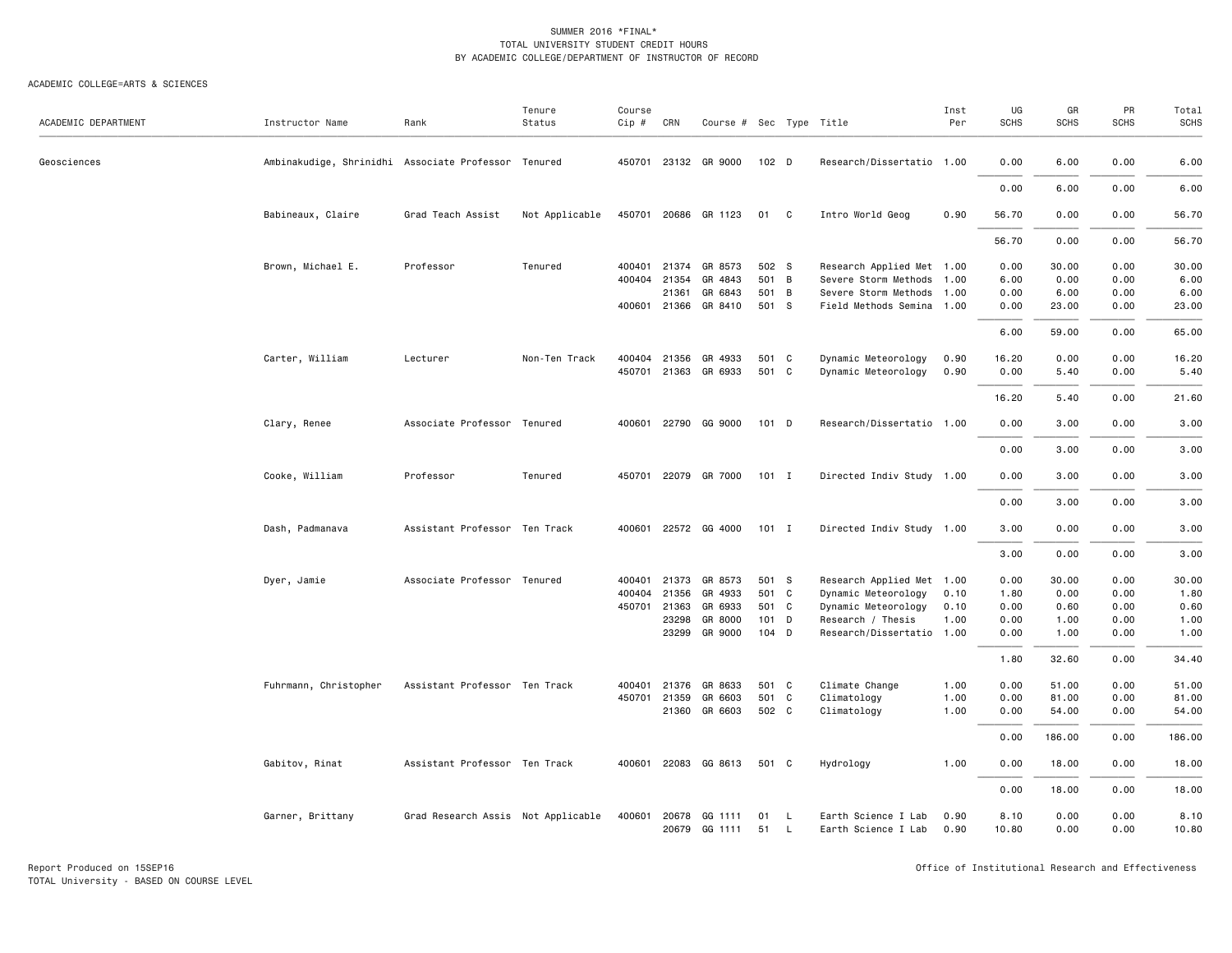| ACADEMIC DEPARTMENT | Instructor Name                                     | Rank                               | Tenure<br>Status | Course<br>$Cip \#$ | CRN                   | Course # Sec Type Title |          |                |                                            | Inst<br>Per  | UG<br>SCHS    | GR<br><b>SCHS</b> | PR<br><b>SCHS</b> | Total<br>SCHS |
|---------------------|-----------------------------------------------------|------------------------------------|------------------|--------------------|-----------------------|-------------------------|----------|----------------|--------------------------------------------|--------------|---------------|-------------------|-------------------|---------------|
| Geosciences         | Ambinakudige, Shrinidhi Associate Professor Tenured |                                    |                  |                    |                       | 450701 23132 GR 9000    | 102 D    |                | Research/Dissertatio 1.00                  |              | 0.00          | 6.00              | 0.00              | 6.00          |
|                     |                                                     |                                    |                  |                    |                       |                         |          |                |                                            |              | 0.00          | 6.00              | 0.00              | 6.00          |
|                     | Babineaux, Claire                                   | Grad Teach Assist                  | Not Applicable   |                    |                       | 450701 20686 GR 1123    | 01 C     |                | Intro World Geog                           | 0.90         | 56.70         | 0.00              | 0.00              | 56.70         |
|                     |                                                     |                                    |                  |                    |                       |                         |          |                |                                            |              | 56.70         | 0.00              | 0.00              | 56.70         |
|                     | Brown, Michael E.                                   | Professor                          | Tenured          | 400401             | 21374                 | GR 8573                 | 502 S    |                | Research Applied Met 1.00                  |              | 0.00          | 30.00             | 0.00              | 30.00         |
|                     |                                                     |                                    |                  | 400404             | 21354                 | GR 4843                 | 501 B    |                | Severe Storm Methods 1.00                  |              | 6.00          | 0.00              | 0.00              | 6.00          |
|                     |                                                     |                                    |                  |                    | 21361                 | GR 6843                 | 501 B    |                | Severe Storm Methods 1.00                  |              | 0.00          | 6.00              | 0.00              | 6.00          |
|                     |                                                     |                                    |                  |                    | 400601 21366          | GR 8410                 | 501 S    |                | Field Methods Semina 1.00                  |              | 0.00          | 23.00             | 0.00              | 23.00         |
|                     |                                                     |                                    |                  |                    |                       |                         |          |                |                                            |              | 6.00          | 59.00             | 0.00              | 65.00         |
|                     | Carter, William                                     | Lecturer                           | Non-Ten Track    |                    | 400404 21356          | GR 4933                 | 501 C    |                | Dynamic Meteorology                        | 0.90         | 16.20         | 0.00              | 0.00              | 16.20         |
|                     |                                                     |                                    |                  |                    |                       | 450701 21363 GR 6933    | 501 C    |                | Dynamic Meteorology                        | 0.90         | 0.00          | 5.40              | 0.00              | 5.40          |
|                     |                                                     |                                    |                  |                    |                       |                         |          |                |                                            |              | 16.20         | 5.40              | 0.00              | 21.60         |
|                     | Clary, Renee                                        | Associate Professor Tenured        |                  | 400601             |                       | 22790 GG 9000           | 101 D    |                | Research/Dissertatio 1.00                  |              | 0.00          | 3.00              | 0.00              | 3.00          |
|                     |                                                     |                                    |                  |                    |                       |                         |          |                |                                            |              |               |                   |                   |               |
|                     |                                                     |                                    |                  |                    |                       |                         |          |                |                                            |              | 0.00          | 3.00              | 0.00              | 3.00          |
|                     | Cooke, William                                      | Professor                          | Tenured          |                    |                       | 450701 22079 GR 7000    | $101$ I  |                | Directed Indiv Study 1.00                  |              | 0.00          | 3.00              | 0.00              | 3.00          |
|                     |                                                     |                                    |                  |                    |                       |                         |          |                |                                            |              | 0.00          | 3.00              | 0.00              | 3.00          |
|                     | Dash, Padmanava                                     | Assistant Professor Ten Track      |                  |                    |                       | 400601 22572 GG 4000    | 101 I    |                | Directed Indiv Study 1.00                  |              | 3.00          | 0.00              | 0.00              | 3.00          |
|                     |                                                     |                                    |                  |                    |                       |                         |          |                |                                            |              | 3.00          | 0.00              | 0.00              | 3.00          |
|                     | Dyer, Jamie                                         | Associate Professor Tenured        |                  | 400401             | 21373                 | GR 8573                 | 501 S    |                | Research Applied Met 1.00                  |              | 0.00          | 30.00             | 0.00              | 30.00         |
|                     |                                                     |                                    |                  | 400404             | 21356                 | GR 4933                 | 501 C    |                | Dynamic Meteorology                        | 0.10         | 1.80          | 0.00              | 0.00              | 1.80          |
|                     |                                                     |                                    |                  |                    | 450701 21363          | GR 6933                 | 501 C    |                | Dynamic Meteorology                        | 0.10         | 0.00          | 0.60              | 0.00              | 0.60          |
|                     |                                                     |                                    |                  |                    | 23298                 | GR 8000                 | 101 D    |                | Research / Thesis                          | 1.00         | 0.00          | 1.00              | 0.00              | 1.00          |
|                     |                                                     |                                    |                  |                    | 23299                 | GR 9000                 | 104 D    |                | Research/Dissertatio 1.00                  |              | 0.00          | 1.00              | 0.00              | 1.00          |
|                     |                                                     |                                    |                  |                    |                       |                         |          |                |                                            |              | 1.80          | 32.60             | 0.00              | 34.40         |
|                     | Fuhrmann, Christopher                               | Assistant Professor Ten Track      |                  |                    | 400401 21376          | GR 8633                 | 501 C    |                | Climate Change                             | 1.00         | 0.00          | 51.00             | 0.00              | 51.00         |
|                     |                                                     |                                    |                  |                    | 450701 21359          | GR 6603                 | 501 C    |                | Climatology                                | 1.00         | 0.00          | 81.00             | 0.00              | 81.00         |
|                     |                                                     |                                    |                  |                    |                       | 21360 GR 6603           | 502 C    |                | Climatology                                | 1.00         | 0.00          | 54.00             | 0.00              | 54.00         |
|                     |                                                     |                                    |                  |                    |                       |                         |          |                |                                            |              | 0.00          | 186.00            | 0.00              | 186.00        |
|                     | Gabitov, Rinat                                      | Assistant Professor Ten Track      |                  |                    |                       | 400601 22083 GG 8613    | 501 C    |                | Hydrology                                  | 1.00         | 0.00          | 18.00             | 0.00              | 18.00         |
|                     |                                                     |                                    |                  |                    |                       |                         |          |                |                                            |              | 0.00          | 18.00             | 0.00              | 18.00         |
|                     | Garner, Brittany                                    | Grad Research Assis Not Applicable |                  |                    | 400601 20678<br>20679 | GG 1111<br>GG 1111      | 01<br>51 | <b>L</b><br>L. | Earth Science I Lab<br>Earth Science I Lab | 0.90<br>0.90 | 8.10<br>10.80 | 0.00<br>0.00      | 0.00<br>0.00      | 8.10<br>10.80 |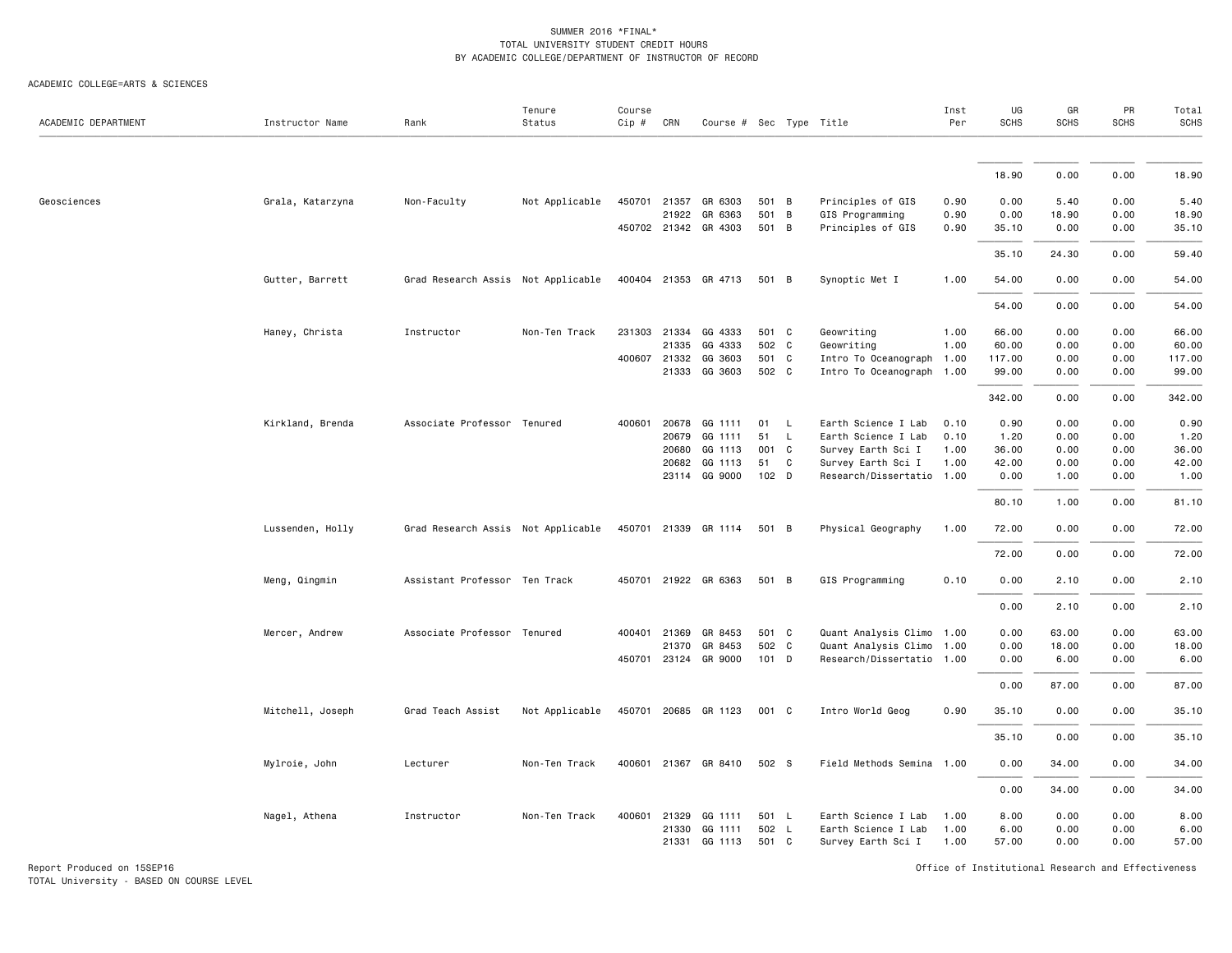ACADEMIC COLLEGE=ARTS & SCIENCES

| ACADEMIC DEPARTMENT | Instructor Name  | Rank                               | Tenure<br>Status | Course<br>$Cip$ # | CRN          | Course # Sec Type Title |                  |                |                           | Inst<br>Per | UG<br><b>SCHS</b> | GR<br>SCHS | PR<br><b>SCHS</b> | Total<br><b>SCHS</b> |
|---------------------|------------------|------------------------------------|------------------|-------------------|--------------|-------------------------|------------------|----------------|---------------------------|-------------|-------------------|------------|-------------------|----------------------|
|                     |                  |                                    |                  |                   |              |                         |                  |                |                           |             |                   |            |                   |                      |
|                     |                  |                                    |                  |                   |              |                         |                  |                |                           |             | 18.90             | 0.00       | 0.00              | 18.90                |
| Geosciences         | Grala, Katarzyna | Non-Faculty                        | Not Applicable   |                   |              | 450701 21357 GR 6303    | 501 B            |                | Principles of GIS         | 0.90        | 0.00              | 5.40       | 0.00              | 5.40                 |
|                     |                  |                                    |                  |                   | 21922        | GR 6363                 | 501              | $\overline{B}$ | GIS Programming           | 0.90        | 0.00              | 18.90      | 0.00              | 18.90                |
|                     |                  |                                    |                  |                   |              | 450702 21342 GR 4303    | 501 B            |                | Principles of GIS         | 0.90        | 35.10             | 0.00       | 0.00              | 35.10                |
|                     |                  |                                    |                  |                   |              |                         |                  |                |                           |             | 35.10             | 24.30      | 0.00              | 59.40                |
|                     | Gutter, Barrett  | Grad Research Assis Not Applicable |                  |                   |              | 400404 21353 GR 4713    | 501 B            |                | Synoptic Met I            | 1.00        | 54.00             | 0.00       | 0.00              | 54.00                |
|                     |                  |                                    |                  |                   |              |                         |                  |                |                           |             | 54.00             | 0.00       | 0.00              | 54.00                |
|                     | Haney, Christa   | Instructor                         | Non-Ten Track    |                   | 231303 21334 | GG 4333                 | 501 C            |                | Geowriting                | 1.00        | 66.00             | 0.00       | 0.00              | 66.00                |
|                     |                  |                                    |                  |                   | 21335        | GG 4333                 | 502 C            |                | Geowriting                | 1.00        | 60.00             | 0.00       | 0.00              | 60.00                |
|                     |                  |                                    |                  |                   | 400607 21332 | GG 3603                 | 501 C            |                | Intro To Oceanograph 1.00 |             | 117.00            | 0.00       | 0.00              | 117.00               |
|                     |                  |                                    |                  |                   |              | 21333 GG 3603           | 502 C            |                | Intro To Oceanograph 1.00 |             | 99.00             | 0.00       | 0.00              | 99.00                |
|                     |                  |                                    |                  |                   |              |                         |                  |                |                           |             | 342.00            | 0.00       | 0.00              | 342.00               |
|                     | Kirkland, Brenda | Associate Professor Tenured        |                  | 400601            | 20678        | GG 1111                 | 01               | <b>L</b>       | Earth Science I Lab       | 0.10        | 0.90              | 0.00       | 0.00              | 0.90                 |
|                     |                  |                                    |                  |                   | 20679        | GG 1111                 | 51               | $\mathsf{L}$   | Earth Science I Lab       | 0.10        | 1.20              | 0.00       | 0.00              | 1.20                 |
|                     |                  |                                    |                  |                   | 20680        | GG 1113                 | 001 C            |                | Survey Earth Sci I        | 1.00        | 36.00             | 0.00       | 0.00              | 36.00                |
|                     |                  |                                    |                  |                   | 20682        | GG 1113                 | 51               | C              | Survey Earth Sci I        | 1.00        | 42.00             | 0.00       | 0.00              | 42.00                |
|                     |                  |                                    |                  |                   |              | 23114 GG 9000           | 102 <sub>D</sub> |                | Research/Dissertatio 1.00 |             | 0.00              | 1.00       | 0.00              | 1.00                 |
|                     |                  |                                    |                  |                   |              |                         |                  |                |                           |             |                   |            |                   |                      |
|                     |                  |                                    |                  |                   |              |                         |                  |                |                           |             | 80.10             | 1.00       | 0.00              | 81.10                |
|                     | Lussenden, Holly | Grad Research Assis Not Applicable |                  |                   |              | 450701 21339 GR 1114    | 501 B            |                | Physical Geography        | 1.00        | 72.00             | 0.00       | 0.00              | 72.00                |
|                     |                  |                                    |                  |                   |              |                         |                  |                |                           |             | 72.00             | 0.00       | 0.00              | 72.00                |
|                     | Meng, Qingmin    | Assistant Professor Ten Track      |                  | 450701            |              | 21922 GR 6363           | 501 B            |                | GIS Programming           | 0.10        | 0.00              | 2.10       | 0.00              | 2.10                 |
|                     |                  |                                    |                  |                   |              |                         |                  |                |                           |             | 0.00              | 2.10       | 0.00              | 2.10                 |
|                     | Mercer, Andrew   | Associate Professor Tenured        |                  |                   | 400401 21369 | GR 8453                 | 501 C            |                | Quant Analysis Climo 1.00 |             | 0.00              | 63.00      | 0.00              | 63.00                |
|                     |                  |                                    |                  |                   | 21370        | GR 8453                 | 502 C            |                | Quant Analysis Climo      | 1.00        | 0.00              | 18.00      | 0.00              | 18.00                |
|                     |                  |                                    |                  | 450701            |              | 23124 GR 9000           | $101$ D          |                | Research/Dissertatio 1.00 |             | 0.00              | 6.00       | 0.00              | 6.00                 |
|                     |                  |                                    |                  |                   |              |                         |                  |                |                           |             | 0.00              | 87.00      | 0.00              | 87.00                |
|                     | Mitchell, Joseph | Grad Teach Assist                  | Not Applicable   | 450701            |              | 20685 GR 1123           | 001 C            |                | Intro World Geog          | 0.90        | 35.10             | 0.00       | 0.00              | 35.10                |
|                     |                  |                                    |                  |                   |              |                         |                  |                |                           |             | 35.10             | 0.00       | 0.00              | 35.10                |
|                     | Mylroie, John    | Lecturer                           | Non-Ten Track    |                   |              | 400601 21367 GR 8410    | 502 S            |                | Field Methods Semina      | 1.00        | 0.00              | 34.00      | 0.00              | 34.00                |
|                     |                  |                                    |                  |                   |              |                         |                  |                |                           |             | 0.00              | 34.00      | 0.00              | 34.00                |
|                     | Nagel, Athena    | Instructor                         | Non-Ten Track    | 400601            | 21329        | GG 1111                 | 501 L            |                | Earth Science I Lab       | 1.00        | 8.00              | 0.00       | 0.00              | 8.00                 |
|                     |                  |                                    |                  |                   |              | 21330 GG 1111           | 502 L            |                | Earth Science I Lab       | 1.00        | 6.00              | 0.00       | 0.00              | 6.00                 |
|                     |                  |                                    |                  |                   |              | 21331 GG 1113           | 501 C            |                | Survey Earth Sci I        | 1.00        | 57.00             | 0.00       | 0.00              | 57.00                |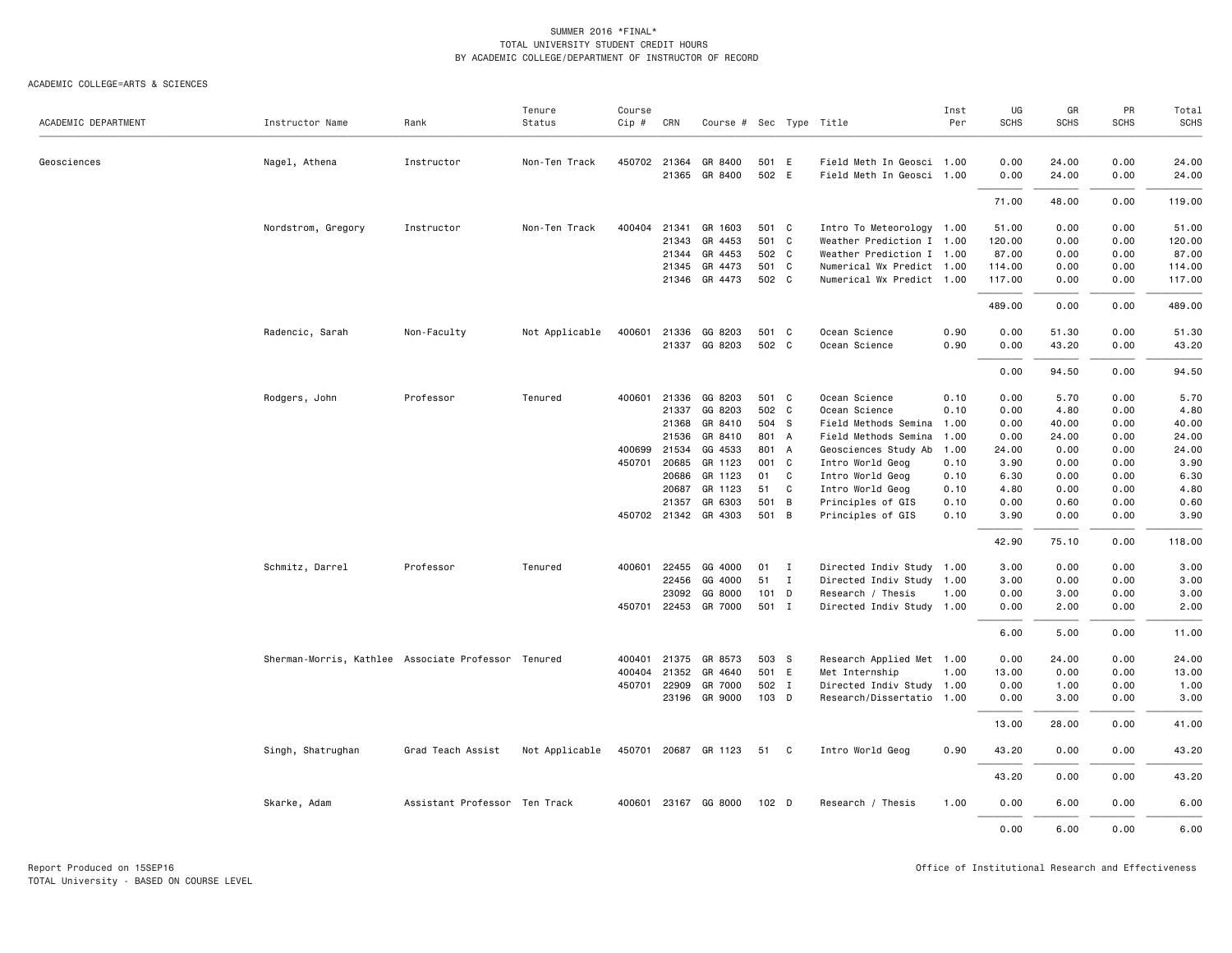|                     |                                                     |                               | Tenure         | Course       |              |                         |         |              |                           | Inst | UG          | GR          | PR          | Total  |
|---------------------|-----------------------------------------------------|-------------------------------|----------------|--------------|--------------|-------------------------|---------|--------------|---------------------------|------|-------------|-------------|-------------|--------|
| ACADEMIC DEPARTMENT | Instructor Name                                     | Rank                          | Status         | Cip #        | CRN          | Course # Sec Type Title |         |              |                           | Per  | <b>SCHS</b> | <b>SCHS</b> | <b>SCHS</b> | SCHS   |
| Geosciences         | Nagel, Athena                                       | Instructor                    | Non-Ten Track  | 450702 21364 |              | GR 8400                 | 501 E   |              | Field Meth In Geosci 1.00 |      | 0.00        | 24.00       | 0.00        | 24.00  |
|                     |                                                     |                               |                |              | 21365        | GR 8400                 | 502 E   |              | Field Meth In Geosci 1.00 |      | 0.00        | 24.00       | 0.00        | 24.00  |
|                     |                                                     |                               |                |              |              |                         |         |              |                           |      | 71.00       | 48.00       | 0.00        | 119.00 |
|                     | Nordstrom, Gregory                                  | Instructor                    | Non-Ten Track  | 400404       | 21341        | GR 1603                 | 501 C   |              | Intro To Meteorology 1.00 |      | 51.00       | 0.00        | 0.00        | 51.00  |
|                     |                                                     |                               |                |              | 21343        | GR 4453                 | 501 C   |              | Weather Prediction I 1.00 |      | 120.00      | 0.00        | 0.00        | 120.00 |
|                     |                                                     |                               |                |              | 21344        | GR 4453                 | 502 C   |              | Weather Prediction I 1.00 |      | 87.00       | 0.00        | 0.00        | 87.00  |
|                     |                                                     |                               |                |              | 21345        | GR 4473                 | 501 C   |              | Numerical Wx Predict 1.00 |      | 114.00      | 0.00        | 0.00        | 114.00 |
|                     |                                                     |                               |                |              |              | 21346 GR 4473           | 502 C   |              | Numerical Wx Predict 1.00 |      | 117.00      | 0.00        | 0.00        | 117.00 |
|                     |                                                     |                               |                |              |              |                         |         |              |                           |      | 489.00      | 0.00        | 0.00        | 489.00 |
|                     | Radencic, Sarah                                     | Non-Faculty                   | Not Applicable |              |              | 400601 21336 GG 8203    | 501 C   |              | Ocean Science             | 0.90 | 0.00        | 51.30       | 0.00        | 51.30  |
|                     |                                                     |                               |                |              |              | 21337 GG 8203           | 502 C   |              | Ocean Science             | 0.90 | 0.00        | 43.20       | 0.00        | 43.20  |
|                     |                                                     |                               |                |              |              |                         |         |              |                           |      |             |             |             |        |
|                     |                                                     |                               |                |              |              |                         |         |              |                           |      | 0.00        | 94.50       | 0.00        | 94.50  |
|                     | Rodgers, John                                       | Professor                     | Tenured        | 400601       | 21336        | GG 8203                 | 501 C   |              | Ocean Science             | 0.10 | 0.00        | 5.70        | 0.00        | 5.70   |
|                     |                                                     |                               |                |              | 21337        | GG 8203                 | 502 C   |              | Ocean Science             | 0.10 | 0.00        | 4.80        | 0.00        | 4.80   |
|                     |                                                     |                               |                |              | 21368        | GR 8410                 | 504 S   |              | Field Methods Semina 1.00 |      | 0.00        | 40.00       | 0.00        | 40.00  |
|                     |                                                     |                               |                |              | 21536        | GR 8410                 | 801 A   |              | Field Methods Semina      | 1.00 | 0.00        | 24.00       | 0.00        | 24.00  |
|                     |                                                     |                               |                | 400699 21534 |              | GG 4533                 | 801 A   |              | Geosciences Study Ab      | 1.00 | 24.00       | 0.00        | 0.00        | 24.00  |
|                     |                                                     |                               |                | 450701 20685 |              | GR 1123                 | 001 C   |              | Intro World Geog          | 0.10 | 3.90        | 0.00        | 0.00        | 3.90   |
|                     |                                                     |                               |                |              | 20686        | GR 1123                 | 01      | C            | Intro World Geog          | 0.10 | 6.30        | 0.00        | 0.00        | 6.30   |
|                     |                                                     |                               |                |              | 20687        | GR 1123                 | 51      | $\mathbf{C}$ | Intro World Geog          | 0.10 | 4.80        | 0.00        | 0.00        | 4.80   |
|                     |                                                     |                               |                |              | 21357        | GR 6303                 | 501 B   |              | Principles of GIS         | 0.10 | 0.00        | 0.60        | 0.00        | 0.60   |
|                     |                                                     |                               |                |              | 450702 21342 | GR 4303                 | 501 B   |              | Principles of GIS         | 0.10 | 3.90        | 0.00        | 0.00        | 3.90   |
|                     |                                                     |                               |                |              |              |                         |         |              |                           |      | 42.90       | 75.10       | 0.00        | 118.00 |
|                     | Schmitz, Darrel                                     | Professor                     | Tenured        | 400601 22455 |              | GG 4000                 | 01      | $\mathbf{I}$ | Directed Indiv Study 1.00 |      | 3.00        | 0.00        | 0.00        | 3.00   |
|                     |                                                     |                               |                |              | 22456        | GG 4000                 | 51      | $\mathbf{I}$ | Directed Indiv Study 1.00 |      | 3.00        | 0.00        | 0.00        | 3.00   |
|                     |                                                     |                               |                |              | 23092        | GG 8000                 | $101$ D |              | Research / Thesis         | 1.00 | 0.00        | 3.00        | 0.00        | 3.00   |
|                     |                                                     |                               |                |              |              | 450701 22453 GR 7000    | 501 I   |              | Directed Indiv Study 1.00 |      | 0.00        | 2.00        | 0.00        | 2.00   |
|                     |                                                     |                               |                |              |              |                         |         |              |                           |      | 6.00        | 5.00        | 0.00        | 11.00  |
|                     | Sherman-Morris, Kathlee Associate Professor Tenured |                               |                | 400401       | 21375        | GR 8573                 | 503 S   |              | Research Applied Met 1.00 |      | 0.00        | 24.00       | 0.00        | 24.00  |
|                     |                                                     |                               |                | 400404       | 21352        | GR 4640                 | 501 E   |              | Met Internship            | 1.00 | 13.00       | 0.00        | 0.00        | 13.00  |
|                     |                                                     |                               |                | 450701 22909 |              | GR 7000                 | 502 I   |              | Directed Indiv Study 1.00 |      | 0.00        | 1.00        | 0.00        | 1.00   |
|                     |                                                     |                               |                |              |              | 23196 GR 9000           | 103 D   |              | Research/Dissertatio 1.00 |      | 0.00        | 3.00        | 0.00        | 3.00   |
|                     |                                                     |                               |                |              |              |                         |         |              |                           |      | 13.00       | 28.00       | 0.00        | 41.00  |
|                     | Singh, Shatrughan                                   | Grad Teach Assist             | Not Applicable |              |              | 450701 20687 GR 1123    | 51 C    |              | Intro World Geog          | 0.90 | 43.20       | 0.00        | 0.00        | 43.20  |
|                     |                                                     |                               |                |              |              |                         |         |              |                           |      | 43.20       | 0.00        | 0.00        | 43.20  |
|                     | Skarke, Adam                                        | Assistant Professor Ten Track |                |              |              | 400601 23167 GG 8000    | 102 D   |              | Research / Thesis         | 1.00 | 0.00        | 6.00        | 0.00        | 6.00   |
|                     |                                                     |                               |                |              |              |                         |         |              |                           |      | 0.00        | 6.00        | 0.00        | 6.00   |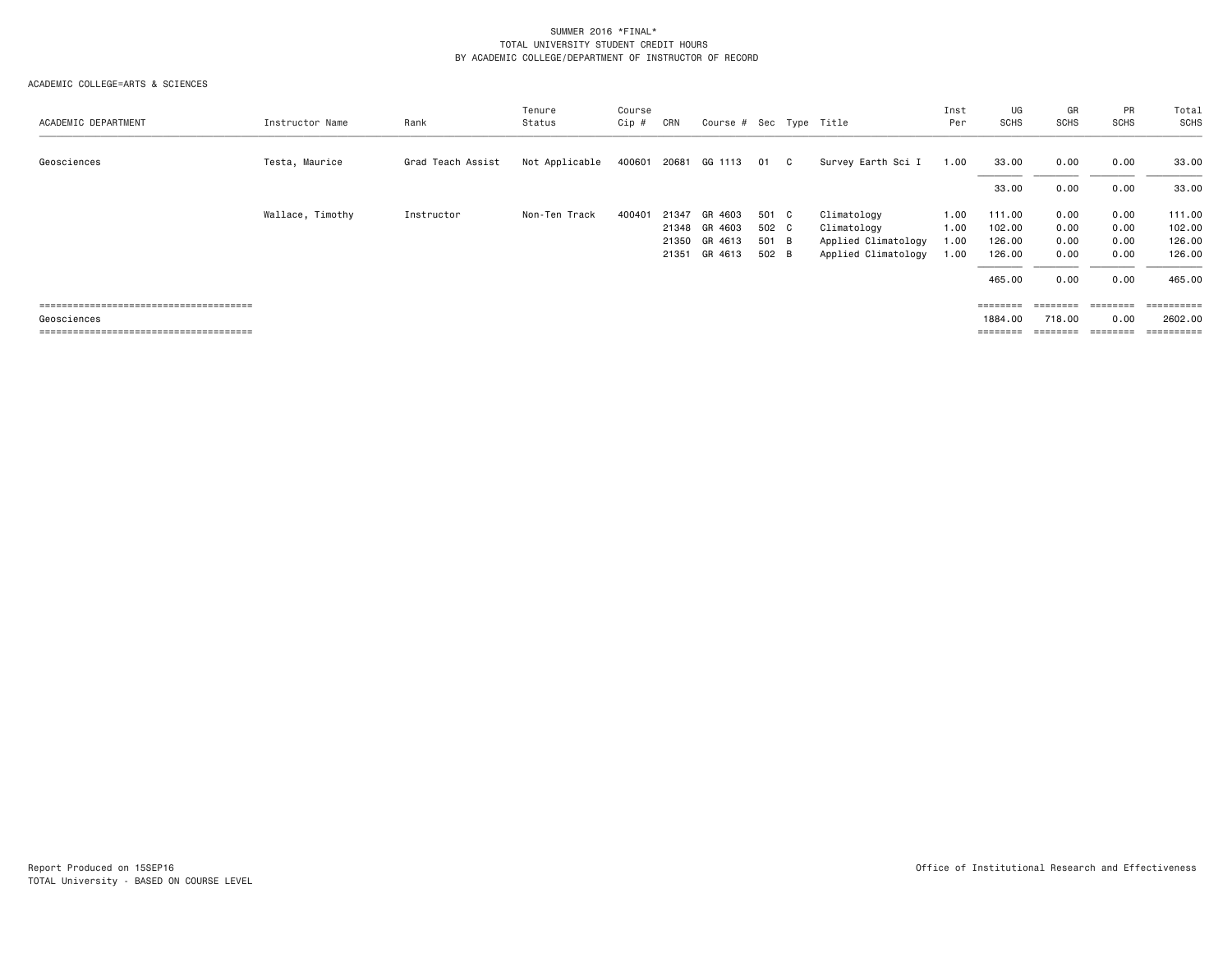| ACADEMIC DEPARTMENT | Instructor Name  | Rank              | Tenure<br>Status | Course<br>Cip # | CRN   | Course # Sec Type Title                                    |                                  |              |                                                                          | Inst<br>Per                  | UG<br>SCHS                                     | GR<br>SCHS                           | PR<br><b>SCHS</b>                    | Total<br><b>SCHS</b>                           |
|---------------------|------------------|-------------------|------------------|-----------------|-------|------------------------------------------------------------|----------------------------------|--------------|--------------------------------------------------------------------------|------------------------------|------------------------------------------------|--------------------------------------|--------------------------------------|------------------------------------------------|
| Geosciences         | Testa, Maurice   | Grad Teach Assist | Not Applicable   | 400601          | 20681 | GG 1113                                                    | 01                               | $\mathbf{C}$ | Survey Earth Sci I                                                       | 1.00                         | 33.00                                          | 0.00                                 | 0.00                                 | 33.00                                          |
|                     |                  |                   |                  |                 |       |                                                            |                                  |              |                                                                          |                              | 33.00                                          | 0.00                                 | 0.00                                 | 33.00                                          |
|                     | Wallace, Timothy | Instructor        | Non-Ten Track    | 400401          | 21347 | GR 4603<br>21348 GR 4603<br>21350 GR 4613<br>21351 GR 4613 | 501 C<br>502 C<br>501 B<br>502 B |              | Climatology<br>Climatology<br>Applied Climatology<br>Applied Climatology | 1.00<br>1.00<br>1.00<br>1.00 | 111.00<br>102.00<br>126.00<br>126.00<br>465.00 | 0.00<br>0.00<br>0.00<br>0.00<br>0.00 | 0.00<br>0.00<br>0.00<br>0.00<br>0.00 | 111.00<br>102.00<br>126.00<br>126.00<br>465.00 |
| Geosciences         |                  |                   |                  |                 |       |                                                            |                                  |              |                                                                          |                              | $=$ =======<br>1884.00<br>========             | ========<br>718.00                   | ========<br>0.00                     | ==========<br>2602.00<br>=========             |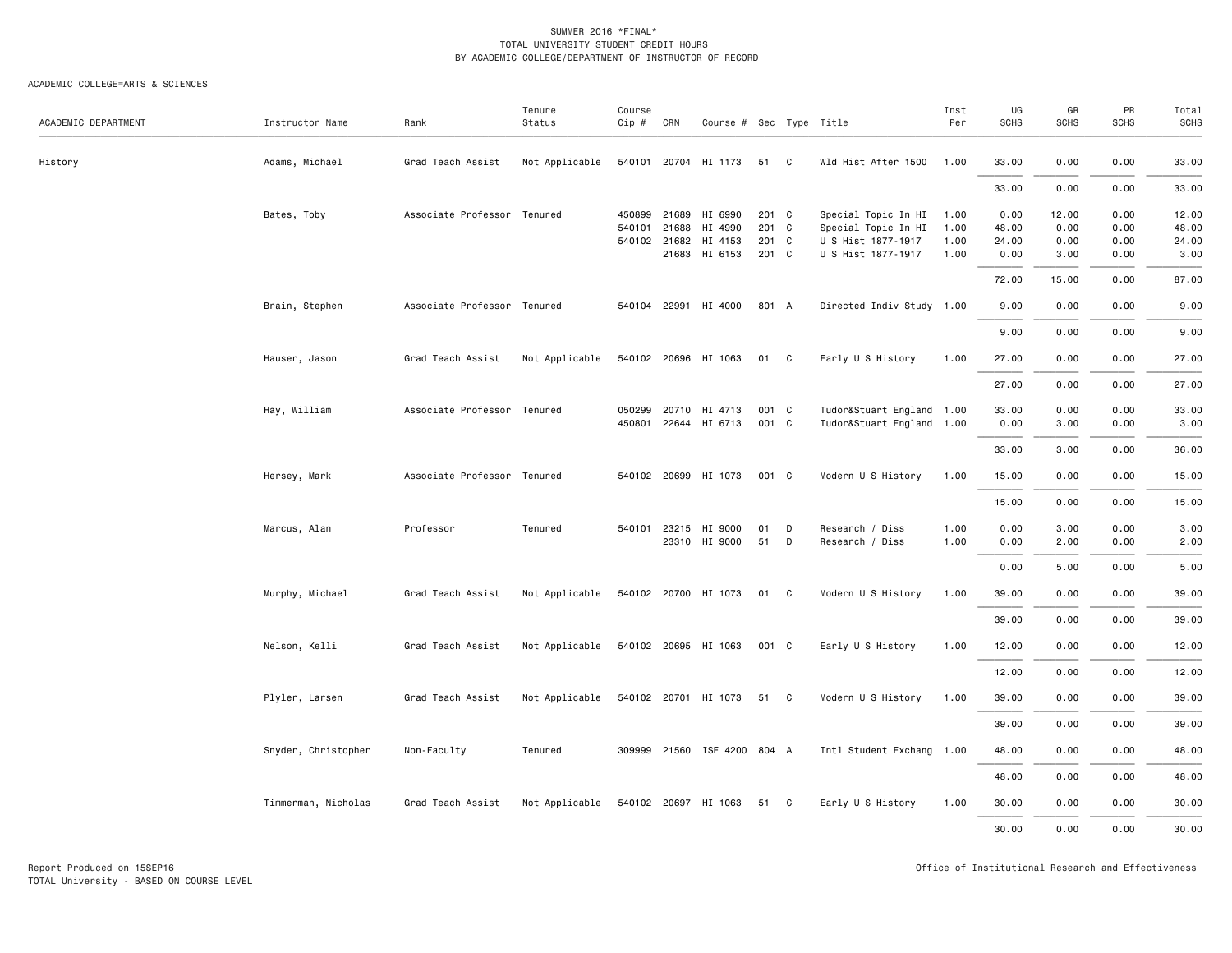|                     |                     |                             | Tenure         | Course   |              |                             |       |              |                           | Inst | UG    | GR          | PR          | Total       |
|---------------------|---------------------|-----------------------------|----------------|----------|--------------|-----------------------------|-------|--------------|---------------------------|------|-------|-------------|-------------|-------------|
| ACADEMIC DEPARTMENT | Instructor Name     | Rank                        | Status         | $Cip \#$ | CRN          | Course # Sec Type Title     |       |              |                           | Per  | SCHS  | <b>SCHS</b> | <b>SCHS</b> | <b>SCHS</b> |
| History             | Adams, Michael      | Grad Teach Assist           | Not Applicable |          |              | 540101 20704 HI 1173        | 51    | C            | Wld Hist After 1500       | 1.00 | 33.00 | 0.00        | 0.00        | 33.00       |
|                     |                     |                             |                |          |              |                             |       |              |                           |      | 33.00 | 0.00        | 0.00        | 33.00       |
|                     | Bates, Toby         | Associate Professor Tenured |                | 450899   | 21689        | HI 6990                     | 201 C |              | Special Topic In HI       | 1.00 | 0.00  | 12.00       | 0.00        | 12.00       |
|                     |                     |                             |                | 540101   | 21688        | HI 4990                     | 201 C |              | Special Topic In HI       | 1.00 | 48.00 | 0.00        | 0.00        | 48.00       |
|                     |                     |                             |                |          | 540102 21682 | HI 4153                     | 201 C |              | U S Hist 1877-1917        | 1.00 | 24.00 | 0.00        | 0.00        | 24.00       |
|                     |                     |                             |                |          | 21683        | HI 6153                     | 201 C |              | U S Hist 1877-1917        | 1.00 | 0.00  | 3.00        | 0.00        | 3.00        |
|                     |                     |                             |                |          |              |                             |       |              |                           |      | 72.00 | 15.00       | 0.00        | 87.00       |
|                     | Brain, Stephen      | Associate Professor Tenured |                |          |              | 540104 22991 HI 4000        | 801 A |              | Directed Indiv Study 1.00 |      | 9.00  | 0.00        | 0.00        | 9.00        |
|                     |                     |                             |                |          |              |                             |       |              |                           |      | 9.00  | 0.00        | 0.00        | 9.00        |
|                     | Hauser, Jason       | Grad Teach Assist           | Not Applicable |          |              | 540102 20696 HI 1063        | 01 C  |              | Early U S History         | 1.00 | 27.00 | 0.00        | 0.00        | 27.00       |
|                     |                     |                             |                |          |              |                             |       |              |                           |      | 27.00 | 0.00        | 0.00        | 27.00       |
|                     |                     |                             |                |          |              |                             |       |              |                           |      |       |             |             |             |
|                     | Hay, William        | Associate Professor Tenured |                | 050299   |              | 20710 HI 4713               | 001 C |              | Tudor&Stuart England 1.00 |      | 33.00 | 0.00        | 0.00        | 33.00       |
|                     |                     |                             |                |          |              | 450801 22644 HI 6713        | 001 C |              | Tudor&Stuart England 1.00 |      | 0.00  | 3.00        | 0.00        | 3.00        |
|                     |                     |                             |                |          |              |                             |       |              |                           |      | 33.00 | 3.00        | 0.00        | 36.00       |
|                     | Hersey, Mark        | Associate Professor Tenured |                |          |              | 540102 20699 HI 1073        | 001 C |              | Modern U S History        | 1.00 | 15.00 | 0.00        | 0.00        | 15.00       |
|                     |                     |                             |                |          |              |                             |       |              |                           |      | 15.00 | 0.00        | 0.00        | 15.00       |
|                     | Marcus, Alan        | Professor                   | Tenured        |          |              | 540101 23215 HI 9000        | 01    | D            | Research / Diss           | 1.00 | 0.00  | 3.00        | 0.00        | 3.00        |
|                     |                     |                             |                |          |              | 23310 HI 9000               | 51    | D            | Research / Diss           | 1.00 | 0.00  | 2.00        | 0.00        | 2.00        |
|                     |                     |                             |                |          |              |                             |       |              |                           |      |       |             |             |             |
|                     |                     |                             |                |          |              |                             |       |              |                           |      | 0.00  | 5.00        | 0.00        | 5.00        |
|                     | Murphy, Michael     | Grad Teach Assist           | Not Applicable |          |              | 540102 20700 HI 1073        | 01    | $\mathbf{C}$ | Modern U S History        | 1.00 | 39.00 | 0.00        | 0.00        | 39.00       |
|                     |                     |                             |                |          |              |                             |       |              |                           |      | 39.00 | 0.00        | 0.00        | 39.00       |
|                     | Nelson, Kelli       | Grad Teach Assist           | Not Applicable |          |              | 540102 20695 HI 1063        | 001 C |              | Early U S History         | 1.00 | 12.00 | 0.00        | 0.00        | 12.00       |
|                     |                     |                             |                |          |              |                             |       |              |                           |      | 12.00 | 0.00        | 0.00        | 12.00       |
|                     | Plyler, Larsen      | Grad Teach Assist           | Not Applicable |          |              | 540102 20701 HI 1073        | 51 C  |              | Modern U S History        | 1.00 | 39.00 | 0.00        | 0.00        | 39.00       |
|                     |                     |                             |                |          |              |                             |       |              |                           |      |       |             |             |             |
|                     |                     |                             |                |          |              |                             |       |              |                           |      | 39.00 | 0.00        | 0.00        | 39.00       |
|                     | Snyder, Christopher | Non-Faculty                 | Tenured        |          |              | 309999 21560 ISE 4200 804 A |       |              | Intl Student Exchang 1.00 |      | 48.00 | 0.00        | 0.00        | 48.00       |
|                     |                     |                             |                |          |              |                             |       |              |                           |      | 48.00 | 0.00        | 0.00        | 48.00       |
|                     | Timmerman, Nicholas | Grad Teach Assist           | Not Applicable |          |              | 540102 20697 HI 1063        | 51 C  |              | Early U S History         | 1.00 | 30.00 | 0.00        | 0.00        | 30.00       |
|                     |                     |                             |                |          |              |                             |       |              |                           |      | 30.00 | 0.00        | 0.00        | 30.00       |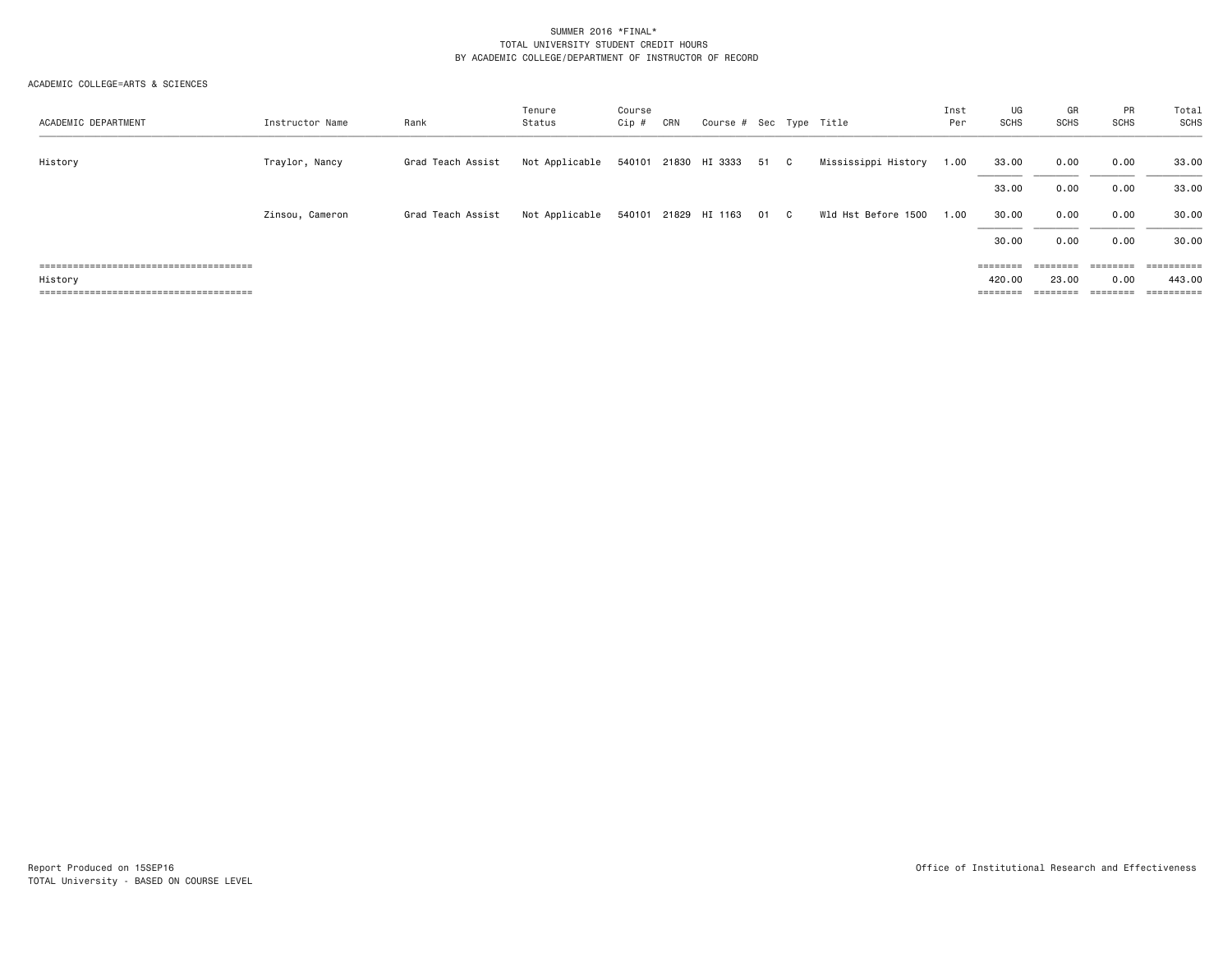| ACADEMIC DEPARTMENT | Instructor Name | Rank              | Tenure<br>Status | Course<br>Cip # | CRN | Course # Sec Type Title   |      |                     | Inst<br>Per | UG<br>SCHS                                                              | GR<br>SCHS | <b>PR</b><br><b>SCHS</b> | Total<br><b>SCHS</b>  |
|---------------------|-----------------|-------------------|------------------|-----------------|-----|---------------------------|------|---------------------|-------------|-------------------------------------------------------------------------|------------|--------------------------|-----------------------|
| History             | Traylor, Nancy  | Grad Teach Assist | Not Applicable   |                 |     | 540101 21830 HI 3333 51 C |      | Mississippi History | 1.00        | 33.00                                                                   | 0.00       | 0.00                     | 33.00                 |
|                     |                 |                   |                  |                 |     |                           |      |                     |             | 33.00                                                                   | 0.00       | 0.00                     | 33.00                 |
|                     | Zinsou, Cameron | Grad Teach Assist | Not Applicable   |                 |     | 540101 21829 HI 1163      | 01 C | Wld Hst Before 1500 | 1.00        | 30.00                                                                   | 0.00       | 0.00                     | 30.00                 |
|                     |                 |                   |                  |                 |     |                           |      |                     |             | 30.00                                                                   | 0.00       | 0.00                     | 30.00                 |
|                     |                 |                   |                  |                 |     |                           |      |                     |             | $\qquad \qquad \equiv \equiv \equiv \equiv \equiv \equiv \equiv \equiv$ |            |                          |                       |
| History             |                 |                   |                  |                 |     |                           |      |                     |             | 420.00                                                                  | 23.00      | 0.00                     | 443.00                |
|                     |                 |                   |                  |                 |     |                           |      |                     |             | $=$ = = = = = = =                                                       |            | <b>EEEEEEE</b>           | $=$ = = = = = = = = : |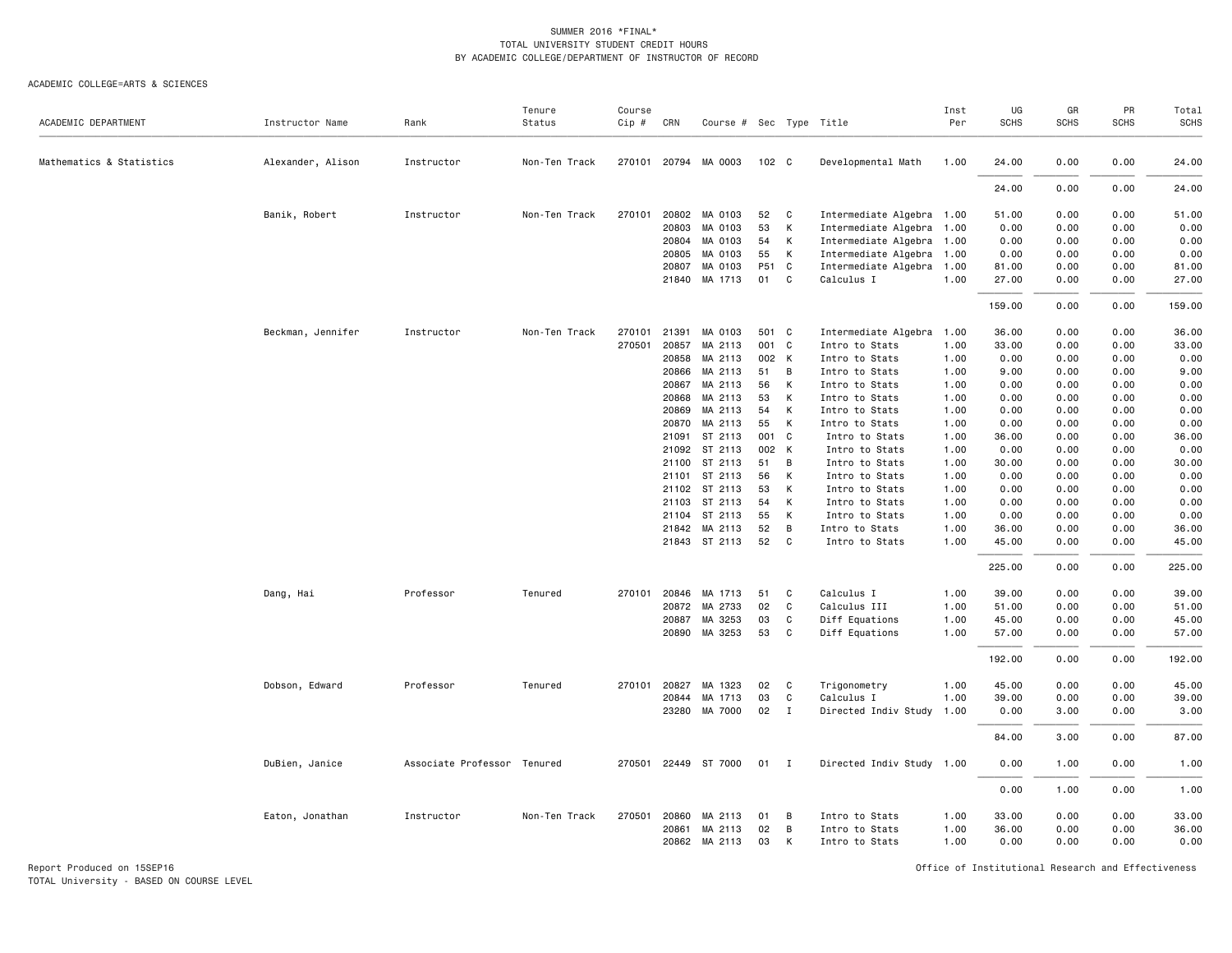#### ACADEMIC COLLEGE=ARTS & SCIENCES

| ACADEMIC DEPARTMENT      | Instructor Name   | Rank                        | Tenure<br>Status | Course<br>Cip # | CRN          | Course # Sec Type Title |                  |              |                           | Inst<br>Per | UG<br><b>SCHS</b> | GR<br><b>SCHS</b> | PR<br><b>SCHS</b> | Total<br><b>SCHS</b> |
|--------------------------|-------------------|-----------------------------|------------------|-----------------|--------------|-------------------------|------------------|--------------|---------------------------|-------------|-------------------|-------------------|-------------------|----------------------|
|                          |                   |                             |                  |                 |              |                         |                  |              |                           |             |                   |                   |                   |                      |
| Mathematics & Statistics | Alexander, Alison | Instructor                  | Non-Ten Track    |                 | 270101 20794 | MA 0003                 | 102 <sub>c</sub> |              | Developmental Math        | 1.00        | 24.00             | 0.00              | 0.00              | 24.00                |
|                          |                   |                             |                  |                 |              |                         |                  |              |                           |             | 24.00             | 0.00              | 0.00              | 24.00                |
|                          | Banik, Robert     | Instructor                  | Non-Ten Track    | 270101          | 20802        | MA 0103                 | 52               | C            | Intermediate Algebra 1.00 |             | 51.00             | 0.00              | 0.00              | 51.00                |
|                          |                   |                             |                  |                 | 20803        | MA 0103                 | 53               | К            | Intermediate Algebra 1.00 |             | 0.00              | 0.00              | 0.00              | 0.00                 |
|                          |                   |                             |                  |                 | 20804        | MA 0103                 | 54               | K            | Intermediate Algebra 1.00 |             | 0.00              | 0.00              | 0.00              | 0.00                 |
|                          |                   |                             |                  |                 | 20805        | MA 0103                 | 55               | K            | Intermediate Algebra 1.00 |             | 0.00              | 0.00              | 0.00              | 0.00                 |
|                          |                   |                             |                  |                 | 20807        | MA 0103                 | P51 C            |              | Intermediate Algebra 1.00 |             | 81.00             | 0.00              | 0.00              | 81.00                |
|                          |                   |                             |                  |                 | 21840        | MA 1713                 | 01               | C            | Calculus I                | 1.00        | 27.00             | 0.00              | 0.00              | 27.00                |
|                          |                   |                             |                  |                 |              |                         |                  |              |                           |             | 159.00            | 0.00              | 0.00              | 159.00               |
|                          | Beckman, Jennifer | Instructor                  | Non-Ten Track    | 270101          | 21391        | MA 0103                 | 501 C            |              | Intermediate Algebra 1.00 |             | 36.00             | 0.00              | 0.00              | 36.00                |
|                          |                   |                             |                  | 270501          | 20857        | MA 2113                 | 001 C            |              | Intro to Stats            | 1.00        | 33.00             | 0.00              | 0.00              | 33.00                |
|                          |                   |                             |                  |                 | 20858        | MA 2113                 | 002 K            |              | Intro to Stats            | 1.00        | 0.00              | 0.00              | 0.00              | 0.00                 |
|                          |                   |                             |                  |                 | 20866        | MA 2113                 | 51               | B            | Intro to Stats            | 1.00        | 9.00              | 0.00              | 0.00              | 9.00                 |
|                          |                   |                             |                  |                 | 20867        | MA 2113                 | 56               | K            | Intro to Stats            | 1.00        | 0.00              | 0.00              | 0.00              | 0.00                 |
|                          |                   |                             |                  |                 | 20868        | MA 2113                 | 53               | K            | Intro to Stats            | 1.00        | 0.00              | 0.00              | 0.00              | 0.00                 |
|                          |                   |                             |                  |                 | 20869        | MA 2113                 | 54               | K            | Intro to Stats            | 1.00        | 0.00              | 0.00              | 0.00              | 0.00                 |
|                          |                   |                             |                  |                 | 20870        | MA 2113                 | 55               | К            | Intro to Stats            | 1.00        | 0.00              | 0.00              | 0.00              | 0.00                 |
|                          |                   |                             |                  |                 | 21091        | ST 2113                 | 001 C            |              | Intro to Stats            | 1.00        | 36.00             | 0.00              | 0.00              | 36.00                |
|                          |                   |                             |                  |                 | 21092        | ST 2113                 | 002 K            |              | Intro to Stats            | 1.00        | 0.00              | 0.00              | 0.00              | 0.00                 |
|                          |                   |                             |                  |                 | 21100        | ST 2113                 | 51               | B            | Intro to Stats            | 1.00        | 30.00             | 0.00              | 0.00              | 30.00                |
|                          |                   |                             |                  |                 | 21101        | ST 2113                 | 56               | К            | Intro to Stats            | 1.00        | 0.00              | 0.00              | 0.00              | 0.00                 |
|                          |                   |                             |                  |                 | 21102        | ST 2113                 | 53               | K            | Intro to Stats            | 1.00        | 0.00              | 0.00              | 0.00              | 0.00                 |
|                          |                   |                             |                  |                 | 21103        | ST 2113                 | 54               | K            | Intro to Stats            | 1.00        | 0.00              | 0.00              | 0.00              | 0.00                 |
|                          |                   |                             |                  |                 | 21104        | ST 2113                 | 55               | К            | Intro to Stats            | 1.00        | 0.00              | 0.00              | 0.00              | 0.00                 |
|                          |                   |                             |                  |                 | 21842        | MA 2113                 | 52               | B            | Intro to Stats            | 1.00        | 36.00             | 0.00              | 0.00              | 36.00                |
|                          |                   |                             |                  |                 |              | 21843 ST 2113           | 52               | C            | Intro to Stats            | 1.00        | 45.00             | 0.00              | 0.00              | 45.00                |
|                          |                   |                             |                  |                 |              |                         |                  |              |                           |             | 225.00            | 0.00              | 0.00              | 225.00               |
|                          | Dang, Hai         | Professor                   | Tenured          | 270101          | 20846        | MA 1713                 | 51               | C            | Calculus I                | 1.00        | 39.00             | 0.00              | 0.00              | 39.00                |
|                          |                   |                             |                  |                 | 20872        | MA 2733                 | 02               | C            | Calculus III              | 1.00        | 51.00             | 0.00              | 0.00              | 51.00                |
|                          |                   |                             |                  |                 | 20887        | MA 3253                 | 03               | C            | Diff Equations            | 1.00        | 45.00             | 0.00              | 0.00              | 45.00                |
|                          |                   |                             |                  |                 |              | 20890 MA 3253           | 53               | C            | Diff Equations            | 1.00        | 57.00             | 0.00              | 0.00              | 57.00                |
|                          |                   |                             |                  |                 |              |                         |                  |              |                           |             | 192.00            | 0.00              | 0.00              | 192.00               |
|                          | Dobson, Edward    | Professor                   | Tenured          |                 | 270101 20827 | MA 1323                 | 02               | C            | Trigonometry              | 1.00        | 45.00             | 0.00              | 0.00              | 45.00                |
|                          |                   |                             |                  |                 | 20844        | MA 1713                 | 03               | C            | Calculus I                | 1.00        | 39.00             | 0.00              | 0.00              | 39.00                |
|                          |                   |                             |                  |                 |              | 23280 MA 7000           | 02               | I            | Directed Indiv Study 1.00 |             | 0.00              | 3.00              | 0.00              | 3.00                 |
|                          |                   |                             |                  |                 |              |                         |                  |              |                           |             | 84.00             | 3.00              | 0.00              | 87.00                |
|                          | DuBien, Janice    | Associate Professor Tenured |                  | 270501          |              | 22449 ST 7000           | 01               | $\mathbf{I}$ | Directed Indiv Study 1.00 |             | 0.00              | 1.00              | 0.00              | 1.00                 |
|                          |                   |                             |                  |                 |              |                         |                  |              |                           |             | 0.00              | 1.00              | 0.00              | 1.00                 |
|                          | Eaton, Jonathan   | Instructor                  | Non-Ten Track    | 270501          | 20860        | MA 2113                 | 01               | B            | Intro to Stats            | 1.00        | 33.00             | 0.00              | 0.00              | 33.00                |
|                          |                   |                             |                  |                 | 20861        | MA 2113                 | 02               | В            | Intro to Stats            | 1.00        | 36.00             | 0.00              | 0.00              | 36.00                |
|                          |                   |                             |                  |                 |              | 20862 MA 2113           | 03               | К            | Intro to Stats            | 1.00        | 0.00              | 0.00              | 0.00              | 0.00                 |

Report Produced on 15SEP16 **Of Exercise 2.0 And Accord 2.0 And Accord 2.0** Office of Institutional Research and Effectiveness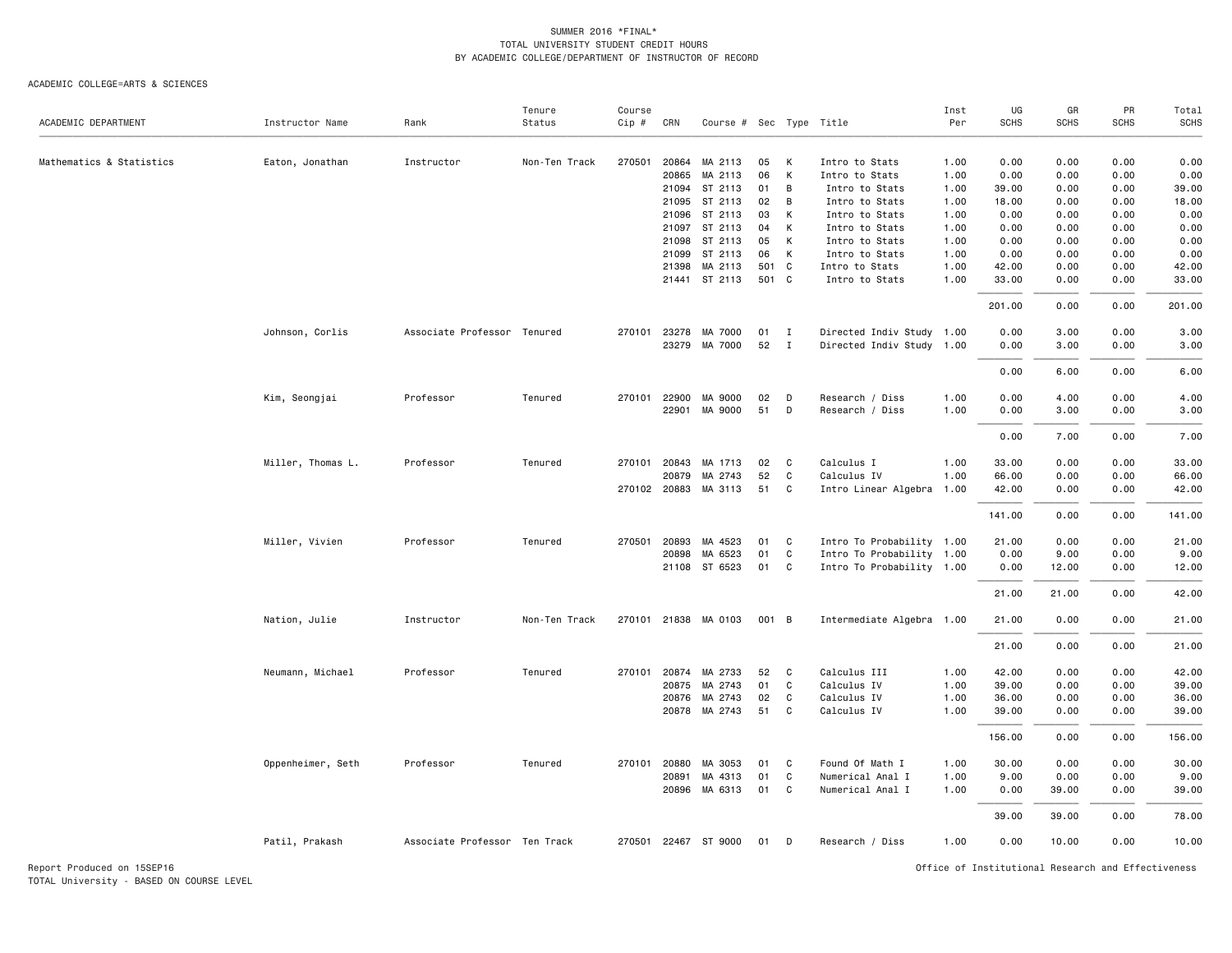#### ACADEMIC COLLEGE=ARTS & SCIENCES

| Status<br>Per<br><b>SCHS</b><br><b>SCHS</b><br>Instructor Name<br>Rank<br>CRN<br>Course # Sec Type Title<br>MA 2113<br>Mathematics & Statistics<br>Eaton, Jonathan<br>Instructor<br>Non-Ten Track<br>270501<br>20864<br>05<br>К<br>Intro to Stats<br>1.00<br>0.00<br>0.00<br>0.00<br>0.00<br>20865<br>MA 2113<br>06<br>К<br>Intro to Stats<br>1.00<br>0.00<br>0.00<br>0.00<br>0.00<br>21094 ST 2113<br>01<br>B<br>Intro to Stats<br>1.00<br>39.00<br>0.00<br>0.00<br>39.00<br>ST 2113<br>18.00<br>0.00<br>0.00<br>21095<br>02<br>В<br>Intro to Stats<br>1.00<br>ST 2113<br>0.00<br>21096<br>03<br>К<br>Intro to Stats<br>1.00<br>0.00<br>0.00<br>21097<br>ST 2113<br>04<br>К<br>Intro to Stats<br>1.00<br>0.00<br>0.00<br>0.00<br>ST 2113<br>0.00<br>0.00<br>21098<br>05<br>К<br>Intro to Stats<br>1.00<br>0.00<br>21099<br>ST 2113<br>Intro to Stats<br>0.00<br>0.00<br>0.00<br>06<br>K<br>1.00<br>21398 MA 2113<br>42.00<br>0.00<br>0.00<br>501<br>$\mathbf{C}$<br>Intro to Stats<br>1.00<br>21441 ST 2113<br>501 C<br>33.00<br>0.00<br>Intro to Stats<br>1.00<br>0.00<br>201.00<br>0.00<br>0.00<br>Johnson, Corlis<br>Associate Professor Tenured<br>270101<br>23278<br>MA 7000<br>01<br>$\mathbf{I}$<br>Directed Indiv Study 1.00<br>0.00<br>3.00<br>0.00<br>23279 MA 7000<br>52<br>Directed Indiv Study 1.00<br>0.00<br>3.00<br>0.00<br>$\mathbf{I}$<br>0.00<br>6.00<br>0.00<br>0.00<br>Kim, Seongjai<br>Professor<br>Tenured<br>270101<br>22900<br>MA 9000<br>02<br>D<br>Research / Diss<br>1.00<br>4.00<br>0.00<br>22901<br>MA 9000<br>0.00<br>3.00<br>0.00<br>51<br>D<br>Research / Diss<br>1.00<br>0.00<br>7.00<br>0.00<br>Calculus I<br>Miller, Thomas L.<br>Professor<br>Tenured<br>270101 20843<br>MA 1713<br>02<br>C<br>1.00<br>33.00<br>0.00<br>0.00<br>Calculus IV<br>20879<br>MA 2743<br>52<br>C<br>1.00<br>66.00<br>0.00<br>0.00<br>270102 20883 MA 3113<br>51<br>Intro Linear Algebra 1.00<br>42.00<br>0.00<br>0.00<br>C<br>141.00<br>0.00<br>0.00<br>Miller, Vivien<br>Intro To Probability 1.00<br>21.00<br>0.00<br>0.00<br>Professor<br>Tenured<br>270501<br>20893 MA 4523<br>01<br>C<br>20898<br>MA 6523<br>01<br>C<br>Intro To Probability 1.00<br>0.00<br>9.00<br>0.00<br>21108 ST 6523<br>01<br>C<br>Intro To Probability 1.00<br>0.00<br>12.00<br>0.00<br>21.00<br>21.00<br>0.00<br>Non-Ten Track<br>270101<br>21838 MA 0103<br>Intermediate Algebra 1.00<br>21.00<br>0.00<br>Nation, Julie<br>Instructor<br>001 B<br>0.00<br>21.00<br>0.00<br>0.00<br>42.00<br>0.00<br>Neumann, Michael<br>Professor<br>Tenured<br>20874<br>Calculus III<br>1.00<br>0.00<br>42.00<br>270101<br>MA 2733<br>52<br>C<br>01<br>C<br>Calculus IV<br>0.00<br>20875<br>MA 2743<br>1.00<br>39.00<br>0.00<br>39.00<br>20876<br>MA 2743<br>02<br>C<br>Calculus IV<br>1.00<br>36.00<br>0.00<br>0.00<br>20878 MA 2743<br>51<br>C<br>Calculus IV<br>1.00<br>39.00<br>0.00<br>0.00<br>156.00<br>0.00<br>0.00<br>30.00<br>0.00<br>Oppenheimer, Seth<br>Professor<br>Tenured<br>270101<br>20880<br>MA 3053<br>C<br>Found Of Math I<br>1.00<br>0.00<br>01<br>01<br>C<br>Numerical Anal I<br>9.00<br>0.00<br>0.00<br>20891<br>MA 4313<br>1.00<br>20896 MA 6313<br>01<br>C<br>Numerical Anal I<br>1.00<br>0.00<br>39.00<br>0.00<br>39.00<br>39.00<br>0.00<br>Patil, Prakash<br>Associate Professor Ten Track<br>270501<br>22467 ST 9000<br>0.00<br>10.00<br>0.00<br>01<br>D<br>Research / Diss<br>1.00 |                     |  | Tenure | Course |  |  | Inst | UG | GR          | PR | Total       |
|------------------------------------------------------------------------------------------------------------------------------------------------------------------------------------------------------------------------------------------------------------------------------------------------------------------------------------------------------------------------------------------------------------------------------------------------------------------------------------------------------------------------------------------------------------------------------------------------------------------------------------------------------------------------------------------------------------------------------------------------------------------------------------------------------------------------------------------------------------------------------------------------------------------------------------------------------------------------------------------------------------------------------------------------------------------------------------------------------------------------------------------------------------------------------------------------------------------------------------------------------------------------------------------------------------------------------------------------------------------------------------------------------------------------------------------------------------------------------------------------------------------------------------------------------------------------------------------------------------------------------------------------------------------------------------------------------------------------------------------------------------------------------------------------------------------------------------------------------------------------------------------------------------------------------------------------------------------------------------------------------------------------------------------------------------------------------------------------------------------------------------------------------------------------------------------------------------------------------------------------------------------------------------------------------------------------------------------------------------------------------------------------------------------------------------------------------------------------------------------------------------------------------------------------------------------------------------------------------------------------------------------------------------------------------------------------------------------------------------------------------------------------------------------------------------------------------------------------------------------------------------------------------------------------------------------------------------------------------------------------------------------------------------------------------------------------------------------------------------------------------------------------------------------------------------------------------------------------------------------------------------------------------------------------------------------------------------------------------------------------------------------------|---------------------|--|--------|--------|--|--|------|----|-------------|----|-------------|
|                                                                                                                                                                                                                                                                                                                                                                                                                                                                                                                                                                                                                                                                                                                                                                                                                                                                                                                                                                                                                                                                                                                                                                                                                                                                                                                                                                                                                                                                                                                                                                                                                                                                                                                                                                                                                                                                                                                                                                                                                                                                                                                                                                                                                                                                                                                                                                                                                                                                                                                                                                                                                                                                                                                                                                                                                                                                                                                                                                                                                                                                                                                                                                                                                                                                                                                                                                                                | ACADEMIC DEPARTMENT |  |        | Cip #  |  |  |      |    | <b>SCHS</b> |    | <b>SCHS</b> |
|                                                                                                                                                                                                                                                                                                                                                                                                                                                                                                                                                                                                                                                                                                                                                                                                                                                                                                                                                                                                                                                                                                                                                                                                                                                                                                                                                                                                                                                                                                                                                                                                                                                                                                                                                                                                                                                                                                                                                                                                                                                                                                                                                                                                                                                                                                                                                                                                                                                                                                                                                                                                                                                                                                                                                                                                                                                                                                                                                                                                                                                                                                                                                                                                                                                                                                                                                                                                |                     |  |        |        |  |  |      |    |             |    |             |
|                                                                                                                                                                                                                                                                                                                                                                                                                                                                                                                                                                                                                                                                                                                                                                                                                                                                                                                                                                                                                                                                                                                                                                                                                                                                                                                                                                                                                                                                                                                                                                                                                                                                                                                                                                                                                                                                                                                                                                                                                                                                                                                                                                                                                                                                                                                                                                                                                                                                                                                                                                                                                                                                                                                                                                                                                                                                                                                                                                                                                                                                                                                                                                                                                                                                                                                                                                                                |                     |  |        |        |  |  |      |    |             |    |             |
|                                                                                                                                                                                                                                                                                                                                                                                                                                                                                                                                                                                                                                                                                                                                                                                                                                                                                                                                                                                                                                                                                                                                                                                                                                                                                                                                                                                                                                                                                                                                                                                                                                                                                                                                                                                                                                                                                                                                                                                                                                                                                                                                                                                                                                                                                                                                                                                                                                                                                                                                                                                                                                                                                                                                                                                                                                                                                                                                                                                                                                                                                                                                                                                                                                                                                                                                                                                                |                     |  |        |        |  |  |      |    |             |    |             |
|                                                                                                                                                                                                                                                                                                                                                                                                                                                                                                                                                                                                                                                                                                                                                                                                                                                                                                                                                                                                                                                                                                                                                                                                                                                                                                                                                                                                                                                                                                                                                                                                                                                                                                                                                                                                                                                                                                                                                                                                                                                                                                                                                                                                                                                                                                                                                                                                                                                                                                                                                                                                                                                                                                                                                                                                                                                                                                                                                                                                                                                                                                                                                                                                                                                                                                                                                                                                |                     |  |        |        |  |  |      |    |             |    | 18.00       |
|                                                                                                                                                                                                                                                                                                                                                                                                                                                                                                                                                                                                                                                                                                                                                                                                                                                                                                                                                                                                                                                                                                                                                                                                                                                                                                                                                                                                                                                                                                                                                                                                                                                                                                                                                                                                                                                                                                                                                                                                                                                                                                                                                                                                                                                                                                                                                                                                                                                                                                                                                                                                                                                                                                                                                                                                                                                                                                                                                                                                                                                                                                                                                                                                                                                                                                                                                                                                |                     |  |        |        |  |  |      |    |             |    | 0.00        |
|                                                                                                                                                                                                                                                                                                                                                                                                                                                                                                                                                                                                                                                                                                                                                                                                                                                                                                                                                                                                                                                                                                                                                                                                                                                                                                                                                                                                                                                                                                                                                                                                                                                                                                                                                                                                                                                                                                                                                                                                                                                                                                                                                                                                                                                                                                                                                                                                                                                                                                                                                                                                                                                                                                                                                                                                                                                                                                                                                                                                                                                                                                                                                                                                                                                                                                                                                                                                |                     |  |        |        |  |  |      |    |             |    | 0.00        |
|                                                                                                                                                                                                                                                                                                                                                                                                                                                                                                                                                                                                                                                                                                                                                                                                                                                                                                                                                                                                                                                                                                                                                                                                                                                                                                                                                                                                                                                                                                                                                                                                                                                                                                                                                                                                                                                                                                                                                                                                                                                                                                                                                                                                                                                                                                                                                                                                                                                                                                                                                                                                                                                                                                                                                                                                                                                                                                                                                                                                                                                                                                                                                                                                                                                                                                                                                                                                |                     |  |        |        |  |  |      |    |             |    | 0.00        |
|                                                                                                                                                                                                                                                                                                                                                                                                                                                                                                                                                                                                                                                                                                                                                                                                                                                                                                                                                                                                                                                                                                                                                                                                                                                                                                                                                                                                                                                                                                                                                                                                                                                                                                                                                                                                                                                                                                                                                                                                                                                                                                                                                                                                                                                                                                                                                                                                                                                                                                                                                                                                                                                                                                                                                                                                                                                                                                                                                                                                                                                                                                                                                                                                                                                                                                                                                                                                |                     |  |        |        |  |  |      |    |             |    | 0.00        |
|                                                                                                                                                                                                                                                                                                                                                                                                                                                                                                                                                                                                                                                                                                                                                                                                                                                                                                                                                                                                                                                                                                                                                                                                                                                                                                                                                                                                                                                                                                                                                                                                                                                                                                                                                                                                                                                                                                                                                                                                                                                                                                                                                                                                                                                                                                                                                                                                                                                                                                                                                                                                                                                                                                                                                                                                                                                                                                                                                                                                                                                                                                                                                                                                                                                                                                                                                                                                |                     |  |        |        |  |  |      |    |             |    | 42.00       |
|                                                                                                                                                                                                                                                                                                                                                                                                                                                                                                                                                                                                                                                                                                                                                                                                                                                                                                                                                                                                                                                                                                                                                                                                                                                                                                                                                                                                                                                                                                                                                                                                                                                                                                                                                                                                                                                                                                                                                                                                                                                                                                                                                                                                                                                                                                                                                                                                                                                                                                                                                                                                                                                                                                                                                                                                                                                                                                                                                                                                                                                                                                                                                                                                                                                                                                                                                                                                |                     |  |        |        |  |  |      |    |             |    | 33.00       |
|                                                                                                                                                                                                                                                                                                                                                                                                                                                                                                                                                                                                                                                                                                                                                                                                                                                                                                                                                                                                                                                                                                                                                                                                                                                                                                                                                                                                                                                                                                                                                                                                                                                                                                                                                                                                                                                                                                                                                                                                                                                                                                                                                                                                                                                                                                                                                                                                                                                                                                                                                                                                                                                                                                                                                                                                                                                                                                                                                                                                                                                                                                                                                                                                                                                                                                                                                                                                |                     |  |        |        |  |  |      |    |             |    | 201.00      |
|                                                                                                                                                                                                                                                                                                                                                                                                                                                                                                                                                                                                                                                                                                                                                                                                                                                                                                                                                                                                                                                                                                                                                                                                                                                                                                                                                                                                                                                                                                                                                                                                                                                                                                                                                                                                                                                                                                                                                                                                                                                                                                                                                                                                                                                                                                                                                                                                                                                                                                                                                                                                                                                                                                                                                                                                                                                                                                                                                                                                                                                                                                                                                                                                                                                                                                                                                                                                |                     |  |        |        |  |  |      |    |             |    | 3.00        |
|                                                                                                                                                                                                                                                                                                                                                                                                                                                                                                                                                                                                                                                                                                                                                                                                                                                                                                                                                                                                                                                                                                                                                                                                                                                                                                                                                                                                                                                                                                                                                                                                                                                                                                                                                                                                                                                                                                                                                                                                                                                                                                                                                                                                                                                                                                                                                                                                                                                                                                                                                                                                                                                                                                                                                                                                                                                                                                                                                                                                                                                                                                                                                                                                                                                                                                                                                                                                |                     |  |        |        |  |  |      |    |             |    | 3.00        |
|                                                                                                                                                                                                                                                                                                                                                                                                                                                                                                                                                                                                                                                                                                                                                                                                                                                                                                                                                                                                                                                                                                                                                                                                                                                                                                                                                                                                                                                                                                                                                                                                                                                                                                                                                                                                                                                                                                                                                                                                                                                                                                                                                                                                                                                                                                                                                                                                                                                                                                                                                                                                                                                                                                                                                                                                                                                                                                                                                                                                                                                                                                                                                                                                                                                                                                                                                                                                |                     |  |        |        |  |  |      |    |             |    | 6.00        |
|                                                                                                                                                                                                                                                                                                                                                                                                                                                                                                                                                                                                                                                                                                                                                                                                                                                                                                                                                                                                                                                                                                                                                                                                                                                                                                                                                                                                                                                                                                                                                                                                                                                                                                                                                                                                                                                                                                                                                                                                                                                                                                                                                                                                                                                                                                                                                                                                                                                                                                                                                                                                                                                                                                                                                                                                                                                                                                                                                                                                                                                                                                                                                                                                                                                                                                                                                                                                |                     |  |        |        |  |  |      |    |             |    | 4.00        |
|                                                                                                                                                                                                                                                                                                                                                                                                                                                                                                                                                                                                                                                                                                                                                                                                                                                                                                                                                                                                                                                                                                                                                                                                                                                                                                                                                                                                                                                                                                                                                                                                                                                                                                                                                                                                                                                                                                                                                                                                                                                                                                                                                                                                                                                                                                                                                                                                                                                                                                                                                                                                                                                                                                                                                                                                                                                                                                                                                                                                                                                                                                                                                                                                                                                                                                                                                                                                |                     |  |        |        |  |  |      |    |             |    | 3.00        |
|                                                                                                                                                                                                                                                                                                                                                                                                                                                                                                                                                                                                                                                                                                                                                                                                                                                                                                                                                                                                                                                                                                                                                                                                                                                                                                                                                                                                                                                                                                                                                                                                                                                                                                                                                                                                                                                                                                                                                                                                                                                                                                                                                                                                                                                                                                                                                                                                                                                                                                                                                                                                                                                                                                                                                                                                                                                                                                                                                                                                                                                                                                                                                                                                                                                                                                                                                                                                |                     |  |        |        |  |  |      |    |             |    | 7.00        |
|                                                                                                                                                                                                                                                                                                                                                                                                                                                                                                                                                                                                                                                                                                                                                                                                                                                                                                                                                                                                                                                                                                                                                                                                                                                                                                                                                                                                                                                                                                                                                                                                                                                                                                                                                                                                                                                                                                                                                                                                                                                                                                                                                                                                                                                                                                                                                                                                                                                                                                                                                                                                                                                                                                                                                                                                                                                                                                                                                                                                                                                                                                                                                                                                                                                                                                                                                                                                |                     |  |        |        |  |  |      |    |             |    | 33.00       |
|                                                                                                                                                                                                                                                                                                                                                                                                                                                                                                                                                                                                                                                                                                                                                                                                                                                                                                                                                                                                                                                                                                                                                                                                                                                                                                                                                                                                                                                                                                                                                                                                                                                                                                                                                                                                                                                                                                                                                                                                                                                                                                                                                                                                                                                                                                                                                                                                                                                                                                                                                                                                                                                                                                                                                                                                                                                                                                                                                                                                                                                                                                                                                                                                                                                                                                                                                                                                |                     |  |        |        |  |  |      |    |             |    | 66.00       |
|                                                                                                                                                                                                                                                                                                                                                                                                                                                                                                                                                                                                                                                                                                                                                                                                                                                                                                                                                                                                                                                                                                                                                                                                                                                                                                                                                                                                                                                                                                                                                                                                                                                                                                                                                                                                                                                                                                                                                                                                                                                                                                                                                                                                                                                                                                                                                                                                                                                                                                                                                                                                                                                                                                                                                                                                                                                                                                                                                                                                                                                                                                                                                                                                                                                                                                                                                                                                |                     |  |        |        |  |  |      |    |             |    | 42.00       |
|                                                                                                                                                                                                                                                                                                                                                                                                                                                                                                                                                                                                                                                                                                                                                                                                                                                                                                                                                                                                                                                                                                                                                                                                                                                                                                                                                                                                                                                                                                                                                                                                                                                                                                                                                                                                                                                                                                                                                                                                                                                                                                                                                                                                                                                                                                                                                                                                                                                                                                                                                                                                                                                                                                                                                                                                                                                                                                                                                                                                                                                                                                                                                                                                                                                                                                                                                                                                |                     |  |        |        |  |  |      |    |             |    | 141.00      |
|                                                                                                                                                                                                                                                                                                                                                                                                                                                                                                                                                                                                                                                                                                                                                                                                                                                                                                                                                                                                                                                                                                                                                                                                                                                                                                                                                                                                                                                                                                                                                                                                                                                                                                                                                                                                                                                                                                                                                                                                                                                                                                                                                                                                                                                                                                                                                                                                                                                                                                                                                                                                                                                                                                                                                                                                                                                                                                                                                                                                                                                                                                                                                                                                                                                                                                                                                                                                |                     |  |        |        |  |  |      |    |             |    | 21.00       |
|                                                                                                                                                                                                                                                                                                                                                                                                                                                                                                                                                                                                                                                                                                                                                                                                                                                                                                                                                                                                                                                                                                                                                                                                                                                                                                                                                                                                                                                                                                                                                                                                                                                                                                                                                                                                                                                                                                                                                                                                                                                                                                                                                                                                                                                                                                                                                                                                                                                                                                                                                                                                                                                                                                                                                                                                                                                                                                                                                                                                                                                                                                                                                                                                                                                                                                                                                                                                |                     |  |        |        |  |  |      |    |             |    | 9.00        |
|                                                                                                                                                                                                                                                                                                                                                                                                                                                                                                                                                                                                                                                                                                                                                                                                                                                                                                                                                                                                                                                                                                                                                                                                                                                                                                                                                                                                                                                                                                                                                                                                                                                                                                                                                                                                                                                                                                                                                                                                                                                                                                                                                                                                                                                                                                                                                                                                                                                                                                                                                                                                                                                                                                                                                                                                                                                                                                                                                                                                                                                                                                                                                                                                                                                                                                                                                                                                |                     |  |        |        |  |  |      |    |             |    | 12.00       |
|                                                                                                                                                                                                                                                                                                                                                                                                                                                                                                                                                                                                                                                                                                                                                                                                                                                                                                                                                                                                                                                                                                                                                                                                                                                                                                                                                                                                                                                                                                                                                                                                                                                                                                                                                                                                                                                                                                                                                                                                                                                                                                                                                                                                                                                                                                                                                                                                                                                                                                                                                                                                                                                                                                                                                                                                                                                                                                                                                                                                                                                                                                                                                                                                                                                                                                                                                                                                |                     |  |        |        |  |  |      |    |             |    | 42.00       |
|                                                                                                                                                                                                                                                                                                                                                                                                                                                                                                                                                                                                                                                                                                                                                                                                                                                                                                                                                                                                                                                                                                                                                                                                                                                                                                                                                                                                                                                                                                                                                                                                                                                                                                                                                                                                                                                                                                                                                                                                                                                                                                                                                                                                                                                                                                                                                                                                                                                                                                                                                                                                                                                                                                                                                                                                                                                                                                                                                                                                                                                                                                                                                                                                                                                                                                                                                                                                |                     |  |        |        |  |  |      |    |             |    | 21.00       |
|                                                                                                                                                                                                                                                                                                                                                                                                                                                                                                                                                                                                                                                                                                                                                                                                                                                                                                                                                                                                                                                                                                                                                                                                                                                                                                                                                                                                                                                                                                                                                                                                                                                                                                                                                                                                                                                                                                                                                                                                                                                                                                                                                                                                                                                                                                                                                                                                                                                                                                                                                                                                                                                                                                                                                                                                                                                                                                                                                                                                                                                                                                                                                                                                                                                                                                                                                                                                |                     |  |        |        |  |  |      |    |             |    | 21.00       |
|                                                                                                                                                                                                                                                                                                                                                                                                                                                                                                                                                                                                                                                                                                                                                                                                                                                                                                                                                                                                                                                                                                                                                                                                                                                                                                                                                                                                                                                                                                                                                                                                                                                                                                                                                                                                                                                                                                                                                                                                                                                                                                                                                                                                                                                                                                                                                                                                                                                                                                                                                                                                                                                                                                                                                                                                                                                                                                                                                                                                                                                                                                                                                                                                                                                                                                                                                                                                |                     |  |        |        |  |  |      |    |             |    |             |
|                                                                                                                                                                                                                                                                                                                                                                                                                                                                                                                                                                                                                                                                                                                                                                                                                                                                                                                                                                                                                                                                                                                                                                                                                                                                                                                                                                                                                                                                                                                                                                                                                                                                                                                                                                                                                                                                                                                                                                                                                                                                                                                                                                                                                                                                                                                                                                                                                                                                                                                                                                                                                                                                                                                                                                                                                                                                                                                                                                                                                                                                                                                                                                                                                                                                                                                                                                                                |                     |  |        |        |  |  |      |    |             |    |             |
|                                                                                                                                                                                                                                                                                                                                                                                                                                                                                                                                                                                                                                                                                                                                                                                                                                                                                                                                                                                                                                                                                                                                                                                                                                                                                                                                                                                                                                                                                                                                                                                                                                                                                                                                                                                                                                                                                                                                                                                                                                                                                                                                                                                                                                                                                                                                                                                                                                                                                                                                                                                                                                                                                                                                                                                                                                                                                                                                                                                                                                                                                                                                                                                                                                                                                                                                                                                                |                     |  |        |        |  |  |      |    |             |    | 36.00       |
|                                                                                                                                                                                                                                                                                                                                                                                                                                                                                                                                                                                                                                                                                                                                                                                                                                                                                                                                                                                                                                                                                                                                                                                                                                                                                                                                                                                                                                                                                                                                                                                                                                                                                                                                                                                                                                                                                                                                                                                                                                                                                                                                                                                                                                                                                                                                                                                                                                                                                                                                                                                                                                                                                                                                                                                                                                                                                                                                                                                                                                                                                                                                                                                                                                                                                                                                                                                                |                     |  |        |        |  |  |      |    |             |    | 39.00       |
|                                                                                                                                                                                                                                                                                                                                                                                                                                                                                                                                                                                                                                                                                                                                                                                                                                                                                                                                                                                                                                                                                                                                                                                                                                                                                                                                                                                                                                                                                                                                                                                                                                                                                                                                                                                                                                                                                                                                                                                                                                                                                                                                                                                                                                                                                                                                                                                                                                                                                                                                                                                                                                                                                                                                                                                                                                                                                                                                                                                                                                                                                                                                                                                                                                                                                                                                                                                                |                     |  |        |        |  |  |      |    |             |    | 156.00      |
|                                                                                                                                                                                                                                                                                                                                                                                                                                                                                                                                                                                                                                                                                                                                                                                                                                                                                                                                                                                                                                                                                                                                                                                                                                                                                                                                                                                                                                                                                                                                                                                                                                                                                                                                                                                                                                                                                                                                                                                                                                                                                                                                                                                                                                                                                                                                                                                                                                                                                                                                                                                                                                                                                                                                                                                                                                                                                                                                                                                                                                                                                                                                                                                                                                                                                                                                                                                                |                     |  |        |        |  |  |      |    |             |    | 30.00       |
|                                                                                                                                                                                                                                                                                                                                                                                                                                                                                                                                                                                                                                                                                                                                                                                                                                                                                                                                                                                                                                                                                                                                                                                                                                                                                                                                                                                                                                                                                                                                                                                                                                                                                                                                                                                                                                                                                                                                                                                                                                                                                                                                                                                                                                                                                                                                                                                                                                                                                                                                                                                                                                                                                                                                                                                                                                                                                                                                                                                                                                                                                                                                                                                                                                                                                                                                                                                                |                     |  |        |        |  |  |      |    |             |    | 9.00        |
|                                                                                                                                                                                                                                                                                                                                                                                                                                                                                                                                                                                                                                                                                                                                                                                                                                                                                                                                                                                                                                                                                                                                                                                                                                                                                                                                                                                                                                                                                                                                                                                                                                                                                                                                                                                                                                                                                                                                                                                                                                                                                                                                                                                                                                                                                                                                                                                                                                                                                                                                                                                                                                                                                                                                                                                                                                                                                                                                                                                                                                                                                                                                                                                                                                                                                                                                                                                                |                     |  |        |        |  |  |      |    |             |    | 39.00       |
|                                                                                                                                                                                                                                                                                                                                                                                                                                                                                                                                                                                                                                                                                                                                                                                                                                                                                                                                                                                                                                                                                                                                                                                                                                                                                                                                                                                                                                                                                                                                                                                                                                                                                                                                                                                                                                                                                                                                                                                                                                                                                                                                                                                                                                                                                                                                                                                                                                                                                                                                                                                                                                                                                                                                                                                                                                                                                                                                                                                                                                                                                                                                                                                                                                                                                                                                                                                                |                     |  |        |        |  |  |      |    |             |    | 78.00       |
|                                                                                                                                                                                                                                                                                                                                                                                                                                                                                                                                                                                                                                                                                                                                                                                                                                                                                                                                                                                                                                                                                                                                                                                                                                                                                                                                                                                                                                                                                                                                                                                                                                                                                                                                                                                                                                                                                                                                                                                                                                                                                                                                                                                                                                                                                                                                                                                                                                                                                                                                                                                                                                                                                                                                                                                                                                                                                                                                                                                                                                                                                                                                                                                                                                                                                                                                                                                                |                     |  |        |        |  |  |      |    |             |    | 10.00       |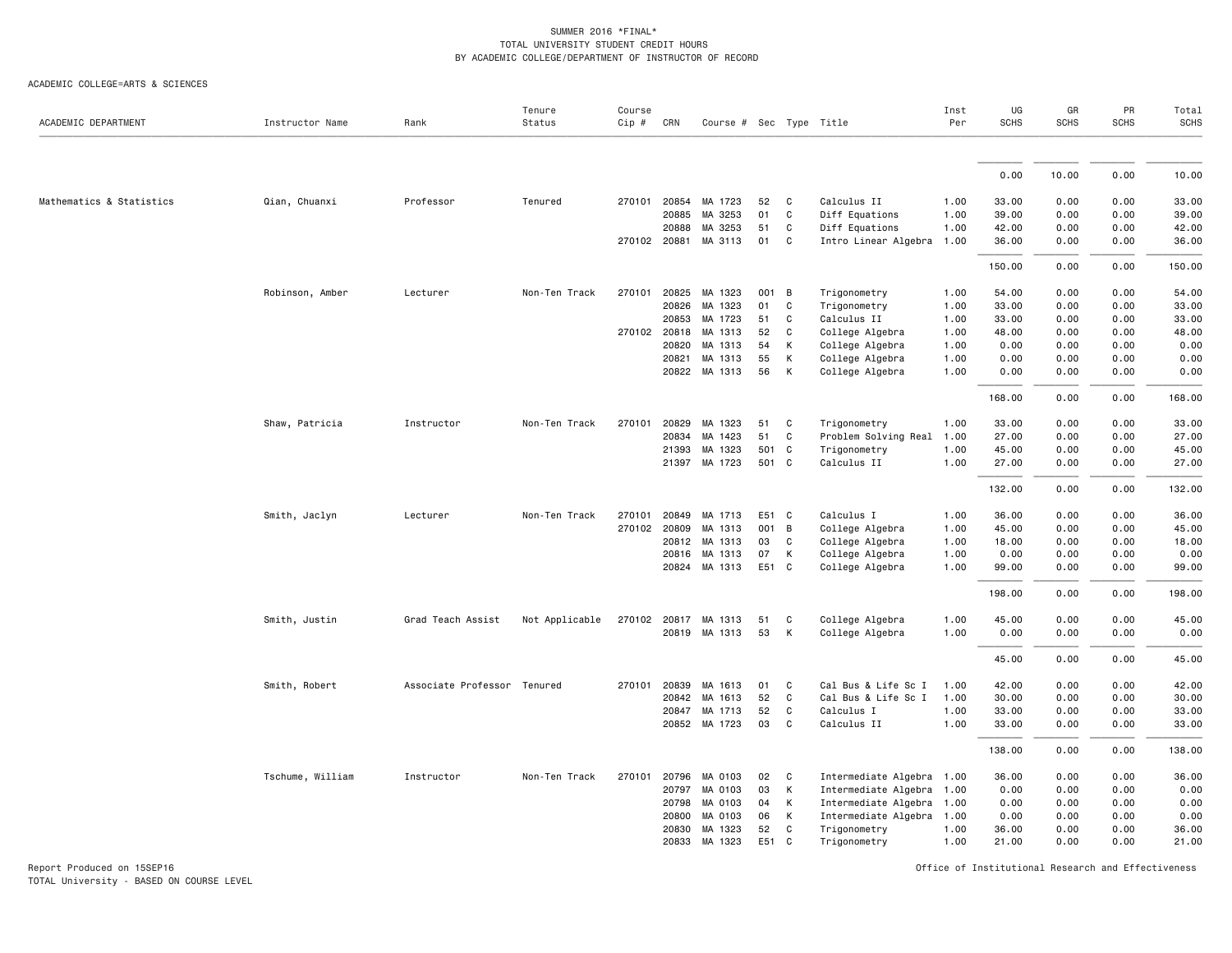ACADEMIC COLLEGE=ARTS & SCIENCES

| ACADEMIC DEPARTMENT      | Instructor Name  | Rank                        | Tenure<br>Status | Course<br>Cip # | CRN   | Course # Sec Type Title |       |              |                           | Inst<br>Per | UG<br><b>SCHS</b> | GR<br><b>SCHS</b> | PR<br><b>SCHS</b> | Total<br><b>SCHS</b> |
|--------------------------|------------------|-----------------------------|------------------|-----------------|-------|-------------------------|-------|--------------|---------------------------|-------------|-------------------|-------------------|-------------------|----------------------|
|                          |                  |                             |                  |                 |       |                         |       |              |                           |             |                   |                   |                   |                      |
|                          |                  |                             |                  |                 |       |                         |       |              |                           |             | 0.00              | 10.00             | 0.00              | 10.00                |
| Mathematics & Statistics | Qian, Chuanxi    | Professor                   | Tenured          | 270101          | 20854 | MA 1723                 | 52    | C            | Calculus II               | 1.00        | 33.00             | 0.00              | 0.00              | 33.00                |
|                          |                  |                             |                  |                 | 20885 | MA 3253                 | 01    | C            | Diff Equations            | 1.00        | 39.00             | 0.00              | 0.00              | 39.00                |
|                          |                  |                             |                  |                 | 20888 | MA 3253                 | 51    | C            | Diff Equations            | 1.00        | 42.00             | 0.00              | 0.00              | 42.00                |
|                          |                  |                             |                  | 270102 20881    |       | MA 3113                 | 01    | C            | Intro Linear Algebra      | 1.00        | 36.00             | 0.00              | 0.00              | 36.00                |
|                          |                  |                             |                  |                 |       |                         |       |              |                           |             | 150.00            | 0.00              | 0.00              | 150.00               |
|                          | Robinson, Amber  | Lecturer                    | Non-Ten Track    | 270101          | 20825 | MA 1323                 | 001   | B            | Trigonometry              | 1.00        | 54.00             | 0.00              | 0.00              | 54.00                |
|                          |                  |                             |                  |                 | 20826 | MA 1323                 | 01    | C            | Trigonometry              | 1.00        | 33.00             | 0.00              | 0.00              | 33.00                |
|                          |                  |                             |                  |                 | 20853 | MA 1723                 | 51    | C            | Calculus II               | 1.00        | 33.00             | 0.00              | 0.00              | 33.00                |
|                          |                  |                             |                  | 270102 20818    |       | MA 1313                 | 52    | C            | College Algebra           | 1.00        | 48.00             | 0.00              | 0.00              | 48.00                |
|                          |                  |                             |                  |                 | 20820 | MA 1313                 | 54    | К            | College Algebra           | 1.00        | 0.00              | 0.00              | 0.00              | 0.00                 |
|                          |                  |                             |                  |                 | 20821 | MA 1313                 | 55    | К            | College Algebra           | 1.00        | 0.00              | 0.00              | 0.00              | 0.00                 |
|                          |                  |                             |                  |                 |       | 20822 MA 1313           | 56    | K            | College Algebra           | 1.00        | 0.00              | 0.00              | 0.00              | 0.00                 |
|                          |                  |                             |                  |                 |       |                         |       |              |                           |             | 168.00            | 0.00              | 0.00              | 168.00               |
|                          | Shaw, Patricia   | Instructor                  | Non-Ten Track    | 270101          | 20829 | MA 1323                 | 51    | C            | Trigonometry              | 1.00        | 33.00             | 0.00              | 0.00              | 33.00                |
|                          |                  |                             |                  |                 | 20834 | MA 1423                 | 51    | $\mathsf{C}$ | Problem Solving Real 1.00 |             | 27.00             | 0.00              | 0.00              | 27.00                |
|                          |                  |                             |                  |                 | 21393 | MA 1323                 | 501   | C            | Trigonometry              | 1.00        | 45.00             | 0.00              | 0.00              | 45.00                |
|                          |                  |                             |                  |                 |       | 21397 MA 1723           | 501 C |              | Calculus II               | 1.00        | 27.00             | 0.00              | 0.00              | 27.00                |
|                          |                  |                             |                  |                 |       |                         |       |              |                           |             | 132.00            | 0.00              | 0.00              | 132.00               |
|                          | Smith, Jaclyn    | Lecturer                    | Non-Ten Track    | 270101          | 20849 | MA 1713                 | E51 C |              | Calculus I                | 1.00        | 36.00             | 0.00              | 0.00              | 36.00                |
|                          |                  |                             |                  | 270102          | 20809 | MA 1313                 | 001   | B            | College Algebra           | 1.00        | 45.00             | 0.00              | 0.00              | 45.00                |
|                          |                  |                             |                  |                 |       | 20812 MA 1313           | 03    | C            | College Algebra           | 1.00        | 18.00             | 0.00              | 0.00              | 18.00                |
|                          |                  |                             |                  |                 |       | 20816 MA 1313           | 07    | К            | College Algebra           | 1.00        | 0.00              | 0.00              | 0.00              | 0.00                 |
|                          |                  |                             |                  |                 |       | 20824 MA 1313           | E51 C |              | College Algebra           | 1.00        | 99.00             | 0.00              | 0.00              | 99.00                |
|                          |                  |                             |                  |                 |       |                         |       |              |                           |             | 198.00            | 0.00              | 0.00              | 198.00               |
|                          | Smith, Justin    | Grad Teach Assist           | Not Applicable   | 270102          | 20817 | MA 1313                 | 51    | C            | College Algebra           | 1.00        | 45.00             | 0.00              | 0.00              | 45.00                |
|                          |                  |                             |                  |                 |       | 20819 MA 1313           | 53    | К            | College Algebra           | 1.00        | 0.00              | 0.00              | 0.00              | 0.00                 |
|                          |                  |                             |                  |                 |       |                         |       |              |                           |             |                   |                   |                   |                      |
|                          |                  |                             |                  |                 |       |                         |       |              |                           |             | 45.00             | 0.00              | 0.00              | 45.00                |
|                          | Smith, Robert    | Associate Professor Tenured |                  | 270101          | 20839 | MA 1613                 | 01    | C            | Cal Bus & Life Sc I       | 1.00        | 42.00             | 0.00              | 0.00              | 42.00                |
|                          |                  |                             |                  |                 | 20842 | MA 1613                 | 52    | C            | Cal Bus & Life Sc I       | 1.00        | 30.00             | 0.00              | 0.00              | 30.00                |
|                          |                  |                             |                  |                 | 20847 | MA 1713                 | 52    | C            | Calculus I                | 1.00        | 33.00             | 0.00              | 0.00              | 33.00                |
|                          |                  |                             |                  |                 |       | 20852 MA 1723           | 03    | C            | Calculus II               | 1.00        | 33.00             | 0.00              | 0.00              | 33.00                |
|                          |                  |                             |                  |                 |       |                         |       |              |                           |             | 138.00            | 0.00              | 0.00              | 138.00               |
|                          | Tschume, William | Instructor                  | Non-Ten Track    | 270101          | 20796 | MA 0103                 | 02    | C            | Intermediate Algebra 1.00 |             | 36.00             | 0.00              | 0.00              | 36.00                |
|                          |                  |                             |                  |                 | 20797 | MA 0103                 | 03    | К            | Intermediate Algebra      | 1.00        | 0.00              | 0.00              | 0.00              | 0.00                 |
|                          |                  |                             |                  |                 | 20798 | MA 0103                 | 04    | К            | Intermediate Algebra      | 1.00        | 0.00              | 0.00              | 0.00              | 0.00                 |
|                          |                  |                             |                  |                 | 20800 | MA 0103                 | 06    | К            | Intermediate Algebra      | 1.00        | 0.00              | 0.00              | 0.00              | 0.00                 |
|                          |                  |                             |                  |                 | 20830 | MA 1323                 | 52    | C            | Trigonometry              | 1.00        | 36.00             | 0.00              | 0.00              | 36.00                |
|                          |                  |                             |                  |                 | 20833 | MA 1323                 | E51   | C            | Trigonometry              | 1.00        | 21.00             | 0.00              | 0.00              | 21.00                |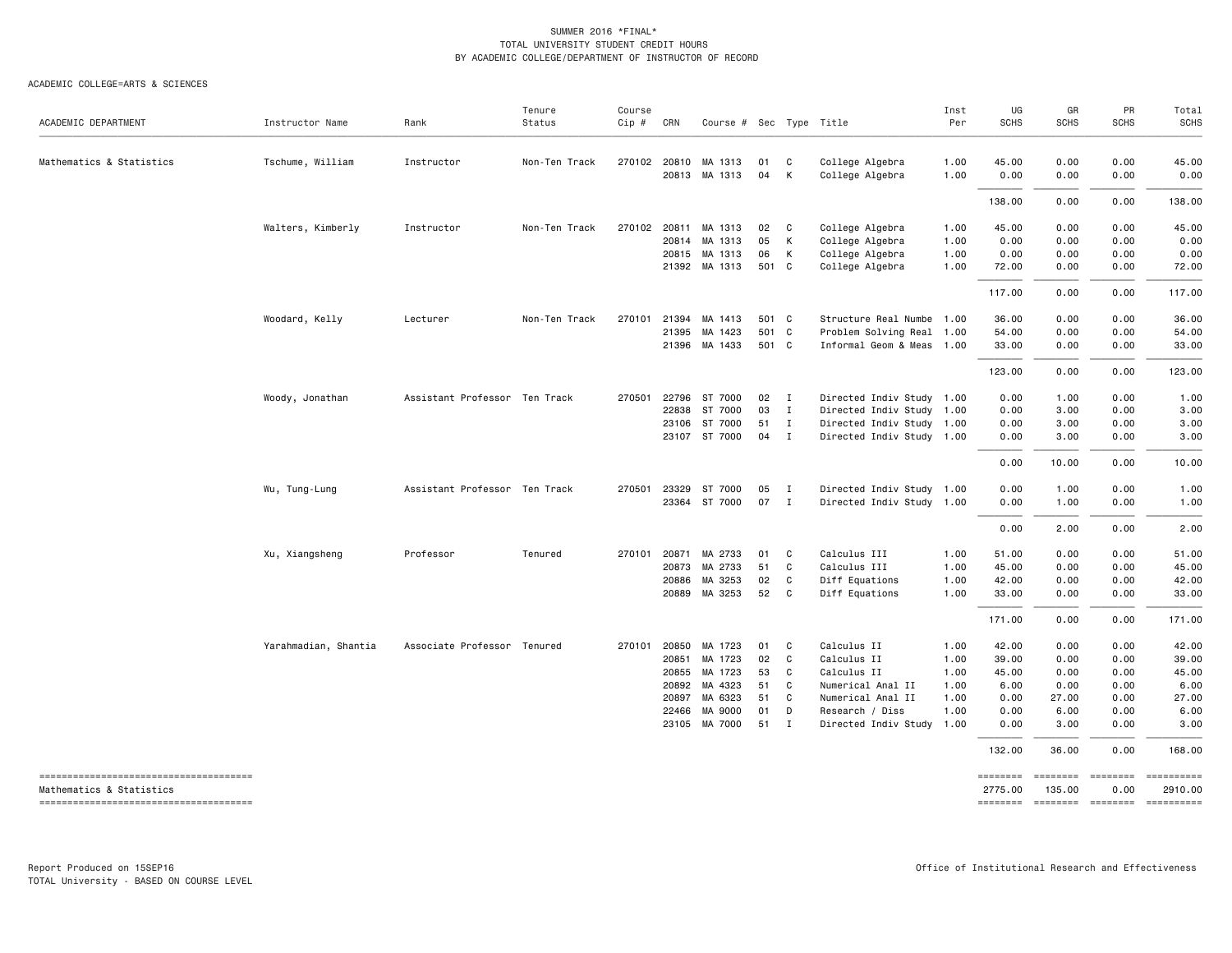| ACADEMIC DEPARTMENT                                                | Instructor Name      | Rank                          | Tenure<br>Status | Course<br>Cip # | CRN   | Course # Sec Type Title |       |                |                           | Inst<br>Per | UG<br><b>SCHS</b> | GR<br>SCHS | PR<br><b>SCHS</b> | Total<br><b>SCHS</b> |
|--------------------------------------------------------------------|----------------------|-------------------------------|------------------|-----------------|-------|-------------------------|-------|----------------|---------------------------|-------------|-------------------|------------|-------------------|----------------------|
| Mathematics & Statistics                                           | Tschume, William     | Instructor                    | Non-Ten Track    |                 |       | 270102 20810 MA 1313    | 01    | C              | College Algebra           | 1.00        | 45.00             | 0.00       | 0.00              | 45.00                |
|                                                                    |                      |                               |                  |                 |       | 20813 MA 1313           | 04    | К              | College Algebra           | 1.00        | 0.00              | 0.00       | 0.00              | 0.00                 |
|                                                                    |                      |                               |                  |                 |       |                         |       |                |                           |             | 138.00            | 0.00       | 0.00              | 138.00               |
|                                                                    | Walters, Kimberly    | Instructor                    | Non-Ten Track    | 270102          |       | 20811 MA 1313           | 02    | C              | College Algebra           | 1.00        | 45.00             | 0.00       | 0.00              | 45.00                |
|                                                                    |                      |                               |                  |                 |       | 20814 MA 1313           | 05    | K              | College Algebra           | 1.00        | 0.00              | 0.00       | 0.00              | 0.00                 |
|                                                                    |                      |                               |                  |                 |       | 20815 MA 1313           | 06    | K              | College Algebra           | 1.00        | 0.00              | 0.00       | 0.00              | 0.00                 |
|                                                                    |                      |                               |                  |                 |       | 21392 MA 1313           | 501 C |                | College Algebra           | 1.00        | 72.00             | 0.00       | 0.00              | 72.00                |
|                                                                    |                      |                               |                  |                 |       |                         |       |                |                           |             | 117.00            | 0.00       | 0.00              | 117.00               |
|                                                                    | Woodard, Kelly       | Lecturer                      | Non-Ten Track    | 270101          | 21394 | MA 1413                 | 501 C |                | Structure Real Numbe 1.00 |             | 36.00             | 0.00       | 0.00              | 36.00                |
|                                                                    |                      |                               |                  |                 | 21395 | MA 1423                 | 501 C |                | Problem Solving Real 1.00 |             | 54.00             | 0.00       | 0.00              | 54.00                |
|                                                                    |                      |                               |                  |                 |       | 21396 MA 1433           | 501 C |                | Informal Geom & Meas 1.00 |             | 33.00             | 0.00       | 0.00              | 33.00                |
|                                                                    |                      |                               |                  |                 |       |                         |       |                |                           |             | 123.00            | 0.00       | 0.00              | 123.00               |
|                                                                    | Woody, Jonathan      | Assistant Professor Ten Track |                  | 270501          |       | 22796 ST 7000           | 02    | $\blacksquare$ | Directed Indiv Study 1.00 |             | 0.00              | 1.00       | 0.00              | 1.00                 |
|                                                                    |                      |                               |                  |                 | 22838 | ST 7000                 | 03    | $\mathbf{I}$   | Directed Indiv Study 1.00 |             | 0.00              | 3.00       | 0.00              | 3.00                 |
|                                                                    |                      |                               |                  |                 | 23106 | ST 7000                 | 51    | $\mathbf{I}$   | Directed Indiv Study 1.00 |             | 0.00              | 3.00       | 0.00              | 3.00                 |
|                                                                    |                      |                               |                  |                 |       | 23107 ST 7000           | 04    | $\mathbf{I}$   | Directed Indiv Study 1.00 |             | 0.00              | 3.00       | 0.00              | 3.00                 |
|                                                                    |                      |                               |                  |                 |       |                         |       |                |                           |             | 0.00              | 10.00      | 0.00              | 10.00                |
|                                                                    | Wu, Tung-Lung        | Assistant Professor Ten Track |                  | 270501          | 23329 | ST 7000                 | 05    | $\mathbf{I}$   | Directed Indiv Study 1.00 |             | 0.00              | 1.00       | 0.00              | 1.00                 |
|                                                                    |                      |                               |                  |                 |       | 23364 ST 7000           | 07    | $\mathbf{I}$   | Directed Indiv Study 1.00 |             | 0.00              | 1.00       | 0.00              | 1.00                 |
|                                                                    |                      |                               |                  |                 |       |                         |       |                |                           |             | 0.00              | 2.00       | 0.00              | 2.00                 |
|                                                                    | Xu, Xiangsheng       | Professor                     | Tenured          | 270101 20871    |       | MA 2733                 | 01    | C              | Calculus III              | 1.00        | 51.00             | 0.00       | 0.00              | 51.00                |
|                                                                    |                      |                               |                  |                 | 20873 | MA 2733                 | 51    | C              | Calculus III              | 1.00        | 45.00             | 0.00       | 0.00              | 45.00                |
|                                                                    |                      |                               |                  |                 | 20886 | MA 3253                 | 02    | C              | Diff Equations            | 1.00        | 42.00             | 0.00       | 0.00              | 42.00                |
|                                                                    |                      |                               |                  |                 |       | 20889 MA 3253           | 52    | C              | Diff Equations            | 1.00        | 33.00             | 0.00       | 0.00              | 33.00                |
|                                                                    |                      |                               |                  |                 |       |                         |       |                |                           |             | 171.00            | 0.00       | 0.00              | 171.00               |
|                                                                    | Yarahmadian, Shantia | Associate Professor Tenured   |                  | 270101          | 20850 | MA 1723                 | 01    | C              | Calculus II               | 1.00        | 42.00             | 0.00       | 0.00              | 42.00                |
|                                                                    |                      |                               |                  |                 | 20851 | MA 1723                 | 02    | C              | Calculus II               | 1.00        | 39.00             | 0.00       | 0.00              | 39.00                |
|                                                                    |                      |                               |                  |                 |       | 20855 MA 1723           | 53    | C              | Calculus II               | 1.00        | 45.00             | 0.00       | 0.00              | 45.00                |
|                                                                    |                      |                               |                  |                 | 20892 | MA 4323                 | 51    | C              | Numerical Anal II         | 1.00        | 6.00              | 0.00       | 0.00              | 6.00                 |
|                                                                    |                      |                               |                  |                 | 20897 | MA 6323                 | 51    | C              | Numerical Anal II         | 1.00        | 0.00              | 27.00      | 0.00              | 27.00                |
|                                                                    |                      |                               |                  |                 | 22466 | MA 9000                 | 01    | D              | Research / Diss           | 1.00        | 0.00              | 6.00       | 0.00              | 6.00                 |
|                                                                    |                      |                               |                  |                 |       | 23105 MA 7000           | 51    | $\mathbf{I}$   | Directed Indiv Study 1.00 |             | 0.00              | 3.00       | 0.00              | 3.00                 |
|                                                                    |                      |                               |                  |                 |       |                         |       |                |                           |             | 132.00            | 36.00      | 0.00              | 168.00               |
| --------------------------------------<br>Mathematics & Statistics |                      |                               |                  |                 |       |                         |       |                |                           |             | ========          | ========   | ========          | ==========           |
|                                                                    |                      |                               |                  |                 |       |                         |       |                |                           |             | 2775.00           | 135.00     | 0.00              | 2910.00              |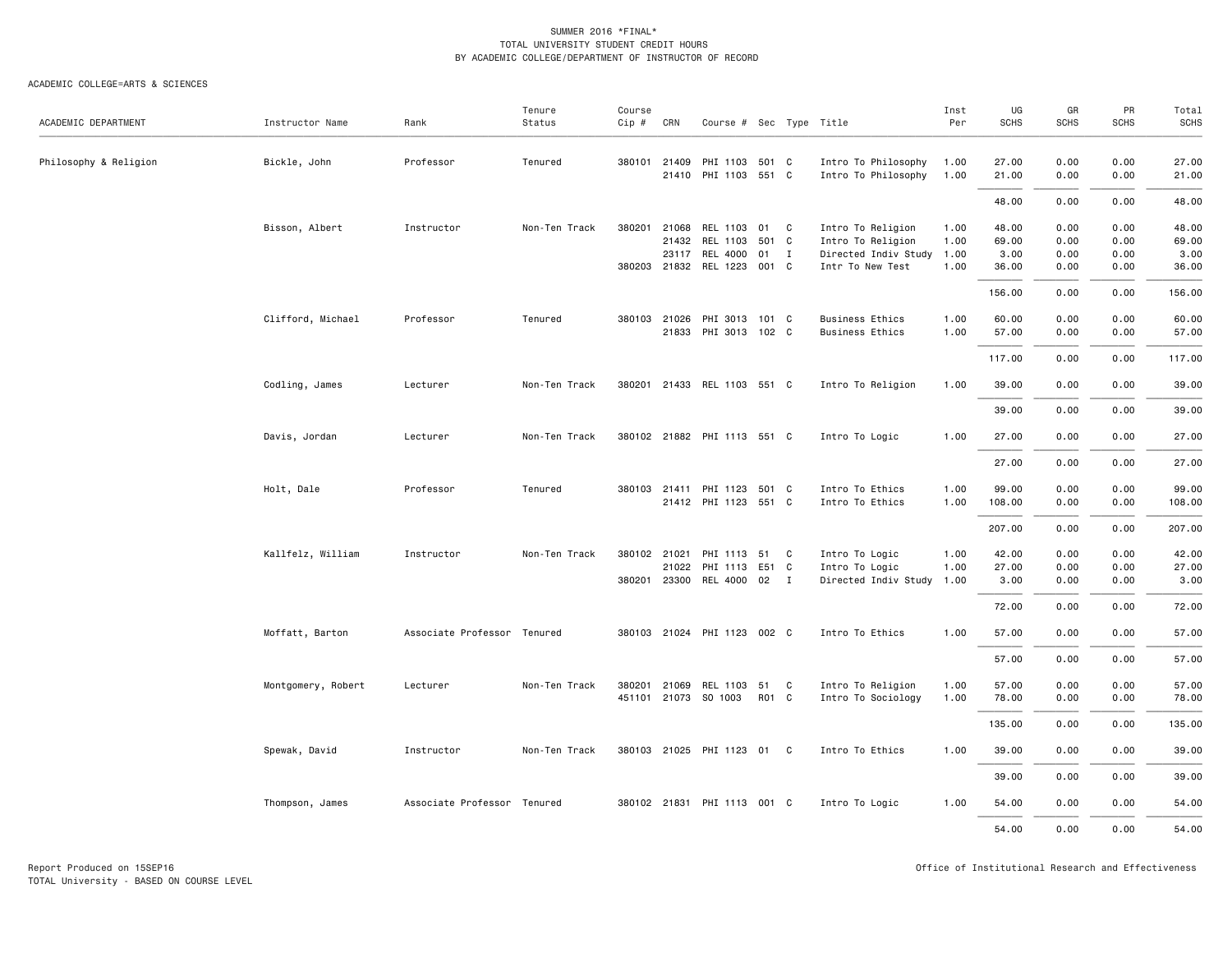|                       |                    |                             | Tenure        | Course |              |                             |       |          |                           | Inst | UG          | GR          | PR          | Total       |
|-----------------------|--------------------|-----------------------------|---------------|--------|--------------|-----------------------------|-------|----------|---------------------------|------|-------------|-------------|-------------|-------------|
| ACADEMIC DEPARTMENT   | Instructor Name    | Rank                        | Status        | Cip #  | CRN          | Course # Sec Type Title     |       |          |                           | Per  | <b>SCHS</b> | <b>SCHS</b> | <b>SCHS</b> | <b>SCHS</b> |
| Philosophy & Religion | Bickle, John       | Professor                   | Tenured       |        | 380101 21409 | PHI 1103                    | 501 C |          | Intro To Philosophy       | 1.00 | 27.00       | 0.00        | 0.00        | 27.00       |
|                       |                    |                             |               |        |              | 21410 PHI 1103              | 551 C |          | Intro To Philosophy       | 1.00 | 21.00       | 0.00        | 0.00        | 21.00       |
|                       |                    |                             |               |        |              |                             |       |          |                           |      | 48.00       | 0.00        | 0.00        | 48.00       |
|                       | Bisson, Albert     | Instructor                  | Non-Ten Track | 380201 | 21068        | REL 1103                    | 01    | C        | Intro To Religion         | 1.00 | 48.00       | 0.00        | 0.00        | 48.00       |
|                       |                    |                             |               |        | 21432        | REL 1103                    | 501 C |          | Intro To Religion         | 1.00 | 69.00       | 0.00        | 0.00        | 69.00       |
|                       |                    |                             |               |        | 23117        | REL 4000                    | 01 I  |          | Directed Indiv Study      | 1.00 | 3.00        | 0.00        | 0.00        | 3.00        |
|                       |                    |                             |               |        |              | 380203 21832 REL 1223       | 001 C |          | Intr To New Test          | 1.00 | 36.00       | 0.00        | 0.00        | 36.00       |
|                       |                    |                             |               |        |              |                             |       |          |                           |      | 156.00      | 0.00        | 0.00        | 156.00      |
|                       | Clifford, Michael  | Professor                   | Tenured       |        | 380103 21026 | PHI 3013                    | 101 C |          | <b>Business Ethics</b>    | 1.00 | 60.00       | 0.00        | 0.00        | 60.00       |
|                       |                    |                             |               |        |              | 21833 PHI 3013 102 C        |       |          | <b>Business Ethics</b>    | 1.00 | 57.00       | 0.00        | 0.00        | 57.00       |
|                       |                    |                             |               |        |              |                             |       |          |                           |      | 117.00      | 0.00        | 0.00        | 117.00      |
|                       | Codling, James     | Lecturer                    | Non-Ten Track |        |              | 380201 21433 REL 1103 551 C |       |          | Intro To Religion         | 1.00 | 39.00       | 0.00        | 0.00        | 39.00       |
|                       |                    |                             |               |        |              |                             |       |          |                           |      | 39.00       | 0.00        | 0.00        | 39.00       |
|                       | Davis, Jordan      | Lecturer                    | Non-Ten Track |        |              | 380102 21882 PHI 1113 551 C |       |          | Intro To Logic            | 1.00 | 27.00       | 0.00        | 0.00        | 27.00       |
|                       |                    |                             |               |        |              |                             |       |          |                           |      | 27.00       | 0.00        | 0.00        | 27.00       |
|                       | Holt, Dale         | Professor                   | Tenured       |        |              | 380103 21411 PHI 1123 501 C |       |          | Intro To Ethics           | 1.00 | 99.00       | 0.00        | 0.00        | 99.00       |
|                       |                    |                             |               |        |              | 21412 PHI 1123              | 551 C |          | Intro To Ethics           | 1.00 | 108.00      | 0.00        | 0.00        | 108.00      |
|                       |                    |                             |               |        |              |                             |       |          |                           |      | 207.00      | 0.00        | 0.00        | 207.00      |
|                       | Kallfelz, William  | Instructor                  | Non-Ten Track |        | 380102 21021 | PHI 1113                    | 51    | C        | Intro To Logic            | 1.00 | 42.00       | 0.00        | 0.00        | 42.00       |
|                       |                    |                             |               |        | 21022        | PHI 1113                    | E51 C |          | Intro To Logic            | 1.00 | 27.00       | 0.00        | 0.00        | 27.00       |
|                       |                    |                             |               |        |              | 380201 23300 REL 4000 02 I  |       |          | Directed Indiv Study 1.00 |      | 3.00        | 0.00        | 0.00        | 3.00        |
|                       |                    |                             |               |        |              |                             |       |          |                           |      | 72.00       | 0.00        | 0.00        | 72.00       |
|                       | Moffatt, Barton    | Associate Professor Tenured |               |        |              | 380103 21024 PHI 1123 002 C |       |          | Intro To Ethics           | 1.00 | 57.00       | 0.00        | 0.00        | 57.00       |
|                       |                    |                             |               |        |              |                             |       |          |                           |      | 57.00       | 0.00        | 0.00        | 57.00       |
|                       | Montgomery, Robert | Lecturer                    | Non-Ten Track |        |              | 380201 21069 REL 1103       | 51    | <b>C</b> | Intro To Religion         | 1.00 | 57.00       | 0.00        | 0.00        | 57.00       |
|                       |                    |                             |               |        |              | 451101 21073 SO 1003        | R01 C |          | Intro To Sociology        | 1.00 | 78.00       | 0.00        | 0.00        | 78.00       |
|                       |                    |                             |               |        |              |                             |       |          |                           |      | 135.00      | 0.00        | 0.00        | 135.00      |
|                       | Spewak, David      | Instructor                  | Non-Ten Track |        |              | 380103 21025 PHI 1123       | 01    | C        | Intro To Ethics           | 1.00 | 39.00       | 0.00        | 0.00        | 39.00       |
|                       |                    |                             |               |        |              |                             |       |          |                           |      | 39.00       | 0.00        | 0.00        | 39.00       |
|                       | Thompson, James    | Associate Professor Tenured |               |        |              | 380102 21831 PHI 1113 001 C |       |          | Intro To Logic            | 1.00 | 54.00       | 0.00        | 0.00        | 54.00       |
|                       |                    |                             |               |        |              |                             |       |          |                           |      | 54.00       | 0.00        | 0.00        | 54.00       |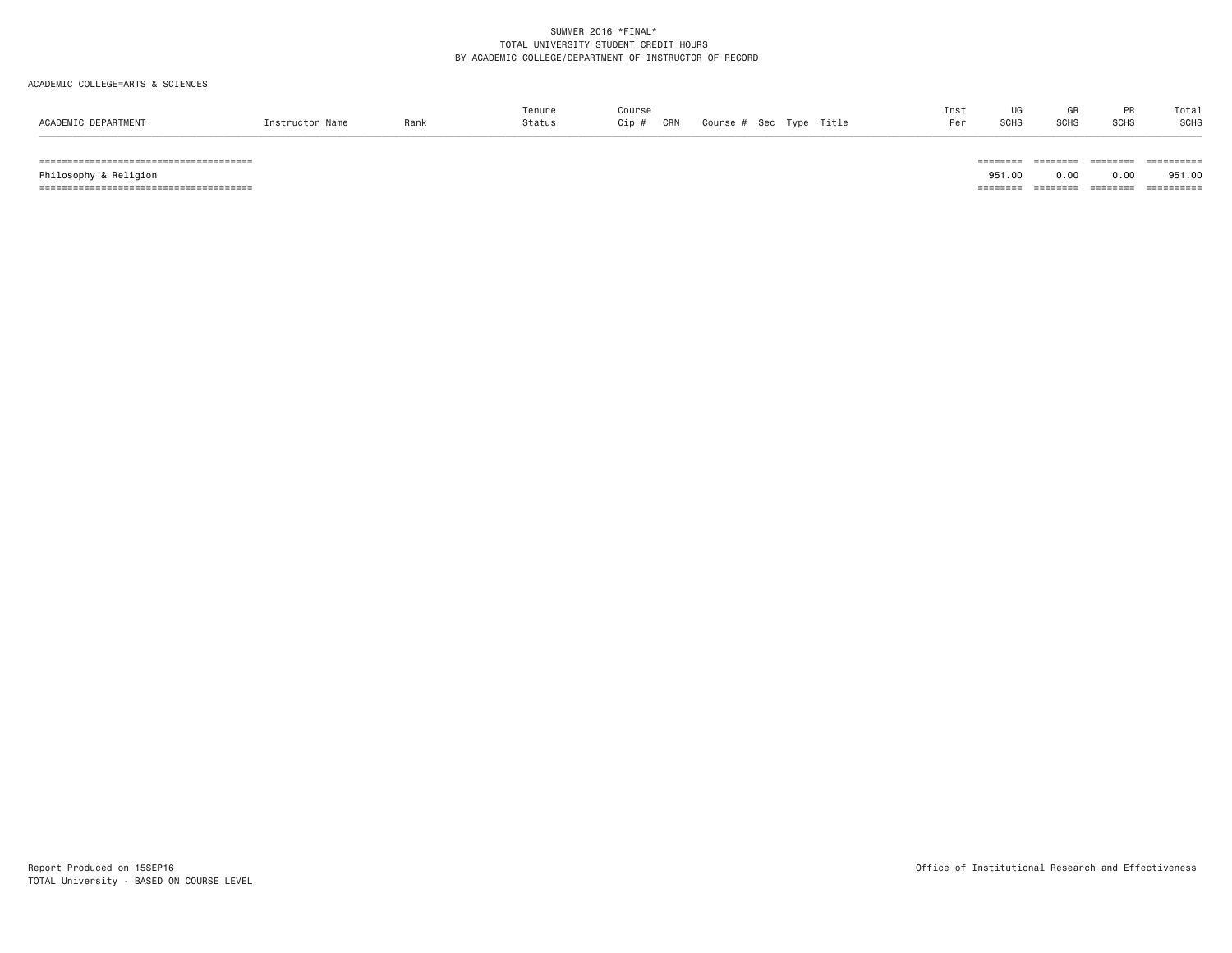#### ACADEMIC COLLEGE=ARTS & SCIENCES

|                                        |      | Tenure | Course |     |                         | Inst |             | GR          | <b>PR</b>   | Total |
|----------------------------------------|------|--------|--------|-----|-------------------------|------|-------------|-------------|-------------|-------|
| ACADEMIC DEPARTMENT<br>Instructor Name | Rank | Status | Cip #  | CRN | Course # Sec Type Title | Dov  | <b>SCHS</b> | <b>SCHS</b> | <b>SCHS</b> | SCHS  |

====================================== ======== ======== ======== ==========

====================================== ======== ======== ======== ==========

951.00 Philosophy & Religion 951.00 0.00 0.00 951.00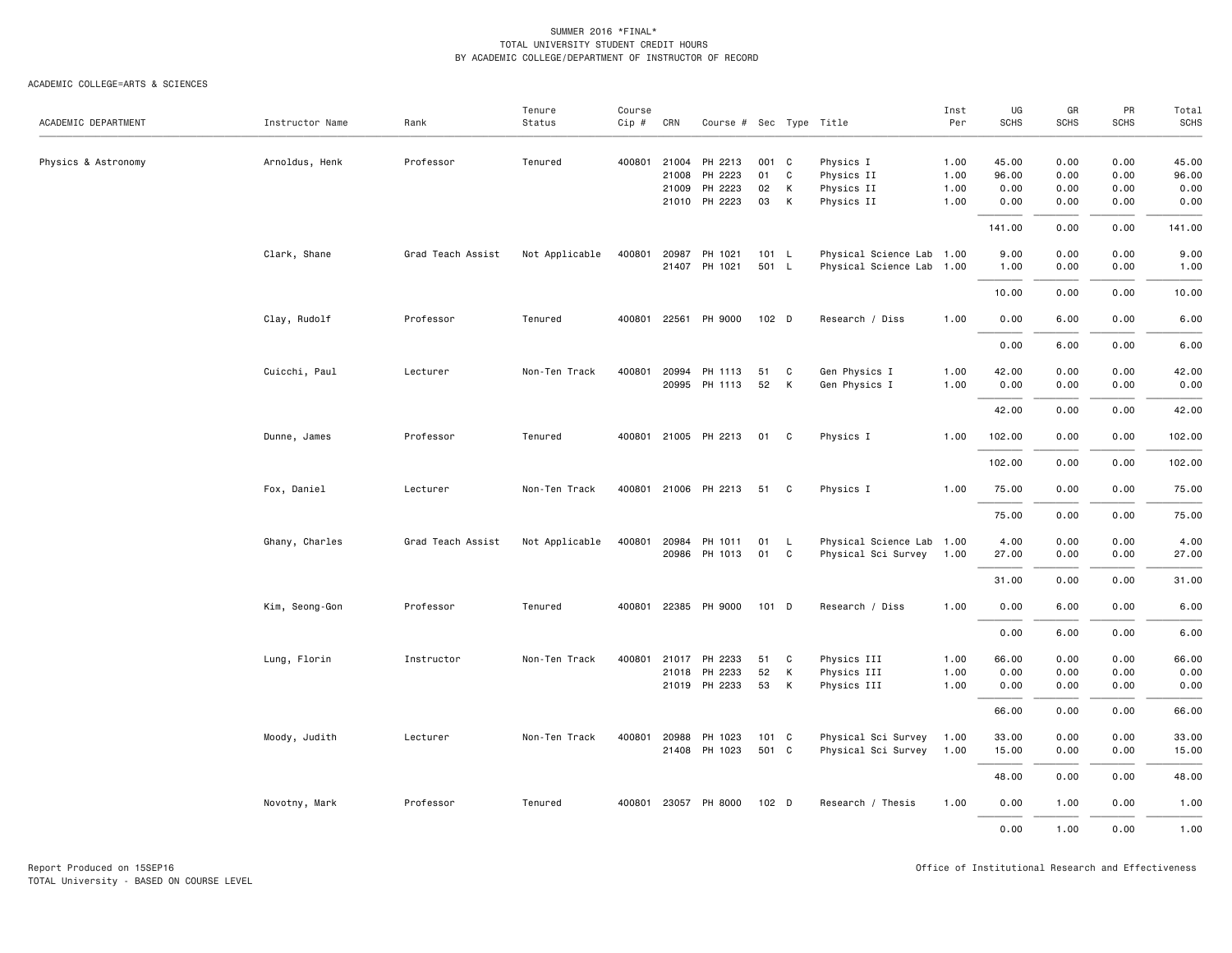| ACADEMIC DEPARTMENT | Instructor Name | Rank              | Tenure<br>Status | Course<br>Cip # | CRN   | Course # Sec Type Title |         |              |                           | Inst<br>Per | UG<br><b>SCHS</b> | GR<br><b>SCHS</b> | PR<br>SCHS | Total<br><b>SCHS</b> |
|---------------------|-----------------|-------------------|------------------|-----------------|-------|-------------------------|---------|--------------|---------------------------|-------------|-------------------|-------------------|------------|----------------------|
|                     |                 |                   |                  |                 |       |                         |         |              |                           |             |                   |                   |            |                      |
| Physics & Astronomy | Arnoldus, Henk  | Professor         | Tenured          | 400801          | 21004 | PH 2213                 | 001 C   |              | Physics I                 | 1.00        | 45.00             | 0.00              | 0.00       | 45.00                |
|                     |                 |                   |                  |                 | 21008 | PH 2223                 | 01      | C            | Physics II                | 1.00        | 96.00             | 0.00              | 0.00       | 96.00                |
|                     |                 |                   |                  |                 | 21009 | PH 2223                 | 02      | К            | Physics II                | 1.00        | 0.00              | 0.00              | 0.00       | 0.00                 |
|                     |                 |                   |                  |                 |       | 21010 PH 2223           | 03      | К            | Physics II                | 1.00        | 0.00              | 0.00              | 0.00       | 0.00                 |
|                     |                 |                   |                  |                 |       |                         |         |              |                           |             | 141.00            | 0.00              | 0.00       | 141.00               |
|                     | Clark, Shane    | Grad Teach Assist | Not Applicable   | 400801          | 20987 | PH 1021                 | 101 L   |              | Physical Science Lab 1.00 |             | 9.00              | 0.00              | 0.00       | 9.00                 |
|                     |                 |                   |                  |                 |       | 21407 PH 1021           | 501 L   |              | Physical Science Lab 1.00 |             | 1.00              | 0.00              | 0.00       | 1.00                 |
|                     |                 |                   |                  |                 |       |                         |         |              |                           |             | 10.00             | 0.00              | 0.00       | 10.00                |
|                     | Clay, Rudolf    | Professor         | Tenured          |                 |       | 400801 22561 PH 9000    | 102 D   |              | Research / Diss           | 1.00        | 0.00              | 6.00              | 0.00       | 6.00                 |
|                     |                 |                   |                  |                 |       |                         |         |              |                           |             | 0.00              | 6.00              | 0.00       | 6.00                 |
|                     | Cuicchi, Paul   | Lecturer          | Non-Ten Track    | 400801          | 20994 | PH 1113                 | 51      | C            | Gen Physics I             | 1.00        | 42.00             | 0.00              | 0.00       | 42.00                |
|                     |                 |                   |                  |                 |       | 20995 PH 1113           | 52      | к            | Gen Physics I             | 1.00        | 0.00              | 0.00              | 0.00       | 0.00                 |
|                     |                 |                   |                  |                 |       |                         |         |              |                           |             | 42.00             | 0.00              | 0.00       | 42.00                |
|                     | Dunne, James    | Professor         | Tenured          |                 |       | 400801 21005 PH 2213    | 01      | $\mathbf{C}$ | Physics I                 | 1.00        | 102.00            | 0.00              | 0.00       | 102.00               |
|                     |                 |                   |                  |                 |       |                         |         |              |                           |             | 102.00            | 0.00              | 0.00       | 102.00               |
|                     | Fox, Daniel     | Lecturer          | Non-Ten Track    |                 |       | 400801 21006 PH 2213    | 51      | C            | Physics I                 | 1.00        | 75.00             | 0.00              | 0.00       | 75.00                |
|                     |                 |                   |                  |                 |       |                         |         |              |                           |             | 75.00             | 0.00              | 0.00       | 75.00                |
|                     | Ghany, Charles  | Grad Teach Assist | Not Applicable   | 400801          | 20984 | PH 1011                 | 01      | $\mathsf{L}$ | Physical Science Lab 1.00 |             | 4.00              | 0.00              | 0.00       | 4.00                 |
|                     |                 |                   |                  |                 |       | 20986 PH 1013           | 01      | C            | Physical Sci Survey       | 1.00        | 27.00             | 0.00              | 0.00       | 27.00                |
|                     |                 |                   |                  |                 |       |                         |         |              |                           |             | 31.00             | 0.00              | 0.00       | 31.00                |
|                     | Kim, Seong-Gon  | Professor         | Tenured          | 400801          |       | 22385 PH 9000           | $101$ D |              | Research / Diss           | 1.00        | 0.00              | 6.00              | 0.00       | 6.00                 |
|                     |                 |                   |                  |                 |       |                         |         |              |                           |             | 0.00              | 6.00              | 0.00       | 6.00                 |
|                     | Lung, Florin    | Instructor        | Non-Ten Track    | 400801          | 21017 | PH 2233                 | 51      | C            | Physics III               | 1.00        | 66.00             | 0.00              | 0.00       | 66.00                |
|                     |                 |                   |                  |                 | 21018 | PH 2233                 | 52      | к            | Physics III               | 1.00        | 0.00              | 0.00              | 0.00       | 0.00                 |
|                     |                 |                   |                  |                 |       | 21019 PH 2233           | 53      | К            | Physics III               | 1.00        | 0.00              | 0.00              | 0.00       | 0.00                 |
|                     |                 |                   |                  |                 |       |                         |         |              |                           |             | 66.00             | 0.00              | 0.00       | 66.00                |
|                     | Moody, Judith   | Lecturer          | Non-Ten Track    | 400801          | 20988 | PH 1023                 | 101 C   |              | Physical Sci Survey       | 1.00        | 33.00             | 0.00              | 0.00       | 33.00                |
|                     |                 |                   |                  |                 |       | 21408 PH 1023           | 501 C   |              | Physical Sci Survey       | 1.00        | 15.00             | 0.00              | 0.00       | 15.00                |
|                     |                 |                   |                  |                 |       |                         |         |              |                           |             | 48.00             | 0.00              | 0.00       | 48.00                |
|                     | Novotny, Mark   | Professor         | Tenured          |                 |       | 400801 23057 PH 8000    | 102 D   |              | Research / Thesis         | 1.00        | 0.00              | 1.00              | 0.00       | 1.00                 |
|                     |                 |                   |                  |                 |       |                         |         |              |                           |             | 0.00              | 1.00              | 0.00       | 1.00                 |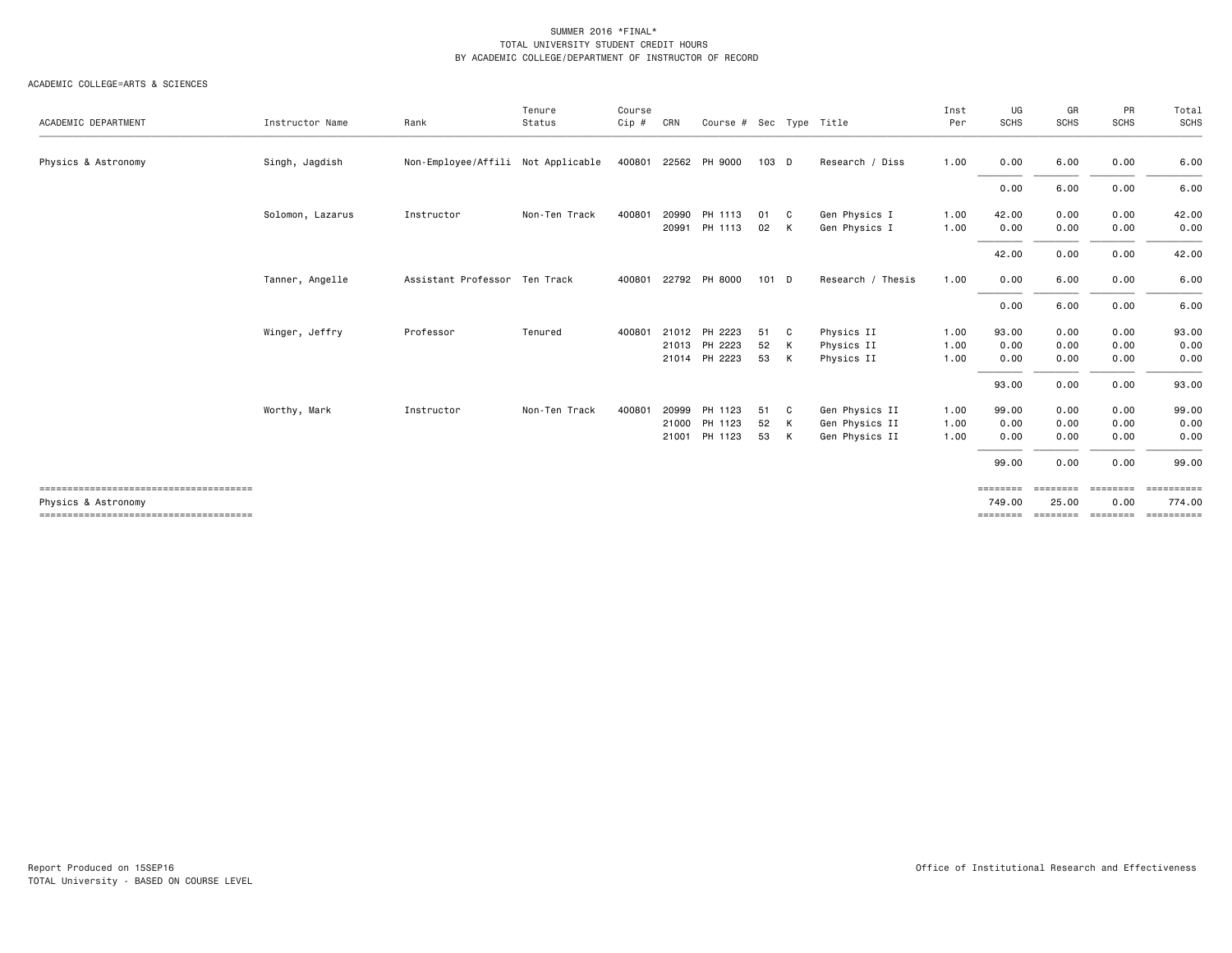| ACADEMIC DEPARTMENT | Instructor Name  | Rank                               | Tenure<br>Status | Course<br>Cip # | CRN            | Course # Sec Type Title                         |                |              |                                                    | Inst<br>Per          | UG<br>SCHS                     | GR<br><b>SCHS</b>             | PR<br><b>SCHS</b>            | Total<br>SCHS                          |
|---------------------|------------------|------------------------------------|------------------|-----------------|----------------|-------------------------------------------------|----------------|--------------|----------------------------------------------------|----------------------|--------------------------------|-------------------------------|------------------------------|----------------------------------------|
| Physics & Astronomy | Singh, Jagdish   | Non-Employee/Affili Not Applicable |                  | 400801          | 22562          | PH 9000                                         | 103 D          |              | Research / Diss                                    | 1.00                 | 0.00                           | 6.00                          | 0.00                         | 6.00                                   |
|                     |                  |                                    |                  |                 |                |                                                 |                |              |                                                    |                      | 0.00                           | 6.00                          | 0.00                         | 6.00                                   |
|                     | Solomon, Lazarus | Instructor                         | Non-Ten Track    | 400801          | 20990<br>20991 | PH 1113<br>PH 1113                              | 01<br>02       | C.<br>K      | Gen Physics I<br>Gen Physics I                     | 1.00<br>1.00         | 42.00<br>0.00                  | 0.00<br>0.00                  | 0.00<br>0.00                 | 42.00<br>0.00                          |
|                     |                  |                                    |                  |                 |                |                                                 |                |              |                                                    |                      | 42.00                          | 0.00                          | 0.00                         | 42.00                                  |
|                     | Tanner, Angelle  | Assistant Professor Ten Track      |                  | 400801          |                | 22792 PH 8000                                   | 101 D          |              | Research / Thesis                                  | 1.00                 | 0.00                           | 6.00                          | 0.00                         | 6.00                                   |
|                     |                  |                                    |                  |                 |                |                                                 |                |              |                                                    |                      | 0.00                           | 6.00                          | 0.00                         | 6.00                                   |
|                     | Winger, Jeffry   | Professor                          | Tenured          | 400801          |                | 21012 PH 2223<br>21013 PH 2223<br>21014 PH 2223 | 51<br>52<br>53 | C<br>K<br>K  | Physics II<br>Physics II<br>Physics II             | 1.00<br>1.00<br>1.00 | 93.00<br>0.00<br>0.00          | 0.00<br>0.00<br>0.00          | 0.00<br>0.00<br>0.00         | 93.00<br>0.00<br>0.00                  |
|                     |                  |                                    |                  |                 |                |                                                 |                |              |                                                    |                      | 93.00                          | 0.00                          | 0.00                         | 93.00                                  |
|                     | Worthy, Mark     | Instructor                         | Non-Ten Track    | 400801          | 20999<br>21000 | PH 1123<br>PH 1123<br>21001 PH 1123             | 51<br>52<br>53 | C.<br>K<br>K | Gen Physics II<br>Gen Physics II<br>Gen Physics II | 1.00<br>1.00<br>1.00 | 99.00<br>0.00<br>0.00          | 0.00<br>0.00<br>0.00          | 0.00<br>0.00<br>0.00         | 99.00<br>0.00<br>0.00                  |
|                     |                  |                                    |                  |                 |                |                                                 |                |              |                                                    |                      | 99.00                          | 0.00                          | 0.00                         | 99.00                                  |
| Physics & Astronomy |                  |                                    |                  |                 |                |                                                 |                |              |                                                    |                      | ========<br>749.00<br>======== | ========<br>25.00<br>======== | ========<br>0.00<br>======== | <b>CONSESSED</b><br>774.00<br>EEEEEEEE |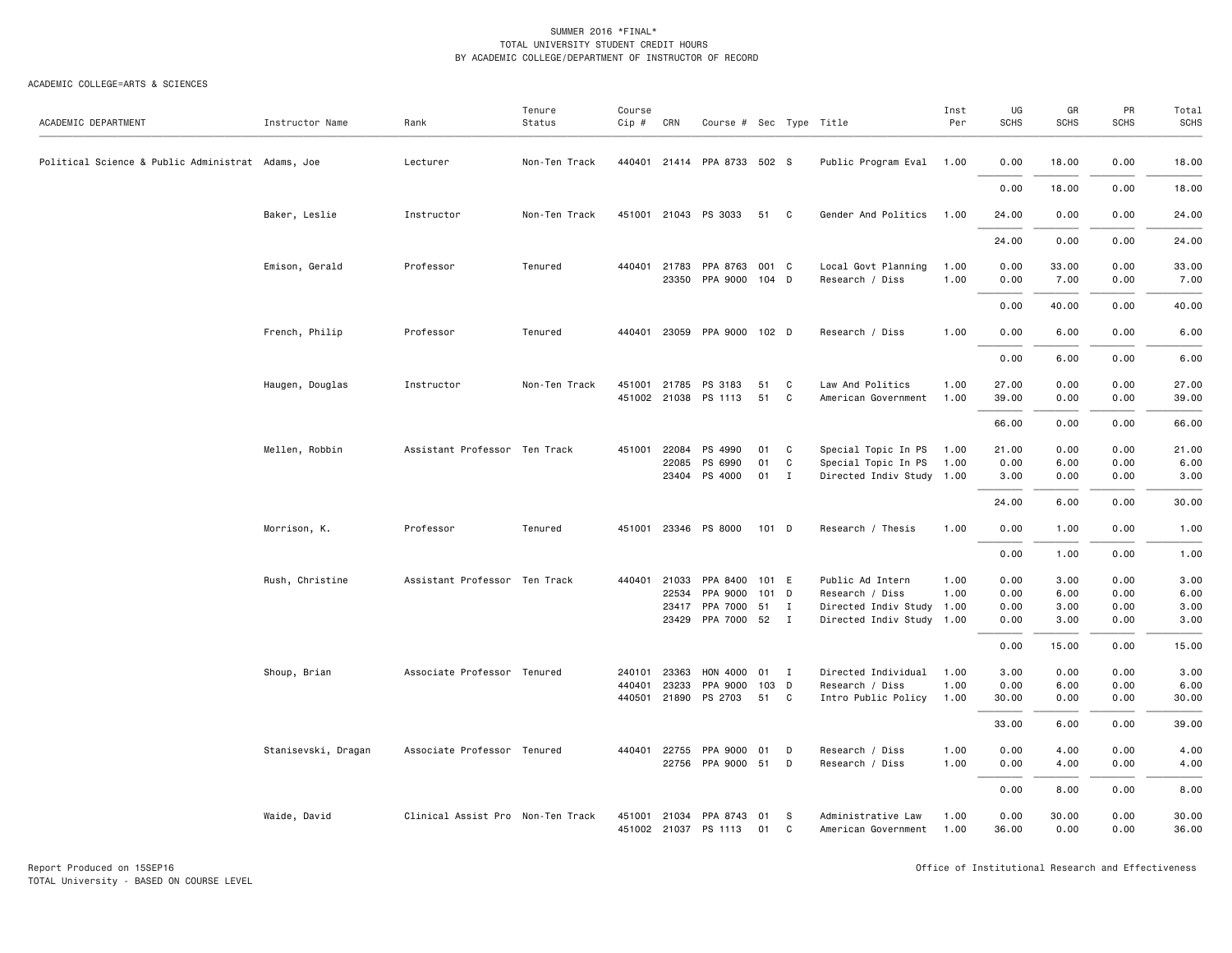| ACADEMIC DEPARTMENT                               | Instructor Name     | Rank                              | Tenure<br>Status | Course<br>$Cip$ # | CRN            | Course # Sec Type Title         |          |              |                                                        | Inst<br>Per  | UG<br><b>SCHS</b> | GR<br><b>SCHS</b> | PR<br><b>SCHS</b> | Total<br><b>SCHS</b> |
|---------------------------------------------------|---------------------|-----------------------------------|------------------|-------------------|----------------|---------------------------------|----------|--------------|--------------------------------------------------------|--------------|-------------------|-------------------|-------------------|----------------------|
| Political Science & Public Administrat Adams, Joe |                     | Lecturer                          | Non-Ten Track    |                   |                | 440401 21414 PPA 8733 502 S     |          |              | Public Program Eval 1.00                               |              | 0.00              | 18.00             | 0.00              | 18.00                |
|                                                   |                     |                                   |                  |                   |                |                                 |          |              |                                                        |              | 0.00              | 18.00             | 0.00              | 18.00                |
|                                                   | Baker, Leslie       | Instructor                        | Non-Ten Track    |                   |                | 451001 21043 PS 3033            | 51 C     |              | Gender And Politics                                    | 1.00         | 24.00             | 0.00              | 0.00              | 24.00                |
|                                                   |                     |                                   |                  |                   |                |                                 |          |              |                                                        |              | 24.00             | 0.00              | 0.00              | 24.00                |
|                                                   | Emison, Gerald      | Professor                         | Tenured          | 440401            | 21783          | PPA 8763                        | 001 C    |              | Local Govt Planning                                    | 1.00         | 0.00              | 33.00             | 0.00              | 33.00                |
|                                                   |                     |                                   |                  |                   | 23350          | PPA 9000 104 D                  |          |              | Research / Diss                                        | 1.00         | 0.00              | 7.00              | 0.00              | 7.00                 |
|                                                   |                     |                                   |                  |                   |                |                                 |          |              |                                                        |              | 0.00              | 40.00             | 0.00              | 40.00                |
|                                                   | French, Philip      | Professor                         | Tenured          |                   |                | 440401 23059 PPA 9000 102 D     |          |              | Research / Diss                                        | 1.00         | 0.00              | 6.00              | 0.00              | 6.00                 |
|                                                   |                     |                                   |                  |                   |                |                                 |          |              |                                                        |              | 0.00              | 6.00              | 0.00              | 6.00                 |
|                                                   | Haugen, Douglas     | Instructor                        | Non-Ten Track    | 451001            | 21785          | PS 3183<br>451002 21038 PS 1113 | 51<br>51 | C<br>C       | Law And Politics<br>American Government                | 1.00<br>1.00 | 27.00<br>39.00    | 0.00<br>0.00      | 0.00<br>0.00      | 27.00<br>39.00       |
|                                                   |                     |                                   |                  |                   |                |                                 |          |              |                                                        |              | 66.00             | 0.00              | 0.00              | 66.00                |
|                                                   | Mellen, Robbin      | Assistant Professor Ten Track     |                  |                   | 451001 22084   | PS 4990                         | 01       | C            | Special Topic In PS                                    | 1.00         | 21.00             | 0.00              | 0.00              | 21.00                |
|                                                   |                     |                                   |                  |                   | 22085          | PS 6990                         | 01       | C            | Special Topic In PS                                    | 1.00         | 0.00              | 6.00              | 0.00              | 6.00                 |
|                                                   |                     |                                   |                  |                   |                | 23404 PS 4000                   | 01 I     |              | Directed Indiv Study 1.00                              |              | 3.00              | 0.00              | 0.00              | 3.00                 |
|                                                   |                     |                                   |                  |                   |                |                                 |          |              |                                                        |              | 24.00             | 6.00              | 0.00              | 30.00                |
|                                                   | Morrison, K.        | Professor                         | Tenured          |                   |                | 451001 23346 PS 8000            | 101 D    |              | Research / Thesis                                      | 1.00         | 0.00              | 1.00              | 0.00              | 1.00                 |
|                                                   |                     |                                   |                  |                   |                |                                 |          |              |                                                        |              | 0.00              | 1.00              | 0.00              | 1.00                 |
|                                                   | Rush, Christine     | Assistant Professor Ten Track     |                  | 440401            | 21033          | PPA 8400                        | 101 E    |              | Public Ad Intern                                       | 1.00         | 0.00              | 3.00              | 0.00              | 3.00                 |
|                                                   |                     |                                   |                  |                   | 22534          | PPA 9000                        | 101 D    |              | Research / Diss                                        | 1.00         | 0.00              | 6.00              | 0.00              | 6.00                 |
|                                                   |                     |                                   |                  |                   | 23417<br>23429 | PPA 7000 51 I<br>PPA 7000 52 I  |          |              | Directed Indiv Study 1.00<br>Directed Indiv Study 1.00 |              | 0.00<br>0.00      | 3.00<br>3.00      | 0.00<br>0.00      | 3.00<br>3.00         |
|                                                   |                     |                                   |                  |                   |                |                                 |          |              |                                                        |              |                   |                   |                   |                      |
|                                                   |                     |                                   |                  |                   |                |                                 |          |              |                                                        |              | 0.00              | 15.00             | 0.00              | 15.00                |
|                                                   | Shoup, Brian        | Associate Professor Tenured       |                  | 240101            | 23363          | HON 4000                        | 01       | $\mathbf{I}$ | Directed Individual                                    | 1.00         | 3.00              | 0.00              | 0.00              | 3.00                 |
|                                                   |                     |                                   |                  | 440401            | 23233          | PPA 9000                        | 103 D    |              | Research / Diss                                        | 1.00         | 0.00              | 6.00              | 0.00              | 6.00                 |
|                                                   |                     |                                   |                  |                   | 440501 21890   | PS 2703                         | 51       | C            | Intro Public Policy                                    | 1.00         | 30.00             | 0.00              | 0.00              | 30.00                |
|                                                   |                     |                                   |                  |                   |                |                                 |          |              |                                                        |              | 33.00             | 6.00              | 0.00              | 39.00                |
|                                                   | Stanisevski, Dragan | Associate Professor Tenured       |                  | 440401            | 22755<br>22756 | PPA 9000<br>PPA 9000 51 D       | 01       | D            | Research / Diss<br>Research / Diss                     | 1.00<br>1.00 | 0.00<br>0.00      | 4.00<br>4.00      | 0.00<br>0.00      | 4.00<br>4.00         |
|                                                   |                     |                                   |                  |                   |                |                                 |          |              |                                                        |              | 0.00              | 8.00              | 0.00              | 8.00                 |
|                                                   | Waide, David        | Clinical Assist Pro Non-Ten Track |                  | 451001            |                | 21034 PPA 8743                  | 01       | - S          | Administrative Law                                     | 1.00         | 0.00              | 30.00             | 0.00              | 30.00                |
|                                                   |                     |                                   |                  |                   |                | 451002 21037 PS 1113            | 01       | C            | American Government                                    | 1.00         | 36.00             | 0.00              | 0.00              | 36.00                |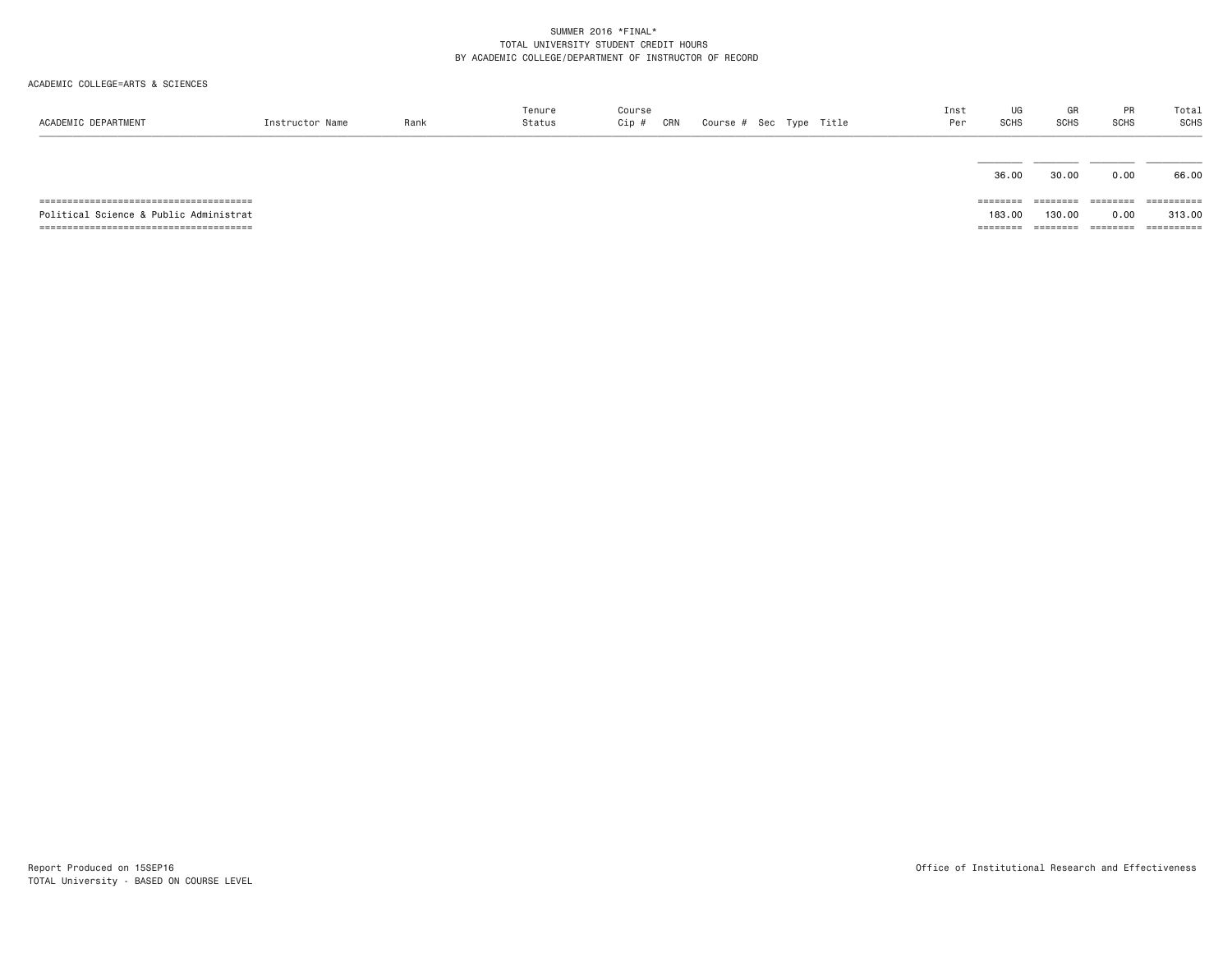| ACADEMIC DEPARTMENT                    | Instructor Name | Rank | Tenure<br>Status | Course<br>CRN<br>Cip # |  | Course # Sec Type Title | Inst<br>Per | UG<br>SCHS        | GR<br><b>SCHS</b> | PR<br><b>SCHS</b> | Total<br>SCHS |
|----------------------------------------|-----------------|------|------------------|------------------------|--|-------------------------|-------------|-------------------|-------------------|-------------------|---------------|
|                                        |                 |      |                  |                        |  |                         |             | 36.00             | 30.00             | 0.00              | 66.00         |
|                                        |                 |      |                  |                        |  |                         |             | ========          | ========          | $=$ =======       | ==========    |
| Political Science & Public Administrat |                 |      |                  |                        |  |                         |             | 183,00            | 130.00            | 0.00              | 313,00        |
|                                        |                 |      |                  |                        |  |                         |             | $=$ = = = = = = = | ========          | ========          | ==========    |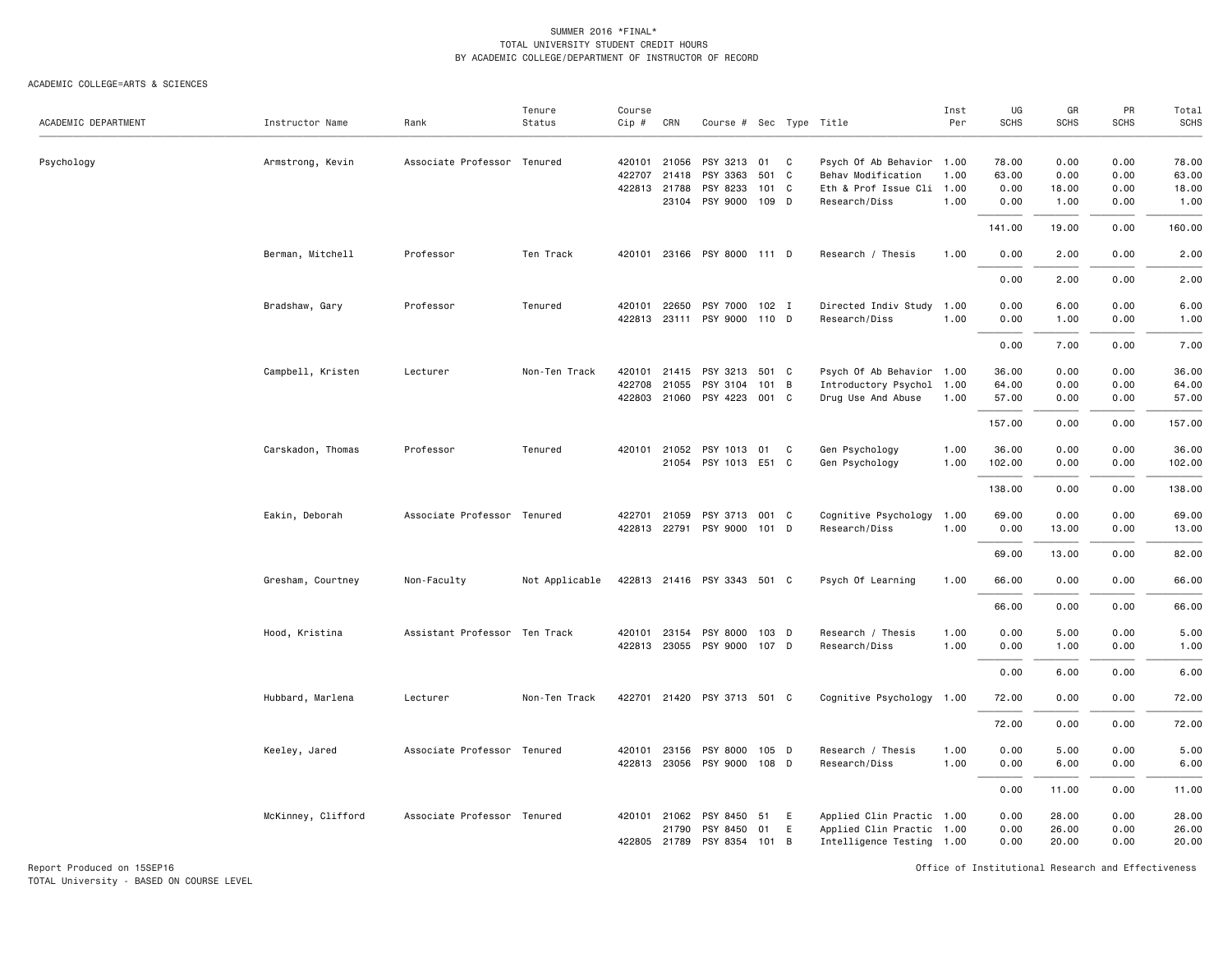ACADEMIC COLLEGE=ARTS & SCIENCES

| ACADEMIC DEPARTMENT | Instructor Name    | Rank                          | Tenure<br>Status | Course<br>$Cip$ # | CRN                   | Course # Sec Type Title     |       |   |                                                 | Inst<br>Per  | UG<br><b>SCHS</b> | GR<br><b>SCHS</b> | PR<br><b>SCHS</b> | Total<br>SCHS  |
|---------------------|--------------------|-------------------------------|------------------|-------------------|-----------------------|-----------------------------|-------|---|-------------------------------------------------|--------------|-------------------|-------------------|-------------------|----------------|
|                     |                    |                               |                  |                   |                       |                             |       |   |                                                 |              |                   |                   |                   |                |
| Psychology          | Armstrong, Kevin   | Associate Professor Tenured   |                  | 422707            | 420101 21056<br>21418 | PSY 3213 01<br>PSY 3363     | 501 C | C | Psych Of Ab Behavior 1.00<br>Behav Modification | 1.00         | 78.00<br>63.00    | 0.00<br>0.00      | 0.00<br>0.00      | 78.00<br>63.00 |
|                     |                    |                               |                  |                   |                       | PSY 8233                    |       |   |                                                 |              | 0.00              |                   | 0.00              |                |
|                     |                    |                               |                  |                   | 422813 21788          | 23104 PSY 9000 109 D        | 101 C |   | Eth & Prof Issue Cli<br>Research/Diss           | 1.00<br>1.00 | 0.00              | 18.00<br>1.00     | 0.00              | 18.00<br>1.00  |
|                     |                    |                               |                  |                   |                       |                             |       |   |                                                 |              |                   |                   |                   |                |
|                     |                    |                               |                  |                   |                       |                             |       |   |                                                 |              | 141.00            | 19.00             | 0.00              | 160.00         |
|                     | Berman, Mitchell   | Professor                     | Ten Track        |                   |                       | 420101 23166 PSY 8000 111 D |       |   | Research / Thesis                               | 1.00         | 0.00              | 2.00              | 0.00              | 2.00           |
|                     |                    |                               |                  |                   |                       |                             |       |   |                                                 |              | 0.00              | 2.00              | 0.00              | 2.00           |
|                     | Bradshaw, Gary     | Professor                     | Tenured          | 420101            | 22650                 | PSY 7000 102 I              |       |   | Directed Indiv Study 1.00                       |              | 0.00              | 6.00              | 0.00              | 6.00           |
|                     |                    |                               |                  | 422813            |                       | 23111 PSY 9000 110 D        |       |   | Research/Diss                                   | 1.00         | 0.00              | 1.00              | 0.00              | 1.00           |
|                     |                    |                               |                  |                   |                       |                             |       |   |                                                 |              |                   |                   |                   |                |
|                     |                    |                               |                  |                   |                       |                             |       |   |                                                 |              | 0.00              | 7.00              | 0.00              | 7.00           |
|                     | Campbell, Kristen  | Lecturer                      | Non-Ten Track    | 420101            | 21415                 | PSY 3213 501 C              |       |   | Psych Of Ab Behavior 1.00                       |              | 36.00             | 0.00              | 0.00              | 36.00          |
|                     |                    |                               |                  | 422708            | 21055                 | PSY 3104                    | 101 B |   | Introductory Psychol 1.00                       |              | 64.00             | 0.00              | 0.00              | 64.00          |
|                     |                    |                               |                  | 422803            |                       | 21060 PSY 4223 001 C        |       |   | Drug Use And Abuse                              | 1.00         | 57.00             | 0.00              | 0.00              | 57.00          |
|                     |                    |                               |                  |                   |                       |                             |       |   |                                                 |              | 157.00            | 0.00              | 0.00              | 157.00         |
|                     | Carskadon, Thomas  | Professor                     | Tenured          |                   | 420101 21052          | PSY 1013 01 C               |       |   | Gen Psychology                                  | 1.00         | 36.00             | 0.00              | 0.00              | 36.00          |
|                     |                    |                               |                  |                   |                       | 21054 PSY 1013 E51 C        |       |   | Gen Psychology                                  | 1.00         | 102.00            | 0.00              | 0.00              | 102.00         |
|                     |                    |                               |                  |                   |                       |                             |       |   |                                                 |              |                   |                   |                   |                |
|                     |                    |                               |                  |                   |                       |                             |       |   |                                                 |              | 138.00            | 0.00              | 0.00              | 138.00         |
|                     | Eakin, Deborah     | Associate Professor Tenured   |                  |                   | 422701 21059          | PSY 3713 001 C              |       |   | Cognitive Psychology                            | 1.00         | 69.00             | 0.00              | 0.00              | 69.00          |
|                     |                    |                               |                  |                   | 422813 22791          | PSY 9000 101 D              |       |   | Research/Diss                                   | 1.00         | 0.00              | 13.00             | 0.00              | 13.00          |
|                     |                    |                               |                  |                   |                       |                             |       |   |                                                 |              | 69.00             | 13.00             | 0.00              | 82.00          |
|                     | Gresham, Courtney  | Non-Faculty                   | Not Applicable   |                   |                       | 422813 21416 PSY 3343 501 C |       |   | Psych Of Learning                               | 1.00         | 66.00             | 0.00              | 0.00              | 66.00          |
|                     |                    |                               |                  |                   |                       |                             |       |   |                                                 |              | 66.00             | 0.00              | 0.00              | 66.00          |
|                     | Hood, Kristina     | Assistant Professor Ten Track |                  | 420101            | 23154                 | PSY 8000 103 D              |       |   | Research / Thesis                               | 1.00         | 0.00              | 5.00              | 0.00              | 5.00           |
|                     |                    |                               |                  |                   |                       | 422813 23055 PSY 9000 107 D |       |   | Research/Diss                                   | 1.00         | 0.00              | 1.00              | 0.00              | 1.00           |
|                     |                    |                               |                  |                   |                       |                             |       |   |                                                 |              |                   |                   |                   |                |
|                     |                    |                               |                  |                   |                       |                             |       |   |                                                 |              | 0.00              | 6.00              | 0.00              | 6.00           |
|                     | Hubbard, Marlena   | Lecturer                      | Non-Ten Track    |                   |                       | 422701 21420 PSY 3713 501 C |       |   | Cognitive Psychology 1.00                       |              | 72.00             | 0.00              | 0.00              | 72.00          |
|                     |                    |                               |                  |                   |                       |                             |       |   |                                                 |              | 72.00             | 0.00              | 0.00              | 72.00          |
|                     | Keeley, Jared      | Associate Professor Tenured   |                  | 420101            |                       | 23156 PSY 8000 105 D        |       |   | Research / Thesis                               | 1.00         | 0.00              | 5.00              | 0.00              | 5.00           |
|                     |                    |                               |                  | 422813            |                       | 23056 PSY 9000              | 108 D |   | Research/Diss                                   | 1.00         | 0.00              | 6.00              | 0.00              | 6.00           |
|                     |                    |                               |                  |                   |                       |                             |       |   |                                                 |              |                   |                   |                   |                |
|                     |                    |                               |                  |                   |                       |                             |       |   |                                                 |              | 0.00              | 11.00             | 0.00              | 11.00          |
|                     | McKinney, Clifford | Associate Professor Tenured   |                  |                   | 420101 21062          | PSY 8450                    | 51    | E | Applied Clin Practic 1.00                       |              | 0.00              | 28.00             | 0.00              | 28.00          |
|                     |                    |                               |                  |                   | 21790                 | PSY 8450                    | 01    | E | Applied Clin Practic 1.00                       |              | 0.00              | 26.00             | 0.00              | 26.00          |
|                     |                    |                               |                  |                   |                       | 422805 21789 PSY 8354 101 B |       |   | Intelligence Testing 1.00                       |              | 0.00              | 20.00             | 0.00              | 20.00          |

Report Produced on 15SEP16 **Of Exercise 2.0 And Accord 2.0 And Accord 2.0** Office of Institutional Research and Effectiveness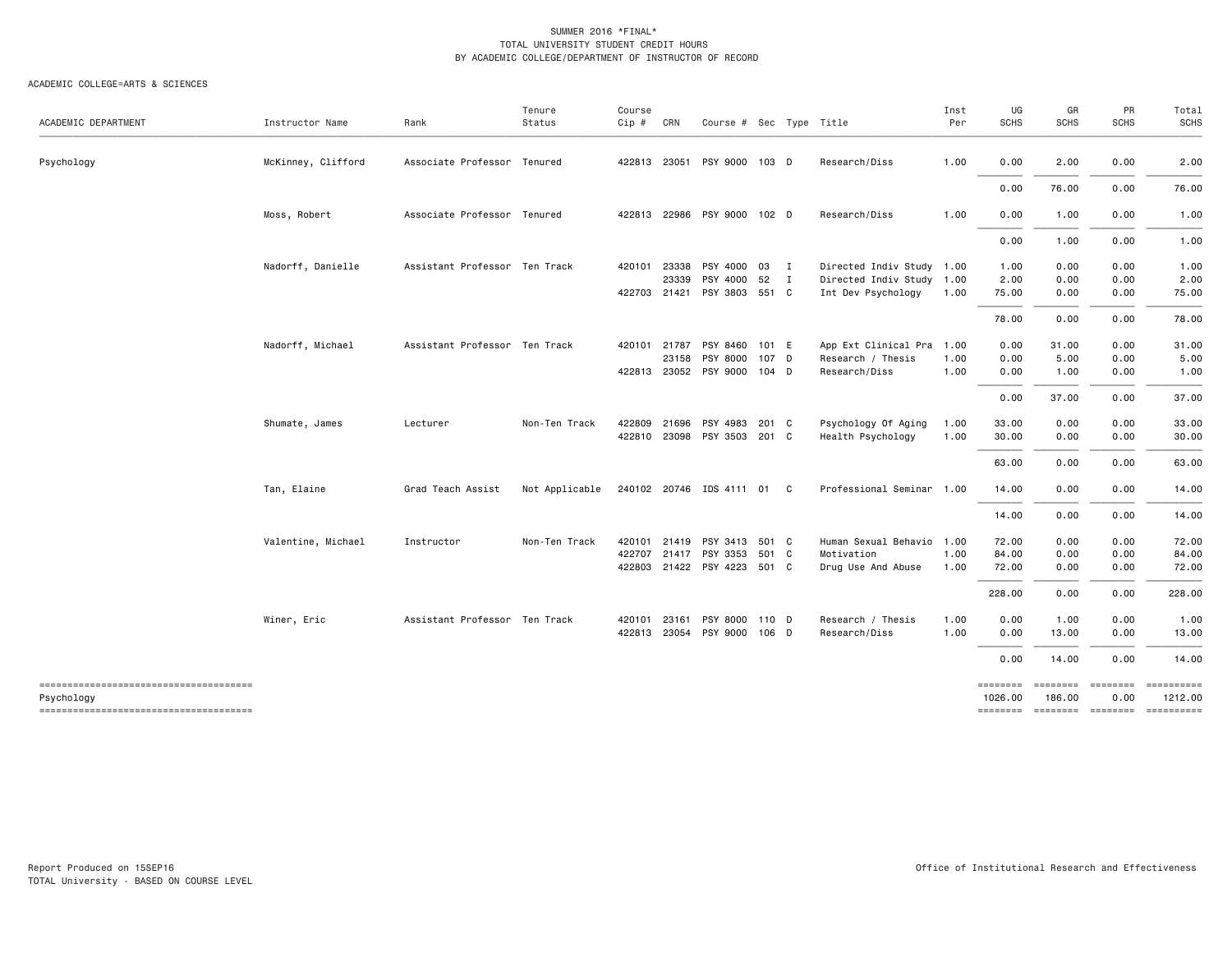| McKinney, Clifford<br>422813 23051 PSY 9000 103 D<br>Research/Diss<br>1.00<br>0.00<br>2.00<br>0.00<br>Psychology<br>Associate Professor Tenured<br>76.00<br>0.00<br>0.00<br>Moss, Robert<br>Associate Professor Tenured<br>422813 22986 PSY 9000 102 D<br>Research/Diss<br>1.00<br>0.00<br>1.00<br>0.00<br>0.00<br>1.00<br>0.00<br>Nadorff, Danielle<br>Assistant Professor Ten Track<br>PSY 4000 03 I<br>Directed Indiv Study 1.00<br>420101<br>23338<br>1.00<br>0.00<br>0.00<br>PSY 4000 52 I<br>0.00<br>23339<br>Directed Indiv Study 1.00<br>2.00<br>0.00<br>2.00<br>422703 21421 PSY 3803 551 C<br>Int Dev Psychology<br>75.00<br>75.00<br>0.00<br>0.00<br>1.00<br>78.00<br>0.00<br>0.00<br>Nadorff, Michael<br>Assistant Professor Ten Track<br>420101 21787<br>PSY 8460 101 E<br>App Ext Clinical Pra 1.00<br>0.00<br>31.00<br>0.00<br>PSY 8000<br>Research / Thesis<br>1.00<br>0.00<br>5.00<br>0.00<br>23158<br>107 D<br>422813 23052 PSY 9000 104 D<br>Research/Diss<br>1.00<br>0.00<br>1.00<br>0.00<br>0.00<br>37.00<br>0.00<br>PSY 4983<br>Psychology Of Aging<br>33.00<br>0.00<br>0.00<br>Non-Ten Track<br>422809<br>21696<br>201 C<br>1.00<br>Shumate, James<br>Lecturer<br>422810 23098 PSY 3503 201 C<br>Health Psychology<br>1.00<br>30.00<br>0.00<br>0.00<br>0.00<br>0.00<br>63.00<br>240102 20746 IDS 4111 01 C<br>Professional Seminar 1.00<br>14.00<br>0.00<br>Tan, Elaine<br>Grad Teach Assist<br>Not Applicable<br>0.00<br>14.00<br>0.00<br>0.00<br>420101 21419 PSY 3413 501 C<br>Human Sexual Behavio 1.00<br>0.00<br>0.00<br>Valentine, Michael<br>Instructor<br>Non-Ten Track<br>72.00<br>422707<br>21417 PSY 3353 501 C<br>Motivation<br>1.00<br>84.00<br>0.00<br>0.00<br>422803 21422 PSY 4223 501 C<br>1.00<br>72.00<br>0.00<br>0.00<br>Drug Use And Abuse<br>228.00<br>0.00<br>0.00<br>Winer, Eric<br>Assistant Professor Ten Track<br>PSY 8000 110 D<br>Research / Thesis<br>1.00<br>0.00<br>1.00<br>0.00<br>420101<br>23161<br>422813 23054 PSY 9000 106 D<br>Research/Diss<br>1.00<br>0.00<br>13.00<br>0.00<br>0.00<br>14.00<br>0.00<br>--------------------------------------<br>========<br>========<br><b>EBBEBBBB</b><br>Psychology<br>1026.00<br>186.00<br>0.00<br>-------------------------------------<br>-------- -------- ------- | ACADEMIC DEPARTMENT | Instructor Name | Rank | Tenure<br>Status | Course<br>$Cip$ # | CRN | Course # Sec Type Title |  | Inst<br>Per | UG<br><b>SCHS</b> | GR<br><b>SCHS</b> | PR<br><b>SCHS</b> | Total<br><b>SCHS</b> |
|-----------------------------------------------------------------------------------------------------------------------------------------------------------------------------------------------------------------------------------------------------------------------------------------------------------------------------------------------------------------------------------------------------------------------------------------------------------------------------------------------------------------------------------------------------------------------------------------------------------------------------------------------------------------------------------------------------------------------------------------------------------------------------------------------------------------------------------------------------------------------------------------------------------------------------------------------------------------------------------------------------------------------------------------------------------------------------------------------------------------------------------------------------------------------------------------------------------------------------------------------------------------------------------------------------------------------------------------------------------------------------------------------------------------------------------------------------------------------------------------------------------------------------------------------------------------------------------------------------------------------------------------------------------------------------------------------------------------------------------------------------------------------------------------------------------------------------------------------------------------------------------------------------------------------------------------------------------------------------------------------------------------------------------------------------------------------------------------------------------------------------------------------------------------------------------------------------------------------------------------------------------------------------|---------------------|-----------------|------|------------------|-------------------|-----|-------------------------|--|-------------|-------------------|-------------------|-------------------|----------------------|
|                                                                                                                                                                                                                                                                                                                                                                                                                                                                                                                                                                                                                                                                                                                                                                                                                                                                                                                                                                                                                                                                                                                                                                                                                                                                                                                                                                                                                                                                                                                                                                                                                                                                                                                                                                                                                                                                                                                                                                                                                                                                                                                                                                                                                                                                             |                     |                 |      |                  |                   |     |                         |  |             |                   |                   |                   | 2.00                 |
|                                                                                                                                                                                                                                                                                                                                                                                                                                                                                                                                                                                                                                                                                                                                                                                                                                                                                                                                                                                                                                                                                                                                                                                                                                                                                                                                                                                                                                                                                                                                                                                                                                                                                                                                                                                                                                                                                                                                                                                                                                                                                                                                                                                                                                                                             |                     |                 |      |                  |                   |     |                         |  |             |                   |                   |                   | 76.00                |
|                                                                                                                                                                                                                                                                                                                                                                                                                                                                                                                                                                                                                                                                                                                                                                                                                                                                                                                                                                                                                                                                                                                                                                                                                                                                                                                                                                                                                                                                                                                                                                                                                                                                                                                                                                                                                                                                                                                                                                                                                                                                                                                                                                                                                                                                             |                     |                 |      |                  |                   |     |                         |  |             |                   |                   |                   | 1.00                 |
|                                                                                                                                                                                                                                                                                                                                                                                                                                                                                                                                                                                                                                                                                                                                                                                                                                                                                                                                                                                                                                                                                                                                                                                                                                                                                                                                                                                                                                                                                                                                                                                                                                                                                                                                                                                                                                                                                                                                                                                                                                                                                                                                                                                                                                                                             |                     |                 |      |                  |                   |     |                         |  |             |                   |                   |                   | 1.00                 |
|                                                                                                                                                                                                                                                                                                                                                                                                                                                                                                                                                                                                                                                                                                                                                                                                                                                                                                                                                                                                                                                                                                                                                                                                                                                                                                                                                                                                                                                                                                                                                                                                                                                                                                                                                                                                                                                                                                                                                                                                                                                                                                                                                                                                                                                                             |                     |                 |      |                  |                   |     |                         |  |             |                   |                   |                   | 1.00                 |
|                                                                                                                                                                                                                                                                                                                                                                                                                                                                                                                                                                                                                                                                                                                                                                                                                                                                                                                                                                                                                                                                                                                                                                                                                                                                                                                                                                                                                                                                                                                                                                                                                                                                                                                                                                                                                                                                                                                                                                                                                                                                                                                                                                                                                                                                             |                     |                 |      |                  |                   |     |                         |  |             |                   |                   |                   |                      |
|                                                                                                                                                                                                                                                                                                                                                                                                                                                                                                                                                                                                                                                                                                                                                                                                                                                                                                                                                                                                                                                                                                                                                                                                                                                                                                                                                                                                                                                                                                                                                                                                                                                                                                                                                                                                                                                                                                                                                                                                                                                                                                                                                                                                                                                                             |                     |                 |      |                  |                   |     |                         |  |             |                   |                   |                   |                      |
|                                                                                                                                                                                                                                                                                                                                                                                                                                                                                                                                                                                                                                                                                                                                                                                                                                                                                                                                                                                                                                                                                                                                                                                                                                                                                                                                                                                                                                                                                                                                                                                                                                                                                                                                                                                                                                                                                                                                                                                                                                                                                                                                                                                                                                                                             |                     |                 |      |                  |                   |     |                         |  |             |                   |                   |                   | 78.00                |
|                                                                                                                                                                                                                                                                                                                                                                                                                                                                                                                                                                                                                                                                                                                                                                                                                                                                                                                                                                                                                                                                                                                                                                                                                                                                                                                                                                                                                                                                                                                                                                                                                                                                                                                                                                                                                                                                                                                                                                                                                                                                                                                                                                                                                                                                             |                     |                 |      |                  |                   |     |                         |  |             |                   |                   |                   | 31.00                |
|                                                                                                                                                                                                                                                                                                                                                                                                                                                                                                                                                                                                                                                                                                                                                                                                                                                                                                                                                                                                                                                                                                                                                                                                                                                                                                                                                                                                                                                                                                                                                                                                                                                                                                                                                                                                                                                                                                                                                                                                                                                                                                                                                                                                                                                                             |                     |                 |      |                  |                   |     |                         |  |             |                   |                   |                   | 5.00                 |
|                                                                                                                                                                                                                                                                                                                                                                                                                                                                                                                                                                                                                                                                                                                                                                                                                                                                                                                                                                                                                                                                                                                                                                                                                                                                                                                                                                                                                                                                                                                                                                                                                                                                                                                                                                                                                                                                                                                                                                                                                                                                                                                                                                                                                                                                             |                     |                 |      |                  |                   |     |                         |  |             |                   |                   |                   | 1.00                 |
|                                                                                                                                                                                                                                                                                                                                                                                                                                                                                                                                                                                                                                                                                                                                                                                                                                                                                                                                                                                                                                                                                                                                                                                                                                                                                                                                                                                                                                                                                                                                                                                                                                                                                                                                                                                                                                                                                                                                                                                                                                                                                                                                                                                                                                                                             |                     |                 |      |                  |                   |     |                         |  |             |                   |                   |                   | 37.00                |
|                                                                                                                                                                                                                                                                                                                                                                                                                                                                                                                                                                                                                                                                                                                                                                                                                                                                                                                                                                                                                                                                                                                                                                                                                                                                                                                                                                                                                                                                                                                                                                                                                                                                                                                                                                                                                                                                                                                                                                                                                                                                                                                                                                                                                                                                             |                     |                 |      |                  |                   |     |                         |  |             |                   |                   |                   | 33.00                |
|                                                                                                                                                                                                                                                                                                                                                                                                                                                                                                                                                                                                                                                                                                                                                                                                                                                                                                                                                                                                                                                                                                                                                                                                                                                                                                                                                                                                                                                                                                                                                                                                                                                                                                                                                                                                                                                                                                                                                                                                                                                                                                                                                                                                                                                                             |                     |                 |      |                  |                   |     |                         |  |             |                   |                   |                   | 30.00                |
|                                                                                                                                                                                                                                                                                                                                                                                                                                                                                                                                                                                                                                                                                                                                                                                                                                                                                                                                                                                                                                                                                                                                                                                                                                                                                                                                                                                                                                                                                                                                                                                                                                                                                                                                                                                                                                                                                                                                                                                                                                                                                                                                                                                                                                                                             |                     |                 |      |                  |                   |     |                         |  |             |                   |                   |                   | 63.00                |
|                                                                                                                                                                                                                                                                                                                                                                                                                                                                                                                                                                                                                                                                                                                                                                                                                                                                                                                                                                                                                                                                                                                                                                                                                                                                                                                                                                                                                                                                                                                                                                                                                                                                                                                                                                                                                                                                                                                                                                                                                                                                                                                                                                                                                                                                             |                     |                 |      |                  |                   |     |                         |  |             |                   |                   |                   | 14.00                |
|                                                                                                                                                                                                                                                                                                                                                                                                                                                                                                                                                                                                                                                                                                                                                                                                                                                                                                                                                                                                                                                                                                                                                                                                                                                                                                                                                                                                                                                                                                                                                                                                                                                                                                                                                                                                                                                                                                                                                                                                                                                                                                                                                                                                                                                                             |                     |                 |      |                  |                   |     |                         |  |             |                   |                   |                   | 14.00                |
|                                                                                                                                                                                                                                                                                                                                                                                                                                                                                                                                                                                                                                                                                                                                                                                                                                                                                                                                                                                                                                                                                                                                                                                                                                                                                                                                                                                                                                                                                                                                                                                                                                                                                                                                                                                                                                                                                                                                                                                                                                                                                                                                                                                                                                                                             |                     |                 |      |                  |                   |     |                         |  |             |                   |                   |                   | 72.00                |
|                                                                                                                                                                                                                                                                                                                                                                                                                                                                                                                                                                                                                                                                                                                                                                                                                                                                                                                                                                                                                                                                                                                                                                                                                                                                                                                                                                                                                                                                                                                                                                                                                                                                                                                                                                                                                                                                                                                                                                                                                                                                                                                                                                                                                                                                             |                     |                 |      |                  |                   |     |                         |  |             |                   |                   |                   | 84.00                |
|                                                                                                                                                                                                                                                                                                                                                                                                                                                                                                                                                                                                                                                                                                                                                                                                                                                                                                                                                                                                                                                                                                                                                                                                                                                                                                                                                                                                                                                                                                                                                                                                                                                                                                                                                                                                                                                                                                                                                                                                                                                                                                                                                                                                                                                                             |                     |                 |      |                  |                   |     |                         |  |             |                   |                   |                   | 72.00                |
|                                                                                                                                                                                                                                                                                                                                                                                                                                                                                                                                                                                                                                                                                                                                                                                                                                                                                                                                                                                                                                                                                                                                                                                                                                                                                                                                                                                                                                                                                                                                                                                                                                                                                                                                                                                                                                                                                                                                                                                                                                                                                                                                                                                                                                                                             |                     |                 |      |                  |                   |     |                         |  |             |                   |                   |                   | 228.00               |
|                                                                                                                                                                                                                                                                                                                                                                                                                                                                                                                                                                                                                                                                                                                                                                                                                                                                                                                                                                                                                                                                                                                                                                                                                                                                                                                                                                                                                                                                                                                                                                                                                                                                                                                                                                                                                                                                                                                                                                                                                                                                                                                                                                                                                                                                             |                     |                 |      |                  |                   |     |                         |  |             |                   |                   |                   | 1.00                 |
|                                                                                                                                                                                                                                                                                                                                                                                                                                                                                                                                                                                                                                                                                                                                                                                                                                                                                                                                                                                                                                                                                                                                                                                                                                                                                                                                                                                                                                                                                                                                                                                                                                                                                                                                                                                                                                                                                                                                                                                                                                                                                                                                                                                                                                                                             |                     |                 |      |                  |                   |     |                         |  |             |                   |                   |                   | 13.00                |
|                                                                                                                                                                                                                                                                                                                                                                                                                                                                                                                                                                                                                                                                                                                                                                                                                                                                                                                                                                                                                                                                                                                                                                                                                                                                                                                                                                                                                                                                                                                                                                                                                                                                                                                                                                                                                                                                                                                                                                                                                                                                                                                                                                                                                                                                             |                     |                 |      |                  |                   |     |                         |  |             |                   |                   |                   | 14.00                |
|                                                                                                                                                                                                                                                                                                                                                                                                                                                                                                                                                                                                                                                                                                                                                                                                                                                                                                                                                                                                                                                                                                                                                                                                                                                                                                                                                                                                                                                                                                                                                                                                                                                                                                                                                                                                                                                                                                                                                                                                                                                                                                                                                                                                                                                                             |                     |                 |      |                  |                   |     |                         |  |             |                   |                   |                   |                      |
|                                                                                                                                                                                                                                                                                                                                                                                                                                                                                                                                                                                                                                                                                                                                                                                                                                                                                                                                                                                                                                                                                                                                                                                                                                                                                                                                                                                                                                                                                                                                                                                                                                                                                                                                                                                                                                                                                                                                                                                                                                                                                                                                                                                                                                                                             |                     |                 |      |                  |                   |     |                         |  |             |                   |                   |                   | 1212.00              |
|                                                                                                                                                                                                                                                                                                                                                                                                                                                                                                                                                                                                                                                                                                                                                                                                                                                                                                                                                                                                                                                                                                                                                                                                                                                                                                                                                                                                                                                                                                                                                                                                                                                                                                                                                                                                                                                                                                                                                                                                                                                                                                                                                                                                                                                                             |                     |                 |      |                  |                   |     |                         |  |             |                   |                   |                   | ==========           |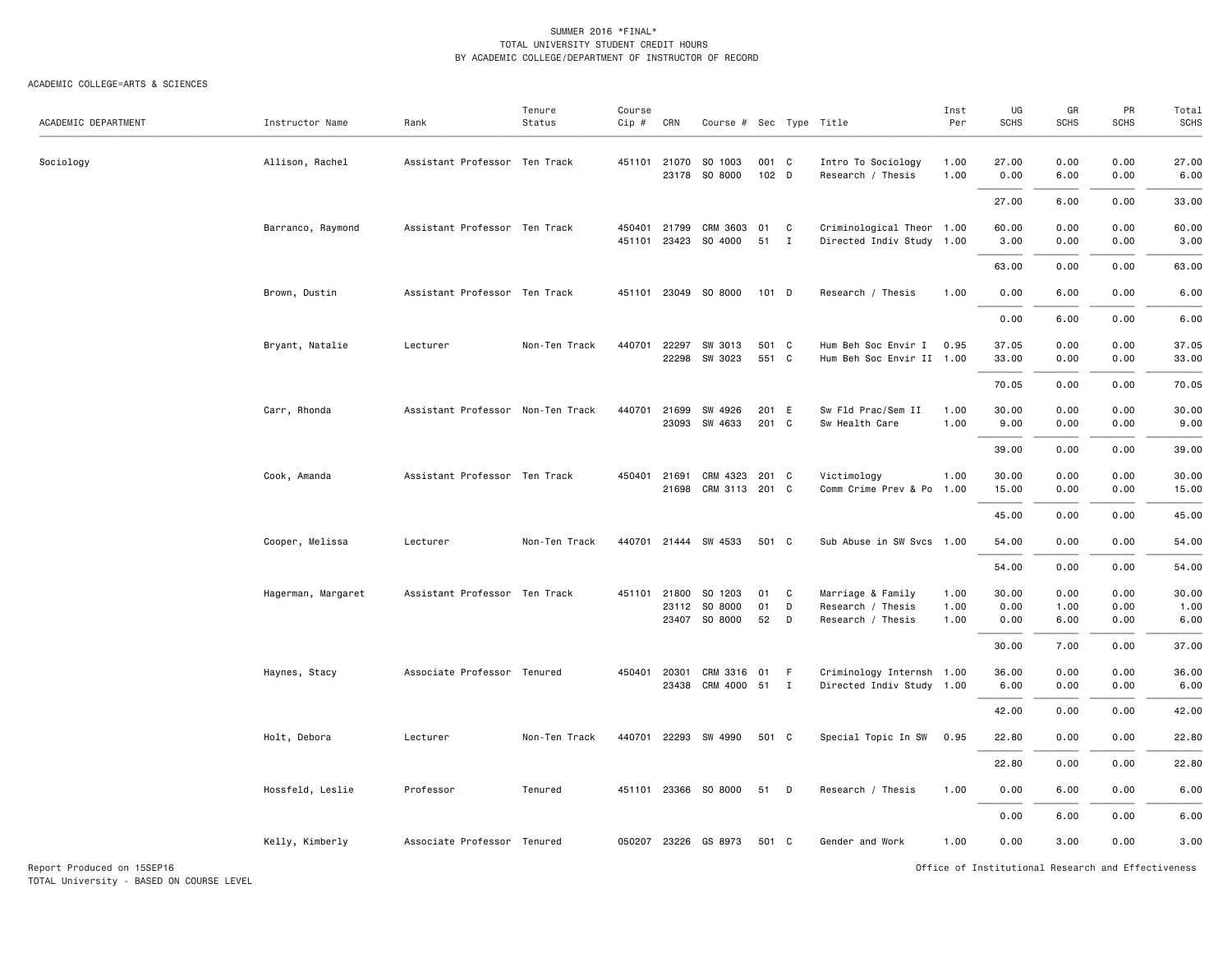#### ACADEMIC COLLEGE=ARTS & SCIENCES

TOTAL University - BASED ON COURSE LEVEL

| ACADEMIC DEPARTMENT        | Instructor Name    | Rank                              | Tenure<br>Status | Course<br>Cip #  | CRN                   | Course # Sec Type Title                   |                |                     |                                                             | Inst<br>Per          | UG<br><b>SCHS</b>     | GR<br><b>SCHS</b>    | PR<br><b>SCHS</b>                                  | Total<br><b>SCHS</b>  |
|----------------------------|--------------------|-----------------------------------|------------------|------------------|-----------------------|-------------------------------------------|----------------|---------------------|-------------------------------------------------------------|----------------------|-----------------------|----------------------|----------------------------------------------------|-----------------------|
| Sociology                  | Allison, Rachel    | Assistant Professor Ten Track     |                  |                  |                       | 451101 21070 SO 1003<br>23178 SO 8000     | 001 C<br>102 D |                     | Intro To Sociology<br>Research / Thesis                     | 1.00<br>1.00         | 27.00<br>0.00         | 0.00<br>6.00         | 0.00<br>0.00                                       | 27.00<br>6.00         |
|                            |                    |                                   |                  |                  |                       |                                           |                |                     |                                                             |                      | 27.00                 | 6.00                 | 0.00                                               | 33.00                 |
|                            | Barranco, Raymond  | Assistant Professor Ten Track     |                  | 450401<br>451101 | 21799                 | CRM 3603<br>23423 SO 4000                 | 01<br>51       | C<br>$\mathbf{I}$   | Criminological Theor 1.00<br>Directed Indiv Study 1.00      |                      | 60.00<br>3.00         | 0.00<br>0.00         | 0.00<br>0.00                                       | 60.00<br>3.00         |
|                            |                    |                                   |                  |                  |                       |                                           |                |                     |                                                             |                      | 63.00                 | 0.00                 | 0.00                                               | 63.00                 |
|                            | Brown, Dustin      | Assistant Professor Ten Track     |                  | 451101           |                       | 23049 SO 8000                             | $101$ D        |                     | Research / Thesis                                           | 1.00                 | 0.00                  | 6.00                 | 0.00                                               | 6.00                  |
|                            |                    |                                   |                  |                  |                       |                                           |                |                     |                                                             |                      | 0.00                  | 6.00                 | 0.00                                               | 6.00                  |
|                            | Bryant, Natalie    | Lecturer                          | Non-Ten Track    | 440701           |                       | 22297 SW 3013<br>22298 SW 3023            | 501 C<br>551 C |                     | Hum Beh Soc Envir I<br>Hum Beh Soc Envir II 1.00            | 0.95                 | 37.05<br>33.00        | 0.00<br>0.00         | 0.00<br>0.00                                       | 37.05<br>33.00        |
|                            |                    |                                   |                  |                  |                       |                                           |                |                     |                                                             |                      | 70.05                 | 0.00                 | 0.00                                               | 70.05                 |
|                            | Carr, Rhonda       | Assistant Professor Non-Ten Track |                  | 440701           |                       | 21699 SW 4926<br>23093 SW 4633            | 201 E<br>201 C |                     | Sw Fld Prac/Sem II<br>Sw Health Care                        | 1.00<br>1.00         | 30.00<br>9.00         | 0.00<br>0.00         | 0.00<br>0.00                                       | 30.00<br>9.00         |
|                            |                    |                                   |                  |                  |                       |                                           |                |                     |                                                             |                      | 39.00                 | 0.00                 | 0.00                                               | 39.00                 |
|                            | Cook, Amanda       | Assistant Professor Ten Track     |                  | 450401           | 21691<br>21698        | CRM 4323 201 C<br>CRM 3113 201 C          |                |                     | Victimology<br>Comm Crime Prev & Po                         | 1.00<br>1.00         | 30.00<br>15.00        | 0.00<br>0.00         | 0.00<br>0.00                                       | 30.00<br>15.00        |
|                            |                    |                                   |                  |                  |                       |                                           |                |                     |                                                             |                      | 45.00                 | 0.00                 | 0.00                                               | 45.00                 |
|                            | Cooper, Melissa    | Lecturer                          | Non-Ten Track    | 440701           |                       | 21444 SW 4533                             | 501 C          |                     | Sub Abuse in SW Svcs 1.00                                   |                      | 54.00                 | 0.00                 | 0.00                                               | 54.00                 |
|                            |                    |                                   |                  |                  |                       |                                           |                |                     |                                                             |                      | 54.00                 | 0.00                 | 0.00                                               | 54.00                 |
|                            | Hagerman, Margaret | Assistant Professor Ten Track     |                  | 451101           | 21800                 | SO 1203<br>23112 SO 8000<br>23407 SO 8000 | 01<br>01<br>52 | C<br>D<br>D         | Marriage & Family<br>Research / Thesis<br>Research / Thesis | 1.00<br>1.00<br>1.00 | 30.00<br>0.00<br>0.00 | 0.00<br>1.00<br>6.00 | 0.00<br>0.00<br>0.00                               | 30.00<br>1.00<br>6.00 |
|                            |                    |                                   |                  |                  |                       |                                           |                |                     |                                                             |                      | 30.00                 | 7.00                 | 0.00                                               | 37.00                 |
|                            | Haynes, Stacy      | Associate Professor Tenured       |                  |                  | 450401 20301<br>23438 | CRM 3316 01<br>CRM 4000                   | 51             | - F<br>$\mathbf{I}$ | Criminology Internsh 1.00<br>Directed Indiv Study 1.00      |                      | 36.00<br>6.00         | 0.00<br>0.00         | 0.00<br>0.00                                       | 36.00<br>6.00         |
|                            |                    |                                   |                  |                  |                       |                                           |                |                     |                                                             |                      | 42.00                 | 0.00                 | 0.00                                               | 42.00                 |
|                            | Holt, Debora       | Lecturer                          | Non-Ten Track    | 440701           |                       | 22293 SW 4990                             | 501 C          |                     | Special Topic In SW                                         | 0.95                 | 22.80                 | 0.00                 | 0.00                                               | 22.80                 |
|                            |                    |                                   |                  |                  |                       |                                           |                |                     |                                                             |                      | 22.80                 | 0.00                 | 0.00                                               | 22.80                 |
|                            | Hossfeld, Leslie   | Professor                         | Tenured          | 451101           |                       | 23366 SO 8000                             | 51             | D                   | Research / Thesis                                           | 1.00                 | 0.00                  | 6.00                 | 0.00                                               | 6.00                  |
|                            |                    |                                   |                  |                  |                       |                                           |                |                     |                                                             |                      | 0.00                  | 6.00                 | 0.00                                               | 6.00                  |
|                            | Kelly, Kimberly    | Associate Professor Tenured       |                  | 050207           |                       | 23226 GS 8973                             | 501 C          |                     | Gender and Work                                             | 1.00                 | 0.00                  | 3.00                 | 0.00                                               | 3.00                  |
| Report Produced on 15SEP16 |                    |                                   |                  |                  |                       |                                           |                |                     |                                                             |                      |                       |                      | Office of Institutional Research and Effectiveness |                       |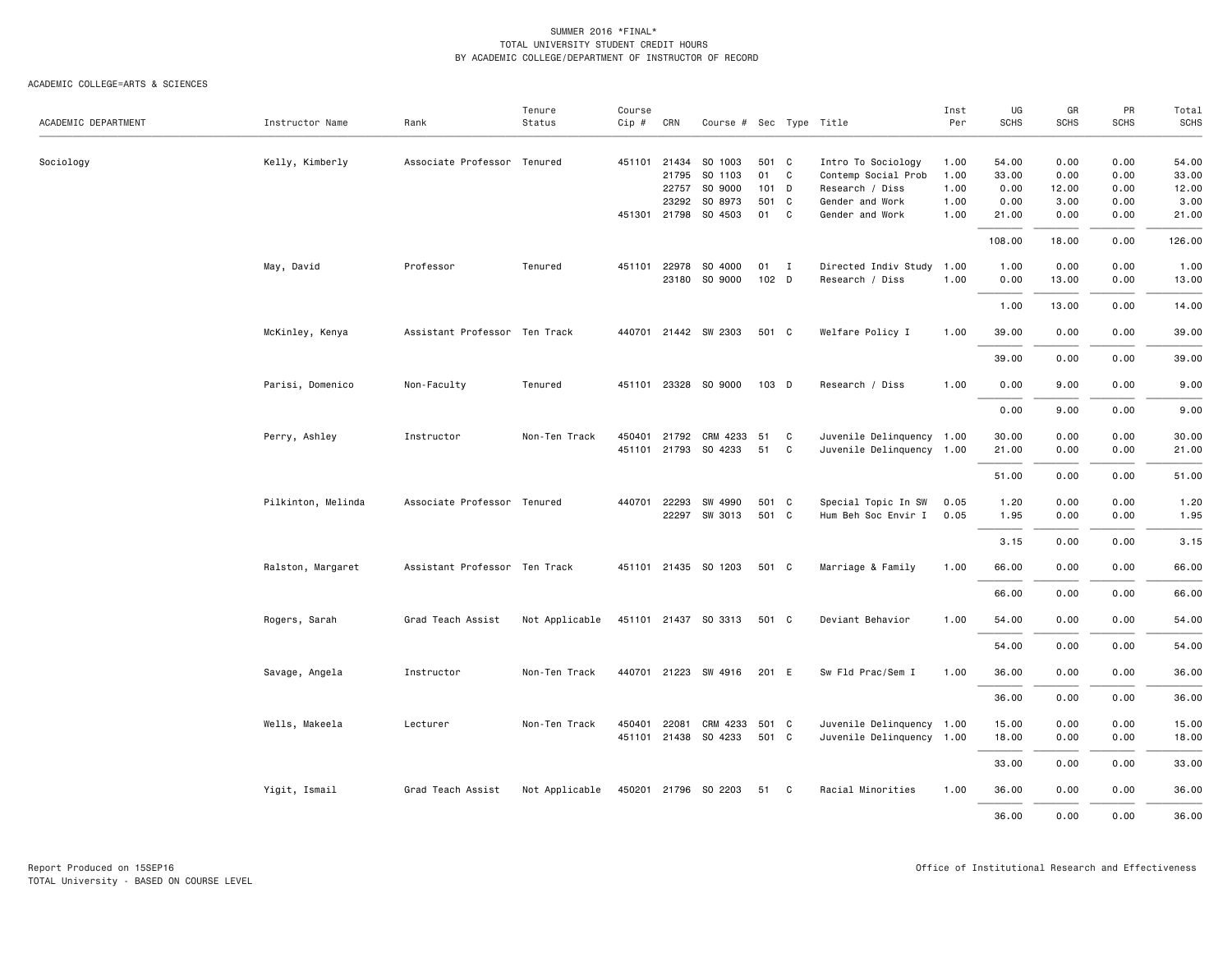|                     |                    |                               | Tenure         | Course |              |                         |       |              |                           | Inst | UG          | GR          | PR          | Total  |
|---------------------|--------------------|-------------------------------|----------------|--------|--------------|-------------------------|-------|--------------|---------------------------|------|-------------|-------------|-------------|--------|
| ACADEMIC DEPARTMENT | Instructor Name    | Rank                          | Status         | Cip #  | CRN          | Course # Sec Type Title |       |              |                           | Per  | <b>SCHS</b> | <b>SCHS</b> | <b>SCHS</b> | SCHS   |
| Sociology           | Kelly, Kimberly    | Associate Professor Tenured   |                |        | 451101 21434 | SO 1003                 | 501 C |              | Intro To Sociology        | 1.00 | 54.00       | 0.00        | 0.00        | 54.00  |
|                     |                    |                               |                |        | 21795        | SO 1103                 | 01 C  |              | Contemp Social Prob       | 1.00 | 33.00       | 0.00        | 0.00        | 33.00  |
|                     |                    |                               |                |        | 22757        | SO 9000                 | 101 D |              | Research / Diss           | 1.00 | 0.00        | 12.00       | 0.00        | 12.00  |
|                     |                    |                               |                |        | 23292        | SO 8973                 | 501 C |              | Gender and Work           | 1.00 | 0.00        | 3.00        | 0.00        | 3.00   |
|                     |                    |                               |                |        |              | 451301 21798 SO 4503    | 01    | C            | Gender and Work           | 1.00 | 21.00       | 0.00        | 0.00        | 21.00  |
|                     |                    |                               |                |        |              |                         |       |              |                           |      | 108.00      | 18.00       | 0.00        | 126.00 |
|                     |                    |                               |                |        |              |                         |       |              |                           |      |             |             |             |        |
|                     | May, David         | Professor                     | Tenured        | 451101 | 22978        | SO 4000                 | 01    | $\mathbf{I}$ | Directed Indiv Study 1.00 |      | 1.00        | 0.00        | 0.00        | 1.00   |
|                     |                    |                               |                |        |              | 23180 SO 9000           | 102 D |              | Research / Diss           | 1.00 | 0.00        | 13.00       | 0.00        | 13.00  |
|                     |                    |                               |                |        |              |                         |       |              |                           |      | 1.00        | 13.00       | 0.00        | 14.00  |
|                     | McKinley, Kenya    | Assistant Professor Ten Track |                |        |              | 440701 21442 SW 2303    | 501 C |              | Welfare Policy I          | 1.00 | 39.00       | 0.00        | 0.00        | 39.00  |
|                     |                    |                               |                |        |              |                         |       |              |                           |      | 39.00       | 0.00        | 0.00        | 39.00  |
|                     | Parisi, Domenico   | Non-Faculty                   | Tenured        |        |              | 451101 23328 SO 9000    | 103 D |              | Research / Diss           | 1.00 | 0.00        | 9.00        | 0.00        | 9.00   |
|                     |                    |                               |                |        |              |                         |       |              |                           |      |             |             |             |        |
|                     |                    |                               |                |        |              |                         |       |              |                           |      | 0.00        | 9.00        | 0.00        | 9.00   |
|                     | Perry, Ashley      | Instructor                    | Non-Ten Track  | 450401 | 21792        | CRM 4233                | 51    | C            | Juvenile Delinquency 1.00 |      | 30.00       | 0.00        | 0.00        | 30.00  |
|                     |                    |                               |                |        | 451101 21793 | SO 4233                 | 51    | C.           | Juvenile Delinquency 1.00 |      | 21.00       | 0.00        | 0.00        | 21.00  |
|                     |                    |                               |                |        |              |                         |       |              |                           |      | 51.00       | 0.00        | 0.00        | 51.00  |
|                     | Pilkinton, Melinda | Associate Professor Tenured   |                |        | 440701 22293 | SW 4990                 | 501 C |              | Special Topic In SW       | 0.05 | 1.20        | 0.00        | 0.00        | 1.20   |
|                     |                    |                               |                |        | 22297        | SW 3013                 | 501 C |              | Hum Beh Soc Envir I       | 0.05 | 1.95        | 0.00        | 0.00        | 1.95   |
|                     |                    |                               |                |        |              |                         |       |              |                           |      |             |             |             |        |
|                     |                    |                               |                |        |              |                         |       |              |                           |      | 3.15        | 0.00        | 0.00        | 3.15   |
|                     | Ralston, Margaret  | Assistant Professor Ten Track |                |        |              | 451101 21435 SO 1203    | 501 C |              | Marriage & Family         | 1.00 | 66.00       | 0.00        | 0.00        | 66.00  |
|                     |                    |                               |                |        |              |                         |       |              |                           |      |             |             |             |        |
|                     |                    |                               |                |        |              |                         |       |              |                           |      | 66.00       | 0.00        | 0.00        | 66.00  |
|                     |                    |                               |                |        |              |                         |       |              |                           |      |             |             |             |        |
|                     | Rogers, Sarah      | Grad Teach Assist             | Not Applicable |        |              | 451101 21437 SO 3313    | 501 C |              | Deviant Behavior          | 1.00 | 54.00       | 0.00        | 0.00        | 54.00  |
|                     |                    |                               |                |        |              |                         |       |              |                           |      | 54.00       | 0.00        | 0.00        | 54.00  |
|                     |                    |                               |                |        |              |                         |       |              |                           |      |             |             |             |        |
|                     | Savage, Angela     | Instructor                    | Non-Ten Track  |        |              | 440701 21223 SW 4916    | 201 E |              | Sw Fld Prac/Sem I         | 1.00 | 36.00       | 0.00        | 0.00        | 36.00  |
|                     |                    |                               |                |        |              |                         |       |              |                           |      | 36.00       | 0.00        | 0.00        | 36.00  |
|                     |                    |                               |                |        |              |                         |       |              |                           |      |             |             |             |        |
|                     | Wells, Makeela     | Lecturer                      | Non-Ten Track  | 450401 | 22081        | CRM 4233                | 501 C |              | Juvenile Delinquency 1.00 |      | 15.00       | 0.00        | 0.00        | 15.00  |
|                     |                    |                               |                |        |              | 451101 21438 SO 4233    | 501 C |              | Juvenile Delinquency 1.00 |      | 18.00       | 0.00        | 0.00        | 18.00  |
|                     |                    |                               |                |        |              |                         |       |              |                           |      | 33.00       | 0.00        | 0.00        | 33.00  |
|                     |                    |                               |                |        |              |                         |       |              |                           |      |             |             |             |        |
|                     | Yigit, Ismail      | Grad Teach Assist             | Not Applicable |        |              | 450201 21796 SO 2203    | 51 C  |              | Racial Minorities         | 1.00 | 36.00       | 0.00        | 0.00        | 36.00  |
|                     |                    |                               |                |        |              |                         |       |              |                           |      | 36.00       | 0.00        | 0.00        | 36.00  |
|                     |                    |                               |                |        |              |                         |       |              |                           |      |             |             |             |        |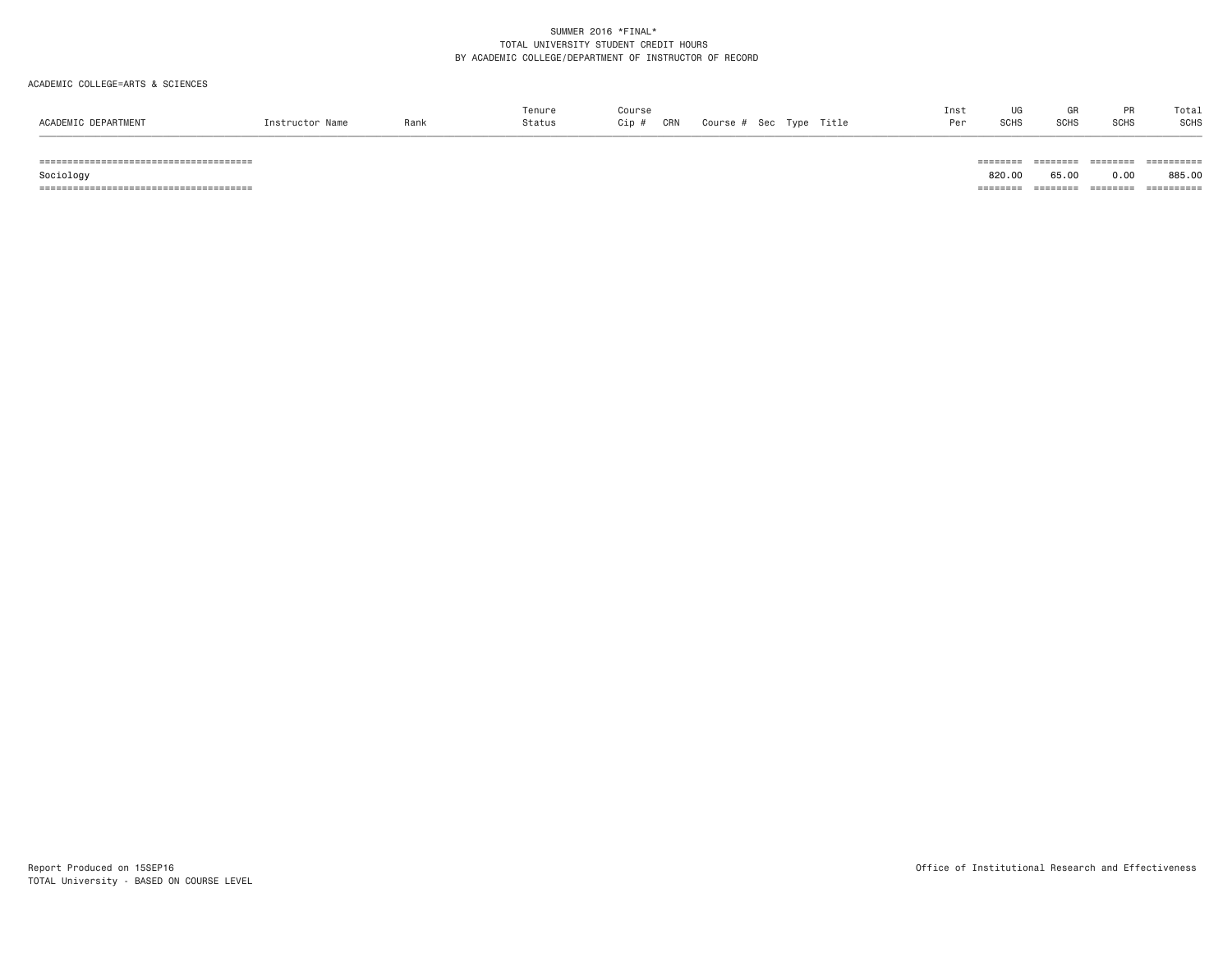#### ACADEMIC COLLEGE=ARTS & SCIENCES

|                     |                 |      | Tenure | Course     |                                 | Ins |             | GR   |             | Total |
|---------------------|-----------------|------|--------|------------|---------------------------------|-----|-------------|------|-------------|-------|
| ACADEMIC DEPARTMENT | Instructor Name | Rank | Status | CRN<br>Cip | Title<br>Course #<br>. Sec Type | Don | <b>SCHS</b> | SCHS | <b>SCHS</b> | SCHS  |
|                     |                 |      |        |            |                                 |     |             |      |             |       |

====================================== ======== ======== ======== ==========

====================================== ======== ======== ======== ==========

885.00 Sociology 820.00 65.00 0.00 885.00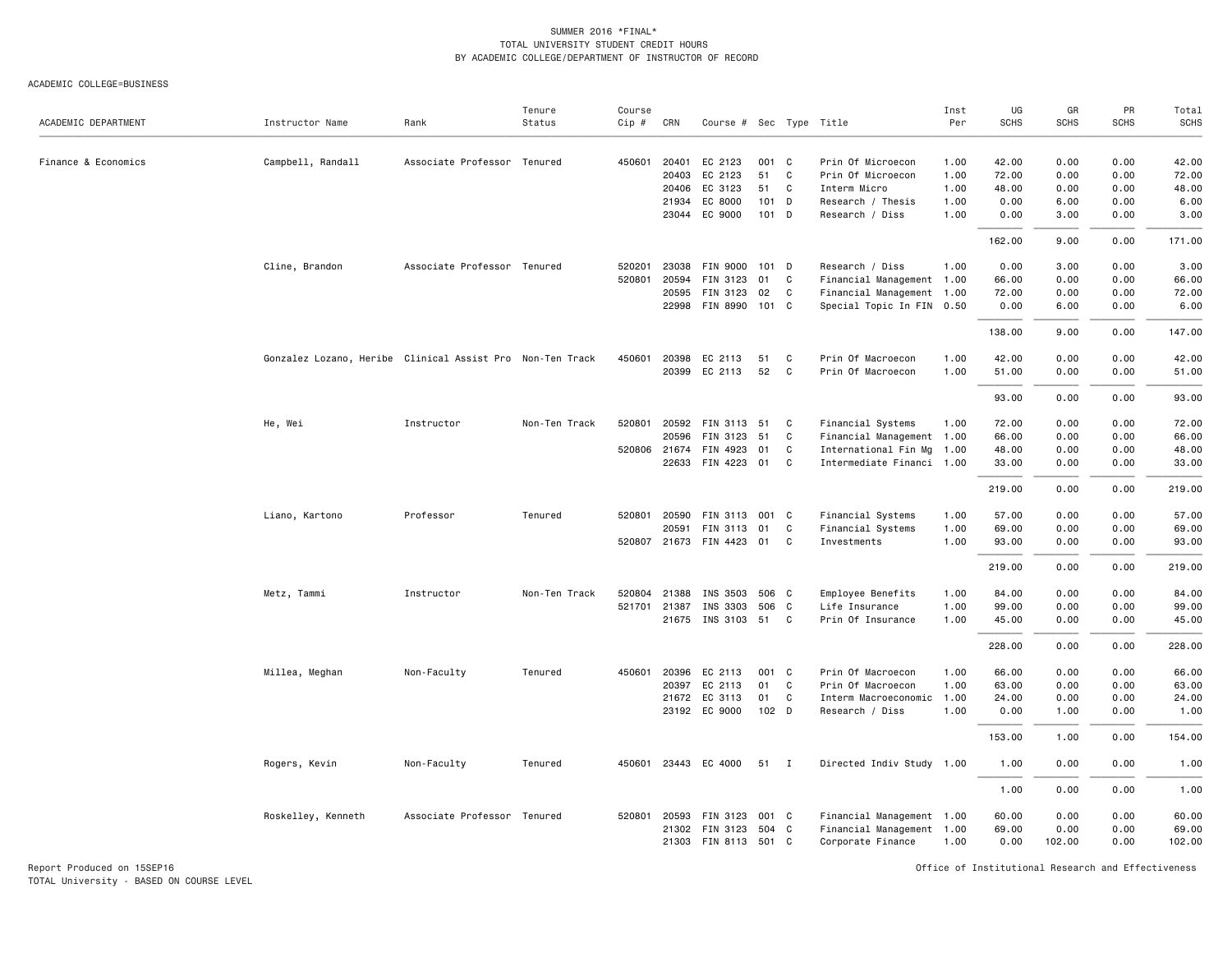ACADEMIC COLLEGE=BUSINESS

| ACADEMIC DEPARTMENT | Instructor Name                                           | Rank                        | Tenure<br>Status | Course<br>Cip # | CRN          | Course # Sec Type Title |                  |              |                           | Inst<br>Per | UG<br><b>SCHS</b> | GR<br><b>SCHS</b> | PR<br><b>SCHS</b> | Total<br><b>SCHS</b> |
|---------------------|-----------------------------------------------------------|-----------------------------|------------------|-----------------|--------------|-------------------------|------------------|--------------|---------------------------|-------------|-------------------|-------------------|-------------------|----------------------|
| Finance & Economics | Campbell, Randall                                         | Associate Professor Tenured |                  |                 | 450601 20401 | EC 2123                 | 001 C            |              | Prin Of Microecon         | 1.00        | 42.00             | 0.00              | 0.00              | 42.00                |
|                     |                                                           |                             |                  |                 | 20403        | EC 2123                 | 51               | $\mathbf{C}$ | Prin Of Microecon         | 1.00        | 72.00             | 0.00              | 0.00              | 72.00                |
|                     |                                                           |                             |                  |                 | 20406        | EC 3123                 | 51               | C            | Interm Micro              | 1.00        | 48.00             | 0.00              | 0.00              | 48.00                |
|                     |                                                           |                             |                  |                 | 21934        | EC 8000                 | $101$ D          |              | Research / Thesis         | 1.00        | 0.00              | 6.00              | 0.00              | 6.00                 |
|                     |                                                           |                             |                  |                 |              | 23044 EC 9000           | 101 D            |              | Research / Diss           | 1.00        | 0.00              | 3.00              | 0.00              | 3.00                 |
|                     |                                                           |                             |                  |                 |              |                         |                  |              |                           |             | 162.00            | 9.00              | 0.00              | 171.00               |
|                     | Cline, Brandon                                            | Associate Professor Tenured |                  | 520201          | 23038        | FIN 9000 101 D          |                  |              | Research / Diss           | 1.00        | 0.00              | 3.00              | 0.00              | 3.00                 |
|                     |                                                           |                             |                  | 520801          | 20594        | FIN 3123                | 01               | C            | Financial Management 1.00 |             | 66.00             | 0.00              | 0.00              | 66.00                |
|                     |                                                           |                             |                  |                 | 20595        | FIN 3123                | 02               | $\mathbf{C}$ | Financial Management 1.00 |             | 72.00             | 0.00              | 0.00              | 72.00                |
|                     |                                                           |                             |                  |                 |              | 22998 FIN 8990 101 C    |                  |              | Special Topic In FIN 0.50 |             | 0.00              | 6.00              | 0.00              | 6.00                 |
|                     |                                                           |                             |                  |                 |              |                         |                  |              |                           |             | 138.00            | 9.00              | 0.00              | 147.00               |
|                     | Gonzalez Lozano, Heribe Clinical Assist Pro Non-Ten Track |                             |                  | 450601          | 20398        | EC 2113                 | 51               | C            | Prin Of Macroecon         | 1.00        | 42.00             | 0.00              | 0.00              | 42.00                |
|                     |                                                           |                             |                  |                 |              | 20399 EC 2113           | 52               | $\mathbf{C}$ | Prin Of Macroecon         | 1.00        | 51.00             | 0.00              | 0.00              | 51.00                |
|                     |                                                           |                             |                  |                 |              |                         |                  |              |                           |             | 93.00             | 0.00              | 0.00              | 93.00                |
|                     | He, Wei                                                   | Instructor                  | Non-Ten Track    | 520801          | 20592        | <b>FIN 3113</b>         | 51               | C            | Financial Systems         | 1.00        | 72.00             | 0.00              | 0.00              | 72.00                |
|                     |                                                           |                             |                  |                 | 20596        | FIN 3123                | 51               | C            |                           |             | 66.00             | 0.00              | 0.00              | 66.00                |
|                     |                                                           |                             |                  |                 |              | FIN 4923                |                  |              | Financial Management 1.00 |             |                   | 0.00              | 0.00              |                      |
|                     |                                                           |                             |                  |                 | 520806 21674 |                         | 01               | C            | International Fin Mg 1.00 |             | 48.00             |                   |                   | 48.00                |
|                     |                                                           |                             |                  |                 |              | 22633 FIN 4223 01       |                  | C            | Intermediate Financi 1.00 |             | 33.00             | 0.00              | 0.00              | 33.00                |
|                     |                                                           |                             |                  |                 |              |                         |                  |              |                           |             | 219.00            | 0.00              | 0.00              | 219.00               |
|                     | Liano, Kartono                                            | Professor                   | Tenured          |                 | 520801 20590 | FIN 3113 001 C          |                  |              | Financial Systems         | 1.00        | 57.00             | 0.00              | 0.00              | 57.00                |
|                     |                                                           |                             |                  |                 | 20591        | FIN 3113                | 01               | C            | Financial Systems         | 1.00        | 69.00             | 0.00              | 0.00              | 69.00                |
|                     |                                                           |                             |                  | 520807          |              | 21673 FIN 4423 01       |                  | C            | Investments               | 1.00        | 93.00             | 0.00              | 0.00              | 93.00                |
|                     |                                                           |                             |                  |                 |              |                         |                  |              |                           |             | 219.00            | 0.00              | 0.00              | 219.00               |
|                     | Metz, Tammi                                               | Instructor                  | Non-Ten Track    | 520804          | 21388        | INS 3503                | 506 C            |              | Employee Benefits         | 1.00        | 84.00             | 0.00              | 0.00              | 84.00                |
|                     |                                                           |                             |                  |                 | 521701 21387 | INS 3303                | 506 C            |              | Life Insurance            | 1.00        | 99.00             | 0.00              | 0.00              | 99.00                |
|                     |                                                           |                             |                  |                 |              | 21675 INS 3103 51       |                  | C            | Prin Of Insurance         | 1.00        | 45.00             | 0.00              | 0.00              | 45.00                |
|                     |                                                           |                             |                  |                 |              |                         |                  |              |                           |             | 228.00            | 0.00              | 0.00              | 228.00               |
|                     | Millea, Meghan                                            | Non-Faculty                 | Tenured          | 450601          | 20396        | EC 2113                 | 001 C            |              | Prin Of Macroecon         | 1.00        | 66.00             | 0.00              | 0.00              | 66.00                |
|                     |                                                           |                             |                  |                 | 20397        | EC 2113                 | 01               | C            | Prin Of Macroecon         | 1.00        | 63.00             | 0.00              | 0.00              | 63.00                |
|                     |                                                           |                             |                  |                 |              | 21672 EC 3113           | 01               | C            | Interm Macroeconomic 1.00 |             | 24.00             | 0.00              | 0.00              | 24.00                |
|                     |                                                           |                             |                  |                 |              | 23192 EC 9000           | 102 <sub>D</sub> |              | Research / Diss           | 1.00        | 0.00              | 1.00              | 0.00              | 1.00                 |
|                     |                                                           |                             |                  |                 |              |                         |                  |              |                           |             | 153.00            | 1.00              | 0.00              | 154.00               |
|                     | Rogers, Kevin                                             | Non-Faculty                 | Tenured          | 450601          |              | 23443 EC 4000           | 51               | $\mathbf{I}$ | Directed Indiv Study 1.00 |             | 1.00              | 0.00              | 0.00              | 1.00                 |
|                     |                                                           |                             |                  |                 |              |                         |                  |              |                           |             | 1.00              | 0.00              | 0.00              | 1.00                 |
|                     | Roskelley, Kenneth                                        | Associate Professor Tenured |                  |                 | 520801 20593 | FIN 3123                | 001 C            |              | Financial Management 1.00 |             | 60.00             | 0.00              | 0.00              | 60.00                |
|                     |                                                           |                             |                  |                 |              | 21302 FIN 3123          | 504 C            |              | Financial Management 1.00 |             | 69.00             | 0.00              | 0.00              | 69.00                |
|                     |                                                           |                             |                  |                 |              | 21303 FIN 8113 501 C    |                  |              | Corporate Finance         | 1.00        | 0.00              | 102.00            | 0.00              | 102.00               |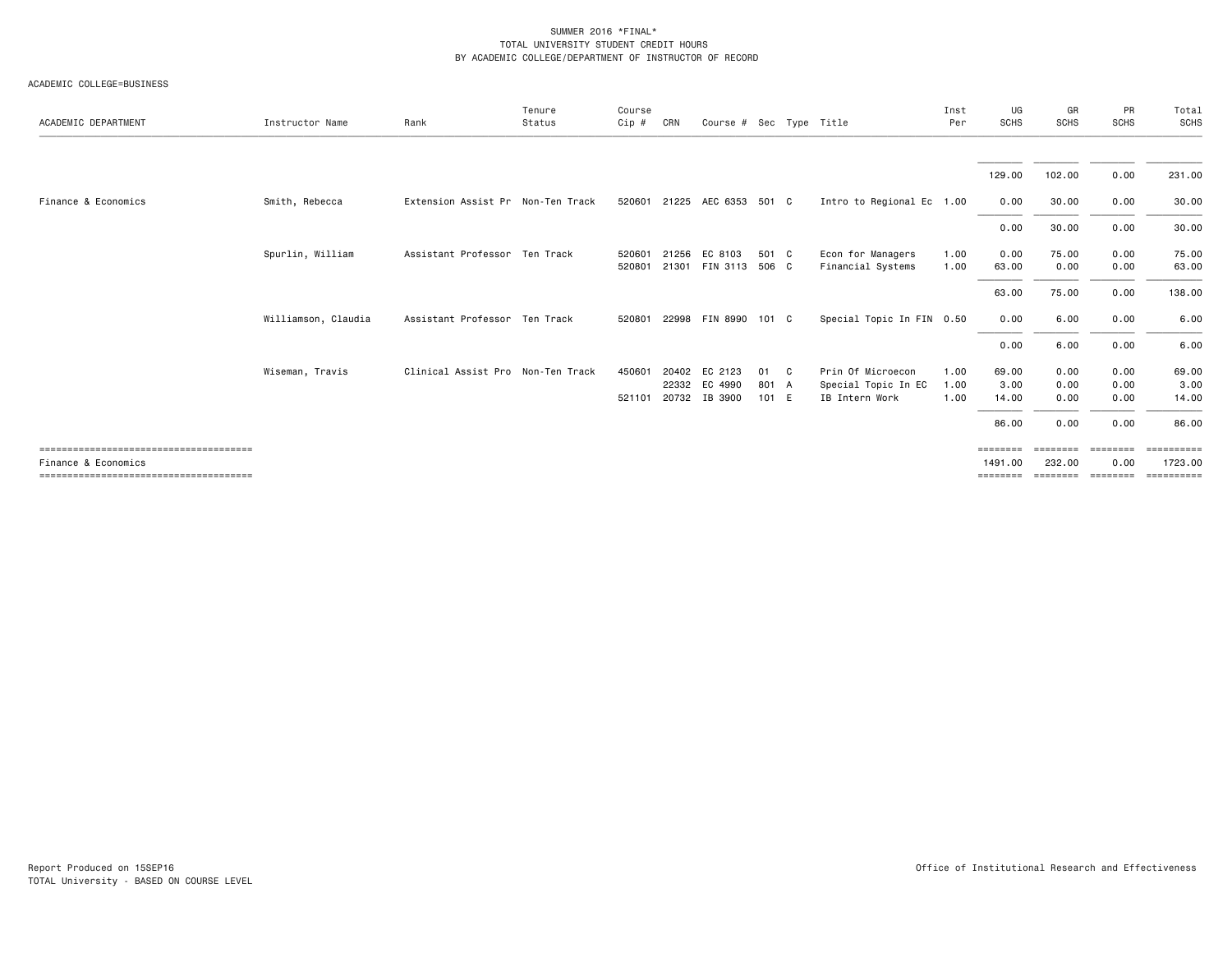ACADEMIC COLLEGE=BUSINESS

| ACADEMIC DEPARTMENT | Instructor Name     | Rank                              | Tenure<br>Status | Course<br>Cip #  | CRN            | Course # Sec Type Title             |                      |              |                                                            | Inst<br>Per          | UG<br><b>SCHS</b>               | GR<br><b>SCHS</b>            | PR<br><b>SCHS</b>            | Total<br>SCHS                   |
|---------------------|---------------------|-----------------------------------|------------------|------------------|----------------|-------------------------------------|----------------------|--------------|------------------------------------------------------------|----------------------|---------------------------------|------------------------------|------------------------------|---------------------------------|
|                     |                     |                                   |                  |                  |                |                                     |                      |              |                                                            |                      |                                 |                              |                              |                                 |
|                     |                     |                                   |                  |                  |                |                                     |                      |              |                                                            |                      | 129.00                          | 102.00                       | 0.00                         | 231.00                          |
| Finance & Economics | Smith, Rebecca      | Extension Assist Pr Non-Ten Track |                  | 520601           |                | 21225 AEC 6353 501 C                |                      |              | Intro to Regional Ec 1.00                                  |                      | 0.00                            | 30.00                        | 0.00                         | 30.00                           |
|                     |                     |                                   |                  |                  |                |                                     |                      |              |                                                            |                      | 0.00                            | 30.00                        | 0.00                         | 30.00                           |
|                     | Spurlin, William    | Assistant Professor Ten Track     |                  | 520601<br>520801 | 21256          | EC 8103<br>21301 FIN 3113           | 501 C<br>506 C       |              | Econ for Managers<br>Financial Systems                     | 1.00<br>1.00         | 0.00<br>63.00                   | 75.00<br>0.00                | 0.00<br>0.00                 | 75.00<br>63.00                  |
|                     |                     |                                   |                  |                  |                |                                     |                      |              |                                                            |                      | 63.00                           | 75.00                        | 0.00                         | 138.00                          |
|                     | Williamson, Claudia | Assistant Professor Ten Track     |                  | 520801           |                | 22998 FIN 8990 101 C                |                      |              | Special Topic In FIN 0.50                                  |                      | 0.00                            | 6.00                         | 0.00                         | 6.00                            |
|                     |                     |                                   |                  |                  |                |                                     |                      |              |                                                            |                      | 0.00                            | 6.00                         | 0.00                         | 6.00                            |
|                     | Wiseman, Travis     | Clinical Assist Pro Non-Ten Track |                  | 450601<br>521101 | 20402<br>22332 | EC 2123<br>EC 4990<br>20732 IB 3900 | 01<br>801 A<br>101 E | $\mathbf{C}$ | Prin Of Microecon<br>Special Topic In EC<br>IB Intern Work | 1.00<br>1.00<br>1.00 | 69.00<br>3.00<br>14.00<br>86.00 | 0.00<br>0.00<br>0.00<br>0.00 | 0.00<br>0.00<br>0.00<br>0.00 | 69.00<br>3.00<br>14.00<br>86.00 |
| Finance & Economics |                     |                                   |                  |                  |                |                                     |                      |              |                                                            |                      | ========<br>1491.00             | ========<br>232.00           | ========<br>0.00             | EEEEEEEE<br>1723.00             |
|                     |                     |                                   |                  |                  |                |                                     |                      |              |                                                            |                      | ========                        |                              |                              | --------- -------- ---------    |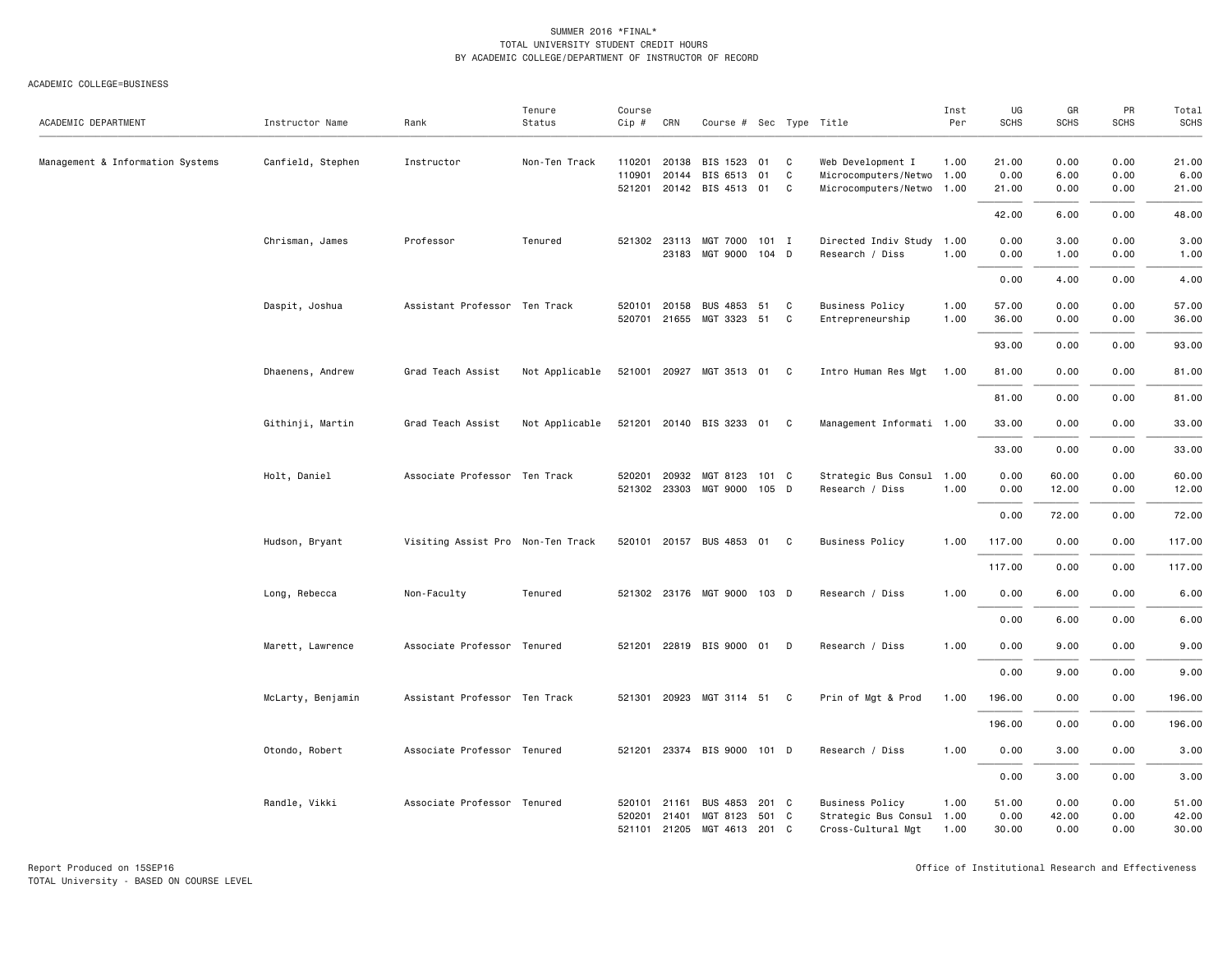#### ACADEMIC COLLEGE=BUSINESS

| ACADEMIC DEPARTMENT              | Instructor Name   | Rank                              | Tenure<br>Status | Course<br>Cip #  | CRN            | Course # Sec Type Title                                    |                |                        |                                                                             | Inst<br>Per          | UG<br><b>SCHS</b>      | GR<br><b>SCHS</b>     | PR<br><b>SCHS</b>    | Total<br><b>SCHS</b>    |
|----------------------------------|-------------------|-----------------------------------|------------------|------------------|----------------|------------------------------------------------------------|----------------|------------------------|-----------------------------------------------------------------------------|----------------------|------------------------|-----------------------|----------------------|-------------------------|
| Management & Information Systems | Canfield, Stephen | Instructor                        | Non-Ten Track    | 110201<br>110901 | 20138<br>20144 | BIS 1523<br>BIS 6513<br>521201 20142 BIS 4513 01           | 01<br>01       | C<br>$\mathtt{C}$<br>C | Web Development I<br>Microcomputers/Netwo 1.00<br>Microcomputers/Netwo 1.00 | 1.00                 | 21.00<br>0.00<br>21.00 | 0.00<br>6.00<br>0.00  | 0.00<br>0.00<br>0.00 | 21.00<br>6.00<br>21.00  |
|                                  |                   |                                   |                  |                  |                |                                                            |                |                        |                                                                             |                      | 42.00                  | 6.00                  | 0.00                 | 48.00                   |
|                                  | Chrisman, James   | Professor                         | Tenured          |                  |                | 521302 23113 MGT 7000 101 I<br>23183 MGT 9000 104 D        |                |                        | Directed Indiv Study 1.00<br>Research / Diss                                | 1.00                 | 0.00<br>0.00           | 3.00<br>1.00          | 0.00<br>0.00         | 3.00<br>1.00            |
|                                  |                   |                                   |                  |                  |                |                                                            |                |                        |                                                                             |                      | 0.00                   | 4.00                  | 0.00                 | 4.00                    |
|                                  | Daspit, Joshua    | Assistant Professor Ten Track     |                  | 520101           | 20158          | BUS 4853<br>520701 21655 MGT 3323 51                       | 51             | C<br>C                 | <b>Business Policy</b><br>Entrepreneurship                                  | 1.00<br>1.00         | 57.00<br>36.00         | 0.00<br>0.00          | 0.00<br>0.00         | 57.00<br>36.00          |
|                                  |                   |                                   |                  |                  |                |                                                            |                |                        |                                                                             |                      | 93.00                  | 0.00                  | 0.00                 | 93.00                   |
|                                  | Dhaenens, Andrew  | Grad Teach Assist                 | Not Applicable   |                  |                | 521001 20927 MGT 3513 01 C                                 |                |                        | Intro Human Res Mgt                                                         | 1.00                 | 81.00                  | 0.00                  | 0.00                 | 81.00                   |
|                                  |                   |                                   |                  |                  |                |                                                            |                |                        |                                                                             |                      | 81.00                  | 0.00                  | 0.00                 | 81.00                   |
|                                  | Githinji, Martin  | Grad Teach Assist                 | Not Applicable   |                  |                | 521201 20140 BIS 3233 01 C                                 |                |                        | Management Informati 1.00                                                   |                      | 33.00                  | 0.00                  | 0.00                 | 33.00                   |
|                                  |                   |                                   |                  |                  |                |                                                            |                |                        |                                                                             |                      | 33.00                  | 0.00                  | 0.00                 | 33.00                   |
|                                  | Holt, Daniel      | Associate Professor Ten Track     |                  | 520201           | 20932          | MGT 8123<br>521302 23303 MGT 9000 105 D                    | 101 C          |                        | Strategic Bus Consul 1.00<br>Research / Diss                                | 1.00                 | 0.00<br>0.00           | 60.00<br>12.00        | 0.00<br>0.00         | 60.00<br>12.00          |
|                                  |                   |                                   |                  |                  |                |                                                            |                |                        |                                                                             |                      | 0.00                   | 72.00                 | 0.00                 | 72.00                   |
|                                  | Hudson, Bryant    | Visiting Assist Pro Non-Ten Track |                  |                  |                | 520101 20157 BUS 4853 01 C                                 |                |                        | <b>Business Policy</b>                                                      | 1.00                 | 117.00                 | 0.00                  | 0.00                 | 117.00                  |
|                                  |                   |                                   |                  |                  |                |                                                            |                |                        |                                                                             |                      | 117.00                 | 0.00                  | 0.00                 | 117.00                  |
|                                  | Long, Rebecca     | Non-Faculty                       | Tenured          |                  |                | 521302 23176 MGT 9000 103 D                                |                |                        | Research / Diss                                                             | 1.00                 | 0.00                   | 6.00                  | 0.00                 | 6.00                    |
|                                  |                   |                                   |                  |                  |                |                                                            |                |                        |                                                                             |                      | 0.00                   | 6.00                  | 0.00                 | 6.00                    |
|                                  | Marett, Lawrence  | Associate Professor Tenured       |                  |                  |                | 521201 22819 BIS 9000 01                                   |                | D                      | Research / Diss                                                             | 1.00                 | 0.00                   | 9.00                  | 0.00                 | 9.00                    |
|                                  |                   |                                   |                  |                  |                |                                                            |                |                        |                                                                             |                      | 0.00                   | 9.00                  | 0.00                 | 9.00                    |
|                                  | McLarty, Benjamin | Assistant Professor Ten Track     |                  |                  |                | 521301 20923 MGT 3114 51 C                                 |                |                        | Prin of Mgt & Prod                                                          | 1.00                 | 196.00                 | 0.00                  | 0.00                 | 196.00                  |
|                                  |                   |                                   |                  |                  |                |                                                            |                |                        |                                                                             |                      | 196.00                 | 0.00                  | 0.00                 | 196.00                  |
|                                  | Otondo, Robert    | Associate Professor Tenured       |                  |                  |                | 521201 23374 BIS 9000 101 D                                |                |                        | Research / Diss                                                             | 1.00                 | 0.00                   | 3.00                  | 0.00                 | 3.00                    |
|                                  |                   |                                   |                  |                  |                |                                                            |                |                        |                                                                             |                      | 0.00                   | 3.00                  | 0.00                 | 3.00                    |
|                                  | Randle, Vikki     | Associate Professor Tenured       |                  | 520101<br>520201 | 21161<br>21401 | <b>BUS 4853</b><br>MGT 8123<br>521101 21205 MGT 4613 201 C | 201 C<br>501 C |                        | <b>Business Policy</b><br>Strategic Bus Consul<br>Cross-Cultural Mgt        | 1.00<br>1.00<br>1.00 | 51.00<br>0.00<br>30.00 | 0.00<br>42.00<br>0.00 | 0.00<br>0.00<br>0.00 | 51.00<br>42.00<br>30.00 |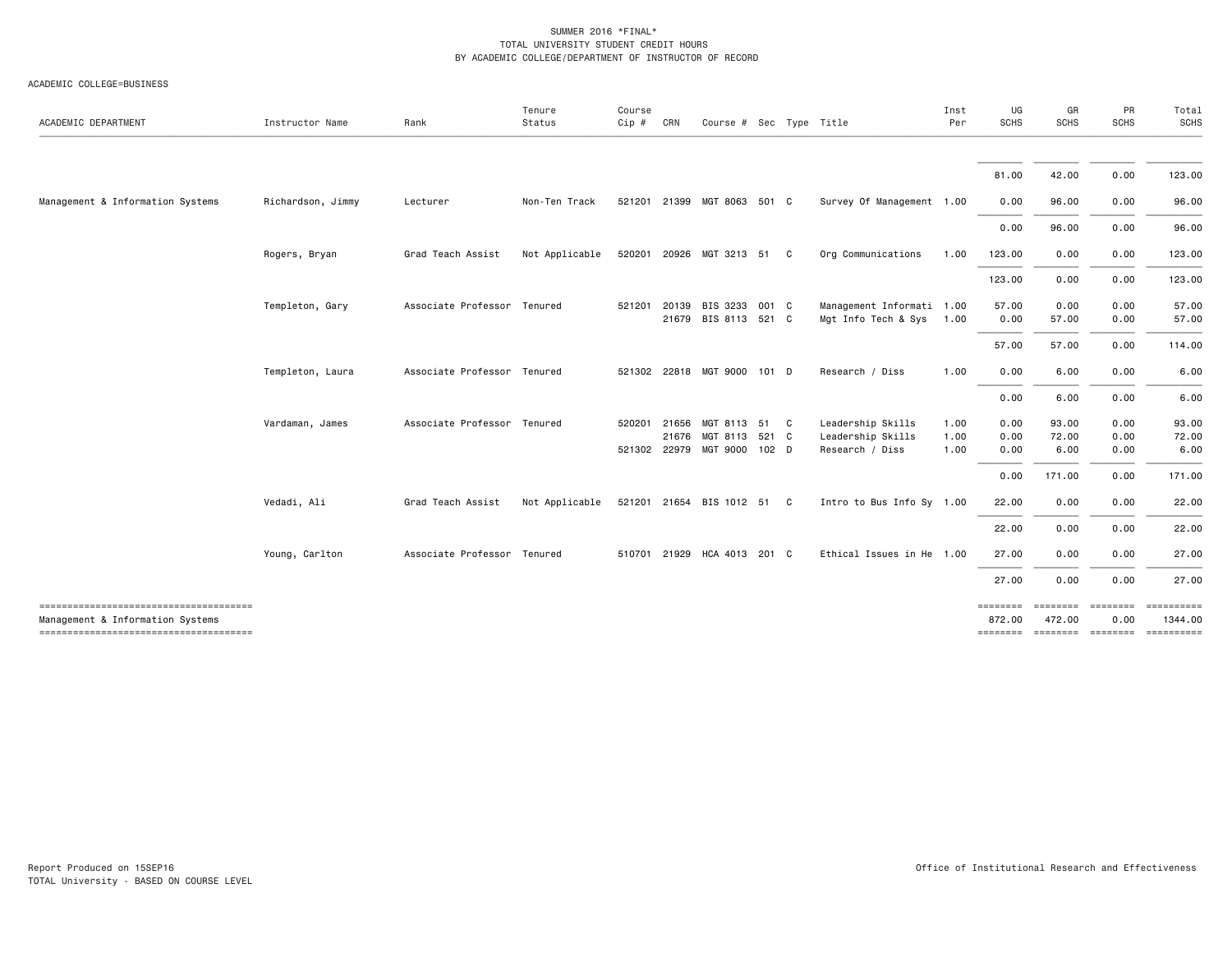| ACADEMIC DEPARTMENT              | Instructor Name   | Rank                        | Tenure<br>Status | Course<br>Cip # CRN |       | Course $#$ Sec Type Title             |       |              |                                                  | Inst<br>Per  | UG<br><b>SCHS</b>  | GR<br>SCHS                  | <b>PR</b><br><b>SCHS</b> | Total<br><b>SCHS</b>                                               |
|----------------------------------|-------------------|-----------------------------|------------------|---------------------|-------|---------------------------------------|-------|--------------|--------------------------------------------------|--------------|--------------------|-----------------------------|--------------------------|--------------------------------------------------------------------|
|                                  |                   |                             |                  |                     |       |                                       |       |              |                                                  |              |                    |                             |                          |                                                                    |
|                                  |                   |                             |                  |                     |       |                                       |       |              |                                                  |              | 81.00              | 42.00                       | 0.00                     | 123.00                                                             |
| Management & Information Systems | Richardson, Jimmy | Lecturer                    | Non-Ten Track    |                     |       | 521201 21399 MGT 8063 501 C           |       |              | Survey Of Management 1.00                        |              | 0.00               | 96.00                       | 0.00                     | 96.00                                                              |
|                                  |                   |                             |                  |                     |       |                                       |       |              |                                                  |              | 0.00               | 96.00                       | 0.00                     | 96.00                                                              |
|                                  | Rogers, Bryan     | Grad Teach Assist           | Not Applicable   |                     |       | 520201 20926 MGT 3213 51              |       | $\mathbf{C}$ | Org Communications                               | 1.00         | 123.00             | 0.00                        | 0.00                     | 123.00                                                             |
|                                  |                   |                             |                  |                     |       |                                       |       |              |                                                  |              | 123.00             | 0.00                        | 0.00                     | 123.00                                                             |
|                                  | Templeton, Gary   | Associate Professor Tenured |                  | 521201              | 20139 | BIS 3233<br>21679 BIS 8113 521 C      | 001 C |              | Management Informati 1.00<br>Mgt Info Tech & Sys | 1.00         | 57.00<br>0.00      | 0.00<br>57.00               | 0.00<br>0.00             | 57.00<br>57.00                                                     |
|                                  |                   |                             |                  |                     |       |                                       |       |              |                                                  |              | 57.00              | 57.00                       | 0.00                     | 114.00                                                             |
|                                  | Templeton, Laura  | Associate Professor Tenured |                  |                     |       | 521302 22818 MGT 9000 101 D           |       |              | Research / Diss                                  | 1.00         | 0.00               | 6.00                        | 0.00                     | 6.00                                                               |
|                                  |                   |                             |                  |                     |       |                                       |       |              |                                                  |              | 0.00               | 6.00                        | 0.00                     | 6.00                                                               |
|                                  | Vardaman, James   | Associate Professor Tenured |                  | 520201              | 21656 | MGT 8113 51 C<br>21676 MGT 8113 521 C |       |              | Leadership Skills<br>Leadership Skills           | 1.00<br>1.00 | 0.00<br>0.00       | 93.00<br>72.00              | 0.00<br>0.00             | 93.00<br>72.00                                                     |
|                                  |                   |                             |                  |                     |       | 521302 22979 MGT 9000 102 D           |       |              | Research / Diss                                  | 1.00         | 0.00               | 6.00                        | 0.00                     | 6.00                                                               |
|                                  |                   |                             |                  |                     |       |                                       |       |              |                                                  |              | 0.00               | 171.00                      | 0.00                     | 171.00                                                             |
|                                  | Vedadi, Ali       | Grad Teach Assist           | Not Applicable   |                     |       | 521201 21654 BIS 1012 51 C            |       |              | Intro to Bus Info Sy 1.00                        |              | 22.00              | 0.00                        | 0.00                     | 22.00                                                              |
|                                  |                   |                             |                  |                     |       |                                       |       |              |                                                  |              | 22.00              | 0.00                        | 0.00                     | 22.00                                                              |
|                                  | Young, Carlton    | Associate Professor Tenured |                  |                     |       | 510701 21929 HCA 4013 201 C           |       |              | Ethical Issues in He 1.00                        |              | 27.00              | 0.00                        | 0.00                     | 27.00                                                              |
|                                  |                   |                             |                  |                     |       |                                       |       |              |                                                  |              | 27.00              | 0.00                        | 0.00                     | 27.00                                                              |
| Management & Information Systems |                   |                             |                  |                     |       |                                       |       |              |                                                  |              | ========<br>872.00 | $=$ = = = = = = =<br>472.00 | <b>EBBBBBBB</b><br>0.00  | ==========<br>1344.00<br><u> ------- ------- ------- ---------</u> |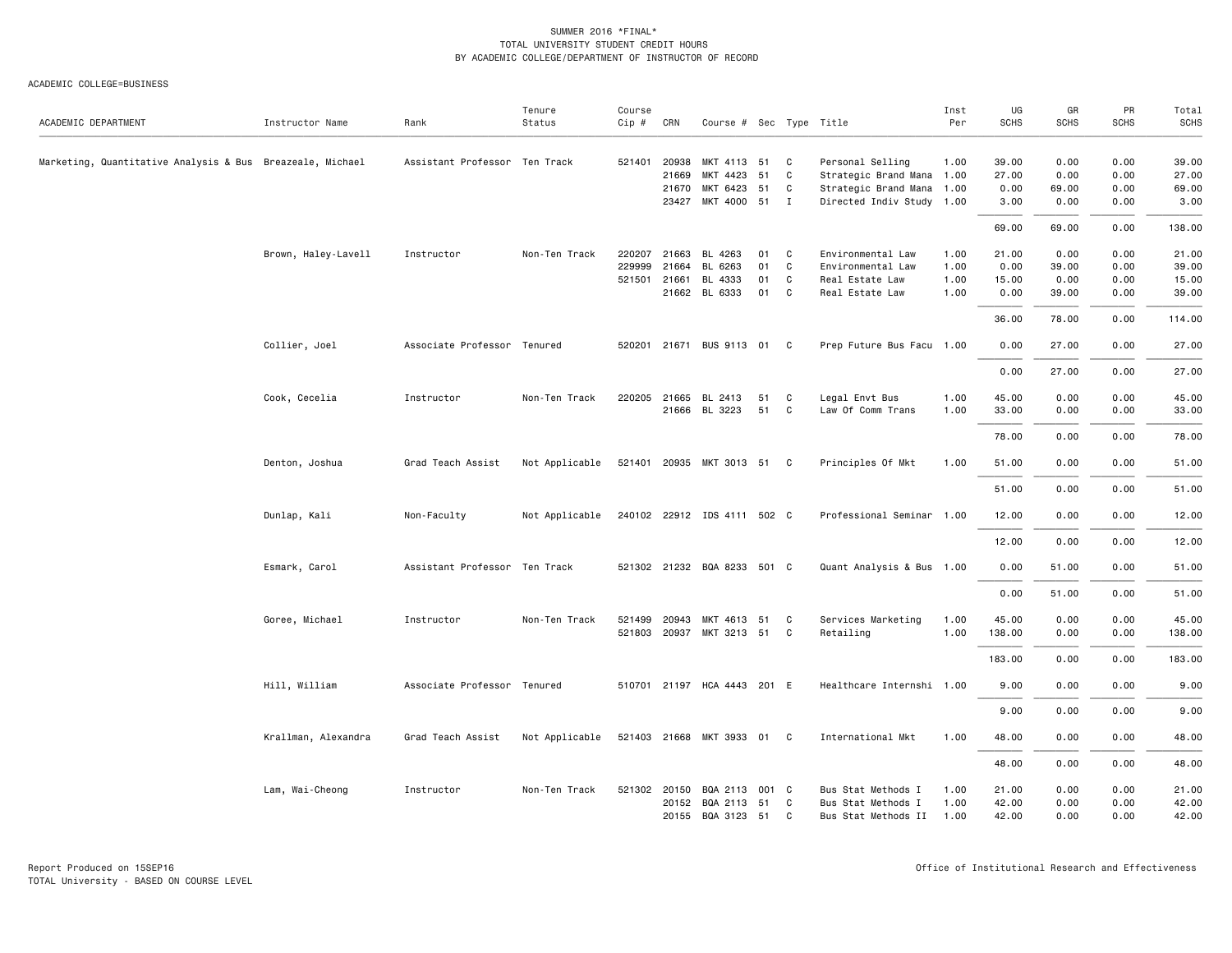ACADEMIC COLLEGE=BUSINESS

| ACADEMIC DEPARTMENT                                       | Instructor Name     | Rank                          | Tenure<br>Status | Course<br>Cip # | CRN            | Course # Sec Type Title     |       |              |                                               | Inst<br>Per | UG<br><b>SCHS</b> | GR<br><b>SCHS</b> | PR<br><b>SCHS</b> | Total<br><b>SCHS</b> |
|-----------------------------------------------------------|---------------------|-------------------------------|------------------|-----------------|----------------|-----------------------------|-------|--------------|-----------------------------------------------|-------------|-------------------|-------------------|-------------------|----------------------|
| Marketing, Quantitative Analysis & Bus Breazeale, Michael |                     | Assistant Professor Ten Track |                  | 521401          | 20938<br>21669 | MKT 4113 51<br>MKT 4423     | 51    | C<br>C       | Personal Selling<br>Strategic Brand Mana 1.00 | 1.00        | 39.00<br>27.00    | 0.00<br>0.00      | 0.00<br>0.00      | 39.00<br>27.00       |
|                                                           |                     |                               |                  |                 | 21670          | MKT 6423 51                 |       | C            | Strategic Brand Mana 1.00                     |             | 0.00              | 69.00             | 0.00              | 69.00                |
|                                                           |                     |                               |                  |                 | 23427          | MKT 4000 51 I               |       |              | Directed Indiv Study 1.00                     |             | 3.00              | 0.00              | 0.00              | 3.00                 |
|                                                           |                     |                               |                  |                 |                |                             |       |              |                                               |             | 69.00             | 69.00             | 0.00              | 138.00               |
|                                                           | Brown, Haley-Lavell | Instructor                    | Non-Ten Track    | 220207          | 21663          | BL 4263                     | 01    | C            | Environmental Law                             | 1.00        | 21.00             | 0.00              | 0.00              | 21.00                |
|                                                           |                     |                               |                  | 229999          | 21664          | BL 6263                     | 01    | C            | Environmental Law                             | 1.00        | 0.00              | 39.00             | 0.00              | 39.00                |
|                                                           |                     |                               |                  | 521501 21661    |                | BL 4333                     | 01    | $\mathsf{C}$ | Real Estate Law                               | 1.00        | 15.00             | 0.00              | 0.00              | 15.00                |
|                                                           |                     |                               |                  |                 | 21662          | BL 6333                     | 01    | C            | Real Estate Law                               | 1.00        | 0.00              | 39.00             | 0.00              | 39.00                |
|                                                           |                     |                               |                  |                 |                |                             |       |              |                                               |             | 36.00             | 78.00             | 0.00              | 114.00               |
|                                                           | Collier, Joel       | Associate Professor Tenured   |                  |                 |                | 520201 21671 BUS 9113 01 C  |       |              | Prep Future Bus Facu 1.00                     |             | 0.00              | 27.00             | 0.00              | 27.00                |
|                                                           |                     |                               |                  |                 |                |                             |       |              |                                               |             | 0.00              | 27.00             | 0.00              | 27.00                |
|                                                           | Cook, Cecelia       | Instructor                    | Non-Ten Track    | 220205          | 21665          | BL 2413                     | 51    | C            | Legal Envt Bus                                | 1.00        | 45.00             | 0.00              | 0.00              | 45.00                |
|                                                           |                     |                               |                  |                 |                | 21666 BL 3223               | 51    | C            | Law Of Comm Trans                             | 1.00        | 33.00             | 0.00              | 0.00              | 33.00                |
|                                                           |                     |                               |                  |                 |                |                             |       |              |                                               |             | 78.00             | 0.00              | 0.00              | 78.00                |
|                                                           | Denton, Joshua      | Grad Teach Assist             | Not Applicable   |                 |                | 521401 20935 MKT 3013 51 C  |       |              | Principles Of Mkt                             | 1.00        | 51.00             | 0.00              | 0.00              | 51.00                |
|                                                           |                     |                               |                  |                 |                |                             |       |              |                                               |             | 51.00             | 0.00              | 0.00              | 51.00                |
|                                                           | Dunlap, Kali        | Non-Faculty                   | Not Applicable   |                 |                | 240102 22912 IDS 4111 502 C |       |              | Professional Seminar 1.00                     |             | 12.00             | 0.00              | 0.00              | 12.00                |
|                                                           |                     |                               |                  |                 |                |                             |       |              |                                               |             | 12.00             | 0.00              | 0.00              | 12.00                |
|                                                           | Esmark, Carol       | Assistant Professor Ten Track |                  |                 |                | 521302 21232 BQA 8233 501 C |       |              | Quant Analysis & Bus 1.00                     |             | 0.00              | 51.00             | 0.00              | 51.00                |
|                                                           |                     |                               |                  |                 |                |                             |       |              |                                               |             | 0.00              | 51.00             | 0.00              | 51.00                |
|                                                           | Goree, Michael      | Instructor                    | Non-Ten Track    | 521499          | 20943          | MKT 4613 51                 |       | C            | Services Marketing                            | 1.00        | 45.00             | 0.00              | 0.00              | 45.00                |
|                                                           |                     |                               |                  |                 |                | 521803 20937 MKT 3213 51    |       | C            | Retailing                                     | 1.00        | 138.00            | 0.00              | 0.00              | 138.00               |
|                                                           |                     |                               |                  |                 |                |                             |       |              |                                               |             | 183.00            | 0.00              | 0.00              | 183.00               |
|                                                           | Hill, William       | Associate Professor Tenured   |                  |                 |                | 510701 21197 HCA 4443 201 E |       |              | Healthcare Internshi 1.00                     |             | 9.00              | 0.00              | 0.00              | 9.00                 |
|                                                           |                     |                               |                  |                 |                |                             |       |              |                                               |             | 9.00              | 0.00              | 0.00              | 9.00                 |
|                                                           | Krallman, Alexandra | Grad Teach Assist             | Not Applicable   |                 |                | 521403 21668 MKT 3933       | 01 C  |              | International Mkt                             | 1.00        | 48.00             | 0.00              | 0.00              | 48.00                |
|                                                           |                     |                               |                  |                 |                |                             |       |              |                                               |             | 48.00             | 0.00              | 0.00              | 48.00                |
|                                                           | Lam, Wai-Cheong     | Instructor                    | Non-Ten Track    | 521302 20150    |                | BQA 2113                    | 001 C |              | Bus Stat Methods I                            | 1.00        | 21.00             | 0.00              | 0.00              | 21.00                |
|                                                           |                     |                               |                  |                 | 20152          | BQA 2113 51                 |       | C            | Bus Stat Methods I                            | 1.00        | 42.00             | 0.00              | 0.00              | 42.00                |
|                                                           |                     |                               |                  |                 |                | 20155 BQA 3123 51           |       | C            | Bus Stat Methods II                           | 1.00        | 42.00             | 0.00              | 0.00              | 42.00                |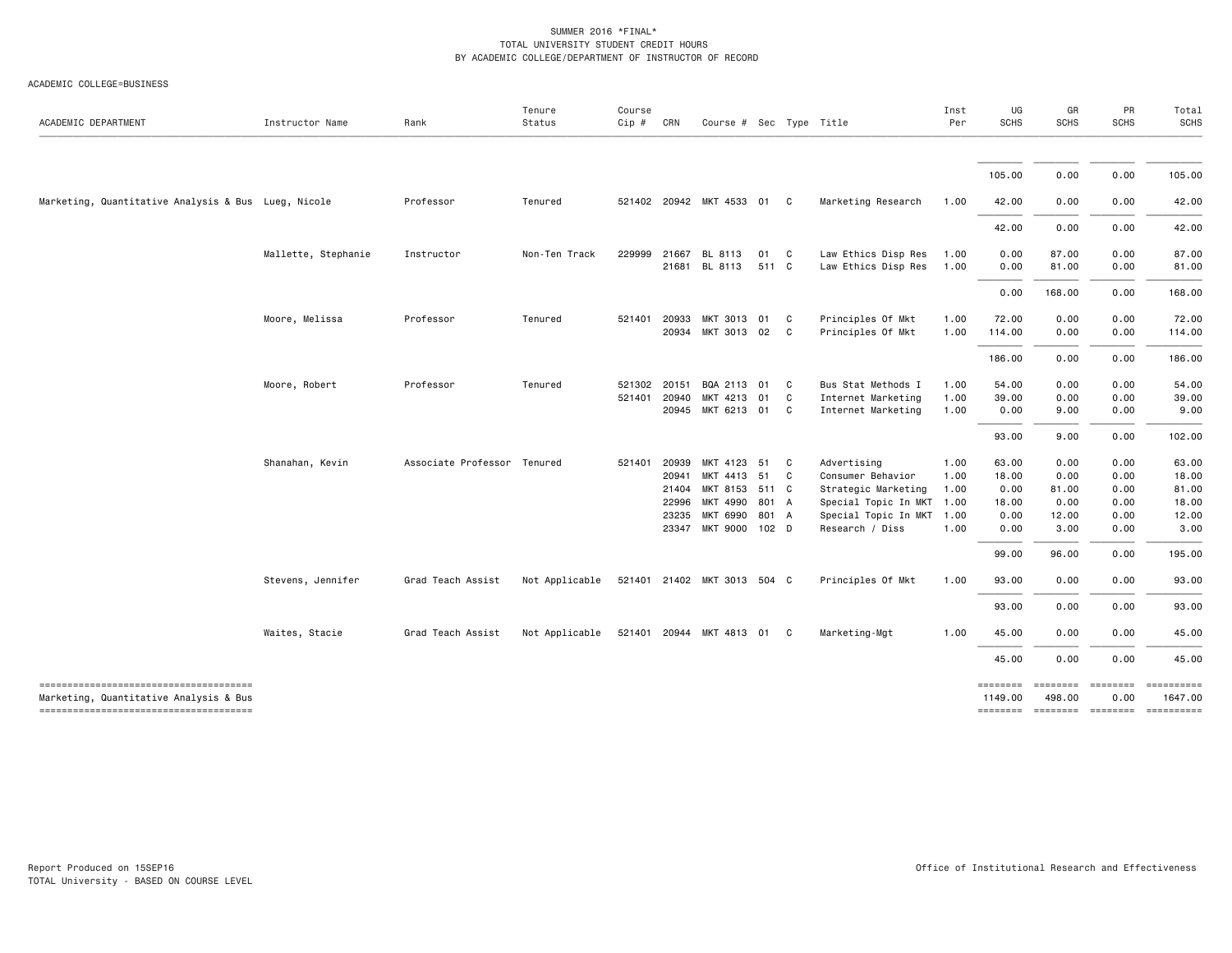| ACADEMIC DEPARTMENT                                                             | Instructor Name     | Rank                        | Tenure<br>Status | Course<br>Cip # | CRN                                       | Course # Sec Type Title                                                                   |                      |                     |                                                                                                                            | Inst<br>Per                                  | UG<br><b>SCHS</b>                                        | GR<br><b>SCHS</b>                                                                                                                                                                                                                                                                                                                                                                                                                                                                                | PR<br><b>SCHS</b>                                    | Total<br><b>SCHS</b>                                        |
|---------------------------------------------------------------------------------|---------------------|-----------------------------|------------------|-----------------|-------------------------------------------|-------------------------------------------------------------------------------------------|----------------------|---------------------|----------------------------------------------------------------------------------------------------------------------------|----------------------------------------------|----------------------------------------------------------|--------------------------------------------------------------------------------------------------------------------------------------------------------------------------------------------------------------------------------------------------------------------------------------------------------------------------------------------------------------------------------------------------------------------------------------------------------------------------------------------------|------------------------------------------------------|-------------------------------------------------------------|
|                                                                                 |                     |                             |                  |                 |                                           |                                                                                           |                      |                     |                                                                                                                            |                                              | 105.00                                                   | 0.00                                                                                                                                                                                                                                                                                                                                                                                                                                                                                             | 0.00                                                 | 105.00                                                      |
| Marketing, Quantitative Analysis & Bus Lueg, Nicole                             |                     | Professor                   | Tenured          |                 |                                           | 521402 20942 MKT 4533 01 C                                                                |                      |                     | Marketing Research                                                                                                         | 1.00                                         | 42.00                                                    | 0.00                                                                                                                                                                                                                                                                                                                                                                                                                                                                                             | 0.00                                                 | 42.00                                                       |
|                                                                                 |                     |                             |                  |                 |                                           |                                                                                           |                      |                     |                                                                                                                            |                                              | 42.00                                                    | 0.00                                                                                                                                                                                                                                                                                                                                                                                                                                                                                             | 0.00                                                 | 42.00                                                       |
|                                                                                 | Mallette, Stephanie | Instructor                  | Non-Ten Track    | 229999          | 21667<br>21681                            | BL 8113<br>BL 8113                                                                        | 01 C<br>511 C        |                     | Law Ethics Disp Res<br>Law Ethics Disp Res                                                                                 | 1.00<br>1.00                                 | 0.00<br>0.00                                             | 87.00<br>81.00                                                                                                                                                                                                                                                                                                                                                                                                                                                                                   | 0.00<br>0.00                                         | 87.00<br>81.00                                              |
|                                                                                 |                     |                             |                  |                 |                                           |                                                                                           |                      |                     |                                                                                                                            |                                              | 0.00                                                     | 168.00                                                                                                                                                                                                                                                                                                                                                                                                                                                                                           | 0.00                                                 | 168.00                                                      |
|                                                                                 | Moore, Melissa      | Professor                   | Tenured          | 521401          | 20933<br>20934                            | MKT 3013 01<br>MKT 3013 02                                                                |                      | - C<br>$\mathbf{C}$ | Principles Of Mkt<br>Principles Of Mkt                                                                                     | 1.00<br>1.00                                 | 72.00<br>114.00                                          | 0.00<br>0.00                                                                                                                                                                                                                                                                                                                                                                                                                                                                                     | 0.00<br>0.00                                         | 72.00<br>114.00                                             |
|                                                                                 |                     |                             |                  |                 |                                           |                                                                                           |                      |                     |                                                                                                                            |                                              | 186.00                                                   | 0.00                                                                                                                                                                                                                                                                                                                                                                                                                                                                                             | 0.00                                                 | 186.00                                                      |
|                                                                                 | Moore, Robert       | Professor                   | Tenured          | 521401          | 521302 20151<br>20940                     | BQA 2113 01<br>MKT 4213 01<br>20945 MKT 6213 01 C                                         |                      | $\mathbf{C}$<br>C   | Bus Stat Methods I<br>Internet Marketing<br>Internet Marketing                                                             | 1.00<br>1.00<br>1.00                         | 54.00<br>39.00<br>0.00                                   | 0.00<br>0.00<br>9.00                                                                                                                                                                                                                                                                                                                                                                                                                                                                             | 0.00<br>0.00<br>0.00                                 | 54.00<br>39.00<br>9.00                                      |
|                                                                                 |                     |                             |                  |                 |                                           |                                                                                           |                      |                     |                                                                                                                            |                                              | 93.00                                                    | 9.00                                                                                                                                                                                                                                                                                                                                                                                                                                                                                             | 0.00                                                 | 102.00                                                      |
|                                                                                 | Shanahan, Kevin     | Associate Professor Tenured |                  | 521401          | 20939<br>20941<br>21404<br>22996<br>23235 | MKT 4123 51<br>MKT 4413<br>MKT 8153 511 C<br>MKT 4990<br>MKT 6990<br>23347 MKT 9000 102 D | 51<br>801 A<br>801 A | C<br>$\mathbf{C}$   | Advertising<br>Consumer Behavior<br>Strategic Marketing<br>Special Topic In MKT<br>Special Topic In MKT<br>Research / Diss | 1.00<br>1.00<br>1.00<br>1.00<br>1.00<br>1.00 | 63.00<br>18.00<br>0.00<br>18.00<br>0.00<br>0.00<br>99.00 | 0.00<br>0.00<br>81.00<br>0.00<br>12.00<br>3.00<br>96.00                                                                                                                                                                                                                                                                                                                                                                                                                                          | 0.00<br>0.00<br>0.00<br>0.00<br>0.00<br>0.00<br>0.00 | 63.00<br>18.00<br>81.00<br>18.00<br>12.00<br>3.00<br>195.00 |
|                                                                                 | Stevens, Jennifer   | Grad Teach Assist           | Not Applicable   |                 |                                           | 521401 21402 MKT 3013 504 C                                                               |                      |                     | Principles Of Mkt                                                                                                          | 1.00                                         | 93.00                                                    | 0.00                                                                                                                                                                                                                                                                                                                                                                                                                                                                                             | 0.00                                                 | 93.00                                                       |
|                                                                                 |                     |                             |                  |                 |                                           |                                                                                           |                      |                     |                                                                                                                            |                                              | 93.00                                                    | 0.00                                                                                                                                                                                                                                                                                                                                                                                                                                                                                             | 0.00                                                 | 93.00                                                       |
|                                                                                 | Waites, Stacie      | Grad Teach Assist           | Not Applicable   |                 |                                           | 521401 20944 MKT 4813 01 C                                                                |                      |                     | Marketing-Mgt                                                                                                              | 1.00                                         | 45.00                                                    | 0.00                                                                                                                                                                                                                                                                                                                                                                                                                                                                                             | 0.00                                                 | 45.00                                                       |
|                                                                                 |                     |                             |                  |                 |                                           |                                                                                           |                      |                     |                                                                                                                            |                                              | 45.00                                                    | 0.00                                                                                                                                                                                                                                                                                                                                                                                                                                                                                             | 0.00                                                 | 45.00                                                       |
| Marketing, Quantitative Analysis & Bus<br>------------------------------------- |                     |                             |                  |                 |                                           |                                                                                           |                      |                     |                                                                                                                            |                                              | ========<br>1149.00                                      | $\begin{array}{cccccccccc} \multicolumn{2}{c}{} & \multicolumn{2}{c}{} & \multicolumn{2}{c}{} & \multicolumn{2}{c}{} & \multicolumn{2}{c}{} & \multicolumn{2}{c}{} & \multicolumn{2}{c}{} & \multicolumn{2}{c}{} & \multicolumn{2}{c}{} & \multicolumn{2}{c}{} & \multicolumn{2}{c}{} & \multicolumn{2}{c}{} & \multicolumn{2}{c}{} & \multicolumn{2}{c}{} & \multicolumn{2}{c}{} & \multicolumn{2}{c}{} & \multicolumn{2}{c}{} & \multicolumn{2}{c}{} & \multicolumn{2}{c}{} & \mult$<br>498.00 | $= 222222222$<br>0.00                                | 1647.00                                                     |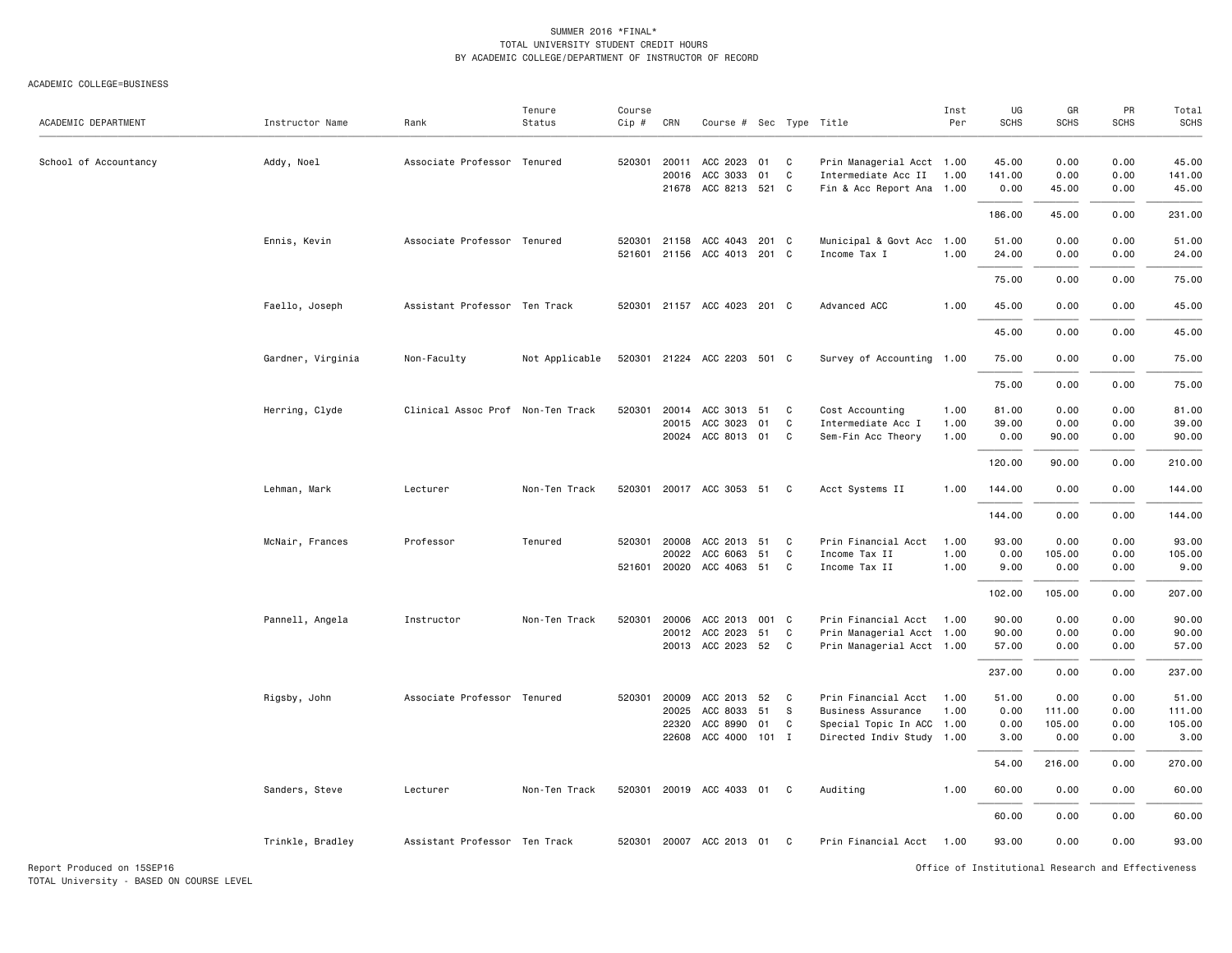ACADEMIC COLLEGE=BUSINESS

| ACADEMIC DEPARTMENT   | Instructor Name   | Rank                              | Tenure<br>Status | Course<br>Cip # | CRN   | Course # Sec Type Title     |    |    |                           | Inst<br>Per | UG<br><b>SCHS</b> | GR<br><b>SCHS</b> | PR<br><b>SCHS</b> | Total<br>SCHS |
|-----------------------|-------------------|-----------------------------------|------------------|-----------------|-------|-----------------------------|----|----|---------------------------|-------------|-------------------|-------------------|-------------------|---------------|
| School of Accountancy | Addy, Noel        | Associate Professor Tenured       |                  | 520301          | 20011 | ACC 2023 01                 |    | C  | Prin Managerial Acct 1.00 |             | 45.00             | 0.00              | 0.00              | 45.00         |
|                       |                   |                                   |                  |                 | 20016 | ACC 3033                    | 01 | C  | Intermediate Acc II       | 1.00        | 141.00            | 0.00              | 0.00              | 141.00        |
|                       |                   |                                   |                  |                 |       | 21678 ACC 8213 521 C        |    |    | Fin & Acc Report Ana 1.00 |             | 0.00              | 45.00             | 0.00              | 45.00         |
|                       |                   |                                   |                  |                 |       |                             |    |    |                           |             | 186.00            | 45.00             | 0.00              | 231.00        |
|                       | Ennis, Kevin      | Associate Professor Tenured       |                  | 520301          |       | 21158 ACC 4043 201 C        |    |    | Municipal & Govt Acc 1.00 |             | 51.00             | 0.00              | 0.00              | 51.00         |
|                       |                   |                                   |                  | 521601          |       | 21156 ACC 4013 201 C        |    |    | Income Tax I              | 1.00        | 24.00             | 0.00              | 0.00              | 24.00         |
|                       |                   |                                   |                  |                 |       |                             |    |    |                           |             | 75.00             | 0.00              | 0.00              | 75.00         |
|                       | Faello, Joseph    | Assistant Professor Ten Track     |                  |                 |       | 520301 21157 ACC 4023 201 C |    |    | Advanced ACC              | 1.00        | 45.00             | 0.00              | 0.00              | 45.00         |
|                       |                   |                                   |                  |                 |       |                             |    |    |                           |             | 45.00             | 0.00              | 0.00              | 45.00         |
|                       | Gardner, Virginia | Non-Faculty                       | Not Applicable   | 520301          |       | 21224 ACC 2203 501 C        |    |    | Survey of Accounting 1.00 |             | 75.00             | 0.00              | 0.00              | 75.00         |
|                       |                   |                                   |                  |                 |       |                             |    |    |                           |             | 75.00             | 0.00              | 0.00              | 75.00         |
|                       | Herring, Clyde    | Clinical Assoc Prof Non-Ten Track |                  | 520301          | 20014 | ACC 3013 51                 |    | C  | Cost Accounting           | 1.00        | 81.00             | 0.00              | 0.00              | 81.00         |
|                       |                   |                                   |                  |                 | 20015 | ACC 3023                    | 01 | C  | Intermediate Acc I        | 1.00        | 39.00             | 0.00              | 0.00              | 39.00         |
|                       |                   |                                   |                  |                 |       | 20024 ACC 8013 01           |    | C  | Sem-Fin Acc Theory        | 1.00        | 0.00              | 90.00             | 0.00              | 90.00         |
|                       |                   |                                   |                  |                 |       |                             |    |    |                           |             | 120.00            | 90.00             | 0.00              | 210.00        |
|                       | Lehman, Mark      | Lecturer                          | Non-Ten Track    | 520301          |       | 20017 ACC 3053 51           |    | C  | Acct Systems II           | 1.00        | 144.00            | 0.00              | 0.00              | 144.00        |
|                       |                   |                                   |                  |                 |       |                             |    |    |                           |             | 144.00            | 0.00              | 0.00              | 144.00        |
|                       | McNair, Frances   | Professor                         | Tenured          | 520301          |       | 20008 ACC 2013 51           |    | C  | Prin Financial Acct       | 1.00        | 93.00             | 0.00              | 0.00              | 93.00         |
|                       |                   |                                   |                  |                 | 20022 | ACC 6063                    | 51 | C  | Income Tax II             | 1.00        | 0.00              | 105.00            | 0.00              | 105.00        |
|                       |                   |                                   |                  | 521601          |       | 20020 ACC 4063 51           |    | C  | Income Tax II             | 1.00        | 9.00              | 0.00              | 0.00              | 9.00          |
|                       |                   |                                   |                  |                 |       |                             |    |    |                           |             | 102.00            | 105.00            | 0.00              | 207.00        |
|                       | Pannell, Angela   | Instructor                        | Non-Ten Track    | 520301          | 20006 | ACC 2013 001 C              |    |    | Prin Financial Acct       | 1.00        | 90.00             | 0.00              | 0.00              | 90.00         |
|                       |                   |                                   |                  |                 | 20012 | ACC 2023                    | 51 | C  | Prin Managerial Acct 1.00 |             | 90.00             | 0.00              | 0.00              | 90.00         |
|                       |                   |                                   |                  |                 |       | 20013 ACC 2023 52           |    | C. | Prin Managerial Acct 1.00 |             | 57.00             | 0.00              | 0.00              | 57.00         |
|                       |                   |                                   |                  |                 |       |                             |    |    |                           |             | 237.00            | 0.00              | 0.00              | 237.00        |
|                       | Rigsby, John      | Associate Professor Tenured       |                  | 520301          | 20009 | ACC 2013 52                 |    | C  | Prin Financial Acct       | 1.00        | 51.00             | 0.00              | 0.00              | 51.00         |
|                       |                   |                                   |                  |                 | 20025 | ACC 8033                    | 51 | s  | <b>Business Assurance</b> | 1.00        | 0.00              | 111.00            | 0.00              | 111.00        |
|                       |                   |                                   |                  |                 | 22320 | ACC 8990 01                 |    | C  | Special Topic In ACC 1.00 |             | 0.00              | 105.00            | 0.00              | 105.00        |
|                       |                   |                                   |                  |                 |       | 22608 ACC 4000 101 I        |    |    | Directed Indiv Study 1.00 |             | 3.00              | 0.00              | 0.00              | 3.00          |
|                       |                   |                                   |                  |                 |       |                             |    |    |                           |             | 54.00             | 216.00            | 0.00              | 270.00        |
|                       | Sanders, Steve    | Lecturer                          | Non-Ten Track    | 520301          |       | 20019 ACC 4033 01           |    | C  | Auditing                  | 1.00        | 60.00             | 0.00              | 0.00              | 60.00         |
|                       |                   |                                   |                  |                 |       |                             |    |    |                           |             | 60.00             | 0.00              | 0.00              | 60.00         |
|                       | Trinkle, Bradley  | Assistant Professor Ten Track     |                  | 520301          |       | 20007 ACC 2013 01           |    | C  | Prin Financial Acct 1.00  |             | 93.00             | 0.00              | 0.00              | 93.00         |

Report Produced on 15SEP16 **Of Exercise 2.0 And Accord 2.0 And Accord 2.0** Office of Institutional Research and Effectiveness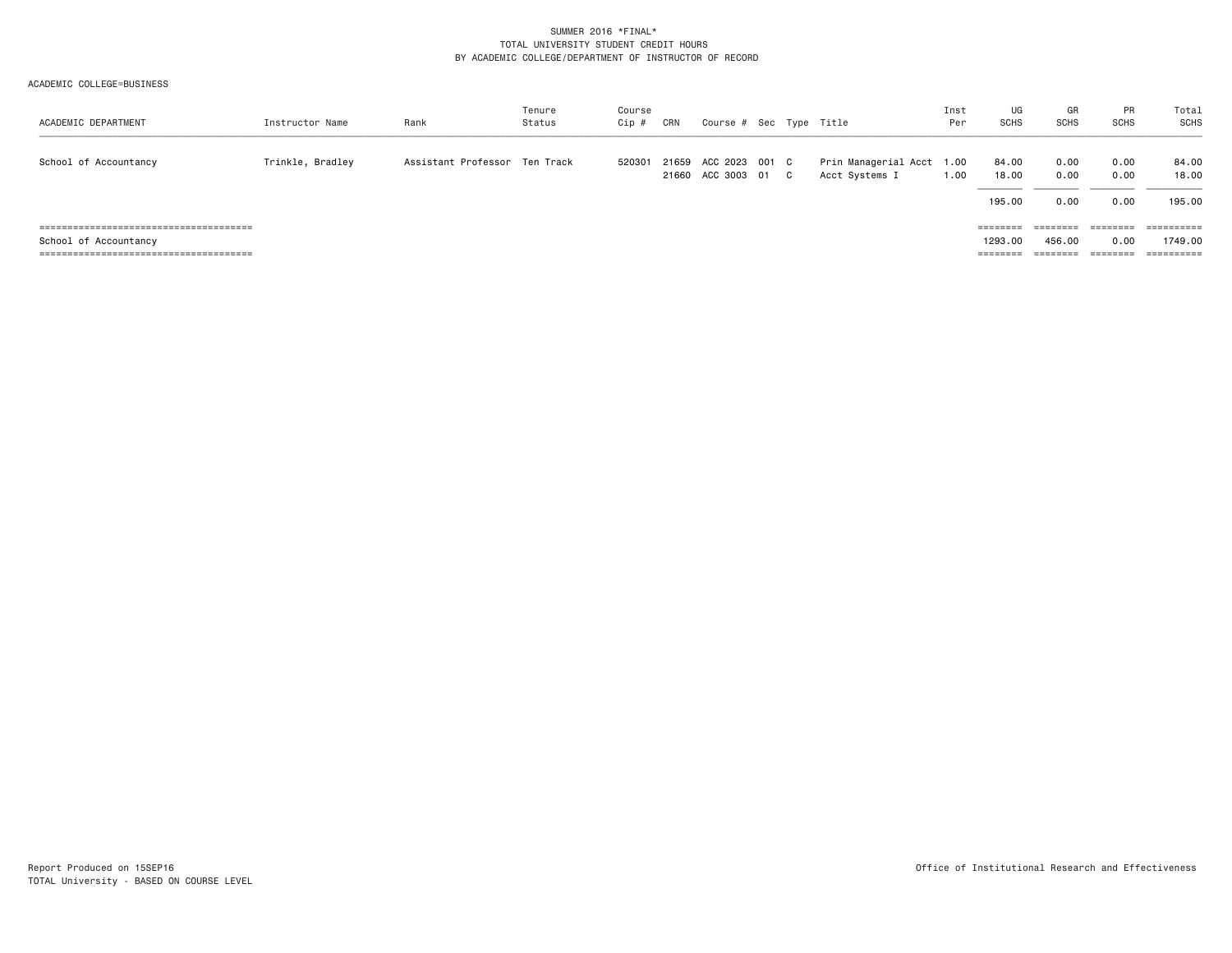#### ACADEMIC COLLEGE=BUSINESS

| ACADEMIC DEPARTMENT   | Instructor Name  | Rank                          | Tenure<br>Status | Course<br>Cip # | CRN   | Course # Sec Type Title               |  |                                             | Inst<br>Per | UG<br><b>SCHS</b>        | GR<br><b>SCHS</b>    | PR<br><b>SCHS</b>    | Total<br>SCHS            |
|-----------------------|------------------|-------------------------------|------------------|-----------------|-------|---------------------------------------|--|---------------------------------------------|-------------|--------------------------|----------------------|----------------------|--------------------------|
| School of Accountancy | Trinkle, Bradley | Assistant Professor Ten Track |                  | 520301          | 21659 | ACC 2023 001 C<br>21660 ACC 3003 01 C |  | Prin Managerial Acct 1.00<br>Acct Systems I | 1.00        | 84.00<br>18.00<br>195,00 | 0.00<br>0.00<br>0.00 | 0.00<br>0.00<br>0.00 | 84.00<br>18.00<br>195.00 |
|                       |                  |                               |                  |                 |       |                                       |  |                                             |             | ========                 | ========             | ========             | ==========               |
| School of Accountancy |                  |                               |                  |                 |       |                                       |  |                                             |             | 1293.00                  | 456,00               | 0.00                 | 1749.00                  |
|                       |                  |                               |                  |                 |       |                                       |  |                                             |             | ========                 | ========             | --------             | ==========               |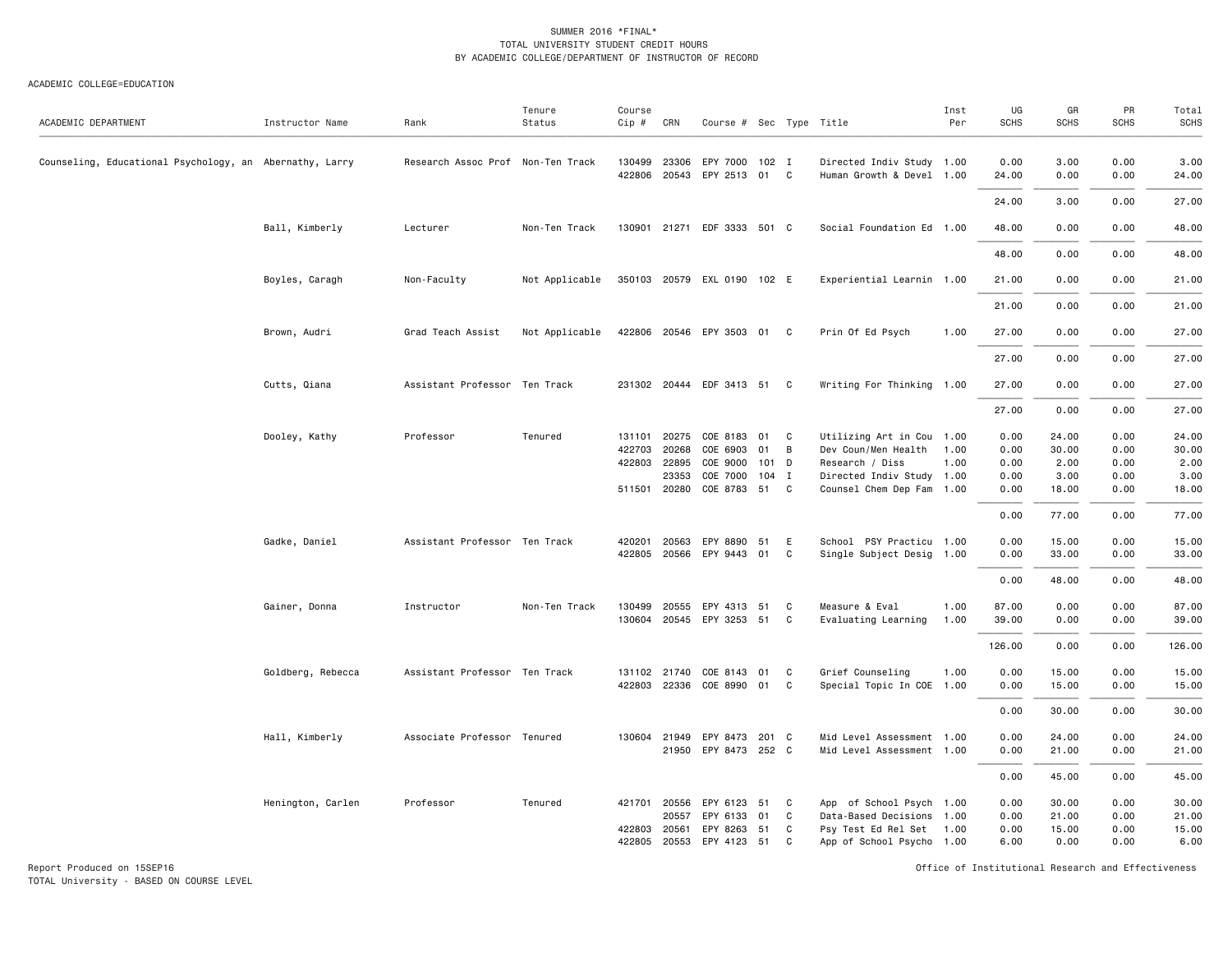#### ACADEMIC COLLEGE=EDUCATION

| ACADEMIC DEPARTMENT                                     | Instructor Name   | Rank                              | Tenure<br>Status | Course<br>Cip #  | CRN            | Course # Sec Type Title       |       |                |                                                        | Inst<br>Per | UG<br><b>SCHS</b> | GR<br>SCHS   | PR<br><b>SCHS</b> | Total<br><b>SCHS</b> |
|---------------------------------------------------------|-------------------|-----------------------------------|------------------|------------------|----------------|-------------------------------|-------|----------------|--------------------------------------------------------|-------------|-------------------|--------------|-------------------|----------------------|
| Counseling, Educational Psychology, an Abernathy, Larry |                   | Research Assoc Prof Non-Ten Track |                  | 130499<br>422806 | 23306<br>20543 | EPY 7000 102 I<br>EPY 2513 01 |       | C              | Directed Indiv Study 1.00<br>Human Growth & Devel 1.00 |             | 0.00<br>24.00     | 3.00<br>0.00 | 0.00<br>0.00      | 3.00<br>24.00        |
|                                                         |                   |                                   |                  |                  |                |                               |       |                |                                                        |             | 24.00             | 3.00         | 0.00              | 27.00                |
|                                                         | Ball, Kimberly    | Lecturer                          | Non-Ten Track    | 130901           |                | 21271 EDF 3333 501 C          |       |                | Social Foundation Ed 1.00                              |             | 48.00             | 0.00         | 0.00              | 48.00                |
|                                                         |                   |                                   |                  |                  |                |                               |       |                |                                                        |             | 48.00             | 0.00         | 0.00              | 48.00                |
|                                                         |                   |                                   |                  |                  |                |                               |       |                |                                                        |             |                   |              |                   |                      |
|                                                         | Boyles, Caragh    | Non-Faculty                       | Not Applicable   |                  |                | 350103 20579 EXL 0190 102 E   |       |                | Experiential Learnin 1.00                              |             | 21.00             | 0.00         | 0.00              | 21.00                |
|                                                         |                   |                                   |                  |                  |                |                               |       |                |                                                        |             | 21.00             | 0.00         | 0.00              | 21.00                |
|                                                         | Brown, Audri      | Grad Teach Assist                 | Not Applicable   |                  |                | 422806 20546 EPY 3503 01 C    |       |                | Prin Of Ed Psych                                       | 1.00        | 27.00             | 0.00         | 0.00              | 27.00                |
|                                                         |                   |                                   |                  |                  |                |                               |       |                |                                                        |             | 27.00             | 0.00         | 0.00              | 27.00                |
|                                                         | Cutts, Qiana      | Assistant Professor Ten Track     |                  |                  |                | 231302 20444 EDF 3413 51 C    |       |                | Writing For Thinking 1.00                              |             | 27.00             | 0.00         | 0.00              | 27.00                |
|                                                         |                   |                                   |                  |                  |                |                               |       |                |                                                        |             | 27.00             | 0.00         | 0.00              | 27.00                |
|                                                         | Dooley, Kathy     | Professor                         | Tenured          | 131101           | 20275          | COE 8183 01                   |       | C <sub>1</sub> | Utilizing Art in Cou 1.00                              |             | 0.00              | 24.00        | 0.00              | 24.00                |
|                                                         |                   |                                   |                  | 422703           | 20268          | COE 6903                      | 01    | B              | Dev Coun/Men Health                                    | 1.00        | 0.00              | 30.00        | 0.00              | 30.00                |
|                                                         |                   |                                   |                  |                  | 422803 22895   | COE 9000                      | 101 D |                | Research / Diss                                        | 1.00        | 0.00              | 2.00         | 0.00              | 2.00                 |
|                                                         |                   |                                   |                  |                  | 23353          | COE 7000                      | 104 I |                | Directed Indiv Study 1.00                              |             | 0.00              | 3.00         | 0.00              | 3.00                 |
|                                                         |                   |                                   |                  | 511501           | 20280          | COE 8783 51                   |       | C.             | Counsel Chem Dep Fam 1.00                              |             | 0.00              | 18.00        | 0.00              | 18.00                |
|                                                         |                   |                                   |                  |                  |                |                               |       |                |                                                        |             | 0.00              | 77.00        | 0.00              | 77.00                |
|                                                         | Gadke, Daniel     | Assistant Professor Ten Track     |                  | 420201           | 20563          | EPY 8890                      | 51    | E              | School PSY Practicu 1.00                               |             | 0.00              | 15.00        | 0.00              | 15.00                |
|                                                         |                   |                                   |                  | 422805           |                | 20566 EPY 9443 01             |       | C              | Single Subject Desig 1.00                              |             | 0.00              | 33.00        | 0.00              | 33.00                |
|                                                         |                   |                                   |                  |                  |                |                               |       |                |                                                        |             | 0.00              | 48.00        | 0.00              | 48.00                |
|                                                         | Gainer, Donna     | Instructor                        | Non-Ten Track    | 130499           | 20555          | EPY 4313 51                   |       | C              | Measure & Eval                                         | 1.00        | 87.00             | 0.00         | 0.00              | 87.00                |
|                                                         |                   |                                   |                  | 130604           | 20545          | EPY 3253 51                   |       | C              | Evaluating Learning                                    | 1.00        | 39.00             | 0.00         | 0.00              | 39.00                |
|                                                         |                   |                                   |                  |                  |                |                               |       |                |                                                        |             | 126.00            | 0.00         | 0.00              | 126.00               |
|                                                         | Goldberg, Rebecca | Assistant Professor Ten Track     |                  |                  | 131102 21740   | COE 8143 01                   |       | C              | Grief Counseling                                       | 1.00        | 0.00              | 15.00        | 0.00              | 15.00                |
|                                                         |                   |                                   |                  | 422803           |                | 22336 COE 8990 01             |       | C              | Special Topic In COE 1.00                              |             | 0.00              | 15.00        | 0.00              | 15.00                |
|                                                         |                   |                                   |                  |                  |                |                               |       |                |                                                        |             | 0.00              | 30.00        | 0.00              | 30.00                |
|                                                         | Hall, Kimberly    | Associate Professor Tenured       |                  |                  | 130604 21949   | EPY 8473                      | 201 C |                | Mid Level Assessment 1.00                              |             | 0.00              | 24.00        | 0.00              | 24.00                |
|                                                         |                   |                                   |                  |                  | 21950          | EPY 8473 252 C                |       |                | Mid Level Assessment 1.00                              |             | 0.00              | 21.00        | 0.00              | 21.00                |
|                                                         |                   |                                   |                  |                  |                |                               |       |                |                                                        |             | 0.00              | 45.00        | 0.00              | 45.00                |
|                                                         | Henington, Carlen | Professor                         | Tenured          |                  | 421701 20556   | EPY 6123                      | 51    | C              | App of School Psych 1.00                               |             | 0.00              | 30.00        | 0.00              | 30.00                |
|                                                         |                   |                                   |                  |                  | 20557          | EPY 6133                      | 01    | C              | Data-Based Decisions 1.00                              |             | 0.00              | 21.00        | 0.00              | 21.00                |
|                                                         |                   |                                   |                  | 422803           | 20561          | EPY 8263                      | 51    | C              | Psy Test Ed Rel Set 1.00                               |             | 0.00              | 15.00        | 0.00              | 15.00                |
|                                                         |                   |                                   |                  | 422805           | 20553          | EPY 4123 51                   |       | C              | App of School Psycho 1.00                              |             | 6.00              | 0.00         | 0.00              | 6.00                 |

Report Produced on 15SEP16 Office of Institutional Research and Effectiveness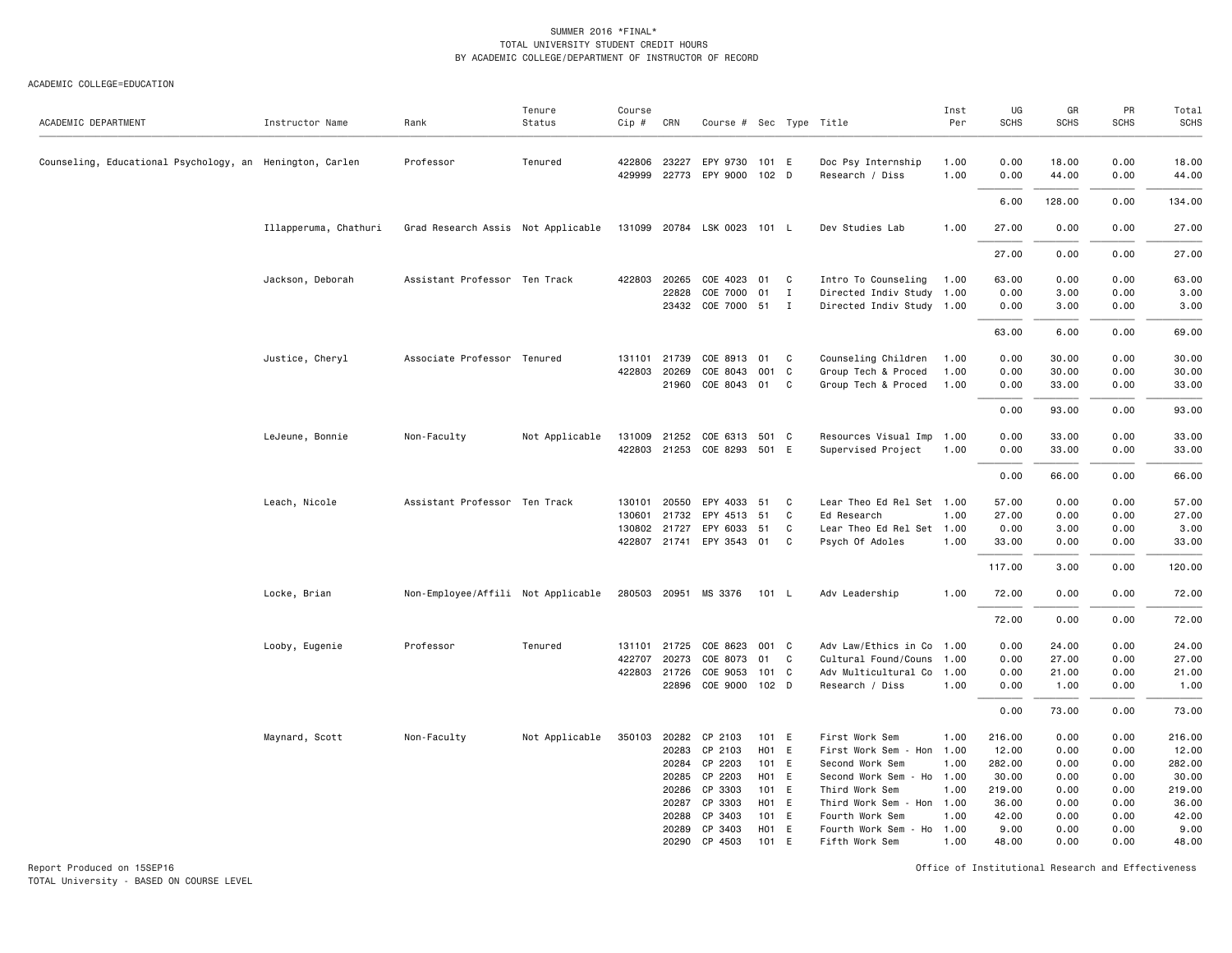#### ACADEMIC COLLEGE=EDUCATION

| ACADEMIC DEPARTMENT                                      | Instructor Name       | Rank                               | Tenure<br>Status | Course<br>Cip #  | CRN                                                | Course # Sec Type Title                                                                          |                                                                        |                   |                                                                                                                                                                                  | Inst<br>Per                                 | UG<br><b>SCHS</b>                                                      | GR<br><b>SCHS</b>                                            | PR<br><b>SCHS</b>                                            | Total<br><b>SCHS</b>                                                   |
|----------------------------------------------------------|-----------------------|------------------------------------|------------------|------------------|----------------------------------------------------|--------------------------------------------------------------------------------------------------|------------------------------------------------------------------------|-------------------|----------------------------------------------------------------------------------------------------------------------------------------------------------------------------------|---------------------------------------------|------------------------------------------------------------------------|--------------------------------------------------------------|--------------------------------------------------------------|------------------------------------------------------------------------|
| Counseling, Educational Psychology, an Henington, Carlen |                       | Professor                          | Tenured          | 429999           | 422806 23227<br>22773                              | EPY 9730 101 E<br>EPY 9000 102 D                                                                 |                                                                        |                   | Doc Psy Internship<br>Research / Diss                                                                                                                                            | 1.00<br>1.00                                | 0.00<br>0.00                                                           | 18.00<br>44.00                                               | 0.00<br>0.00                                                 | 18.00<br>44.00                                                         |
|                                                          |                       |                                    |                  |                  |                                                    |                                                                                                  |                                                                        |                   |                                                                                                                                                                                  |                                             | 6.00                                                                   | 128.00                                                       | 0.00                                                         | 134.00                                                                 |
|                                                          | Illapperuma, Chathuri | Grad Research Assis Not Applicable |                  |                  |                                                    | 131099 20784 LSK 0023                                                                            | 101 L                                                                  |                   | Dev Studies Lab                                                                                                                                                                  | 1.00                                        | 27.00                                                                  | 0.00                                                         | 0.00                                                         | 27.00                                                                  |
|                                                          |                       |                                    |                  |                  |                                                    |                                                                                                  |                                                                        |                   |                                                                                                                                                                                  |                                             | 27.00                                                                  | 0.00                                                         | 0.00                                                         | 27.00                                                                  |
|                                                          | Jackson, Deborah      | Assistant Professor Ten Track      |                  | 422803           | 20265<br>22828                                     | COE 4023<br>COE 7000                                                                             | 01<br>01                                                               | C.<br>$\mathbf I$ | Intro To Counseling<br>Directed Indiv Study 1.00                                                                                                                                 | 1.00                                        | 63.00<br>0.00                                                          | 0.00<br>3.00                                                 | 0.00<br>0.00                                                 | 63.00<br>3.00                                                          |
|                                                          |                       |                                    |                  |                  |                                                    | 23432 COE 7000 51 I                                                                              |                                                                        |                   | Directed Indiv Study 1.00                                                                                                                                                        |                                             | 0.00                                                                   | 3.00                                                         | 0.00                                                         | 3.00                                                                   |
|                                                          |                       |                                    |                  |                  |                                                    |                                                                                                  |                                                                        |                   |                                                                                                                                                                                  |                                             | 63.00                                                                  | 6.00                                                         | 0.00                                                         | 69.00                                                                  |
|                                                          | Justice, Cheryl       | Associate Professor Tenured        |                  | 131101<br>422803 | 21739<br>20269<br>21960                            | COE 8913<br>COE 8043<br>COE 8043 01 C                                                            | 01 C<br>001 C                                                          |                   | Counseling Children<br>Group Tech & Proced<br>Group Tech & Proced                                                                                                                | 1.00<br>1.00<br>1.00                        | 0.00<br>0.00<br>0.00                                                   | 30.00<br>30.00<br>33.00                                      | 0.00<br>0.00<br>0.00                                         | 30.00<br>30.00<br>33.00                                                |
|                                                          |                       |                                    |                  |                  |                                                    |                                                                                                  |                                                                        |                   |                                                                                                                                                                                  |                                             | 0.00                                                                   | 93.00                                                        | 0.00                                                         | 93.00                                                                  |
|                                                          | LeJeune, Bonnie       | Non-Faculty                        | Not Applicable   | 131009           | 21252                                              | COE 6313 501 C<br>422803 21253 COE 8293 501 E                                                    |                                                                        |                   | Resources Visual Imp 1.00<br>Supervised Project                                                                                                                                  | 1.00                                        | 0.00<br>0.00                                                           | 33.00<br>33.00                                               | 0.00<br>0.00                                                 | 33.00<br>33.00                                                         |
|                                                          |                       |                                    |                  |                  |                                                    |                                                                                                  |                                                                        |                   |                                                                                                                                                                                  |                                             | 0.00                                                                   | 66.00                                                        | 0.00                                                         | 66.00                                                                  |
|                                                          | Leach, Nicole         | Assistant Professor Ten Track      |                  | 130101<br>130601 | 20550<br>21732<br>130802 21727                     | EPY 4033<br>EPY 4513<br>EPY 6033<br>422807 21741 EPY 3543 01 C                                   | 51<br>51<br>51                                                         | C<br>C<br>C.      | Lear Theo Ed Rel Set 1.00<br>Ed Research<br>Lear Theo Ed Rel Set 1.00<br>Psych Of Adoles                                                                                         | 1.00<br>1.00                                | 57.00<br>27.00<br>0.00<br>33.00                                        | 0.00<br>0.00<br>3.00<br>0.00                                 | 0.00<br>0.00<br>0.00<br>0.00                                 | 57.00<br>27.00<br>3.00<br>33.00                                        |
|                                                          |                       |                                    |                  |                  |                                                    |                                                                                                  |                                                                        |                   |                                                                                                                                                                                  |                                             | 117.00                                                                 | 3.00                                                         | 0.00                                                         | 120.00                                                                 |
|                                                          | Locke, Brian          | Non-Employee/Affili Not Applicable |                  |                  |                                                    | 280503 20951 MS 3376                                                                             | 101 L                                                                  |                   | Adv Leadership                                                                                                                                                                   | 1.00                                        | 72.00                                                                  | 0.00                                                         | 0.00                                                         | 72.00                                                                  |
|                                                          |                       |                                    |                  |                  |                                                    |                                                                                                  |                                                                        |                   |                                                                                                                                                                                  |                                             | 72.00                                                                  | 0.00                                                         | 0.00                                                         | 72.00                                                                  |
|                                                          | Looby, Eugenie        | Professor                          | Tenured          | 131101<br>422707 | 21725<br>20273<br>422803 21726<br>22896            | COE 8623<br>COE 8073<br>COE 9053<br>COE 9000 102 D                                               | 001 C<br>01 C<br>101 C                                                 |                   | Adv Law/Ethics in Co 1.00<br>Cultural Found/Couns 1.00<br>Adv Multicultural Co 1.00<br>Research / Diss                                                                           | 1.00                                        | 0.00<br>0.00<br>0.00<br>0.00                                           | 24.00<br>27.00<br>21.00<br>1.00                              | 0.00<br>0.00<br>0.00<br>0.00                                 | 24.00<br>27.00<br>21.00<br>1.00                                        |
|                                                          |                       |                                    |                  |                  |                                                    |                                                                                                  |                                                                        |                   |                                                                                                                                                                                  |                                             | 0.00                                                                   | 73.00                                                        | 0.00                                                         | 73.00                                                                  |
|                                                          | Maynard, Scott        | Non-Faculty                        | Not Applicable   | 350103           | 20282<br>20283<br>20285<br>20286<br>20287<br>20288 | CP 2103<br>CP 2103<br>20284 CP 2203<br>CP 2203<br>CP 3303<br>CP 3303<br>CP 3403<br>20289 CP 3403 | 101 E<br>$H01$ E<br>101 E<br>H01 E<br>101 E<br>H01 E<br>101 E<br>H01 E |                   | First Work Sem<br>First Work Sem - Hon 1.00<br>Second Work Sem<br>Second Work Sem<br>Third Work Sem<br>Third Work Sem - Hon 1.00<br>Fourth Work Sem<br>Fourth Work Sem - Ho 1.00 | 1.00<br>1.00<br>$- Ho 1.00$<br>1.00<br>1.00 | 216.00<br>12.00<br>282.00<br>30.00<br>219.00<br>36.00<br>42.00<br>9.00 | 0.00<br>0.00<br>0.00<br>0.00<br>0.00<br>0.00<br>0.00<br>0.00 | 0.00<br>0.00<br>0.00<br>0.00<br>0.00<br>0.00<br>0.00<br>0.00 | 216.00<br>12.00<br>282.00<br>30.00<br>219.00<br>36.00<br>42.00<br>9.00 |
|                                                          |                       |                                    |                  |                  | 20290                                              | CP 4503                                                                                          | 101 F                                                                  |                   | Fifth Work Sem                                                                                                                                                                   | 1.00                                        | 48.00                                                                  | 0.00                                                         | 0.00                                                         | 48.00                                                                  |

Report Produced on 15SEP16 Office of Institutional Research and Effectiveness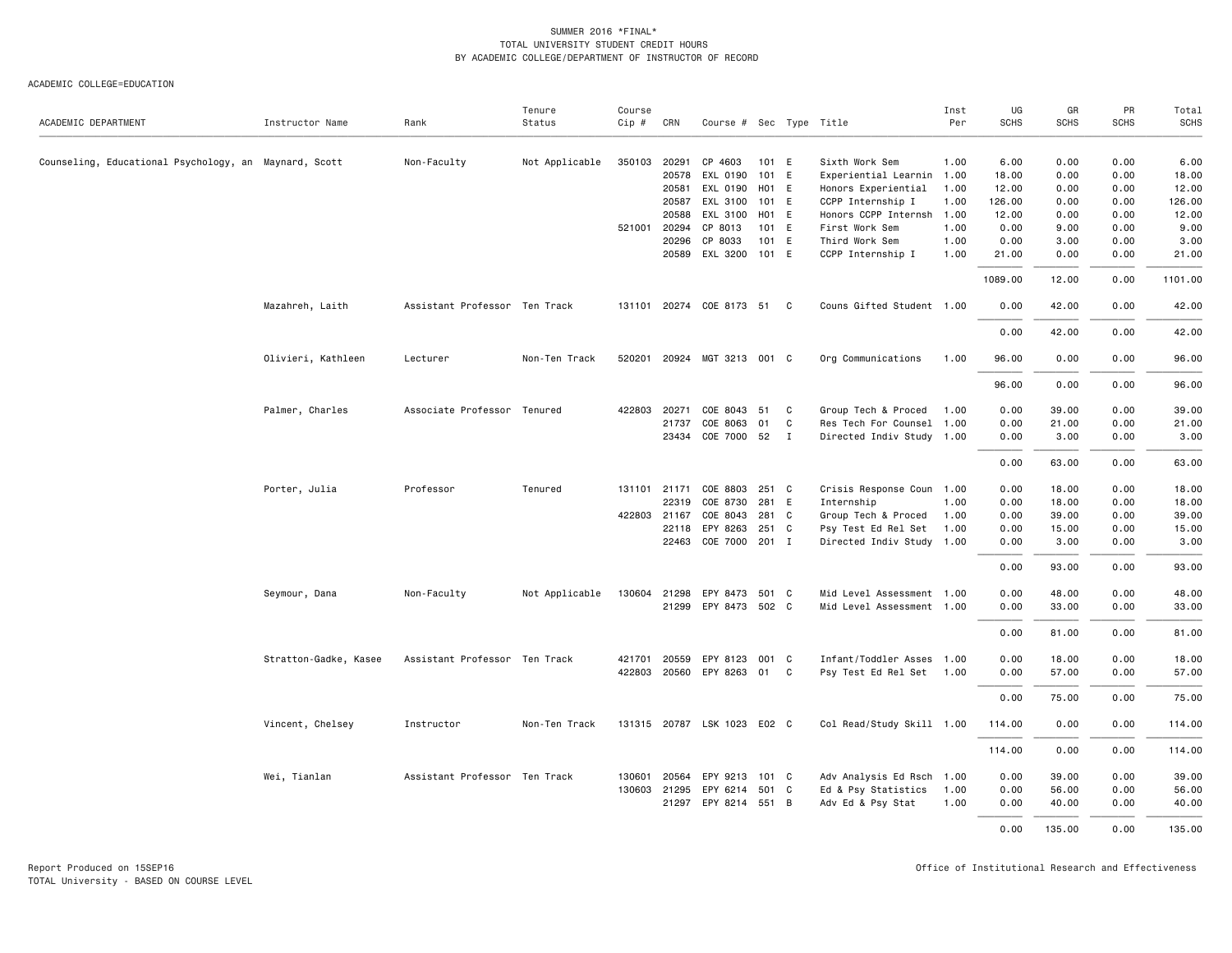| ACADEMIC DEPARTMENT                                   | Instructor Name       | Rank                          | Tenure<br>Status | Course<br>$Cip \#$ | CRN          | Course # Sec Type Title     |       |   |                           | Inst<br>Per | UG<br><b>SCHS</b> | GR<br><b>SCHS</b> | PR<br><b>SCHS</b> | Total<br><b>SCHS</b> |
|-------------------------------------------------------|-----------------------|-------------------------------|------------------|--------------------|--------------|-----------------------------|-------|---|---------------------------|-------------|-------------------|-------------------|-------------------|----------------------|
| Counseling, Educational Psychology, an Maynard, Scott |                       | Non-Faculty                   | Not Applicable   | 350103             | 20291        | CP 4603                     | 101 E |   | Sixth Work Sem            | 1.00        | 6.00              | 0.00              | 0.00              | 6.00                 |
|                                                       |                       |                               |                  |                    | 20578        | EXL 0190                    | 101 E |   | Experiential Learnin 1.00 |             | 18.00             | 0.00              | 0.00              | 18.00                |
|                                                       |                       |                               |                  |                    | 20581        | EXL 0190 H01 E              |       |   | Honors Experiential       | 1.00        | 12.00             | 0.00              | 0.00              | 12.00                |
|                                                       |                       |                               |                  |                    | 20587        | EXL 3100                    | 101 E |   | CCPP Internship I         | 1.00        | 126.00            | 0.00              | 0.00              | 126.00               |
|                                                       |                       |                               |                  |                    | 20588        | EXL 3100                    | H01 E |   | Honors CCPP Internsh 1.00 |             | 12.00             | 0.00              | 0.00              | 12.00                |
|                                                       |                       |                               |                  | 521001             | 20294        | CP 8013                     | 101 E |   | First Work Sem            | 1.00        | 0.00              | 9.00              | 0.00              | 9.00                 |
|                                                       |                       |                               |                  |                    | 20296        | CP 8033                     | 101 E |   | Third Work Sem            | 1.00        | 0.00              | 3.00              | 0.00              | 3.00                 |
|                                                       |                       |                               |                  |                    | 20589        | EXL 3200 101 E              |       |   | CCPP Internship I         | 1.00        | 21.00             | 0.00              | 0.00              | 21.00                |
|                                                       |                       |                               |                  |                    |              |                             |       |   |                           |             | 1089.00           | 12.00             | 0.00              | 1101.00              |
|                                                       | Mazahreh, Laith       | Assistant Professor Ten Track |                  |                    |              | 131101 20274 COE 8173 51 C  |       |   | Couns Gifted Student 1.00 |             | 0.00              | 42.00             | 0.00              | 42.00                |
|                                                       |                       |                               |                  |                    |              |                             |       |   |                           |             | 0.00              | 42.00             | 0.00              | 42.00                |
|                                                       | Olivieri, Kathleen    | Lecturer                      | Non-Ten Track    | 520201             |              | 20924 MGT 3213 001 C        |       |   | Org Communications        | 1.00        | 96.00             | 0.00              | 0.00              | 96.00                |
|                                                       |                       |                               |                  |                    |              |                             |       |   |                           |             | 96.00             | 0.00              | 0.00              | 96.00                |
|                                                       | Palmer, Charles       | Associate Professor Tenured   |                  |                    | 422803 20271 | COE 8043 51 C               |       |   | Group Tech & Proced       | 1.00        | 0.00              | 39.00             | 0.00              | 39.00                |
|                                                       |                       |                               |                  |                    | 21737        | COE 8063                    | 01    | C | Res Tech For Counsel 1.00 |             | 0.00              | 21.00             | 0.00              | 21.00                |
|                                                       |                       |                               |                  |                    |              | 23434 COE 7000 52 I         |       |   | Directed Indiv Study 1.00 |             | 0.00              | 3.00              | 0.00              | 3.00                 |
|                                                       |                       |                               |                  |                    |              |                             |       |   |                           |             | 0.00              | 63.00             | 0.00              | 63.00                |
|                                                       | Porter, Julia         | Professor                     | Tenured          |                    | 131101 21171 | COE 8803 251 C              |       |   | Crisis Response Coun 1.00 |             | 0.00              | 18.00             | 0.00              | 18.00                |
|                                                       |                       |                               |                  |                    | 22319        | COE 8730                    | 281 E |   | Internship                | 1.00        | 0.00              | 18.00             | 0.00              | 18.00                |
|                                                       |                       |                               |                  |                    | 422803 21167 | COE 8043                    | 281 C |   | Group Tech & Proced       | 1.00        | 0.00              | 39.00             | 0.00              | 39.00                |
|                                                       |                       |                               |                  |                    | 22118        | EPY 8263                    | 251 C |   | Psy Test Ed Rel Set       | 1.00        | 0.00              | 15.00             | 0.00              | 15.00                |
|                                                       |                       |                               |                  |                    |              | 22463 COE 7000 201 I        |       |   | Directed Indiv Study 1.00 |             | 0.00              | 3.00              | 0.00              | 3.00                 |
|                                                       |                       |                               |                  |                    |              |                             |       |   |                           |             | 0.00              | 93.00             | 0.00              | 93.00                |
|                                                       | Seymour, Dana         | Non-Faculty                   | Not Applicable   |                    | 130604 21298 | EPY 8473                    | 501 C |   | Mid Level Assessment 1.00 |             | 0.00              | 48.00             | 0.00              | 48.00                |
|                                                       |                       |                               |                  |                    | 21299        | EPY 8473 502 C              |       |   | Mid Level Assessment 1.00 |             | 0.00              | 33.00             | 0.00              | 33.00                |
|                                                       |                       |                               |                  |                    |              |                             |       |   |                           |             | 0.00              | 81.00             | 0.00              | 81.00                |
|                                                       | Stratton-Gadke, Kasee | Assistant Professor Ten Track |                  |                    | 421701 20559 | EPY 8123 001 C              |       |   | Infant/Toddler Asses 1.00 |             | 0.00              | 18.00             | 0.00              | 18.00                |
|                                                       |                       |                               |                  |                    | 422803 20560 | EPY 8263 01 C               |       |   | Psy Test Ed Rel Set 1.00  |             | 0.00              | 57.00             | 0.00              | 57.00                |
|                                                       |                       |                               |                  |                    |              |                             |       |   |                           |             |                   |                   |                   |                      |
|                                                       |                       |                               |                  |                    |              |                             |       |   |                           |             | 0.00              | 75.00             | 0.00              | 75.00                |
|                                                       | Vincent, Chelsey      | Instructor                    | Non-Ten Track    |                    |              | 131315 20787 LSK 1023 E02 C |       |   | Col Read/Study Skill 1.00 |             | 114.00            | 0.00              | 0.00              | 114.00               |
|                                                       |                       |                               |                  |                    |              |                             |       |   |                           |             | 114.00            | 0.00              | 0.00              | 114.00               |
|                                                       | Wei, Tianlan          | Assistant Professor Ten Track |                  |                    | 130601 20564 | EPY 9213                    | 101 C |   | Adv Analysis Ed Rsch 1.00 |             | 0.00              | 39,00             | 0.00              | 39.00                |
|                                                       |                       |                               |                  |                    | 130603 21295 | EPY 6214 501 C              |       |   | Ed & Psy Statistics       | 1.00        | 0.00              | 56.00             | 0.00              | 56.00                |
|                                                       |                       |                               |                  |                    |              | 21297 EPY 8214 551 B        |       |   | Adv Ed & Psy Stat         | 1.00        | 0.00              | 40.00             | 0.00              | 40.00                |
|                                                       |                       |                               |                  |                    |              |                             |       |   |                           |             | 0.00              | 135.00            | 0.00              | 135.00               |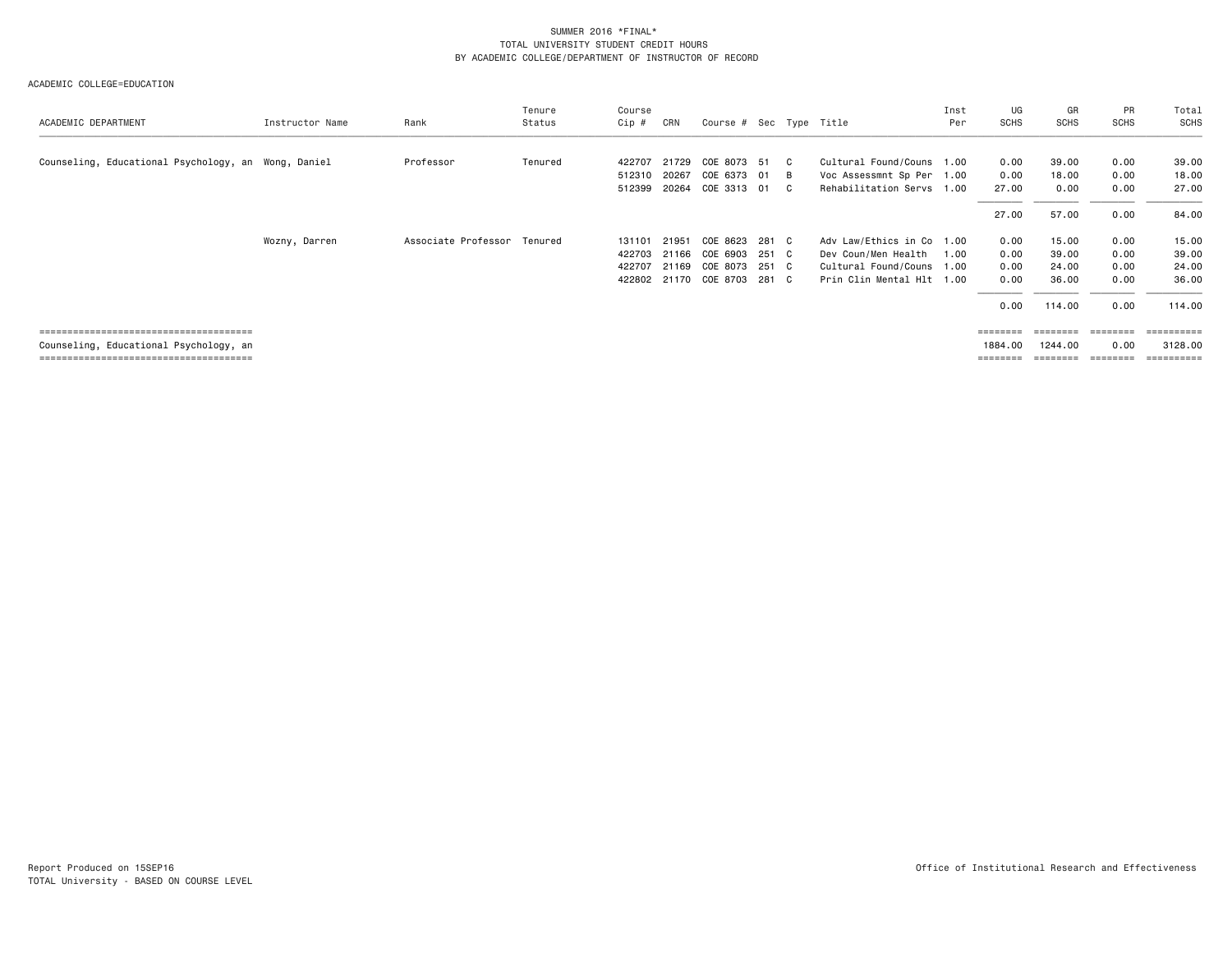| ACADEMIC DEPARTMENT                    | Instructor Name | Rank                | Tenure<br>Status | Course<br>Cip # | CRN   | Course # Sec Type Title |       |    |                           | Inst<br>Per | UG<br>SCHS                                                              | GR<br><b>SCHS</b> | PR<br><b>SCHS</b> | Total<br>SCHS         |
|----------------------------------------|-----------------|---------------------|------------------|-----------------|-------|-------------------------|-------|----|---------------------------|-------------|-------------------------------------------------------------------------|-------------------|-------------------|-----------------------|
|                                        |                 |                     |                  |                 |       |                         |       |    |                           |             |                                                                         |                   |                   |                       |
| Counseling, Educational Psychology, an | Wong, Daniel    | Professor           | Tenured          | 422707          | 21729 | COE 8073 51             |       | C. | Cultural Found/Couns 1.00 |             | 0.00                                                                    | 39.00             | 0.00              | 39.00                 |
|                                        |                 |                     |                  | 512310          | 20267 | COE 6373 01             |       | B  | Voc Assessmnt Sp Per 1.00 |             | 0.00                                                                    | 18.00             | 0.00              | 18.00                 |
|                                        |                 |                     |                  | 512399          | 20264 | COE 3313                | 01    | C  | Rehabilitation Servs 1.00 |             | 27.00                                                                   | 0.00              | 0.00              | 27.00                 |
|                                        |                 |                     |                  |                 |       |                         |       |    |                           |             | 27.00                                                                   | 57.00             | 0.00              | 84.00                 |
|                                        | Wozny, Darren   | Associate Professor | Tenured          | 131101          | 21951 | COE 8623                | 281 C |    | Adv Law/Ethics in Co 1.00 |             | 0.00                                                                    | 15.00             | 0.00              | 15.00                 |
|                                        |                 |                     |                  | 422703          | 21166 | COE 6903                | 251 C |    | Dev Coun/Men Health       | 1.00        | 0.00                                                                    | 39.00             | 0.00              | 39.00                 |
|                                        |                 |                     |                  | 422707          | 21169 | COE 8073                | 251 C |    | Cultural Found/Couns 1.00 |             | 0.00                                                                    | 24.00             | 0.00              | 24.00                 |
|                                        |                 |                     |                  | 422802          | 21170 | COE 8703                | 281 C |    | Prin Clin Mental Hlt 1.00 |             | 0.00                                                                    | 36.00             | 0.00              | 36.00                 |
|                                        |                 |                     |                  |                 |       |                         |       |    |                           |             | 0.00                                                                    | 114.00            | 0.00              | 114.00                |
|                                        |                 |                     |                  |                 |       |                         |       |    |                           |             | $\qquad \qquad \equiv \equiv \equiv \equiv \equiv \equiv \equiv \equiv$ | ========          |                   | ==========            |
| Counseling, Educational Psychology, an |                 |                     |                  |                 |       |                         |       |    |                           |             | 1884.00                                                                 | 1244.00           | 0.00              | 3128.00               |
|                                        |                 |                     |                  |                 |       |                         |       |    |                           |             | $=$ = = = = = = =                                                       | ========          |                   | $=$ = = = = = = = = = |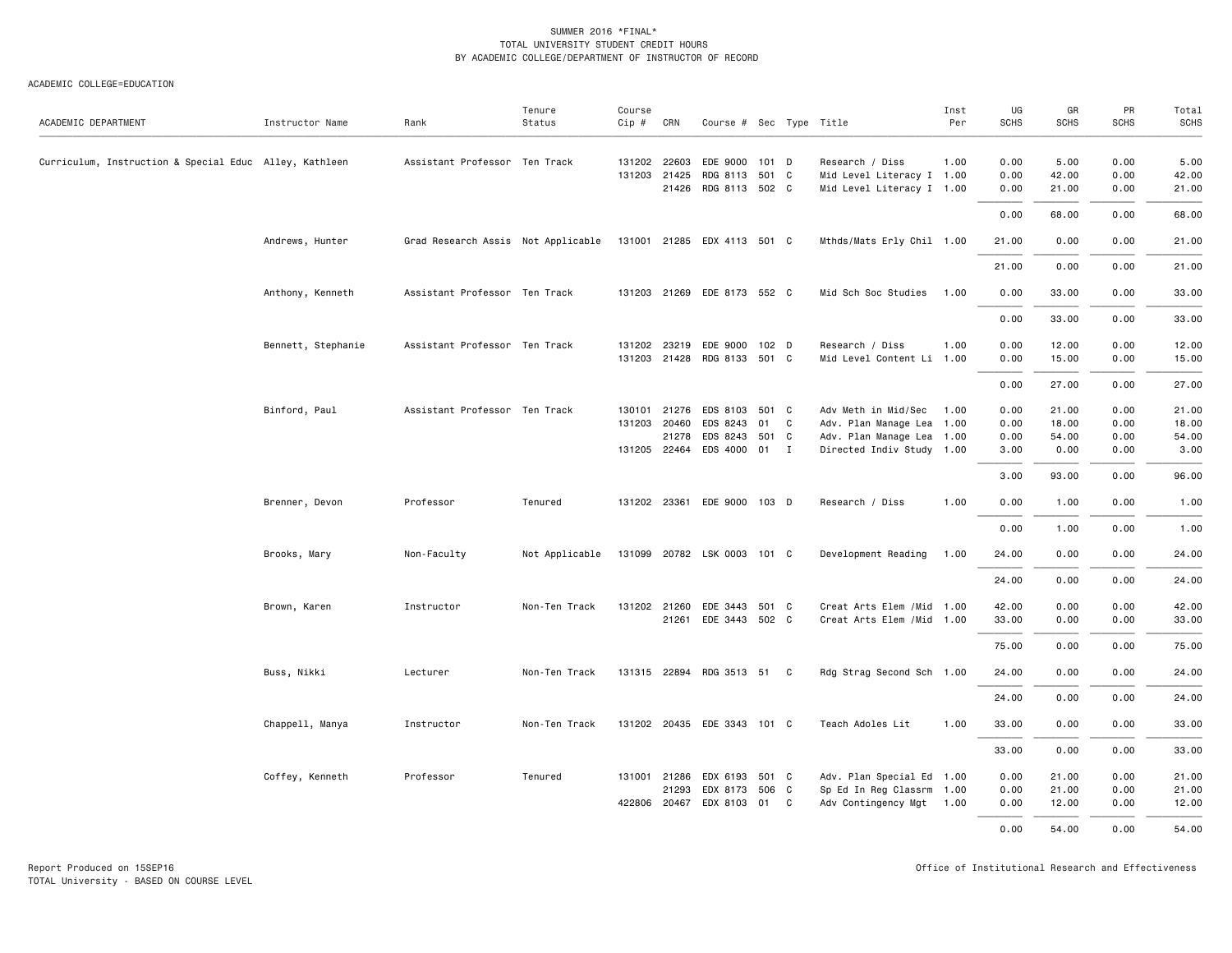| ACADEMIC DEPARTMENT                                    | Instructor Name    | Rank                                                           | Tenure<br>Status | Course<br>$Cip \#$ | CRN          | Course # Sec Type Title     |       |   |                            | Inst<br>Per | UG<br>SCHS | GR<br><b>SCHS</b> | PR<br><b>SCHS</b> | Total<br>SCHS |
|--------------------------------------------------------|--------------------|----------------------------------------------------------------|------------------|--------------------|--------------|-----------------------------|-------|---|----------------------------|-------------|------------|-------------------|-------------------|---------------|
|                                                        |                    |                                                                |                  |                    |              |                             |       |   |                            |             |            |                   |                   |               |
| Curriculum, Instruction & Special Educ Alley, Kathleen |                    | Assistant Professor Ten Track                                  |                  |                    | 131202 22603 | EDE 9000                    | 101 D |   | Research / Diss            | 1.00        | 0.00       | 5.00              | 0.00              | 5.00          |
|                                                        |                    |                                                                |                  |                    | 131203 21425 | RDG 8113 501 C              |       |   | Mid Level Literacy I 1.00  |             | 0.00       | 42.00             | 0.00              | 42.00         |
|                                                        |                    |                                                                |                  |                    |              | 21426 RDG 8113 502 C        |       |   | Mid Level Literacy I 1.00  |             | 0.00       | 21.00             | 0.00              | 21.00         |
|                                                        |                    |                                                                |                  |                    |              |                             |       |   |                            |             | 0.00       | 68.00             | 0.00              | 68.00         |
|                                                        | Andrews, Hunter    | Grad Research Assis Not Applicable 131001 21285 EDX 4113 501 C |                  |                    |              |                             |       |   | Mthds/Mats Erly Chil 1.00  |             | 21.00      | 0.00              | 0.00              | 21.00         |
|                                                        |                    |                                                                |                  |                    |              |                             |       |   |                            |             | 21.00      | 0.00              | 0.00              | 21.00         |
|                                                        | Anthony, Kenneth   | Assistant Professor Ten Track                                  |                  |                    |              | 131203 21269 EDE 8173 552 C |       |   | Mid Sch Soc Studies        | 1.00        | 0.00       | 33.00             | 0.00              | 33.00         |
|                                                        |                    |                                                                |                  |                    |              |                             |       |   |                            |             | 0.00       | 33.00             | 0.00              | 33.00         |
|                                                        | Bennett, Stephanie | Assistant Professor Ten Track                                  |                  |                    |              | 131202 23219 EDE 9000 102 D |       |   | Research / Diss            | 1.00        | 0.00       | 12.00             | 0.00              | 12.00         |
|                                                        |                    |                                                                |                  |                    |              | 131203 21428 RDG 8133 501 C |       |   | Mid Level Content Li 1.00  |             | 0.00       | 15.00             | 0.00              | 15.00         |
|                                                        |                    |                                                                |                  |                    |              |                             |       |   |                            |             | 0.00       | 27.00             | 0.00              | 27.00         |
|                                                        | Binford, Paul      | Assistant Professor Ten Track                                  |                  | 130101 21276       |              | EDS 8103                    | 501 C |   | Adv Meth in Mid/Sec        | 1.00        | 0.00       | 21.00             | 0.00              | 21.00         |
|                                                        |                    |                                                                |                  |                    | 131203 20460 | EDS 8243                    | 01    | C | Adv. Plan Manage Lea 1.00  |             | 0.00       | 18.00             | 0.00              | 18.00         |
|                                                        |                    |                                                                |                  |                    | 21278        | EDS 8243                    | 501 C |   | Adv. Plan Manage Lea 1.00  |             | 0.00       | 54.00             | 0.00              | 54.00         |
|                                                        |                    |                                                                |                  |                    |              | 131205 22464 EDS 4000 01 I  |       |   | Directed Indiv Study 1.00  |             | 3.00       | 0.00              | 0.00              | 3.00          |
|                                                        |                    |                                                                |                  |                    |              |                             |       |   |                            |             | 3.00       | 93.00             | 0.00              | 96.00         |
|                                                        | Brenner, Devon     | Professor                                                      | Tenured          |                    |              | 131202 23361 EDE 9000 103 D |       |   | Research / Diss            | 1.00        | 0.00       | 1.00              | 0.00              | 1.00          |
|                                                        |                    |                                                                |                  |                    |              |                             |       |   |                            |             | 0.00       | 1.00              | 0.00              | 1.00          |
|                                                        | Brooks, Mary       | Non-Faculty                                                    | Not Applicable   |                    |              | 131099 20782 LSK 0003 101 C |       |   | Development Reading        | 1.00        | 24.00      | 0.00              | 0.00              | 24.00         |
|                                                        |                    |                                                                |                  |                    |              |                             |       |   |                            |             | 24.00      | 0.00              | 0.00              | 24.00         |
|                                                        | Brown, Karen       | Instructor                                                     | Non-Ten Track    | 131202 21260       |              | EDE 3443 501 C              |       |   | Creat Arts Elem / Mid 1.00 |             | 42.00      | 0.00              | 0.00              | 42.00         |
|                                                        |                    |                                                                |                  |                    |              | 21261 EDE 3443 502 C        |       |   | Creat Arts Elem / Mid 1.00 |             | 33.00      | 0.00              | 0.00              | 33.00         |
|                                                        |                    |                                                                |                  |                    |              |                             |       |   |                            |             | 75.00      | 0.00              | 0.00              | 75.00         |
|                                                        | Buss, Nikki        | Lecturer                                                       | Non-Ten Track    |                    |              | 131315 22894 RDG 3513 51 C  |       |   | Rdg Strag Second Sch 1.00  |             | 24.00      | 0.00              | 0.00              | 24.00         |
|                                                        |                    |                                                                |                  |                    |              |                             |       |   |                            |             | 24.00      | 0.00              | 0.00              | 24.00         |
|                                                        | Chappell, Manya    | Instructor                                                     | Non-Ten Track    |                    |              | 131202 20435 EDE 3343 101 C |       |   | Teach Adoles Lit           | 1.00        | 33.00      | 0.00              | 0.00              | 33.00         |
|                                                        |                    |                                                                |                  |                    |              |                             |       |   |                            |             | 33.00      | 0.00              | 0.00              | 33.00         |
|                                                        | Coffey, Kenneth    | Professor                                                      | Tenured          |                    |              | 131001 21286 EDX 6193       | 501 C |   | Adv. Plan Special Ed 1.00  |             | 0.00       | 21.00             | 0.00              | 21.00         |
|                                                        |                    |                                                                |                  |                    | 21293        | EDX 8173 506 C              |       |   | Sp Ed In Reg Classrm 1.00  |             | 0.00       | 21.00             | 0.00              | 21.00         |
|                                                        |                    |                                                                |                  |                    | 422806 20467 | EDX 8103                    | 01 C  |   | Adv Contingency Mgt 1.00   |             | 0.00       | 12.00             | 0.00              | 12.00         |
|                                                        |                    |                                                                |                  |                    |              |                             |       |   |                            |             | 0.00       | 54.00             | 0.00              | 54.00         |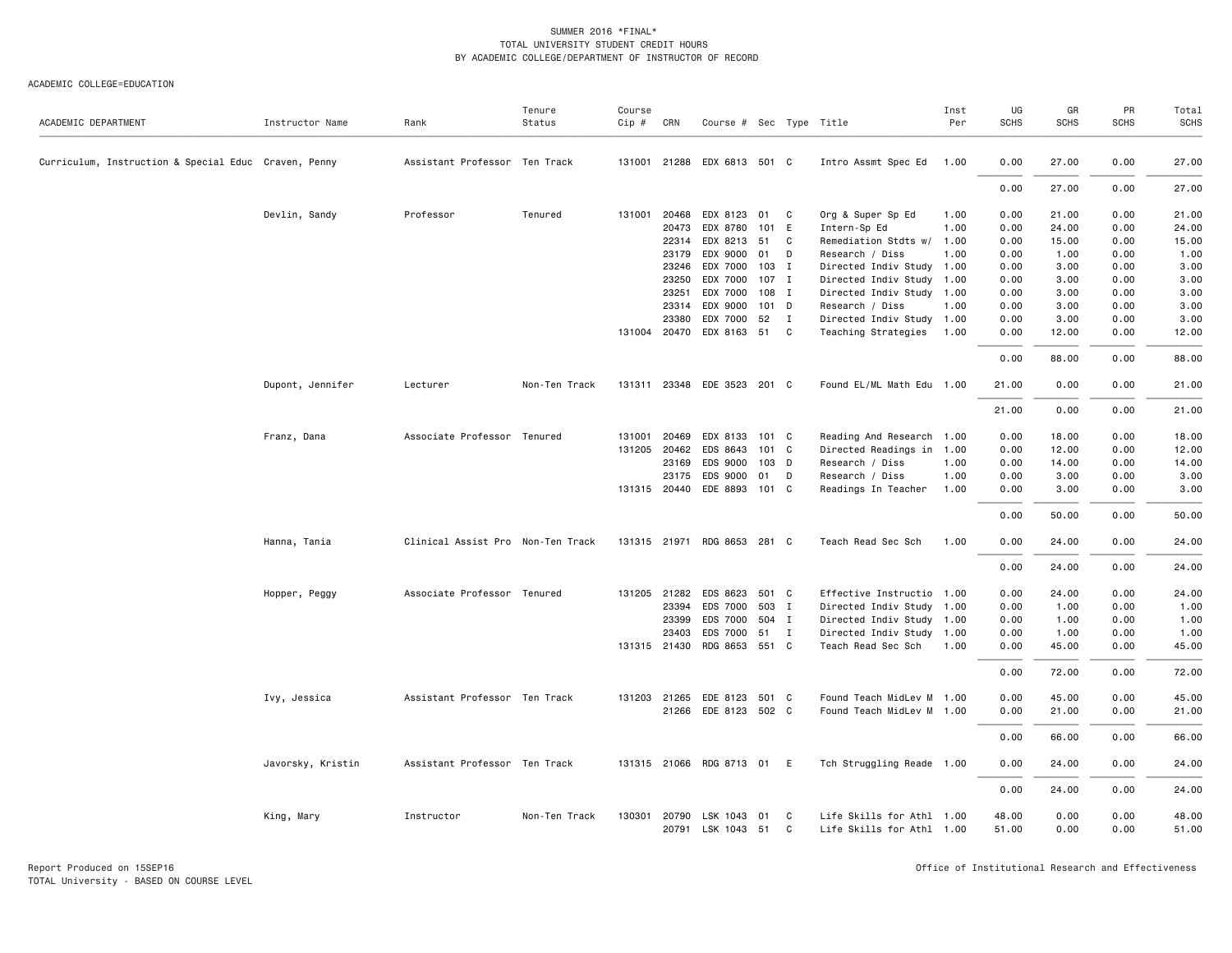| ACADEMIC DEPARTMENT                                  | Instructor Name   | Rank                              | Tenure<br>Status | Course<br>Cip # | CRN          | Course # Sec Type Title            |       |              |                                                        | Inst<br>Per | UG<br><b>SCHS</b> | GR<br><b>SCHS</b> | PR<br><b>SCHS</b> | Total<br><b>SCHS</b> |
|------------------------------------------------------|-------------------|-----------------------------------|------------------|-----------------|--------------|------------------------------------|-------|--------------|--------------------------------------------------------|-------------|-------------------|-------------------|-------------------|----------------------|
|                                                      |                   |                                   |                  |                 |              |                                    |       |              |                                                        |             |                   |                   |                   |                      |
| Curriculum, Instruction & Special Educ Craven, Penny |                   | Assistant Professor Ten Track     |                  | 131001          |              | 21288 EDX 6813 501 C               |       |              | Intro Assmt Spec Ed                                    | 1.00        | 0.00              | 27.00             | 0.00              | 27.00                |
|                                                      |                   |                                   |                  |                 |              |                                    |       |              |                                                        |             | 0.00              | 27.00             | 0.00              | 27.00                |
|                                                      | Devlin, Sandy     | Professor                         | Tenured          |                 | 131001 20468 | EDX 8123 01 C                      |       |              | Org & Super Sp Ed                                      | 1.00        | 0.00              | 21.00             | 0.00              | 21.00                |
|                                                      |                   |                                   |                  |                 | 20473        | EDX 8780                           | 101   | E            | Intern-Sp Ed                                           | 1.00        | 0.00              | 24.00             | 0.00              | 24.00                |
|                                                      |                   |                                   |                  |                 | 22314        | EDX 8213 51                        |       | C            | Remediation Stdts w/                                   | 1.00        | 0.00              | 15.00             | 0.00              | 15.00                |
|                                                      |                   |                                   |                  |                 | 23179        | EDX 9000                           | 01 D  |              | Research / Diss                                        | 1.00        | 0.00              | 1.00              | 0.00              | 1.00                 |
|                                                      |                   |                                   |                  |                 | 23246        | EDX 7000                           | 103 I |              | Directed Indiv Study 1.00                              |             | 0.00              | 3.00              | 0.00              | 3.00                 |
|                                                      |                   |                                   |                  |                 | 23250        | EDX 7000                           | 107 I |              | Directed Indiv Study 1.00                              |             | 0.00              | 3.00              | 0.00              | 3.00                 |
|                                                      |                   |                                   |                  |                 | 23251        | EDX 7000                           | 108 I |              | Directed Indiv Study 1.00                              |             | 0.00              | 3.00              | 0.00              | 3.00                 |
|                                                      |                   |                                   |                  |                 | 23314        | EDX 9000                           | 101 D |              | Research / Diss                                        | 1.00        | 0.00              | 3.00              | 0.00              | 3.00                 |
|                                                      |                   |                                   |                  |                 | 23380        | EDX 7000                           | 52    | $\mathbf{I}$ | Directed Indiv Study 1.00                              |             | 0.00              | 3.00              | 0.00              | 3.00                 |
|                                                      |                   |                                   |                  |                 | 131004 20470 | EDX 8163 51 C                      |       |              | Teaching Strategies                                    | 1.00        | 0.00              | 12.00             | 0.00              | 12.00                |
|                                                      |                   |                                   |                  |                 |              |                                    |       |              |                                                        |             | 0.00              | 88.00             | 0.00              | 88.00                |
|                                                      | Dupont, Jennifer  | Lecturer                          | Non-Ten Track    | 131311          |              | 23348 EDE 3523 201 C               |       |              | Found EL/ML Math Edu 1.00                              |             | 21.00             | 0.00              | 0.00              | 21.00                |
|                                                      |                   |                                   |                  |                 |              |                                    |       |              |                                                        |             | 21.00             | 0.00              | 0.00              | 21.00                |
|                                                      | Franz, Dana       | Associate Professor Tenured       |                  | 131001          | 20469        | EDX 8133                           | 101 C |              | Reading And Research 1.00                              |             | 0.00              | 18.00             | 0.00              | 18.00                |
|                                                      |                   |                                   |                  |                 | 131205 20462 | EDS 8643                           | 101 C |              | Directed Readings in 1.00                              |             | 0.00              | 12.00             | 0.00              | 12.00                |
|                                                      |                   |                                   |                  |                 | 23169        | EDS 9000                           | 103 D |              | Research / Diss                                        | 1.00        | 0.00              | 14.00             | 0.00              | 14.00                |
|                                                      |                   |                                   |                  |                 | 23175        | EDS 9000                           | 01    | D            | Research / Diss                                        | 1.00        | 0.00              | 3.00              | 0.00              | 3.00                 |
|                                                      |                   |                                   |                  |                 |              | 131315 20440 EDE 8893 101 C        |       |              | Readings In Teacher                                    | 1.00        | 0.00              | 3.00              | 0.00              | 3.00                 |
|                                                      |                   |                                   |                  |                 |              |                                    |       |              |                                                        |             | 0.00              | 50.00             | 0.00              | 50.00                |
|                                                      | Hanna, Tania      | Clinical Assist Pro Non-Ten Track |                  |                 | 131315 21971 | RDG 8653 281 C                     |       |              | Teach Read Sec Sch                                     | 1.00        | 0.00              | 24.00             | 0.00              | 24.00                |
|                                                      |                   |                                   |                  |                 |              |                                    |       |              |                                                        |             | 0.00              | 24.00             | 0.00              | 24.00                |
|                                                      | Hopper, Peggy     | Associate Professor Tenured       |                  |                 | 131205 21282 | EDS 8623                           | 501 C |              | Effective Instructio 1.00                              |             | 0.00              | 24.00             | 0.00              | 24.00                |
|                                                      |                   |                                   |                  |                 | 23394        | EDS 7000                           | 503 I |              | Directed Indiv Study 1.00                              |             | 0.00              | 1.00              | 0.00              | 1.00                 |
|                                                      |                   |                                   |                  |                 | 23399        | EDS 7000                           | 504 I |              | Directed Indiv Study 1.00                              |             | 0.00              | 1.00              | 0.00              | 1.00                 |
|                                                      |                   |                                   |                  |                 | 23403        | EDS 7000 51 I                      |       |              | Directed Indiv Study 1.00                              |             | 0.00              | 1.00              | 0.00              | 1.00                 |
|                                                      |                   |                                   |                  |                 | 131315 21430 | RDG 8653 551 C                     |       |              | Teach Read Sec Sch                                     | 1.00        | 0.00              | 45.00             | 0.00              | 45.00                |
|                                                      |                   |                                   |                  |                 |              |                                    |       |              |                                                        |             | 0.00              | 72.00             | 0.00              | 72.00                |
|                                                      | Ivy, Jessica      | Assistant Professor Ten Track     |                  |                 | 131203 21265 | EDE 8123 501 C                     |       |              | Found Teach MidLev M 1.00                              |             | 0.00              | 45.00             | 0.00              | 45.00                |
|                                                      |                   |                                   |                  |                 |              | 21266 EDE 8123 502 C               |       |              | Found Teach MidLev M 1.00                              |             | 0.00              | 21.00             | 0.00              | 21.00                |
|                                                      |                   |                                   |                  |                 |              |                                    |       |              |                                                        |             | 0.00              | 66.00             | 0.00              | 66.00                |
|                                                      | Javorsky, Kristin | Assistant Professor Ten Track     |                  |                 |              | 131315 21066 RDG 8713 01 E         |       |              | Tch Struggling Reade 1.00                              |             | 0.00              | 24.00             | 0.00              | 24.00                |
|                                                      |                   |                                   |                  |                 |              |                                    |       |              |                                                        |             | 0.00              | 24.00             | 0.00              | 24.00                |
|                                                      | King, Mary        | Instructor                        | Non-Ten Track    | 130301          | 20790        | LSK 1043 01<br>20791 LSK 1043 51 C |       | C            | Life Skills for Athl 1.00<br>Life Skills for Athl 1.00 |             | 48.00<br>51.00    | 0.00<br>0.00      | 0.00<br>0.00      | 48.00<br>51.00       |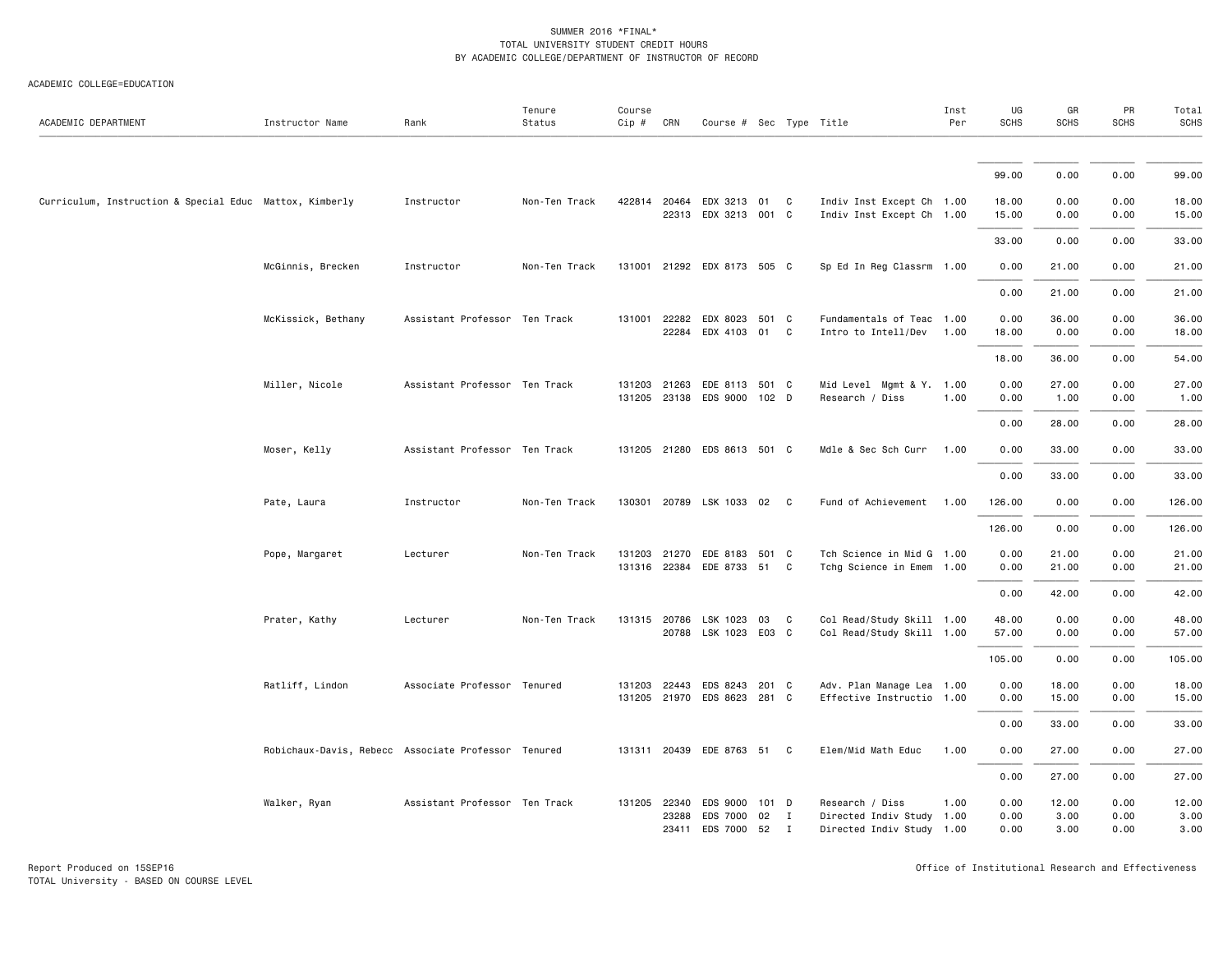| ACADEMIC DEPARTMENT                                     | Instructor Name                                     | Rank                          | Tenure<br>Status | Course<br>$Cip \#$     | CRN            | Course # Sec Type Title                         |       |                          |                                                                           | Inst<br>Per | UG<br><b>SCHS</b>    | GR<br><b>SCHS</b>     | PR<br><b>SCHS</b>    | Total<br><b>SCHS</b>  |
|---------------------------------------------------------|-----------------------------------------------------|-------------------------------|------------------|------------------------|----------------|-------------------------------------------------|-------|--------------------------|---------------------------------------------------------------------------|-------------|----------------------|-----------------------|----------------------|-----------------------|
|                                                         |                                                     |                               |                  |                        |                |                                                 |       |                          |                                                                           |             |                      |                       |                      |                       |
|                                                         |                                                     |                               |                  |                        |                |                                                 |       |                          |                                                                           |             | 99.00                | 0.00                  | 0.00                 | 99.00                 |
| Curriculum, Instruction & Special Educ Mattox, Kimberly |                                                     | Instructor                    | Non-Ten Track    | 422814 20464           | 22313          | EDX 3213 01 C<br>EDX 3213 001 C                 |       |                          | Indiv Inst Except Ch 1.00<br>Indiv Inst Except Ch 1.00                    |             | 18.00<br>15.00       | 0.00<br>0.00          | 0.00<br>0.00         | 18.00<br>15.00        |
|                                                         |                                                     |                               |                  |                        |                |                                                 |       |                          |                                                                           |             | 33.00                | 0.00                  | 0.00                 | 33.00                 |
|                                                         | McGinnis, Brecken                                   | Instructor                    | Non-Ten Track    |                        |                | 131001 21292 EDX 8173 505 C                     |       |                          | Sp Ed In Reg Classrm 1.00                                                 |             | 0.00                 | 21.00                 | 0.00                 | 21.00                 |
|                                                         |                                                     |                               |                  |                        |                |                                                 |       |                          |                                                                           |             | 0.00                 | 21.00                 | 0.00                 | 21.00                 |
|                                                         | McKissick, Bethany                                  | Assistant Professor Ten Track |                  | 131001                 | 22282<br>22284 | EDX 8023 501 C<br>EDX 4103 01                   |       | C                        | Fundamentals of Teac 1.00<br>Intro to Intell/Dev                          | 1.00        | 0.00<br>18.00        | 36.00<br>0.00         | 0.00<br>0.00         | 36.00<br>18.00        |
|                                                         |                                                     |                               |                  |                        |                |                                                 |       |                          |                                                                           |             | 18.00                | 36.00                 | 0.00                 | 54.00                 |
|                                                         | Miller, Nicole                                      | Assistant Professor Ten Track |                  | 131203                 | 21263          | EDE 8113 501 C<br>131205 23138 EDS 9000 102 D   |       |                          | Mid Level Mgmt & Y. 1.00<br>Research / Diss                               | 1.00        | 0.00<br>0.00         | 27.00<br>1.00         | 0.00<br>0.00         | 27.00<br>1.00         |
|                                                         |                                                     |                               |                  |                        |                |                                                 |       |                          |                                                                           |             | 0.00                 | 28.00                 | 0.00                 | 28.00                 |
|                                                         | Moser, Kelly                                        | Assistant Professor Ten Track |                  |                        |                | 131205 21280 EDS 8613 501 C                     |       |                          | Mdle & Sec Sch Curr                                                       | 1.00        | 0.00                 | 33.00                 | 0.00                 | 33.00                 |
|                                                         |                                                     |                               |                  |                        |                |                                                 |       |                          |                                                                           |             | 0.00                 | 33.00                 | 0.00                 | 33.00                 |
|                                                         | Pate, Laura                                         | Instructor                    | Non-Ten Track    |                        |                | 130301 20789 LSK 1033 02 C                      |       |                          | Fund of Achievement                                                       | 1.00        | 126.00               | 0.00                  | 0.00                 | 126.00                |
|                                                         |                                                     |                               |                  |                        |                |                                                 |       |                          |                                                                           |             | 126.00               | 0.00                  | 0.00                 | 126.00                |
|                                                         | Pope, Margaret                                      | Lecturer                      | Non-Ten Track    | 131203<br>131316 22384 | 21270          | EDE 8183<br>EDE 8733 51 C                       | 501 C |                          | Tch Science in Mid G 1.00<br>Tchg Science in Emem 1.00                    |             | 0.00<br>0.00         | 21.00<br>21.00        | 0.00<br>0.00         | 21.00<br>21.00        |
|                                                         |                                                     |                               |                  |                        |                |                                                 |       |                          |                                                                           |             | 0.00                 | 42.00                 | 0.00                 | 42.00                 |
|                                                         | Prater, Kathy                                       | Lecturer                      | Non-Ten Track    | 131315                 | 20786          | LSK 1023<br>20788 LSK 1023 E03 C                | 03    | C                        | Col Read/Study Skill 1.00<br>Col Read/Study Skill 1.00                    |             | 48.00<br>57.00       | 0.00<br>0.00          | 0.00<br>0.00         | 48.00<br>57.00        |
|                                                         |                                                     |                               |                  |                        |                |                                                 |       |                          |                                                                           |             | 105.00               | 0.00                  | 0.00                 | 105.00                |
|                                                         | Ratliff, Lindon                                     | Associate Professor Tenured   |                  | 131203 22443           |                | EDS 8243 201 C<br>131205 21970 EDS 8623 281 C   |       |                          | Adv. Plan Manage Lea 1.00<br>Effective Instructio 1.00                    |             | 0.00<br>0.00         | 18.00<br>15.00        | 0.00<br>0.00         | 18.00<br>15.00        |
|                                                         |                                                     |                               |                  |                        |                |                                                 |       |                          |                                                                           |             | 0.00                 | 33.00                 | 0.00                 | 33.00                 |
|                                                         | Robichaux-Davis, Rebecc Associate Professor Tenured |                               |                  |                        |                | 131311 20439 EDE 8763 51                        |       | C                        | Elem/Mid Math Educ                                                        | 1.00        | 0.00                 | 27.00                 | 0.00                 | 27.00                 |
|                                                         |                                                     |                               |                  |                        |                |                                                 |       |                          |                                                                           |             | 0.00                 | 27.00                 | 0.00                 | 27.00                 |
|                                                         | Walker, Ryan                                        | Assistant Professor Ten Track |                  | 131205 22340           | 23288          | EDS 9000 101 D<br>EDS 7000<br>23411 EDS 7000 52 | 02    | $\mathbf{I}$<br><b>I</b> | Research / Diss<br>Directed Indiv Study 1.00<br>Directed Indiv Study 1.00 | 1.00        | 0.00<br>0.00<br>0.00 | 12.00<br>3.00<br>3.00 | 0.00<br>0.00<br>0.00 | 12.00<br>3.00<br>3.00 |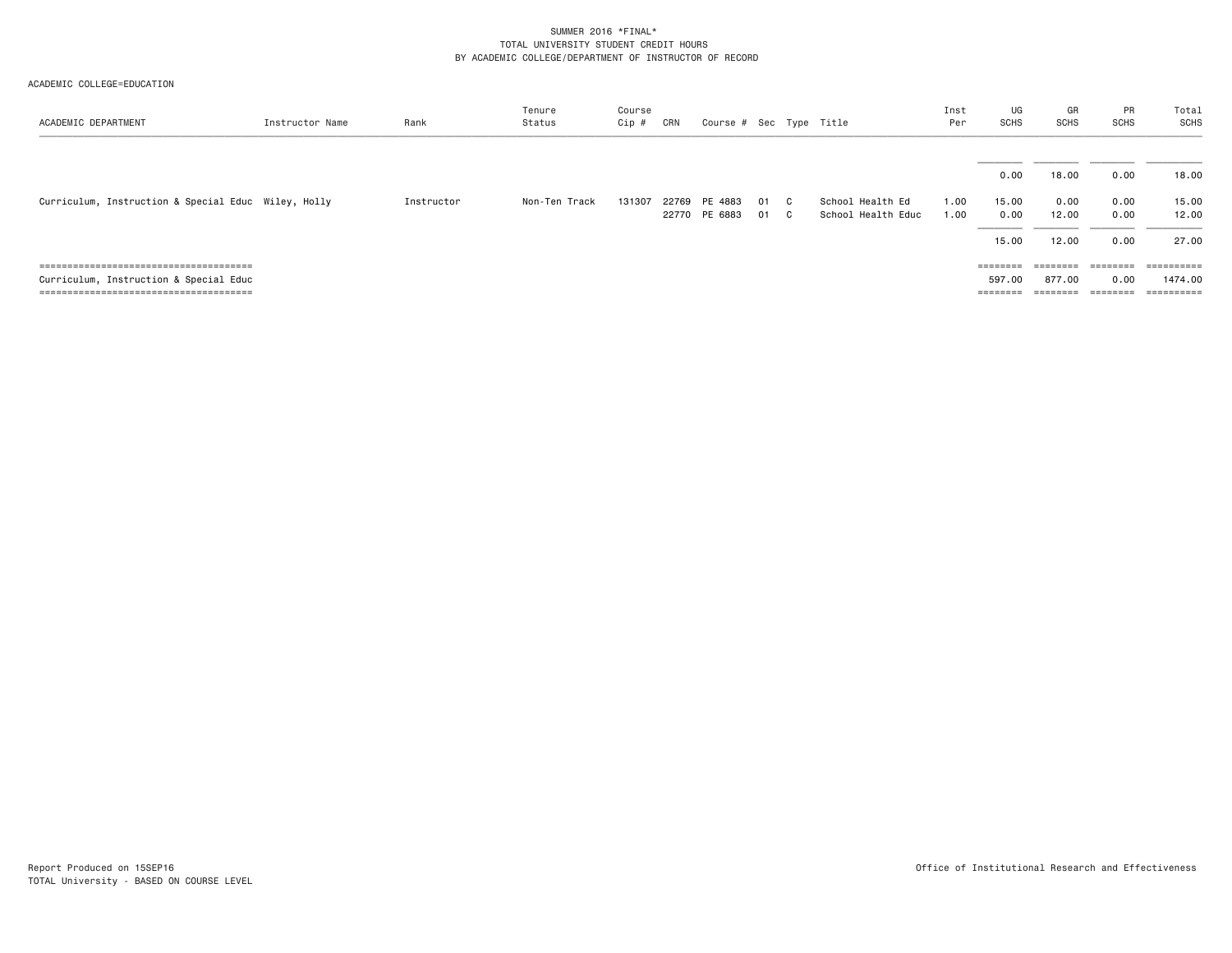| ACADEMIC DEPARTMENT                                 | Instructor Name | Rank       | Tenure<br>Status | Course<br>Cip # | CRN   | Course # Sec Type Title  |          |          |                                        | Inst<br>Per  | UG<br>SCHS        | GR<br><b>SCHS</b> | PR<br><b>SCHS</b> | Total<br>SCHS         |
|-----------------------------------------------------|-----------------|------------|------------------|-----------------|-------|--------------------------|----------|----------|----------------------------------------|--------------|-------------------|-------------------|-------------------|-----------------------|
|                                                     |                 |            |                  |                 |       |                          |          |          |                                        |              | 0.00              | 18.00             | 0.00              | 18.00                 |
| Curriculum, Instruction & Special Educ Wiley, Holly |                 | Instructor | Non-Ten Track    | 131307          | 22769 | PE 4883<br>22770 PE 6883 | 01<br>01 | C.<br>C. | School Health Ed<br>School Health Educ | 1.00<br>1.00 | 15.00<br>0.00     | 0.00<br>12.00     | 0.00<br>0.00      | 15.00<br>12.00        |
|                                                     |                 |            |                  |                 |       |                          |          |          |                                        |              | 15.00             | 12.00             | 0.00              | 27.00                 |
|                                                     |                 |            |                  |                 |       |                          |          |          |                                        |              | ========          |                   | ========          | $=$ = = = = = = = = = |
| Curriculum, Instruction & Special Educ              |                 |            |                  |                 |       |                          |          |          |                                        |              | 597.00            | 877.00            | 0.00              | 1474.00               |
|                                                     |                 |            |                  |                 |       |                          |          |          |                                        |              | $=$ = = = = = = = | ========          |                   | $=$ = = = = = = = = = |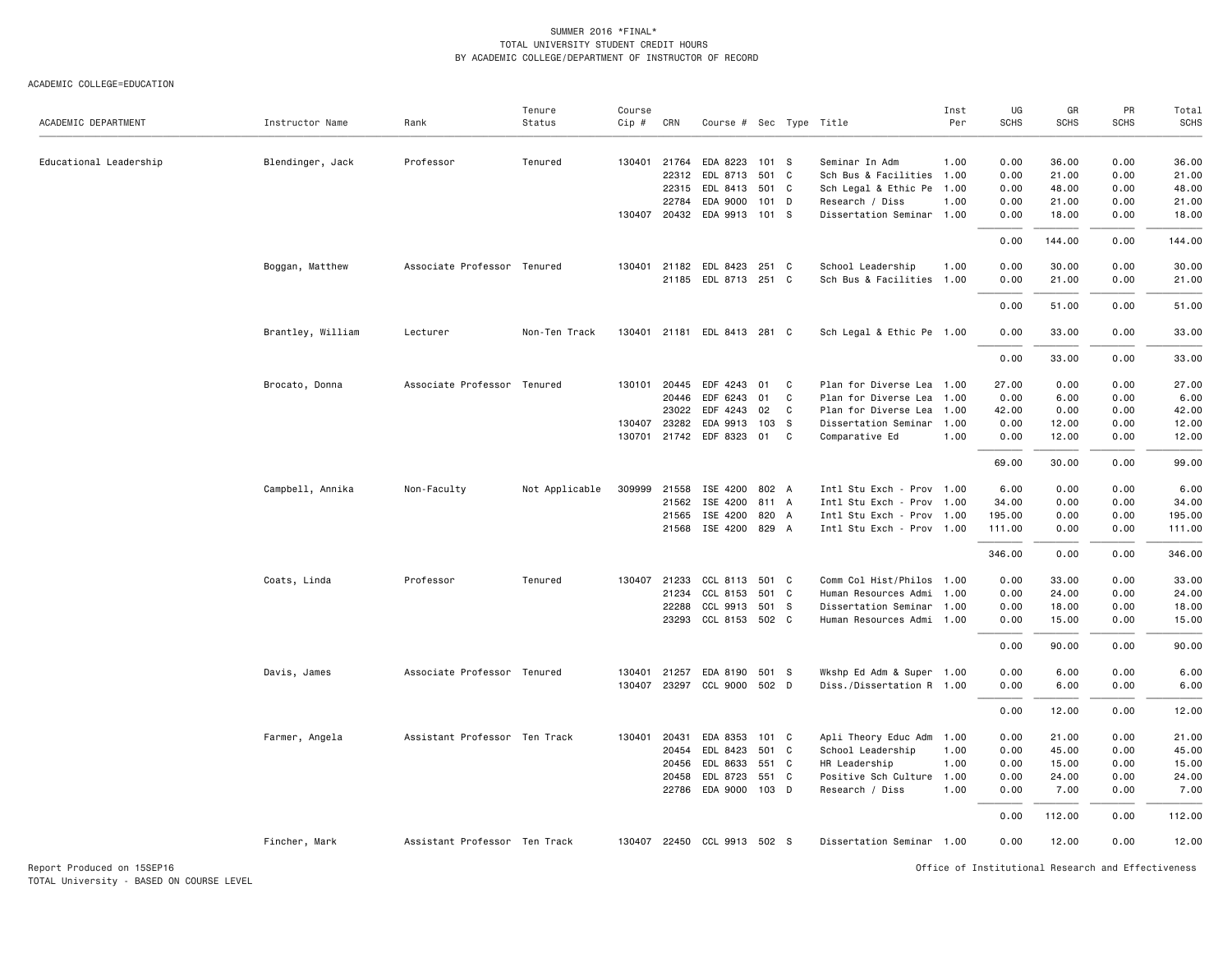| ACADEMIC DEPARTMENT        | Instructor Name   | Rank                          | Tenure<br>Status | Course<br>Cip # | CRN          | Course # Sec Type Title                 |       |                |                                              | Inst<br>Per | UG<br><b>SCHS</b> | GR<br><b>SCHS</b>                                  | PR<br><b>SCHS</b> | Total<br><b>SCHS</b> |
|----------------------------|-------------------|-------------------------------|------------------|-----------------|--------------|-----------------------------------------|-------|----------------|----------------------------------------------|-------------|-------------------|----------------------------------------------------|-------------------|----------------------|
|                            |                   |                               |                  |                 |              |                                         |       |                |                                              |             |                   |                                                    |                   |                      |
| Educational Leadership     | Blendinger, Jack  | Professor                     | Tenured          |                 |              | 130401 21764 EDA 8223 101 S             |       |                | Seminar In Adm                               | 1.00        | 0.00              | 36.00                                              | 0.00              | 36.00                |
|                            |                   |                               |                  |                 |              | 22312 EDL 8713                          | 501 C |                | Sch Bus & Facilities 1.00                    |             | 0.00              | 21.00                                              | 0.00              | 21.00                |
|                            |                   |                               |                  |                 |              | 22315 EDL 8413 501 C                    |       |                | Sch Legal & Ethic Pe 1.00                    |             | 0.00              | 48.00<br>21.00                                     | 0.00<br>0.00      | 48.00<br>21.00       |
|                            |                   |                               |                  |                 | 22784        | EDA 9000<br>130407 20432 EDA 9913 101 S | 101 D |                | Research / Diss<br>Dissertation Seminar 1.00 | 1.00        | 0.00<br>0.00      | 18.00                                              | 0.00              | 18.00                |
|                            |                   |                               |                  |                 |              |                                         |       |                |                                              |             | 0.00              | 144.00                                             | 0.00              | 144.00               |
|                            | Boggan, Matthew   | Associate Professor Tenured   |                  | 130401          |              | 21182 EDL 8423 251 C                    |       |                | School Leadership                            | 1.00        | 0.00              | 30.00                                              | 0.00              | 30.00                |
|                            |                   |                               |                  |                 |              | 21185 EDL 8713 251 C                    |       |                | Sch Bus & Facilities 1.00                    |             | 0.00              | 21.00                                              | 0.00              | 21.00                |
|                            |                   |                               |                  |                 |              |                                         |       |                |                                              |             | 0.00              | 51.00                                              | 0.00              | 51.00                |
|                            | Brantley, William | Lecturer                      | Non-Ten Track    |                 |              | 130401 21181 EDL 8413 281 C             |       |                | Sch Legal & Ethic Pe 1.00                    |             | 0.00              | 33.00                                              | 0.00              | 33.00                |
|                            |                   |                               |                  |                 |              |                                         |       |                |                                              |             | 0.00              | 33.00                                              | 0.00              | 33.00                |
|                            | Brocato, Donna    | Associate Professor Tenured   |                  |                 |              | 130101 20445 EDF 4243 01 C              |       |                | Plan for Diverse Lea 1.00                    |             | 27.00             | 0.00                                               | 0.00              | 27.00                |
|                            |                   |                               |                  |                 | 20446        | EDF 6243                                | 01    | C              | Plan for Diverse Lea                         | 1.00        | 0.00              | 6.00                                               | 0.00              | 6.00                 |
|                            |                   |                               |                  |                 |              | 23022 EDF 4243 02                       |       | C.             | Plan for Diverse Lea                         | 1.00        | 42.00             | 0.00                                               | 0.00              | 42.00                |
|                            |                   |                               |                  | 130407          | 23282        | EDA 9913 103 S                          |       |                | Dissertation Seminar 1.00                    |             | 0.00              | 12.00                                              | 0.00              | 12.00                |
|                            |                   |                               |                  | 130701          |              | 21742 EDF 8323 01                       |       | C <sub>1</sub> | Comparative Ed                               | 1.00        | 0.00              | 12.00                                              | 0.00              | 12.00                |
|                            |                   |                               |                  |                 |              |                                         |       |                |                                              |             | 69.00             | 30.00                                              | 0.00              | 99.00                |
|                            | Campbell, Annika  | Non-Faculty                   | Not Applicable   | 309999          |              | 21558 ISE 4200 802 A                    |       |                | Intl Stu Exch - Prov 1.00                    |             | 6.00              | 0.00                                               | 0.00              | 6.00                 |
|                            |                   |                               |                  |                 | 21562        | ISE 4200 811 A                          |       |                | Intl Stu Exch - Prov 1.00                    |             | 34.00             | 0.00                                               | 0.00              | 34.00                |
|                            |                   |                               |                  |                 | 21565        | ISE 4200 820 A                          |       |                | Intl Stu Exch - Prov 1.00                    |             | 195.00            | 0.00                                               | 0.00              | 195.00               |
|                            |                   |                               |                  |                 |              | 21568 ISE 4200 829 A                    |       |                | Intl Stu Exch - Prov 1.00                    |             | 111.00            | 0.00                                               | 0.00              | 111.00               |
|                            |                   |                               |                  |                 |              |                                         |       |                |                                              |             | 346.00            | 0.00                                               | 0.00              | 346.00               |
|                            | Coats, Linda      | Professor                     | Tenured          |                 | 130407 21233 | CCL 8113 501 C                          |       |                | Comm Col Hist/Philos 1.00                    |             | 0.00              | 33.00                                              | 0.00              | 33.00                |
|                            |                   |                               |                  |                 | 21234        | CCL 8153 501 C                          |       |                | Human Resources Admi                         | 1.00        | 0.00              | 24.00                                              | 0.00              | 24.00                |
|                            |                   |                               |                  |                 |              | 22288 CCL 9913 501 S                    |       |                | Dissertation Seminar 1.00                    |             | 0.00              | 18.00                                              | 0.00              | 18.00                |
|                            |                   |                               |                  |                 |              | 23293 CCL 8153 502 C                    |       |                | Human Resources Admi 1.00                    |             | 0.00              | 15.00                                              | 0.00              | 15.00                |
|                            |                   |                               |                  |                 |              |                                         |       |                |                                              |             | 0.00              | 90.00                                              | 0.00              | 90.00                |
|                            | Davis, James      | Associate Professor Tenured   |                  | 130401          |              | 21257 EDA 8190 501 S                    |       |                | Wkshp Ed Adm & Super 1.00                    |             | 0.00              | 6.00                                               | 0.00              | 6.00                 |
|                            |                   |                               |                  |                 |              | 130407 23297 CCL 9000 502 D             |       |                | Diss./Dissertation R 1.00                    |             | 0.00              | 6.00                                               | 0.00              | 6.00                 |
|                            |                   |                               |                  |                 |              |                                         |       |                |                                              |             | 0.00              | 12.00                                              | 0.00              | 12.00                |
|                            | Farmer, Angela    | Assistant Professor Ten Track |                  | 130401          | 20431        | EDA 8353 101 C                          |       |                | Apli Theory Educ Adm 1.00                    |             | 0.00              | 21.00                                              | 0.00              | 21.00                |
|                            |                   |                               |                  |                 | 20454        | EDL 8423                                | 501   | $\mathbf{C}$   | School Leadership                            | 1.00        | 0.00              | 45.00                                              | 0.00              | 45.00                |
|                            |                   |                               |                  |                 |              | 20456 EDL 8633 551 C                    |       |                | HR Leadership                                | 1.00        | 0.00              | 15.00                                              | 0.00              | 15.00                |
|                            |                   |                               |                  |                 |              | 20458 EDL 8723 551 C                    |       |                | Positive Sch Culture 1.00                    |             | 0.00              | 24.00                                              | 0.00              | 24.00                |
|                            |                   |                               |                  |                 |              | 22786 EDA 9000 103 D                    |       |                | Research / Diss                              | 1.00        | 0.00              | 7.00                                               | 0.00              | 7.00                 |
|                            |                   |                               |                  |                 |              |                                         |       |                |                                              |             | 0.00              | 112.00                                             | 0.00              | 112.00               |
|                            | Fincher, Mark     | Assistant Professor Ten Track |                  |                 |              | 130407 22450 CCL 9913 502 S             |       |                | Dissertation Seminar 1.00                    |             | 0.00              | 12.00                                              | 0.00              | 12.00                |
| Report Produced on 15SEP16 |                   |                               |                  |                 |              |                                         |       |                |                                              |             |                   | Office of Institutional Research and Effectiveness |                   |                      |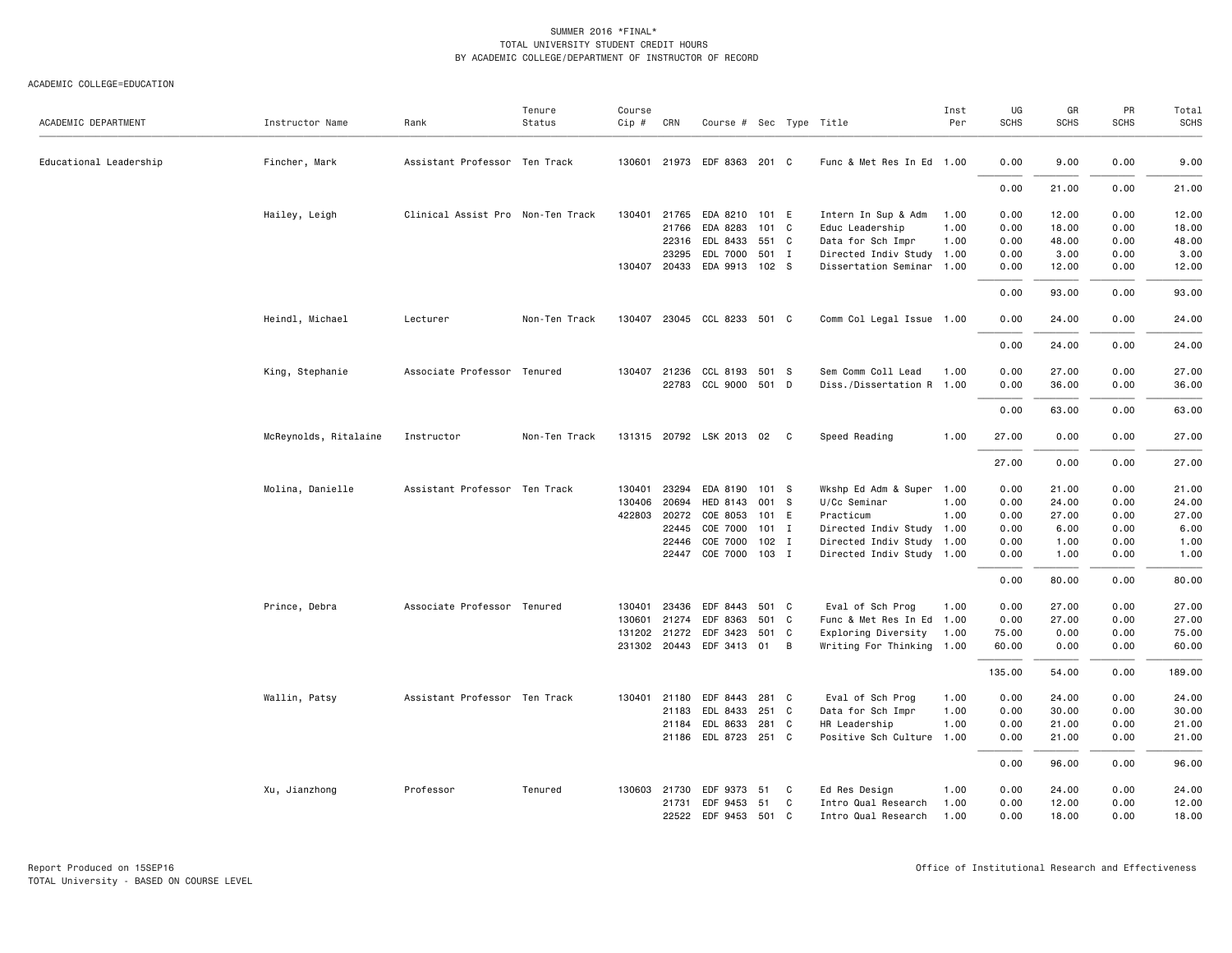#### ACADEMIC COLLEGE=EDUCATION

| ACADEMIC DEPARTMENT    | Instructor Name       | Rank                              | Tenure<br>Status | Course<br>Cip # | CRN          | Course # Sec Type Title     |         |   |                           | Inst<br>Per | UG<br><b>SCHS</b> | GR<br><b>SCHS</b> | PR<br><b>SCHS</b> | Total<br><b>SCHS</b> |
|------------------------|-----------------------|-----------------------------------|------------------|-----------------|--------------|-----------------------------|---------|---|---------------------------|-------------|-------------------|-------------------|-------------------|----------------------|
| Educational Leadership | Fincher, Mark         | Assistant Professor Ten Track     |                  |                 |              | 130601 21973 EDF 8363 201 C |         |   | Func & Met Res In Ed 1.00 |             | 0.00              | 9.00              | 0.00              | 9.00                 |
|                        |                       |                                   |                  |                 |              |                             |         |   |                           |             | 0.00              | 21.00             | 0.00              | 21.00                |
|                        | Hailey, Leigh         | Clinical Assist Pro Non-Ten Track |                  | 130401          | 21765        | EDA 8210 101 E              |         |   | Intern In Sup & Adm       | 1.00        | 0.00              | 12.00             | 0.00              | 12.00                |
|                        |                       |                                   |                  |                 | 21766        | EDA 8283                    | 101 C   |   | Educ Leadership           | 1.00        | 0.00              | 18.00             | 0.00              | 18.00                |
|                        |                       |                                   |                  |                 | 22316        | EDL 8433 551 C              |         |   | Data for Sch Impr         | 1.00        | 0.00              | 48.00             | 0.00              | 48.00                |
|                        |                       |                                   |                  |                 | 23295        | EDL 7000                    | 501 I   |   | Directed Indiv Study 1.00 |             | 0.00              | 3.00              | 0.00              | 3.00                 |
|                        |                       |                                   |                  |                 |              | 130407 20433 EDA 9913 102 S |         |   | Dissertation Seminar 1.00 |             | 0.00              | 12.00             | 0.00              | 12.00                |
|                        |                       |                                   |                  |                 |              |                             |         |   |                           |             | 0.00              | 93.00             | 0.00              | 93.00                |
|                        | Heindl, Michael       | Lecturer                          | Non-Ten Track    |                 |              | 130407 23045 CCL 8233 501 C |         |   | Comm Col Legal Issue 1.00 |             | 0.00              | 24.00             | 0.00              | 24.00                |
|                        |                       |                                   |                  |                 |              |                             |         |   |                           |             | 0.00              | 24.00             | 0.00              | 24.00                |
|                        | King, Stephanie       | Associate Professor Tenured       |                  |                 | 130407 21236 | CCL 8193 501 S              |         |   | Sem Comm Coll Lead        | 1.00        | 0.00              | 27.00             | 0.00              | 27.00                |
|                        |                       |                                   |                  |                 |              | 22783 CCL 9000 501 D        |         |   | Diss./Dissertation R 1.00 |             | 0.00              | 36.00             | 0.00              | 36.00                |
|                        |                       |                                   |                  |                 |              |                             |         |   |                           |             | 0.00              | 63.00             | 0.00              | 63.00                |
|                        | McReynolds, Ritalaine | Instructor                        | Non-Ten Track    |                 |              | 131315 20792 LSK 2013 02 C  |         |   | Speed Reading             | 1.00        | 27.00             | 0.00              | 0.00              | 27.00                |
|                        |                       |                                   |                  |                 |              |                             |         |   |                           |             | 27.00             | 0.00              | 0.00              | 27.00                |
|                        | Molina, Danielle      | Assistant Professor Ten Track     |                  | 130401          | 23294        | EDA 8190                    | 101 S   |   | Wkshp Ed Adm & Super 1.00 |             | 0.00              | 21.00             | 0.00              | 21.00                |
|                        |                       |                                   |                  | 130406          | 20694        | HED 8143                    | 001 S   |   | U/Cc Seminar              | 1.00        | 0.00              | 24.00             | 0.00              | 24.00                |
|                        |                       |                                   |                  |                 | 422803 20272 | COE 8053                    | 101 E   |   | Practicum                 | 1.00        | 0.00              | 27.00             | 0.00              | 27.00                |
|                        |                       |                                   |                  |                 | 22445        | COE 7000                    | $101$ I |   | Directed Indiv Study 1.00 |             | 0.00              | 6.00              | 0.00              | 6.00                 |
|                        |                       |                                   |                  |                 | 22446        | COE 7000                    | 102 I   |   | Directed Indiv Study 1.00 |             | 0.00              | 1.00              | 0.00              | 1.00                 |
|                        |                       |                                   |                  |                 |              | 22447 COE 7000 103 I        |         |   | Directed Indiv Study 1.00 |             | 0.00              | 1.00              | 0.00              | 1.00                 |
|                        |                       |                                   |                  |                 |              |                             |         |   |                           |             | 0.00              | 80.00             | 0.00              | 80.00                |
|                        | Prince, Debra         | Associate Professor Tenured       |                  |                 | 130401 23436 | EDF 8443 501 C              |         |   | Eval of Sch Prog          | 1.00        | 0.00              | 27.00             | 0.00              | 27.00                |
|                        |                       |                                   |                  | 130601          | 21274        | EDF 8363                    | 501     | C | Func & Met Res In Ed 1.00 |             | 0.00              | 27.00             | 0.00              | 27.00                |
|                        |                       |                                   |                  |                 | 131202 21272 | EDF 3423                    | 501 C   |   | Exploring Diversity       | 1.00        | 75.00             | 0.00              | 0.00              | 75.00                |
|                        |                       |                                   |                  |                 |              | 231302 20443 EDF 3413 01 B  |         |   | Writing For Thinking 1.00 |             | 60.00             | 0.00              | 0.00              | 60.00                |
|                        |                       |                                   |                  |                 |              |                             |         |   |                           |             | 135.00            | 54.00             | 0.00              | 189.00               |
|                        | Wallin, Patsy         | Assistant Professor Ten Track     |                  |                 | 130401 21180 | EDF 8443                    | 281 C   |   | Eval of Sch Prog          | 1.00        | 0.00              | 24.00             | 0.00              | 24.00                |
|                        |                       |                                   |                  |                 | 21183        | EDL 8433                    | 251 C   |   | Data for Sch Impr         | 1.00        | 0.00              | 30.00             | 0.00              | 30.00                |
|                        |                       |                                   |                  |                 | 21184        | EDL 8633                    | 281 C   |   | HR Leadership             | 1.00        | 0.00              | 21.00             | 0.00              | 21.00                |
|                        |                       |                                   |                  |                 |              | 21186 EDL 8723 251 C        |         |   | Positive Sch Culture 1.00 |             | 0.00              | 21.00             | 0.00              | 21.00                |
|                        |                       |                                   |                  |                 |              |                             |         |   |                           |             | 0.00              | 96.00             | 0.00              | 96.00                |
|                        | Xu, Jianzhong         | Professor                         | Tenured          |                 | 130603 21730 | EDF 9373 51                 |         | C | Ed Res Design             | 1.00        | 0.00              | 24.00             | 0.00              | 24.00                |
|                        |                       |                                   |                  |                 | 21731        | EDF 9453                    | 51      | C | Intro Qual Research       | 1.00        | 0.00              | 12.00             | 0.00              | 12.00                |
|                        |                       |                                   |                  |                 |              | 22522 EDF 9453 501 C        |         |   | Intro Qual Research       | 1.00        | 0.00              | 18,00             | 0.00              | 18.00                |

Report Produced on 15SEP16 Office of Institutional Research and Effectiveness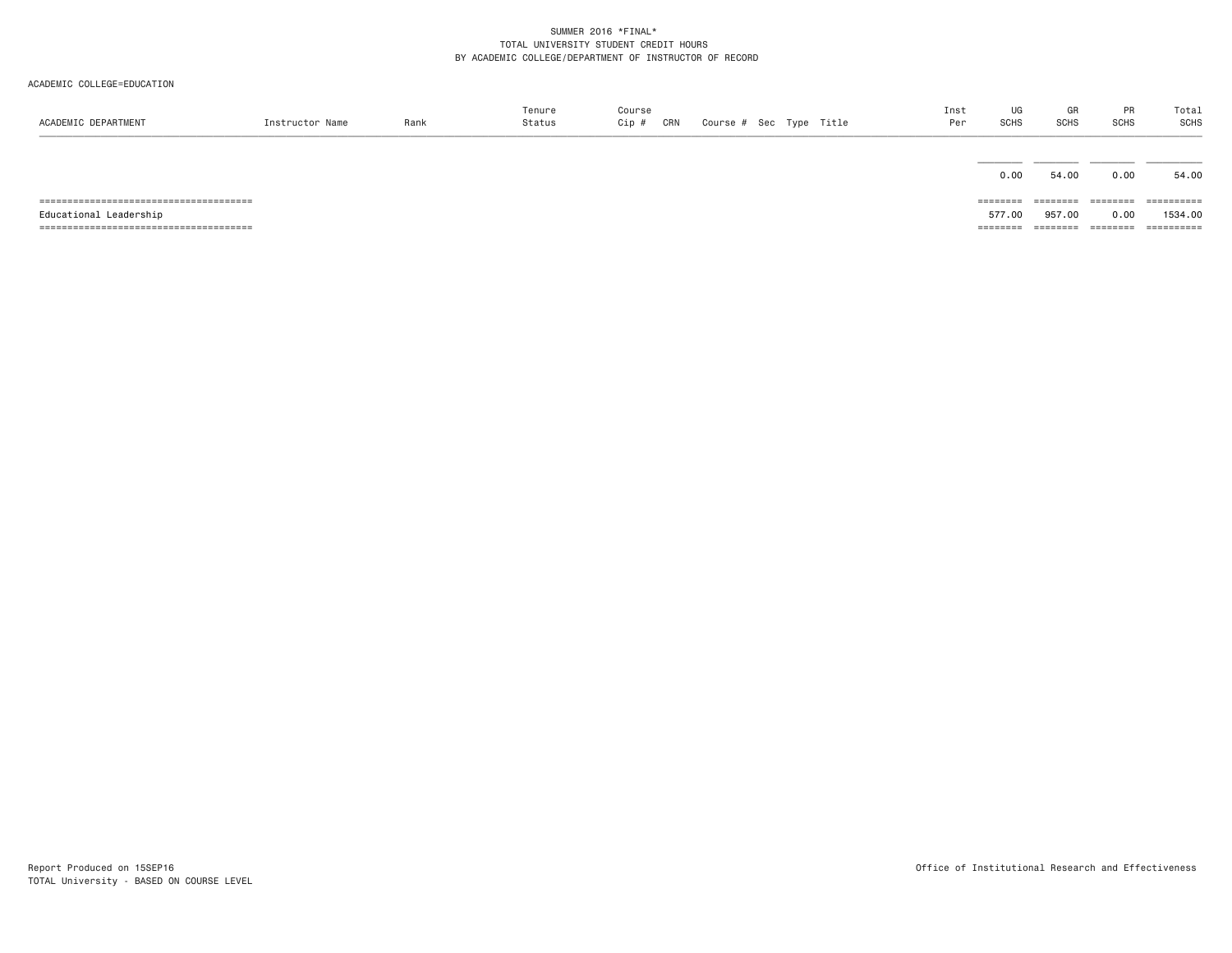| ACADEMIC DEPARTMENT    | Instructor Name | Rank | Tenure<br>Status | Course<br>Cip #<br>CRN | Course # Sec Type Title |  | Inst<br>Per | UG<br>SCHS | GR<br><b>SCHS</b> | PR<br><b>SCHS</b> | Total<br>SCHS |
|------------------------|-----------------|------|------------------|------------------------|-------------------------|--|-------------|------------|-------------------|-------------------|---------------|
|                        |                 |      |                  |                        |                         |  |             | 0.00       | 54.00             | 0.00              | 54.00         |
|                        |                 |      |                  |                        |                         |  |             | ========   | ---------         | --------          | ==========    |
| Educational Leadership |                 |      |                  |                        |                         |  |             | 577.00     | 957.00            | 0.00              | 1534.00       |
|                        |                 |      |                  |                        |                         |  |             | ========   | ========          | ========          | ==========    |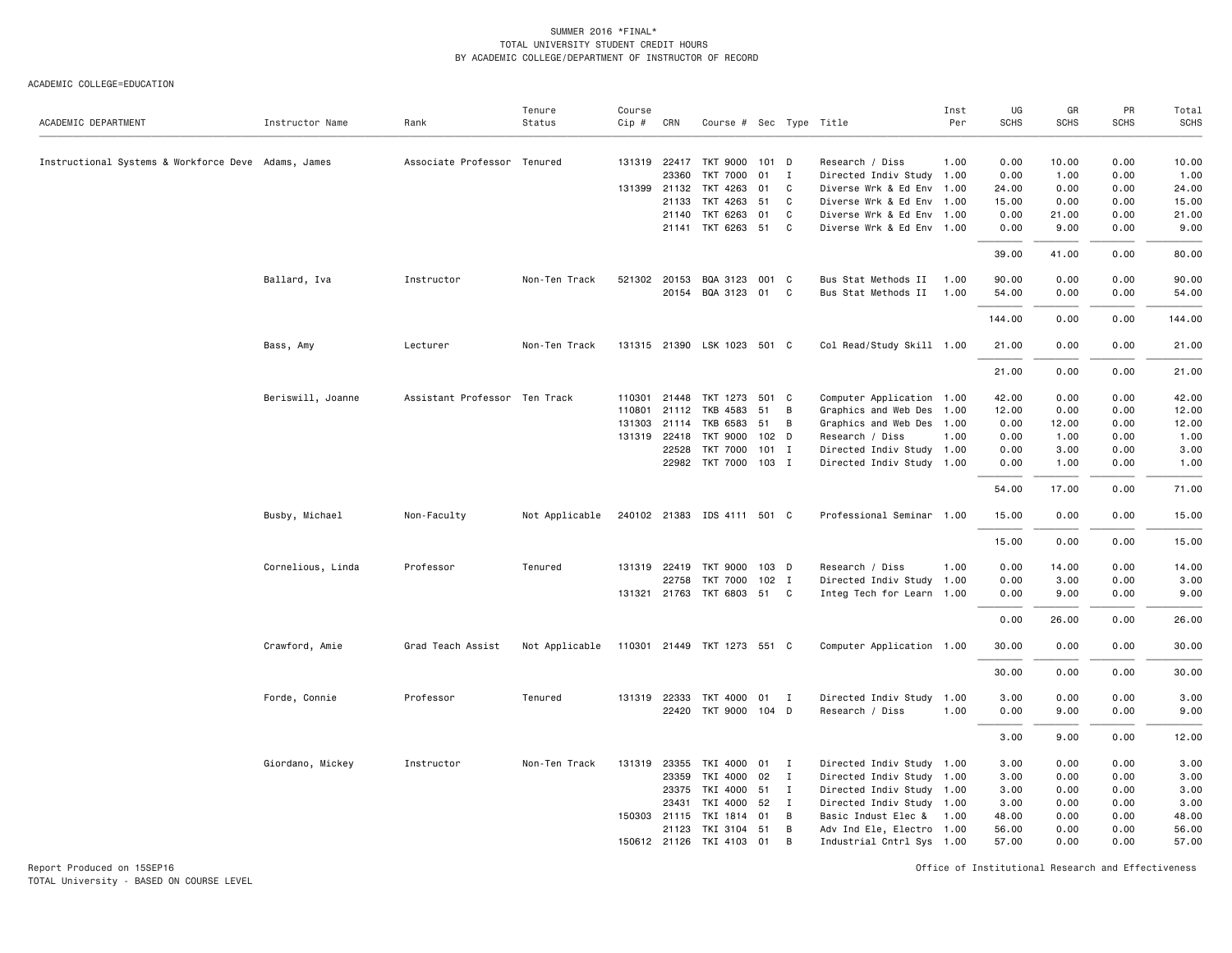#### ACADEMIC COLLEGE=EDUCATION

|                                                     |                   |                               | Tenure         | Course   |              |                             |                  |              |                           | Inst | UG          | GR          | PR          | Total  |
|-----------------------------------------------------|-------------------|-------------------------------|----------------|----------|--------------|-----------------------------|------------------|--------------|---------------------------|------|-------------|-------------|-------------|--------|
| ACADEMIC DEPARTMENT                                 | Instructor Name   | Rank                          | Status         | $Cip \#$ | CRN          | Course # Sec Type Title     |                  |              |                           | Per  | <b>SCHS</b> | <b>SCHS</b> | <b>SCHS</b> | SCHS   |
| Instructional Systems & Workforce Deve Adams, James |                   | Associate Professor Tenured   |                |          | 131319 22417 | TKT 9000                    | 101 D            |              | Research / Diss           | 1.00 | 0.00        | 10.00       | 0.00        | 10.00  |
|                                                     |                   |                               |                |          | 23360        | <b>TKT 7000</b>             | $01$ I           |              | Directed Indiv Study 1.00 |      | 0.00        | 1.00        | 0.00        | 1.00   |
|                                                     |                   |                               |                |          | 131399 21132 | TKT 4263                    | 01               | C            | Diverse Wrk & Ed Env 1.00 |      | 24.00       | 0.00        | 0.00        | 24.00  |
|                                                     |                   |                               |                |          | 21133        | TKT 4263                    | 51               | C            | Diverse Wrk & Ed Env 1.00 |      | 15.00       | 0.00        | 0.00        | 15.00  |
|                                                     |                   |                               |                |          | 21140        | TKT 6263                    | 01               | $\mathbf c$  | Diverse Wrk & Ed Env 1.00 |      | 0.00        | 21.00       | 0.00        | 21.00  |
|                                                     |                   |                               |                |          |              | 21141 TKT 6263              | 51               | C            | Diverse Wrk & Ed Env 1.00 |      | 0.00        | 9.00        | 0.00        | 9.00   |
|                                                     |                   |                               |                |          |              |                             |                  |              |                           |      | 39.00       | 41.00       | 0.00        | 80.00  |
|                                                     | Ballard, Iva      | Instructor                    | Non-Ten Track  |          |              | 521302 20153 BQA 3123       | 001 C            |              | Bus Stat Methods II 1.00  |      | 90.00       | 0.00        | 0.00        | 90.00  |
|                                                     |                   |                               |                |          |              | 20154 BQA 3123 01 C         |                  |              | Bus Stat Methods II       | 1.00 | 54.00       | 0.00        | 0.00        | 54.00  |
|                                                     |                   |                               |                |          |              |                             |                  |              |                           |      | 144.00      | 0.00        | 0.00        | 144.00 |
|                                                     | Bass, Amy         | Lecturer                      | Non-Ten Track  |          |              | 131315 21390 LSK 1023 501 C |                  |              | Col Read/Study Skill 1.00 |      | 21.00       | 0.00        | 0.00        | 21.00  |
|                                                     |                   |                               |                |          |              |                             |                  |              |                           |      | 21.00       | 0.00        | 0.00        | 21.00  |
|                                                     | Beriswill, Joanne | Assistant Professor Ten Track |                |          | 110301 21448 | TKT 1273                    | 501 C            |              | Computer Application 1.00 |      | 42.00       | 0.00        | 0.00        | 42.00  |
|                                                     |                   |                               |                |          |              | 110801 21112 TKB 4583       | 51               | B            | Graphics and Web Des 1.00 |      | 12.00       | 0.00        | 0.00        | 12.00  |
|                                                     |                   |                               |                |          |              | 131303 21114 TKB 6583       | 51               | B            | Graphics and Web Des 1.00 |      | 0.00        | 12.00       | 0.00        | 12.00  |
|                                                     |                   |                               |                |          | 131319 22418 | TKT 9000                    | 102 <sub>D</sub> |              | Research / Diss           | 1.00 | 0.00        | 1.00        | 0.00        | 1.00   |
|                                                     |                   |                               |                |          | 22528        | TKT 7000                    | $101$ I          |              | Directed Indiv Study 1.00 |      | 0.00        | 3.00        | 0.00        | 3.00   |
|                                                     |                   |                               |                |          |              | 22982 TKT 7000 103 I        |                  |              | Directed Indiv Study 1.00 |      | 0.00        | 1.00        | 0.00        | 1.00   |
|                                                     |                   |                               |                |          |              |                             |                  |              |                           |      | 54.00       | 17.00       | 0.00        | 71.00  |
|                                                     | Busby, Michael    | Non-Faculty                   | Not Applicable |          |              | 240102 21383 IDS 4111 501 C |                  |              | Professional Seminar 1.00 |      | 15.00       | 0.00        | 0.00        | 15.00  |
|                                                     |                   |                               |                |          |              |                             |                  |              |                           |      | 15.00       | 0.00        | 0.00        | 15.00  |
|                                                     | Cornelious, Linda | Professor                     | Tenured        |          | 131319 22419 | TKT 9000 103 D              |                  |              | Research / Diss           | 1.00 | 0.00        | 14.00       | 0.00        | 14.00  |
|                                                     |                   |                               |                |          | 22758        | TKT 7000                    | 102 I            |              | Directed Indiv Study 1.00 |      | 0.00        | 3.00        | 0.00        | 3.00   |
|                                                     |                   |                               |                |          |              | 131321 21763 TKT 6803 51 C  |                  |              | Integ Tech for Learn 1.00 |      | 0.00        | 9.00        | 0.00        | 9.00   |
|                                                     |                   |                               |                |          |              |                             |                  |              |                           |      | 0.00        | 26.00       | 0.00        | 26.00  |
|                                                     | Crawford, Amie    | Grad Teach Assist             | Not Applicable |          |              | 110301 21449 TKT 1273 551 C |                  |              | Computer Application 1.00 |      | 30.00       | 0.00        | 0.00        | 30.00  |
|                                                     |                   |                               |                |          |              |                             |                  |              |                           |      | 30.00       | 0.00        | 0.00        | 30.00  |
|                                                     | Forde, Connie     | Professor                     | Tenured        |          | 131319 22333 | TKT 4000                    | 01 I             |              | Directed Indiv Study 1.00 |      | 3.00        | 0.00        | 0.00        | 3.00   |
|                                                     |                   |                               |                |          |              | 22420 TKT 9000 104 D        |                  |              | Research / Diss           | 1.00 | 0.00        | 9.00        | 0.00        | 9.00   |
|                                                     |                   |                               |                |          |              |                             |                  |              |                           |      | 3.00        | 9.00        | 0.00        | 12.00  |
|                                                     | Giordano, Mickey  | Instructor                    | Non-Ten Track  |          | 131319 23355 | TKI 4000                    | 01 I             |              | Directed Indiv Study 1.00 |      | 3.00        | 0.00        | 0.00        | 3.00   |
|                                                     |                   |                               |                |          | 23359        | TKI 4000                    | 02               | $\mathbf{I}$ | Directed Indiv Study 1.00 |      | 3.00        | 0.00        | 0.00        | 3.00   |
|                                                     |                   |                               |                |          | 23375        | TKI 4000                    | 51               | $\mathbf{I}$ | Directed Indiv Study 1.00 |      | 3.00        | 0.00        | 0.00        | 3.00   |
|                                                     |                   |                               |                |          | 23431        | TKI 4000                    | 52               | $\mathbf I$  | Directed Indiv Study 1.00 |      | 3.00        | 0.00        | 0.00        | 3.00   |
|                                                     |                   |                               |                |          | 150303 21115 | TKI 1814                    | 01               | В            | Basic Indust Elec & 1.00  |      | 48.00       | 0.00        | 0.00        | 48.00  |
|                                                     |                   |                               |                |          | 21123        | TKI 3104 51                 |                  | B            | Adv Ind Ele, Electro 1.00 |      | 56.00       | 0.00        | 0.00        | 56.00  |
|                                                     |                   |                               |                |          |              | 150612 21126 TKI 4103       | 01               | B            | Industrial Cntrl Sys 1.00 |      | 57.00       | 0.00        | 0.00        | 57.00  |

Report Produced on 15SEP16 Office of Institutional Research and Effectiveness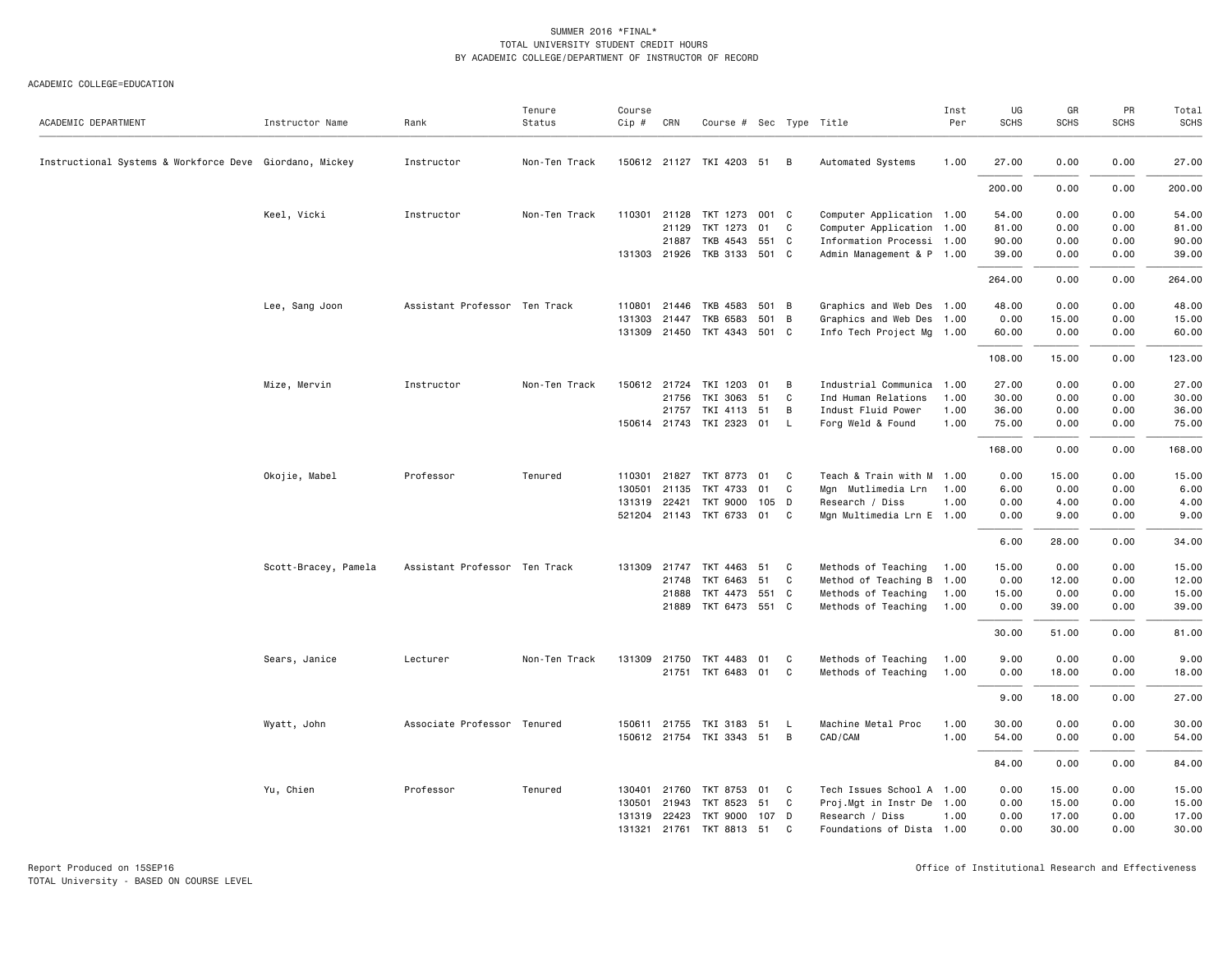| ACADEMIC DEPARTMENT                                     | Instructor Name      | Rank                          | Tenure<br>Status | Course<br>$Cip \#$ | CRN          | Course # Sec Type Title     |       |              |                           | Inst<br>Per | UG<br><b>SCHS</b> | GR<br><b>SCHS</b> | PR<br><b>SCHS</b> | Total<br><b>SCHS</b> |
|---------------------------------------------------------|----------------------|-------------------------------|------------------|--------------------|--------------|-----------------------------|-------|--------------|---------------------------|-------------|-------------------|-------------------|-------------------|----------------------|
|                                                         |                      |                               |                  |                    |              |                             |       |              |                           |             |                   |                   |                   |                      |
| Instructional Systems & Workforce Deve Giordano, Mickey |                      | Instructor                    | Non-Ten Track    |                    |              | 150612 21127 TKI 4203 51 B  |       |              | Automated Systems         | 1.00        | 27.00             | 0.00              | 0.00              | 27.00                |
|                                                         |                      |                               |                  |                    |              |                             |       |              |                           |             | 200.00            | 0.00              | 0.00              | 200.00               |
|                                                         | Keel, Vicki          | Instructor                    | Non-Ten Track    |                    |              | 110301 21128 TKT 1273 001 C |       |              | Computer Application 1.00 |             | 54.00             | 0.00              | 0.00              | 54.00                |
|                                                         |                      |                               |                  |                    | 21129        | TKT 1273                    | 01    | C.           | Computer Application 1.00 |             | 81.00             | 0.00              | 0.00              | 81.00                |
|                                                         |                      |                               |                  |                    | 21887        | TKB 4543 551 C              |       |              | Information Processi 1.00 |             | 90.00             | 0.00              | 0.00              | 90.00                |
|                                                         |                      |                               |                  |                    | 131303 21926 | TKB 3133 501 C              |       |              | Admin Management & P 1.00 |             | 39.00             | 0.00              | 0.00              | 39.00                |
|                                                         |                      |                               |                  |                    |              |                             |       |              |                           |             | 264.00            | 0.00              | 0.00              | 264.00               |
|                                                         | Lee, Sang Joon       | Assistant Professor Ten Track |                  | 110801             | 21446        | TKB 4583                    | 501 B |              | Graphics and Web Des 1.00 |             | 48.00             | 0.00              | 0.00              | 48.00                |
|                                                         |                      |                               |                  | 131303             | 21447        | TKB 6583                    | 501 B |              | Graphics and Web Des 1.00 |             | 0.00              | 15.00             | 0.00              | 15.00                |
|                                                         |                      |                               |                  |                    |              | 131309 21450 TKT 4343 501 C |       |              | Info Tech Project Mg 1.00 |             | 60.00             | 0.00              | 0.00              | 60.00                |
|                                                         |                      |                               |                  |                    |              |                             |       |              |                           |             | 108.00            | 15.00             | 0.00              | 123.00               |
|                                                         | Mize, Mervin         | Instructor                    | Non-Ten Track    |                    |              | 150612 21724 TKI 1203       | 01    | B            | Industrial Communica 1.00 |             | 27.00             | 0.00              | 0.00              | 27.00                |
|                                                         |                      |                               |                  |                    | 21756        | TKI 3063                    | 51    | C            | Ind Human Relations       | 1.00        | 30.00             | 0.00              | 0.00              | 30.00                |
|                                                         |                      |                               |                  |                    | 21757        | TKI 4113 51                 |       | B            | Indust Fluid Power        | 1.00        | 36.00             | 0.00              | 0.00              | 36.00                |
|                                                         |                      |                               |                  |                    |              | 150614 21743 TKI 2323 01    |       | $\mathsf{L}$ | Forg Weld & Found         | 1.00        | 75.00             | 0.00              | 0.00              | 75.00                |
|                                                         |                      |                               |                  |                    |              |                             |       |              |                           |             | 168.00            | 0.00              | 0.00              | 168.00               |
|                                                         | Okojie, Mabel        | Professor                     | Tenured          | 110301             | 21827        | TKT 8773                    | 01 C  |              | Teach & Train with M 1.00 |             | 0.00              | 15.00             | 0.00              | 15.00                |
|                                                         |                      |                               |                  | 130501             | 21135        | TKT 4733                    | 01    | C            | Mgn Mutlimedia Lrn        | 1.00        | 6.00              | 0.00              | 0.00              | 6.00                 |
|                                                         |                      |                               |                  |                    | 131319 22421 | TKT 9000 105 D              |       |              | Research / Diss           | 1.00        | 0.00              | 4.00              | 0.00              | 4.00                 |
|                                                         |                      |                               |                  |                    |              | 521204 21143 TKT 6733 01 C  |       |              | Mgn Multimedia Lrn E 1.00 |             | 0.00              | 9.00              | 0.00              | 9.00                 |
|                                                         |                      |                               |                  |                    |              |                             |       |              |                           |             | 6.00              | 28.00             | 0.00              | 34.00                |
|                                                         | Scott-Bracey, Pamela | Assistant Professor Ten Track |                  | 131309             |              | 21747 TKT 4463 51 C         |       |              | Methods of Teaching       | 1.00        | 15.00             | 0.00              | 0.00              | 15.00                |
|                                                         |                      |                               |                  |                    | 21748        | TKT 6463                    | 51    | C            | Method of Teaching B 1.00 |             | 0.00              | 12.00             | 0.00              | 12.00                |
|                                                         |                      |                               |                  |                    | 21888        | TKT 4473 551 C              |       |              | Methods of Teaching       | 1.00        | 15.00             | 0.00              | 0.00              | 15.00                |
|                                                         |                      |                               |                  |                    | 21889        | TKT 6473 551 C              |       |              | Methods of Teaching       | 1.00        | 0.00              | 39.00             | 0.00              | 39.00                |
|                                                         |                      |                               |                  |                    |              |                             |       |              |                           |             | 30.00             | 51.00             | 0.00              | 81.00                |
|                                                         | Sears, Janice        | Lecturer                      | Non-Ten Track    |                    |              | 131309 21750 TKT 4483       | 01    | C            | Methods of Teaching       | 1.00        | 9.00              | 0.00              | 0.00              | 9.00                 |
|                                                         |                      |                               |                  |                    |              | 21751 TKT 6483 01 C         |       |              | Methods of Teaching       | 1.00        | 0.00              | 18.00             | 0.00              | 18.00                |
|                                                         |                      |                               |                  |                    |              |                             |       |              |                           |             | 9.00              | 18.00             | 0.00              | 27.00                |
|                                                         | Wyatt, John          | Associate Professor Tenured   |                  | 150611             | 21755        | TKI 3183 51                 |       | L            | Machine Metal Proc        | 1.00        | 30.00             | 0.00              | 0.00              | 30.00                |
|                                                         |                      |                               |                  |                    |              | 150612 21754 TKI 3343 51 B  |       |              | CAD/CAM                   | 1.00        | 54.00             | 0.00              | 0.00              | 54.00                |
|                                                         |                      |                               |                  |                    |              |                             |       |              |                           |             | 84.00             | 0.00              | 0.00              | 84.00                |
|                                                         | Yu, Chien            | Professor                     | Tenured          |                    |              | 130401 21760 TKT 8753 01 C  |       |              | Tech Issues School A 1.00 |             | 0.00              | 15.00             | 0.00              | 15.00                |
|                                                         |                      |                               |                  | 130501             | 21943        | TKT 8523                    | 51    | C            | Proj.Mgt in Instr De 1.00 |             | 0.00              | 15.00             | 0.00              | 15.00                |
|                                                         |                      |                               |                  |                    |              | 131319 22423 TKT 9000 107 D |       |              | Research / Diss           | 1.00        | 0.00              | 17.00             | 0.00              | 17.00                |
|                                                         |                      |                               |                  | 131321             |              | 21761 TKT 8813 51           |       | C            | Foundations of Dista 1.00 |             | 0.00              | 30.00             | 0.00              | 30.00                |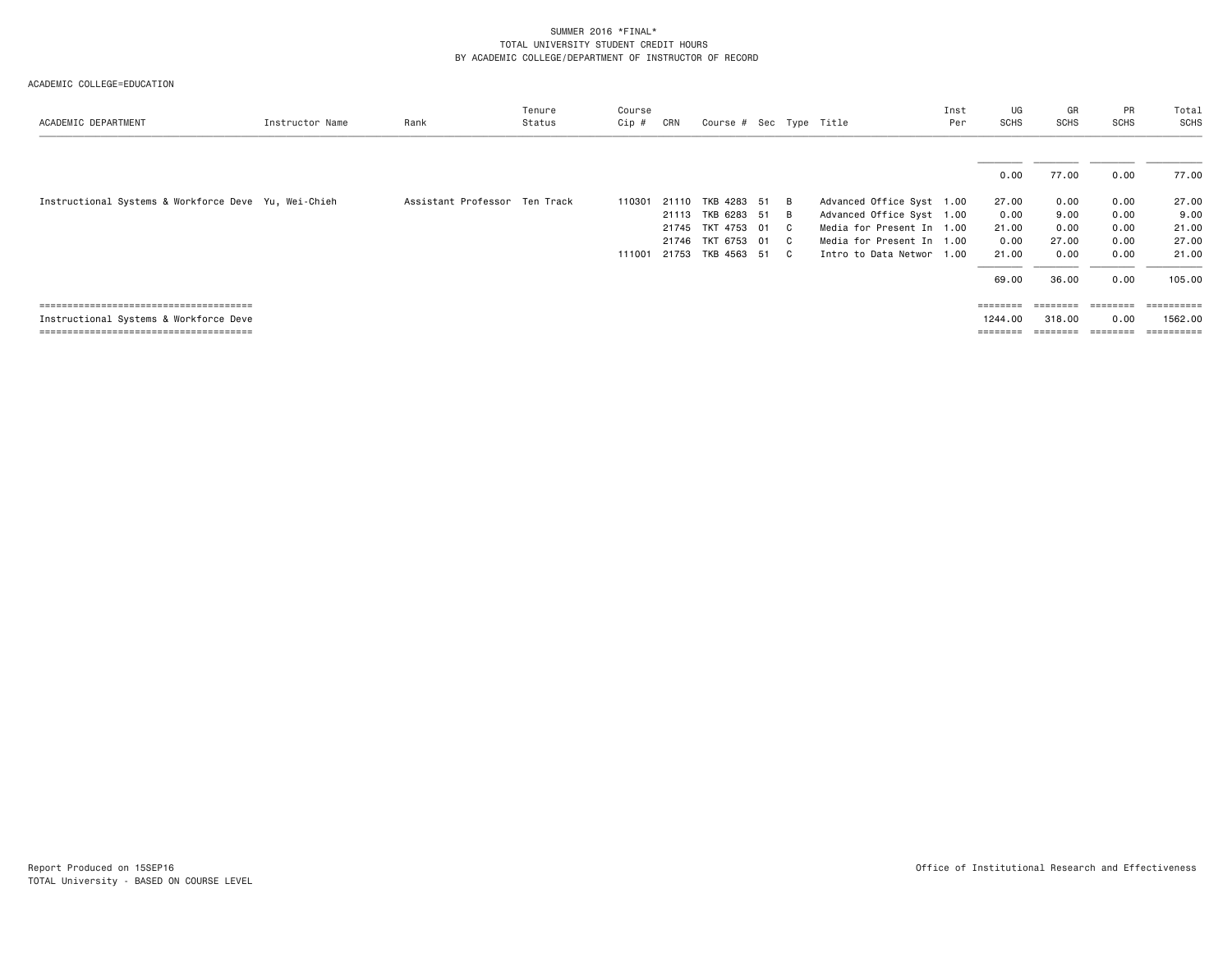| ACADEMIC DEPARTMENT                                  | Instructor Name | Rank                          | Tenure<br>Status | Course<br>Cip # | CRN   | Course # Sec Type Title |  |                           | Inst<br>Per | UG<br>SCHS        | GR<br>SCHS | PR<br><b>SCHS</b> | Total<br><b>SCHS</b>  |
|------------------------------------------------------|-----------------|-------------------------------|------------------|-----------------|-------|-------------------------|--|---------------------------|-------------|-------------------|------------|-------------------|-----------------------|
|                                                      |                 |                               |                  |                 |       |                         |  |                           |             |                   |            |                   |                       |
|                                                      |                 |                               |                  |                 |       |                         |  |                           |             | 0.00              | 77.00      | 0.00              | 77.00                 |
| Instructional Systems & Workforce Deve Yu, Wei-Chieh |                 | Assistant Professor Ten Track |                  | 110301          | 21110 | TKB 4283 51 B           |  | Advanced Office Syst 1.00 |             | 27.00             | 0.00       | 0.00              | 27.00                 |
|                                                      |                 |                               |                  |                 | 21113 | TKB 6283 51 B           |  | Advanced Office Syst 1.00 |             | 0.00              | 9.00       | 0.00              | 9.00                  |
|                                                      |                 |                               |                  |                 |       | 21745 TKT 4753 01 C     |  | Media for Present In 1.00 |             | 21.00             | 0.00       | 0.00              | 21.00                 |
|                                                      |                 |                               |                  |                 |       | 21746 TKT 6753 01 C     |  | Media for Present In 1.00 |             | 0.00              | 27.00      | 0.00              | 27.00                 |
|                                                      |                 |                               |                  | 111001          |       | 21753 TKB 4563 51 C     |  | Intro to Data Networ 1.00 |             | 21.00             | 0.00       | 0.00              | 21.00                 |
|                                                      |                 |                               |                  |                 |       |                         |  |                           |             | 69.00             | 36.00      | 0.00              | 105.00                |
|                                                      |                 |                               |                  |                 |       |                         |  |                           |             | ========          |            | ========          | ----------            |
| Instructional Systems & Workforce Deve               |                 |                               |                  |                 |       |                         |  |                           |             | 1244.00           | 318.00     | 0.00              | 1562.00               |
|                                                      |                 |                               |                  |                 |       |                         |  |                           |             | $=$ = = = = = = = | ========   | ========          | $=$ = = = = = = = = = |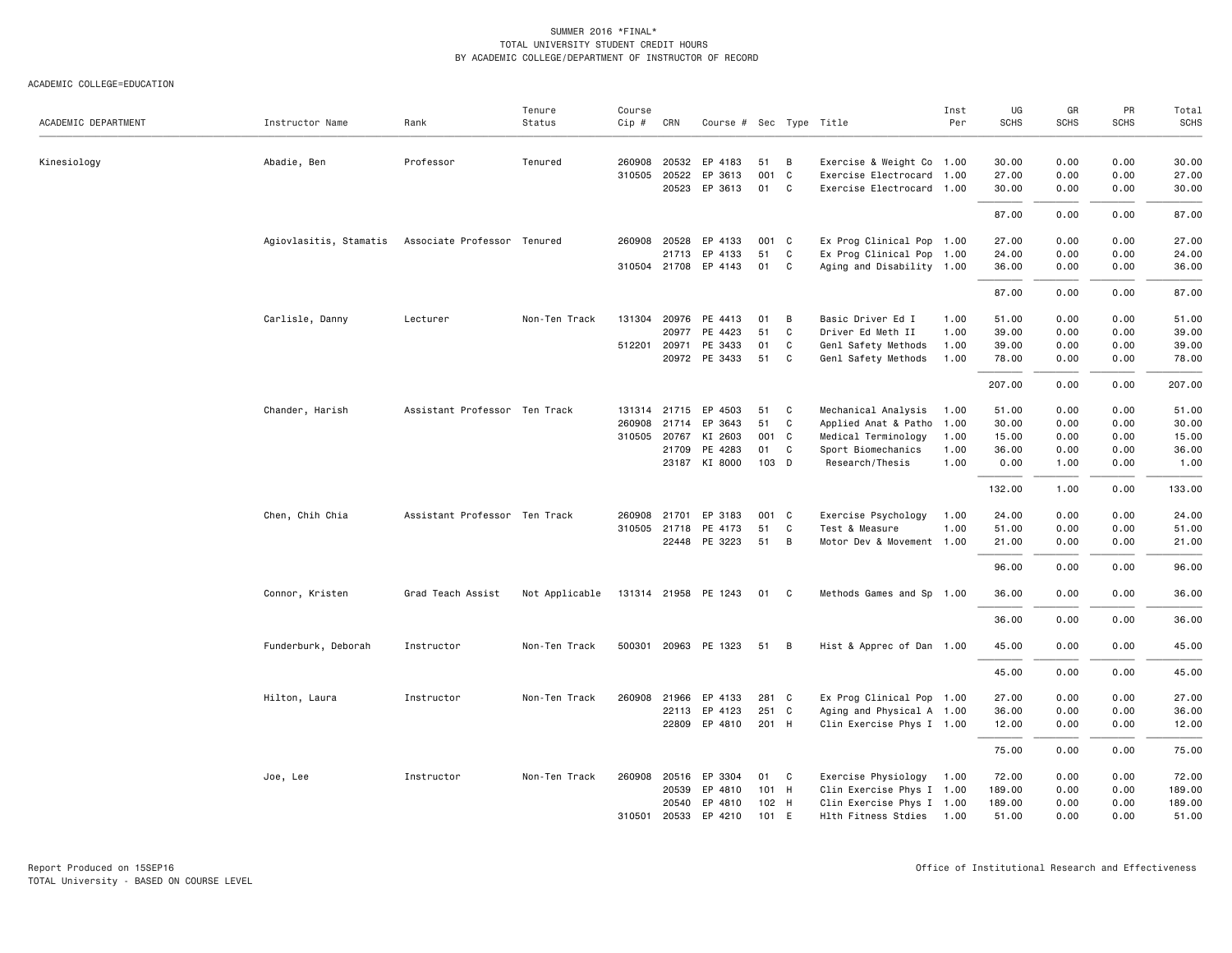| ACADEMIC DEPARTMENT | Instructor Name        | Rank                          | Tenure<br>Status | Course<br>Cip # | CRN          | Course $#$ Sec Type Title |       |              |                           | Inst<br>Per | UG<br><b>SCHS</b> | GR<br><b>SCHS</b> | PR<br><b>SCHS</b> | Total<br>SCHS |
|---------------------|------------------------|-------------------------------|------------------|-----------------|--------------|---------------------------|-------|--------------|---------------------------|-------------|-------------------|-------------------|-------------------|---------------|
| Kinesiology         | Abadie, Ben            | Professor                     | Tenured          | 260908          | 20532        | EP 4183                   | 51    | B            | Exercise & Weight Co 1.00 |             | 30.00             | 0.00              | 0.00              | 30.00         |
|                     |                        |                               |                  | 310505          | 20522        | EP 3613                   | 001   | C            | Exercise Electrocard 1.00 |             | 27.00             | 0.00              | 0.00              | 27.00         |
|                     |                        |                               |                  |                 |              | 20523 EP 3613             | 01    | C            | Exercise Electrocard 1.00 |             | 30.00             | 0.00              | 0.00              | 30.00         |
|                     |                        |                               |                  |                 |              |                           |       |              |                           |             | 87.00             | 0.00              | 0.00              | 87.00         |
|                     | Agiovlasitis, Stamatis | Associate Professor Tenured   |                  |                 | 260908 20528 | EP 4133                   | 001 C |              | Ex Prog Clinical Pop 1.00 |             | 27.00             | 0.00              | 0.00              | 27.00         |
|                     |                        |                               |                  |                 | 21713        | EP 4133                   | 51    | C            | Ex Prog Clinical Pop 1.00 |             | 24.00             | 0.00              | 0.00              | 24.00         |
|                     |                        |                               |                  |                 |              | 310504 21708 EP 4143      | 01    | C            | Aging and Disability 1.00 |             | 36.00             | 0.00              | 0.00              | 36.00         |
|                     |                        |                               |                  |                 |              |                           |       |              |                           |             | 87.00             | 0.00              | 0.00              | 87.00         |
|                     | Carlisle, Danny        | Lecturer                      | Non-Ten Track    |                 |              | 131304 20976 PE 4413      | 01    | B            | Basic Driver Ed I         | 1.00        | 51.00             | 0.00              | 0.00              | 51.00         |
|                     |                        |                               |                  |                 | 20977        | PE 4423                   | 51    | C            | Driver Ed Meth II         | 1.00        | 39.00             | 0.00              | 0.00              | 39.00         |
|                     |                        |                               |                  |                 | 512201 20971 | PE 3433                   | 01    | C            | Genl Safety Methods       | 1.00        | 39.00             | 0.00              | 0.00              | 39.00         |
|                     |                        |                               |                  |                 |              | 20972 PE 3433             | 51    | C            | Genl Safety Methods       | 1.00        | 78.00             | 0.00              | 0.00              | 78.00         |
|                     |                        |                               |                  |                 |              |                           |       |              |                           |             | 207.00            | 0.00              | 0.00              | 207.00        |
|                     | Chander, Harish        | Assistant Professor Ten Track |                  |                 |              | 131314 21715 EP 4503      | 51    | C            | Mechanical Analysis       | 1.00        | 51.00             | 0.00              | 0.00              | 51.00         |
|                     |                        |                               |                  | 260908          | 21714        | EP 3643                   | 51    | C            | Applied Anat & Patho 1.00 |             | 30.00             | 0.00              | 0.00              | 30.00         |
|                     |                        |                               |                  |                 | 310505 20767 | KI 2603                   | 001   | $\mathbf{C}$ | Medical Terminology       | 1.00        | 15.00             | 0.00              | 0.00              | 15.00         |
|                     |                        |                               |                  |                 | 21709        | PE 4283                   | 01    | C            | Sport Biomechanics        | 1.00        | 36.00             | 0.00              | 0.00              | 36.00         |
|                     |                        |                               |                  |                 |              | 23187 KI 8000             | 103 D |              | Research/Thesis           | 1.00        | 0.00              | 1.00              | 0.00              | 1.00          |
|                     |                        |                               |                  |                 |              |                           |       |              |                           |             | 132.00            | 1.00              | 0.00              | 133.00        |
|                     | Chen, Chih Chia        | Assistant Professor Ten Track |                  | 260908          | 21701        | EP 3183                   | 001   | C            | Exercise Psychology       | 1.00        | 24.00             | 0.00              | 0.00              | 24.00         |
|                     |                        |                               |                  |                 | 310505 21718 | PE 4173                   | 51    | C            | Test & Measure            | 1.00        | 51.00             | 0.00              | 0.00              | 51.00         |
|                     |                        |                               |                  |                 |              | 22448 PE 3223             | 51    | B            | Motor Dev & Movement 1.00 |             | 21.00             | 0.00              | 0.00              | 21.00         |
|                     |                        |                               |                  |                 |              |                           |       |              |                           |             | 96.00             | 0.00              | 0.00              | 96.00         |
|                     | Connor, Kristen        | Grad Teach Assist             | Not Applicable   |                 |              | 131314 21958 PE 1243      | 01 C  |              | Methods Games and Sp 1.00 |             | 36.00             | 0.00              | 0.00              | 36.00         |
|                     |                        |                               |                  |                 |              |                           |       |              |                           |             | 36.00             | 0.00              | 0.00              | 36.00         |
|                     | Funderburk, Deborah    | Instructor                    | Non-Ten Track    |                 |              | 500301 20963 PE 1323      | 51    | B            | Hist & Apprec of Dan 1.00 |             | 45.00             | 0.00              | 0.00              | 45.00         |
|                     |                        |                               |                  |                 |              |                           |       |              |                           |             | 45.00             | 0.00              | 0.00              | 45.00         |
|                     | Hilton, Laura          | Instructor                    | Non-Ten Track    |                 | 260908 21966 | EP 4133                   | 281 C |              | Ex Prog Clinical Pop 1.00 |             | 27.00             | 0.00              | 0.00              | 27.00         |
|                     |                        |                               |                  |                 | 22113        | EP 4123                   | 251 C |              | Aging and Physical A 1.00 |             | 36.00             | 0.00              | 0.00              | 36.00         |
|                     |                        |                               |                  |                 |              | 22809 EP 4810             | 201 H |              | Clin Exercise Phys I 1.00 |             | 12.00             | 0.00              | 0.00              | 12.00         |
|                     |                        |                               |                  |                 |              |                           |       |              |                           |             | 75.00             | 0.00              | 0.00              | 75.00         |
|                     | Joe, Lee               | Instructor                    | Non-Ten Track    |                 | 260908 20516 | EP 3304                   | 01    | C            | Exercise Physiology       | 1.00        | 72.00             | 0.00              | 0.00              | 72.00         |
|                     |                        |                               |                  |                 | 20539        | EP 4810                   | 101 H |              | Clin Exercise Phys I 1.00 |             | 189.00            | 0.00              | 0.00              | 189.00        |
|                     |                        |                               |                  |                 | 20540        | EP 4810                   | 102 H |              | Clin Exercise Phys I 1.00 |             | 189.00            | 0.00              | 0.00              | 189.00        |
|                     |                        |                               |                  |                 | 310501 20533 | EP 4210                   | 101   | E            | Hlth Fitness Stdies 1.00  |             | 51.00             | 0.00              | 0.00              | 51.00         |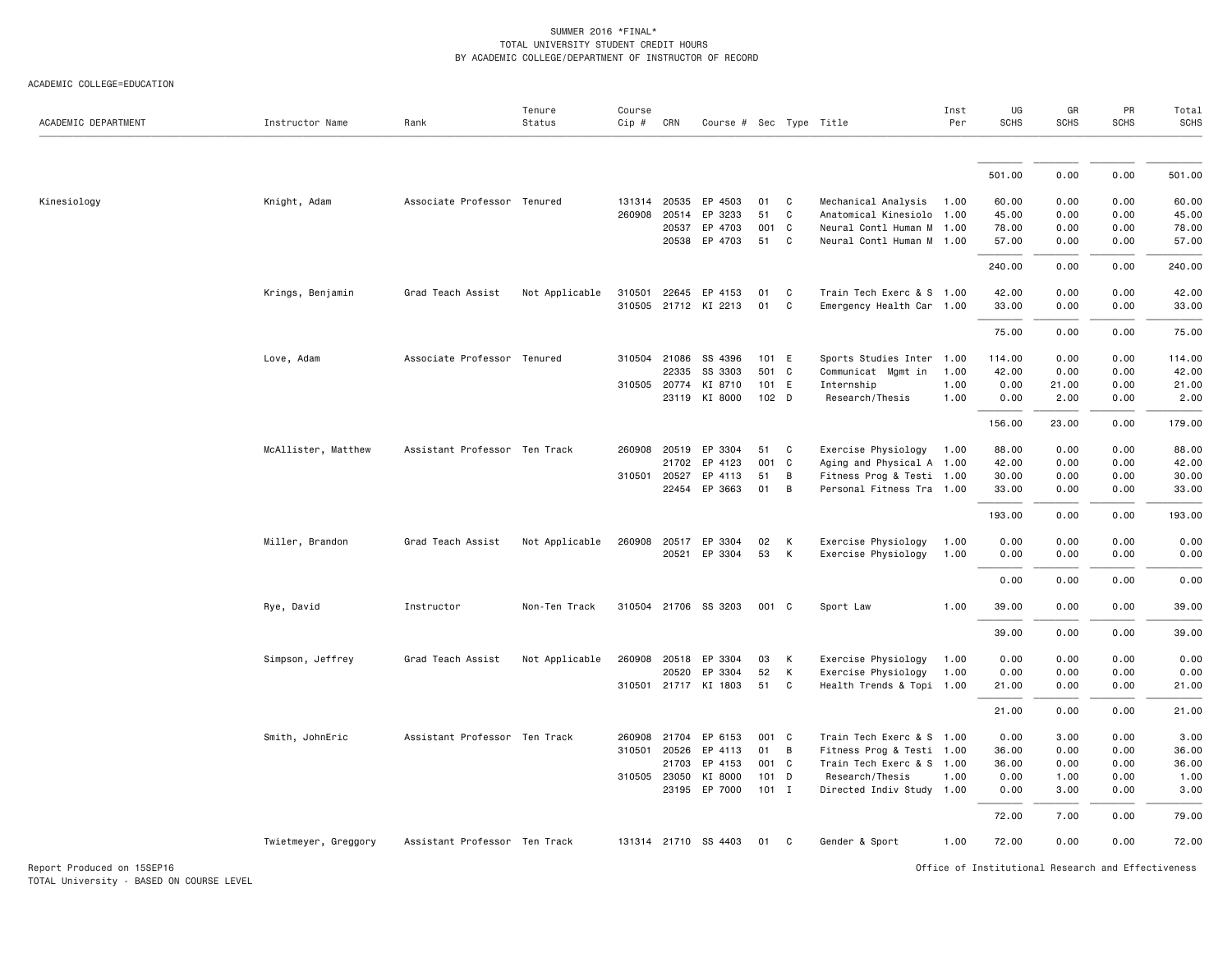| ACADEMIC DEPARTMENT        | Instructor Name      | Rank                          | Tenure<br>Status | Course<br>Cip # | CRN   | Course # Sec Type Title |                  |              |                           | Inst<br>Per | UG<br><b>SCHS</b>                                  | GR<br><b>SCHS</b> | PR<br><b>SCHS</b> | Total<br>SCHS |
|----------------------------|----------------------|-------------------------------|------------------|-----------------|-------|-------------------------|------------------|--------------|---------------------------|-------------|----------------------------------------------------|-------------------|-------------------|---------------|
|                            |                      |                               |                  |                 |       |                         |                  |              |                           |             |                                                    |                   |                   |               |
|                            |                      |                               |                  |                 |       |                         |                  |              |                           |             | 501.00                                             | 0.00              | 0.00              | 501.00        |
| Kinesiology                | Knight, Adam         | Associate Professor Tenured   |                  | 131314          | 20535 | EP 4503                 | 01               | C            | Mechanical Analysis       | 1.00        | 60.00                                              | 0.00              | 0.00              | 60.00         |
|                            |                      |                               |                  | 260908          | 20514 | EP 3233                 | 51               | C            | Anatomical Kinesiolo 1.00 |             | 45.00                                              | 0.00              | 0.00              | 45.00         |
|                            |                      |                               |                  |                 | 20537 | EP 4703                 | 001              | $\mathbf{C}$ | Neural Contl Human M 1.00 |             | 78.00                                              | 0.00              | 0.00              | 78.00         |
|                            |                      |                               |                  |                 | 20538 | EP 4703                 | 51               | C            | Neural Contl Human M 1.00 |             | 57.00                                              | 0.00              | 0.00              | 57.00         |
|                            |                      |                               |                  |                 |       |                         |                  |              |                           |             | 240.00                                             | 0.00              | 0.00              | 240.00        |
|                            | Krings, Benjamin     | Grad Teach Assist             | Not Applicable   | 310501          |       | 22645 EP 4153           | 01               | C            | Train Tech Exerc & S 1.00 |             | 42.00                                              | 0.00              | 0.00              | 42.00         |
|                            |                      |                               |                  | 310505          |       | 21712 KI 2213           | 01               | C            | Emergency Health Car 1.00 |             | 33.00                                              | 0.00              | 0.00              | 33.00         |
|                            |                      |                               |                  |                 |       |                         |                  |              |                           |             | 75.00                                              | 0.00              | 0.00              | 75.00         |
|                            | Love, Adam           | Associate Professor Tenured   |                  | 310504          | 21086 | SS 4396                 | 101 E            |              | Sports Studies Inter 1.00 |             | 114.00                                             | 0.00              | 0.00              | 114.00        |
|                            |                      |                               |                  |                 | 22335 | SS 3303                 | 501 C            |              | Communicat Mgmt in        | 1.00        | 42.00                                              | 0.00              | 0.00              | 42.00         |
|                            |                      |                               |                  | 310505 20774    |       | KI 8710                 | 101 E            |              | Internship                | 1.00        | 0.00                                               | 21.00             | 0.00              | 21.00         |
|                            |                      |                               |                  |                 |       | 23119 KI 8000           | 102 <sub>D</sub> |              | Research/Thesis           | 1.00        | 0.00                                               | 2.00              | 0.00              | 2.00          |
|                            |                      |                               |                  |                 |       |                         |                  |              |                           |             | 156.00                                             | 23.00             | 0.00              | 179.00        |
|                            | McAllister, Matthew  | Assistant Professor Ten Track |                  | 260908          | 20519 | EP 3304                 | 51               | C            | Exercise Physiology       | 1.00        | 88.00                                              | 0.00              | 0.00              | 88.00         |
|                            |                      |                               |                  |                 | 21702 | EP 4123                 | 001              | C            | Aging and Physical A 1.00 |             | 42.00                                              | 0.00              | 0.00              | 42.00         |
|                            |                      |                               |                  | 310501          | 20527 | EP 4113                 | 51               | В            | Fitness Prog & Testi 1.00 |             | 30.00                                              | 0.00              | 0.00              | 30.00         |
|                            |                      |                               |                  |                 |       | 22454 EP 3663           | 01               | В            | Personal Fitness Tra 1.00 |             | 33.00                                              | 0.00              | 0.00              | 33.00         |
|                            |                      |                               |                  |                 |       |                         |                  |              |                           |             | 193.00                                             | 0.00              | 0.00              | 193.00        |
|                            | Miller, Brandon      | Grad Teach Assist             | Not Applicable   | 260908          | 20517 | EP 3304                 | 02               | К            | Exercise Physiology       | 1.00        | 0.00                                               | 0.00              | 0.00              | 0.00          |
|                            |                      |                               |                  |                 | 20521 | EP 3304                 | 53               | К            | Exercise Physiology       | 1.00        | 0.00                                               | 0.00              | 0.00              | 0.00          |
|                            |                      |                               |                  |                 |       |                         |                  |              |                           |             | 0.00                                               | 0.00              | 0.00              | 0.00          |
|                            | Rye, David           | Instructor                    | Non-Ten Track    |                 |       | 310504 21706 SS 3203    | 001 C            |              | Sport Law                 | 1.00        | 39.00                                              | 0.00              | 0.00              | 39.00         |
|                            |                      |                               |                  |                 |       |                         |                  |              |                           |             | 39.00                                              | 0.00              | 0.00              | 39.00         |
|                            | Simpson, Jeffrey     | Grad Teach Assist             | Not Applicable   | 260908          | 20518 | EP 3304                 | 03               | К            | Exercise Physiology       | 1.00        | 0.00                                               | 0.00              | 0.00              | 0.00          |
|                            |                      |                               |                  |                 | 20520 | EP 3304                 | 52               | K            | Exercise Physiology       | 1.00        | 0.00                                               | 0.00              | 0.00              | 0.00          |
|                            |                      |                               |                  |                 |       | 310501 21717 KI 1803    | 51               | C            | Health Trends & Topi 1.00 |             | 21.00                                              | 0.00              | 0.00              | 21.00         |
|                            |                      |                               |                  |                 |       |                         |                  |              |                           |             | 21.00                                              | 0.00              | 0.00              | 21.00         |
|                            | Smith, JohnEric      | Assistant Professor Ten Track |                  | 260908          | 21704 | EP 6153                 | 001 C            |              | Train Tech Exerc & S 1.00 |             | 0.00                                               | 3.00              | 0.00              | 3.00          |
|                            |                      |                               |                  | 310501          | 20526 | EP 4113                 | 01               | B            | Fitness Prog & Testi 1.00 |             | 36.00                                              | 0.00              | 0.00              | 36.00         |
|                            |                      |                               |                  |                 | 21703 | EP 4153                 | 001 C            |              | Train Tech Exerc & S 1.00 |             | 36.00                                              | 0.00              | 0.00              | 36.00         |
|                            |                      |                               |                  | 310505 23050    |       | KI 8000                 | 101 D            |              | Research/Thesis           | 1.00        | 0.00                                               | 1.00              | 0.00              | 1.00          |
|                            |                      |                               |                  |                 |       | 23195 EP 7000           | $101$ I          |              | Directed Indiv Study 1.00 |             | 0.00                                               | 3.00              | 0.00              | 3.00          |
|                            |                      |                               |                  |                 |       |                         |                  |              |                           |             | 72.00                                              | 7.00              | 0.00              | 79.00         |
|                            | Twietmeyer, Greggory | Assistant Professor Ten Track |                  |                 |       | 131314 21710 SS 4403    | 01               | C            | Gender & Sport            | 1.00        | 72.00                                              | 0.00              | 0.00              | 72.00         |
| Report Produced on 15SEP16 |                      |                               |                  |                 |       |                         |                  |              |                           |             | Office of Institutional Research and Effectiveness |                   |                   |               |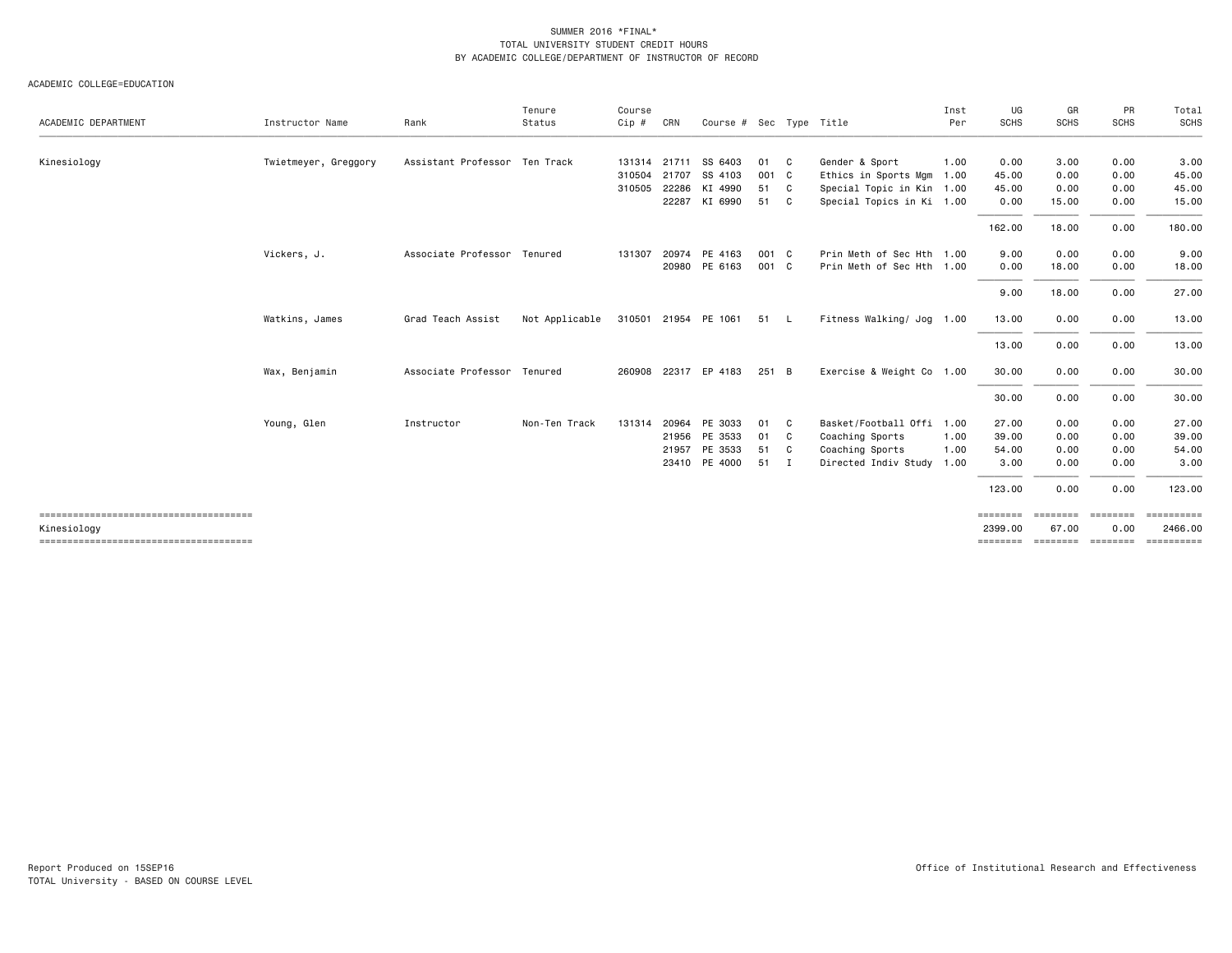| ACADEMIC DEPARTMENT | Instructor Name      | Rank                          | Tenure<br>Status | Course<br>Cip # | CRN   | Course # Sec Type Title |       |              |                           | Inst<br>Per | UG<br><b>SCHS</b> | GR<br><b>SCHS</b> | PR<br><b>SCHS</b> | Total<br><b>SCHS</b>    |
|---------------------|----------------------|-------------------------------|------------------|-----------------|-------|-------------------------|-------|--------------|---------------------------|-------------|-------------------|-------------------|-------------------|-------------------------|
| Kinesiology         | Twietmeyer, Greggory | Assistant Professor Ten Track |                  | 131314 21711    |       | SS 6403                 | 01    | $\mathbf{C}$ | Gender & Sport            | 1.00        | 0.00              | 3.00              | 0.00              | 3.00                    |
|                     |                      |                               |                  | 310504          | 21707 | SS 4103                 | 001 C |              | Ethics in Sports Mgm      | 1.00        | 45.00             | 0.00              | 0.00              | 45.00                   |
|                     |                      |                               |                  | 310505          | 22286 | KI 4990                 | 51 C  |              | Special Topic in Kin 1.00 |             | 45.00             | 0.00              | 0.00              | 45.00                   |
|                     |                      |                               |                  |                 |       | 22287 KI 6990           | 51 C  |              | Special Topics in Ki 1.00 |             | 0.00              | 15.00             | 0.00              | 15.00                   |
|                     |                      |                               |                  |                 |       |                         |       |              |                           |             | 162.00            | 18.00             | 0.00              | 180.00                  |
|                     | Vickers, J.          | Associate Professor Tenured   |                  | 131307          | 20974 | PE 4163                 | 001 C |              | Prin Meth of Sec Hth 1.00 |             | 9.00              | 0.00              | 0.00              | 9.00                    |
|                     |                      |                               |                  |                 |       | 20980 PE 6163           | 001 C |              | Prin Meth of Sec Hth 1.00 |             | 0.00              | 18.00             | 0.00              | 18.00                   |
|                     |                      |                               |                  |                 |       |                         |       |              |                           |             | 9.00              | 18.00             | 0.00              | 27.00                   |
|                     | Watkins, James       | Grad Teach Assist             | Not Applicable   |                 |       | 310501 21954 PE 1061    | 51 L  |              | Fitness Walking/ Jog 1.00 |             | 13.00             | 0.00              | 0.00              | 13.00                   |
|                     |                      |                               |                  |                 |       |                         |       |              |                           |             | 13.00             | 0.00              | 0.00              | 13.00                   |
|                     | Wax, Benjamin        | Associate Professor Tenured   |                  | 260908          |       | 22317 EP 4183           | 251 B |              | Exercise & Weight Co 1.00 |             | 30.00             | 0.00              | 0.00              | 30.00                   |
|                     |                      |                               |                  |                 |       |                         |       |              |                           |             | 30.00             | 0.00              | 0.00              | 30.00                   |
|                     | Young, Glen          | Instructor                    | Non-Ten Track    | 131314          | 20964 | PE 3033                 | 01    | C            | Basket/Football Offi      | 1.00        | 27.00             | 0.00              | 0.00              | 27.00                   |
|                     |                      |                               |                  |                 |       | 21956 PE 3533           | 01    | $\mathbf{C}$ | Coaching Sports           | 1.00        | 39.00             | 0.00              | 0.00              | 39.00                   |
|                     |                      |                               |                  |                 |       | 21957 PE 3533           | 51 C  |              | Coaching Sports           | 1.00        | 54.00             | 0.00              | 0.00              | 54.00                   |
|                     |                      |                               |                  |                 |       | 23410 PE 4000           | 51    | $\mathbf{I}$ | Directed Indiv Study      | 1.00        | 3.00              | 0.00              | 0.00              | 3.00                    |
|                     |                      |                               |                  |                 |       |                         |       |              |                           |             | 123.00            | 0.00              | 0.00              | 123,00                  |
|                     |                      |                               |                  |                 |       |                         |       |              |                           |             | ========          | ========          | ========          | $=$ = = = = = = = = = = |
| Kinesiology         |                      |                               |                  |                 |       |                         |       |              |                           |             | 2399.00           | 67.00             | 0.00              | 2466,00                 |
|                     |                      |                               |                  |                 |       |                         |       |              |                           |             |                   |                   |                   | ==========              |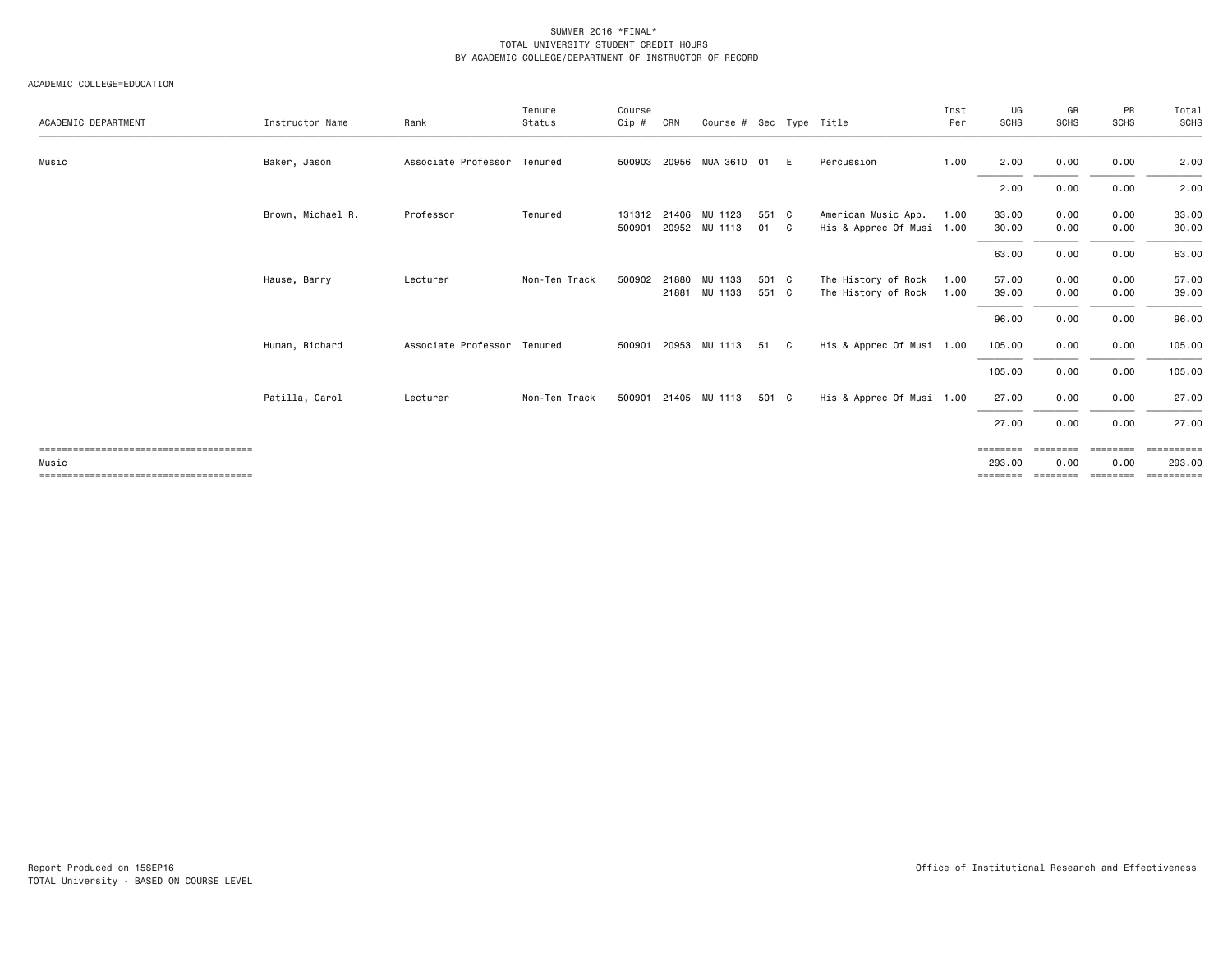|                     |                   |                             | Tenure        | Course           |       |                                       |                |    |                                                  | Inst         | UG                 | GR               | PR               | Total              |
|---------------------|-------------------|-----------------------------|---------------|------------------|-------|---------------------------------------|----------------|----|--------------------------------------------------|--------------|--------------------|------------------|------------------|--------------------|
| ACADEMIC DEPARTMENT | Instructor Name   | Rank                        | Status        | Cip #            | CRN   | Course # Sec Type Title               |                |    |                                                  | Per          | <b>SCHS</b>        | <b>SCHS</b>      | <b>SCHS</b>      | SCHS               |
| Music               | Baker, Jason      | Associate Professor Tenured |               | 500903           |       | 20956 MUA 3610 01                     |                | E  | Percussion                                       | 1.00         | 2.00               | 0.00             | 0.00             | 2.00               |
|                     |                   |                             |               |                  |       |                                       |                |    |                                                  |              | 2.00               | 0.00             | 0.00             | 2.00               |
|                     | Brown, Michael R. | Professor                   | Tenured       | 131312<br>500901 |       | 21406 MU 1123<br>20952 MU 1113        | 551 C<br>01    | C. | American Music App.<br>His & Apprec Of Musi 1.00 | 1.00         | 33.00<br>30.00     | 0.00<br>0.00     | 0.00<br>0.00     | 33.00<br>30.00     |
|                     |                   |                             |               |                  |       |                                       |                |    |                                                  |              | 63.00              | 0.00             | 0.00             | 63.00              |
|                     | Hause, Barry      | Lecturer                    | Non-Ten Track |                  |       | 500902 21880 MU 1133<br>21881 MU 1133 | 501 C<br>551 C |    | The History of Rock<br>The History of Rock       | 1.00<br>1.00 | 57.00<br>39.00     | 0.00<br>0.00     | 0.00<br>0.00     | 57.00<br>39.00     |
|                     |                   |                             |               |                  |       |                                       |                |    |                                                  |              | 96.00              | 0.00             | 0.00             | 96.00              |
|                     | Human, Richard    | Associate Professor Tenured |               | 500901           | 20953 | MU 1113                               | 51             | C. | His & Apprec Of Musi 1.00                        |              | 105.00             | 0.00             | 0.00             | 105.00             |
|                     |                   |                             |               |                  |       |                                       |                |    |                                                  |              | 105.00             | 0.00             | 0.00             | 105.00             |
|                     | Patilla, Carol    | Lecturer                    | Non-Ten Track |                  |       | 500901 21405 MU 1113                  | 501 C          |    | His & Apprec Of Musi 1.00                        |              | 27.00              | 0.00             | 0.00             | 27.00              |
|                     |                   |                             |               |                  |       |                                       |                |    |                                                  |              | 27.00              | 0.00             | 0.00             | 27.00              |
| Music               |                   |                             |               |                  |       |                                       |                |    |                                                  |              | ========<br>293.00 | ========<br>0.00 | ========<br>0.00 | EEEEEEEE<br>293.00 |
|                     |                   |                             |               |                  |       |                                       |                |    |                                                  |              | ========           | ========         | ========         | EEEEEEEE           |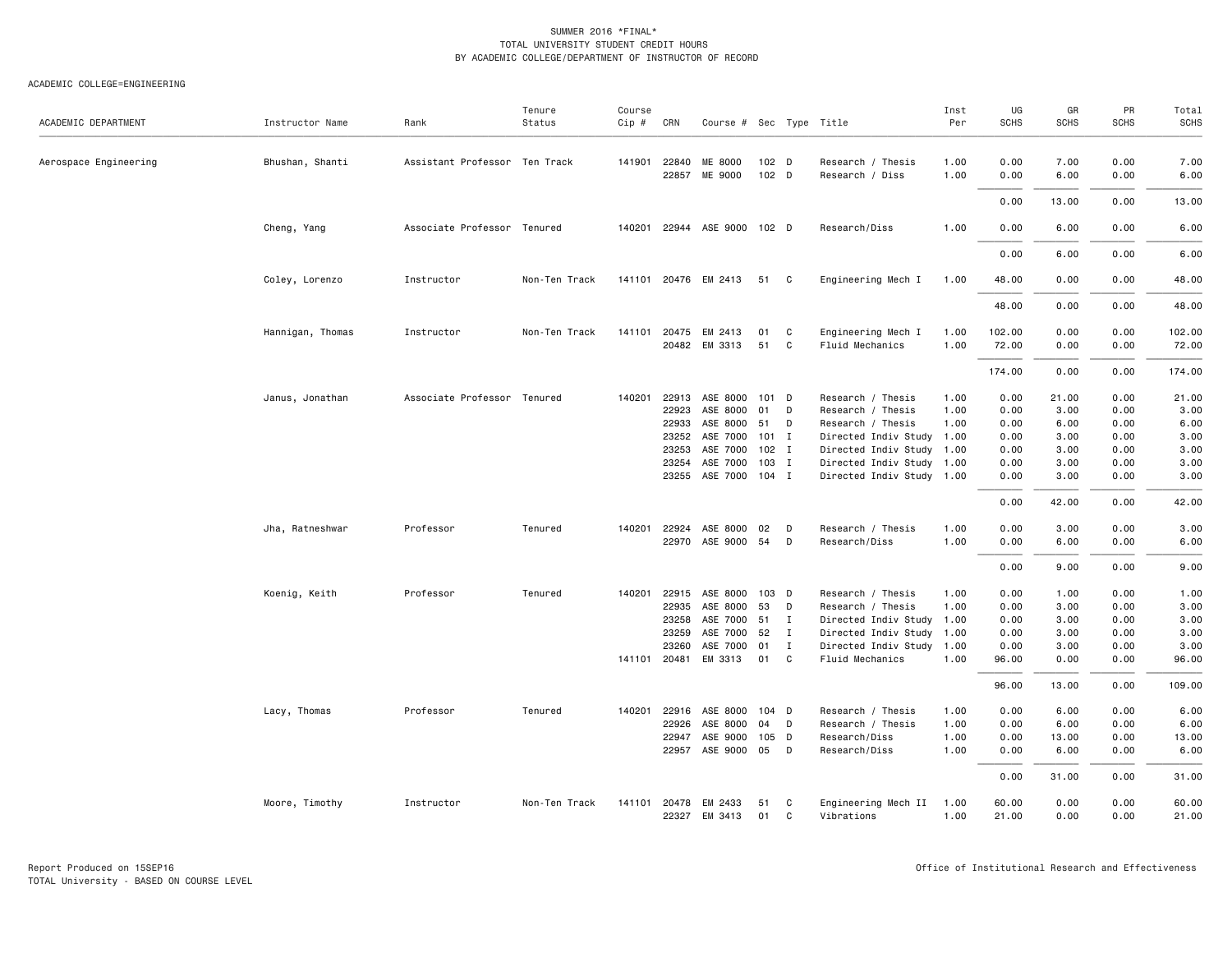| ACADEMIC DEPARTMENT   | Instructor Name                    | Rank                                     | Tenure<br>Status | Course<br>$Cip \#$ | CRN                                                                         | Course $#$ Sec Type Title                                                                                         |                                                                   |                                                        |                                                                                                                                                                                                                       | Inst<br>Per                          | UG<br><b>SCHS</b>                                                            | GR<br><b>SCHS</b>                                                              | PR<br><b>SCHS</b>                                                            | Total<br>SCHS                                                                  |
|-----------------------|------------------------------------|------------------------------------------|------------------|--------------------|-----------------------------------------------------------------------------|-------------------------------------------------------------------------------------------------------------------|-------------------------------------------------------------------|--------------------------------------------------------|-----------------------------------------------------------------------------------------------------------------------------------------------------------------------------------------------------------------------|--------------------------------------|------------------------------------------------------------------------------|--------------------------------------------------------------------------------|------------------------------------------------------------------------------|--------------------------------------------------------------------------------|
| Aerospace Engineering | Bhushan, Shanti                    | Assistant Professor Ten Track            |                  |                    | 141901 22840<br>22857                                                       | ME 8000<br>ME 9000                                                                                                | 102 <sub>D</sub><br>102 D                                         |                                                        | Research / Thesis<br>Research / Diss                                                                                                                                                                                  | 1.00<br>1.00                         | 0.00<br>0.00                                                                 | 7.00<br>6.00                                                                   | 0.00<br>0.00                                                                 | 7.00<br>6.00                                                                   |
|                       |                                    |                                          |                  |                    |                                                                             |                                                                                                                   |                                                                   |                                                        |                                                                                                                                                                                                                       |                                      | 0.00                                                                         | 13.00                                                                          | 0.00                                                                         | 13.00                                                                          |
|                       | Cheng, Yang                        | Associate Professor Tenured              |                  |                    |                                                                             | 140201 22944 ASE 9000                                                                                             | 102 D                                                             |                                                        | Research/Diss                                                                                                                                                                                                         | 1.00                                 | 0.00                                                                         | 6.00                                                                           | 0.00                                                                         | 6.00                                                                           |
|                       |                                    |                                          |                  |                    |                                                                             |                                                                                                                   |                                                                   |                                                        |                                                                                                                                                                                                                       |                                      | 0.00                                                                         | 6.00                                                                           | 0.00                                                                         | 6.00                                                                           |
|                       | Coley, Lorenzo                     | Instructor                               | Non-Ten Track    |                    |                                                                             | 141101 20476 EM 2413                                                                                              | 51 C                                                              |                                                        | Engineering Mech I                                                                                                                                                                                                    | 1.00                                 | 48.00                                                                        | 0.00                                                                           | 0.00                                                                         | 48.00                                                                          |
|                       |                                    |                                          |                  |                    |                                                                             |                                                                                                                   |                                                                   |                                                        |                                                                                                                                                                                                                       |                                      | 48.00                                                                        | 0.00                                                                           | 0.00                                                                         | 48.00                                                                          |
|                       | Hannigan, Thomas                   | Instructor                               | Non-Ten Track    | 141101             | 20475                                                                       | EM 2413<br>20482 EM 3313                                                                                          | 01<br>51                                                          | C<br>C                                                 | Engineering Mech I<br>Fluid Mechanics                                                                                                                                                                                 | 1.00<br>1.00                         | 102.00<br>72.00                                                              | 0.00<br>0.00                                                                   | 0.00<br>0.00                                                                 | 102.00<br>72.00                                                                |
|                       |                                    |                                          |                  |                    |                                                                             |                                                                                                                   |                                                                   |                                                        |                                                                                                                                                                                                                       |                                      | 174.00                                                                       | 0.00                                                                           | 0.00                                                                         | 174.00                                                                         |
|                       | Janus, Jonathan<br>Jha, Ratneshwar | Associate Professor Tenured<br>Professor | Tenured          | 140201             | 22913<br>22923<br>22933<br>23252<br>23253<br>23254<br>23255<br>140201 22924 | ASE 8000<br>ASE 8000<br>ASE 8000<br>ASE 7000<br>ASE 7000<br>ASE 7000<br>ASE 7000<br>ASE 8000<br>22970 ASE 9000 54 | 101 D<br>01<br>51<br>$101$ I<br>$102$ I<br>103 I<br>$104$ I<br>02 | D<br>D<br>D<br>D                                       | Research / Thesis<br>Research / Thesis<br>Research / Thesis<br>Directed Indiv Study 1.00<br>Directed Indiv Study 1.00<br>Directed Indiv Study 1.00<br>Directed Indiv Study 1.00<br>Research / Thesis<br>Research/Diss | 1.00<br>1.00<br>1.00<br>1.00<br>1.00 | 0.00<br>0.00<br>0.00<br>0.00<br>0.00<br>0.00<br>0.00<br>0.00<br>0.00<br>0.00 | 21.00<br>3.00<br>6.00<br>3.00<br>3.00<br>3.00<br>3.00<br>42.00<br>3.00<br>6.00 | 0.00<br>0.00<br>0.00<br>0.00<br>0.00<br>0.00<br>0.00<br>0.00<br>0.00<br>0.00 | 21.00<br>3.00<br>6.00<br>3.00<br>3.00<br>3.00<br>3.00<br>42.00<br>3.00<br>6.00 |
|                       |                                    |                                          |                  |                    |                                                                             |                                                                                                                   |                                                                   |                                                        |                                                                                                                                                                                                                       |                                      | 0.00                                                                         | 9.00                                                                           | 0.00                                                                         | 9.00                                                                           |
|                       | Koenig, Keith                      | Professor                                | Tenured          | 140201             | 22915<br>22935<br>23258<br>23259<br>23260<br>141101 20481                   | ASE 8000<br>ASE 8000<br>ASE 7000<br>ASE 7000<br>ASE 7000<br>EM 3313                                               | $103$ D<br>53<br>51<br>52<br>01<br>01                             | D<br>$\blacksquare$<br>$\mathbf I$<br>$\mathbf I$<br>C | Research / Thesis<br>Research / Thesis<br>Directed Indiv Study 1.00<br>Directed Indiv Study 1.00<br>Directed Indiv Study 1.00<br>Fluid Mechanics                                                                      | 1.00<br>1.00<br>1.00                 | 0.00<br>0.00<br>0.00<br>0.00<br>0.00<br>96.00<br>96.00                       | 1.00<br>3.00<br>3.00<br>3.00<br>3.00<br>0.00<br>13.00                          | 0.00<br>0.00<br>0.00<br>0.00<br>0.00<br>0.00<br>0.00                         | 1.00<br>3.00<br>3.00<br>3.00<br>3.00<br>96.00<br>109.00                        |
|                       | Lacy, Thomas                       | Professor                                | Tenured          |                    | 140201 22916<br>22926<br>22947                                              | ASE 8000<br>ASE 8000<br>ASE 9000<br>22957 ASE 9000 05                                                             | $104$ D<br>04<br>105 D                                            | D<br>D                                                 | Research / Thesis<br>Research / Thesis<br>Research/Diss<br>Research/Diss                                                                                                                                              | 1.00<br>1.00<br>1.00<br>1.00         | 0.00<br>0.00<br>0.00<br>0.00<br>0.00                                         | 6.00<br>6.00<br>13.00<br>6.00<br>31.00                                         | 0.00<br>0.00<br>0.00<br>0.00<br>0.00                                         | 6.00<br>6.00<br>13.00<br>6.00<br>31.00                                         |
|                       | Moore, Timothy                     | Instructor                               | Non-Ten Track    |                    | 141101 20478                                                                | EM 2433<br>22327 EM 3413                                                                                          | 51<br>01                                                          | C<br>C                                                 | Engineering Mech II<br>Vibrations                                                                                                                                                                                     | 1.00<br>1.00                         | 60.00<br>21.00                                                               | 0.00<br>0.00                                                                   | 0.00<br>0.00                                                                 | 60.00<br>21.00                                                                 |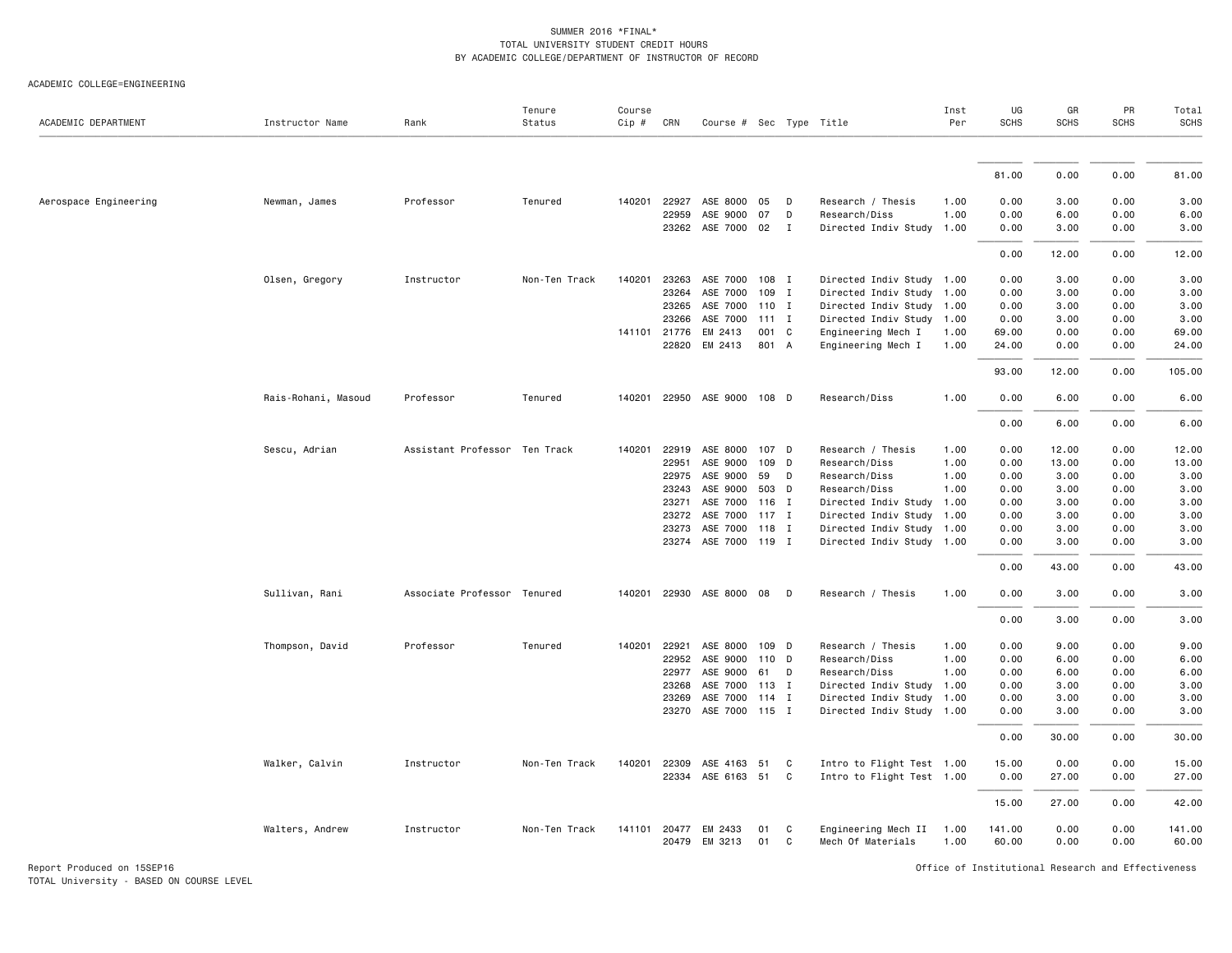#### ACADEMIC COLLEGE=ENGINEERING

| ACADEMIC DEPARTMENT   | Instructor Name     | Rank                          | Tenure<br>Status | Course<br>Cip # | CRN          | Course # Sec Type Title     |         |              |                           | Inst<br>Per | UG<br><b>SCHS</b> | GR<br><b>SCHS</b> | PR<br><b>SCHS</b> | Total<br><b>SCHS</b> |
|-----------------------|---------------------|-------------------------------|------------------|-----------------|--------------|-----------------------------|---------|--------------|---------------------------|-------------|-------------------|-------------------|-------------------|----------------------|
|                       |                     |                               |                  |                 |              |                             |         |              |                           |             |                   |                   |                   |                      |
|                       |                     |                               |                  |                 |              |                             |         |              |                           |             | 81.00             | 0.00              | 0.00              | 81.00                |
| Aerospace Engineering | Newman, James       | Professor                     | Tenured          | 140201          | 22927        | ASE 8000                    | 05      | D            | Research / Thesis         | 1.00        | 0.00              | 3.00              | 0.00              | 3.00                 |
|                       |                     |                               |                  |                 | 22959        | ASE 9000                    | 07      | D            | Research/Diss             | 1.00        | 0.00              | 6.00              | 0.00              | 6.00                 |
|                       |                     |                               |                  |                 |              | 23262 ASE 7000 02           |         | $\mathbf I$  | Directed Indiv Study 1.00 |             | 0.00              | 3.00              | 0.00              | 3.00                 |
|                       |                     |                               |                  |                 |              |                             |         |              |                           |             | 0.00              | 12.00             | 0.00              | 12.00                |
|                       | Olsen, Gregory      | Instructor                    | Non-Ten Track    | 140201          | 23263        | ASE 7000                    | 108 I   |              | Directed Indiv Study 1.00 |             | 0.00              | 3.00              | 0.00              | 3.00                 |
|                       |                     |                               |                  |                 | 23264        | ASE 7000                    | 109     | I            | Directed Indiv Study 1.00 |             | 0.00              | 3.00              | 0.00              | 3.00                 |
|                       |                     |                               |                  |                 | 23265        | ASE 7000                    | 110 I   |              | Directed Indiv Study 1.00 |             | 0.00              | 3.00              | 0.00              | 3.00                 |
|                       |                     |                               |                  |                 | 23266        | ASE 7000                    | $111$ I |              | Directed Indiv Study 1.00 |             | 0.00              | 3.00              | 0.00              | 3.00                 |
|                       |                     |                               |                  |                 | 141101 21776 | EM 2413                     | 001 C   |              | Engineering Mech I        | 1.00        | 69.00             | 0.00              | 0.00              | 69.00                |
|                       |                     |                               |                  |                 | 22820        | EM 2413                     | 801 A   |              | Engineering Mech I        | 1.00        | 24.00             | 0.00              | 0.00              | 24.00                |
|                       |                     |                               |                  |                 |              |                             |         |              |                           |             | 93.00             | 12.00             | 0.00              | 105.00               |
|                       | Rais-Rohani, Masoud | Professor                     | Tenured          |                 |              | 140201 22950 ASE 9000 108 D |         |              | Research/Diss             | 1.00        | 0.00              | 6.00              | 0.00              | 6.00                 |
|                       |                     |                               |                  |                 |              |                             |         |              |                           |             | 0.00              | 6.00              | 0.00              | 6.00                 |
|                       | Sescu, Adrian       | Assistant Professor Ten Track |                  | 140201          | 22919        | ASE 8000                    | 107 D   |              | Research / Thesis         | 1.00        | 0.00              | 12.00             | 0.00              | 12.00                |
|                       |                     |                               |                  |                 | 22951        | ASE 9000                    | 109 D   |              | Research/Diss             | 1.00        | 0.00              | 13.00             | 0.00              | 13.00                |
|                       |                     |                               |                  |                 | 22975        | ASE 9000                    | 59      | D            | Research/Diss             | 1.00        | 0.00              | 3.00              | 0.00              | 3.00                 |
|                       |                     |                               |                  |                 | 23243        | ASE 9000                    | 503 D   |              | Research/Diss             | 1.00        | 0.00              | 3.00              | 0.00              | 3.00                 |
|                       |                     |                               |                  |                 | 23271        | ASE 7000                    | 116 I   |              | Directed Indiv Study 1.00 |             | 0.00              | 3.00              | 0.00              | 3.00                 |
|                       |                     |                               |                  |                 | 23272        | ASE 7000                    | $117$ I |              | Directed Indiv Study 1.00 |             | 0.00              | 3.00              | 0.00              | 3.00                 |
|                       |                     |                               |                  |                 | 23273        | ASE 7000 118 I              |         |              | Directed Indiv Study 1.00 |             | 0.00              | 3.00              | 0.00              | 3.00                 |
|                       |                     |                               |                  |                 |              | 23274 ASE 7000 119 I        |         |              | Directed Indiv Study 1.00 |             | 0.00              | 3.00              | 0.00              | 3.00                 |
|                       |                     |                               |                  |                 |              |                             |         |              |                           |             | 0.00              | 43.00             | 0.00              | 43.00                |
|                       | Sullivan, Rani      | Associate Professor Tenured   |                  | 140201          |              | 22930 ASE 8000 08           |         | D            | Research / Thesis         | 1.00        | 0.00              | 3.00              | 0.00              | 3.00                 |
|                       |                     |                               |                  |                 |              |                             |         |              |                           |             | 0.00              | 3.00              | 0.00              | 3.00                 |
|                       | Thompson, David     | Professor                     | Tenured          | 140201          | 22921        | ASE 8000                    | 109 D   |              | Research / Thesis         | 1.00        | 0.00              | 9.00              | 0.00              | 9.00                 |
|                       |                     |                               |                  |                 | 22952        | ASE 9000 110 D              |         |              | Research/Diss             | 1.00        | 0.00              | 6.00              | 0.00              | 6.00                 |
|                       |                     |                               |                  |                 | 22977        | ASE 9000                    | 61      | D            | Research/Diss             | 1.00        | 0.00              | 6.00              | 0.00              | 6.00                 |
|                       |                     |                               |                  |                 | 23268        | ASE 7000                    | 113 I   |              | Directed Indiv Study 1.00 |             | 0.00              | 3.00              | 0.00              | 3.00                 |
|                       |                     |                               |                  |                 | 23269        | ASE 7000 114 I              |         |              | Directed Indiv Study 1.00 |             | 0.00              | 3.00              | 0.00              | 3.00                 |
|                       |                     |                               |                  |                 |              | 23270 ASE 7000 115 I        |         |              | Directed Indiv Study 1.00 |             | 0.00              | 3.00              | 0.00              | 3.00                 |
|                       |                     |                               |                  |                 |              |                             |         |              |                           |             | 0.00              | 30.00             | 0.00              | 30.00                |
|                       | Walker, Calvin      | Instructor                    | Non-Ten Track    | 140201          | 22309        | ASE 4163                    | 51      | C            | Intro to Flight Test 1.00 |             | 15.00             | 0.00              | 0.00              | 15.00                |
|                       |                     |                               |                  |                 | 22334        | ASE 6163 51                 |         | $\mathbf{C}$ | Intro to Flight Test 1.00 |             | 0.00              | 27.00             | 0.00              | 27.00                |
|                       |                     |                               |                  |                 |              |                             |         |              |                           |             | 15.00             | 27.00             | 0.00              | 42.00                |
|                       | Walters, Andrew     | Instructor                    | Non-Ten Track    | 141101          | 20477        | EM 2433                     | 01      | C            | Engineering Mech II       | 1.00        | 141.00            | 0.00              | 0.00              | 141.00               |
|                       |                     |                               |                  |                 | 20479        | EM 3213                     | 01      | C            | Mech Of Materials         | 1.00        | 60.00             | 0.00              | 0.00              | 60.00                |

Report Produced on 15SEP16 **Of Exercise 2.0 And Accord 2.0 And Accord 2.0** Office of Institutional Research and Effectiveness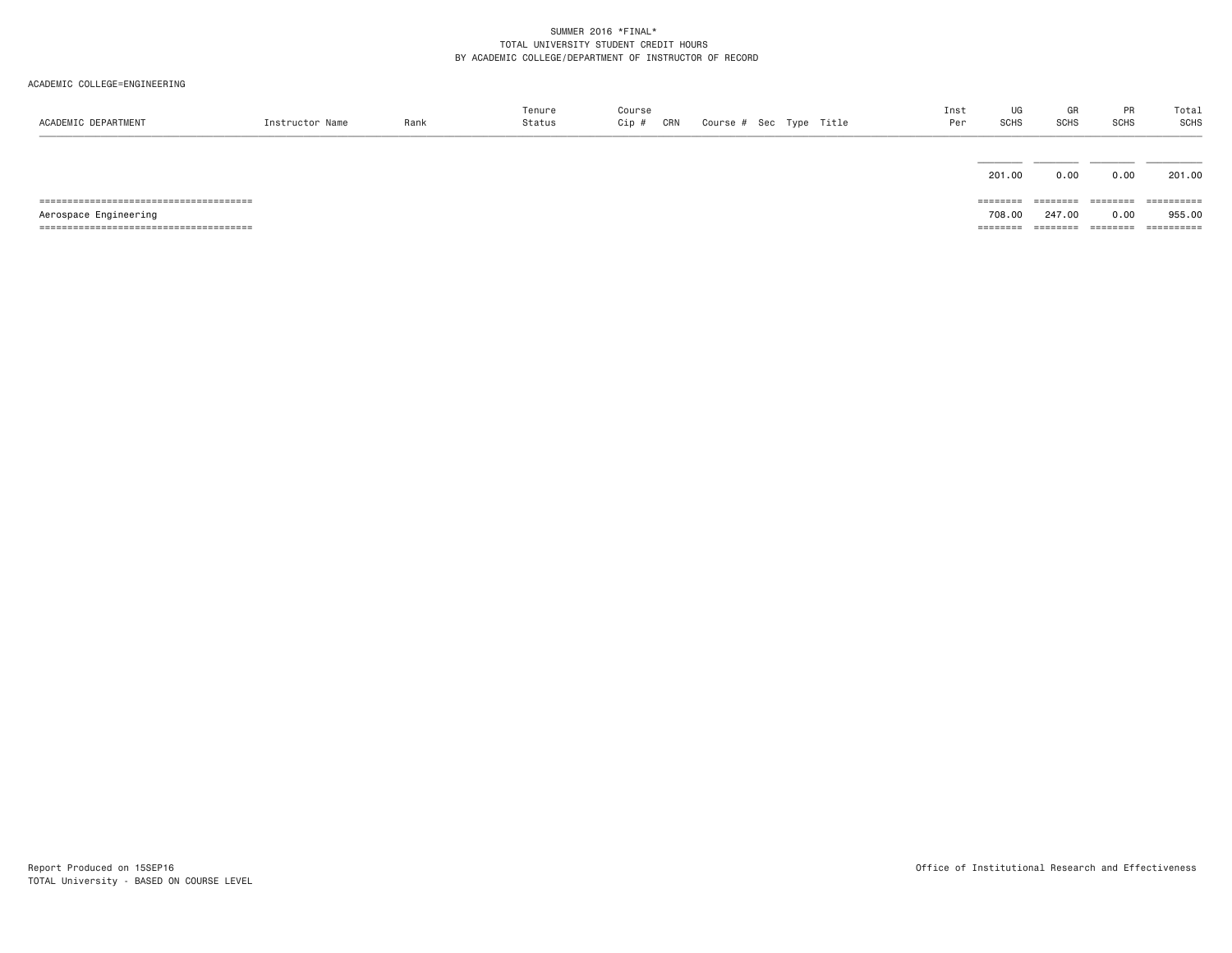| ACADEMIC DEPARTMENT   | Instructor Name | Rank | Tenure<br>Status | Course<br>Cip #<br>CRN |  | Course # Sec Type Title | Inst<br>Per | UG<br>SCHS | GR<br><b>SCHS</b> | PR<br><b>SCHS</b> | Total<br>SCHS |
|-----------------------|-----------------|------|------------------|------------------------|--|-------------------------|-------------|------------|-------------------|-------------------|---------------|
|                       |                 |      |                  |                        |  |                         |             | 201.00     | 0.00              | 0.00              | 201.00        |
|                       |                 |      |                  |                        |  |                         |             | ========   | ========          | ========          | ==========    |
| Aerospace Engineering |                 |      |                  |                        |  |                         |             | 708,00     | 247.00            | 0.00              | 955.00        |
|                       |                 |      |                  |                        |  |                         |             | ========   | ========          | ========          | ==========    |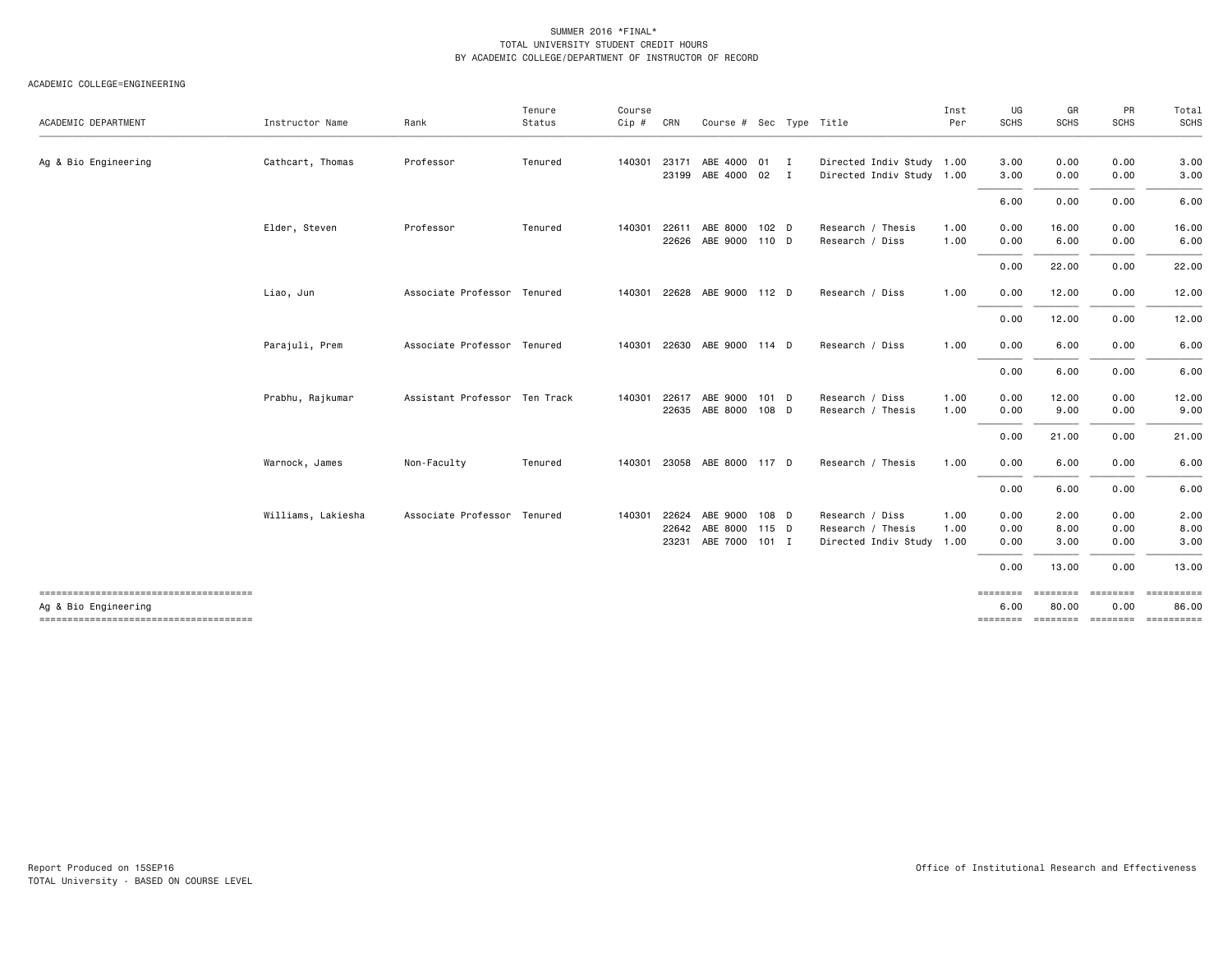| ACADEMIC DEPARTMENT                                            | Instructor Name    | Rank                          | Tenure<br>Status | Course<br>Cip # | CRN   | Course # Sec Type Title     |       |                |                           | Inst<br>Per | UG<br><b>SCHS</b> | GR<br><b>SCHS</b> | PR<br><b>SCHS</b> | Total<br>SCHS                       |
|----------------------------------------------------------------|--------------------|-------------------------------|------------------|-----------------|-------|-----------------------------|-------|----------------|---------------------------|-------------|-------------------|-------------------|-------------------|-------------------------------------|
|                                                                |                    |                               |                  |                 |       |                             |       |                |                           |             |                   |                   |                   |                                     |
| Ag & Bio Engineering                                           | Cathcart, Thomas   | Professor                     | Tenured          | 140301          | 23171 | ABE 4000 01                 |       | $\blacksquare$ | Directed Indiv Study 1.00 |             | 3.00              | 0.00              | 0.00              | 3.00                                |
|                                                                |                    |                               |                  |                 | 23199 | ABE 4000 02 I               |       |                | Directed Indiv Study 1.00 |             | 3.00              | 0.00              | 0.00              | 3.00                                |
|                                                                |                    |                               |                  |                 |       |                             |       |                |                           |             | 6.00              | 0.00              | 0.00              | 6.00                                |
|                                                                | Elder, Steven      | Professor                     | Tenured          | 140301          | 22611 | ABE 8000 102 D              |       |                | Research / Thesis         | 1.00        | 0.00              | 16.00             | 0.00              | 16.00                               |
|                                                                |                    |                               |                  |                 | 22626 | ABE 9000 110 D              |       |                | Research / Diss           | 1.00        | 0.00              | 6.00              | 0.00              | 6.00                                |
|                                                                |                    |                               |                  |                 |       |                             |       |                |                           |             | 0.00              | 22.00             | 0.00              | 22.00                               |
|                                                                | Liao, Jun          | Associate Professor Tenured   |                  | 140301          |       | 22628 ABE 9000 112 D        |       |                | Research / Diss           | 1.00        | 0.00              | 12.00             | 0.00              | 12.00                               |
|                                                                |                    |                               |                  |                 |       |                             |       |                |                           |             | 0.00              | 12.00             | 0.00              | 12.00                               |
|                                                                | Parajuli, Prem     | Associate Professor Tenured   |                  |                 |       | 140301 22630 ABE 9000 114 D |       |                | Research / Diss           | 1.00        | 0.00              | 6.00              | 0.00              | 6.00                                |
|                                                                |                    |                               |                  |                 |       |                             |       |                |                           |             | 0.00              | 6.00              | 0.00              | 6.00                                |
|                                                                | Prabhu, Rajkumar   | Assistant Professor Ten Track |                  | 140301          | 22617 | ABE 9000                    | 101 D |                | Research / Diss           | 1.00        | 0.00              | 12.00             | 0.00              | 12.00                               |
|                                                                |                    |                               |                  |                 | 22635 | ABE 8000 108 D              |       |                | Research / Thesis         | 1.00        | 0.00              | 9.00              | 0.00              | 9.00                                |
|                                                                |                    |                               |                  |                 |       |                             |       |                |                           |             | 0.00              | 21.00             | 0.00              | 21.00                               |
|                                                                | Warnock, James     | Non-Faculty                   | Tenured          | 140301          |       | 23058 ABE 8000 117 D        |       |                | Research / Thesis         | 1.00        | 0.00              | 6.00              | 0.00              | 6.00                                |
|                                                                |                    |                               |                  |                 |       |                             |       |                |                           |             | 0.00              | 6.00              | 0.00              | 6.00                                |
|                                                                | Williams, Lakiesha | Associate Professor Tenured   |                  | 140301          | 22624 | ABE 9000 108 D              |       |                | Research / Diss           | 1.00        | 0.00              | 2.00              | 0.00              | 2.00                                |
|                                                                |                    |                               |                  |                 | 22642 | ABE 8000 115 D              |       |                | Research / Thesis         | 1.00        | 0.00              | 8.00              | 0.00              | 8.00                                |
|                                                                |                    |                               |                  |                 | 23231 | ABE 7000 101 I              |       |                | Directed Indiv Study 1.00 |             | 0.00              | 3.00              | 0.00              | 3.00                                |
|                                                                |                    |                               |                  |                 |       |                             |       |                |                           |             | 0.00              | 13.00             | 0.00              | 13.00                               |
| --------------------------------------<br>Ag & Bio Engineering |                    |                               |                  |                 |       |                             |       |                |                           |             | ========<br>6.00  | ========<br>80.00 | 0.00              | ======== =========<br>86.00         |
| -------------------------------------                          |                    |                               |                  |                 |       |                             |       |                |                           |             |                   |                   |                   | -------- ------- -------- --------- |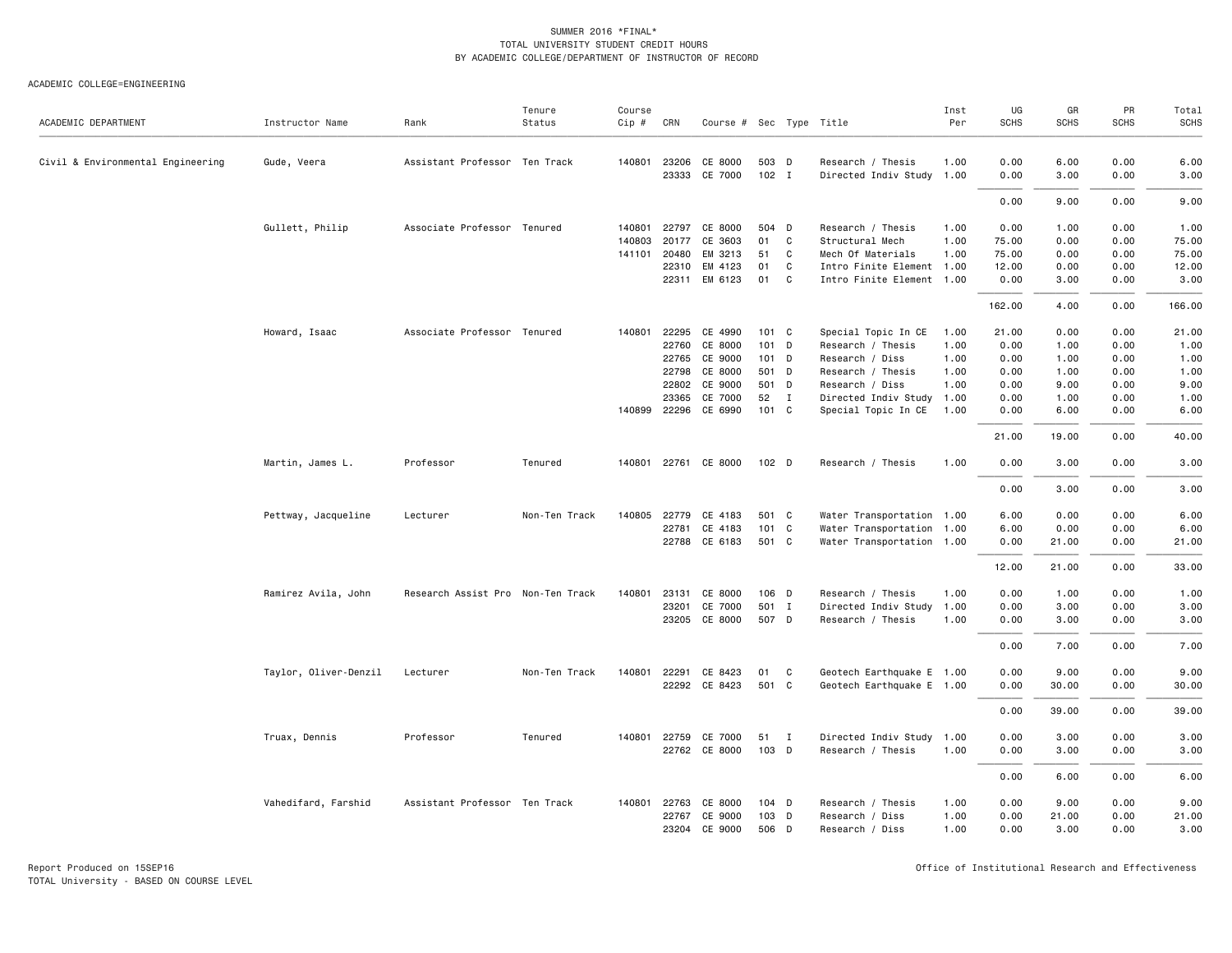| ACADEMIC DEPARTMENT               | Instructor Name       | Rank                              | Tenure<br>Status | Course<br>Cip # | CRN            | Course # Sec Type Title |                  |              |                                                | Inst<br>Per  | UG<br><b>SCHS</b> | GR<br><b>SCHS</b> | PR<br><b>SCHS</b> | Total<br><b>SCHS</b> |
|-----------------------------------|-----------------------|-----------------------------------|------------------|-----------------|----------------|-------------------------|------------------|--------------|------------------------------------------------|--------------|-------------------|-------------------|-------------------|----------------------|
| Civil & Environmental Engineering | Gude, Veera           | Assistant Professor Ten Track     |                  |                 | 140801 23206   | CE 8000                 | 503 D            |              | Research / Thesis                              | 1.00         | 0.00              | 6.00              | 0.00              | 6.00                 |
|                                   |                       |                                   |                  |                 | 23333          | CE 7000                 | $102$ I          |              | Directed Indiv Study 1.00                      |              | 0.00              | 3.00              | 0.00              | 3.00                 |
|                                   |                       |                                   |                  |                 |                |                         |                  |              |                                                |              | 0.00              | 9.00              | 0.00              | 9.00                 |
|                                   | Gullett, Philip       | Associate Professor Tenured       |                  | 140801          | 22797          | CE 8000                 | 504 D            |              | Research / Thesis                              | 1.00         | 0.00              | 1.00              | 0.00              | 1.00                 |
|                                   |                       |                                   |                  | 140803          | 20177          | CE 3603                 | 01               | C            | Structural Mech                                | 1.00         | 75.00             | 0.00              | 0.00              | 75.00                |
|                                   |                       |                                   |                  | 141101          | 20480          | EM 3213                 | 51               | C            | Mech Of Materials                              | 1.00         | 75.00             | 0.00              | 0.00              | 75.00                |
|                                   |                       |                                   |                  |                 | 22310          | EM 4123                 | 01               | C            | Intro Finite Element 1.00                      |              | 12.00             | 0.00              | 0.00              | 12.00                |
|                                   |                       |                                   |                  |                 | 22311          | EM 6123                 | 01               | C.           | Intro Finite Element 1.00                      |              | 0.00              | 3.00              | 0.00              | 3.00                 |
|                                   |                       |                                   |                  |                 |                |                         |                  |              |                                                |              | 162.00            | 4.00              | 0.00              | 166.00               |
|                                   | Howard, Isaac         | Associate Professor Tenured       |                  |                 | 140801 22295   | CE 4990                 | 101 C            |              | Special Topic In CE                            | 1.00         | 21.00             | 0.00              | 0.00              | 21.00                |
|                                   |                       |                                   |                  |                 | 22760          | CE 8000                 | $101$ D          |              | Research / Thesis                              | 1.00         | 0.00              | 1.00              | 0.00              | 1.00                 |
|                                   |                       |                                   |                  |                 | 22765          | CE 9000                 | 101 D            |              | Research / Diss                                | 1.00         | 0.00              | 1.00              | 0.00              | 1.00                 |
|                                   |                       |                                   |                  |                 | 22798          | CE 8000                 | 501 D            |              | Research / Thesis                              | 1.00<br>1.00 | 0.00              | 1.00              | 0.00<br>0.00      | 1.00<br>9.00         |
|                                   |                       |                                   |                  |                 | 22802<br>23365 | CE 9000<br>CE 7000      | 501 D<br>52      | $\mathbf{I}$ | Research / Diss<br>Directed Indiv Study        | 1.00         | 0.00<br>0.00      | 9.00<br>1.00      | 0.00              | 1.00                 |
|                                   |                       |                                   |                  |                 | 140899 22296   | CE 6990                 | 101 C            |              | Special Topic In CE                            | 1.00         | 0.00              | 6.00              | 0.00              | 6.00                 |
|                                   |                       |                                   |                  |                 |                |                         |                  |              |                                                |              |                   |                   |                   |                      |
|                                   |                       |                                   |                  |                 |                |                         |                  |              |                                                |              | 21.00             | 19.00             | 0.00              | 40.00                |
|                                   | Martin, James L.      | Professor                         | Tenured          |                 |                | 140801 22761 CE 8000    | 102 <sub>D</sub> |              | Research / Thesis                              | 1.00         | 0.00              | 3.00              | 0.00              | 3.00                 |
|                                   |                       |                                   |                  |                 |                |                         |                  |              |                                                |              | 0.00              | 3.00              | 0.00              | 3.00                 |
|                                   | Pettway, Jacqueline   | Lecturer                          | Non-Ten Track    | 140805          | 22779          | CE 4183                 | 501 C            |              | Water Transportation 1.00                      |              | 6.00              | 0.00              | 0.00              | 6.00                 |
|                                   |                       |                                   |                  |                 | 22781          | CE 4183                 | 101 C            |              | Water Transportation 1.00                      |              | 6.00              | 0.00              | 0.00              | 6.00                 |
|                                   |                       |                                   |                  |                 |                | 22788 CE 6183           | 501 C            |              | Water Transportation 1.00                      |              | 0.00              | 21.00             | 0.00              | 21.00                |
|                                   |                       |                                   |                  |                 |                |                         |                  |              |                                                |              | 12.00             | 21.00             | 0.00              | 33.00                |
|                                   |                       |                                   |                  |                 |                |                         |                  |              |                                                |              |                   |                   |                   |                      |
|                                   | Ramirez Avila, John   | Research Assist Pro Non-Ten Track |                  | 140801          | 23131          | CE 8000                 | 106 D            |              | Research / Thesis                              | 1.00         | 0.00              | 1.00              | 0.00              | 1.00                 |
|                                   |                       |                                   |                  |                 | 23201<br>23205 | CE 7000<br>CE 8000      | 501 I<br>507 D   |              | Directed Indiv Study 1.00<br>Research / Thesis | 1.00         | 0.00<br>0.00      | 3.00<br>3.00      | 0.00<br>0.00      | 3.00<br>3.00         |
|                                   |                       |                                   |                  |                 |                |                         |                  |              |                                                |              |                   |                   |                   |                      |
|                                   |                       |                                   |                  |                 |                |                         |                  |              |                                                |              | 0.00              | 7.00              | 0.00              | 7.00                 |
|                                   | Taylor, Oliver-Denzil | Lecturer                          | Non-Ten Track    | 140801          | 22291          | CE 8423                 | 01               | C            | Geotech Earthquake E 1.00                      |              | 0.00              | 9.00              | 0.00              | 9.00                 |
|                                   |                       |                                   |                  |                 |                | 22292 CE 8423           | 501 C            |              | Geotech Earthquake E 1.00                      |              | 0.00              | 30.00             | 0.00              | 30.00                |
|                                   |                       |                                   |                  |                 |                |                         |                  |              |                                                |              | 0.00              | 39.00             | 0.00              | 39.00                |
|                                   | Truax, Dennis         | Professor                         | Tenured          | 140801          | 22759          | CE 7000                 | 51               | $\mathbf{I}$ | Directed Indiv Study 1.00                      |              | 0.00              | 3.00              | 0.00              | 3.00                 |
|                                   |                       |                                   |                  |                 |                | 22762 CE 8000           | 103 D            |              | Research / Thesis                              | 1.00         | 0.00              | 3.00              | 0.00              | 3.00                 |
|                                   |                       |                                   |                  |                 |                |                         |                  |              |                                                |              | 0.00              | 6.00              | 0.00              | 6.00                 |
|                                   | Vahedifard, Farshid   | Assistant Professor Ten Track     |                  |                 | 140801 22763   | CE 8000                 | 104 D            |              | Research / Thesis                              | 1.00         | 0.00              | 9.00              | 0.00              | 9.00                 |
|                                   |                       |                                   |                  |                 | 22767          | CE 9000                 | 103              | D            | Research / Diss                                | 1.00         | 0.00              | 21.00             | 0.00              | 21.00                |
|                                   |                       |                                   |                  |                 | 23204          | CE 9000                 | 506 D            |              | Research / Diss                                | 1.00         | 0.00              | 3.00              | 0.00              | 3.00                 |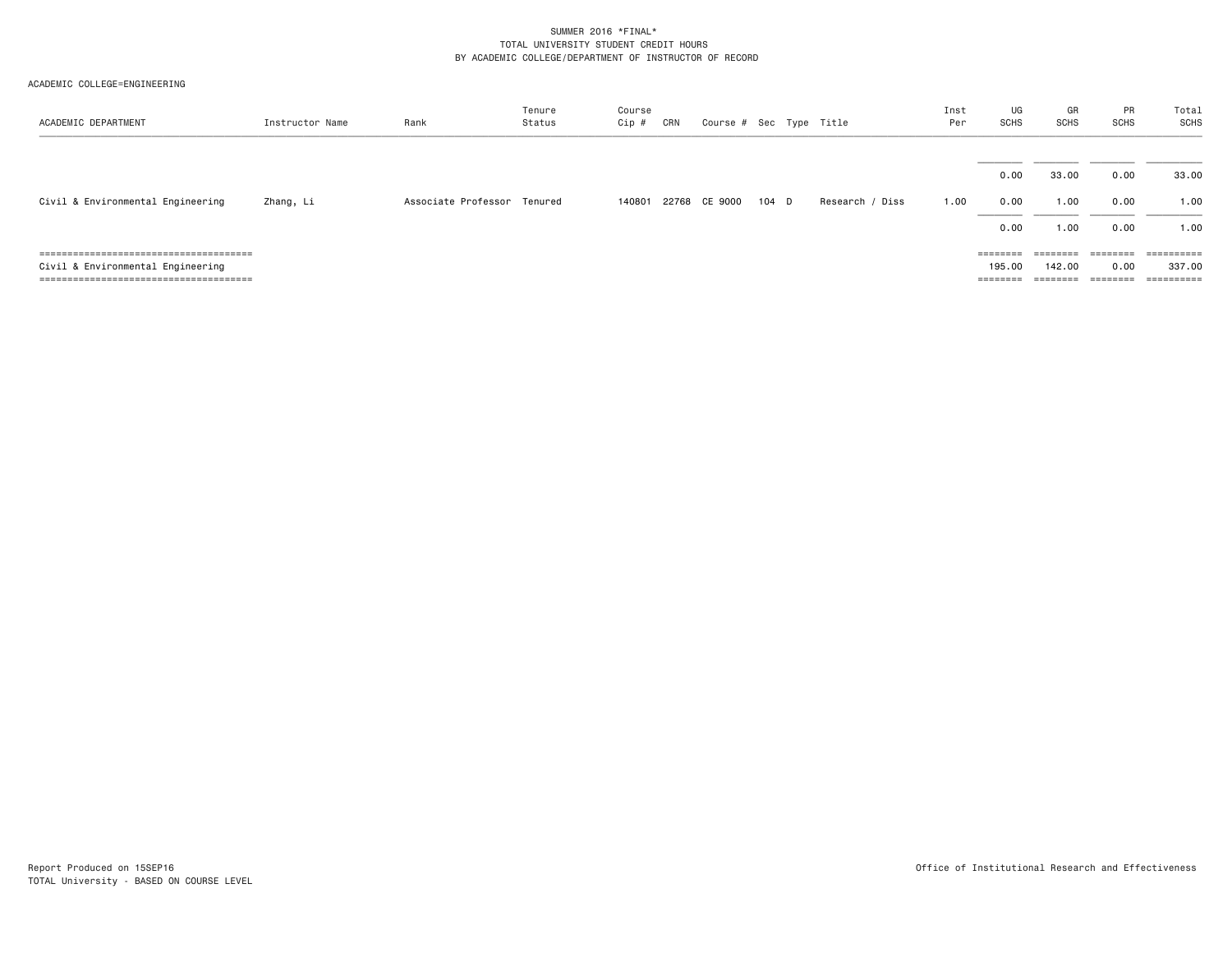| ACADEMIC DEPARTMENT               | Instructor Name | Rank                        | Tenure<br>Status | Course<br>Cip # | CRN | Course # Sec Type Title |       |                 | Inst<br>Per | UG<br>SCHS        | GR<br><b>SCHS</b> | PR<br><b>SCHS</b> | Total<br><b>SCHS</b>  |
|-----------------------------------|-----------------|-----------------------------|------------------|-----------------|-----|-------------------------|-------|-----------------|-------------|-------------------|-------------------|-------------------|-----------------------|
|                                   |                 |                             |                  |                 |     |                         |       |                 |             |                   | 33.00             | 0.00              | 33.00                 |
| Civil & Environmental Engineering | Zhang, Li       | Associate Professor Tenured |                  | 140801          |     | 22768 CE 9000           | 104 D | Research / Diss | 1.00        | 0.00<br>0.00      | 1.00              | 0.00              | 1.00                  |
|                                   |                 |                             |                  |                 |     |                         |       |                 |             | 0.00              | 1.00              | 0.00              | 1.00                  |
|                                   |                 |                             |                  |                 |     |                         |       |                 |             | $=$ = = = = = = = | $=$ = = = = = = = |                   | $=$ = = = = = = = = = |
| Civil & Environmental Engineering |                 |                             |                  |                 |     |                         |       |                 |             | 195.00            | 142.00            | 0.00              | 337.00                |
|                                   |                 |                             |                  |                 |     |                         |       |                 |             |                   | $=$ = = = = = = = | ========          | $=$ = = = = = = = = = |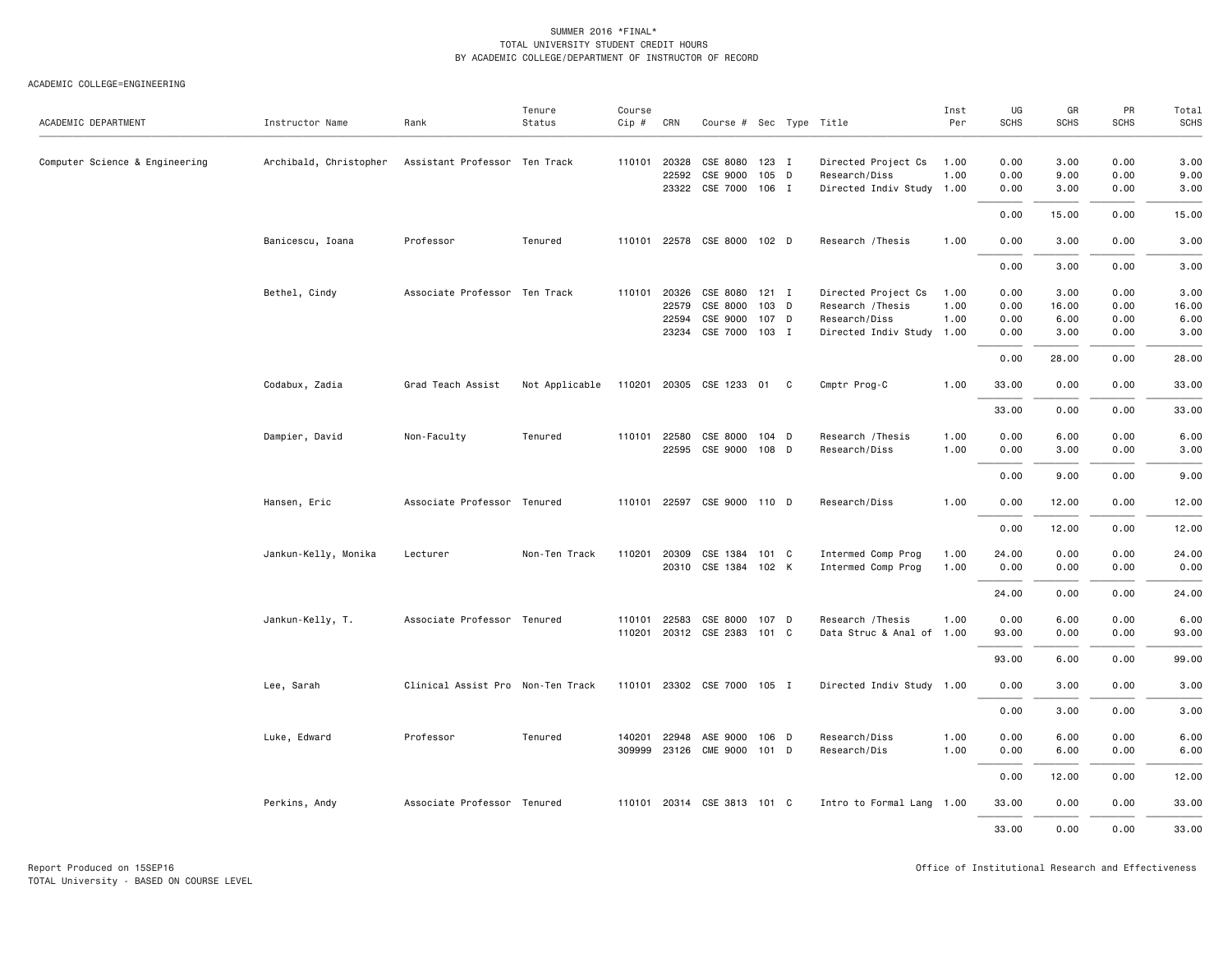| ACADEMIC DEPARTMENT            | Instructor Name        | Rank                              | Tenure<br>Status | Course<br>Cip # | CRN          | Course # Sec Type Title     |       |   |                           | Inst<br>Per | UG<br><b>SCHS</b> | GR<br><b>SCHS</b> | PR<br><b>SCHS</b> | Total<br><b>SCHS</b> |
|--------------------------------|------------------------|-----------------------------------|------------------|-----------------|--------------|-----------------------------|-------|---|---------------------------|-------------|-------------------|-------------------|-------------------|----------------------|
|                                |                        |                                   |                  |                 |              |                             |       |   |                           |             |                   |                   |                   |                      |
| Computer Science & Engineering | Archibald, Christopher | Assistant Professor Ten Track     |                  |                 | 110101 20328 | CSE 8080                    | 123 I |   | Directed Project Cs       | 1.00        | 0.00              | 3.00              | 0.00              | 3.00                 |
|                                |                        |                                   |                  |                 | 22592        | CSE 9000                    | 105 D |   | Research/Diss             | 1.00        | 0.00              | 9.00              | 0.00              | 9.00                 |
|                                |                        |                                   |                  |                 |              | 23322 CSE 7000 106 I        |       |   | Directed Indiv Study 1.00 |             | 0.00              | 3.00              | 0.00              | 3.00                 |
|                                |                        |                                   |                  |                 |              |                             |       |   |                           |             | 0.00              | 15.00             | 0.00              | 15.00                |
|                                | Banicescu, Ioana       | Professor                         | Tenured          |                 |              | 110101 22578 CSE 8000 102 D |       |   | Research / Thesis         | 1.00        | 0.00              | 3.00              | 0.00              | 3.00                 |
|                                |                        |                                   |                  |                 |              |                             |       |   |                           |             | 0.00              | 3.00              | 0.00              | 3.00                 |
|                                | Bethel, Cindy          | Associate Professor Ten Track     |                  |                 | 110101 20326 | CSE 8080 121 I              |       |   | Directed Project Cs       | 1.00        | 0.00              | 3.00              | 0.00              | 3.00                 |
|                                |                        |                                   |                  |                 | 22579        | CSE 8000                    | 103   | D | Research / Thesis         | 1.00        | 0.00              | 16.00             | 0.00              | 16.00                |
|                                |                        |                                   |                  |                 | 22594        | CSE 9000                    | 107 D |   | Research/Diss             | 1.00        | 0.00              | 6.00              | 0.00              | 6.00                 |
|                                |                        |                                   |                  |                 | 23234        | CSE 7000 103 I              |       |   | Directed Indiv Study 1.00 |             | 0.00              | 3.00              | 0.00              | 3.00                 |
|                                |                        |                                   |                  |                 |              |                             |       |   |                           |             | 0.00              | 28.00             | 0.00              | 28.00                |
|                                | Codabux, Zadia         | Grad Teach Assist                 | Not Applicable   |                 |              | 110201 20305 CSE 1233 01 C  |       |   | Cmptr Prog-C              | 1.00        | 33.00             | 0.00              | 0.00              | 33.00                |
|                                |                        |                                   |                  |                 |              |                             |       |   |                           |             | 33.00             | 0.00              | 0.00              | 33.00                |
|                                | Dampier, David         | Non-Faculty                       | Tenured          |                 | 110101 22580 | CSE 8000                    | 104 D |   | Research / Thesis         | 1.00        | 0.00              | 6.00              | 0.00              | 6.00                 |
|                                |                        |                                   |                  |                 | 22595        | CSE 9000 108 D              |       |   | Research/Diss             | 1.00        | 0.00              | 3.00              | 0.00              | 3.00                 |
|                                |                        |                                   |                  |                 |              |                             |       |   |                           |             | 0.00              | 9.00              | 0.00              | 9.00                 |
|                                | Hansen, Eric           | Associate Professor Tenured       |                  |                 | 110101 22597 | CSE 9000 110 D              |       |   | Research/Diss             | 1.00        | 0.00              | 12.00             | 0.00              | 12.00                |
|                                |                        |                                   |                  |                 |              |                             |       |   |                           |             | 0.00              | 12.00             | 0.00              | 12.00                |
|                                | Jankun-Kelly, Monika   | Lecturer                          | Non-Ten Track    | 110201          | 20309        | CSE 1384                    | 101 C |   | Intermed Comp Prog        | 1.00        | 24.00             | 0.00              | 0.00              | 24.00                |
|                                |                        |                                   |                  |                 |              | 20310 CSE 1384 102 K        |       |   | Intermed Comp Prog        | 1.00        | 0.00              | 0.00              | 0.00              | 0.00                 |
|                                |                        |                                   |                  |                 |              |                             |       |   |                           |             | 24.00             | 0.00              | 0.00              | 24.00                |
|                                | Jankun-Kelly, T.       | Associate Professor Tenured       |                  | 110101          | 22583        | CSE 8000                    | 107 D |   | Research / Thesis         | 1.00        | 0.00              | 6.00              | 0.00              | 6.00                 |
|                                |                        |                                   |                  |                 |              | 110201 20312 CSE 2383       | 101 C |   | Data Struc & Anal of 1.00 |             | 93.00             | 0.00              | 0.00              | 93.00                |
|                                |                        |                                   |                  |                 |              |                             |       |   |                           |             | 93.00             | 6.00              | 0.00              | 99.00                |
|                                | Lee, Sarah             | Clinical Assist Pro Non-Ten Track |                  |                 |              | 110101 23302 CSE 7000 105 I |       |   | Directed Indiv Study 1.00 |             | 0.00              | 3.00              | 0.00              | 3.00                 |
|                                |                        |                                   |                  |                 |              |                             |       |   |                           |             | 0.00              | 3.00              | 0.00              | 3.00                 |
|                                | Luke, Edward           | Professor                         | Tenured          | 140201          | 22948        | ASE 9000                    | 106 D |   | Research/Diss             | 1.00        | 0.00              | 6.00              | 0.00              | 6.00                 |
|                                |                        |                                   |                  |                 |              | 309999 23126 CME 9000       | 101 D |   | Research/Dis              | 1.00        | 0.00              | 6.00              | 0.00              | 6.00                 |
|                                |                        |                                   |                  |                 |              |                             |       |   |                           |             | 0.00              | 12.00             | 0.00              | 12.00                |
|                                | Perkins, Andy          | Associate Professor Tenured       |                  |                 |              | 110101 20314 CSE 3813 101 C |       |   | Intro to Formal Lang 1.00 |             | 33.00             | 0.00              | 0.00              | 33.00                |
|                                |                        |                                   |                  |                 |              |                             |       |   |                           |             | 33.00             | 0.00              | 0.00              | 33,00                |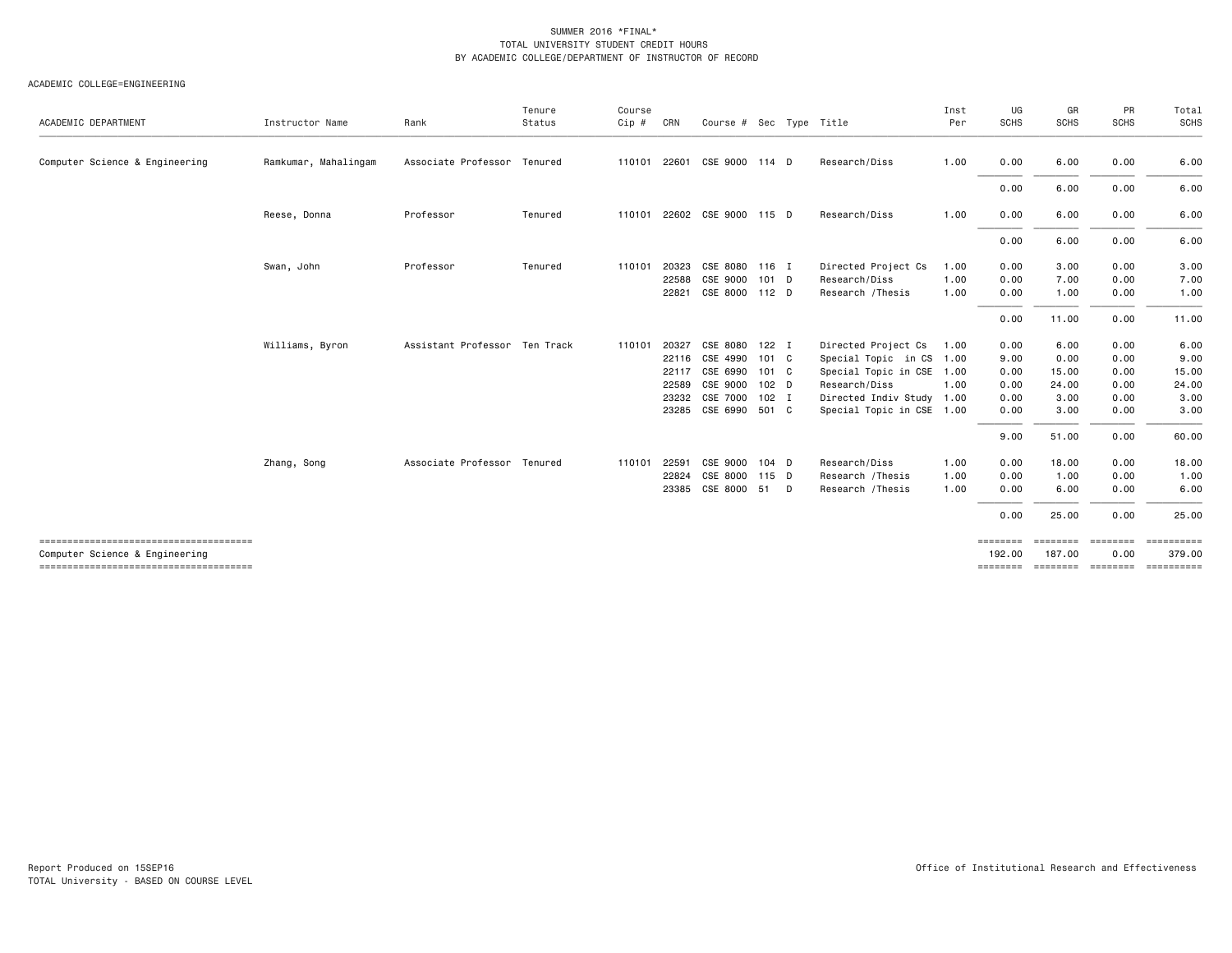| ACADEMIC DEPARTMENT            | Instructor Name      | Rank                          | Tenure<br>Status | Course<br>Cip # | CRN   | Course # Sec Type Title     |         |          |                           | Inst<br>Per | UG<br><b>SCHS</b>  | GR<br><b>SCHS</b>  | PR<br><b>SCHS</b> | Total<br>SCHS        |
|--------------------------------|----------------------|-------------------------------|------------------|-----------------|-------|-----------------------------|---------|----------|---------------------------|-------------|--------------------|--------------------|-------------------|----------------------|
| Computer Science & Engineering | Ramkumar, Mahalingam | Associate Professor Tenured   |                  | 110101          | 22601 | CSE 9000 114 D              |         |          | Research/Diss             | 1.00        | 0.00               | 6.00               | 0.00              | 6.00                 |
|                                |                      |                               |                  |                 |       |                             |         |          |                           |             | 0.00               | 6.00               | 0.00              | 6.00                 |
|                                | Reese, Donna         | Professor                     | Tenured          |                 |       | 110101 22602 CSE 9000 115 D |         |          | Research/Diss             | 1.00        | 0.00               | 6.00               | 0.00              | 6.00                 |
|                                |                      |                               |                  |                 |       |                             |         |          |                           |             | 0.00               | 6.00               | 0.00              | 6.00                 |
|                                | Swan, John           | Professor                     | Tenured          | 110101          | 20323 | CSE 8080 116 I              |         |          | Directed Project Cs       | 1.00        | 0.00               | 3.00               | 0.00              | 3.00                 |
|                                |                      |                               |                  |                 | 22588 | CSE 9000                    | 101 D   |          | Research/Diss             | 1.00        | 0.00               | 7.00               | 0.00              | 7.00                 |
|                                |                      |                               |                  |                 | 22821 | CSE 8000 112 D              |         |          | Research / Thesis         | 1.00        | 0.00               | 1.00               | 0.00              | 1.00                 |
|                                |                      |                               |                  |                 |       |                             |         |          |                           |             | 0.00               | 11.00              | 0.00              | 11.00                |
|                                | Williams, Byron      | Assistant Professor Ten Track |                  | 110101 20327    |       | CSE 8080                    | 122 I   |          | Directed Project Cs       | 1.00        | 0.00               | 6.00               | 0.00              | 6.00                 |
|                                |                      |                               |                  |                 | 22116 | CSE 4990                    | 101 C   |          | Special Topic in CS 1.00  |             | 9.00               | 0.00               | 0.00              | 9.00                 |
|                                |                      |                               |                  |                 | 22117 | CSE 6990                    | 101 C   |          | Special Topic in CSE 1.00 |             | 0.00               | 15.00              | 0.00              | 15.00                |
|                                |                      |                               |                  |                 | 22589 | CSE 9000                    | 102 D   |          | Research/Diss             | 1.00        | 0.00               | 24.00              | 0.00              | 24.00                |
|                                |                      |                               |                  |                 | 23232 | CSE 7000                    | $102$ I |          | Directed Indiv Study 1.00 |             | 0.00               | 3.00               | 0.00              | 3.00                 |
|                                |                      |                               |                  |                 | 23285 | CSE 6990                    | 501 C   |          | Special Topic in CSE 1.00 |             | 0.00               | 3.00               | 0.00              | 3.00                 |
|                                |                      |                               |                  |                 |       |                             |         |          |                           |             | 9.00               | 51.00              | 0.00              | 60.00                |
|                                | Zhang, Song          | Associate Professor Tenured   |                  | 110101          | 22591 | CSE 9000                    | $104$ D |          | Research/Diss             | 1.00        | 0.00               | 18.00              | 0.00              | 18.00                |
|                                |                      |                               |                  |                 | 22824 | CSE 8000                    | 115 D   |          | Research / Thesis         | 1.00        | 0.00               | 1.00               | 0.00              | 1.00                 |
|                                |                      |                               |                  |                 | 23385 | CSE 8000                    | 51      | <b>D</b> | Research / Thesis         | 1.00        | 0.00               | 6.00               | 0.00              | 6.00                 |
|                                |                      |                               |                  |                 |       |                             |         |          |                           |             | 0.00               | 25.00              | 0.00              | 25.00                |
| Computer Science & Engineering |                      |                               |                  |                 |       |                             |         |          |                           |             | ========<br>192,00 | ========<br>187.00 | ========<br>0.00  | ==========<br>379.00 |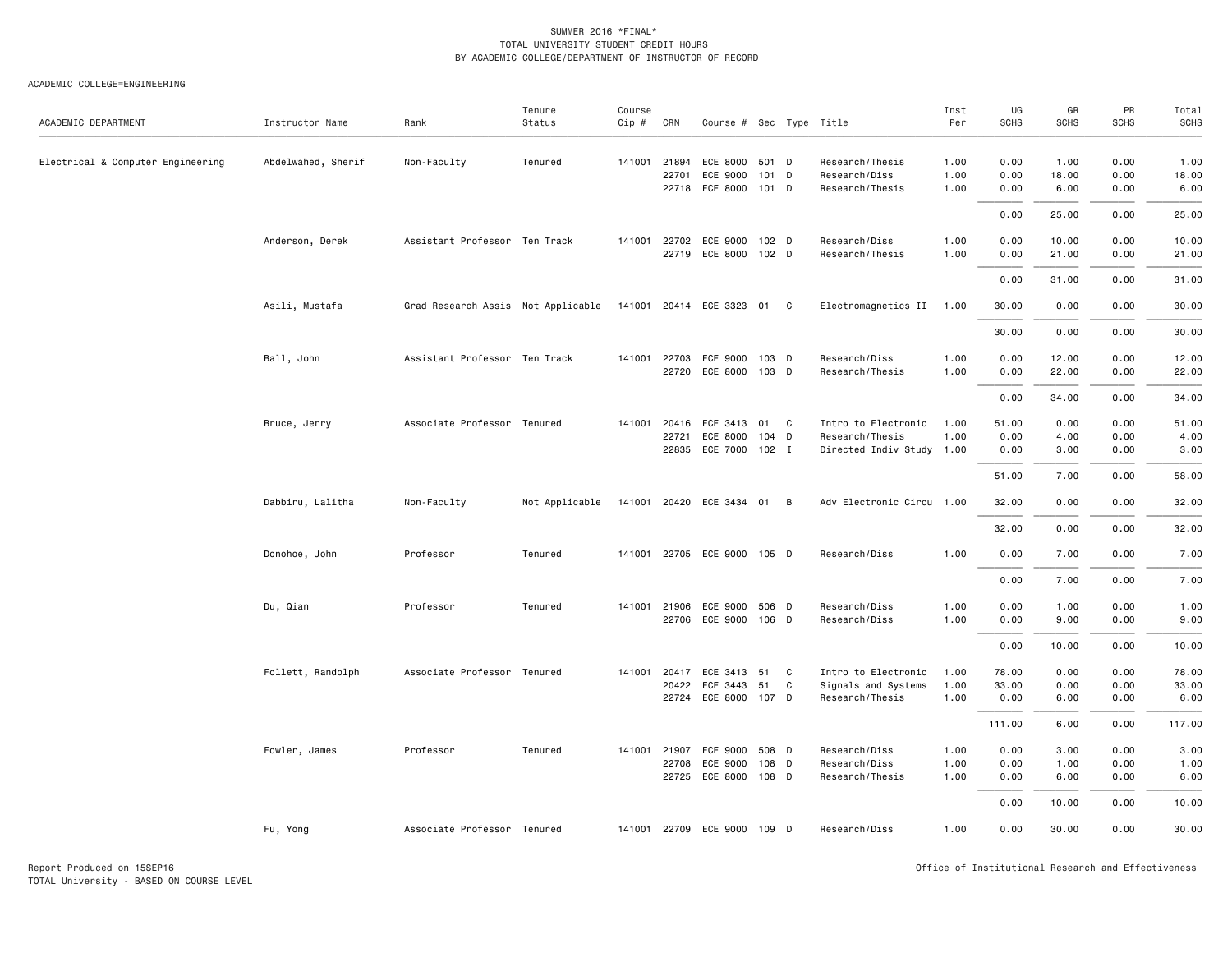| ACADEMIC DEPARTMENT               | Instructor Name    | Rank                               | Tenure<br>Status | Course<br>Cip # | CRN                     | Course # Sec Type Title                      |                |        |                                                                     | Inst<br>Per          | UG<br><b>SCHS</b>      | GR<br>SCHS            | PR<br>SCHS           | Total<br><b>SCHS</b>   |
|-----------------------------------|--------------------|------------------------------------|------------------|-----------------|-------------------------|----------------------------------------------|----------------|--------|---------------------------------------------------------------------|----------------------|------------------------|-----------------------|----------------------|------------------------|
| Electrical & Computer Engineering | Abdelwahed, Sherif | Non-Faculty                        | Tenured          | 141001          | 21894<br>22701<br>22718 | ECE 8000<br>ECE 9000<br>ECE 8000 101 D       | 501 D<br>101 D |        | Research/Thesis<br>Research/Diss<br>Research/Thesis                 | 1.00<br>1.00<br>1.00 | 0.00<br>0.00<br>0.00   | 1.00<br>18.00<br>6.00 | 0.00<br>0.00<br>0.00 | 1.00<br>18.00<br>6.00  |
|                                   |                    |                                    |                  |                 |                         |                                              |                |        |                                                                     |                      | 0.00                   | 25.00                 | 0.00                 | 25.00                  |
|                                   | Anderson, Derek    | Assistant Professor Ten Track      |                  | 141001          | 22702                   | ECE 9000<br>22719 ECE 8000 102 D             | 102 D          |        | Research/Diss<br>Research/Thesis                                    | 1.00<br>1.00         | 0.00<br>0.00           | 10.00<br>21.00        | 0.00<br>0.00         | 10.00<br>21.00         |
|                                   |                    |                                    |                  |                 |                         |                                              |                |        |                                                                     |                      | 0.00                   | 31.00                 | 0.00                 | 31.00                  |
|                                   | Asili, Mustafa     | Grad Research Assis Not Applicable |                  |                 |                         | 141001 20414 ECE 3323 01 C                   |                |        | Electromagnetics II                                                 | 1.00                 | 30.00                  | 0.00                  | 0.00                 | 30.00                  |
|                                   |                    |                                    |                  |                 |                         |                                              |                |        |                                                                     |                      | 30.00                  | 0.00                  | 0.00                 | 30.00                  |
|                                   | Ball, John         | Assistant Professor Ten Track      |                  | 141001          | 22703<br>22720          | ECE 9000<br>ECE 8000 103 D                   | 103 D          |        | Research/Diss<br>Research/Thesis                                    | 1.00<br>1.00         | 0.00<br>0.00           | 12.00<br>22.00        | 0.00<br>0.00         | 12.00<br>22.00         |
|                                   |                    |                                    |                  |                 |                         |                                              |                |        |                                                                     |                      | 0.00                   | 34.00                 | 0.00                 | 34.00                  |
|                                   | Bruce, Jerry       | Associate Professor Tenured        |                  | 141001          | 20416<br>22721<br>22835 | ECE 3413<br>ECE 8000<br>ECE 7000 102 I       | 01<br>104 D    | C      | Intro to Electronic<br>Research/Thesis<br>Directed Indiv Study 1.00 | 1.00<br>1.00         | 51.00<br>0.00<br>0.00  | 0.00<br>4.00<br>3.00  | 0.00<br>0.00<br>0.00 | 51.00<br>4.00<br>3.00  |
|                                   |                    |                                    |                  |                 |                         |                                              |                |        |                                                                     |                      | 51.00                  | 7.00                  | 0.00                 | 58.00                  |
|                                   | Dabbiru, Lalitha   | Non-Faculty                        | Not Applicable   |                 |                         | 141001 20420 ECE 3434 01 B                   |                |        | Adv Electronic Circu 1.00                                           |                      | 32.00                  | 0.00                  | 0.00                 | 32.00                  |
|                                   |                    |                                    |                  |                 |                         |                                              |                |        |                                                                     |                      | 32.00                  | 0.00                  | 0.00                 | 32.00                  |
|                                   | Donohoe, John      | Professor                          | Tenured          |                 |                         | 141001 22705 ECE 9000 105 D                  |                |        | Research/Diss                                                       | 1.00                 | 0.00                   | 7.00                  | 0.00                 | 7.00                   |
|                                   |                    |                                    |                  |                 |                         |                                              |                |        |                                                                     |                      | 0.00                   | 7.00                  | 0.00                 | 7.00                   |
|                                   | Du, Qian           | Professor                          | Tenured          |                 | 141001 21906            | ECE 9000<br>22706 ECE 9000 106 D             | 506 D          |        | Research/Diss<br>Research/Diss                                      | 1.00<br>1.00         | 0.00<br>0.00           | 1.00<br>9.00          | 0.00<br>0.00         | 1.00<br>9.00           |
|                                   |                    |                                    |                  |                 |                         |                                              |                |        |                                                                     |                      | 0.00                   | 10.00                 | 0.00                 | 10.00                  |
|                                   | Follett, Randolph  | Associate Professor Tenured        |                  | 141001          | 20417<br>20422          | ECE 3413<br>ECE 3443<br>22724 ECE 8000 107 D | 51<br>51       | C<br>C | Intro to Electronic<br>Signals and Systems<br>Research/Thesis       | 1.00<br>1.00<br>1.00 | 78.00<br>33.00<br>0.00 | 0.00<br>0.00<br>6.00  | 0.00<br>0.00<br>0.00 | 78.00<br>33.00<br>6.00 |
|                                   |                    |                                    |                  |                 |                         |                                              |                |        |                                                                     |                      | 111.00                 | 6.00                  | 0.00                 | 117.00                 |
|                                   | Fowler, James      | Professor                          | Tenured          | 141001          | 21907<br>22708          | ECE 9000<br>ECE 9000<br>22725 ECE 8000 108 D | 508 D<br>108 D |        | Research/Diss<br>Research/Diss<br>Research/Thesis                   | 1.00<br>1.00<br>1.00 | 0.00<br>0.00<br>0.00   | 3.00<br>1.00<br>6.00  | 0.00<br>0.00<br>0.00 | 3.00<br>1.00<br>6.00   |
|                                   |                    |                                    |                  |                 |                         |                                              |                |        |                                                                     |                      | 0.00                   | 10.00                 | 0.00                 | 10.00                  |
|                                   | Fu, Yong           | Associate Professor Tenured        |                  | 141001          |                         | 22709 ECE 9000 109 D                         |                |        | Research/Diss                                                       | 1.00                 | 0.00                   | 30.00                 | 0.00                 | 30.00                  |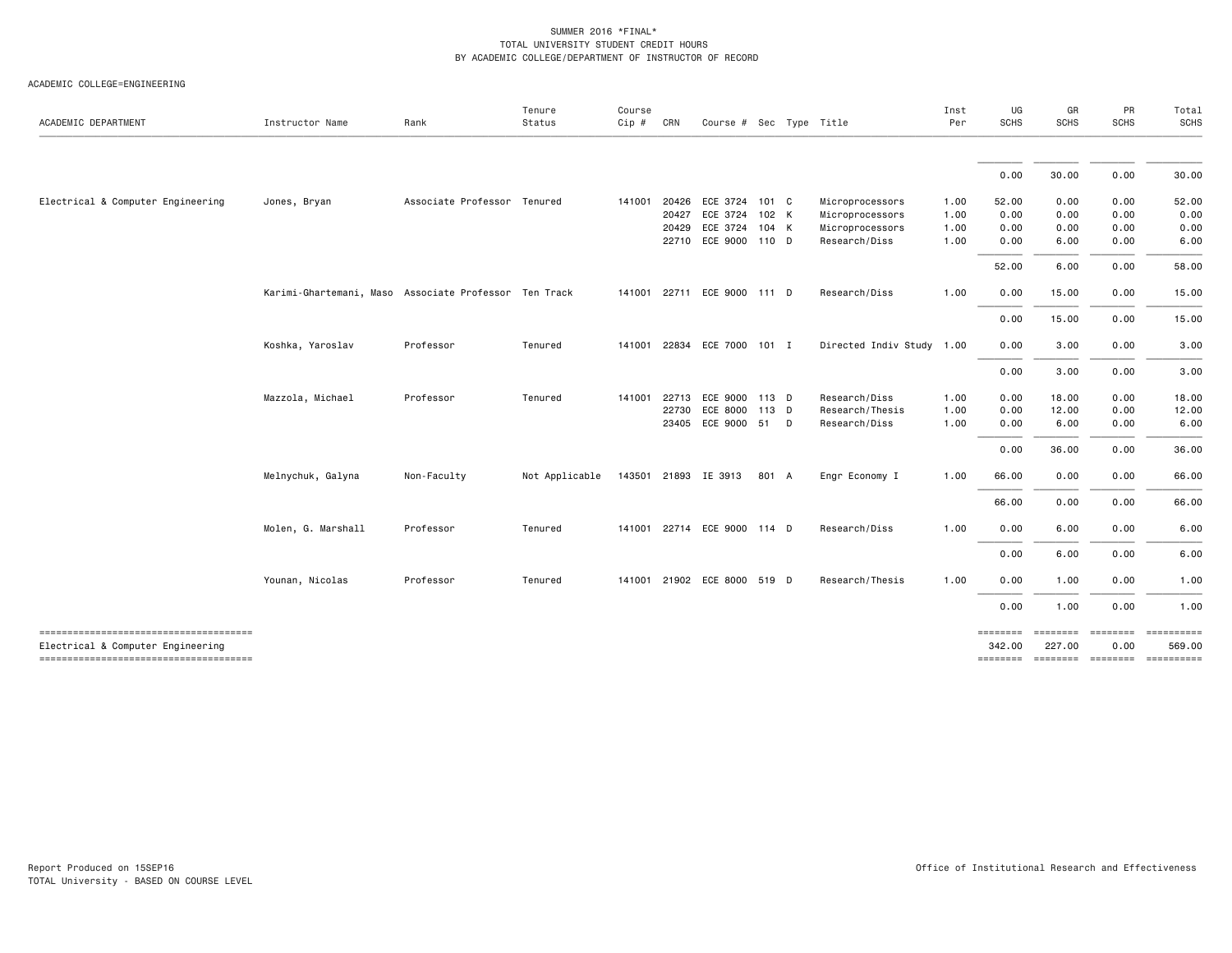| ACADEMIC DEPARTMENT                                                        | Instructor Name                                       | Rank                        | Tenure<br>Status | Course<br>Cip # | CRN   | Course # Sec Type Title     |         |                           | Inst<br>Per | UG<br>SCHS                            | GR<br>SCHS                | PR<br><b>SCHS</b>      | Total<br>SCHS                       |
|----------------------------------------------------------------------------|-------------------------------------------------------|-----------------------------|------------------|-----------------|-------|-----------------------------|---------|---------------------------|-------------|---------------------------------------|---------------------------|------------------------|-------------------------------------|
|                                                                            |                                                       |                             |                  |                 |       |                             |         |                           |             | 0.00                                  | 30.00                     | 0.00                   | 30.00                               |
|                                                                            |                                                       |                             |                  |                 |       |                             |         |                           |             |                                       |                           |                        |                                     |
| Electrical & Computer Engineering                                          | Jones, Bryan                                          | Associate Professor Tenured |                  | 141001          | 20426 | ECE 3724                    | 101 C   | Microprocessors           | 1.00        | 52.00                                 | 0.00                      | 0.00                   | 52.00                               |
|                                                                            |                                                       |                             |                  |                 | 20427 | ECE 3724                    | 102 K   | Microprocessors           | 1.00        | 0.00                                  | 0.00                      | 0.00                   | 0.00                                |
|                                                                            |                                                       |                             |                  |                 | 20429 | ECE 3724                    | 104 K   | Microprocessors           | 1.00        | 0.00                                  | 0.00                      | 0.00                   | 0.00                                |
|                                                                            |                                                       |                             |                  |                 |       | 22710 ECE 9000 110 D        |         | Research/Diss             | 1.00        | 0.00                                  | 6.00                      | 0.00                   | 6.00                                |
|                                                                            |                                                       |                             |                  |                 |       |                             |         |                           |             | 52.00                                 | 6.00                      | 0.00                   | 58.00                               |
|                                                                            | Karimi-Ghartemani, Maso Associate Professor Ten Track |                             |                  | 141001          | 22711 | ECE 9000 111 D              |         | Research/Diss             | 1.00        | 0.00                                  | 15.00                     | 0.00                   | 15.00                               |
|                                                                            |                                                       |                             |                  |                 |       |                             |         |                           |             | 0.00                                  | 15.00                     | 0.00                   | 15.00                               |
|                                                                            | Koshka, Yaroslav                                      | Professor                   | Tenured          | 141001          |       | 22834 ECE 7000 101 I        |         | Directed Indiv Study 1.00 |             | 0.00                                  | 3.00                      | 0.00                   | 3.00                                |
|                                                                            |                                                       |                             |                  |                 |       |                             |         |                           |             | 0.00                                  | 3.00                      | 0.00                   | 3.00                                |
|                                                                            | Mazzola, Michael                                      | Professor                   | Tenured          | 141001          | 22713 | ECE 9000 113 D              |         | Research/Diss             | 1.00        | 0.00                                  | 18.00                     | 0.00                   | 18.00                               |
|                                                                            |                                                       |                             |                  |                 | 22730 | ECE 8000                    | $113$ D | Research/Thesis           | 1.00        | 0.00                                  | 12.00                     | 0.00                   | 12.00                               |
|                                                                            |                                                       |                             |                  |                 | 23405 | ECE 9000 51 D               |         | Research/Diss             | 1.00        | 0.00                                  | 6.00                      | 0.00                   | 6.00                                |
|                                                                            |                                                       |                             |                  |                 |       |                             |         |                           |             | 0.00                                  | 36.00                     | 0.00                   | 36.00                               |
|                                                                            | Melnychuk, Galyna                                     | Non-Faculty                 | Not Applicable   |                 |       | 143501 21893 IE 3913        | 801 A   | Engr Economy I            | 1.00        | 66.00                                 | 0.00                      | 0.00                   | 66.00                               |
|                                                                            |                                                       |                             |                  |                 |       |                             |         |                           |             | 66.00                                 | 0.00                      | 0.00                   | 66.00                               |
|                                                                            | Molen, G. Marshall                                    | Professor                   | Tenured          |                 |       | 141001 22714 ECE 9000 114 D |         | Research/Diss             | 1.00        | 0.00                                  | 6.00                      | 0.00                   | 6.00                                |
|                                                                            |                                                       |                             |                  |                 |       |                             |         |                           |             | 0.00                                  | 6.00                      | 0.00                   | 6.00                                |
|                                                                            | Younan, Nicolas                                       | Professor                   | Tenured          |                 |       | 141001 21902 ECE 8000 519 D |         | Research/Thesis           | 1.00        | 0.00                                  | 1.00                      | 0.00                   | 1.00                                |
|                                                                            |                                                       |                             |                  |                 |       |                             |         |                           |             | 0.00                                  | 1.00                      | 0.00                   | 1.00                                |
| -------------------------------------<br>Electrical & Computer Engineering |                                                       |                             |                  |                 |       |                             |         |                           |             | $=$ $=$ $=$ $=$ $=$ $=$ $=$<br>342,00 | <b>ESSESSES</b><br>227.00 | $= 1000000000$<br>0.00 | $= 22222222222$<br>569.00           |
| -------------------------------------                                      |                                                       |                             |                  |                 |       |                             |         |                           |             |                                       |                           |                        | -------- ------- -------- --------- |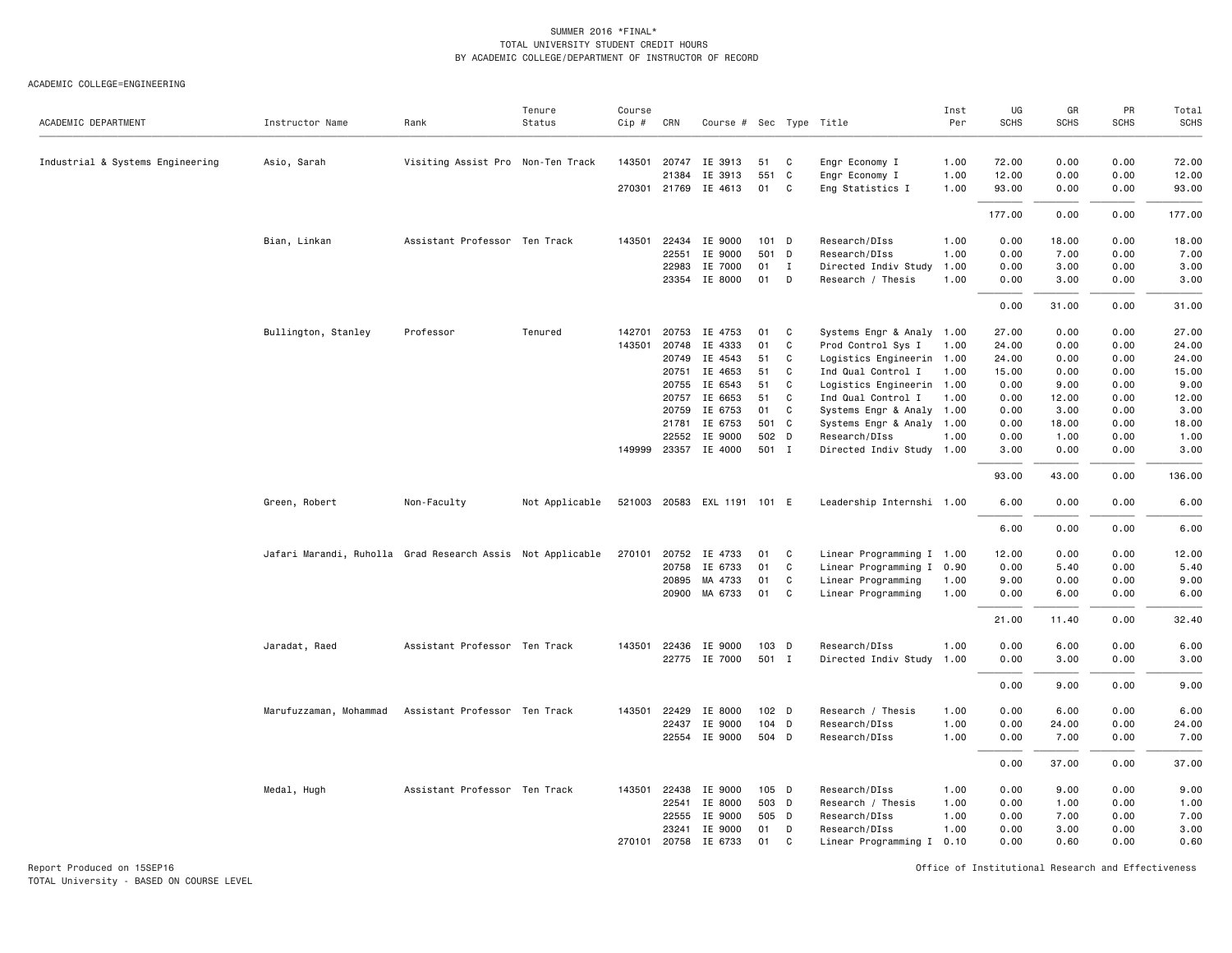ACADEMIC COLLEGE=ENGINEERING

| ACADEMIC DEPARTMENT              | Instructor Name                                            | Rank                              | Tenure<br>Status | Course<br>$Cip \#$ | CRN          | Course # Sec Type Title |       |              |                           | Inst<br>Per | UG<br>SCHS | GR<br><b>SCHS</b> | PR<br><b>SCHS</b> | Total<br>SCHS |
|----------------------------------|------------------------------------------------------------|-----------------------------------|------------------|--------------------|--------------|-------------------------|-------|--------------|---------------------------|-------------|------------|-------------------|-------------------|---------------|
| Industrial & Systems Engineering | Asio, Sarah                                                | Visiting Assist Pro Non-Ten Track |                  |                    | 143501 20747 | IE 3913                 | 51    | C            | Engr Economy I            | 1.00        | 72.00      | 0.00              | 0.00              | 72.00         |
|                                  |                                                            |                                   |                  |                    | 21384        | IE 3913                 | 551   | C            | Engr Economy I            | 1.00        | 12.00      | 0.00              | 0.00              | 12.00         |
|                                  |                                                            |                                   |                  |                    | 270301 21769 | IE 4613                 | 01    | C.           | Eng Statistics I          | 1.00        | 93.00      | 0.00              | 0.00              | 93.00         |
|                                  |                                                            |                                   |                  |                    |              |                         |       |              |                           |             | 177.00     | 0.00              | 0.00              | 177.00        |
|                                  | Bian, Linkan                                               | Assistant Professor Ten Track     |                  | 143501             | 22434        | IE 9000                 | 101 D |              | Research/DIss             | 1.00        | 0.00       | 18.00             | 0.00              | 18.00         |
|                                  |                                                            |                                   |                  |                    | 22551        | IE 9000                 | 501 D |              | Research/DIss             | 1.00        | 0.00       | 7.00              | 0.00              | 7.00          |
|                                  |                                                            |                                   |                  |                    | 22983        | IE 7000                 | 01    | $\mathbf{I}$ | Directed Indiv Study      | 1.00        | 0.00       | 3.00              | 0.00              | 3.00          |
|                                  |                                                            |                                   |                  |                    |              | 23354 IE 8000           | 01    | D            | Research / Thesis         | 1.00        | 0.00       | 3.00              | 0.00              | 3.00          |
|                                  |                                                            |                                   |                  |                    |              |                         |       |              |                           |             | 0.00       | 31.00             | 0.00              | 31.00         |
|                                  | Bullington, Stanley                                        | Professor                         | Tenured          | 142701             | 20753        | IE 4753                 | 01    | C            | Systems Engr & Analy 1.00 |             | 27.00      | 0.00              | 0.00              | 27.00         |
|                                  |                                                            |                                   |                  | 143501             | 20748        | IE 4333                 | 01    | C            | Prod Control Sys I        | 1.00        | 24.00      | 0.00              | 0.00              | 24.00         |
|                                  |                                                            |                                   |                  |                    | 20749        | IE 4543                 | 51    | C            | Logistics Engineerin 1.00 |             | 24.00      | 0.00              | 0.00              | 24.00         |
|                                  |                                                            |                                   |                  |                    | 20751        | IE 4653                 | 51    | C            | Ind Qual Control I        | 1.00        | 15.00      | 0.00              | 0.00              | 15.00         |
|                                  |                                                            |                                   |                  |                    | 20755        | IE 6543                 | 51    | C            | Logistics Engineerin 1.00 |             | 0.00       | 9.00              | 0.00              | 9.00          |
|                                  |                                                            |                                   |                  |                    | 20757        | IE 6653                 | 51    | C            | Ind Qual Control I        | 1.00        | 0.00       | 12.00             | 0.00              | 12.00         |
|                                  |                                                            |                                   |                  |                    | 20759        | IE 6753                 | 01    | C            | Systems Engr & Analy 1.00 |             | 0.00       | 3.00              | 0.00              | 3.00          |
|                                  |                                                            |                                   |                  |                    | 21781        | IE 6753                 | 501 C |              | Systems Engr & Analy 1.00 |             | 0.00       | 18.00             | 0.00              | 18.00         |
|                                  |                                                            |                                   |                  |                    | 22552        | IE 9000                 | 502 D |              | Research/DIss             | 1.00        | 0.00       | 1.00              | 0.00              | 1.00          |
|                                  |                                                            |                                   |                  | 149999             |              | 23357 IE 4000           | 501 I |              | Directed Indiv Study 1.00 |             | 3.00       | 0.00              | 0.00              | 3.00          |
|                                  |                                                            |                                   |                  |                    |              |                         |       |              |                           |             | 93.00      | 43.00             | 0.00              | 136.00        |
|                                  | Green, Robert                                              | Non-Faculty                       | Not Applicable   | 521003             |              | 20583 EXL 1191 101 E    |       |              | Leadership Internshi 1.00 |             | 6.00       | 0.00              | 0.00              | 6.00          |
|                                  |                                                            |                                   |                  |                    |              |                         |       |              |                           |             | 6.00       | 0.00              | 0.00              | 6.00          |
|                                  | Jafari Marandi, Ruholla Grad Research Assis Not Applicable |                                   |                  |                    | 270101 20752 | IE 4733                 | 01    | C.           | Linear Programming I 1.00 |             | 12.00      | 0.00              | 0.00              | 12.00         |
|                                  |                                                            |                                   |                  |                    | 20758        | IE 6733                 | 01    | C            | Linear Programming I 0.90 |             | 0.00       | 5.40              | 0.00              | 5.40          |
|                                  |                                                            |                                   |                  |                    | 20895        | MA 4733                 | 01    | C            | Linear Programming        | 1.00        | 9.00       | 0.00              | 0.00              | 9.00          |
|                                  |                                                            |                                   |                  |                    |              | 20900 MA 6733           | 01    | C            | Linear Programming        | 1.00        | 0.00       | 6.00              | 0.00              | 6.00          |
|                                  |                                                            |                                   |                  |                    |              |                         |       |              |                           |             | 21.00      | 11.40             | 0.00              | 32.40         |
|                                  | Jaradat, Raed                                              | Assistant Professor Ten Track     |                  |                    | 143501 22436 | IE 9000                 | 103 D |              | Research/DIss             | 1.00        | 0.00       | 6.00              | 0.00              | 6.00          |
|                                  |                                                            |                                   |                  |                    | 22775        | IE 7000                 | 501 I |              | Directed Indiv Study      | 1.00        | 0.00       | 3.00              | 0.00              | 3.00          |
|                                  |                                                            |                                   |                  |                    |              |                         |       |              |                           |             | 0.00       | 9.00              | 0.00              | 9.00          |
|                                  | Marufuzzaman, Mohammad                                     | Assistant Professor Ten Track     |                  | 143501             | 22429        | IE 8000                 | 102 D |              | Research / Thesis         | 1.00        | 0.00       | 6.00              | 0.00              | 6.00          |
|                                  |                                                            |                                   |                  |                    | 22437        | IE 9000                 | 104 D |              | Research/DIss             | 1.00        | 0.00       | 24.00             | 0.00              | 24.00         |
|                                  |                                                            |                                   |                  |                    | 22554        | IE 9000                 | 504 D |              | Research/DIss             | 1.00        | 0.00       | 7.00              | 0.00              | 7.00          |
|                                  |                                                            |                                   |                  |                    |              |                         |       |              |                           |             |            |                   |                   |               |
|                                  |                                                            |                                   |                  |                    |              |                         |       |              |                           |             | 0.00       | 37.00             | 0.00              | 37.00         |
|                                  | Medal, Hugh                                                | Assistant Professor Ten Track     |                  | 143501             | 22438        | IE 9000                 | 105 D |              | Research/DIss             | 1.00        | 0.00       | 9.00              | 0.00              | 9.00          |
|                                  |                                                            |                                   |                  |                    | 22541        | IE 8000                 | 503 D |              | Research / Thesis         | 1.00        | 0.00       | 1.00              | 0.00              | 1.00          |
|                                  |                                                            |                                   |                  |                    | 22555        | IE 9000                 | 505 D |              | Research/DIss             | 1.00        | 0.00       | 7.00              | 0.00              | 7.00          |
|                                  |                                                            |                                   |                  |                    | 23241        | IE 9000                 | 01    | D            | Research/DIss             | 1.00        | 0.00       | 3.00              | 0.00              | 3.00          |
|                                  |                                                            |                                   |                  |                    | 270101 20758 | IE 6733                 | 01    | C            | Linear Programming I 0.10 |             | 0.00       | 0.60              | 0.00              | 0.60          |

Report Produced on 15SEP16 Office of Institutional Research and Effectiveness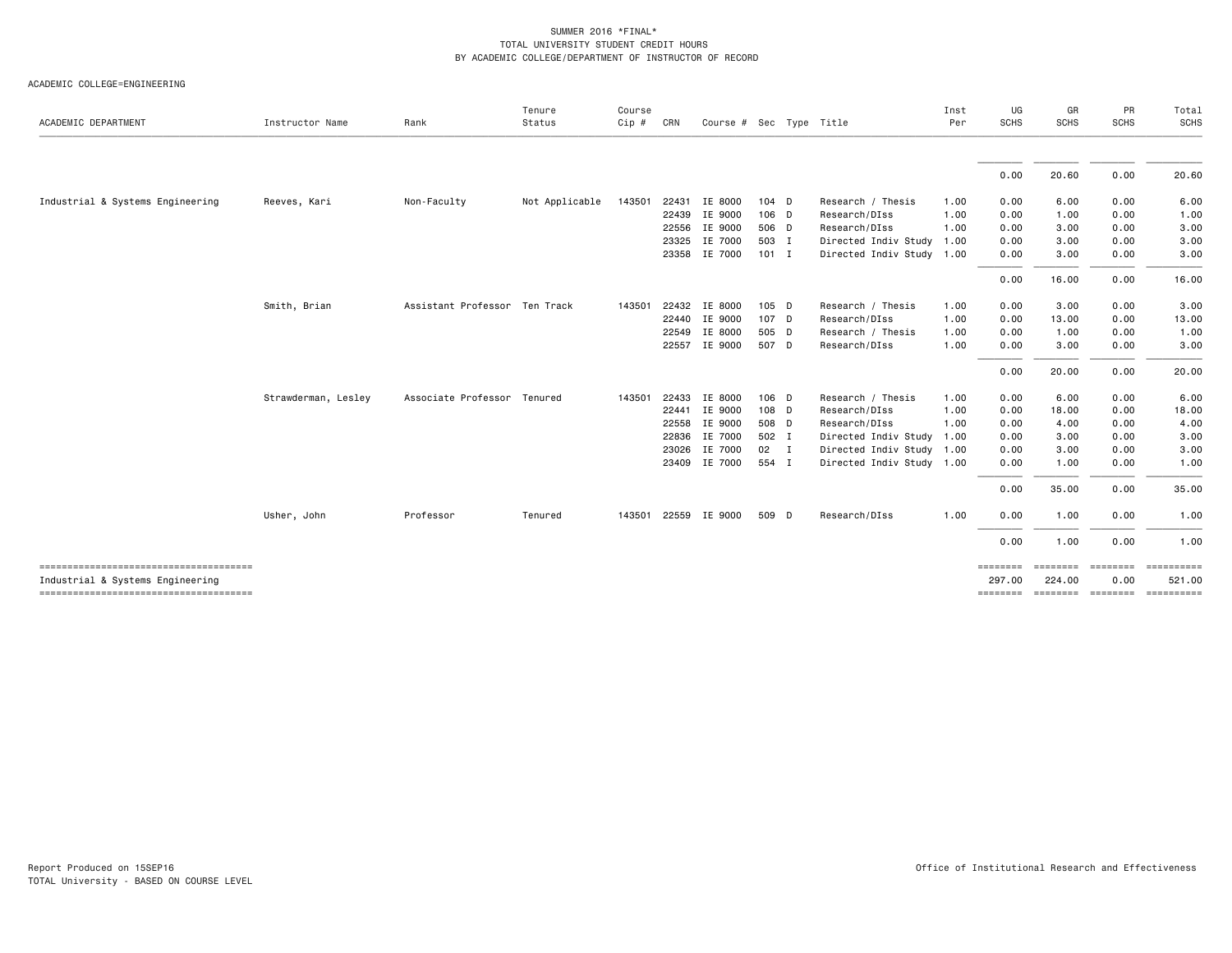| ACADEMIC DEPARTMENT              | Instructor Name     | Rank                          | Tenure<br>Status | Course<br>Cip # | CRN   | Course # Sec Type Title |         |                           | Inst<br>Per | UG<br><b>SCHS</b>  | GR<br><b>SCHS</b>                       | PR<br><b>SCHS</b> | Total<br>SCHS |
|----------------------------------|---------------------|-------------------------------|------------------|-----------------|-------|-------------------------|---------|---------------------------|-------------|--------------------|-----------------------------------------|-------------------|---------------|
|                                  |                     |                               |                  |                 |       |                         |         |                           |             |                    |                                         |                   |               |
|                                  |                     |                               |                  |                 |       |                         |         |                           |             | 0.00               | 20.60                                   | 0.00              | 20.60         |
| Industrial & Systems Engineering | Reeves, Kari        | Non-Faculty                   | Not Applicable   | 143501          | 22431 | IE 8000                 | 104 D   | Research / Thesis         | 1.00        | 0.00               | 6.00                                    | 0.00              | 6.00          |
|                                  |                     |                               |                  |                 |       | 22439 IE 9000           | 106 D   | Research/DIss             | 1.00        | 0.00               | 1.00                                    | 0.00              | 1.00          |
|                                  |                     |                               |                  |                 |       | 22556 IE 9000           | 506 D   | Research/DIss             | 1.00        | 0.00               | 3.00                                    | 0.00              | 3.00          |
|                                  |                     |                               |                  |                 | 23325 | IE 7000                 | 503 I   | Directed Indiv Study      | 1.00        | 0.00               | 3.00                                    | 0.00              | 3.00          |
|                                  |                     |                               |                  |                 |       | 23358 IE 7000           | $101$ I | Directed Indiv Study 1.00 |             | 0.00               | 3.00                                    | 0.00              | 3.00          |
|                                  |                     |                               |                  |                 |       |                         |         |                           |             | 0.00               | 16.00                                   | 0.00              | 16.00         |
|                                  | Smith, Brian        | Assistant Professor Ten Track |                  | 143501          |       | 22432 IE 8000           | 105 D   | Research / Thesis         | 1.00        | 0.00               | 3.00                                    | 0.00              | 3.00          |
|                                  |                     |                               |                  |                 |       | 22440 IE 9000           | 107 D   | Research/DIss             | 1.00        | 0.00               | 13.00                                   | 0.00              | 13.00         |
|                                  |                     |                               |                  |                 |       | 22549 IE 8000           | 505 D   | Research / Thesis         | 1.00        | 0.00               | 1.00                                    | 0.00              | 1.00          |
|                                  |                     |                               |                  |                 |       | 22557 IE 9000           | 507 D   | Research/DIss             | 1.00        | 0.00               | 3.00                                    | 0.00              | 3.00          |
|                                  |                     |                               |                  |                 |       |                         |         |                           |             | 0.00               | 20.00                                   | 0.00              | 20.00         |
|                                  | Strawderman, Lesley | Associate Professor Tenured   |                  | 143501          | 22433 | IE 8000                 | 106 D   | Research / Thesis         | 1.00        | 0.00               | 6.00                                    | 0.00              | 6.00          |
|                                  |                     |                               |                  |                 | 22441 | IE 9000                 | 108 D   | Research/DIss             | 1.00        | 0.00               | 18.00                                   | 0.00              | 18.00         |
|                                  |                     |                               |                  |                 | 22558 | IE 9000                 | 508 D   | Research/DIss             | 1.00        | 0.00               | 4.00                                    | 0.00              | 4.00          |
|                                  |                     |                               |                  |                 | 22836 | IE 7000                 | 502 I   | Directed Indiv Study      | 1.00        | 0.00               | 3.00                                    | 0.00              | 3.00          |
|                                  |                     |                               |                  |                 | 23026 | IE 7000                 | 02 I    | Directed Indiv Study 1.00 |             | 0.00               | 3.00                                    | 0.00              | 3.00          |
|                                  |                     |                               |                  |                 |       | 23409 IE 7000           | 554 I   | Directed Indiv Study 1.00 |             | 0.00               | 1.00                                    | 0.00              | 1.00          |
|                                  |                     |                               |                  |                 |       |                         |         |                           |             | 0.00               | 35.00                                   | 0.00              | 35.00         |
|                                  | Usher, John         | Professor                     | Tenured          | 143501          |       | 22559 IE 9000           | 509 D   | Research/DIss             | 1.00        | 0.00               | 1.00                                    | 0.00              | 1.00          |
|                                  |                     |                               |                  |                 |       |                         |         |                           |             | 0.00               | 1.00                                    | 0.00              | 1.00          |
|                                  |                     |                               |                  |                 |       |                         |         |                           |             | ========           | ========                                | ========          |               |
| Industrial & Systems Engineering |                     |                               |                  |                 |       |                         |         |                           |             | 297.00<br>======== | 224.00<br>socialist continue continuous | 0.00              | 521.00        |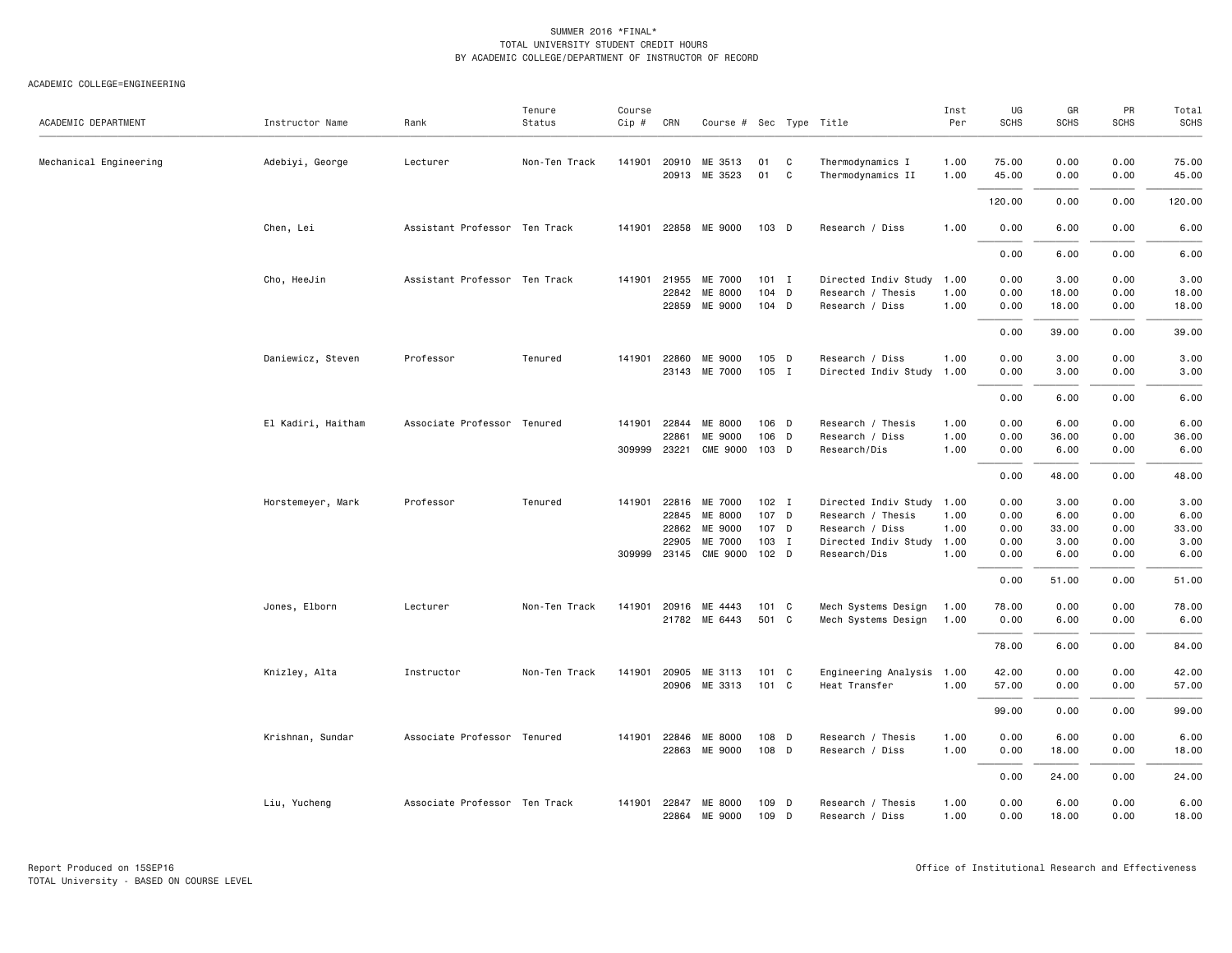| ACADEMIC DEPARTMENT    | Instructor Name    | Rank                          | Tenure<br>Status | Course<br>Cip # | CRN            | Course # Sec Type Title |                  |                  |                                       | Inst<br>Per  | UG<br><b>SCHS</b> | GR<br><b>SCHS</b> | PR<br><b>SCHS</b> | Total<br><b>SCHS</b> |
|------------------------|--------------------|-------------------------------|------------------|-----------------|----------------|-------------------------|------------------|------------------|---------------------------------------|--------------|-------------------|-------------------|-------------------|----------------------|
| Mechanical Engineering | Adebiyi, George    | Lecturer                      | Non-Ten Track    | 141901          | 20910<br>20913 | ME 3513<br>ME 3523      | 01<br>01         | C<br>$\mathbf C$ | Thermodynamics I<br>Thermodynamics II | 1.00<br>1.00 | 75.00<br>45.00    | 0.00<br>0.00      | 0.00<br>0.00      | 75.00<br>45.00       |
|                        |                    |                               |                  |                 |                |                         |                  |                  |                                       |              | 120.00            | 0.00              | 0.00              | 120.00               |
|                        | Chen, Lei          | Assistant Professor Ten Track |                  |                 |                | 141901 22858 ME 9000    | 103 D            |                  | Research / Diss                       | 1.00         | 0.00              | 6.00              | 0.00              | 6.00                 |
|                        |                    |                               |                  |                 |                |                         |                  |                  |                                       |              | 0.00              | 6.00              | 0.00              | 6.00                 |
|                        | Cho, HeeJin        | Assistant Professor Ten Track |                  |                 | 141901 21955   | ME 7000                 | $101$ I          |                  | Directed Indiv Study                  | 1.00         | 0.00              | 3.00              | 0.00              | 3.00                 |
|                        |                    |                               |                  |                 | 22842          | ME 8000                 | 104 D            |                  | Research / Thesis                     | 1.00         | 0.00              | 18.00             | 0.00              | 18.00                |
|                        |                    |                               |                  |                 |                | 22859 ME 9000           | 104 D            |                  | Research / Diss                       | 1.00         | 0.00              | 18.00             | 0.00              | 18.00                |
|                        |                    |                               |                  |                 |                |                         |                  |                  |                                       |              | 0.00              | 39.00             | 0.00              | 39.00                |
|                        | Daniewicz, Steven  | Professor                     | Tenured          |                 | 141901 22860   | ME 9000                 | 105 D            |                  | Research / Diss                       | 1.00         | 0.00              | 3.00              | 0.00              | 3.00                 |
|                        |                    |                               |                  |                 |                | 23143 ME 7000           | 105 I            |                  | Directed Indiv Study 1.00             |              | 0.00              | 3.00              | 0.00              | 3.00                 |
|                        |                    |                               |                  |                 |                |                         |                  |                  |                                       |              |                   |                   |                   |                      |
|                        |                    |                               |                  |                 |                |                         |                  |                  |                                       |              | 0.00              | 6.00              | 0.00              | 6.00                 |
|                        | El Kadiri, Haitham | Associate Professor Tenured   |                  |                 | 141901 22844   | ME 8000                 | 106 D            |                  | Research / Thesis                     | 1.00         | 0.00              | 6.00              | 0.00              | 6.00                 |
|                        |                    |                               |                  |                 | 22861          | ME 9000                 | 106 D            |                  | Research / Diss                       | 1.00         | 0.00              | 36.00             | 0.00              | 36.00                |
|                        |                    |                               |                  |                 | 309999 23221   | <b>CME 9000</b>         | 103 D            |                  | Research/Dis                          | 1.00         | 0.00              | 6.00              | 0.00              | 6.00                 |
|                        |                    |                               |                  |                 |                |                         |                  |                  |                                       |              | 0.00              | 48.00             | 0.00              | 48.00                |
|                        | Horstemeyer, Mark  | Professor                     | Tenured          |                 |                | 141901 22816 ME 7000    | $102$ I          |                  | Directed Indiv Study 1.00             |              | 0.00              | 3.00              | 0.00              | 3.00                 |
|                        |                    |                               |                  |                 | 22845          | ME 8000                 | 107 D            |                  | Research / Thesis                     | 1.00         | 0.00              | 6.00              | 0.00              | 6.00                 |
|                        |                    |                               |                  |                 | 22862          | ME 9000                 | 107 D            |                  | Research / Diss                       | 1.00         | 0.00              | 33.00             | 0.00              | 33.00                |
|                        |                    |                               |                  |                 | 22905          | ME 7000                 | 103 I            |                  | Directed Indiv Study 1.00             |              | 0.00              | 3.00              | 0.00              | 3.00                 |
|                        |                    |                               |                  |                 | 309999 23145   | CME 9000                | 102 <sub>D</sub> |                  | Research/Dis                          | 1.00         | 0.00              | 6.00              | 0.00              | 6.00                 |
|                        |                    |                               |                  |                 |                |                         |                  |                  |                                       |              | 0.00              | 51.00             | 0.00              | 51.00                |
|                        | Jones, Elborn      | Lecturer                      | Non-Ten Track    | 141901          | 20916          | ME 4443                 | 101 C            |                  | Mech Systems Design                   | 1.00         | 78.00             | 0.00              | 0.00              | 78.00                |
|                        |                    |                               |                  |                 |                | 21782 ME 6443           | 501 C            |                  | Mech Systems Design                   | 1.00         | 0.00              | 6.00              | 0.00              | 6.00                 |
|                        |                    |                               |                  |                 |                |                         |                  |                  |                                       |              | 78.00             | 6.00              | 0.00              | 84.00                |
|                        | Knizley, Alta      | Instructor                    | Non-Ten Track    |                 | 141901 20905   | ME 3113                 | 101 C            |                  | Engineering Analysis 1.00             |              | 42.00             | 0.00              | 0.00              | 42.00                |
|                        |                    |                               |                  |                 |                | 20906 ME 3313           | 101 C            |                  | Heat Transfer                         | 1.00         | 57.00             | 0.00              | 0.00              | 57.00                |
|                        |                    |                               |                  |                 |                |                         |                  |                  |                                       |              | 99.00             | 0.00              | 0.00              | 99.00                |
|                        | Krishnan, Sundar   | Associate Professor Tenured   |                  |                 | 141901 22846   | ME 8000                 | 108 D            |                  | Research / Thesis                     | 1.00         | 0.00              | 6.00              | 0.00              | 6.00                 |
|                        |                    |                               |                  |                 | 22863          | ME 9000                 | 108 D            |                  | Research / Diss                       | 1.00         | 0.00              | 18.00             | 0.00              | 18.00                |
|                        |                    |                               |                  |                 |                |                         |                  |                  |                                       |              | 0.00              | 24.00             | 0.00              | 24.00                |
|                        |                    | Associate Professor Ten Track |                  |                 | 141901 22847   | ME 8000                 | 109 D            |                  | Research / Thesis                     | 1.00         | 0.00              | 6.00              | 0.00              | 6.00                 |
|                        | Liu, Yucheng       |                               |                  |                 | 22864          | ME 9000                 | 109              | D                | Research / Diss                       | 1.00         | 0.00              | 18.00             | 0.00              | 18.00                |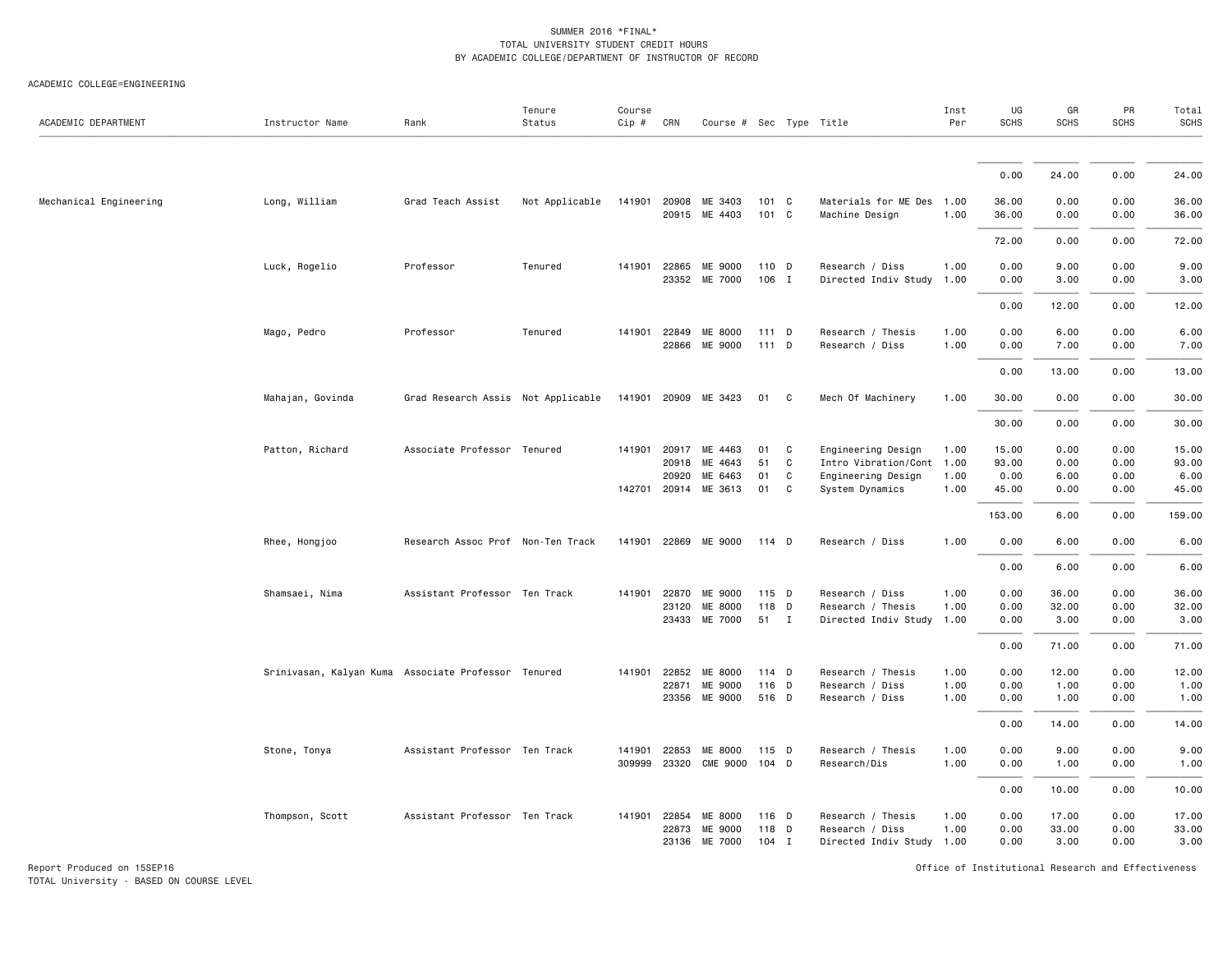### ACADEMIC COLLEGE=ENGINEERING

| ACADEMIC DEPARTMENT    | Instructor Name                                     | Rank                               | Tenure<br>Status | Course<br>$Cip \#$ | CRN            | Course # Sec Type Title    |                |        |                                                 | Inst<br>Per  | UG<br><b>SCHS</b> | GR<br>SCHS    | PR<br>SCHS   | Total<br><b>SCHS</b> |
|------------------------|-----------------------------------------------------|------------------------------------|------------------|--------------------|----------------|----------------------------|----------------|--------|-------------------------------------------------|--------------|-------------------|---------------|--------------|----------------------|
|                        |                                                     |                                    |                  |                    |                |                            |                |        |                                                 |              |                   |               |              |                      |
|                        |                                                     |                                    |                  |                    |                |                            |                |        |                                                 |              | 0.00              | 24.00         | 0.00         | 24.00                |
| Mechanical Engineering | Long, William                                       | Grad Teach Assist                  | Not Applicable   | 141901             | 20908          | ME 3403<br>20915 ME 4403   | 101 C<br>101 C |        | Materials for ME Des 1.00<br>Machine Design     | 1.00         | 36.00<br>36.00    | 0.00<br>0.00  | 0.00<br>0.00 | 36.00<br>36.00       |
|                        |                                                     |                                    |                  |                    |                |                            |                |        |                                                 |              | 72.00             | 0.00          | 0.00         | 72.00                |
|                        | Luck, Rogelio                                       | Professor                          | Tenured          | 141901             | 22865          | ME 9000<br>23352 ME 7000   | 110 D<br>106 I |        | Research / Diss<br>Directed Indiv Study         | 1.00<br>1.00 | 0.00<br>0.00      | 9.00<br>3.00  | 0.00<br>0.00 | 9.00<br>3.00         |
|                        |                                                     |                                    |                  |                    |                |                            |                |        |                                                 |              | 0.00              | 12.00         | 0.00         | 12.00                |
|                        | Mago, Pedro                                         | Professor                          | Tenured          | 141901             | 22849          | ME 8000<br>22866 ME 9000   | 111 D<br>111 D |        | Research / Thesis<br>Research / Diss            | 1.00<br>1.00 | 0.00<br>0.00      | 6.00<br>7.00  | 0.00<br>0.00 | 6.00<br>7.00         |
|                        |                                                     |                                    |                  |                    |                |                            |                |        |                                                 |              | 0.00              | 13.00         | 0.00         | 13.00                |
|                        | Mahajan, Govinda                                    | Grad Research Assis Not Applicable |                  | 141901             | 20909          | ME 3423                    | 01             | C      | Mech Of Machinery                               | 1.00         | 30.00             | 0.00          | 0.00         | 30.00                |
|                        |                                                     |                                    |                  |                    |                |                            |                |        |                                                 |              | 30.00             | 0.00          | 0.00         | 30.00                |
|                        | Patton, Richard                                     | Associate Professor Tenured        |                  | 141901             | 20917<br>20918 | ME 4463<br>ME 4643         | 01<br>51       | C<br>C | Engineering Design<br>Intro Vibration/Cont 1.00 | 1.00         | 15.00<br>93.00    | 0.00<br>0.00  | 0.00<br>0.00 | 15.00<br>93.00       |
|                        |                                                     |                                    |                  |                    | 20920          | ME 6463                    | 01             | C      | Engineering Design                              | 1.00         | 0.00              | 6.00          | 0.00         | 6.00                 |
|                        |                                                     |                                    |                  |                    | 142701 20914   | ME 3613                    | 01             | C      | System Dynamics                                 | 1.00         | 45.00             | 0.00          | 0.00         | 45.00                |
|                        |                                                     |                                    |                  |                    |                |                            |                |        |                                                 |              | 153.00            | 6.00          | 0.00         | 159.00               |
|                        | Rhee, Hongjoo                                       | Research Assoc Prof Non-Ten Track  |                  | 141901             |                | 22869 ME 9000              | 114 D          |        | Research / Diss                                 | 1.00         | 0.00              | 6.00          | 0.00         | 6.00                 |
|                        |                                                     |                                    |                  |                    |                |                            |                |        |                                                 |              | 0.00              | 6.00          | 0.00         | 6.00                 |
|                        | Shamsaei, Nima                                      | Assistant Professor Ten Track      |                  | 141901             | 22870          | ME 9000                    | 115 D          |        | Research / Diss                                 | 1.00         | 0.00              | 36.00         | 0.00         | 36.00                |
|                        |                                                     |                                    |                  |                    | 23120<br>23433 | ME 8000<br>ME 7000         | 118 D<br>51 I  |        | Research / Thesis<br>Directed Indiv Study       | 1.00<br>1.00 | 0.00<br>0.00      | 32.00<br>3.00 | 0.00<br>0.00 | 32.00                |
|                        |                                                     |                                    |                  |                    |                |                            |                |        |                                                 |              |                   |               |              | 3.00                 |
|                        |                                                     |                                    |                  |                    |                |                            |                |        |                                                 |              | 0.00              | 71.00         | 0.00         | 71.00                |
|                        | Srinivasan, Kalyan Kuma Associate Professor Tenured |                                    |                  | 141901             | 22852          | ME 8000                    | 114 D          |        | Research / Thesis                               | 1.00         | 0.00              | 12.00         | 0.00         | 12.00                |
|                        |                                                     |                                    |                  |                    | 22871<br>23356 | ME 9000<br>ME 9000         | 116 D<br>516 D |        | Research / Diss<br>Research / Diss              | 1.00<br>1.00 | 0.00<br>0.00      | 1.00<br>1.00  | 0.00<br>0.00 | 1.00                 |
|                        |                                                     |                                    |                  |                    |                |                            |                |        |                                                 |              |                   |               |              | 1.00                 |
|                        |                                                     |                                    |                  |                    |                |                            |                |        |                                                 |              | 0.00              | 14.00         | 0.00         | 14.00                |
|                        | Stone, Tonya                                        | Assistant Professor Ten Track      |                  | 141901<br>309999   | 22853<br>23320 | ME 8000<br><b>CME 9000</b> | 115 D<br>104 D |        | Research / Thesis<br>Research/Dis               | 1.00<br>1.00 | 0.00<br>0.00      | 9.00<br>1.00  | 0.00<br>0.00 | 9.00<br>1.00         |
|                        |                                                     |                                    |                  |                    |                |                            |                |        |                                                 |              | 0.00              | 10.00         | 0.00         | 10.00                |
|                        | Thompson, Scott                                     | Assistant Professor Ten Track      |                  |                    | 141901 22854   | ME 8000                    | 116 D          |        | Research / Thesis                               | 1.00         | 0.00              | 17.00         | 0.00         | 17.00                |
|                        |                                                     |                                    |                  |                    | 22873          | ME 9000                    | 118 D          |        | Research / Diss                                 | 1.00         | 0.00              | 33.00         | 0.00         | 33.00                |
|                        |                                                     |                                    |                  |                    |                | 23136 ME 7000              | $104$ I        |        | Directed Indiv Study 1.00                       |              | 0.00              | 3.00          | 0.00         | 3.00                 |

Report Produced on 15SEP16 Office of Institutional Research and Effectiveness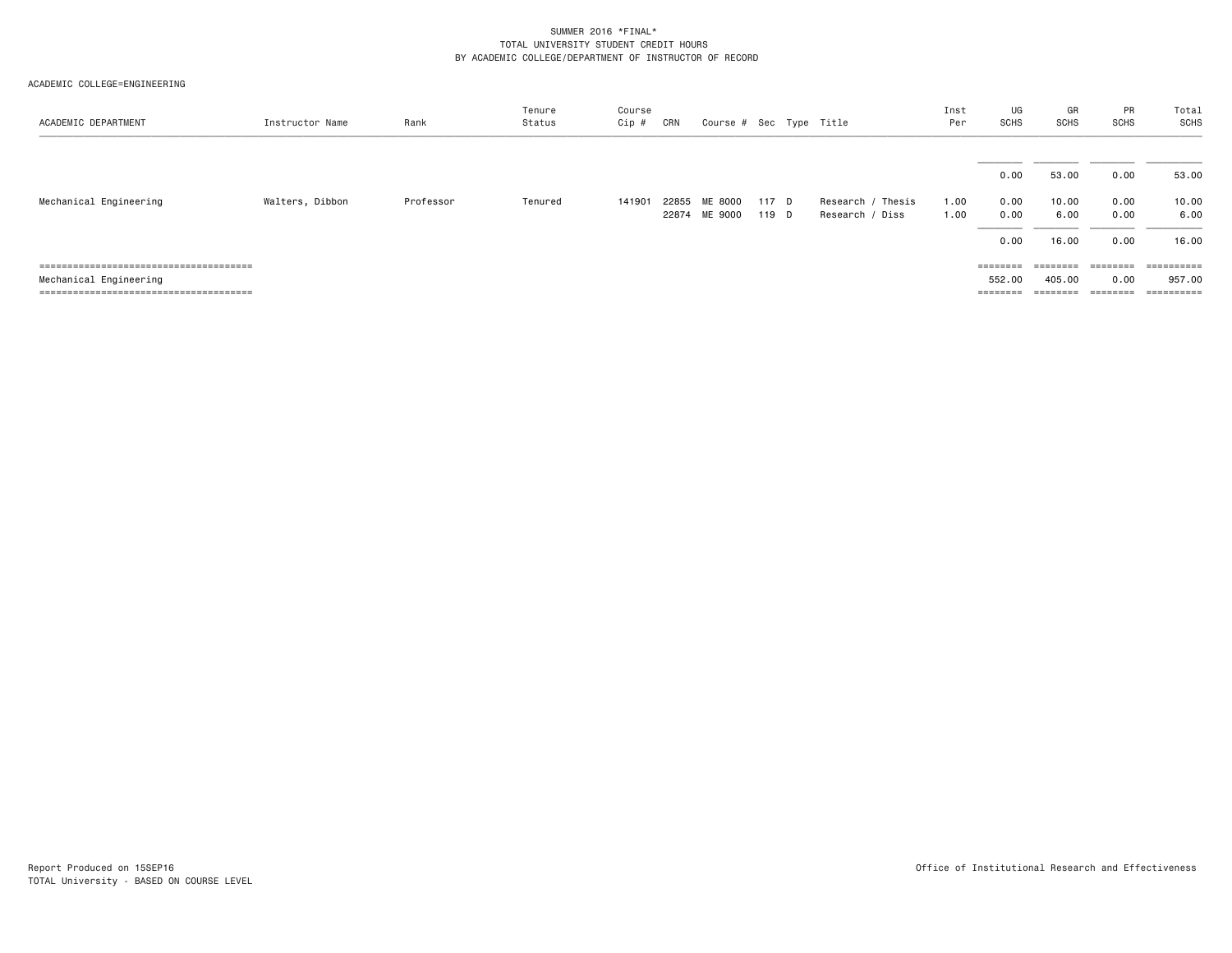| ACADEMIC DEPARTMENT    | Instructor Name | Rank      | Tenure<br>Status | Course<br>Cip # | CRN   | Course # Sec Type Title |       |                      | Inst<br>Per | UG<br>SCHS | GR<br>SCHS | PR<br>SCHS | Total<br>SCHS |
|------------------------|-----------------|-----------|------------------|-----------------|-------|-------------------------|-------|----------------------|-------------|------------|------------|------------|---------------|
|                        |                 |           |                  |                 |       |                         |       |                      |             | 0.00       | 53.00      | 0.00       | 53.00         |
| Mechanical Engineering | Walters, Dibbon | Professor | Tenured          | 141901          | 22855 | ME 8000                 | 117 D | Thesis<br>Research / | 1.00        | 0.00       | 10.00      | 0.00       | 10.00         |
|                        |                 |           |                  |                 |       | 22874 ME 9000           | 119 D | Research / Diss      | 1.00        | 0.00       | 6.00       | 0.00       | 6.00          |
|                        |                 |           |                  |                 |       |                         |       |                      |             | 0.00       | 16.00      | 0.00       | 16.00         |
|                        |                 |           |                  |                 |       |                         |       |                      |             |            |            | ========   | ==========    |
| Mechanical Engineering |                 |           |                  |                 |       |                         |       |                      |             | 552.00     | 405.00     | 0.00       | 957.00        |
|                        |                 |           |                  |                 |       |                         |       |                      |             |            |            | ========   | ==========    |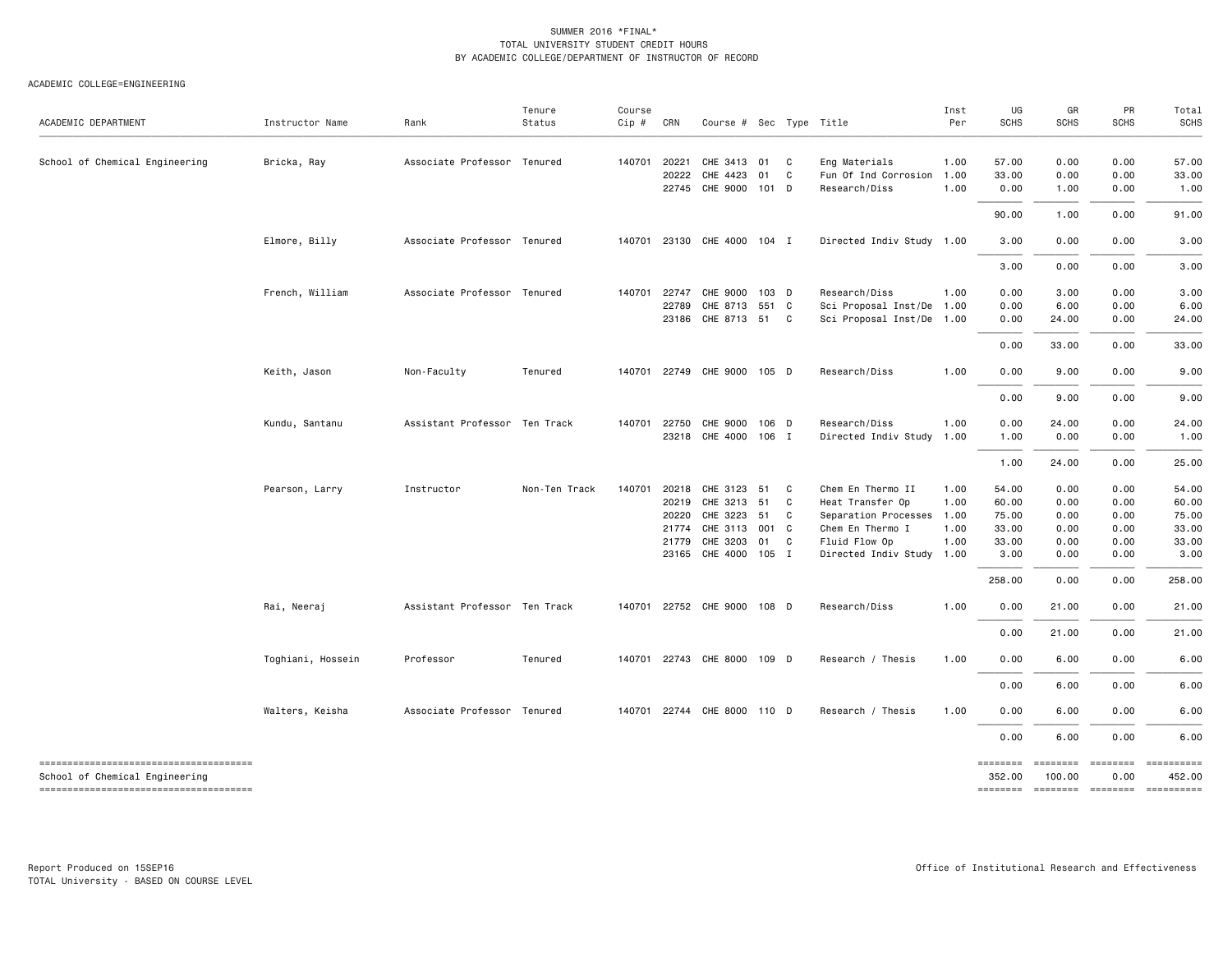#### ACADEMIC COLLEGE=ENGINEERING

| ACADEMIC DEPARTMENT                    | Instructor Name   | Rank                          | Tenure<br>Status | Course<br>$Cip$ # | CRN   | Course # Sec Type Title     |     |              |                           | Inst<br>Per | UG<br><b>SCHS</b> | GR<br><b>SCHS</b> | PR<br><b>SCHS</b> | Total<br><b>SCHS</b> |
|----------------------------------------|-------------------|-------------------------------|------------------|-------------------|-------|-----------------------------|-----|--------------|---------------------------|-------------|-------------------|-------------------|-------------------|----------------------|
| School of Chemical Engineering         | Bricka, Ray       | Associate Professor Tenured   |                  | 140701            | 20221 | CHE 3413 01                 |     | C            | Eng Materials             | 1.00        | 57.00             | 0.00              | 0.00              | 57.00                |
|                                        |                   |                               |                  |                   | 20222 | CHE 4423                    | 01  | C            | Fun Of Ind Corrosion      | 1.00        | 33.00             | 0.00              | 0.00              | 33.00                |
|                                        |                   |                               |                  |                   |       | 22745 CHE 9000 101 D        |     |              | Research/Diss             | 1.00        | 0.00              | 1.00              | 0.00              | 1.00                 |
|                                        |                   |                               |                  |                   |       |                             |     |              |                           |             | 90.00             | 1.00              | 0.00              | 91.00                |
|                                        | Elmore, Billy     | Associate Professor Tenured   |                  | 140701            |       | 23130 CHE 4000 104 I        |     |              | Directed Indiv Study 1.00 |             | 3.00              | 0.00              | 0.00              | 3.00                 |
|                                        |                   |                               |                  |                   |       |                             |     |              |                           |             | 3.00              | 0.00              | 0.00              | 3.00                 |
|                                        | French, William   | Associate Professor Tenured   |                  | 140701            | 22747 | CHE 9000 103 D              |     |              | Research/Diss             | 1.00        | 0.00              | 3.00              | 0.00              | 3.00                 |
|                                        |                   |                               |                  |                   | 22789 | CHE 8713 551 C              |     |              | Sci Proposal Inst/De      | 1.00        | 0.00              | 6.00              | 0.00              | 6.00                 |
|                                        |                   |                               |                  |                   |       | 23186 CHE 8713 51 C         |     |              | Sci Proposal Inst/De 1.00 |             | 0.00              | 24.00             | 0.00              | 24.00                |
|                                        |                   |                               |                  |                   |       |                             |     |              |                           |             | 0.00              | 33.00             | 0.00              | 33.00                |
|                                        | Keith, Jason      | Non-Faculty                   | Tenured          | 140701            |       | 22749 CHE 9000 105 D        |     |              | Research/Diss             | 1.00        | 0.00              | 9.00              | 0.00              | 9.00                 |
|                                        |                   |                               |                  |                   |       |                             |     |              |                           |             | 0.00              | 9.00              | 0.00              | 9.00                 |
|                                        | Kundu, Santanu    | Assistant Professor Ten Track |                  | 140701            | 22750 | CHE 9000 106 D              |     |              | Research/Diss             | 1.00        | 0.00              | 24.00             | 0.00              | 24.00                |
|                                        |                   |                               |                  |                   |       | 23218 CHE 4000 106 I        |     |              | Directed Indiv Study 1.00 |             | 1.00              | 0.00              | 0.00              | 1.00                 |
|                                        |                   |                               |                  |                   |       |                             |     |              |                           |             | 1.00              | 24.00             | 0.00              | 25.00                |
|                                        | Pearson, Larry    | Instructor                    | Non-Ten Track    | 140701            | 20218 | CHE 3123 51                 |     | $\mathbf{C}$ | Chem En Thermo II         | 1.00        | 54.00             | 0.00              | 0.00              | 54.00                |
|                                        |                   |                               |                  |                   | 20219 | CHE 3213 51                 |     | C            | Heat Transfer Op          | 1.00        | 60.00             | 0.00              | 0.00              | 60.00                |
|                                        |                   |                               |                  |                   | 20220 | CHE 3223 51                 |     | C            | Separation Processes 1.00 |             | 75.00             | 0.00              | 0.00              | 75.00                |
|                                        |                   |                               |                  |                   | 21774 | CHE 3113                    | 001 | C            | Chem En Thermo I          | 1.00        | 33.00             | 0.00              | 0.00              | 33.00                |
|                                        |                   |                               |                  |                   | 21779 | CHE 3203                    | 01  | C            | Fluid Flow Op             | 1.00        | 33.00             | 0.00              | 0.00              | 33.00                |
|                                        |                   |                               |                  |                   |       | 23165 CHE 4000 105 I        |     |              | Directed Indiv Study 1.00 |             | 3.00              | 0.00              | 0.00              | 3.00                 |
|                                        |                   |                               |                  |                   |       |                             |     |              |                           |             | 258.00            | 0.00              | 0.00              | 258.00               |
|                                        | Rai, Neeraj       | Assistant Professor Ten Track |                  | 140701            |       | 22752 CHE 9000 108 D        |     |              | Research/Diss             | 1.00        | 0.00              | 21.00             | 0.00              | 21.00                |
|                                        |                   |                               |                  |                   |       |                             |     |              |                           |             | 0.00              | 21.00             | 0.00              | 21.00                |
|                                        | Toghiani, Hossein | Professor                     | Tenured          | 140701            |       | 22743 CHE 8000 109 D        |     |              | Research / Thesis         | 1.00        | 0.00              | 6.00              | 0.00              | 6.00                 |
|                                        |                   |                               |                  |                   |       |                             |     |              |                           |             | 0.00              | 6.00              | 0.00              | 6.00                 |
|                                        | Walters, Keisha   | Associate Professor Tenured   |                  |                   |       | 140701 22744 CHE 8000 110 D |     |              | Research / Thesis         | 1.00        | 0.00              | 6.00              | 0.00              | 6.00                 |
|                                        |                   |                               |                  |                   |       |                             |     |              |                           |             | 0.00              | 6.00              | 0.00              | 6.00                 |
| -------------------------------------- |                   |                               |                  |                   |       |                             |     |              |                           |             | ========          | ========          | ========          | ==========           |
| School of Chemical Engineering         |                   |                               |                  |                   |       |                             |     |              |                           |             | 352.00            | 100.00            | 0.00              | 452.00               |
| -------------------------------------  |                   |                               |                  |                   |       |                             |     |              |                           |             | ========          |                   | ======== ======== | ==========           |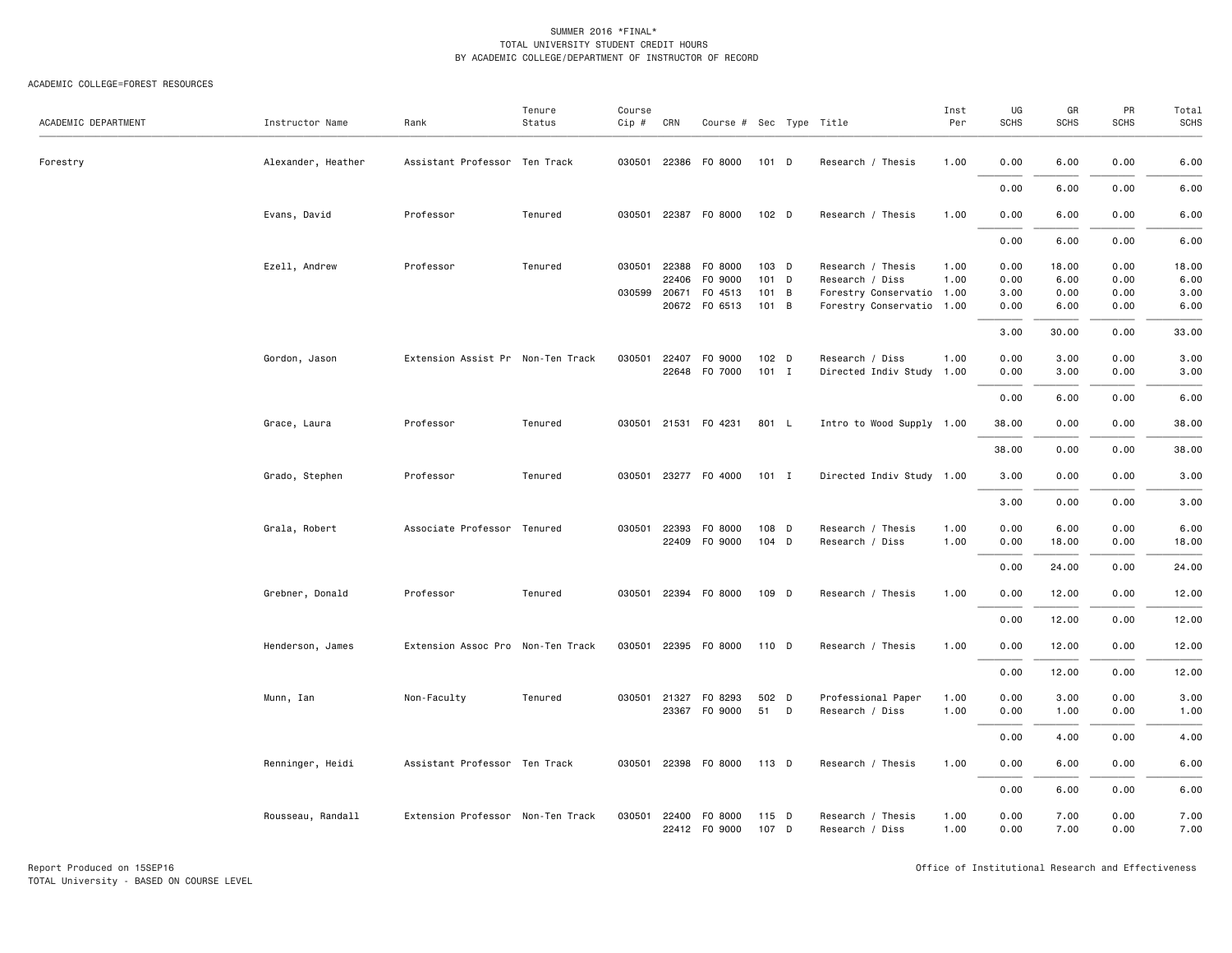| ACADEMIC DEPARTMENT | Instructor Name    | Rank                              | Tenure<br>Status | Course<br>Cip # | CRN          | Course # Sec Type Title |         |                           | Inst<br>Per | UG<br>SCHS | GR<br><b>SCHS</b> | PR<br><b>SCHS</b> | Total<br>SCHS |
|---------------------|--------------------|-----------------------------------|------------------|-----------------|--------------|-------------------------|---------|---------------------------|-------------|------------|-------------------|-------------------|---------------|
| Forestry            | Alexander, Heather | Assistant Professor Ten Track     |                  |                 |              | 030501 22386 F0 8000    | 101 D   | Research / Thesis         | 1.00        | 0.00       | 6.00              | 0.00              | 6.00          |
|                     |                    |                                   |                  |                 |              |                         |         |                           |             | 0.00       | 6.00              | 0.00              | 6.00          |
|                     | Evans, David       | Professor                         | Tenured          | 030501          |              | 22387 F0 8000           | 102 D   | Research / Thesis         | 1.00        | 0.00       | 6.00              | 0.00              | 6.00          |
|                     |                    |                                   |                  |                 |              |                         |         |                           |             | 0.00       | 6.00              | 0.00              | 6.00          |
|                     | Ezell, Andrew      | Professor                         | Tenured          | 030501          | 22388        | F0 8000                 | 103 D   | Research / Thesis         | 1.00        | 0.00       | 18.00             | 0.00              | 18.00         |
|                     |                    |                                   |                  |                 | 22406        | F0 9000                 | 101 D   | Research / Diss           | 1.00        | 0.00       | 6.00              | 0.00              | 6.00          |
|                     |                    |                                   |                  | 030599 20671    |              | F0 4513                 | 101 B   | Forestry Conservatio 1.00 |             | 3.00       | 0.00              | 0.00              | 3.00          |
|                     |                    |                                   |                  |                 | 20672        | F0 6513                 | 101 B   | Forestry Conservatio 1.00 |             | 0.00       | 6.00              | 0.00              | 6.00          |
|                     |                    |                                   |                  |                 |              |                         |         |                           |             | 3.00       | 30.00             | 0.00              | 33.00         |
|                     | Gordon, Jason      | Extension Assist Pr Non-Ten Track |                  | 030501          | 22407        | F0 9000                 | 102 D   | Research / Diss           | 1.00        | 0.00       | 3.00              | 0.00              | 3.00          |
|                     |                    |                                   |                  |                 | 22648        | F0 7000                 | $101$ I | Directed Indiv Study 1.00 |             | 0.00       | 3.00              | 0.00              | 3.00          |
|                     |                    |                                   |                  |                 |              |                         |         |                           |             |            |                   |                   |               |
|                     |                    |                                   |                  |                 |              |                         |         |                           |             | 0.00       | 6.00              | 0.00              | 6.00          |
|                     | Grace, Laura       | Professor                         | Tenured          |                 |              | 030501 21531 F0 4231    | 801 L   | Intro to Wood Supply 1.00 |             | 38.00      | 0.00              | 0.00              | 38.00         |
|                     |                    |                                   |                  |                 |              |                         |         |                           |             | 38.00      | 0.00              | 0.00              | 38.00         |
|                     | Grado, Stephen     | Professor                         | Tenured          |                 |              | 030501 23277 F0 4000    | $101$ I | Directed Indiv Study 1.00 |             | 3.00       | 0.00              | 0.00              | 3.00          |
|                     |                    |                                   |                  |                 |              |                         |         |                           |             | 3.00       | 0.00              | 0.00              | 3.00          |
|                     | Grala, Robert      | Associate Professor Tenured       |                  |                 | 030501 22393 | F0 8000                 | 108 D   | Research / Thesis         | 1.00        | 0.00       | 6.00              | 0.00              | 6.00          |
|                     |                    |                                   |                  |                 | 22409        | F0 9000                 | 104 D   | Research / Diss           | 1.00        | 0.00       | 18.00             | 0.00              | 18.00         |
|                     |                    |                                   |                  |                 |              |                         |         |                           |             |            |                   |                   |               |
|                     |                    |                                   |                  |                 |              |                         |         |                           |             | 0.00       | 24.00             | 0.00              | 24.00         |
|                     | Grebner, Donald    | Professor                         | Tenured          |                 |              | 030501 22394 F0 8000    | 109 D   | Research / Thesis         | 1.00        | 0.00       | 12.00             | 0.00              | 12.00         |
|                     |                    |                                   |                  |                 |              |                         |         |                           |             | 0.00       | 12.00             | 0.00              | 12.00         |
|                     | Henderson, James   | Extension Assoc Pro Non-Ten Track |                  |                 |              | 030501 22395 F0 8000    | 110 D   | Research / Thesis         | 1.00        | 0.00       | 12.00             | 0.00              | 12.00         |
|                     |                    |                                   |                  |                 |              |                         |         |                           |             | 0.00       | 12.00             | 0.00              | 12.00         |
|                     | Munn, Ian          | Non-Faculty                       | Tenured          | 030501          | 21327        | F0 8293                 | 502 D   | Professional Paper        | 1.00        | 0.00       | 3.00              | 0.00              | 3.00          |
|                     |                    |                                   |                  |                 |              | 23367 FO 9000           | 51 D    | Research / Diss           | 1.00        | 0.00       | 1.00              | 0.00              | 1.00          |
|                     |                    |                                   |                  |                 |              |                         |         |                           |             |            |                   |                   |               |
|                     |                    |                                   |                  |                 |              |                         |         |                           |             | 0.00       | 4.00              | 0.00              | 4.00          |
|                     | Renninger, Heidi   | Assistant Professor Ten Track     |                  |                 |              | 030501 22398 F0 8000    | 113 D   | Research / Thesis         | 1.00        | 0.00       | 6.00              | 0.00              | 6.00          |
|                     |                    |                                   |                  |                 |              |                         |         |                           |             | 0.00       | 6.00              | 0.00              | 6.00          |
|                     | Rousseau, Randall  | Extension Professor Non-Ten Track |                  | 030501          | 22400        | F0 8000                 | 115 D   | Research / Thesis         | 1.00        | 0.00       | 7.00              | 0.00              | 7.00          |
|                     |                    |                                   |                  |                 |              | 22412 FO 9000           | 107 D   | Research / Diss           | 1.00        | 0.00       | 7.00              | 0.00              | 7.00          |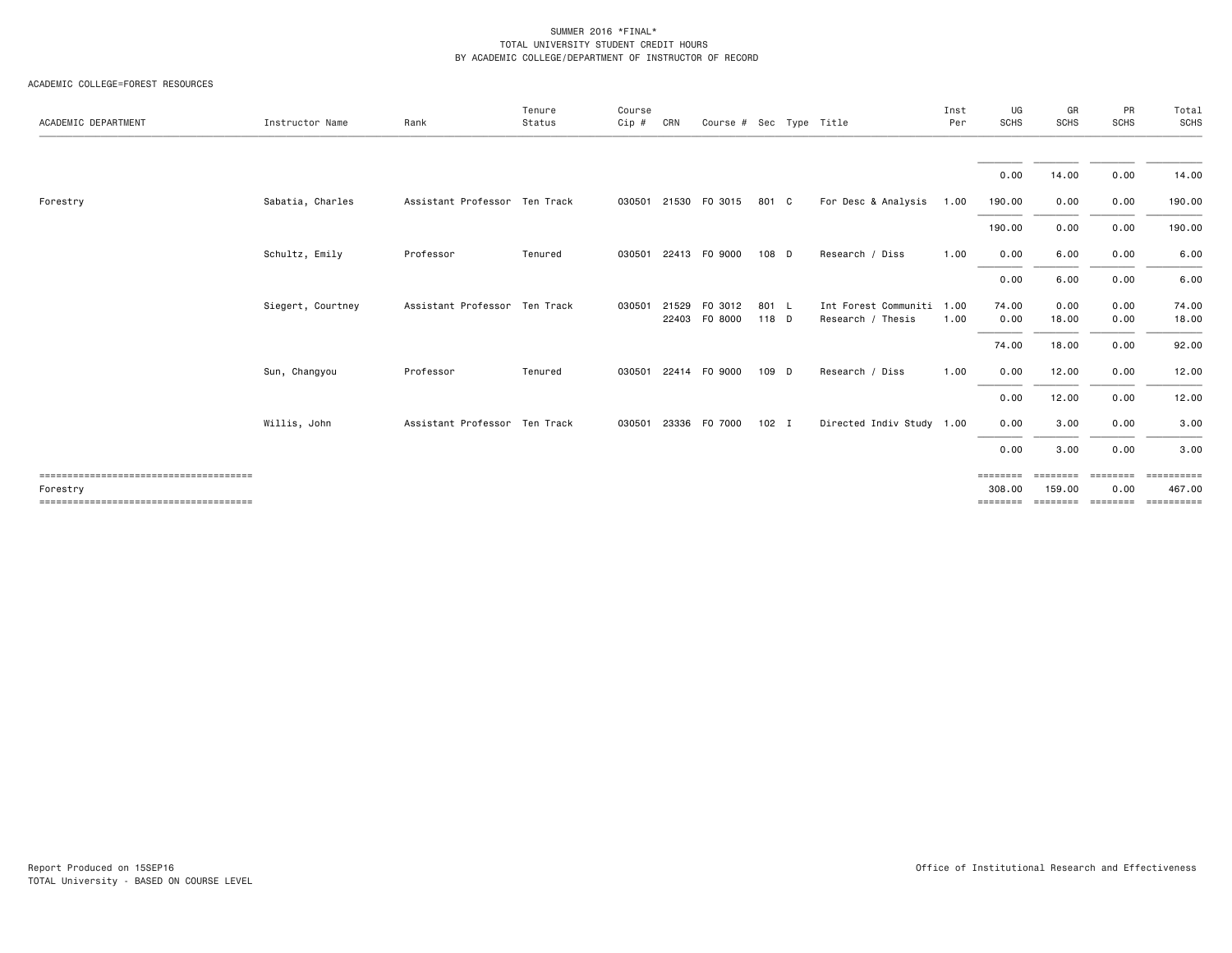| ACADEMIC DEPARTMENT | Instructor Name   | Rank                          | Tenure<br>Status | Course<br>Cip # | CRN   | Course # Sec Type Title  |                |                                                | Inst<br>Per | UG<br><b>SCHS</b>              | GR<br><b>SCHS</b>              | PR<br><b>SCHS</b>            | Total<br><b>SCHS</b>               |
|---------------------|-------------------|-------------------------------|------------------|-----------------|-------|--------------------------|----------------|------------------------------------------------|-------------|--------------------------------|--------------------------------|------------------------------|------------------------------------|
|                     |                   |                               |                  |                 |       |                          |                |                                                |             | 0.00                           | 14.00                          | 0.00                         | 14.00                              |
| Forestry            | Sabatia, Charles  | Assistant Professor Ten Track |                  | 030501          |       | 21530 FO 3015            | 801 C          | For Desc & Analysis                            | 1.00        | 190.00                         | 0.00                           | 0.00                         | 190.00                             |
|                     |                   |                               |                  |                 |       |                          |                |                                                |             | 190.00                         | 0.00                           | 0.00                         | 190.00                             |
|                     | Schultz, Emily    | Professor                     | Tenured          | 030501          |       | 22413 FO 9000            | 108 D          | Research / Diss                                | 1.00        | 0.00                           | 6.00                           | 0.00                         | 6.00                               |
|                     |                   |                               |                  |                 |       |                          |                |                                                |             | 0.00                           | 6.00                           | 0.00                         | 6.00                               |
|                     | Siegert, Courtney | Assistant Professor Ten Track |                  | 030501          | 21529 | F0 3012<br>22403 FO 8000 | 801 L<br>118 D | Int Forest Communiti 1.00<br>Research / Thesis | 1.00        | 74.00<br>0.00                  | 0.00<br>18.00                  | 0.00<br>0.00                 | 74.00<br>18.00                     |
|                     |                   |                               |                  |                 |       |                          |                |                                                |             | 74.00                          | 18.00                          | 0.00                         | 92.00                              |
|                     | Sun, Changyou     | Professor                     | Tenured          | 030501          |       | 22414 FO 9000            | 109 D          | Research / Diss                                | 1.00        | 0.00                           | 12.00                          | 0.00                         | 12.00                              |
|                     |                   |                               |                  |                 |       |                          |                |                                                |             | 0.00                           | 12.00                          | 0.00                         | 12.00                              |
|                     | Willis, John      | Assistant Professor Ten Track |                  | 030501          |       | 23336 FO 7000            | $102$ I        | Directed Indiv Study 1.00                      |             | 0.00                           | 3.00                           | 0.00                         | 3.00                               |
|                     |                   |                               |                  |                 |       |                          |                |                                                |             | 0.00                           | 3.00                           | 0.00                         | 3.00                               |
| Forestry            |                   |                               |                  |                 |       |                          |                |                                                |             | ========<br>308.00<br>======== | ========<br>159.00<br>======== | ========<br>0.00<br>======== | ==========<br>467.00<br>========== |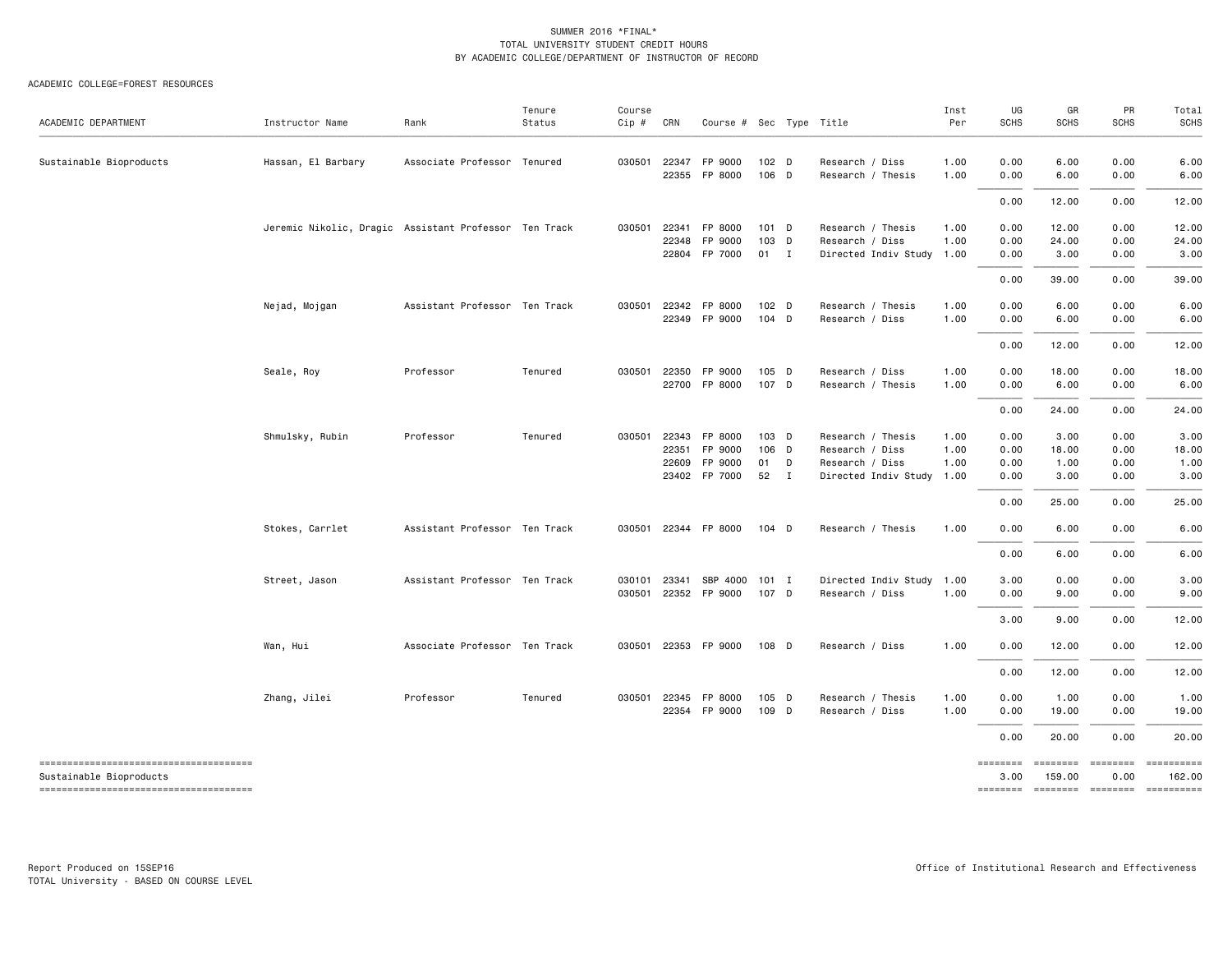| ACADEMIC DEPARTMENT                                              | Instructor Name                                       | Rank                          | Tenure<br>Status | Course<br>Cip #  | CRN            | Course # Sec Type Title         |                    |   |                                              | Inst<br>Per  | UG<br><b>SCHS</b> | GR<br><b>SCHS</b>         | PR<br><b>SCHS</b>                   | Total<br><b>SCHS</b> |
|------------------------------------------------------------------|-------------------------------------------------------|-------------------------------|------------------|------------------|----------------|---------------------------------|--------------------|---|----------------------------------------------|--------------|-------------------|---------------------------|-------------------------------------|----------------------|
| Sustainable Bioproducts                                          | Hassan, El Barbary                                    | Associate Professor Tenured   |                  | 030501           | 22347          | FP 9000<br>22355 FP 8000        | 102 D<br>106 D     |   | Research / Diss<br>Research / Thesis         | 1.00<br>1.00 | 0.00<br>0.00      | 6.00<br>6.00              | 0.00<br>0.00                        | 6.00<br>6.00         |
|                                                                  |                                                       |                               |                  |                  |                |                                 |                    |   |                                              |              | 0.00              | 12.00                     | 0.00                                | 12.00                |
|                                                                  | Jeremic Nikolic, Dragic Assistant Professor Ten Track |                               |                  | 030501           | 22341<br>22348 | FP 8000<br>FP 9000              | $101$ D<br>103 D   |   | Research / Thesis<br>Research / Diss         | 1.00<br>1.00 | 0.00<br>0.00      | 12.00<br>24.00            | 0.00<br>0.00                        | 12.00<br>24.00       |
|                                                                  |                                                       |                               |                  |                  |                | 22804 FP 7000                   | 01 I               |   | Directed Indiv Study 1.00                    |              | 0.00              | 3.00                      | 0.00                                | 3.00                 |
|                                                                  |                                                       |                               |                  |                  |                |                                 |                    |   |                                              |              | 0.00              | 39.00                     | 0.00                                | 39.00                |
|                                                                  | Nejad, Mojgan                                         | Assistant Professor Ten Track |                  | 030501           |                | 22342 FP 8000<br>22349 FP 9000  | $102$ D<br>$104$ D |   | Research / Thesis<br>Research / Diss         | 1.00<br>1.00 | 0.00<br>0.00      | 6.00<br>6.00              | 0.00<br>0.00                        | 6.00<br>6.00         |
|                                                                  |                                                       |                               |                  |                  |                |                                 |                    |   |                                              |              | 0.00              | 12.00                     | 0.00                                | 12.00                |
|                                                                  | Seale, Roy                                            | Professor                     | Tenured          | 030501           |                | 22350 FP 9000<br>22700 FP 8000  | 105 D<br>107 D     |   | Research / Diss<br>Research / Thesis         | 1.00<br>1.00 | 0.00<br>0.00      | 18.00<br>6.00             | 0.00<br>0.00                        | 18.00<br>6.00        |
|                                                                  |                                                       |                               |                  |                  |                |                                 |                    |   |                                              |              | 0.00              | 24.00                     | 0.00                                | 24.00                |
|                                                                  | Shmulsky, Rubin                                       | Professor                     | Tenured          | 030501           |                | 22343 FP 8000                   | 103 D              |   | Research / Thesis                            | 1.00         | 0.00              | 3.00                      | 0.00                                | 3.00                 |
|                                                                  |                                                       |                               |                  |                  | 22351          | FP 9000                         | 106 D              |   | Research / Diss                              | 1.00         | 0.00              | 18.00                     | 0.00                                | 18.00                |
|                                                                  |                                                       |                               |                  |                  | 22609          | FP 9000<br>23402 FP 7000        | 01<br>52 I         | D | Research / Diss<br>Directed Indiv Study 1.00 | 1.00         | 0.00<br>0.00      | 1.00<br>3.00              | 0.00<br>0.00                        | 1.00<br>3.00         |
|                                                                  |                                                       |                               |                  |                  |                |                                 |                    |   |                                              |              | 0.00              | 25.00                     | 0.00                                | 25.00                |
|                                                                  | Stokes, Carrlet                                       | Assistant Professor Ten Track |                  | 030501           |                | 22344 FP 8000                   | $104$ D            |   | Research / Thesis                            | 1.00         | 0.00              | 6.00                      | 0.00                                | 6.00                 |
|                                                                  |                                                       |                               |                  |                  |                |                                 |                    |   |                                              |              | 0.00              | 6.00                      | 0.00                                | 6.00                 |
|                                                                  |                                                       |                               |                  |                  |                |                                 |                    |   |                                              |              |                   |                           |                                     |                      |
|                                                                  | Street, Jason                                         | Assistant Professor Ten Track |                  | 030101<br>030501 | 23341          | SBP 4000 101 I<br>22352 FP 9000 | 107 D              |   | Directed Indiv Study 1.00<br>Research / Diss | 1.00         | 3.00<br>0.00      | 0.00<br>9.00              | 0.00<br>0.00                        | 3.00<br>9.00         |
|                                                                  |                                                       |                               |                  |                  |                |                                 |                    |   |                                              |              |                   |                           |                                     |                      |
|                                                                  |                                                       |                               |                  |                  |                |                                 |                    |   |                                              |              | 3.00              | 9.00                      | 0.00                                | 12.00                |
|                                                                  | Wan, Hui                                              | Associate Professor Ten Track |                  | 030501           |                | 22353 FP 9000                   | 108 D              |   | Research / Diss                              | 1.00         | 0.00              | 12.00                     | 0.00                                | 12.00                |
|                                                                  |                                                       |                               |                  |                  |                |                                 |                    |   |                                              |              | 0.00              | 12.00                     | 0.00                                | 12.00                |
|                                                                  | Zhang, Jilei                                          | Professor                     | Tenured          | 030501           | 22345          | FP 8000                         | 105 D              |   | Research / Thesis                            | 1.00         | 0.00              | 1.00                      | 0.00                                | 1.00                 |
|                                                                  |                                                       |                               |                  |                  |                | 22354 FP 9000                   | 109 D              |   | Research / Diss                              | 1.00         | 0.00              | 19.00                     | 0.00                                | 19.00                |
|                                                                  |                                                       |                               |                  |                  |                |                                 |                    |   |                                              |              | 0.00              | 20.00                     | 0.00                                | 20.00                |
| -------------------------------------<br>Sustainable Bioproducts |                                                       |                               |                  |                  |                |                                 |                    |   |                                              |              | ========<br>3.00  | <b>EDEDEDED</b><br>159.00 | <b>EDEDEDED</b><br>0.00             | 162,00               |
|                                                                  |                                                       |                               |                  |                  |                |                                 |                    |   |                                              |              |                   |                           | -------- ------- -------- --------- |                      |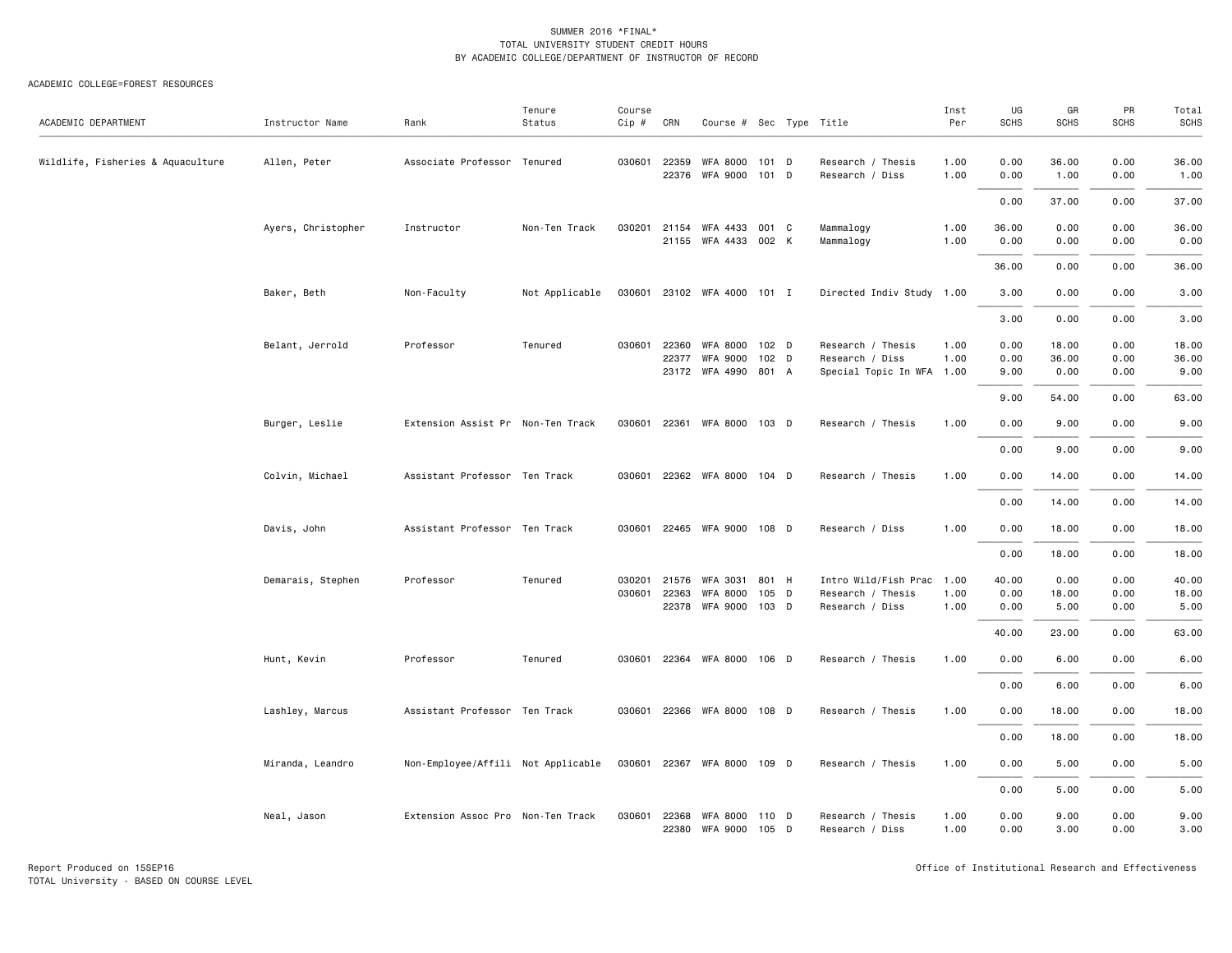| ACADEMIC DEPARTMENT               | Instructor Name    | Rank                               | Tenure<br>Status | Course<br>Cip # | CRN            | Course # Sec Type Title     |                |                                      | Inst<br>Per  | UG<br><b>SCHS</b> | GR<br>SCHS    | PR<br>SCHS   | Total<br><b>SCHS</b> |
|-----------------------------------|--------------------|------------------------------------|------------------|-----------------|----------------|-----------------------------|----------------|--------------------------------------|--------------|-------------------|---------------|--------------|----------------------|
|                                   |                    |                                    |                  |                 |                |                             |                |                                      |              |                   |               |              |                      |
| Wildlife, Fisheries & Aquaculture | Allen, Peter       | Associate Professor Tenured        |                  | 030601          | 22359<br>22376 | <b>WFA 8000</b><br>WFA 9000 | 101 D<br>101 D | Research / Thesis<br>Research / Diss | 1.00<br>1.00 | 0.00<br>0.00      | 36.00<br>1.00 | 0.00<br>0.00 | 36.00<br>1.00        |
|                                   |                    |                                    |                  |                 |                |                             |                |                                      |              | 0.00              | 37.00         | 0.00         | 37.00                |
|                                   | Ayers, Christopher | Instructor                         | Non-Ten Track    | 030201          | 21154          | WFA 4433                    | 001 C          | Mammalogy                            | 1.00         | 36.00             | 0.00          | 0.00         | 36.00                |
|                                   |                    |                                    |                  |                 |                | 21155 WFA 4433 002 K        |                | Mammalogy                            | 1.00         | 0.00              | 0.00          | 0.00         | 0.00                 |
|                                   |                    |                                    |                  |                 |                |                             |                |                                      |              | 36.00             | 0.00          | 0.00         | 36.00                |
|                                   | Baker, Beth        | Non-Faculty                        | Not Applicable   |                 |                | 030601 23102 WFA 4000 101 I |                | Directed Indiv Study 1.00            |              | 3.00              | 0.00          | 0.00         | 3.00                 |
|                                   |                    |                                    |                  |                 |                |                             |                |                                      |              | 3.00              | 0.00          | 0.00         | 3.00                 |
|                                   | Belant, Jerrold    | Professor                          | Tenured          | 030601          | 22360          | <b>WFA 8000</b>             | 102 D          | Research / Thesis                    | 1.00         | 0.00              | 18.00         | 0.00         | 18.00                |
|                                   |                    |                                    |                  |                 | 22377          | <b>WFA 9000</b>             | 102 D          | Research / Diss                      | 1.00         | 0.00              | 36.00         | 0.00         | 36.00                |
|                                   |                    |                                    |                  |                 |                | 23172 WFA 4990 801 A        |                | Special Topic In WFA 1.00            |              | 9.00              | 0.00          | 0.00         | 9.00                 |
|                                   |                    |                                    |                  |                 |                |                             |                |                                      |              | 9.00              | 54.00         | 0.00         | 63.00                |
|                                   | Burger, Leslie     | Extension Assist Pr Non-Ten Track  |                  | 030601          | 22361          | WFA 8000 103 D              |                | Research / Thesis                    | 1.00         | 0.00              | 9.00          | 0.00         | 9.00                 |
|                                   |                    |                                    |                  |                 |                |                             |                |                                      |              | 0.00              | 9.00          | 0.00         | 9.00                 |
|                                   | Colvin, Michael    | Assistant Professor Ten Track      |                  | 030601          |                | 22362 WFA 8000              | 104 D          | Research / Thesis                    | 1.00         | 0.00              | 14.00         | 0.00         | 14.00                |
|                                   |                    |                                    |                  |                 |                |                             |                |                                      |              | 0.00              | 14.00         | 0.00         | 14.00                |
|                                   | Davis, John        | Assistant Professor Ten Track      |                  |                 |                | 030601 22465 WFA 9000 108 D |                | Research / Diss                      | 1.00         | 0.00              | 18.00         | 0.00         | 18.00                |
|                                   |                    |                                    |                  |                 |                |                             |                |                                      |              | 0.00              | 18.00         | 0.00         | 18.00                |
|                                   | Demarais, Stephen  | Professor                          | Tenured          | 030201          | 21576          | WFA 3031                    | 801 H          | Intro Wild/Fish Prac 1.00            |              | 40.00             | 0.00          | 0.00         | 40.00                |
|                                   |                    |                                    |                  | 030601          | 22363          | <b>WFA 8000</b>             | 105 D          | Research / Thesis                    | 1.00         | 0.00              | 18.00         | 0.00         | 18.00                |
|                                   |                    |                                    |                  |                 | 22378          | WFA 9000 103 D              |                | Research / Diss                      | 1.00         | 0.00              | 5.00          | 0.00         | 5.00                 |
|                                   |                    |                                    |                  |                 |                |                             |                |                                      |              | 40.00             | 23.00         | 0.00         | 63.00                |
|                                   | Hunt, Kevin        | Professor                          | Tenured          | 030601          |                | 22364 WFA 8000 106 D        |                | Research / Thesis                    | 1.00         | 0.00              | 6.00          | 0.00         | 6.00                 |
|                                   |                    |                                    |                  |                 |                |                             |                |                                      |              | 0.00              | 6.00          | 0.00         | 6.00                 |
|                                   | Lashley, Marcus    | Assistant Professor Ten Track      |                  | 030601          |                | 22366 WFA 8000 108 D        |                | Research / Thesis                    | 1.00         | 0.00              | 18.00         | 0.00         | 18.00                |
|                                   |                    |                                    |                  |                 |                |                             |                |                                      |              | 0.00              | 18.00         | 0.00         | 18.00                |
|                                   | Miranda, Leandro   | Non-Employee/Affili Not Applicable |                  |                 |                | 030601 22367 WFA 8000 109 D |                | Research / Thesis                    | 1.00         | 0.00              | 5.00          | 0.00         | 5.00                 |
|                                   |                    |                                    |                  |                 |                |                             |                |                                      |              | 0.00              | 5.00          | 0.00         | 5.00                 |
|                                   | Neal, Jason        | Extension Assoc Pro Non-Ten Track  |                  | 030601          | 22368          | WFA 8000                    | 110 D          | Research / Thesis                    | 1.00         | 0.00              | 9.00          | 0.00         | 9.00                 |
|                                   |                    |                                    |                  |                 |                | 22380 WFA 9000              | 105 D          | Research / Diss                      | 1.00         | 0.00              | 3.00          | 0.00         | 3.00                 |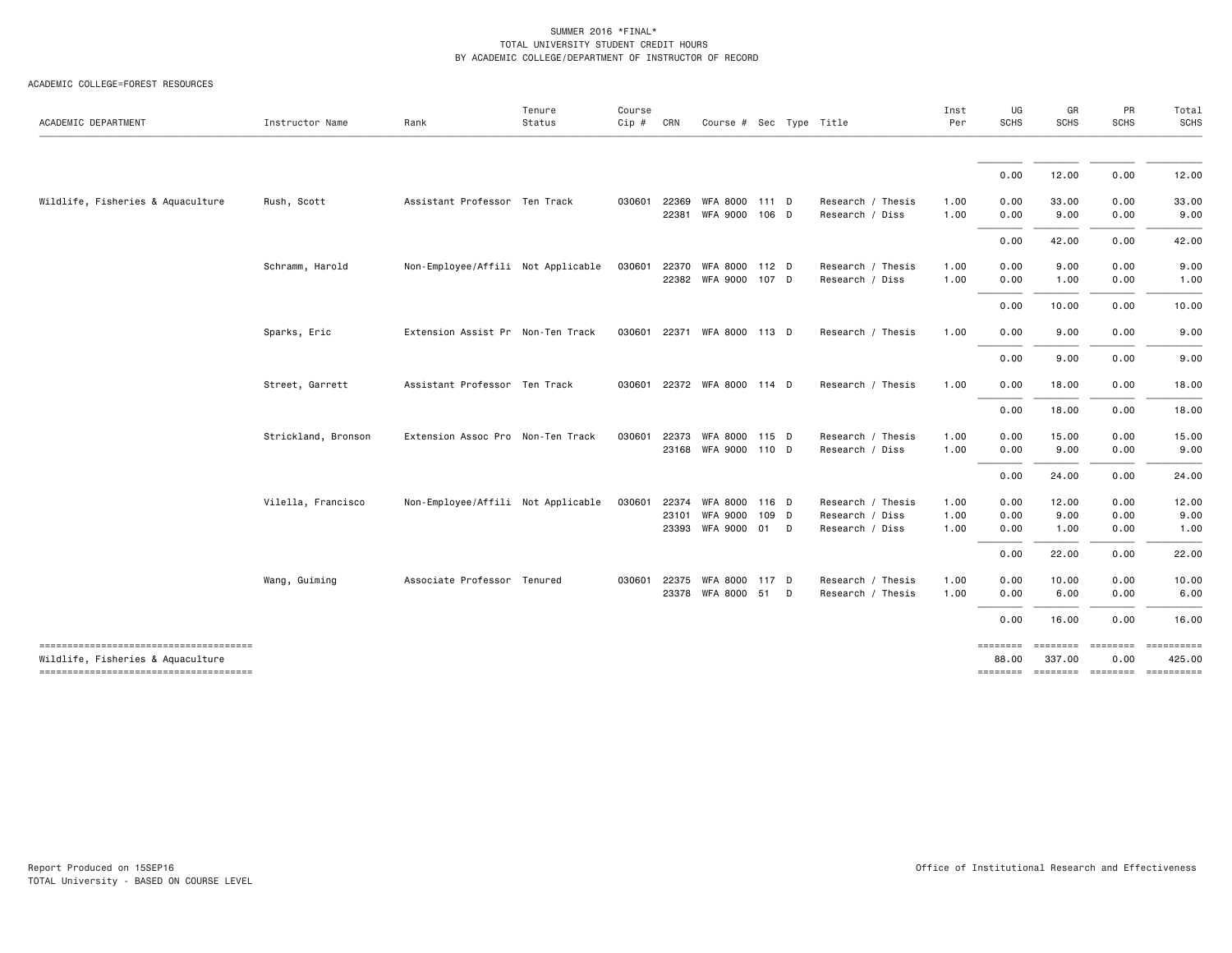| ACADEMIC DEPARTMENT                                                        | Instructor Name     | Rank                               | Tenure<br>Status | Course<br>Cip # | CRN            | Course # Sec Type Title               |   |                                      | Inst<br>Per  | UG<br><b>SCHS</b> | GR<br>SCHS                  | PR<br><b>SCHS</b>                     | Total<br>SCHS         |
|----------------------------------------------------------------------------|---------------------|------------------------------------|------------------|-----------------|----------------|---------------------------------------|---|--------------------------------------|--------------|-------------------|-----------------------------|---------------------------------------|-----------------------|
|                                                                            |                     |                                    |                  |                 |                |                                       |   |                                      |              |                   |                             |                                       |                       |
|                                                                            |                     |                                    |                  |                 |                |                                       |   |                                      |              | 0.00              | 12.00                       | 0.00                                  | 12.00                 |
| Wildlife, Fisheries & Aquaculture                                          | Rush, Scott         | Assistant Professor Ten Track      |                  | 030601          | 22369<br>22381 | WFA 8000 111 D<br>WFA 9000 106 D      |   | Research / Thesis<br>Research / Diss | 1.00<br>1.00 | 0.00<br>0.00      | 33.00<br>9.00               | 0.00<br>0.00                          | 33.00<br>9.00         |
|                                                                            |                     |                                    |                  |                 |                |                                       |   |                                      |              | 0.00              | 42.00                       | 0.00                                  | 42.00                 |
|                                                                            | Schramm, Harold     | Non-Employee/Affili Not Applicable |                  | 030601          | 22370          | WFA 8000 112 D                        |   | Research / Thesis                    | 1.00         | 0.00              | 9.00                        | 0.00                                  | 9.00                  |
|                                                                            |                     |                                    |                  |                 |                | 22382 WFA 9000 107 D                  |   | Research / Diss                      | 1.00         | 0.00              | 1.00                        | 0.00                                  | 1.00                  |
|                                                                            |                     |                                    |                  |                 |                |                                       |   |                                      |              | 0.00              | 10.00                       | 0.00                                  | 10.00                 |
|                                                                            | Sparks, Eric        | Extension Assist Pr Non-Ten Track  |                  |                 |                | 030601 22371 WFA 8000 113 D           |   | Research / Thesis                    | 1.00         | 0.00              | 9.00                        | 0.00                                  | 9.00                  |
|                                                                            |                     |                                    |                  |                 |                |                                       |   |                                      |              | 0.00              | 9.00                        | 0.00                                  | 9.00                  |
|                                                                            | Street, Garrett     | Assistant Professor Ten Track      |                  |                 |                | 030601 22372 WFA 8000 114 D           |   | Research / Thesis                    | 1.00         | 0.00              | 18.00                       | 0.00                                  | 18.00                 |
|                                                                            |                     |                                    |                  |                 |                |                                       |   |                                      |              | 0.00              | 18.00                       | 0.00                                  | 18.00                 |
|                                                                            | Strickland, Bronson | Extension Assoc Pro Non-Ten Track  |                  | 030601          | 22373          | WFA 8000 115 D                        |   | Research / Thesis                    | 1.00<br>1.00 | 0.00<br>0.00      | 15.00                       | 0.00                                  | 15.00                 |
|                                                                            |                     |                                    |                  |                 |                | 23168 WFA 9000 110 D                  |   | Research / Diss                      |              |                   | 9.00                        | 0.00                                  | 9.00                  |
|                                                                            |                     |                                    |                  |                 |                |                                       |   |                                      |              | 0.00              | 24.00                       | 0.00                                  | 24.00                 |
|                                                                            | Vilella, Francisco  | Non-Employee/Affili Not Applicable |                  | 030601          | 22374<br>23101 | WFA 8000 116 D                        |   | Research / Thesis                    | 1.00         | 0.00              | 12.00<br>9.00               | 0.00<br>0.00                          | 12.00<br>9.00         |
|                                                                            |                     |                                    |                  |                 |                | WFA 9000 109 D<br>23393 WFA 9000 01 D |   | Research / Diss<br>Research / Diss   | 1.00<br>1.00 | 0.00<br>0.00      | 1.00                        | 0.00                                  | 1.00                  |
|                                                                            |                     |                                    |                  |                 |                |                                       |   |                                      |              | 0.00              | 22.00                       | 0.00                                  | 22.00                 |
|                                                                            | Wang, Guiming       | Associate Professor Tenured        |                  |                 | 030601 22375   | WFA 8000 117 D                        |   | Research / Thesis                    | 1.00         | 0.00              | 10.00                       | 0.00                                  | 10.00                 |
|                                                                            |                     |                                    |                  |                 |                | 23378 WFA 8000 51                     | D | Research / Thesis                    | 1.00         | 0.00              | 6.00                        | 0.00                                  | 6.00                  |
|                                                                            |                     |                                    |                  |                 |                |                                       |   |                                      |              | 0.00              | 16.00                       | 0.00                                  | 16.00                 |
| -------------------------------------                                      |                     |                                    |                  |                 |                |                                       |   |                                      |              |                   |                             | ======== ======== ======== ========== |                       |
| Wildlife, Fisheries & Aquaculture<br>------------------------------------- |                     |                                    |                  |                 |                |                                       |   |                                      |              | 88,00<br>======== | 337.00<br>--------- ------- | 0.00                                  | 425.00<br>----------- |
|                                                                            |                     |                                    |                  |                 |                |                                       |   |                                      |              |                   |                             |                                       |                       |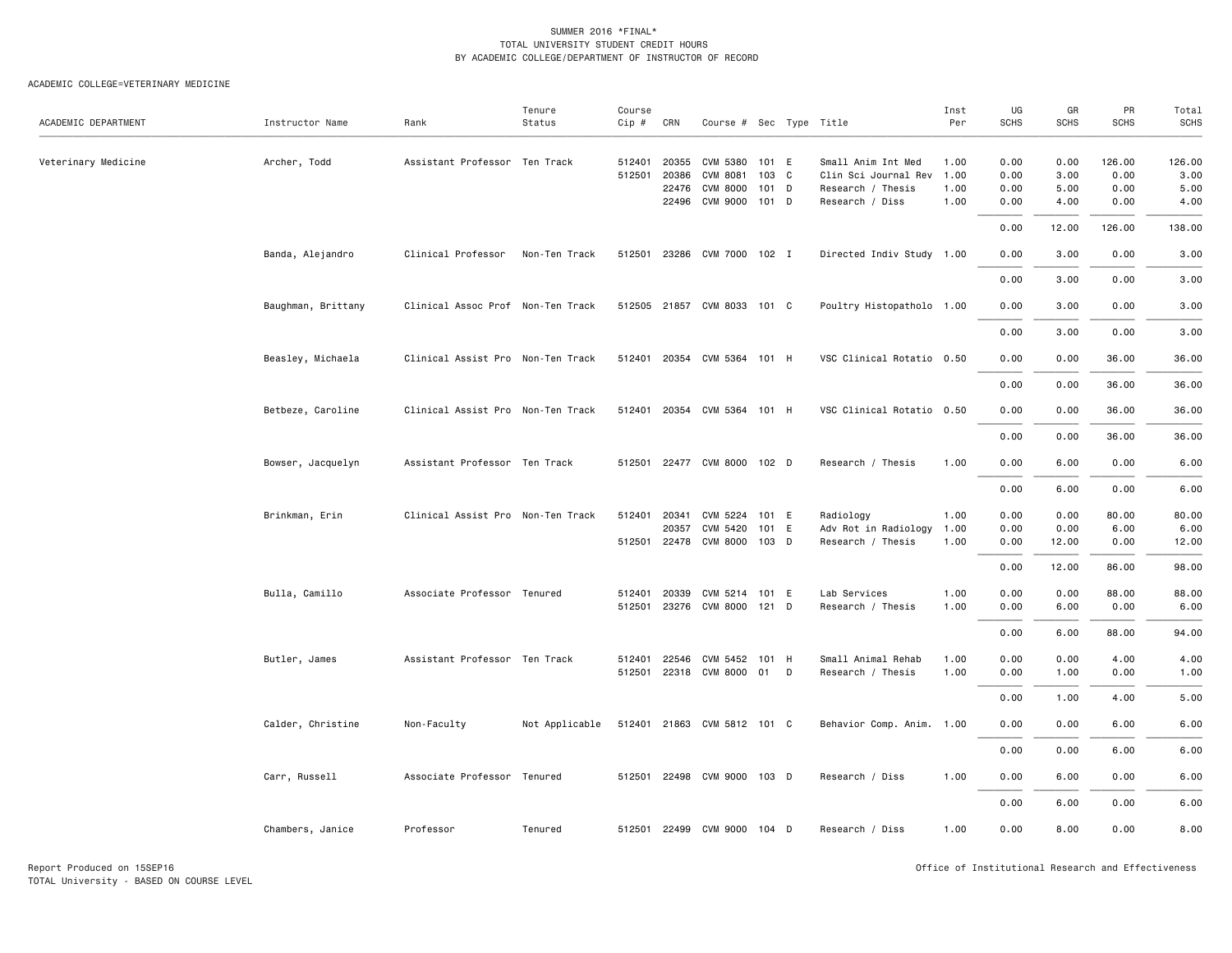| ACADEMIC DEPARTMENT | Instructor Name    | Rank                              | Tenure<br>Status | Course<br>$Cip \#$ | CRN                   | Course # Sec Type Title     |                |   |                                            | Inst<br>Per  | UG<br><b>SCHS</b> | GR<br><b>SCHS</b> | PR<br><b>SCHS</b> | Total<br><b>SCHS</b> |
|---------------------|--------------------|-----------------------------------|------------------|--------------------|-----------------------|-----------------------------|----------------|---|--------------------------------------------|--------------|-------------------|-------------------|-------------------|----------------------|
|                     |                    |                                   |                  |                    |                       |                             |                |   |                                            |              |                   |                   |                   |                      |
| Veterinary Medicine | Archer, Todd       | Assistant Professor Ten Track     |                  | 512401             | 20355<br>512501 20386 | CVM 5380<br>CVM 8081        | 101 E<br>103 C |   | Small Anim Int Med<br>Clin Sci Journal Rev | 1.00<br>1.00 | 0.00<br>0.00      | 0.00<br>3.00      | 126.00<br>0.00    | 126.00<br>3.00       |
|                     |                    |                                   |                  |                    | 22476                 | <b>CVM 8000</b>             | 101            | D | Research / Thesis                          | 1.00         | 0.00              | 5.00              | 0.00              | 5.00                 |
|                     |                    |                                   |                  |                    |                       | 22496 CVM 9000              | 101 D          |   | Research / Diss                            | 1.00         | 0.00              | 4.00              | 0.00              | 4.00                 |
|                     |                    |                                   |                  |                    |                       |                             |                |   |                                            |              | 0.00              | 12.00             | 126.00            | 138.00               |
|                     | Banda, Alejandro   | Clinical Professor                | Non-Ten Track    |                    |                       | 512501 23286 CVM 7000 102 I |                |   | Directed Indiv Study 1.00                  |              | 0.00              | 3.00              | 0.00              | 3.00                 |
|                     |                    |                                   |                  |                    |                       |                             |                |   |                                            |              | 0.00              | 3.00              | 0.00              | 3.00                 |
|                     | Baughman, Brittany | Clinical Assoc Prof Non-Ten Track |                  |                    |                       | 512505 21857 CVM 8033 101 C |                |   | Poultry Histopatholo 1.00                  |              | 0.00              | 3.00              | 0.00              | 3.00                 |
|                     |                    |                                   |                  |                    |                       |                             |                |   |                                            |              | 0.00              | 3.00              | 0.00              | 3.00                 |
|                     | Beasley, Michaela  | Clinical Assist Pro Non-Ten Track |                  |                    |                       | 512401 20354 CVM 5364 101 H |                |   | VSC Clinical Rotatio 0.50                  |              | 0.00              | 0.00              | 36.00             | 36.00                |
|                     |                    |                                   |                  |                    |                       |                             |                |   |                                            |              | 0.00              | 0.00              | 36.00             | 36.00                |
|                     | Betbeze, Caroline  | Clinical Assist Pro Non-Ten Track |                  |                    |                       | 512401 20354 CVM 5364 101 H |                |   | VSC Clinical Rotatio 0.50                  |              | 0.00              | 0.00              | 36.00             | 36.00                |
|                     |                    |                                   |                  |                    |                       |                             |                |   |                                            |              | 0.00              | 0.00              | 36.00             | 36.00                |
|                     | Bowser, Jacquelyn  | Assistant Professor Ten Track     |                  |                    |                       | 512501 22477 CVM 8000 102 D |                |   | Research / Thesis                          | 1.00         | 0.00              | 6.00              | 0.00              | 6.00                 |
|                     |                    |                                   |                  |                    |                       |                             |                |   |                                            |              | 0.00              | 6.00              | 0.00              | 6.00                 |
|                     | Brinkman, Erin     | Clinical Assist Pro Non-Ten Track |                  |                    | 512401 20341          | CVM 5224                    | 101 E          |   | Radiology                                  | 1.00         | 0.00              | 0.00              | 80.00             | 80.00                |
|                     |                    |                                   |                  |                    | 20357                 | CVM 5420                    | 101 E          |   | Adv Rot in Radiology                       | 1.00         | 0.00              | 0.00              | 6.00              | 6.00                 |
|                     |                    |                                   |                  |                    |                       | 512501 22478 CVM 8000 103 D |                |   | Research / Thesis                          | 1.00         | 0.00              | 12.00             | 0.00              | 12.00                |
|                     |                    |                                   |                  |                    |                       |                             |                |   |                                            |              | 0.00              | 12.00             | 86.00             | 98.00                |
|                     | Bulla, Camillo     | Associate Professor Tenured       |                  | 512401             | 20339                 | CVM 5214                    | 101 E          |   | Lab Services                               | 1.00         | 0.00              | 0.00              | 88.00             | 88.00                |
|                     |                    |                                   |                  |                    |                       | 512501 23276 CVM 8000 121 D |                |   | Research / Thesis                          | 1.00         | 0.00              | 6.00              | 0.00              | 6.00                 |
|                     |                    |                                   |                  |                    |                       |                             |                |   |                                            |              | 0.00              | 6.00              | 88.00             | 94.00                |
|                     | Butler, James      | Assistant Professor Ten Track     |                  |                    |                       | 512401 22546 CVM 5452       | 101 H          |   | Small Animal Rehab                         | 1.00         | 0.00              | 0.00              | 4.00              | 4.00                 |
|                     |                    |                                   |                  |                    |                       | 512501 22318 CVM 8000       | 01             | D | Research / Thesis                          | 1.00         | 0.00              | 1.00              | 0.00              | 1.00                 |
|                     |                    |                                   |                  |                    |                       |                             |                |   |                                            |              | 0.00              | 1.00              | 4.00              | 5.00                 |
|                     | Calder, Christine  | Non-Faculty                       | Not Applicable   |                    |                       | 512401 21863 CVM 5812 101 C |                |   | Behavior Comp. Anim. 1.00                  |              | 0.00              | 0.00              | 6.00              | 6.00                 |
|                     |                    |                                   |                  |                    |                       |                             |                |   |                                            |              | 0.00              | 0.00              | 6.00              | 6.00                 |
|                     | Carr, Russell      | Associate Professor Tenured       |                  |                    |                       | 512501 22498 CVM 9000 103 D |                |   | Research / Diss                            | 1.00         | 0.00              | 6.00              | 0.00              | 6.00                 |
|                     |                    |                                   |                  |                    |                       |                             |                |   |                                            |              | 0.00              | 6.00              | 0.00              | 6.00                 |
|                     | Chambers, Janice   | Professor                         | Tenured          |                    |                       | 512501 22499 CVM 9000 104 D |                |   | Research / Diss                            | 1.00         | 0.00              | 8.00              | 0.00              | 8.00                 |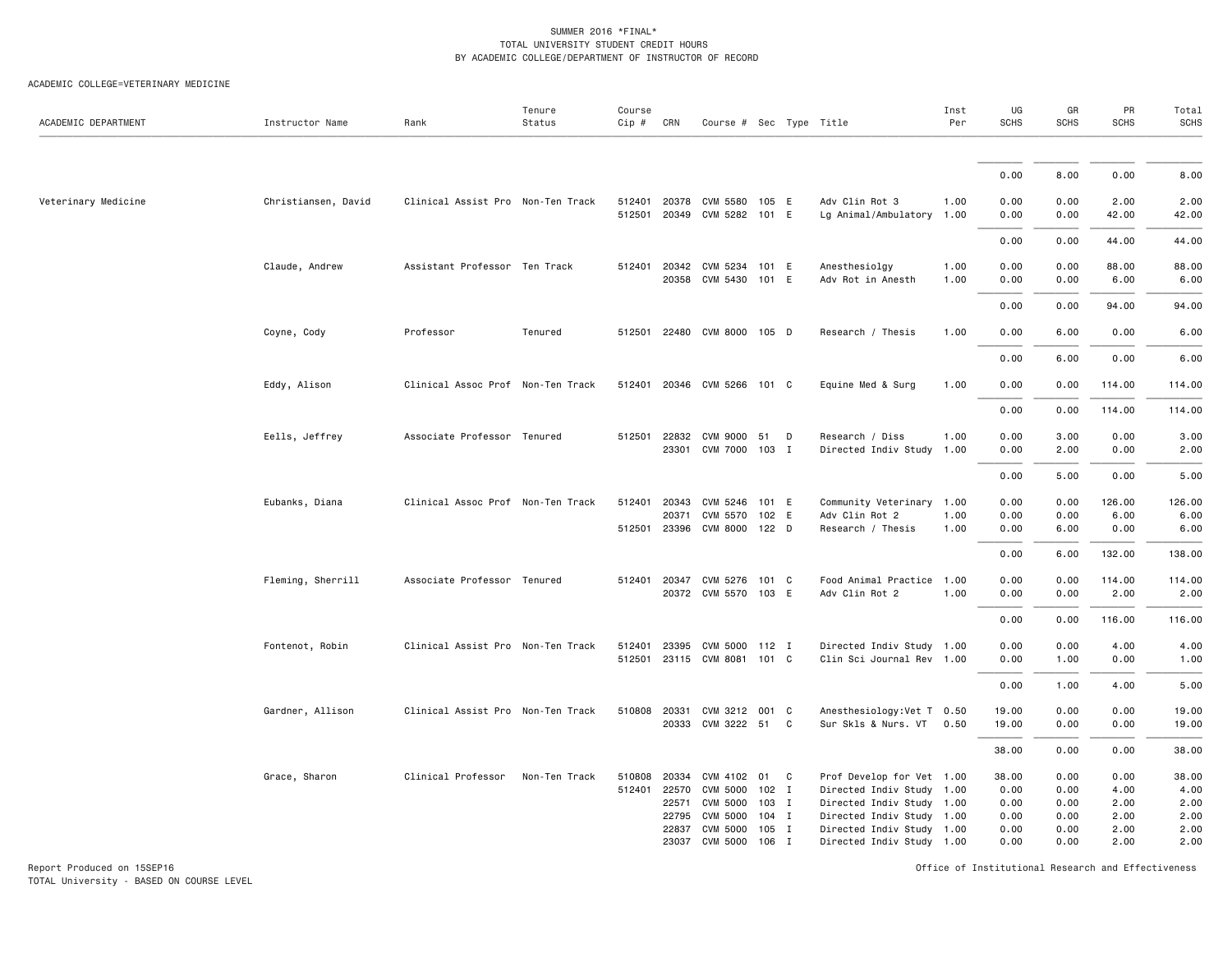#### ACADEMIC COLLEGE=VETERINARY MEDICINE

| ACADEMIC DEPARTMENT | Instructor Name     | Rank                              | Tenure<br>Status | Course<br>Cip # | CRN                   | Course # Sec Type Title                       |         |              |                                                        | Inst<br>Per  | UG<br><b>SCHS</b> | GR<br><b>SCHS</b> | PR<br><b>SCHS</b> | Total<br><b>SCHS</b> |
|---------------------|---------------------|-----------------------------------|------------------|-----------------|-----------------------|-----------------------------------------------|---------|--------------|--------------------------------------------------------|--------------|-------------------|-------------------|-------------------|----------------------|
|                     |                     |                                   |                  |                 |                       |                                               |         |              |                                                        |              |                   |                   |                   |                      |
|                     |                     |                                   |                  |                 |                       |                                               |         |              |                                                        |              | 0.00              | 8.00              | 0.00              | 8.00                 |
| Veterinary Medicine | Christiansen, David | Clinical Assist Pro Non-Ten Track |                  |                 | 512401 20378          | CVM 5580 105 E<br>512501 20349 CVM 5282 101 E |         |              | Adv Clin Rot 3<br>Lg Animal/Ambulatory 1.00            | 1.00         | 0.00<br>0.00      | 0.00<br>0.00      | 2.00<br>42.00     | 2.00<br>42.00        |
|                     |                     |                                   |                  |                 |                       |                                               |         |              |                                                        |              | 0.00              | 0.00              | 44.00             | 44.00                |
|                     | Claude, Andrew      | Assistant Professor Ten Track     |                  | 512401          | 20342<br>20358        | CVM 5234 101 E<br>CVM 5430 101 E              |         |              | Anesthesiolgy<br>Adv Rot in Anesth                     | 1.00<br>1.00 | 0.00<br>0.00      | 0.00<br>0.00      | 88.00<br>6.00     | 88.00<br>6.00        |
|                     |                     |                                   |                  |                 |                       |                                               |         |              |                                                        |              | 0.00              | 0.00              | 94.00             | 94.00                |
|                     | Coyne, Cody         | Professor                         | Tenured          |                 |                       | 512501 22480 CVM 8000 105 D                   |         |              | Research / Thesis                                      | 1.00         | 0.00              | 6.00              | 0.00              | 6.00                 |
|                     |                     |                                   |                  |                 |                       |                                               |         |              |                                                        |              | 0.00              | 6.00              | 0.00              | 6.00                 |
|                     | Eddy, Alison        | Clinical Assoc Prof Non-Ten Track |                  |                 |                       | 512401 20346 CVM 5266 101 C                   |         |              | Equine Med & Surg                                      | 1.00         | 0.00              | 0.00              | 114.00            | 114.00               |
|                     |                     |                                   |                  |                 |                       |                                               |         |              |                                                        |              | 0.00              | 0.00              | 114.00            | 114.00               |
|                     | Eells, Jeffrey      | Associate Professor Tenured       |                  |                 | 512501 22832          | CVM 9000 51<br>23301 CVM 7000 103 I           |         | D            | Research / Diss<br>Directed Indiv Study                | 1.00<br>1.00 | 0.00<br>0.00      | 3.00<br>2.00      | 0.00<br>0.00      | 3.00<br>2.00         |
|                     |                     |                                   |                  |                 |                       |                                               |         |              |                                                        |              | 0.00              | 5.00              | 0.00              | 5.00                 |
|                     | Eubanks, Diana      | Clinical Assoc Prof Non-Ten Track |                  | 512401          | 20343                 | CVM 5246 101 E                                |         |              | Community Veterinary 1.00                              |              | 0.00              | 0.00              | 126.00            | 126.00               |
|                     |                     |                                   |                  |                 | 20371                 | CVM 5570 102 E                                |         |              | Adv Clin Rot 2                                         | 1.00         | 0.00              | 0.00              | 6.00              | 6.00                 |
|                     |                     |                                   |                  |                 |                       | 512501 23396 CVM 8000 122 D                   |         |              | Research / Thesis                                      | 1.00         | 0.00              | 6.00              | 0.00              | 6.00                 |
|                     |                     |                                   |                  |                 |                       |                                               |         |              |                                                        |              | 0.00              | 6.00              | 132.00            | 138.00               |
|                     | Fleming, Sherrill   | Associate Professor Tenured       |                  |                 | 512401 20347          | CVM 5276<br>20372 CVM 5570 103 E              | 101 C   |              | Food Animal Practice<br>Adv Clin Rot 2                 | 1.00<br>1.00 | 0.00<br>0.00      | 0.00<br>0.00      | 114.00<br>2.00    | 114.00<br>2.00       |
|                     |                     |                                   |                  |                 |                       |                                               |         |              |                                                        |              | 0.00              | 0.00              | 116.00            | 116.00               |
|                     | Fontenot, Robin     | Clinical Assist Pro Non-Ten Track |                  | 512401          | 23395                 | CVM 5000 112 I                                |         |              | Directed Indiv Study 1.00                              |              | 0.00              | 0.00              | 4.00              | 4.00                 |
|                     |                     |                                   |                  |                 |                       | 512501 23115 CVM 8081 101 C                   |         |              | Clin Sci Journal Rev 1.00                              |              | 0.00              | 1.00              | 0.00              | 1.00                 |
|                     |                     |                                   |                  |                 |                       |                                               |         |              |                                                        |              | 0.00              | 1.00              | 4.00              | 5.00                 |
|                     | Gardner, Allison    | Clinical Assist Pro Non-Ten Track |                  |                 |                       | 510808 20331 CVM 3212 001 C                   |         |              | Anesthesiology: Vet T 0.50                             |              | 19.00             | 0.00              | 0.00              | 19.00                |
|                     |                     |                                   |                  |                 |                       | 20333 CVM 3222 51 C                           |         |              | Sur Skls & Nurs. VT 0.50                               |              | 19.00             | 0.00              | 0.00              | 19.00                |
|                     |                     |                                   |                  |                 |                       |                                               |         |              |                                                        |              | 38.00             | 0.00              | 0.00              | 38.00                |
|                     | Grace, Sharon       | Clinical Professor                | Non-Ten Track    | 510808          | 20334<br>512401 22570 | CVM 4102 01<br>CVM 5000                       | 102 I   | C            | Prof Develop for Vet 1.00<br>Directed Indiv Study 1.00 |              | 38.00<br>0.00     | 0.00<br>0.00      | 0.00<br>4.00      | 38.00<br>4.00        |
|                     |                     |                                   |                  |                 | 22571                 | CVM 5000                                      | 103 I   |              | Directed Indiv Study 1.00                              |              | 0.00              | 0.00              | 2.00              | 2.00                 |
|                     |                     |                                   |                  |                 | 22795                 | <b>CVM 5000</b>                               | $104$ I |              | Directed Indiv Study 1.00                              |              | 0.00              | 0.00              | 2.00              | 2.00                 |
|                     |                     |                                   |                  |                 | 22837                 | CVM 5000 105 I                                |         |              | Directed Indiv Study 1.00                              |              | 0.00              | 0.00              | 2.00              | 2.00                 |
|                     |                     |                                   |                  |                 | 23037                 | CVM 5000                                      | 106     | $\mathsf{T}$ | Directed Indiv Study 1.00                              |              | 0.00              | 0.00              | 2.00              | 2.00                 |

Report Produced on 15SEP16 Office of Institutional Research and Effectiveness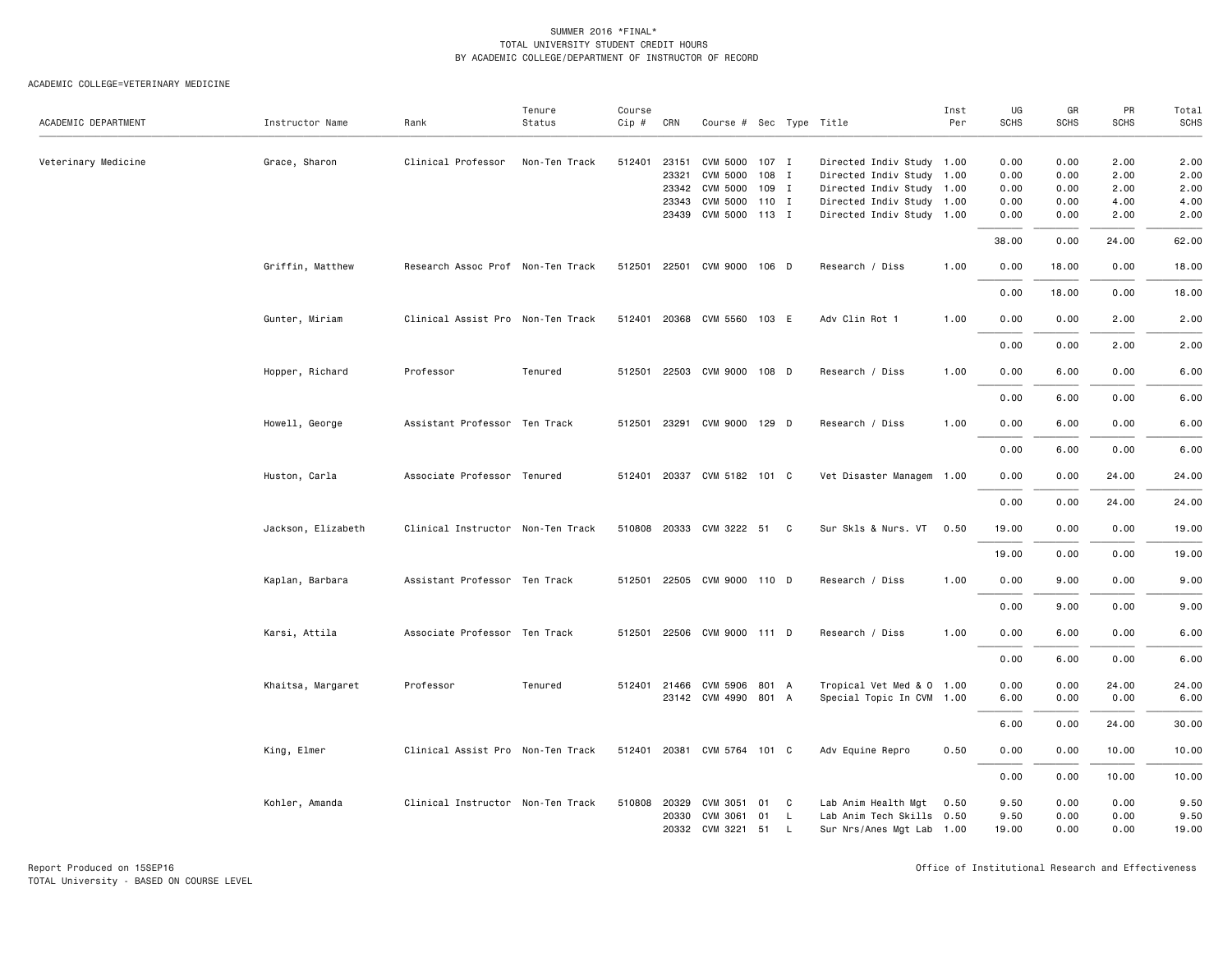|                     |                    |                                   | Tenure        | Course |              |                             |       |          |                           | Inst | UG          | GR          | PR    | Total       |
|---------------------|--------------------|-----------------------------------|---------------|--------|--------------|-----------------------------|-------|----------|---------------------------|------|-------------|-------------|-------|-------------|
| ACADEMIC DEPARTMENT | Instructor Name    | Rank                              | Status        | Cip #  | CRN          | Course # Sec Type Title     |       |          |                           | Per  | <b>SCHS</b> | <b>SCHS</b> | SCHS  | <b>SCHS</b> |
| Veterinary Medicine | Grace, Sharon      | Clinical Professor                | Non-Ten Track |        | 512401 23151 | CVM 5000 107 I              |       |          | Directed Indiv Study 1.00 |      | 0.00        | 0.00        | 2.00  | 2.00        |
|                     |                    |                                   |               |        | 23321        | CVM 5000                    | 108 I |          | Directed Indiv Study 1.00 |      | 0.00        | 0.00        | 2.00  | 2.00        |
|                     |                    |                                   |               |        | 23342        | CVM 5000                    | 109 I |          | Directed Indiv Study 1.00 |      | 0.00        | 0.00        | 2.00  | 2.00        |
|                     |                    |                                   |               |        | 23343        | CVM 5000 110 I              |       |          | Directed Indiv Study 1.00 |      | 0.00        | 0.00        | 4.00  | 4.00        |
|                     |                    |                                   |               |        |              | 23439 CVM 5000 113 I        |       |          | Directed Indiv Study 1.00 |      | 0.00        | 0.00        | 2.00  | 2.00        |
|                     |                    |                                   |               |        |              |                             |       |          |                           |      | 38.00       | 0.00        | 24.00 | 62.00       |
|                     | Griffin, Matthew   | Research Assoc Prof Non-Ten Track |               |        |              | 512501 22501 CVM 9000 106 D |       |          | Research / Diss           | 1.00 | 0.00        | 18.00       | 0.00  | 18.00       |
|                     |                    |                                   |               |        |              |                             |       |          |                           |      |             |             |       |             |
|                     |                    |                                   |               |        |              |                             |       |          |                           |      | 0.00        | 18.00       | 0.00  | 18.00       |
|                     | Gunter, Miriam     | Clinical Assist Pro Non-Ten Track |               |        |              | 512401 20368 CVM 5560 103 E |       |          | Adv Clin Rot 1            | 1.00 | 0.00        | 0.00        | 2.00  | 2.00        |
|                     |                    |                                   |               |        |              |                             |       |          |                           |      | 0.00        | 0.00        | 2.00  | 2.00        |
|                     | Hopper, Richard    | Professor                         | Tenured       |        |              | 512501 22503 CVM 9000 108 D |       |          | Research / Diss           | 1.00 | 0.00        | 6.00        | 0.00  | 6.00        |
|                     |                    |                                   |               |        |              |                             |       |          |                           |      | 0.00        | 6.00        | 0.00  | 6.00        |
|                     | Howell, George     | Assistant Professor Ten Track     |               |        |              | 512501 23291 CVM 9000 129 D |       |          | Research / Diss           | 1.00 | 0.00        | 6.00        | 0.00  | 6.00        |
|                     |                    |                                   |               |        |              |                             |       |          |                           |      | 0.00        | 6.00        | 0.00  | 6.00        |
|                     | Huston, Carla      | Associate Professor Tenured       |               |        |              | 512401 20337 CVM 5182 101 C |       |          | Vet Disaster Managem 1.00 |      | 0.00        | 0.00        | 24.00 | 24.00       |
|                     |                    |                                   |               |        |              |                             |       |          |                           |      | 0.00        | 0.00        | 24.00 | 24.00       |
|                     | Jackson, Elizabeth | Clinical Instructor Non-Ten Track |               |        |              | 510808 20333 CVM 3222 51 C  |       |          | Sur Skls & Nurs. VT       | 0.50 | 19.00       | 0.00        | 0.00  | 19.00       |
|                     |                    |                                   |               |        |              |                             |       |          |                           |      | 19.00       | 0.00        | 0.00  | 19.00       |
|                     |                    |                                   |               |        |              |                             |       |          |                           |      |             |             |       |             |
|                     | Kaplan, Barbara    | Assistant Professor Ten Track     |               |        |              | 512501 22505 CVM 9000 110 D |       |          | Research / Diss           | 1.00 | 0.00        | 9.00        | 0.00  | 9.00        |
|                     |                    |                                   |               |        |              |                             |       |          |                           |      | 0.00        | 9.00        | 0.00  | 9.00        |
|                     | Karsi, Attila      | Associate Professor Ten Track     |               |        |              | 512501 22506 CVM 9000 111 D |       |          | Research / Diss           | 1.00 | 0.00        | 6.00        | 0.00  | 6.00        |
|                     |                    |                                   |               |        |              |                             |       |          |                           |      | 0.00        | 6.00        | 0.00  | 6.00        |
|                     | Khaitsa, Margaret  | Professor                         | Tenured       |        |              | 512401 21466 CVM 5906 801 A |       |          | Tropical Vet Med & 0 1.00 |      | 0.00        | 0.00        | 24.00 | 24.00       |
|                     |                    |                                   |               |        |              | 23142 CVM 4990 801 A        |       |          | Special Topic In CVM 1.00 |      | 6.00        | 0.00        | 0.00  | 6.00        |
|                     |                    |                                   |               |        |              |                             |       |          |                           |      | 6.00        | 0.00        | 24.00 | 30.00       |
|                     | King, Elmer        | Clinical Assist Pro Non-Ten Track |               |        |              | 512401 20381 CVM 5764 101 C |       |          | Adv Equine Repro          | 0.50 | 0.00        | 0.00        | 10.00 | 10.00       |
|                     |                    |                                   |               |        |              |                             |       |          |                           |      | 0.00        | 0.00        | 10.00 | 10.00       |
|                     |                    |                                   |               |        |              |                             |       |          |                           |      |             |             |       |             |
|                     | Kohler, Amanda     | Clinical Instructor Non-Ten Track |               |        | 510808 20329 | CVM 3051                    | 01    | C        | Lab Anim Health Mgt       | 0.50 | 9.50        | 0.00        | 0.00  | 9.50        |
|                     |                    |                                   |               |        | 20330        | CVM 3061                    | 01    | L        | Lab Anim Tech Skills 0.50 |      | 9.50        | 0.00        | 0.00  | 9.50        |
|                     |                    |                                   |               |        |              | 20332 CVM 3221 51           |       | <b>L</b> | Sur Nrs/Anes Mgt Lab 1.00 |      | 19.00       | 0.00        | 0.00  | 19.00       |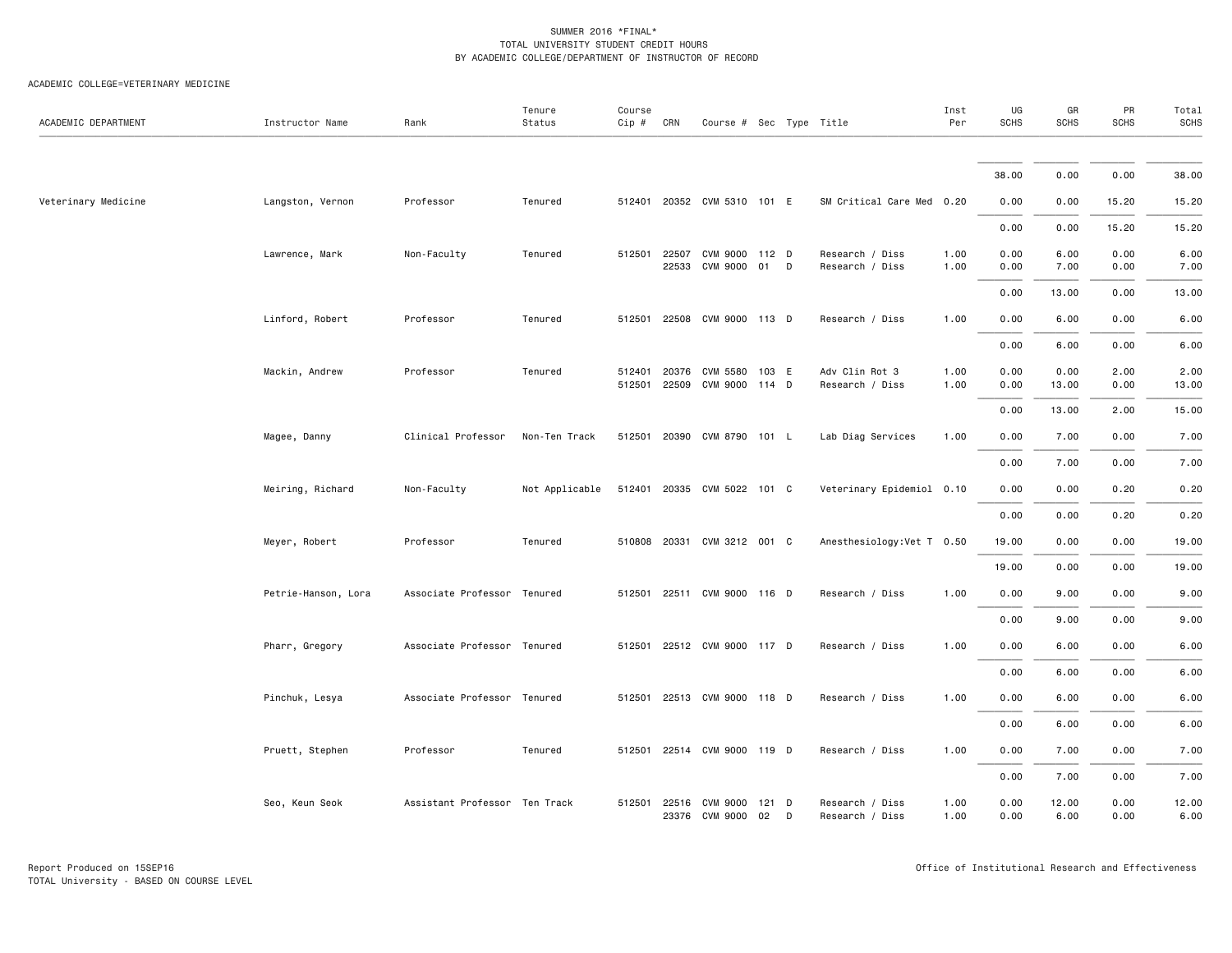| ACADEMIC DEPARTMENT | Instructor Name     | Rank                          | Tenure<br>Status | Course<br>Cip #  | CRN            | Course # Sec Type Title     |               |   |                                    | Inst<br>Per  | UG<br><b>SCHS</b> | GR<br><b>SCHS</b> | PR<br><b>SCHS</b> | Total<br><b>SCHS</b> |
|---------------------|---------------------|-------------------------------|------------------|------------------|----------------|-----------------------------|---------------|---|------------------------------------|--------------|-------------------|-------------------|-------------------|----------------------|
|                     |                     |                               |                  |                  |                |                             |               |   |                                    |              |                   |                   |                   |                      |
|                     |                     |                               |                  |                  |                |                             |               |   |                                    |              | 38.00             | 0.00              | 0.00              | 38.00                |
| Veterinary Medicine | Langston, Vernon    | Professor                     | Tenured          |                  |                | 512401 20352 CVM 5310 101 E |               |   | SM Critical Care Med 0.20          |              | 0.00              | 0.00              | 15.20             | 15.20                |
|                     |                     |                               |                  |                  |                |                             |               |   |                                    |              | 0.00              | 0.00              | 15.20             | 15.20                |
|                     | Lawrence, Mark      | Non-Faculty                   | Tenured          | 512501           | 22507          | CVM 9000 112 D              |               |   | Research / Diss                    | 1.00         | 0.00              | 6.00              | 0.00              | 6.00                 |
|                     |                     |                               |                  |                  | 22533          | CVM 9000                    | 01 D          |   | Research / Diss                    | 1.00         | 0.00              | 7.00              | 0.00              | 7.00                 |
|                     |                     |                               |                  |                  |                |                             |               |   |                                    |              | 0.00              | 13.00             | 0.00              | 13.00                |
|                     | Linford, Robert     | Professor                     | Tenured          | 512501           |                | 22508 CVM 9000 113 D        |               |   | Research / Diss                    | 1.00         | 0.00              | 6.00              | 0.00              | 6.00                 |
|                     |                     |                               |                  |                  |                |                             |               |   |                                    |              | 0.00              | 6.00              | 0.00              | 6.00                 |
|                     | Mackin, Andrew      | Professor                     | Tenured          | 512401<br>512501 | 20376<br>22509 | CVM 5580<br>CVM 9000 114 D  | 103 E         |   | Adv Clin Rot 3<br>Research / Diss  | 1.00<br>1.00 | 0.00<br>0.00      | 0.00<br>13.00     | 2.00<br>0.00      | 2.00<br>13.00        |
|                     |                     |                               |                  |                  |                |                             |               |   |                                    |              | 0.00              | 13.00             | 2.00              | 15.00                |
|                     | Magee, Danny        | Clinical Professor            | Non-Ten Track    | 512501           |                | 20390 CVM 8790 101 L        |               |   | Lab Diag Services                  | 1.00         | 0.00              | 7.00              | 0.00              | 7.00                 |
|                     |                     |                               |                  |                  |                |                             |               |   |                                    |              | 0.00              | 7.00              | 0.00              | 7.00                 |
|                     |                     |                               |                  |                  |                |                             |               |   |                                    |              |                   |                   |                   |                      |
|                     | Meiring, Richard    | Non-Faculty                   | Not Applicable   |                  |                | 512401 20335 CVM 5022 101 C |               |   | Veterinary Epidemiol 0.10          |              | 0.00              | 0.00              | 0.20              | 0.20                 |
|                     |                     |                               |                  |                  |                |                             |               |   |                                    |              | 0.00              | 0.00              | 0.20              | 0.20                 |
|                     | Meyer, Robert       | Professor                     | Tenured          |                  |                | 510808 20331 CVM 3212 001 C |               |   | Anesthesiology: Vet T 0.50         |              | 19.00             | 0.00              | 0.00              | 19.00                |
|                     |                     |                               |                  |                  |                |                             |               |   |                                    |              | 19.00             | 0.00              | 0.00              | 19.00                |
|                     | Petrie-Hanson, Lora | Associate Professor Tenured   |                  | 512501           |                | 22511 CVM 9000 116 D        |               |   | Research / Diss                    | 1.00         | 0.00              | 9.00              | 0.00              | 9.00                 |
|                     |                     |                               |                  |                  |                |                             |               |   |                                    |              | 0.00              | 9.00              | 0.00              | 9.00                 |
|                     | Pharr, Gregory      | Associate Professor Tenured   |                  |                  |                | 512501 22512 CVM 9000 117 D |               |   | Research / Diss                    | 1.00         | 0.00              | 6.00              | 0.00              | 6.00                 |
|                     |                     |                               |                  |                  |                |                             |               |   |                                    |              | 0.00              | 6.00              | 0.00              | 6.00                 |
|                     | Pinchuk, Lesya      | Associate Professor Tenured   |                  | 512501           |                | 22513 CVM 9000 118 D        |               |   | Research / Diss                    | 1.00         | 0.00              | 6.00              | 0.00              | 6.00                 |
|                     |                     |                               |                  |                  |                |                             |               |   |                                    |              | 0.00              | 6.00              | 0.00              | 6.00                 |
|                     | Pruett, Stephen     | Professor                     | Tenured          | 512501           |                | 22514 CVM 9000 119 D        |               |   | Research / Diss                    | 1.00         | 0.00              | 7.00              | 0.00              | 7.00                 |
|                     |                     |                               |                  |                  |                |                             |               |   |                                    |              | 0.00              | 7.00              | 0.00              | 7.00                 |
|                     | Seo, Keun Seok      | Assistant Professor Ten Track |                  | 512501           | 22516<br>23376 | CVM 9000<br>CVM 9000        | $121$ D<br>02 | D | Research / Diss<br>Research / Diss | 1.00<br>1.00 | 0.00<br>0.00      | 12.00<br>6.00     | 0.00<br>0.00      | 12.00<br>6.00        |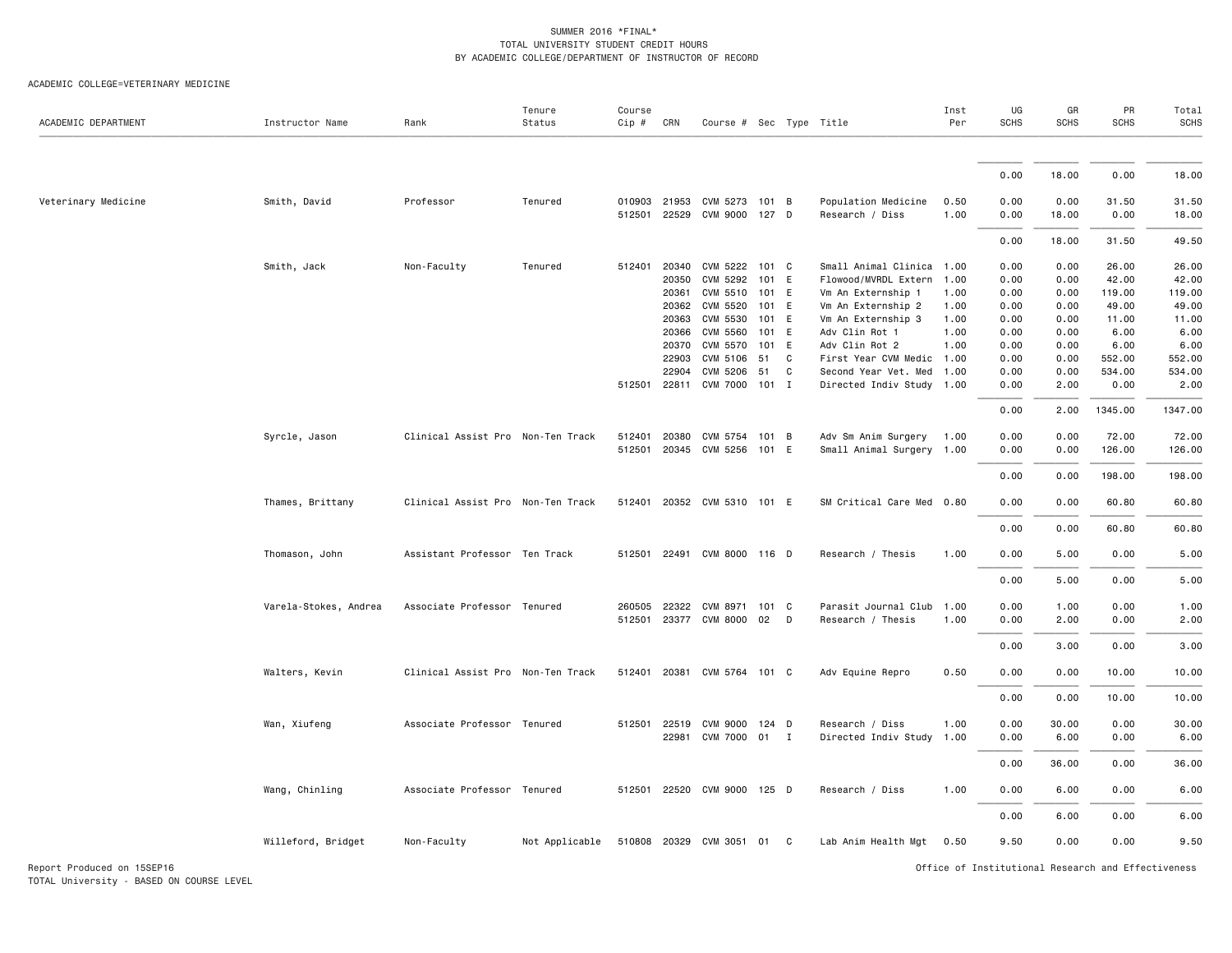| ACADEMIC DEPARTMENT        | Instructor Name       | Rank                              | Tenure<br>Status | Course<br>Cip #  | CRN   | Course # Sec Type Title                      |       |              |                                        | Inst<br>Per  | UG<br><b>SCHS</b> | GR<br><b>SCHS</b> | PR<br><b>SCHS</b>                                  | Total<br><b>SCHS</b> |
|----------------------------|-----------------------|-----------------------------------|------------------|------------------|-------|----------------------------------------------|-------|--------------|----------------------------------------|--------------|-------------------|-------------------|----------------------------------------------------|----------------------|
|                            |                       |                                   |                  |                  |       |                                              |       |              |                                        |              |                   |                   |                                                    |                      |
|                            |                       |                                   |                  |                  |       |                                              |       |              |                                        |              | 0.00              | 18.00             | 0.00                                               | 18.00                |
| Veterinary Medicine        | Smith, David          | Professor                         | Tenured          | 010903<br>512501 |       | 21953 CVM 5273 101 B<br>22529 CVM 9000 127 D |       |              | Population Medicine<br>Research / Diss | 0.50<br>1.00 | 0.00<br>0.00      | 0.00<br>18.00     | 31.50<br>0.00                                      | 31.50<br>18.00       |
|                            |                       |                                   |                  |                  |       |                                              |       |              |                                        |              | 0.00              | 18.00             | 31.50                                              | 49.50                |
|                            | Smith, Jack           | Non-Faculty                       | Tenured          | 512401           | 20340 | CVM 5222 101 C                               |       |              | Small Animal Clinica                   | 1.00         | 0.00              | 0.00              | 26.00                                              | 26.00                |
|                            |                       |                                   |                  |                  | 20350 | CVM 5292                                     | 101 E |              | Flowood/MVRDL Extern                   | 1.00         | 0.00              | 0.00              | 42.00                                              | 42.00                |
|                            |                       |                                   |                  |                  | 20361 | CVM 5510 101 E                               |       |              | Vm An Externship 1                     | 1.00         | 0.00              | 0.00              | 119.00                                             | 119.00               |
|                            |                       |                                   |                  |                  | 20362 | CVM 5520 101 E                               |       |              | Vm An Externship 2                     | 1.00         | 0.00              | 0.00              | 49.00                                              | 49.00                |
|                            |                       |                                   |                  |                  | 20363 | CVM 5530                                     | 101 E |              | Vm An Externship 3                     | 1.00         | 0.00              | 0.00              | 11.00                                              | 11.00                |
|                            |                       |                                   |                  |                  |       | 20366 CVM 5560 101 E                         |       |              | Adv Clin Rot 1                         | 1.00         | 0.00              | 0.00              | 6.00                                               | 6.00                 |
|                            |                       |                                   |                  |                  | 20370 | CVM 5570 101 E                               |       |              | Adv Clin Rot 2                         | 1.00         | 0.00              | 0.00              | 6.00                                               | 6.00                 |
|                            |                       |                                   |                  |                  | 22903 | CVM 5106 51                                  |       | $\mathbf{C}$ | First Year CVM Medic 1.00              |              | 0.00              | 0.00              | 552.00                                             | 552.00               |
|                            |                       |                                   |                  |                  | 22904 | CVM 5206 51                                  |       | C            | Second Year Vet. Med                   | 1.00         | 0.00              | 0.00              | 534.00                                             | 534.00               |
|                            |                       |                                   |                  | 512501           |       | 22811 CVM 7000 101 I                         |       |              | Directed Indiv Study 1.00              |              | 0.00              | 2.00              | 0.00                                               | 2.00                 |
|                            |                       |                                   |                  |                  |       |                                              |       |              |                                        |              | 0.00              | 2.00              | 1345.00                                            | 1347.00              |
|                            | Syrcle, Jason         | Clinical Assist Pro Non-Ten Track |                  | 512401           | 20380 | CVM 5754 101 B                               |       |              | Adv Sm Anim Surgery                    | 1.00         | 0.00              | 0.00              | 72.00                                              | 72.00                |
|                            |                       |                                   |                  | 512501           |       | 20345 CVM 5256 101 E                         |       |              | Small Animal Surgery                   | 1.00         | 0.00              | 0.00              | 126.00                                             | 126.00               |
|                            |                       |                                   |                  |                  |       |                                              |       |              |                                        |              | 0.00              | 0.00              | 198.00                                             | 198.00               |
|                            | Thames, Brittany      | Clinical Assist Pro Non-Ten Track |                  | 512401           |       | 20352 CVM 5310 101 E                         |       |              | SM Critical Care Med 0.80              |              | 0.00              | 0.00              | 60.80                                              | 60.80                |
|                            |                       |                                   |                  |                  |       |                                              |       |              |                                        |              |                   |                   |                                                    |                      |
|                            |                       |                                   |                  |                  |       |                                              |       |              |                                        |              | 0.00              | 0.00              | 60.80                                              | 60.80                |
|                            | Thomason, John        | Assistant Professor Ten Track     |                  |                  |       | 512501 22491 CVM 8000 116 D                  |       |              | Research / Thesis                      | 1.00         | 0.00              | 5.00              | 0.00                                               | 5.00                 |
|                            |                       |                                   |                  |                  |       |                                              |       |              |                                        |              | 0.00              | 5.00              | 0.00                                               | 5.00                 |
|                            | Varela-Stokes, Andrea | Associate Professor Tenured       |                  | 260505           |       | 22322 CVM 8971 101 C                         |       |              | Parasit Journal Club                   | 1.00         | 0.00              | 1.00              | 0.00                                               | 1.00                 |
|                            |                       |                                   |                  | 512501           |       | 23377 CVM 8000 02                            |       | D            | Research / Thesis                      | 1.00         | 0.00              | 2.00              | 0.00                                               | 2.00                 |
|                            |                       |                                   |                  |                  |       |                                              |       |              |                                        |              | 0.00              | 3.00              | 0.00                                               | 3.00                 |
|                            | Walters, Kevin        | Clinical Assist Pro Non-Ten Track |                  | 512401           |       | 20381 CVM 5764 101 C                         |       |              | Adv Equine Repro                       | 0.50         | 0.00              | 0.00              | 10.00                                              | 10.00                |
|                            |                       |                                   |                  |                  |       |                                              |       |              |                                        |              | 0.00              | 0.00              | 10.00                                              | 10.00                |
|                            | Wan, Xiufeng          | Associate Professor Tenured       |                  | 512501           | 22519 | CVM 9000 124 D                               |       |              | Research / Diss                        | 1.00         | 0.00              | 30.00             | 0.00                                               | 30.00                |
|                            |                       |                                   |                  |                  |       | 22981 CVM 7000 01 I                          |       |              |                                        | 1.00         |                   |                   |                                                    |                      |
|                            |                       |                                   |                  |                  |       |                                              |       |              | Directed Indiv Study                   |              | 0.00              | 6.00              | 0.00                                               | 6.00                 |
|                            |                       |                                   |                  |                  |       |                                              |       |              |                                        |              | 0.00              | 36.00             | 0.00                                               | 36.00                |
|                            | Wang, Chinling        | Associate Professor Tenured       |                  | 512501           |       | 22520 CVM 9000 125 D                         |       |              | Research / Diss                        | 1.00         | 0.00              | 6.00              | 0.00                                               | 6.00                 |
|                            |                       |                                   |                  |                  |       |                                              |       |              |                                        |              | 0.00              | 6.00              | 0.00                                               | 6.00                 |
|                            | Willeford, Bridget    | Non-Faculty                       | Not Applicable   | 510808           |       | 20329 CVM 3051                               | 01 C  |              | Lab Anim Health Mgt                    | 0.50         | 9.50              | 0.00              | 0.00                                               | 9.50                 |
| Report Produced on 15SEP16 |                       |                                   |                  |                  |       |                                              |       |              |                                        |              |                   |                   | Office of Institutional Research and Effectiveness |                      |